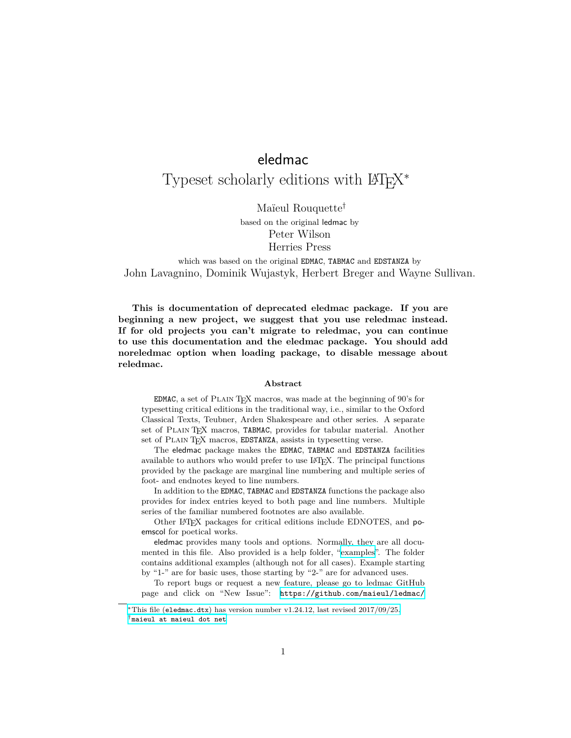# eledmac

# Typeset scholarly editions with  $\rm \emph{B}T_{E}X^*$

Maïeul Rouquette*†*

based on the original ledmac by Peter Wilson Herries Press

which was based on the original EDMAC, TABMAC and EDSTANZA by John Lavagnino, Dominik Wujastyk, Herbert Breger and Wayne Sullivan.

**This is documentation of deprecated eledmac package. If you are beginning a new project, we suggest that you use reledmac instead. If for old projects you can't migrate to reledmac, you can continue to use this documentation and the eledmac package. You should add noreledmac option when loading package, to disable message about reledmac.**

## **Abstract**

EDMAC, a set of Plain TEX macros, was made at the beginning of 90's for typesetting critical editions in the traditional way, i.e., similar to the Oxford Classical Texts, Teubner, Arden Shakespeare and other series. A separate set of PLAIN TEX macros, TABMAC, provides for tabular material. Another set of PLAIN TEX macros, EDSTANZA, assists in typesetting verse.

The eledmac package makes the EDMAC, TABMAC and EDSTANZA facilities available to authors who would prefer to use LATEX. The principal functions provided by the package are marginal line numbering and multiple series of foot- and endnotes keyed to line numbers.

In addition to the EDMAC, TABMAC and EDSTANZA functions the package also provides for index entries keyed to both page and line numbers. Multiple series of the familiar numbered footnotes are also available.

Other L<sup>AT</sup>EX packages for critical editions include EDNOTES, and poemscol for poetical works.

eledmac provides many tools and options. Normally, they are all documented in this file. Also provided is a help folder, "[examples](examples/.)". The folder contains additional examples (although not for all cases). Example starting by "1-" are for basic uses, those starting by "2-" are for advanced uses.

To report bugs or request a new feature, please go to ledmac GitHub page and click on "New Issue": [https://github.com/maieul/ledmac/](https://github.com/maieul/ledmac/issues/)

*<sup>∗</sup>*This file (eledmac.dtx[\) has version number v1.24.12, last revised 2017/09/25.](https://github.com/maieul/ledmac/issues/) *†*[maieul at maieul dot net](https://github.com/maieul/ledmac/issues/)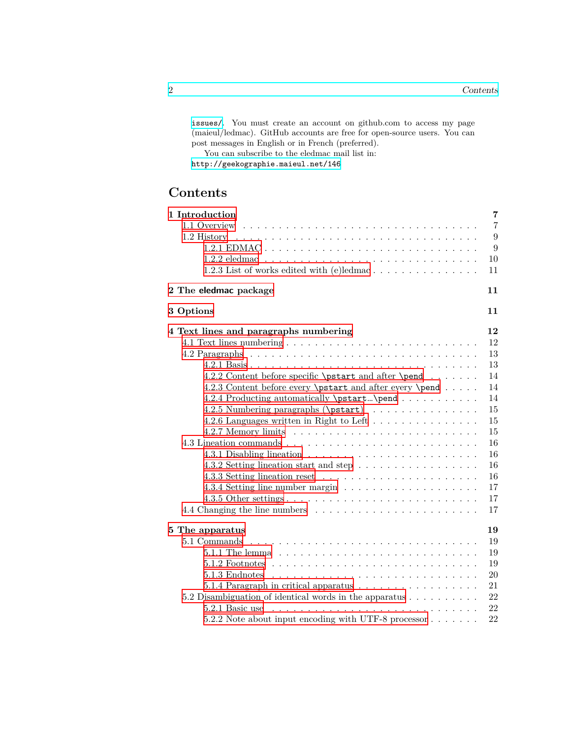[issues/](https://github.com/maieul/ledmac/issues/). You must create an account on github.com to access my page (maieul/ledmac). GitHub accounts are free for open-source users. You can post messages in English or in French (preferred).

You can subscribe to the eledmac mail list in:

<http://geekographie.maieul.net/146>

| 1 Introduction                                                             | $\overline{7}$ |
|----------------------------------------------------------------------------|----------------|
| 1.1 Overview                                                               | $\overline{7}$ |
| 1.2 History                                                                | 9              |
|                                                                            | 9              |
|                                                                            | 10             |
| 1.2.3 List of works edited with (e)ledmac $\dots \dots \dots \dots \dots$  | 11             |
| 2 The eledmac package                                                      | 11             |
| 3 Options                                                                  | 11             |
| 4 Text lines and paragraphs numbering                                      | 12             |
|                                                                            | 12             |
|                                                                            | 13             |
|                                                                            | 13             |
| 4.2.2 Content before specific \pstart and after \pend                      | 14             |
| 4.2.3 Content before every \pstart and after every \pend                   | 14             |
| 4.2.4 Producting automatically \pstart\pend                                | 14             |
| 4.2.5 Numbering paragraphs (\pstart)                                       | 15             |
| 4.2.6 Languages written in Right to Left                                   | 15             |
|                                                                            | 15             |
|                                                                            | 16             |
|                                                                            | 16             |
| 4.3.2 Setting lineation start and step                                     | 16             |
|                                                                            | 16             |
|                                                                            | 17             |
|                                                                            | 17             |
|                                                                            | 17             |
| 5 The apparatus                                                            | 19             |
|                                                                            | 19             |
|                                                                            | 19             |
|                                                                            | 19             |
|                                                                            | 20             |
| 5.1.4 Paragraph in critical apparatus $\ldots \ldots \ldots \ldots \ldots$ | 21             |
| 5.2 Disambiguation of identical words in the apparatus $\dots \dots \dots$ | 22             |
| 5.2.1 Basic use                                                            | 22             |
| 5.2.2 Note about input encoding with UTF-8 processor                       | 22             |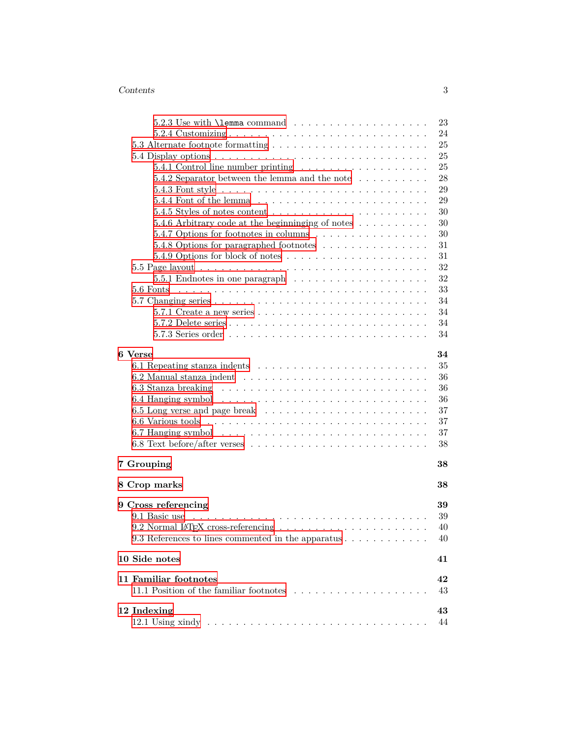| $5.2.3$ Use with <b>\lemma</b> command $\ldots$ , $\ldots$ , $\ldots$ , $\ldots$ , $\ldots$ | 23 |
|---------------------------------------------------------------------------------------------|----|
|                                                                                             | 24 |
| 5.3 Alternate footnote formatting $\dots \dots \dots \dots \dots \dots \dots \dots$         | 25 |
|                                                                                             | 25 |
|                                                                                             | 25 |
| 5.4.2 Separator between the lemma and the note $\dots \dots \dots$                          | 28 |
|                                                                                             | 29 |
|                                                                                             | 29 |
|                                                                                             | 30 |
| 5.4.6 Arbitrary code at the beginninging of notes                                           | 30 |
| 5.4.7 Options for footnotes in columns                                                      | 30 |
| 5.4.8 Options for paragraphed footnotes                                                     | 31 |
|                                                                                             | 31 |
|                                                                                             | 32 |
|                                                                                             | 32 |
| 5.6 Fonts                                                                                   | 33 |
|                                                                                             | 34 |
|                                                                                             | 34 |
|                                                                                             | 34 |
|                                                                                             | 34 |
| 6 Verse                                                                                     | 34 |
|                                                                                             | 35 |
|                                                                                             | 36 |
|                                                                                             | 36 |
|                                                                                             | 36 |
|                                                                                             | 37 |
|                                                                                             | 37 |
|                                                                                             | 37 |
|                                                                                             | 38 |
| 7 Grouping                                                                                  | 38 |
| 8 Crop marks                                                                                | 38 |
| 9 Cross referencing                                                                         | 39 |
| 9.1 Basic use                                                                               | 39 |
|                                                                                             | 40 |
| 9.3 References to lines commented in the apparatus                                          | 40 |
| 10 Side notes                                                                               | 41 |
|                                                                                             |    |
| 11 Familiar footnotes                                                                       | 42 |
|                                                                                             | 43 |
| 12 Indexing                                                                                 | 43 |
|                                                                                             | 44 |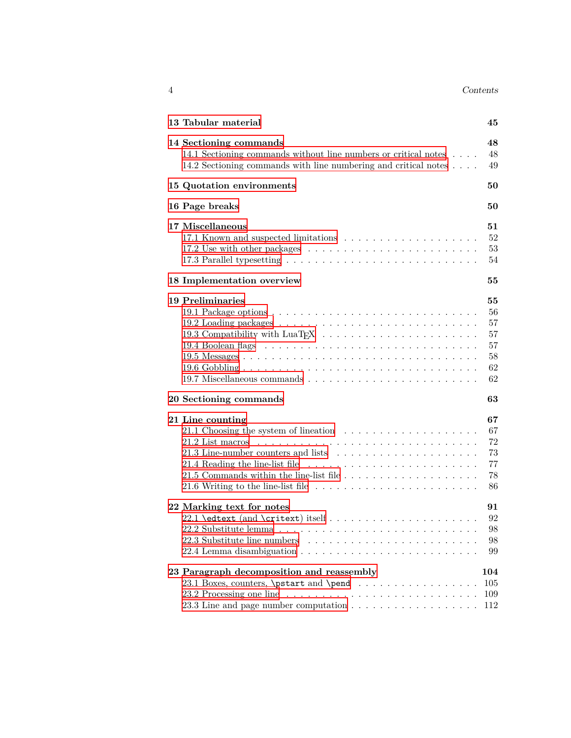| 4<br><b>+</b> |  | Contents |
|---------------|--|----------|
|               |  |          |

| 13 Tabular material                                                                                                                                                       | 45                                                                                           |
|---------------------------------------------------------------------------------------------------------------------------------------------------------------------------|----------------------------------------------------------------------------------------------|
| 14 Sectioning commands<br>14.1 Sectioning commands without line numbers or critical notes<br>14.2 Sectioning commands with line numbering and critical notes              | 48<br>48<br>49                                                                               |
| 15 Quotation environments                                                                                                                                                 | 50                                                                                           |
| 16 Page breaks                                                                                                                                                            | 50                                                                                           |
| 17 Miscellaneous                                                                                                                                                          | 51<br>52<br>53<br>54                                                                         |
| 18 Implementation overview                                                                                                                                                | 55                                                                                           |
| <b>19 Preliminaries</b><br>20 Sectioning commands<br>21 Line counting<br>21.1 Choosing the system of lineation $\ldots \ldots \ldots \ldots \ldots \ldots$                | 55<br>56<br>57<br>57<br>57<br>58<br>62<br>62<br>63<br>67<br>67<br>72<br>73<br>77<br>78<br>86 |
| 22 Marking text for notes                                                                                                                                                 | 91<br>92<br>98<br>98<br>99                                                                   |
| 23 Paragraph decomposition and reassembly<br>23.1 Boxes, counters, \pstart and \pend<br>23.3 Line and page number computation $\ldots \ldots \ldots \ldots \ldots \ldots$ | 104<br>105<br>109<br>112                                                                     |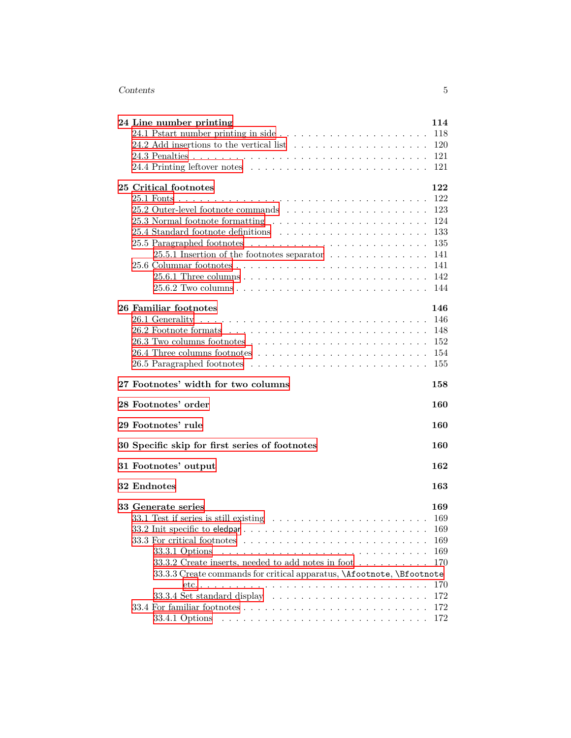| 24 Line number printing                                                                  | 114        |
|------------------------------------------------------------------------------------------|------------|
|                                                                                          | 118        |
|                                                                                          | 120        |
|                                                                                          | 121        |
|                                                                                          | 121        |
| 25 Critical footnotes                                                                    | 122        |
|                                                                                          | 122        |
|                                                                                          | 123        |
| 25.3 Normal footnote formatting                                                          | 124        |
|                                                                                          | 133        |
|                                                                                          | 135        |
| 25.5.1 Insertion of the footnotes separator $\dots \dots \dots \dots \dots$              | 141        |
|                                                                                          | 141        |
|                                                                                          | 142        |
|                                                                                          | 144        |
| 26 Familiar footnotes                                                                    | 146        |
|                                                                                          | 146        |
|                                                                                          | 148        |
|                                                                                          | 152        |
|                                                                                          | 154        |
|                                                                                          | 155        |
|                                                                                          |            |
| 27 Footnotes' width for two columns                                                      | 158        |
| 28 Footnotes' order                                                                      | 160        |
| 29 Footnotes' rule                                                                       | 160        |
| 30 Specific skip for first series of footnotes                                           | 160        |
| 31 Footnotes' output                                                                     | 162        |
| 32 Endnotes                                                                              | 163        |
| 33 Generate series                                                                       | 169        |
|                                                                                          | 169        |
| 33.1 Test if series is still existing $\ldots \ldots \ldots \ldots \ldots \ldots \ldots$ | 169        |
|                                                                                          | 169        |
| 33.3.1 Options                                                                           | 169        |
| 33.3.2 Create inserts, needed to add notes in foot $\ldots \ldots \ldots$                | 170        |
| 33.3.3 Create commands for critical apparatus, \Afootnote, \Bfootnote                    |            |
|                                                                                          | 170        |
| 33.3.4 Set standard display                                                              | 172        |
|                                                                                          | 172<br>172 |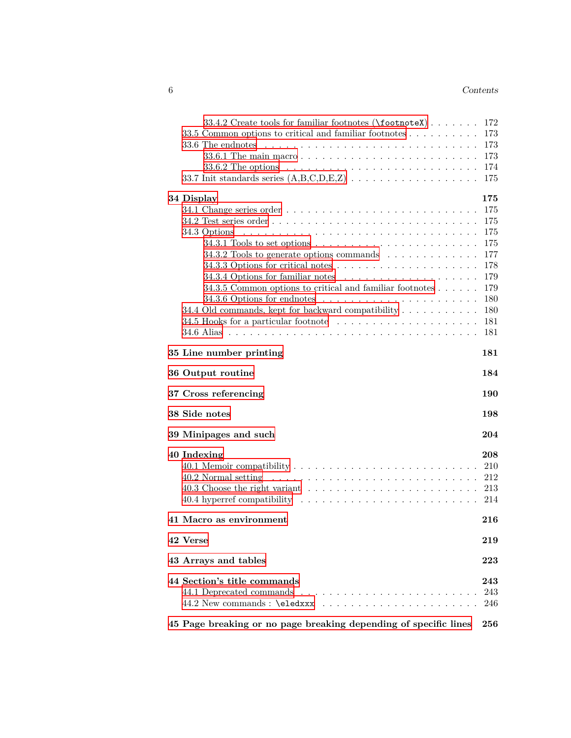| 33.4.2 Create tools for familiar footnotes (\footnoteX)                                                                                                                                                                        | 172 |
|--------------------------------------------------------------------------------------------------------------------------------------------------------------------------------------------------------------------------------|-----|
| 33.5 Common options to critical and familiar footnotes                                                                                                                                                                         | 173 |
|                                                                                                                                                                                                                                | 173 |
|                                                                                                                                                                                                                                | 173 |
|                                                                                                                                                                                                                                | 174 |
|                                                                                                                                                                                                                                | 175 |
|                                                                                                                                                                                                                                |     |
| 34 Display                                                                                                                                                                                                                     | 175 |
|                                                                                                                                                                                                                                | 175 |
|                                                                                                                                                                                                                                | 175 |
| 34.3 Options                                                                                                                                                                                                                   | 175 |
|                                                                                                                                                                                                                                | 175 |
| 34.3.2 Tools to generate options commands                                                                                                                                                                                      | 177 |
|                                                                                                                                                                                                                                | 178 |
|                                                                                                                                                                                                                                | 179 |
| 34.3.5 Common options to critical and familiar footnotes $\dots \dots$                                                                                                                                                         | 179 |
|                                                                                                                                                                                                                                | 180 |
| 34.4 Old commands, kept for backward compatibility                                                                                                                                                                             | 180 |
| 34.5 Hooks for a particular footnote                                                                                                                                                                                           | 181 |
|                                                                                                                                                                                                                                | 181 |
|                                                                                                                                                                                                                                |     |
| 35 Line number printing                                                                                                                                                                                                        | 181 |
| 36 Output routine                                                                                                                                                                                                              | 184 |
| 37 Cross referencing                                                                                                                                                                                                           | 190 |
| 38 Side notes                                                                                                                                                                                                                  | 198 |
|                                                                                                                                                                                                                                |     |
| 39 Minipages and such                                                                                                                                                                                                          | 204 |
| 40 Indexing                                                                                                                                                                                                                    | 208 |
|                                                                                                                                                                                                                                | 210 |
|                                                                                                                                                                                                                                | 212 |
|                                                                                                                                                                                                                                | 213 |
|                                                                                                                                                                                                                                | 214 |
|                                                                                                                                                                                                                                |     |
| 41 Macro as environment                                                                                                                                                                                                        | 216 |
| 42 Verse                                                                                                                                                                                                                       | 219 |
|                                                                                                                                                                                                                                | 223 |
| 43 Arrays and tables                                                                                                                                                                                                           |     |
| 44 Section's title commands                                                                                                                                                                                                    | 243 |
|                                                                                                                                                                                                                                | 243 |
| 44.2 New commands : \eledxxx \containments : \eledxxx \containments : \eledxxx \containments : \eleft(\) \elements : \eleft(\) \elements : \eleft(\) \elements : \eleft(\) \elements : \eleft(\) \elements : \eleft(\) \elemen | 246 |
| 45 Page breaking or no page breaking depending of specific lines                                                                                                                                                               | 256 |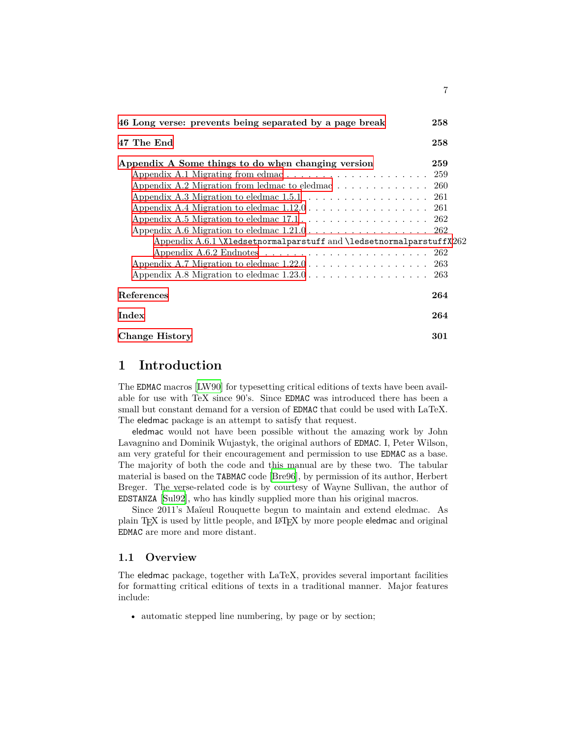| 46 Long verse: prevents being separated by a page break                                           | 258 |
|---------------------------------------------------------------------------------------------------|-----|
| 47 The End                                                                                        | 258 |
| Appendix A Some things to do when changing version                                                | 259 |
|                                                                                                   |     |
|                                                                                                   |     |
| Appendix A.3 Migration to eledmac $1.5.1 \ldots \ldots \ldots \ldots \ldots 261$                  |     |
| Appendix A.4 Migration to eledmac $1.12.0 \ldots \ldots \ldots \ldots \ldots \ldots 261$          |     |
|                                                                                                   |     |
| Appendix A.6 Migration to eledmac $1.21.0 \ldots \ldots \ldots \ldots \ldots 262$                 |     |
| Appendix A.6.1 \X1edsetnormalparstuff and \1edsetnormalparstuffX262                               |     |
| Appendix A.6.2 Endnotes $\dots \dots \dots \dots \dots \dots \dots \dots \dots \dots \dots \dots$ |     |
| Appendix A.7 Migration to eledmac $1.22.0 \ldots \ldots \ldots \ldots \ldots 263$                 |     |
| Appendix A.8 Migration to eledmac $1.23.0 \ldots \ldots \ldots \ldots \ldots \ldots 263$          |     |
| <b>References</b>                                                                                 | 264 |
| Index                                                                                             | 264 |
| Change History                                                                                    | 301 |

7

## <span id="page-6-0"></span>**1 Introduction**

The EDMAC macros [\[LW90\]](#page-263-2) for typesetting critical editions of texts have been available for use with TeX since 90's. Since EDMAC was introduced there has been a small but constant demand for a version of EDMAC that could be used with LaTeX. The eledmac package is an attempt to satisfy that request.

eledmac would not have been possible without the amazing work by John Lavagnino and Dominik Wujastyk, the original authors of EDMAC. I, Peter Wilson, am very grateful for their encouragement and permission to use EDMAC as a base. The majority of both the code and this manual are by these two. The tabular material is based on the TABMAC code [[Bre96](#page-263-3)], by permission of its author, Herbert Breger. The verse-related code is by courtesy of Wayne Sullivan, the author of EDSTANZA [[Sul92\]](#page-263-4), who has kindly supplied more than his original macros.

Since 2011's Maïeul Rouquette begun to maintain and extend eledmac. As plain TEX is used by little people, and LATEX by more people eledmac and original EDMAC are more and more distant.

## <span id="page-6-1"></span>**1.1 Overview**

The eledmac package, together with LaTeX, provides several important facilities for formatting critical editions of texts in a traditional manner. Major features include:

• automatic stepped line numbering, by page or by section;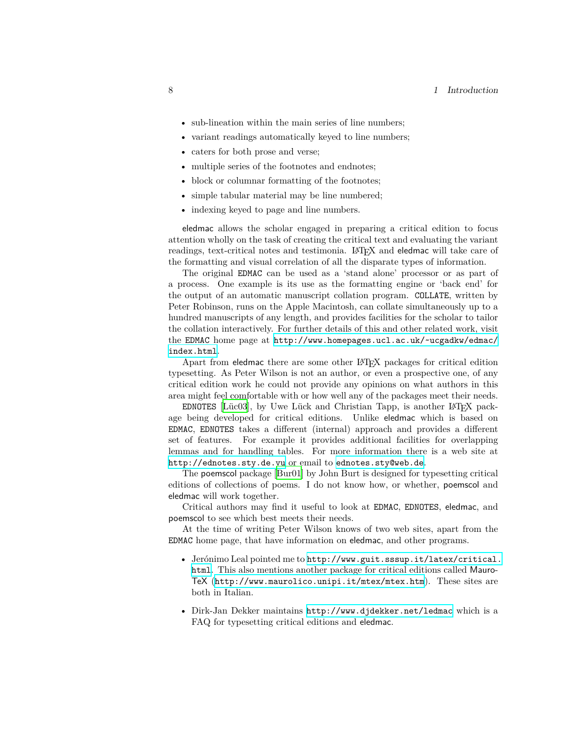- sub-lineation within the main series of line numbers;
- variant readings automatically keyed to line numbers;
- caters for both prose and verse;
- multiple series of the footnotes and endnotes;
- block or columnar formatting of the footnotes;
- simple tabular material may be line numbered;
- indexing keyed to page and line numbers.

eledmac allows the scholar engaged in preparing a critical edition to focus attention wholly on the task of creating the critical text and evaluating the variant readings, text-critical notes and testimonia. LATEX and eledmac will take care of the formatting and visual correlation of all the disparate types of information.

The original EDMAC can be used as a 'stand alone' processor or as part of a process. One example is its use as the formatting engine or 'back end' for the output of an automatic manuscript collation program. COLLATE, written by Peter Robinson, runs on the Apple Macintosh, can collate simultaneously up to a hundred manuscripts of any length, and provides facilities for the scholar to tailor the collation interactively. For further details of this and other related work, visit the EDMAC home page at [http://www.homepages.ucl.ac.uk/~ucgadkw/edmac/](http://www.homepages.ucl.ac.uk/~ucgadkw/edmac/index.html) [index.html](http://www.homepages.ucl.ac.uk/~ucgadkw/edmac/index.html).

Apart from eledmac there are some other LAT<sub>E</sub>X packages for critical edition typesetting. As Peter Wilson is not an author, or even a prospective one, of any critical edition work he could not provide any opinions on what authors in this area might feel comfortable with or how well any of the packages meet their needs.

EDNOTES [\[Lüc03](#page-263-5)], by Uwe Lück and Christian Tapp, is another  $LATEX$  package being developed for critical editions. Unlike eledmac which is based on EDMAC, EDNOTES takes a different (internal) approach and provides a different set of features. For example it provides additional facilities for overlapping lemmas and for handling tables. For more information there is a web site at <http://ednotes.sty.de.vu> or email to <ednotes.sty@web.de>.

The poemscol package [[Bur01](#page-263-6)] by John Burt is designed for typesetting critical editions of collections of poems. I do not know how, or whether, poemscol and eledmac will work together.

Critical authors may find it useful to look at EDMAC, EDNOTES, eledmac, and poemscol to see which best meets their needs.

At the time of writing Peter Wilson knows of two web sites, apart from the EDMAC home page, that have information on eledmac, and other programs.

- Jerónimo Leal pointed me to [http://www.guit.sssup.it/latex/critical.](http://www.guit.sssup.it/latex/critical.html) [html](http://www.guit.sssup.it/latex/critical.html). This also mentions another package for critical editions called Mauro-TeX (<http://www.maurolico.unipi.it/mtex/mtex.htm>). These sites are both in Italian.
- Dirk-Jan Dekker maintains <http://www.djdekker.net/ledmac> which is a FAQ for typesetting critical editions and eledmac.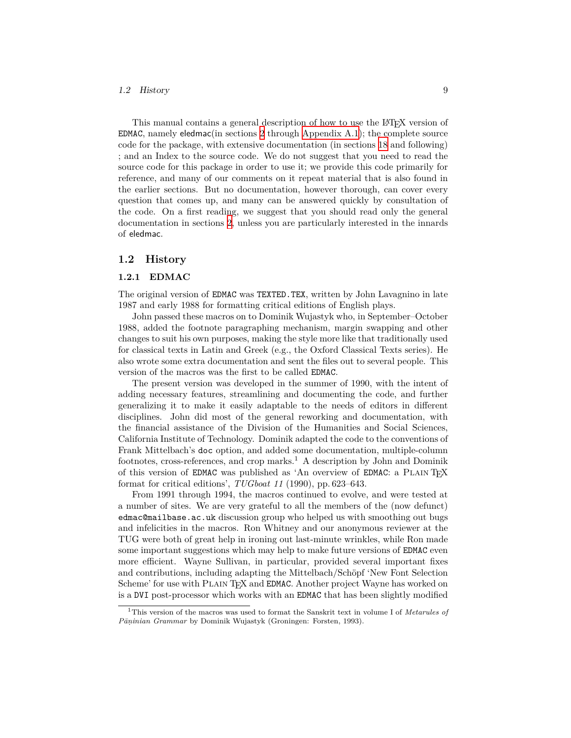## *1.2 History* 9

This manual contains a general description of how to use the LAT<sub>EX</sub> version of EDMAC, namely eledmac(in sections [2](#page-10-1) through [Appendix A.1\)](#page-258-1); the complete source code for the package, with extensive documentation (in sections [18](#page-54-0) and following) ; and an Index to the source code. We do not suggest that you need to read the source code for this package in order to use it; we provide this code primarily for reference, and many of our comments on it repeat material that is also found in the earlier sections. But no documentation, however thorough, can cover every question that comes up, and many can be answered quickly by consultation of the code. On a first reading, we suggest that you should read only the general documentation in sections [2,](#page-10-1) unless you are particularly interested in the innards of eledmac.

## <span id="page-8-0"></span>**1.2 History**

## <span id="page-8-1"></span>**1.2.1 EDMAC**

The original version of EDMAC was TEXTED.TEX, written by John Lavagnino in late 1987 and early 1988 for formatting critical editions of English plays.

John passed these macros on to Dominik Wujastyk who, in September–October 1988, added the footnote paragraphing mechanism, margin swapping and other changes to suit his own purposes, making the style more like that traditionally used for classical texts in Latin and Greek (e.g., the Oxford Classical Texts series). He also wrote some extra documentation and sent the files out to several people. This version of the macros was the first to be called EDMAC.

The present version was developed in the summer of 1990, with the intent of adding necessary features, streamlining and documenting the code, and further generalizing it to make it easily adaptable to the needs of editors in different disciplines. John did most of the general reworking and documentation, with the financial assistance of the Division of the Humanities and Social Sciences, California Institute of Technology. Dominik adapted the code to the conventions of Frank Mittelbach's doc option, and added some documentation, multiple-column footnotes, cross-references, and crop marks.<sup>1</sup> A description by John and Dominik of this version of EDMAC was published as 'An overview of EDMAC: a PLAIN T<sub>EX</sub> format for critical editions', *TUGboat 11* (1990), pp. 623–643.

From 1991 through 1994, the macros continued to evolve, and were tested at a number of sites. We are very grateful to all the members of the (now defunct) edmac@mailbase.ac.uk discussion group who helped us with smoothing out bugs and infelicities in the macros. Ron Whitney and our anonymous reviewer at the TUG were both of great help in ironing out last-minute wrinkles, while Ron made some important suggestions which may help to make future versions of EDMAC even more efficient. Wayne Sullivan, in particular, provided several important fixes and contributions, including adapting the Mittelbach/Schöpf 'New Font Selection Scheme' for use with PLAIN TEX and EDMAC. Another project Wayne has worked on is a DVI post-processor which works with an EDMAC that has been slightly modified

<sup>1</sup>This version of the macros was used to format the Sanskrit text in volume I of *Metarules of Pāṇinian Grammar* by Dominik Wujastyk (Groningen: Forsten, 1993).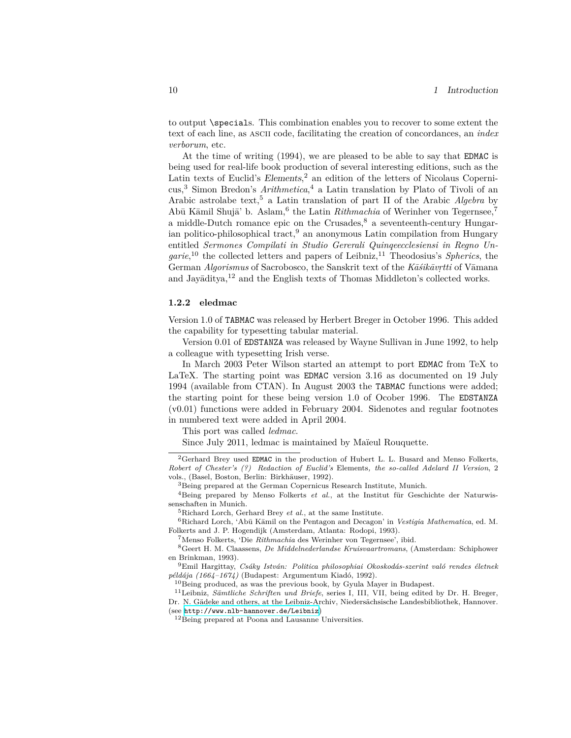to output \specials. This combination enables you to recover to some extent the text of each line, as ascii code, facilitating the creation of concordances, an *index verborum*, etc.

At the time of writing (1994), we are pleased to be able to say that EDMAC is being used for real-life book production of several interesting editions, such as the Latin texts of Euclid's *Elements*, <sup>2</sup> an edition of the letters of Nicolaus Copernicus,<sup>3</sup> Simon Bredon's *Arithmetica*, <sup>4</sup> a Latin translation by Plato of Tivoli of an Arabic astrolabe text,<sup>5</sup> a Latin translation of part II of the Arabic *Algebra* by Abū Kāmil Shujā' b. Aslam,<sup>6</sup> the Latin *Rithmachia* of Werinher von Tegernsee,<sup>7</sup> a middle-Dutch romance epic on the Crusades, ${}^{8}$  a seventeenth-century Hungarian politico-philosophical tract,  $9$  an anonymous Latin compilation from Hungary entitled *Sermones Compilati in Studio Gererali Quinqeecclesiensi in Regno Un*garie,<sup>10</sup> the collected letters and papers of Leibniz,<sup>11</sup> Theodosius's *Spherics*, the German *Algorismus* of Sacrobosco, the Sanskrit text of the *Kāśikāvṛtti* of Vāmana and Jayāditya,<sup>12</sup> and the English texts of Thomas Middleton's collected works.

## <span id="page-9-0"></span>**1.2.2 eledmac**

Version 1.0 of TABMAC was released by Herbert Breger in October 1996. This added the capability for typesetting tabular material.

Version 0.01 of EDSTANZA was released by Wayne Sullivan in June 1992, to help a colleague with typesetting Irish verse.

In March 2003 Peter Wilson started an attempt to port EDMAC from TeX to LaTeX. The starting point was EDMAC version 3.16 as documented on 19 July 1994 (available from CTAN). In August 2003 the TABMAC functions were added; the starting point for these being version 1.0 of Ocober 1996. The EDSTANZA (v0.01) functions were added in February 2004. Sidenotes and regular footnotes in numbered text were added in April 2004.

This port was called *ledmac*.

Since July 2011, ledmac is maintained by Maïeul Rouquette.

 ${}^{2}$ Gerhard Brey used EDMAC in the production of Hubert L. L. Busard and Menso Folkerts, *Robert of Chester's (?) Redaction of Euclid's* Elements*, the so-called Adelard II Version*, 2 vols., (Basel, Boston, Berlin: Birkhäuser, 1992).

<sup>3</sup>Being prepared at the German Copernicus Research Institute, Munich.

<sup>&</sup>lt;sup>4</sup>Being prepared by Menso Folkerts *et al.*, at the Institut für Geschichte der Naturwissenschaften in Munich.

<sup>5</sup>Richard Lorch, Gerhard Brey *et al.*, at the same Institute.

<sup>6</sup>Richard Lorch, 'Abū Kāmil on the Pentagon and Decagon' in *Vestigia Mathematica*, ed. M. Folkerts and J. P. Hogendijk (Amsterdam, Atlanta: Rodopi, 1993).

<sup>7</sup>Menso Folkerts, 'Die *Rithmachia* des Werinher von Tegernsee', ibid.

<sup>8</sup>Geert H. M. Claassens, *De Middelnederlandse Kruisvaartromans*, (Amsterdam: Schiphower en Brinkman, 1993).

<sup>9</sup>Emil Hargittay, *Csáky István: Politica philosophiai Okoskodás-szerint való rendes életnek példája (1664–1674)* (Budapest: Argumentum Kiadó, 1992).

 $^{10}\mathrm{Being}$  produced, as was the previous book, by Gyula Mayer in Budapest.

<sup>11</sup>Leibniz, *Sämtliche Schriften und Briefe*, series I, III, VII, being edited by Dr. H. Breger, Dr. N. Gädeke and others, at the Leibniz-Archiv, Niedersächsische Landesbibliothek, Hannover. (see <http://www.nlb-hannover.de/Leibniz>)

<sup>12</sup>Being prepared at Poona and Lausanne Universities.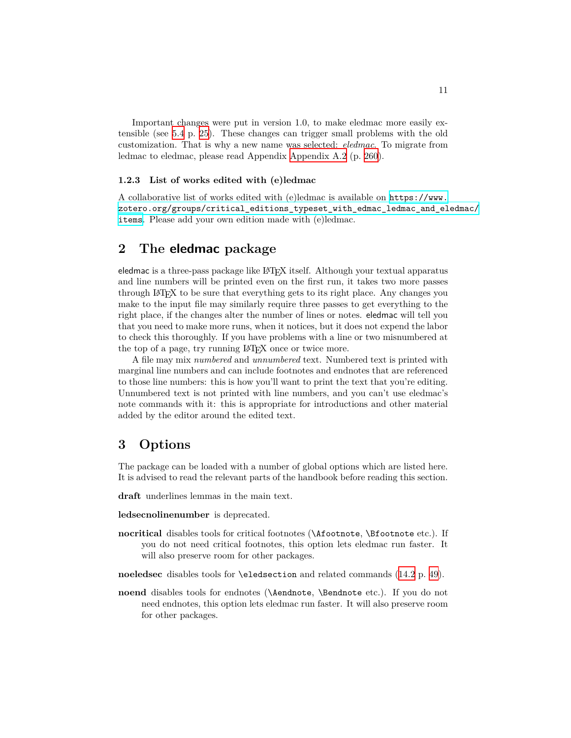Important changes were put in version 1.0, to make eledmac more easily extensible (see [5.4](#page-24-1) p. [25\)](#page-24-1). These changes can trigger small problems with the old customization. That is why a new name was selected: *eledmac*. To migrate from ledmac to eledmac, please read Appendix [Appendix A.2](#page-259-0) (p. [260\)](#page-259-0).

## <span id="page-10-0"></span>**1.2.3 List of works edited with (e)ledmac**

A collaborative list of works edited with (e)ledmac is available on [https://www.](https://www.zotero.org/groups/critical_editions_typeset_with_edmac_ledmac_and_eledmac/items) [zotero.org/groups/critical\\_editions\\_typeset\\_with\\_edmac\\_ledmac\\_and\\_eledmac/](https://www.zotero.org/groups/critical_editions_typeset_with_edmac_ledmac_and_eledmac/items) [items](https://www.zotero.org/groups/critical_editions_typeset_with_edmac_ledmac_and_eledmac/items). Please add your own edition made with (e)ledmac.

## <span id="page-10-1"></span>**2 The eledmac package**

eledmac is a three-pass package like LATEX itself. Although your textual apparatus and line numbers will be printed even on the first run, it takes two more passes through LATEX to be sure that everything gets to its right place. Any changes you make to the input file may similarly require three passes to get everything to the right place, if the changes alter the number of lines or notes. eledmac will tell you that you need to make more runs, when it notices, but it does not expend the labor to check this thoroughly. If you have problems with a line or two misnumbered at the top of a page, try running LAT<sub>EX</sub> once or twice more.

A file may mix *numbered* and *unnumbered* text. Numbered text is printed with marginal line numbers and can include footnotes and endnotes that are referenced to those line numbers: this is how you'll want to print the text that you're editing. Unnumbered text is not printed with line numbers, and you can't use eledmac's note commands with it: this is appropriate for introductions and other material added by the editor around the edited text.

## <span id="page-10-2"></span>**3 Options**

The package can be loaded with a number of global options which are listed here. It is advised to read the relevant parts of the handbook before reading this section.

**draft** underlines lemmas in the main text.

**ledsecnolinenumber** is deprecated.

**nocritical** disables tools for critical footnotes (\Afootnote, \Bfootnote etc.). If you do not need critical footnotes, this option lets eledmac run faster. It will also preserve room for other packages.

**noeledsec** disables tools for \eledsection and related commands ([14.2](#page-48-0) p. [49](#page-48-0)).

**noend** disables tools for endnotes (**\Aendnote**, **\Bendnote** etc.). If you do not need endnotes, this option lets eledmac run faster. It will also preserve room for other packages.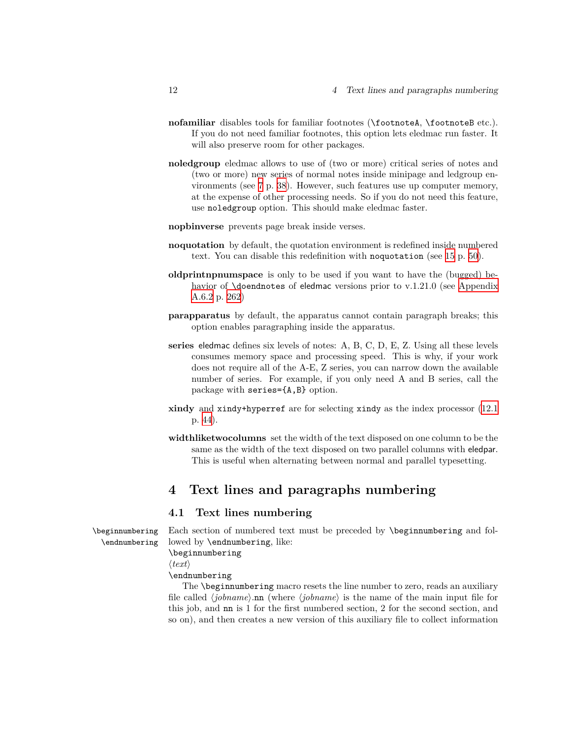- **nofamiliar** disables tools for familiar footnotes (\footnoteA, \footnoteB etc.). If you do not need familiar footnotes, this option lets eledmac run faster. It will also preserve room for other packages.
- **noledgroup** eledmac allows to use of (two or more) critical series of notes and (two or more) new series of normal notes inside minipage and ledgroup environments (see [7](#page-37-1) p. [38](#page-37-1)). However, such features use up computer memory, at the expense of other processing needs. So if you do not need this feature, use noledgroup option. This should make eledmac faster.
- **nopbinverse** prevents page break inside verses.
- **noquotation** by default, the quotation environment is redefined inside numbered text. You can disable this redefinition with noquotation (see [15](#page-49-0) p. [50\)](#page-49-0).
- **oldprintnpnumspace** is only to be used if you want to have the (bugged) behavior of **\doendnotes** of eledmac versions prior to v.1.21.0 (see [Appendix](#page-261-3) [A.6.2](#page-261-3) p. [262](#page-261-3))
- **parapparatus** by default, the apparatus cannot contain paragraph breaks; this option enables paragraphing inside the apparatus.
- **series** eledmac defines six levels of notes: A, B, C, D, E, Z. Using all these levels consumes memory space and processing speed. This is why, if your work does not require all of the A-E, Z series, you can narrow down the available number of series. For example, if you only need A and B series, call the package with series={A,B} option.
- **xindy** and xindy+hyperref are for selecting xindy as the index processor ([12.1](#page-43-0) p. [44](#page-43-0)).
- **widthliketwocolumns** set the width of the text disposed on one column to be the same as the width of the text disposed on two parallel columns with eledpar. This is useful when alternating between normal and parallel typesetting.

## <span id="page-11-0"></span>**4 Text lines and paragraphs numbering**

## <span id="page-11-1"></span>**4.1 Text lines numbering**

\beginnumbering Each section of numbered text must be preceded by \beginnumbering and fol- \endnumbering lowed by \endnumbering, like:

\beginnumbering

*⟨text⟩*

\endnumbering

The \beginnumbering macro resets the line number to zero, reads an auxiliary file called *⟨jobname⟩*.nn (where *⟨jobname⟩* is the name of the main input file for this job, and nn is 1 for the first numbered section, 2 for the second section, and so on), and then creates a new version of this auxiliary file to collect information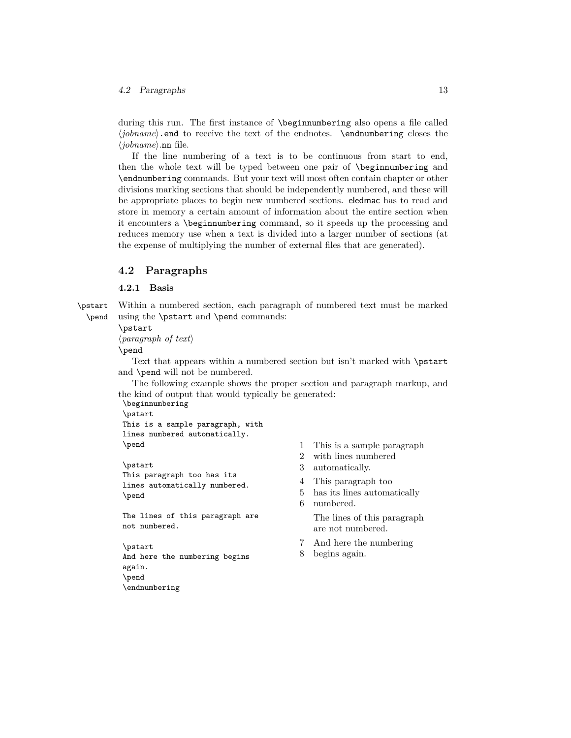### *4.2 Paragraphs* 13

during this run. The first instance of \beginnumbering also opens a file called *⟨jobname⟩*.end to receive the text of the endnotes. \endnumbering closes the *⟨jobname⟩*.nn file.

If the line numbering of a text is to be continuous from start to end, then the whole text will be typed between one pair of \beginnumbering and \endnumbering commands. But your text will most often contain chapter or other divisions marking sections that should be independently numbered, and these will be appropriate places to begin new numbered sections. eledmac has to read and store in memory a certain amount of information about the entire section when it encounters a \beginnumbering command, so it speeds up the processing and reduces memory use when a text is divided into a larger number of sections (at the expense of multiplying the number of external files that are generated).

## <span id="page-12-0"></span>**4.2 Paragraphs**

## <span id="page-12-1"></span>**4.2.1 Basis**

\pstart Within a numbered section, each paragraph of numbered text must be marked \pend using the \pstart and \pend commands:

\pstart

*⟨paragraph of text⟩*

\pend

Text that appears within a numbered section but isn't marked with \pstart and \pend will not be numbered.

The following example shows the proper section and paragraph markup, and the kind of output that would typically be generated:

\beginnumbering \pstart This is a sample paragraph, with lines numbered automatically. \pend

\pstart This paragraph too has its lines automatically numbered. \pend

The lines of this paragraph are not numbered.

\pstart And here the numbering begins again. \pend \endnumbering

- 1 This is a sample paragraph
- 2 with lines numbered
- 3 automatically.
- 4 This paragraph too
- 5 has its lines automatically 6 numbered.

The lines of this paragraph are not numbered.

- 7 And here the numbering
- 8 begins again.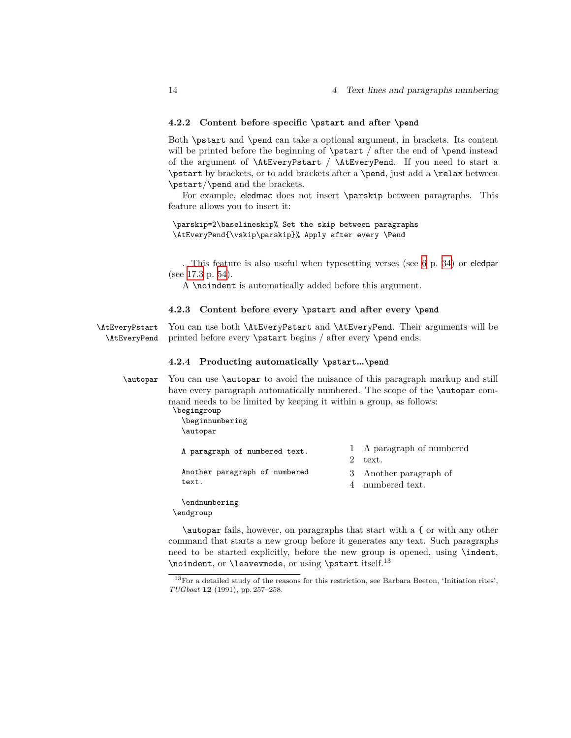## <span id="page-13-0"></span>**4.2.2 Content before specific \pstart and after \pend**

Both \pstart and \pend can take a optional argument, in brackets. Its content will be printed before the beginning of **\pstart** / after the end of **\pend** instead of the argument of \AtEveryPstart / \AtEveryPend. If you need to start a \pstart by brackets, or to add brackets after a \pend, just add a \relax between \pstart/\pend and the brackets.

For example, eledmac does not insert \parskip between paragraphs. This feature allows you to insert it:

\parskip=2\baselineskip% Set the skip between paragraphs \AtEveryPend{\vskip\parskip}% Apply after every \Pend

. This feature is also useful when typesetting verses (see [6](#page-33-4) p. [34](#page-33-4)) or eledpar (see [17.3](#page-53-0) p. [54](#page-53-0)).

A \noindent is automatically added before this argument.

## <span id="page-13-1"></span>**4.2.3 Content before every \pstart and after every \pend**

\AtEveryPstart You can use both \AtEveryPstart and \AtEveryPend. Their arguments will be \AtEveryPend printed before every \pstart begins / after every \pend ends.

## <span id="page-13-2"></span>**4.2.4 Producting automatically \pstart…\pend**

\autopar You can use \autopar to avoid the nuisance of this paragraph markup and still have every paragraph automatically numbered. The scope of the **\autopar** command needs to be limited by keeping it within a group, as follows:

\begingroup \beginnumbering \autopar

> A paragraph of numbered text. Another paragraph of numbered text. 1 A paragraph of numbered 2 text. 3 Another paragraph of 4 numbered text.

\endnumbering \endgroup

\autopar fails, however, on paragraphs that start with a { or with any other command that starts a new group before it generates any text. Such paragraphs need to be started explicitly, before the new group is opened, using \indent,  $\infty$ , or  $\leq$   $\infty$ , or using  $\partial$ .

<sup>13</sup>For a detailed study of the reasons for this restriction, see Barbara Beeton, 'Initiation rites', *TUGboat* **12** (1991), pp. 257–258.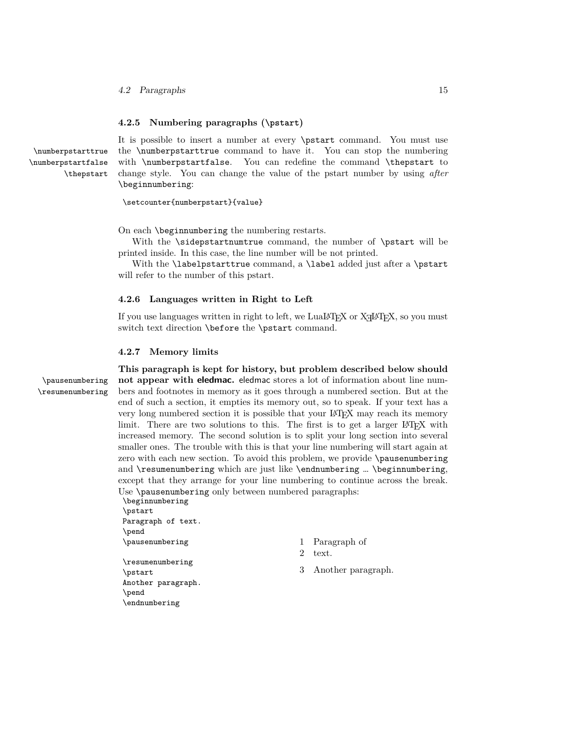## <span id="page-14-0"></span>**4.2.5 Numbering paragraphs (\pstart)**

It is possible to insert a number at every \pstart command. You must use \numberpstarttrue the \numberpstarttrue command to have it. You can stop the numbering \numberpstartfalse with \numberpstartfalse. You can redefine the command \thepstart to \thepstart change style. You can change the value of the pstart number by using *after* \beginnumbering:

\setcounter{numberpstart}{value}

On each \beginnumbering the numbering restarts.

With the \sidepstartnumtrue command, the number of \pstart will be printed inside. In this case, the line number will be not printed.

With the **\labelpstarttrue** command, a **\label** added just after a **\pstart** will refer to the number of this pstart.

#### <span id="page-14-1"></span>**4.2.6 Languages written in Right to Left**

If you use languages written in right to left, we LuaLAT<sub>EX</sub> or X<sub>T</sub>IAT<sub>EX</sub>, so you must switch text direction \before the \pstart command.

## <span id="page-14-2"></span>**4.2.7 Memory limits**

**This paragraph is kept for history, but problem described below should** \pausenumbering **not appear with eledmac.** eledmac stores a lot of information about line num- \resumenumbering bers and footnotes in memory as it goes through a numbered section. But at the end of such a section, it empties its memory out, so to speak. If your text has a very long numbered section it is possible that your LATEX may reach its memory limit. There are two solutions to this. The first is to get a larger LAT<sub>EX</sub> with increased memory. The second solution is to split your long section into several smaller ones. The trouble with this is that your line numbering will start again at zero with each new section. To avoid this problem, we provide \pausenumbering and  $\text{resumenumbering which are just like \end{min}$  .  $\begin{bmatrix} 0 & 1 \\ 0 & 0 \end{bmatrix}$ except that they arrange for your line numbering to continue across the break. Use \pausenumbering only between numbered paragraphs:

\beginnumbering \pstart Paragraph of text. \pend \pausenumbering

\resumenumbering \pstart Another paragraph. \pend \endnumbering

- 1 Paragraph of
- 2 text.
- 3 Another paragraph.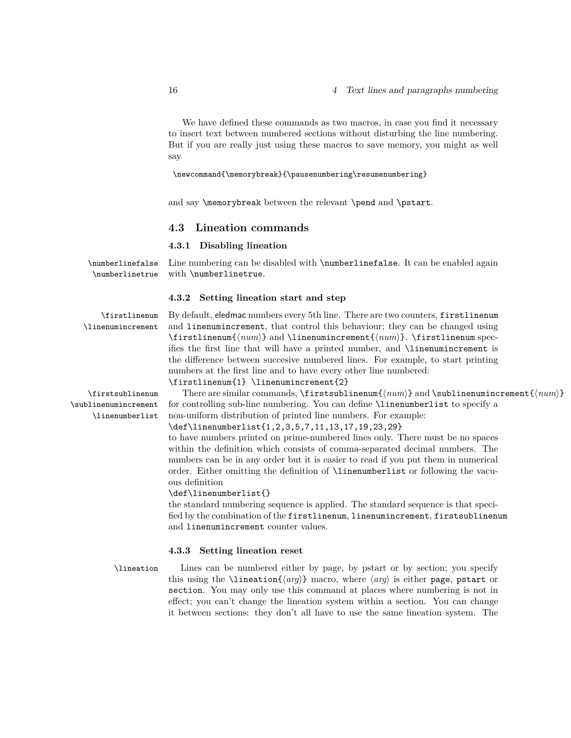We have defined these commands as two macros, in case you find it necessary to insert text between numbered sections without disturbing the line numbering. But if you are really just using these macros to save memory, you might as well say

#### \newcommand{\memorybreak}{\pausenumbering\resumenumbering}

and say **\memorybreak** between the relevant **\pend** and **\pstart**.

## <span id="page-15-0"></span>**4.3 Lineation commands**

## <span id="page-15-1"></span>**4.3.1 Disabling lineation**

\numberlinefalse Line numbering can be disabled with \numberlinefalse. It can be enabled again \numberlinetrue with \numberlinetrue.

## <span id="page-15-2"></span>**4.3.2 Setting lineation start and step**

\firstlinenum By default, eledmac numbers every 5th line. There are two counters, firstlinenum \linenumincrement and linenumincrement, that control this behaviour; they can be changed using \firstlinenum{*⟨num⟩*} and \linenumincrement{*⟨num⟩*}. \firstlinenum specifies the first line that will have a printed number, and \linenumincrement is the difference between succesive numbered lines. For example, to start printing numbers at the first line and to have every other line numbered: \firstlinenum{1} \linenumincrement{2}

\firstsublinenum There are similar commands, \firstsublinenum{*⟨num⟩*} and \sublinenumincrement{*⟨num⟩*} \sublinenumincrement for controlling sub-line numbering. You can define \linenumberlist to specify a \linenumberlist non-uniform distribution of printed line numbers. For example:

> \def\linenumberlist{1,2,3,5,7,11,13,17,19,23,29} to have numbers printed on prime-numbered lines only. There must be no spaces within the definition which consists of comma-separated decimal numbers. The numbers can be in any order but it is easier to read if you put them in numerical

> order. Either omitting the definition of \linenumberlist or following the vacuous definition

### \def\linenumberlist{}

the standard numbering sequence is applied. The standard sequence is that specified by the combination of the firstlinenum, linenumincrement, firstsublinenum and linenumincrement counter values.

### <span id="page-15-3"></span>**4.3.3 Setting lineation reset**

\lineation Lines can be numbered either by page, by pstart or by section; you specify this using the \lineation{*⟨arg⟩*} macro, where *⟨arg⟩* is either page, pstart or section. You may only use this command at places where numbering is not in effect; you can't change the lineation system within a section. You can change it between sections: they don't all have to use the same lineation system. The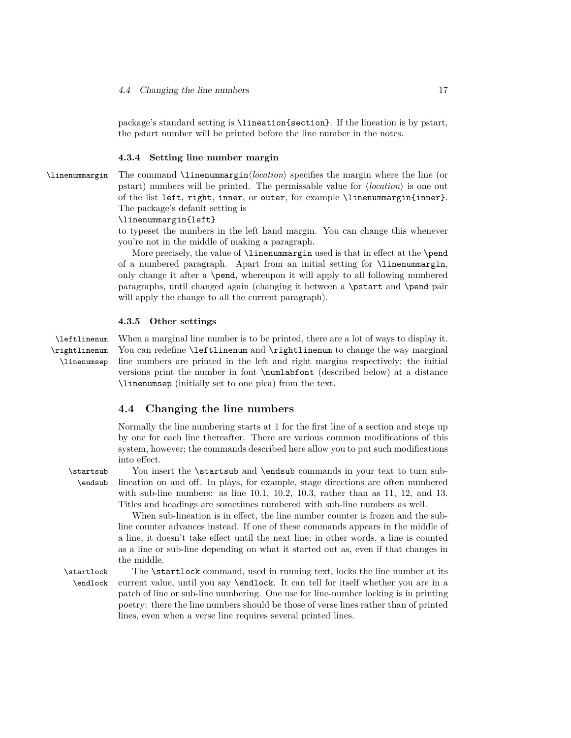package's standard setting is \lineation{section}. If the lineation is by pstart, the pstart number will be printed before the line number in the notes.

## <span id="page-16-0"></span>**4.3.4 Setting line number margin**

\linenummargin The command \linenummargin*⟨location⟩* specifies the margin where the line (or pstart) numbers will be printed. The permissable value for *⟨location⟩* is one out of the list left, right, inner, or outer, for example \linenummargin{inner}. The package's default setting is

### \linenummargin{left}

to typeset the numbers in the left hand margin. You can change this whenever you're not in the middle of making a paragraph.

More precisely, the value of \linenummargin used is that in effect at the \pend of a numbered paragraph. Apart from an initial setting for \linenummargin, only change it after a \pend, whereupon it will apply to all following numbered paragraphs, until changed again (changing it between a \pstart and \pend pair will apply the change to all the current paragraph).

## <span id="page-16-1"></span>**4.3.5 Other settings**

\rightlinenum \linenumsep

\leftlinenum When a marginal line number is to be printed, there are a lot of ways to display it. You can redefine \leftlinenum and \rightlinenum to change the way marginal line numbers are printed in the left and right margins respectively; the initial versions print the number in font \numlabfont (described below) at a distance \linenumsep (initially set to one pica) from the text.

## <span id="page-16-2"></span>**4.4 Changing the line numbers**

Normally the line numbering starts at 1 for the first line of a section and steps up by one for each line thereafter. There are various common modifications of this system, however; the commands described here allow you to put such modifications into effect.

\startsub You insert the \startsub and \endsub commands in your text to turn sub- \endsub lineation on and off. In plays, for example, stage directions are often numbered with sub-line numbers: as line 10*.*1, 10*.*2, 10*.*3, rather than as 11, 12, and 13. Titles and headings are sometimes numbered with sub-line numbers as well.

> When sub-lineation is in effect, the line number counter is frozen and the subline counter advances instead. If one of these commands appears in the middle of a line, it doesn't take effect until the next line; in other words, a line is counted as a line or sub-line depending on what it started out as, even if that changes in the middle.

\startlock The \startlock command, used in running text, locks the line number at its \endlock current value, until you say \endlock. It can tell for itself whether you are in a patch of line or sub-line numbering. One use for line-number locking is in printing poetry: there the line numbers should be those of verse lines rather than of printed lines, even when a verse line requires several printed lines.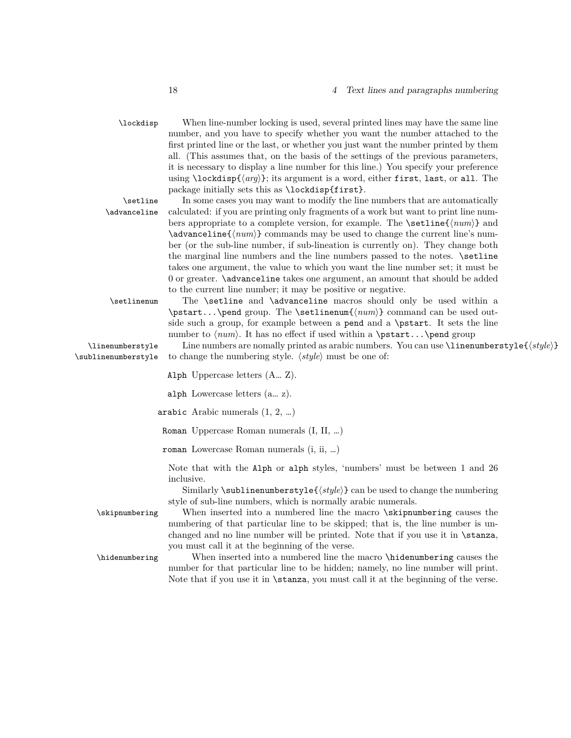## 18 *4 Text lines and paragraphs numbering*

\lockdisp When line-number locking is used, several printed lines may have the same line number, and you have to specify whether you want the number attached to the first printed line or the last, or whether you just want the number printed by them all. (This assumes that, on the basis of the settings of the previous parameters, it is necessary to display a line number for this line.) You specify your preference using \lockdisp{*⟨arg⟩*}; its argument is a word, either first, last, or all. The package initially sets this as \lockdisp{first}. \setline In some cases you may want to modify the line numbers that are automatically \advanceline calculated: if you are printing only fragments of a work but want to print line numbers appropriate to a complete version, for example. The \setline{*⟨num⟩*} and \advanceline{*⟨num⟩*} commands may be used to change the current line's number (or the sub-line number, if sub-lineation is currently on). They change both

the marginal line numbers and the line numbers passed to the notes. \setline takes one argument, the value to which you want the line number set; it must be 0 or greater. \advanceline takes one argument, an amount that should be added to the current line number; it may be positive or negative.

\setlinenum The \setline and \advanceline macros should only be used within a \pstart...\pend group. The \setlinenum{*⟨num⟩*} command can be used outside such a group, for example between a pend and a \pstart. It sets the line number to  $\langle num \rangle$ . It has no effect if used within a \pstart...\pend group

\linenumberstyle Line numbers are nomally printed as arabic numbers. You can use \linenumberstyle{*⟨style⟩*} \sublinenumberstyle to change the numbering style. *⟨style⟩* must be one of:

Alph Uppercase letters (A… Z).

alph Lowercase letters (a… z).

arabic Arabic numerals (1, 2, …)

Roman Uppercase Roman numerals (I, II, …)

roman Lowercase Roman numerals (i, ii, …)

Note that with the Alph or alph styles, 'numbers' must be between 1 and 26 inclusive.

Similarly \sublinenumberstyle{*⟨style⟩*} can be used to change the numbering style of sub-line numbers, which is normally arabic numerals.

\skipnumbering When inserted into a numbered line the macro \skipnumbering causes the numbering of that particular line to be skipped; that is, the line number is unchanged and no line number will be printed. Note that if you use it in \stanza, you must call it at the beginning of the verse.

\hidenumbering When inserted into a numbered line the macro \hidenumbering causes the number for that particular line to be hidden; namely, no line number will print. Note that if you use it in \stanza, you must call it at the beginning of the verse.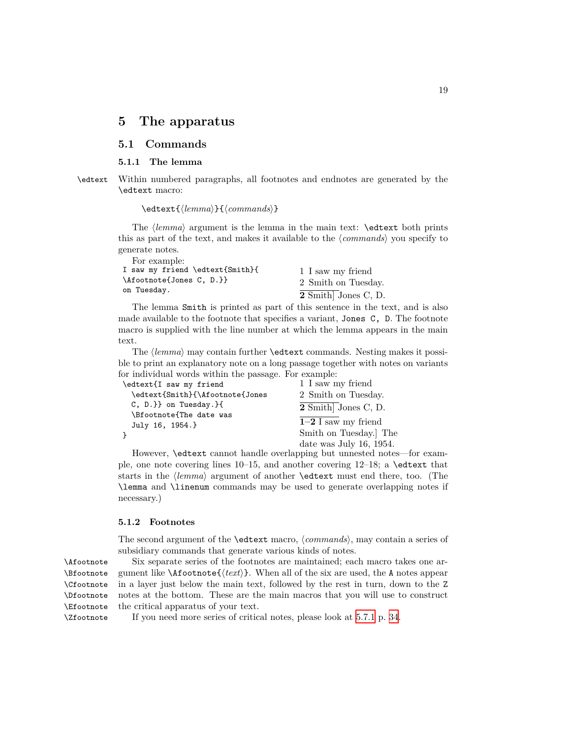## <span id="page-18-0"></span>**5 The apparatus**

## <span id="page-18-1"></span>**5.1 Commands**

### <span id="page-18-2"></span>**5.1.1 The lemma**

\edtext Within numbered paragraphs, all footnotes and endnotes are generated by the \edtext macro:

\edtext{*⟨lemma⟩*}{*⟨commands⟩*}

The *⟨lemma⟩* argument is the lemma in the main text: \edtext both prints this as part of the text, and makes it available to the *⟨commands⟩* you specify to generate notes. For example:

| тог ехашре.<br>I saw my friend \edtext{Smith}{<br>\Afootnote{Jones C, D.}} | 1 I saw my friend<br>2 Smith on Tuesday. |
|----------------------------------------------------------------------------|------------------------------------------|
| on Tuesday.                                                                | 2 Smith Jones C, D.                      |

The lemma Smith is printed as part of this sentence in the text, and is also made available to the footnote that specifies a variant, Jones C, D. The footnote macro is supplied with the line number at which the lemma appears in the main text.

The *⟨lemma⟩* may contain further \edtext commands. Nesting makes it possible to print an explanatory note on a long passage together with notes on variants for individual words within the passage. For example:

| \edtext{I saw my friend                    | 1 I saw my friend       |
|--------------------------------------------|-------------------------|
| \edtext{Smith}{\Afootnote{Jones            | 2 Smith on Tuesday.     |
| $C, D.$ on Tuesday. $\{$                   | 2 Smith Jones C, D.     |
| \Bfootnote{The date was<br>July 16, 1954.} | $1-2$ I saw my friend   |
|                                            | Smith on Tuesday. The   |
|                                            | date was July 16, 1954. |

However, \edtext cannot handle overlapping but unnested notes—for example, one note covering lines 10–15, and another covering  $12-18$ ; a \edtext that starts in the *⟨lemma⟩* argument of another \edtext must end there, too. (The \lemma and \linenum commands may be used to generate overlapping notes if necessary.)

## <span id="page-18-3"></span>**5.1.2 Footnotes**

The second argument of the \edtext macro, *⟨commands⟩*, may contain a series of subsidiary commands that generate various kinds of notes.

\Bfootnote \Cfootnote \Dfootnote \Efootnote \Zfootnote

\Afootnote Six separate series of the footnotes are maintained; each macro takes one ar gument like \Afootnote{*⟨text⟩*}. When all of the six are used, the A notes appear in a layer just below the main text, followed by the rest in turn, down to the Z notes at the bottom. These are the main macros that you will use to construct the critical apparatus of your text.

If you need more series of critical notes, please look at [5.7.1](#page-33-1) p. [34](#page-33-1).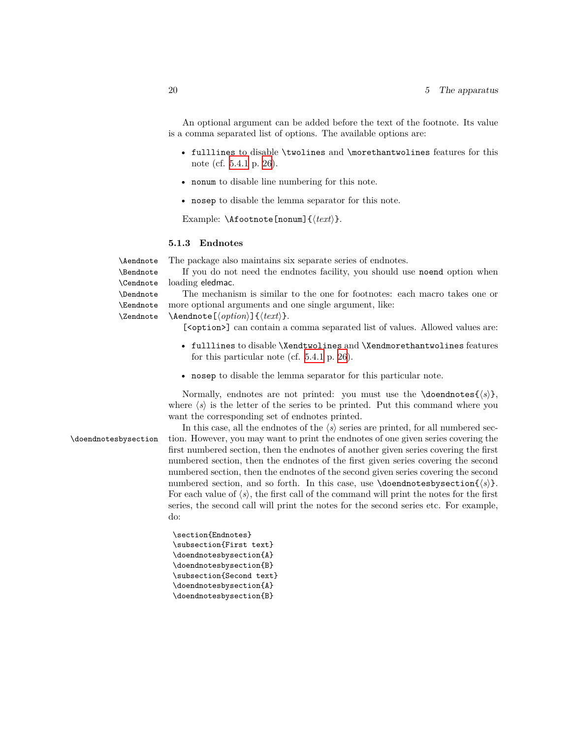An optional argument can be added before the text of the footnote. Its value is a comma separated list of options. The available options are:

- fulllines to disable \twolines and \morethantwolines features for this note (cf. [5.4.1](#page-24-2) p. [26\)](#page-24-2).
- nonum to disable line numbering for this note.
- nosep to disable the lemma separator for this note.

Example: \Afootnote[nonum]{*⟨text⟩*}.

## <span id="page-19-0"></span>**5.1.3 Endnotes**

\Aendnote The package also maintains six separate series of endnotes.

\Bendnote \Cendnote If you do not need the endnotes facility, you should use noend option when loading eledmac.

The mechanism is similar to the one for footnotes: each macro takes one or more optional arguments and one single argument, like:

\Aendnote[*⟨option⟩*]{*⟨text⟩*}.

[<option>] can contain a comma separated list of values. Allowed values are:

- fulllines to disable \Xendtwolines and \Xendmorethantwolines features for this particular note (cf. [5.4.1](#page-24-2) p. [26](#page-24-2)).
- nosep to disable the lemma separator for this particular note.

Normally, endnotes are not printed: you must use the  $\do{osh{s}}$ , where  $\langle s \rangle$  is the letter of the series to be printed. Put this command where you want the corresponding set of endnotes printed.

\Dendnote \Eendnote \Zendnote

In this case, all the endnotes of the  $\langle s \rangle$  series are printed, for all numbered sec-\doendnotesbysection tion. However, you may want to print the endnotes of one given series covering the first numbered section, then the endnotes of another given series covering the first numbered section, then the endnotes of the first given series covering the second numbered section, then the endnotes of the second given series covering the second numbered section, and so forth. In this case, use \doendnotesbysection{*⟨s⟩*}. For each value of  $\langle s \rangle$ , the first call of the command will print the notes for the first series, the second call will print the notes for the second series etc. For example, do:

> \section{Endnotes} \subsection{First text} \doendnotesbysection{A} \doendnotesbysection{B} \subsection{Second text} \doendnotesbysection{A} \doendnotesbysection{B}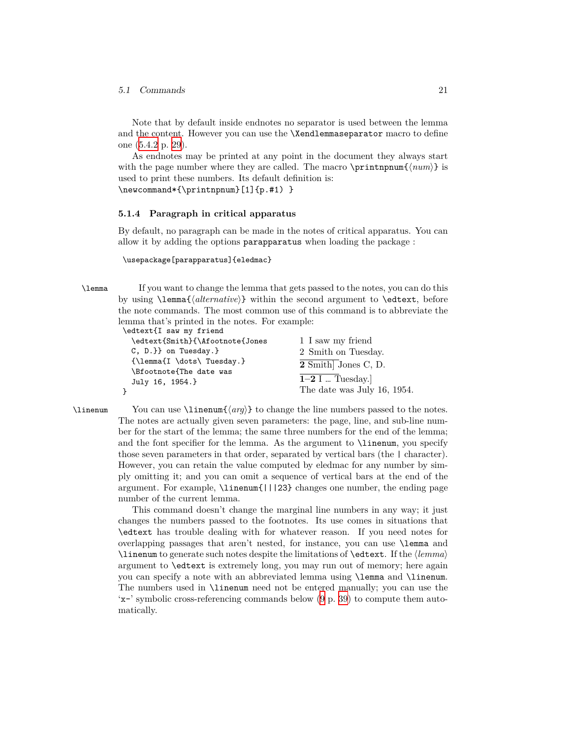## *5.1 Commands* 21

Note that by default inside endnotes no separator is used between the lemma and the content. However you can use the \Xendlemmaseparator macro to define one ([5.4.2](#page-28-2) p. [29](#page-28-2)).

As endnotes may be printed at any point in the document they always start with the page number where they are called. The macro  $\prime\prime\$  (*num)* is used to print these numbers. Its default definition is:

\newcommand\*{\printnpnum}[1]{p.#1) }

## <span id="page-20-0"></span>**5.1.4 Paragraph in critical apparatus**

By default, no paragraph can be made in the notes of critical apparatus. You can allow it by adding the options parapparatus when loading the package :

\usepackage[parapparatus]{eledmac}

\lemma If you want to change the lemma that gets passed to the notes, you can do this by using \lemma{*⟨alternative⟩*} within the second argument to \edtext, before the note commands. The most common use of this command is to abbreviate the lemma that's printed in the notes. For example: \edtext{I saw my friend

| \edtext{Smith}{\Afootnote{Jones                                                                                                                                                                                                                                                                                                                                                                                                                                                                                          | 1 I saw my friend           |
|--------------------------------------------------------------------------------------------------------------------------------------------------------------------------------------------------------------------------------------------------------------------------------------------------------------------------------------------------------------------------------------------------------------------------------------------------------------------------------------------------------------------------|-----------------------------|
| $C, D.$ } on Tuesday. $}$                                                                                                                                                                                                                                                                                                                                                                                                                                                                                                | 2 Smith on Tuesday.         |
| $\{\lambda f \cdot \text{T} \cdot \text{T} \cdot \text{T} \cdot \text{S} \cdot \text{S} \cdot \text{S} \cdot \text{S} \cdot \text{S} \cdot \text{S} \cdot \text{S} \cdot \text{S} \cdot \text{S} \cdot \text{S} \cdot \text{S} \cdot \text{S} \cdot \text{S} \cdot \text{S} \cdot \text{S} \cdot \text{S} \cdot \text{S} \cdot \text{S} \cdot \text{S} \cdot \text{S} \cdot \text{S} \cdot \text{S} \cdot \text{S} \cdot \text{S} \cdot \text{S} \cdot \text{S} \cdot \text{S} \cdot \text{S$<br>\Bfootnote{The date was | 2 Smith Jones C, D.         |
| July 16, 1954.}                                                                                                                                                                                                                                                                                                                                                                                                                                                                                                          | $1-2$ I  Tuesday.           |
|                                                                                                                                                                                                                                                                                                                                                                                                                                                                                                                          | The date was July 16, 1954. |
|                                                                                                                                                                                                                                                                                                                                                                                                                                                                                                                          |                             |

\linenum You can use \linenum{*⟨arg⟩*} to change the line numbers passed to the notes. The notes are actually given seven parameters: the page, line, and sub-line number for the start of the lemma; the same three numbers for the end of the lemma; and the font specifier for the lemma. As the argument to \linenum, you specify those seven parameters in that order, separated by vertical bars (the | character). However, you can retain the value computed by eledmac for any number by simply omitting it; and you can omit a sequence of vertical bars at the end of the argument. For example, \linenum{|||23} changes one number, the ending page number of the current lemma.

> This command doesn't change the marginal line numbers in any way; it just changes the numbers passed to the footnotes. Its use comes in situations that \edtext has trouble dealing with for whatever reason. If you need notes for overlapping passages that aren't nested, for instance, you can use \lemma and \linenum to generate such notes despite the limitations of \edtext. If the *⟨lemma⟩* argument to \edtext is extremely long, you may run out of memory; here again you can specify a note with an abbreviated lemma using \lemma and \linenum. The numbers used in \linenum need not be entered manually; you can use the 'x-' symbolic cross-referencing commands below [\(9](#page-38-0) p. [39](#page-38-0)) to compute them automatically.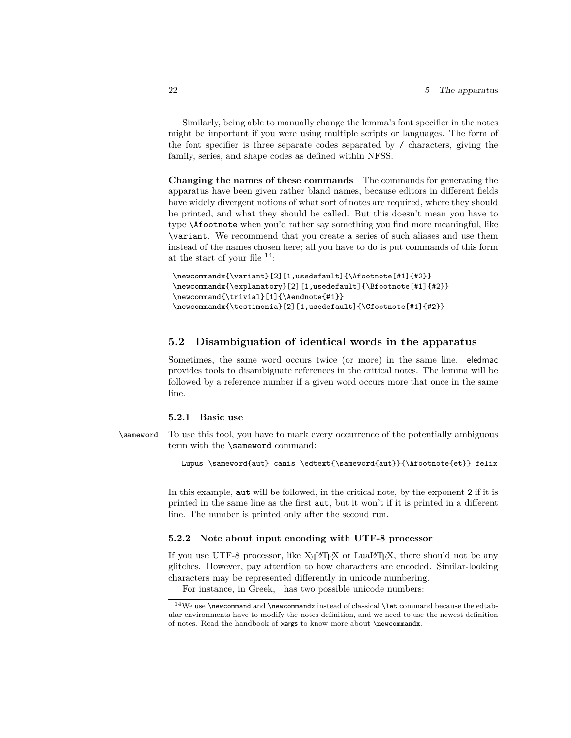Similarly, being able to manually change the lemma's font specifier in the notes might be important if you were using multiple scripts or languages. The form of the font specifier is three separate codes separated by / characters, giving the family, series, and shape codes as defined within NFSS.

**Changing the names of these commands** The commands for generating the apparatus have been given rather bland names, because editors in different fields have widely divergent notions of what sort of notes are required, where they should be printed, and what they should be called. But this doesn't mean you have to type \Afootnote when you'd rather say something you find more meaningful, like \variant. We recommend that you create a series of such aliases and use them instead of the names chosen here; all you have to do is put commands of this form at the start of your file <sup>14</sup>:

```
\newcommandx{\variant}[2][1,usedefault]{\Afootnote[#1]{#2}}
\newcommandx{\explanatory}[2][1,usedefault]{\Bfootnote[#1]{#2}}
\newcommand{\trivial}[1]{\Aendnote{#1}}
\newcommandx{\testimonia}[2][1,usedefault]{\Cfootnote[#1]{#2}}
```
## <span id="page-21-0"></span>**5.2 Disambiguation of identical words in the apparatus**

Sometimes, the same word occurs twice (or more) in the same line. eledmac provides tools to disambiguate references in the critical notes. The lemma will be followed by a reference number if a given word occurs more that once in the same line.

## <span id="page-21-1"></span>**5.2.1 Basic use**

\sameword To use this tool, you have to mark every occurrence of the potentially ambiguous term with the \sameword command:

Lupus \sameword{aut} canis \edtext{\sameword{aut}}{\Afootnote{et}} felix

In this example, aut will be followed, in the critical note, by the exponent 2 if it is printed in the same line as the first aut, but it won't if it is printed in a different line. The number is printed only after the second run.

## <span id="page-21-2"></span>**5.2.2 Note about input encoding with UTF-8 processor**

If you use UTF-8 processor, like X $H^{\perp}$ TEX or LuaLATEX, there should not be any glitches. However, pay attention to how characters are encoded. Similar-looking characters may be represented differently in unicode numbering.

For instance, in Greek, has two possible unicode numbers:

 $14$ We use \newcommand and \newcommandx instead of classical \let command because the edtabular environments have to modify the notes definition, and we need to use the newest definition of notes. Read the handbook of xargs to know more about \newcommandx.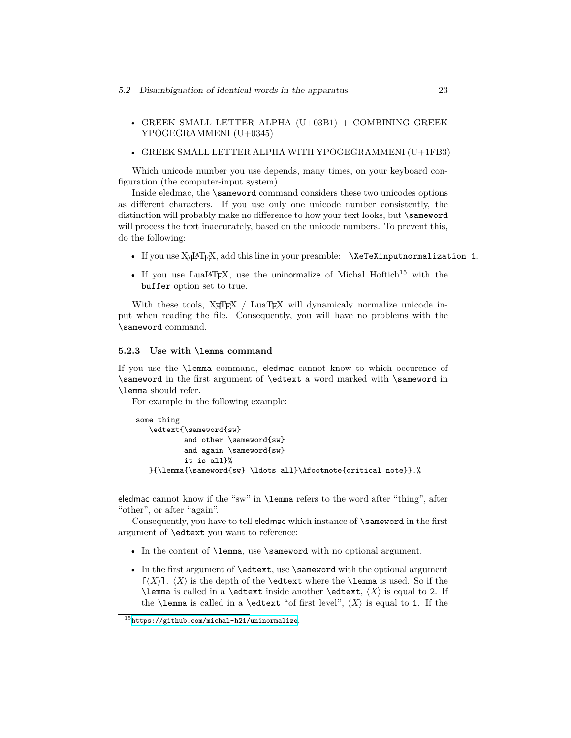- GREEK SMALL LETTER ALPHA  $(U+03B1)$  + COMBINING GREEK YPOGEGRAMMENI (U+0345)
- GREEK SMALL LETTER ALPHA WITH YPOGEGRAMMENI (U+1FB3)

Which unicode number you use depends, many times, on your keyboard configuration (the computer-input system).

Inside eledmac, the **\sameword** command considers these two unicodes options as different characters. If you use only one unicode number consistently, the distinction will probably make no difference to how your text looks, but \sameword will process the text inaccurately, based on the unicode numbers. To prevent this, do the following:

- If you use X<sub>H</sub>I<sub>T</sub>X, add this line in your preamble: **\XeTeXinputnormalization 1.**
- If you use LuaLAT<sub>EX</sub>, use the uninormalize of Michal Hoftich<sup>15</sup> with the buffer option set to true.

With these tools,  $X_{\overline{A}}T_{\overline{E}}X$  / LuaT<sub>E</sub>X will dynamicaly normalize unicode input when reading the file. Consequently, you will have no problems with the \sameword command.

## <span id="page-22-0"></span>**5.2.3 Use with \lemma command**

If you use the \lemma command, eledmac cannot know to which occurence of \sameword in the first argument of \edtext a word marked with \sameword in \lemma should refer.

For example in the following example:

```
some thing
   \edtext{\sameword{sw}
           and other \sameword{sw}
           and again \sameword{sw}
           it is all}%
   }{\lemma{\sameword{sw} \ldots all}\Afootnote{critical note}}.%
```
eledmac cannot know if the "sw" in \lemma refers to the word after "thing", after "other", or after "again".

Consequently, you have to tell eledmac which instance of \sameword in the first argument of \edtext you want to reference:

- In the content of **\lemma**, use **\sameword** with no optional argument.
- In the first argument of \edtext, use \sameword with the optional argument  $[\langle X \rangle]$ .  $\langle X \rangle$  is the depth of the **\edtext** where the **\lemma** is used. So if the \lemma is called in a \edtext inside another \edtext, *⟨X⟩* is equal to 2. If the **\lemma** is called in a **\edtext** "of first level",  $\langle X \rangle$  is equal to 1. If the

<sup>15</sup><https://github.com/michal-h21/uninormalize>.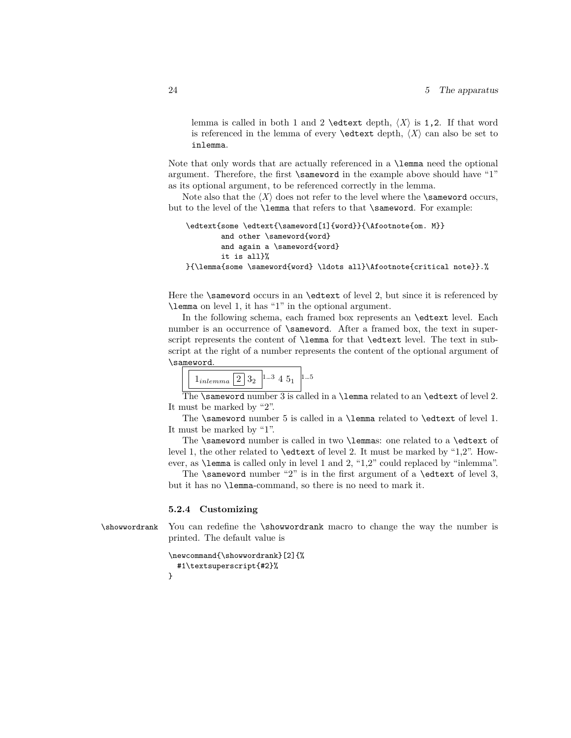lemma is called in both 1 and 2 \edtext depth,  $\langle X \rangle$  is 1,2. If that word is referenced in the lemma of every **\edtext** depth,  $\langle X \rangle$  can also be set to inlemma.

Note that only words that are actually referenced in a \lemma need the optional argument. Therefore, the first \sameword in the example above should have "1" as its optional argument, to be referenced correctly in the lemma.

Note also that the  $\langle X \rangle$  does not refer to the level where the **\sameword** occurs, but to the level of the **\lemma** that refers to that **\sameword**. For example:

```
\edtext{some \edtext{\sameword[1]{word}}{\Afootnote{om. M}}
        and other \sameword{word}
        and again a \sameword{word}
        it is all}%
}{\lemma{some \sameword{word} \ldots all}\Afootnote{critical note}}.%
```
Here the  $\simeq$  Sameword occurs in an  $\ed$ edtext of level 2, but since it is referenced by \lemma on level 1, it has "1" in the optional argument.

In the following schema, each framed box represents an \edtext level. Each number is an occurrence of **\sameword.** After a framed box, the text in superscript represents the content of \lemma for that \edtext level. The text in subscript at the right of a number represents the content of the optional argument of \sameword.

| $\pm$ <i>memma</i> |  |  |
|--------------------|--|--|
|--------------------|--|--|

The \sameword number  $3$  is called in a \lemma related to an \edtext of level 2. It must be marked by "2".

The \sameword number 5 is called in a \lemma related to \edtext of level 1. It must be marked by "1".

The \sameword number is called in two \lemmas: one related to a \edtext of level 1, the other related to \edtext of level 2. It must be marked by "1,2". However, as \lemma is called only in level 1 and 2, "1,2" could replaced by "inlemma".

The  $\simeq$  number "2" is in the first argument of a  $\ed$ text of level 3, but it has no \lemma-command, so there is no need to mark it.

#### <span id="page-23-0"></span>**5.2.4 Customizing**

\showwordrank You can redefine the \showwordrank macro to change the way the number is printed. The default value is

```
\newcommand{\showwordrank}[2]{%
  #1\textsuperscript{#2}%
}
```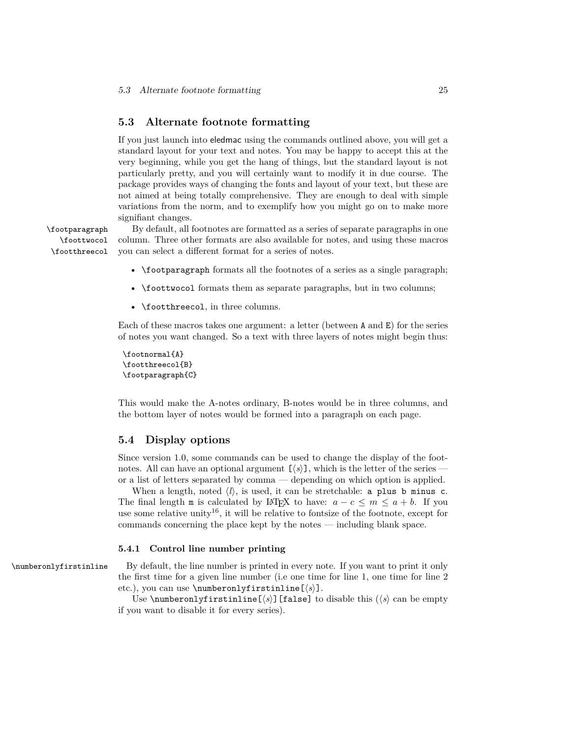## <span id="page-24-0"></span>**5.3 Alternate footnote formatting**

If you just launch into eledmac using the commands outlined above, you will get a standard layout for your text and notes. You may be happy to accept this at the very beginning, while you get the hang of things, but the standard layout is not particularly pretty, and you will certainly want to modify it in due course. The package provides ways of changing the fonts and layout of your text, but these are not aimed at being totally comprehensive. They are enough to deal with simple variations from the norm, and to exemplify how you might go on to make more signifiant changes.

\foottwocol \footthreecol

\footparagraph By default, all footnotes are formatted as a series of separate paragraphs in one column. Three other formats are also available for notes, and using these macros you can select a different format for a series of notes.

- \footparagraph formats all the footnotes of a series as a single paragraph;
- \foottwocol formats them as separate paragraphs, but in two columns;
- \footthreecol, in three columns.

Each of these macros takes one argument: a letter (between A and E) for the series of notes you want changed. So a text with three layers of notes might begin thus:

```
\footnormal{A}
\footthreecol{B}
\footparagraph{C}
```
This would make the A-notes ordinary, B-notes would be in three columns, and the bottom layer of notes would be formed into a paragraph on each page.

## <span id="page-24-1"></span>**5.4 Display options**

Since version 1.0, some commands can be used to change the display of the footnotes. All can have an optional argument  $[\langle s \rangle]$ , which is the letter of the series or a list of letters separated by comma — depending on which option is applied.

When a length, noted  $\langle l \rangle$ , is used, it can be stretchable: a plus b minus c. The final length m is calculated by LATEX to have:  $a - c \leq m \leq a + b$ . If you use some relative unity<sup>16</sup>, it will be relative to fontsize of the footnote, except for commands concerning the place kept by the notes — including blank space.

## <span id="page-24-2"></span>**5.4.1 Control line number printing**

\numberonlyfirstinline By default, the line number is printed in every note. If you want to print it only the first time for a given line number (i.e one time for line 1, one time for line 2 etc.), you can use \numberonlyfirstinline[*⟨s⟩*].

> Use  $\mathcal{V}$  and  $\mathcal{V}$  is the strip set  $(\mathcal{S})$  [false] to disable this  $(\mathcal{S})$  can be empty if you want to disable it for every series).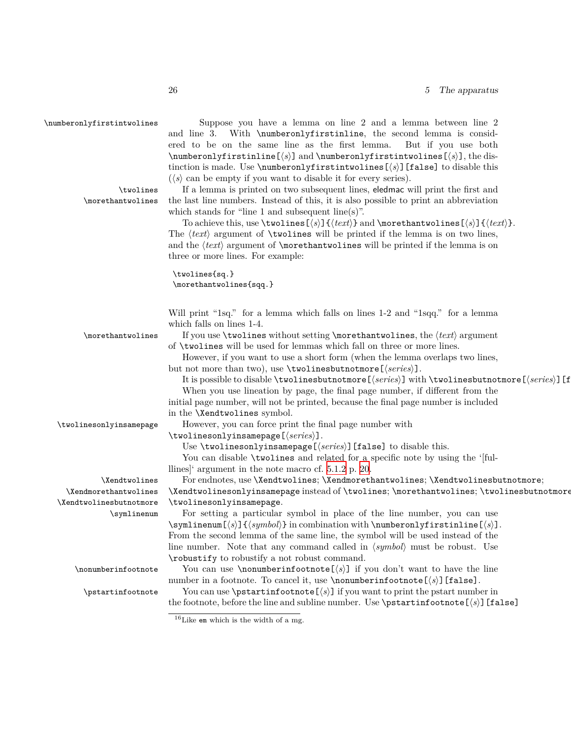\numberonlyfirstintwolines Suppose you have a lemma on line 2 and a lemma between line 2 and line 3. With \numberonlyfirstinline, the second lemma is considered to be on the same line as the first lemma. But if you use both \numberonlyfirstinline[*⟨s⟩*] and \numberonlyfirstintwolines[*⟨s⟩*], the distinction is made. Use \numberonlyfirstintwolines[*⟨s⟩*][false] to disable this (*⟨s⟩* can be empty if you want to disable it for every series).

\twolines If a lemma is printed on two subsequent lines, eledmac will print the first and \morethantwolines the last line numbers. Instead of this, it is also possible to print an abbreviation which stands for "line 1 and subsequent line(s)".

> To achieve this, use \twolines[*⟨s⟩*]{*⟨text⟩*} and \morethantwolines[*⟨s⟩*]{*⟨text⟩*}. The  $\langle text \rangle$  argument of **\twolines** will be printed if the lemma is on two lines, and the *⟨text⟩* argument of \morethantwolines will be printed if the lemma is on three or more lines. For example:

\twolines{sq.} \morethantwolines{sqq.}

Will print "1sq." for a lemma which falls on lines 1-2 and "1sqq." for a lemma which falls on lines 1-4.

\morethantwolines If you use \twolines without setting \morethantwolines, the *⟨text⟩* argument of \twolines will be used for lemmas which fall on three or more lines.

> However, if you want to use a short form (when the lemma overlaps two lines, but not more than two), use \twolinesbutnotmore[*⟨series⟩*].

It is possible to disable \twolinesbutnotmore[*⟨series⟩*] with \twolinesbutnotmore[*⟨series⟩*][false].

When you use lineation by page, the final page number, if different from the initial page number, will not be printed, because the final page number is included in the \Xendtwolines symbol.

\twolinesonlyinsamepage However, you can force print the final page number with

\twolinesonlyinsamepage[*⟨series⟩*].

Use \twolinesonlyinsamepage[*⟨series⟩*][false] to disable this.

You can disable **\twolines** and related for a specific note by using the '[ful-

llines]' argument in the note macro cf. [5.1.2](#page-18-3) p. [20](#page-18-3).

\Xendtwolines For endnotes, use \Xendtwolines; \Xendmorethantwolines; \Xendtwolinesbutnotmore; \Xendtwolinesonlyinsamepage instead of \twolines; \morethantwolines; \twolinesbutnotmore; \twolinesonlyinsamepage.

\symlinenum For setting a particular symbol in place of the line number, you can use \symlinenum[*⟨s⟩*]{*⟨symbol⟩*} in combination with \numberonlyfirstinline[*⟨s⟩*]. From the second lemma of the same line, the symbol will be used instead of the line number. Note that any command called in *⟨symbol⟩* must be robust. Use \robustify to robustify a not robust command.

\nonumberinfootnote You can use \nonumberinfootnote[*⟨s⟩*] if you don't want to have the line number in a footnote. To cancel it, use \nonumberinfootnote[*⟨s⟩*][false].

\pstartinfootnote You can use \pstartinfootnote[*⟨s⟩*] if you want to print the pstart number in the footnote, before the line and subline number. Use  $\partial \text{t}$  \perturnations  $[\langle s \rangle]$  [false]

 $16$ Like em which is the width of a mg.

\Xendmorethantwolines \Xendtwolinesbutnotmore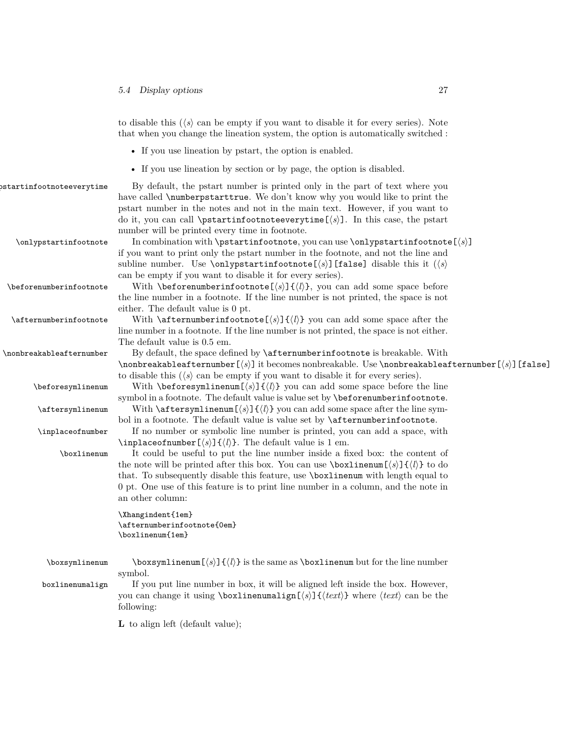|                           | to disable this $(\langle s \rangle)$ can be empty if you want to disable it for every series). Note<br>that when you change the lineation system, the option is automatically switched :                                                                                                                                                                                                                                                                                                                   |
|---------------------------|-------------------------------------------------------------------------------------------------------------------------------------------------------------------------------------------------------------------------------------------------------------------------------------------------------------------------------------------------------------------------------------------------------------------------------------------------------------------------------------------------------------|
|                           | • If you use lineation by pstart, the option is enabled.                                                                                                                                                                                                                                                                                                                                                                                                                                                    |
|                           | • If you use lineation by section or by page, the option is disabled.                                                                                                                                                                                                                                                                                                                                                                                                                                       |
| ostartinfootnoteeverytime | By default, the pstart number is printed only in the part of text where you<br>have called <i>\numberpstarttrue</i> . We don't know why you would like to print the<br>pstart number in the notes and not in the main text. However, if you want to<br>do it, you can call \pstartinfootnoteeverytime $[\langle s \rangle]$ . In this case, the pstart                                                                                                                                                      |
| \onlypstartinfootnote     | number will be printed every time in footnote.<br>In combination with $\partial \cdot$ , you can use $\onumber \{$ $\partial \cdot$<br>if you want to print only the pstart number in the footnote, and not the line and<br>subline number. Use \onlypstartinfootnote [ $\langle s \rangle$ ] [false] disable this it $(\langle s \rangle)$                                                                                                                                                                 |
| \beforenumberinfootnote   | can be empty if you want to disable it for every series).<br>With \beforenumberinfootnote[ $\langle s \rangle$ ]{ $\langle l \rangle$ }, you can add some space before<br>the line number in a footnote. If the line number is not printed, the space is not<br>either. The default value is 0 pt.                                                                                                                                                                                                          |
| \afternumberinfootnote    | With $\aff$ afternumberinfootnote[ $\lbrace s \rbrace$ ] $\lbrace \lbrace l \rbrace$ } you can add some space after the<br>line number in a footnote. If the line number is not printed, the space is not either.                                                                                                                                                                                                                                                                                           |
| \nonbreakableafternumber  | The default value is 0.5 em.<br>By default, the space defined by <b>\afternumberinfootnote</b> is breakable. With<br>\nonbreakableafternumber[ $\langle s \rangle$ ] it becomes nonbreakable. Use \nonbreakableafternumber[ $\langle s \rangle$ ] [false]                                                                                                                                                                                                                                                   |
| \beforesymlinenum         | to disable this $(\langle s \rangle)$ can be empty if you want to disable it for every series).<br>With \beforesymlinenum[ $\langle s \rangle$ ]{ $\langle l \rangle$ } you can add some space before the line<br>symbol in a footnote. The default value is value set by \beforenumberinfootnote.                                                                                                                                                                                                          |
| \aftersymlinenum          | With $\aff$ tersymlinenum $[\langle s \rangle] \{ \langle l \rangle \}$ you can add some space after the line sym-<br>bol in a footnote. The default value is value set by <i>\afternumberinfootnote</i> .                                                                                                                                                                                                                                                                                                  |
| \inplaceofnumber          | If no number or symbolic line number is printed, you can add a space, with                                                                                                                                                                                                                                                                                                                                                                                                                                  |
| \boxlinenum               | \inplaceofnumber $[\langle s \rangle] \{ \langle l \rangle \}$ . The default value is 1 em.<br>It could be useful to put the line number inside a fixed box: the content of<br>the note will be printed after this box. You can use $\boxtimes \mathrm{Box}(\langle s \rangle) \{ \langle l \rangle \}$ to do<br>that. To subsequently disable this feature, use \boxlinenum with length equal to<br>0 pt. One use of this feature is to print line number in a column, and the note in<br>an other column: |
|                           | \Xhangindent{1em}<br>\afternumberinfootnote{0em}<br>\boxlinenum{1em}                                                                                                                                                                                                                                                                                                                                                                                                                                        |
| \boxsymlinenum            | $\boxtimes$ ymlinenum $[\langle s \rangle] \{ \langle l \rangle \}$ is the same as $\boxtimes$ linenum but for the line number<br>symbol.                                                                                                                                                                                                                                                                                                                                                                   |
| boxlinenumalign           | If you put line number in box, it will be aligned left inside the box. However,<br>you can change it using \boxlinenumalign[ $\langle s \rangle$ ] { $\langle text \rangle$ } where $\langle text \rangle$ can be the<br>following:                                                                                                                                                                                                                                                                         |

**L** to align left (default value);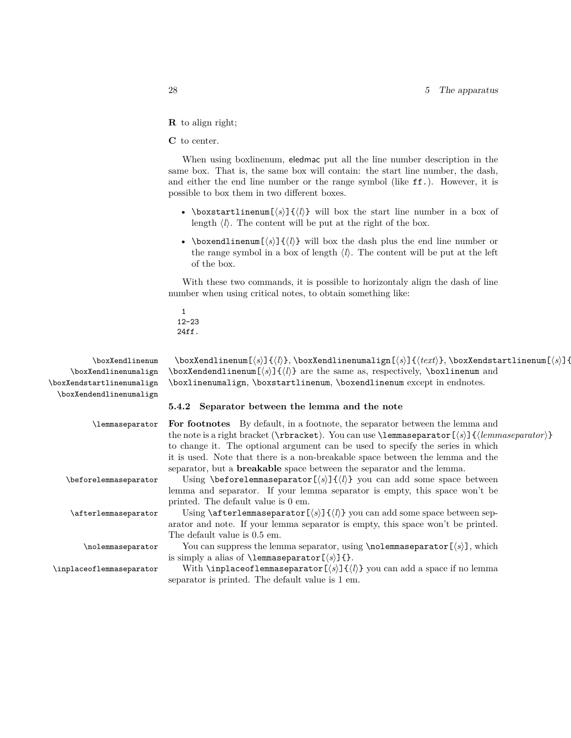- **R** to align right;
- **C** to center.

When using boxlinenum, eledmac put all the line number description in the same box. That is, the same box will contain: the start line number, the dash, and either the end line number or the range symbol (like ff.). However, it is possible to box them in two different boxes.

- \boxstartlinenum[*⟨s⟩*]{*⟨l⟩*} will box the start line number in a box of length  $\langle l \rangle$ . The content will be put at the right of the box.
- \boxendlinenum[*⟨s⟩*]{*⟨l⟩*} will box the dash plus the end line number or the range symbol in a box of length  $\langle l \rangle$ . The content will be put at the left of the box.

With these two commands, it is possible to horizontaly align the dash of line number when using critical notes, to obtain something like:

1 12-23 24ff.

\boxXendlinenumalign \boxXendstartlinenumalign \boxXendendlinenumalign

\boxXendlinenum \boxXendlinenum[ $\s)$ ]{ $\lceil \kappa \rceil$ } \boxXendlinenumalign[ $\s)$ ]{ $\lceil \kappa \rceil$ } \boxXendstartlinenum[ $\sceil$ }]{ \boxXendendlinenum[*⟨s⟩*]{*⟨l⟩*} are the same as, respectively, \boxlinenum and \boxlinenumalign, \boxstartlinenum, \boxendlinenum except in endnotes.

## <span id="page-27-0"></span>**5.4.2 Separator between the lemma and the note**

| \lemmaseparator          | <b>For footnotes</b> By default, in a footnote, the separator between the lemma and                                          |
|--------------------------|------------------------------------------------------------------------------------------------------------------------------|
|                          | the note is a right bracket ( $\text{tbracket}$ ). You can use $\text{element}(\text{s})$ { (lemmaseparator $\text{t}$ )}    |
|                          | to change it. The optional argument can be used to specify the series in which                                               |
|                          | it is used. Note that there is a non-breakable space between the lemma and the                                               |
|                          | separator, but a <b>breakable</b> space between the separator and the lemma.                                                 |
| \beforelemmaseparator    | Using \beforelemmaseparator $[\langle s \rangle] \{ \langle l \rangle \}$ you can add some space between                     |
|                          | lemma and separator. If your lemma separator is empty, this space won't be                                                   |
|                          | printed. The default value is 0 em.                                                                                          |
| \afterlemmaseparator     | Using $\after$ lemmass eparator $[\langle s \rangle] \{ \langle l \rangle \}$ you can add some space between sep-            |
|                          | arator and note. If your lemma separator is empty, this space won't be printed.                                              |
|                          | The default value is 0.5 em.                                                                                                 |
| \nolemmaseparator        | You can suppress the lemma separator, using $\cdot$ holemmasseparator $(\cdot s)$ , which                                    |
|                          | is simply a alias of <b>\lemmaseparator</b> $\left[\langle s \rangle\right]$ {}.                                             |
| \inplaceoflemmaseparator | With <b>\inplaceoflemmaseparator</b> $\left[\langle s \rangle\right] \{ \langle l \rangle\}$ you can add a space if no lemma |
|                          | separator is printed. The default value is 1 em.                                                                             |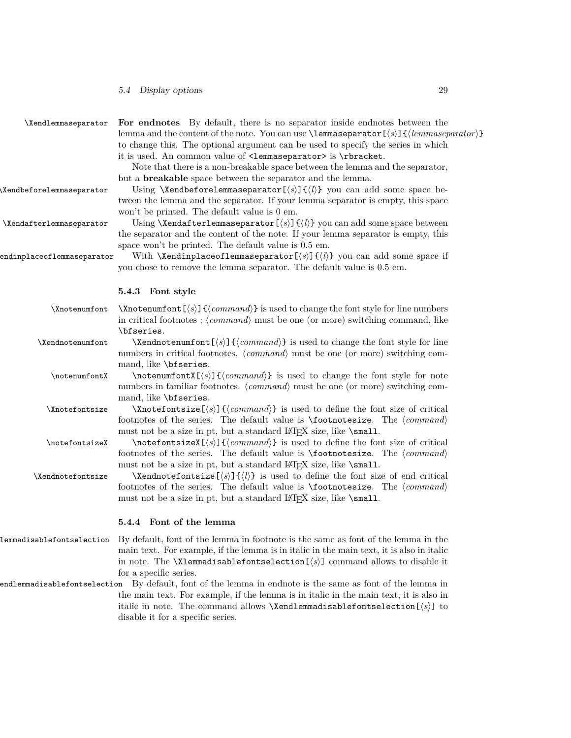<span id="page-28-2"></span><span id="page-28-1"></span><span id="page-28-0"></span>

| \Xendlemmaseparator        | For endnotes By default, there is no separator inside endnotes between the<br>lemma and the content of the note. You can use $\lambda$ emmass eparator $\{\langle s \rangle\}$ $\{\langle lemmaseparator \rangle\}$<br>to change this. The optional argument can be used to specify the series in which<br>it is used. An common value of <1emmaseparator> is \rbracket.<br>Note that there is a non-breakable space between the lemma and the separator,<br>but a <b>breakable</b> space between the separator and the lemma. |
|----------------------------|--------------------------------------------------------------------------------------------------------------------------------------------------------------------------------------------------------------------------------------------------------------------------------------------------------------------------------------------------------------------------------------------------------------------------------------------------------------------------------------------------------------------------------|
| \Xendbeforelemmaseparator  | Using \Xendbeforelemmaseparator[ $\langle s \rangle$ ]{ $\langle l \rangle$ } you can add some space be-<br>tween the lemma and the separator. If your lemma separator is empty, this space<br>won't be printed. The default value is 0 em.                                                                                                                                                                                                                                                                                    |
| \Xendafterlemmaseparator   | Using <b>\Xendafterlemmaseparator</b> $\left[\langle s \rangle\right] \left\{\langle l \rangle\right\}$ you can add some space between<br>the separator and the content of the note. If your lemma separator is empty, this<br>space won't be printed. The default value is 0.5 em.                                                                                                                                                                                                                                            |
| endinplaceoflemmaseparator | With <b>\Xendinplaceoflemmaseparator</b> $[\langle s \rangle] \{ \langle l \rangle \}$ you can add some space if<br>you chose to remove the lemma separator. The default value is 0.5 em.                                                                                                                                                                                                                                                                                                                                      |
|                            | 5.4.3 Font style                                                                                                                                                                                                                                                                                                                                                                                                                                                                                                               |
| \Xnotenumfont              | $\Lambda$ \Xnotenumfont [ $\langle s \rangle$ ] { $\langle command \rangle$ } is used to change the font style for line numbers<br>in critical footnotes; $\langle command \rangle$ must be one (or more) switching command, like<br>\bfseries.                                                                                                                                                                                                                                                                                |
| \Xendnotenumfont           | $\Xendnot$ command) is used to change the font style for line<br>numbers in critical footnotes. (command) must be one (or more) switching com-<br>mand, like \bfseries.                                                                                                                                                                                                                                                                                                                                                        |
| \notenumfontX              | $\mathcal{S}(\mathcal{S}) \leq \mathcal{S}(\mathcal{S})$ is used to change the font style for note<br>numbers in familiar footnotes. $\langle command \rangle$ must be one (or more) switching com-<br>mand, like \bfseries.                                                                                                                                                                                                                                                                                                   |
| \Xnotefontsize             | $\X$ notefontsize $\left[ \langle s \rangle \right]$ { $\langle command \rangle$ } is used to define the font size of critical<br>footnotes of the series. The default value is $\footnotesize \text{\langle command \rangle}$<br>must not be a size in pt, but a standard LAT <sub>E</sub> X size, like <b>\small</b> .                                                                                                                                                                                                       |
| \notefontsizeX             | $\boldsymbol{\infty}(\s)$ $\{\langle command \rangle\}$ is used to define the font size of critical<br>footnotes of the series. The default value is $\footnotesize \text{\langle command \rangle}$<br>must not be a size in pt, but a standard IATEX size, like \small.                                                                                                                                                                                                                                                       |
| \Xendnotefontsize          | $\Lambda$ \Xendnotefontsize[ $\langle s \rangle$ ] $\{ \langle l \rangle \}$ is used to define the font size of end critical<br>footnotes of the series. The default value is $\footnotesize \text{\langle command \rangle}$<br>must not be a size in pt, but a standard LAT <sub>F</sub> X size, like <b>\small</b> .                                                                                                                                                                                                         |
|                            | 5.4.4 Font of the lemma                                                                                                                                                                                                                                                                                                                                                                                                                                                                                                        |
|                            | lemmadisablefontselection By default, font of the lemma in footnote is the same as font of the lemma in the<br>main text. For example, if the lemma is in italic in the main text, it is also in italic<br>in note. The <b>\Xlemmadisablefontselection</b> $\left[\langle s \rangle\right]$ command allows to disable it<br>for a specific series.                                                                                                                                                                             |
|                            | endlemmadisablefontselection By default, font of the lemma in endnote is the same as font of the lemma in<br>the main text. For example, if the lemma is in italic in the main text, it is also in<br>italic in note. The command allows <b>\Xendlemmadisablefontselection</b> $\langle s \rangle$ to<br>disable it for a specific series.                                                                                                                                                                                     |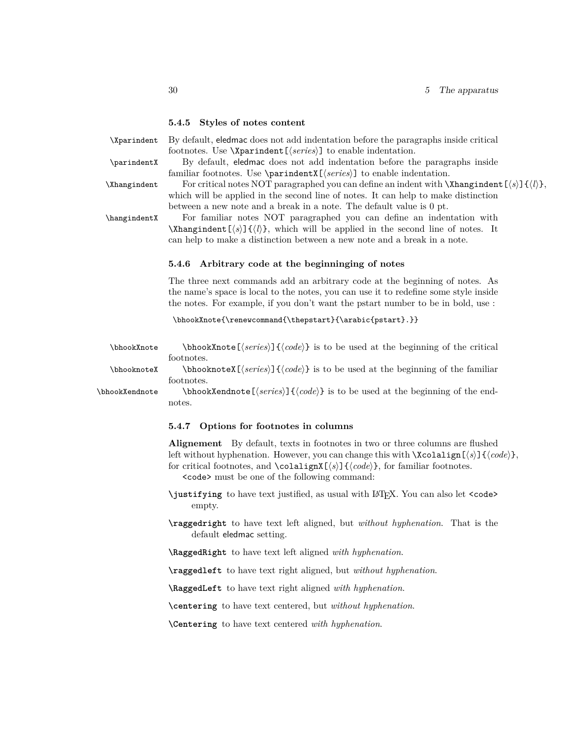### <span id="page-29-0"></span>**5.4.5 Styles of notes content**

\Xparindent By default, eledmac does not add indentation before the paragraphs inside critical footnotes. Use \Xparindent[*⟨series⟩*] to enable indentation. \parindentX By default, eledmac does not add indentation before the paragraphs inside

familiar footnotes. Use \parindentX[*⟨series⟩*] to enable indentation.

\Xhangindent For critical notes NOT paragraphed you can define an indent with \Xhangindent[*⟨s⟩*]{*⟨l⟩*}, which will be applied in the second line of notes. It can help to make distinction between a new note and a break in a note. The default value is 0 pt.

\hangindentX For familiar notes NOT paragraphed you can define an indentation with \Xhangindent[*⟨s⟩*]{*⟨l⟩*}, which will be applied in the second line of notes. It can help to make a distinction between a new note and a break in a note.

## <span id="page-29-1"></span>**5.4.6 Arbitrary code at the beginninging of notes**

The three next commands add an arbitrary code at the beginning of notes. As the name's space is local to the notes, you can use it to redefine some style inside the notes. For example, if you don't want the pstart number to be in bold, use :

\bhookXnote{\renewcommand{\thepstart}{\arabic{pstart}.}}

\bhookXnote \bhookXnote[*⟨series⟩*]{*⟨code⟩*} is to be used at the beginning of the critical footnotes.

\bhooknoteX \bhooknoteX[*⟨series⟩*]{*⟨code⟩*} is to be used at the beginning of the familiar footnotes.

\bhookXendnote \bhookXendnote[*⟨series⟩*]{*⟨code⟩*} is to be used at the beginning of the endnotes.

## <span id="page-29-2"></span>**5.4.7 Options for footnotes in columns**

**Alignement** By default, texts in footnotes in two or three columns are flushed left without hyphenation. However, you can change this with \Xcolalign[*⟨s⟩*]{*⟨code⟩*}, for critical footnotes, and \colalignX[*⟨s⟩*]{*⟨code⟩*}, for familiar footnotes.

 $<$ code> must be one of the following command:  $\leq$ </sup>

**\justifying** to have text justified, as usual with LATEX. You can also let <code> empty.

**\raggedright** to have text left aligned, but *without hyphenation*. That is the default eledmac setting.

**\RaggedRight** to have text left aligned *with hyphenation*.

**\raggedleft** to have text right aligned, but *without hyphenation*.

**\RaggedLeft** to have text right aligned *with hyphenation*.

**\centering** to have text centered, but *without hyphenation*.

**\Centering** to have text centered *with hyphenation*.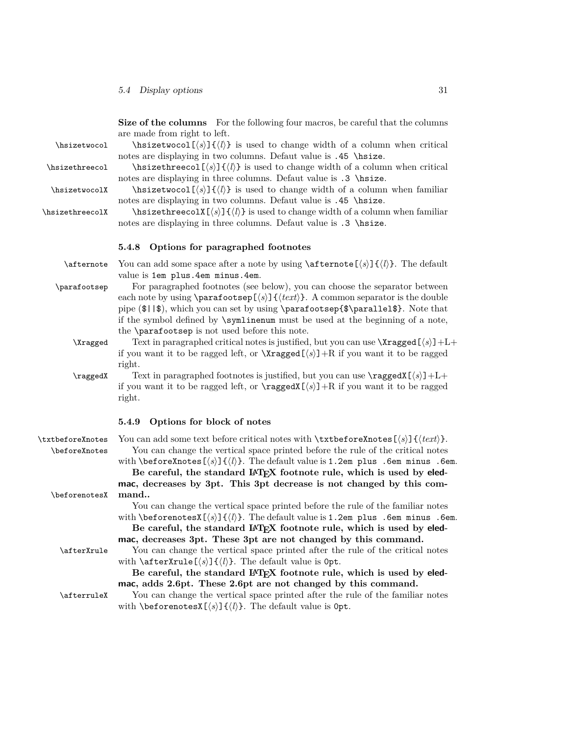<span id="page-30-0"></span>**Size of the columns** For the following four macros, be careful that the columns are made from right to left. \hsizetwocol \hsizetwocol[*⟨s⟩*]{*⟨l⟩*} is used to change width of a column when critical notes are displaying in two columns. Defaut value is .45 \hsize. \hsizethreecol \hsizethreecol[*⟨s⟩*]{*⟨l⟩*} is used to change width of a column when critical notes are displaying in three columns. Defaut value is .3 \hsize. \hsizetwocolX \hsizetwocol[*⟨s⟩*]{*⟨l⟩*} is used to change width of a column when familiar notes are displaying in two columns. Defaut value is .45 \hsize. \hsizethreecolX \hsizethreecolX[*⟨s⟩*]{*⟨l⟩*} is used to change width of a column when familiar notes are displaying in three columns. Defaut value is .3 \histze. **5.4.8 Options for paragraphed footnotes** \afternote You can add some space after a note by using \afternote[*⟨s⟩*]{*⟨l⟩*}. The default value is 1em plus.4em minus.4em. \parafootsep For paragraphed footnotes (see below), you can choose the separator between each note by using  $\frac{\sqrt{s}}{f(x)}$   $\frac{\sqrt{s}}{f(x)}$ . A common separator is the double pipe (\$||\$), which you can set by using \parafootsep{\$\parallel\$}. Note that if the symbol defined by \symlinenum must be used at the beginning of a note, the \parafootsep is not used before this note. \Xragged Text in paragraphed critical notes is justified, but you can use \Xragged[*⟨s⟩*]+L+ if you want it to be ragged left, or  $\Xragger(S)$  +R if you want it to be ragged right. \raggedX Text in paragraphed footnotes is justified, but you can use \raggedX[*⟨s⟩*]+L+ if you want it to be ragged left, or  $\raggedX[\s] + R$  if you want it to be ragged right. **5.4.9 Options for block of notes** \txtbeforeXnotes You can add some text before critical notes with \txtbeforeXnotes[*⟨s⟩*]{*⟨text⟩*}. \beforeXnotes You can change the vertical space printed before the rule of the critical notes with  $\begin{bmatrix} \frac{s}{l} \end{bmatrix}$   $\{l\}$ . The default value is 1.2em plus .6em minus .6em. Be careful, the standard LAT<sub>E</sub>X footnote rule, which is used by eled**mac, decreases by 3pt. This 3pt decrease is not changed by this com-** \beforenotesX **mand..** You can change the vertical space printed before the rule of the familiar notes with  $\begin{bmatrix} \delta \end{bmatrix}$   $\{ \langle k \rangle \}$ . The default value is 1.2em plus .6em minus .6em. Be careful, the standard L<sup>A</sup>T<sub>E</sub>X footnote rule, which is used by eled**mac, decreases 3pt. These 3pt are not changed by this command.** \afterXrule You can change the vertical space printed after the rule of the critical notes with  $\left\{\left\langle s\right\rangle\right\}$   $\left\{\left\langle l\right\rangle\right\}$ . The default value is 0pt.

> <span id="page-30-1"></span>Be careful, the standard LAT<sub>E</sub>X footnote rule, which is used by eled**mac, adds 2.6pt. These 2.6pt are not changed by this command.**

\afterruleX You can change the vertical space printed after the rule of the familiar notes with \beforenotesX[*⟨s⟩*]{*⟨l⟩*}. The default value is 0pt.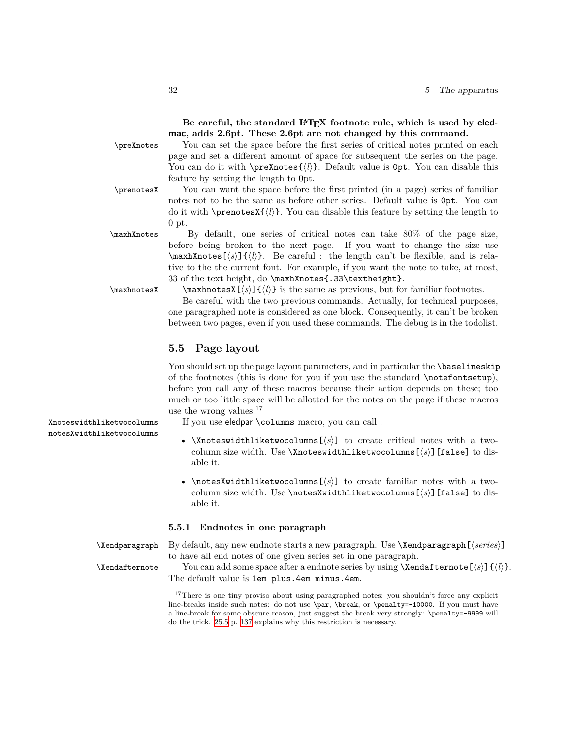Be careful, the standard IATEX footnote rule, which is used by eled**mac, adds 2.6pt. These 2.6pt are not changed by this command.**

\preXnotes You can set the space before the first series of critical notes printed on each page and set a different amount of space for subsequent the series on the page. You can do it with \preXnotes{*⟨l⟩*}. Default value is 0pt. You can disable this feature by setting the length to 0pt.

\prenotesX You can want the space before the first printed (in a page) series of familiar notes not to be the same as before other series. Default value is 0pt. You can do it with  $\preceq$ *l* $\{\langle l \rangle\}$ . You can disable this feature by setting the length to 0 pt.

\maxhXnotes By default, one series of critical notes can take 80% of the page size, before being broken to the next page. If you want to change the size use \maxhXnotes[*⟨s⟩*]{*⟨l⟩*}. Be careful : the length can't be flexible, and is relative to the the current font. For example, if you want the note to take, at most, 33 of the text height, do \maxhXnotes{.33\textheight}.

\maxhnotesX \maxhnotesX[*⟨s⟩*]{*⟨l⟩*} is the same as previous, but for familiar footnotes. Be careful with the two previous commands. Actually, for technical purposes, one paragraphed note is considered as one block. Consequently, it can't be broken between two pages, even if you used these commands. The debug is in the todolist.

## <span id="page-31-0"></span>**5.5 Page layout**

You should set up the page layout parameters, and in particular the **\baselineskip** of the footnotes (this is done for you if you use the standard \notefontsetup), before you call any of these macros because their action depends on these; too much or too little space will be allotted for the notes on the page if these macros use the wrong values.<sup>17</sup>

Xnoteswidthliketwocolumns If you use eledpar \columns macro, you can call :

- \Xnoteswidthliketwocolumns[*⟨s⟩*] to create critical notes with a twocolumn size width. Use \Xnoteswidthliketwocolumns[*⟨s⟩*][false] to disable it.
- \notesXwidthliketwocolumns[*⟨s⟩*] to create familiar notes with a twocolumn size width. Use \notesXwidthliketwocolumns[*⟨s⟩*][false] to disable it.

## <span id="page-31-1"></span>**5.5.1 Endnotes in one paragraph**

\Xendparagraph By default, any new endnote starts a new paragraph. Use \Xendparagraph[*⟨series⟩*] to have all end notes of one given series set in one paragraph.

\Xendafternote You can add some space after a endnote series by using \Xendafternote[*⟨s⟩*]{*⟨l⟩*}. The default value is 1em plus.4em minus.4em.

notesXwidthliketwocolumns

<sup>&</sup>lt;sup>17</sup>There is one tiny proviso about using paragraphed notes: you shouldn't force any explicit line-breaks inside such notes: do not use \par, \break, or \penalty=-10000. If you must have a line-break for some obscure reason, just suggest the break very strongly: \penalty=-9999 will do the trick. [25.5](#page-136-0) p. [137](#page-136-0) explains why this restriction is necessary.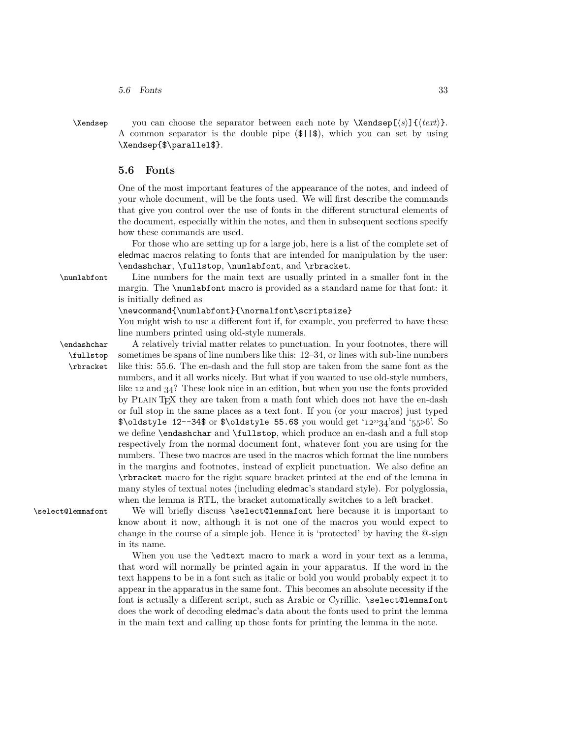- *5.6 Fonts* 33
- 

\Xendsep you can choose the separator between each note by \Xendsep[*⟨s⟩*]{*⟨text⟩*}. A common separator is the double pipe (\$||\$), which you can set by using \Xendsep{\$\parallel\$}.

## <span id="page-32-0"></span>**5.6 Fonts**

One of the most important features of the appearance of the notes, and indeed of your whole document, will be the fonts used. We will first describe the commands that give you control over the use of fonts in the different structural elements of the document, especially within the notes, and then in subsequent sections specify how these commands are used.

For those who are setting up for a large job, here is a list of the complete set of eledmac macros relating to fonts that are intended for manipulation by the user: \endashchar, \fullstop, \numlabfont, and \rbracket.

\numlabfont Line numbers for the main text are usually printed in a smaller font in the margin. The \numlabfont macro is provided as a standard name for that font: it is initially defined as

\newcommand{\numlabfont}{\normalfont\scriptsize}

You might wish to use a different font if, for example, you preferred to have these line numbers printed using old-style numerals.

\fullstop \rbracket

\endashchar A relatively trivial matter relates to punctuation. In your footnotes, there will sometimes be spans of line numbers like this: 12–34, or lines with sub-line numbers like this: 55.6. The en-dash and the full stop are taken from the same font as the numbers, and it all works nicely. But what if you wanted to use old-style numbers, like *12* and *34*? These look nice in an edition, but when you use the fonts provided by PLAIN T<sub>E</sub>X they are taken from a math font which does not have the en-dash or full stop in the same places as a text font. If you (or your macros) just typed \$\oldstyle 12--34\$ or \$\oldstyle 55.6\$ you would get '*12--34*'and '*55▷6*'. So we define \endashchar and \fullstop, which produce an en-dash and a full stop respectively from the normal document font, whatever font you are using for the numbers. These two macros are used in the macros which format the line numbers in the margins and footnotes, instead of explicit punctuation. We also define an \rbracket macro for the right square bracket printed at the end of the lemma in many styles of textual notes (including eledmac's standard style). For polyglossia, when the lemma is RTL, the bracket automatically switches to a left bracket.

\select@lemmafont We will briefly discuss \select@lemmafont here because it is important to know about it now, although it is not one of the macros you would expect to change in the course of a simple job. Hence it is 'protected' by having the @-sign in its name.

> When you use the \edtext macro to mark a word in your text as a lemma, that word will normally be printed again in your apparatus. If the word in the text happens to be in a font such as italic or bold you would probably expect it to appear in the apparatus in the same font. This becomes an absolute necessity if the font is actually a different script, such as Arabic or Cyrillic. \select@lemmafont does the work of decoding eledmac's data about the fonts used to print the lemma in the main text and calling up those fonts for printing the lemma in the note.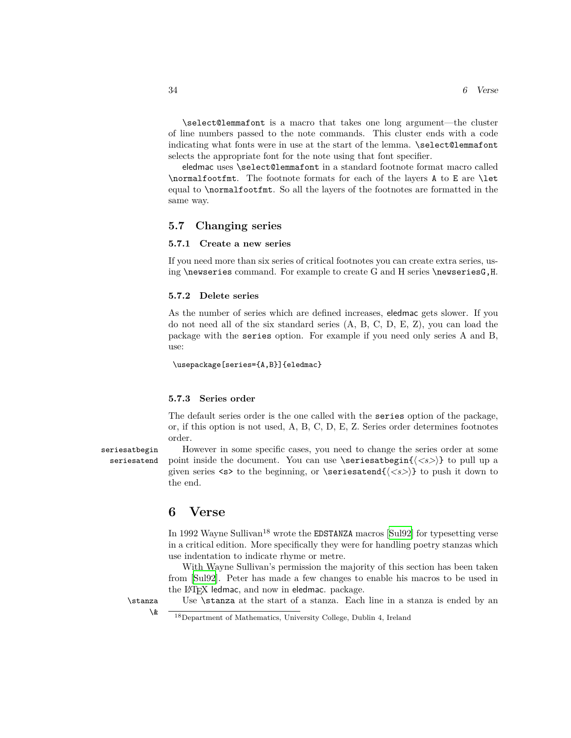\select@lemmafont is a macro that takes one long argument—the cluster of line numbers passed to the note commands. This cluster ends with a code indicating what fonts were in use at the start of the lemma.  $\searrow$  select@lemmafont selects the appropriate font for the note using that font specifier.

eledmac uses \select@lemmafont in a standard footnote format macro called \normalfootfmt. The footnote formats for each of the layers A to E are \let equal to \normalfootfmt. So all the layers of the footnotes are formatted in the same way.

## <span id="page-33-0"></span>**5.7 Changing series**

## <span id="page-33-1"></span>**5.7.1 Create a new series**

If you need more than six series of critical footnotes you can create extra series, using \newseries command. For example to create G and H series \newseriesG,H.

## <span id="page-33-2"></span>**5.7.2 Delete series**

As the number of series which are defined increases, eledmac gets slower. If you do not need all of the six standard series (A, B, C, D, E, Z), you can load the package with the series option. For example if you need only series A and B, use:

\usepackage[series={A,B}]{eledmac}

## <span id="page-33-3"></span>**5.7.3 Series order**

The default series order is the one called with the series option of the package, or, if this option is not used, A, B, C, D, E, Z. Series order determines footnotes order.

seriesatbegin However in some specific cases, you need to change the series order at some seriesatend point inside the document. You can use \seriesatbegin{ $\langle \langle s \rangle$ } to pull up a given series  $\langle s \rangle$  to the beginning, or  $\succeq$ **satend**{ $\langle \langle s \rangle$ } to push it down to the end.

## <span id="page-33-4"></span>**6 Verse**

In 1992 Wayne Sullivan<sup>18</sup> wrote the **EDSTANZA** macros [\[Sul92](#page-263-4)] for typesetting verse in a critical edition. More specifically they were for handling poetry stanzas which use indentation to indicate rhyme or metre.

With Wayne Sullivan's permission the majority of this section has been taken from [[Sul92](#page-263-4)]. Peter has made a few changes to enable his macros to be used in the IAT<sub>E</sub>X ledmac, and now in eledmac. package.

<sup>\</sup>stanza Use \stanza at the start of a stanza. Each line in a stanza is ended by an

 $\lambda$   $\overline{\hspace{1cm}}$   $\frac{18}{28}$  Department of Mathematics, University College, Dublin 4, Ireland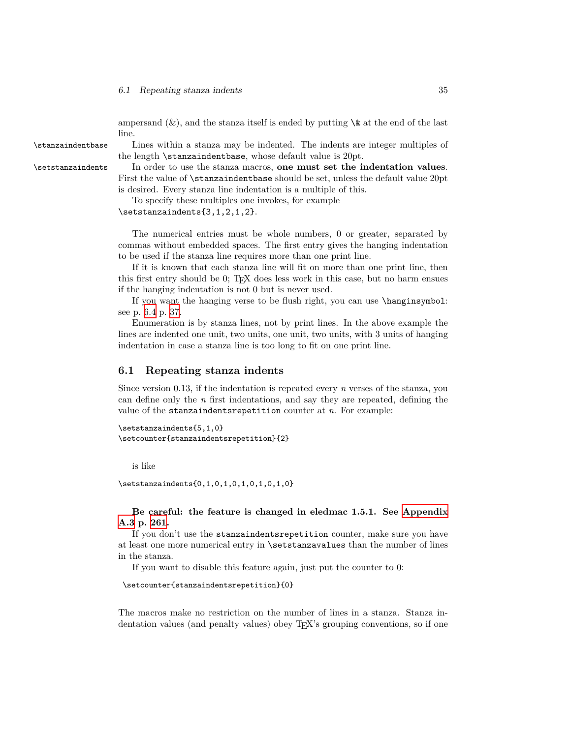ampersand  $(\&)$ , and the stanza itself is ended by putting  $\&$  at the end of the last line.

\stanzaindentbase Lines within a stanza may be indented. The indents are integer multiples of the length \stanzaindentbase, whose default value is 20pt.

\setstanzaindents In order to use the stanza macros, **one must set the indentation values**. First the value of \stanzaindentbase should be set, unless the default value 20pt is desired. Every stanza line indentation is a multiple of this.

To specify these multiples one invokes, for example

\setstanzaindents{3,1,2,1,2}.

The numerical entries must be whole numbers, 0 or greater, separated by commas without embedded spaces. The first entry gives the hanging indentation to be used if the stanza line requires more than one print line.

If it is known that each stanza line will fit on more than one print line, then this first entry should be 0; TEX does less work in this case, but no harm ensues if the hanging indentation is not 0 but is never used.

If you want the hanging verse to be flush right, you can use \hanginsymbol: see p. [6.4](#page-35-2) p. [37](#page-35-2).

Enumeration is by stanza lines, not by print lines. In the above example the lines are indented one unit, two units, one unit, two units, with 3 units of hanging indentation in case a stanza line is too long to fit on one print line.

## <span id="page-34-0"></span>**6.1 Repeating stanza indents**

Since version 0.13, if the indentation is repeated every *n* verses of the stanza, you can define only the *n* first indentations, and say they are repeated, defining the value of the stanzaindentsrepetition counter at *n*. For example:

```
\setstanzaindents{5,1,0}
\setcounter{stanzaindentsrepetition}{2}
```
is like

\setstanzaindents{0,1,0,1,0,1,0,1,0,1,0}

## **Be careful: the feature is changed in eledmac 1.5.1. See [Appendix](#page-260-0) [A.3](#page-260-0) p. [261.](#page-260-0)**

If you don't use the stanzaindentsrepetition counter, make sure you have at least one more numerical entry in \setstanzavalues than the number of lines in the stanza.

If you want to disable this feature again, just put the counter to 0:

```
\setcounter{stanzaindentsrepetition}{0}
```
The macros make no restriction on the number of lines in a stanza. Stanza indentation values (and penalty values) obey TEX's grouping conventions, so if one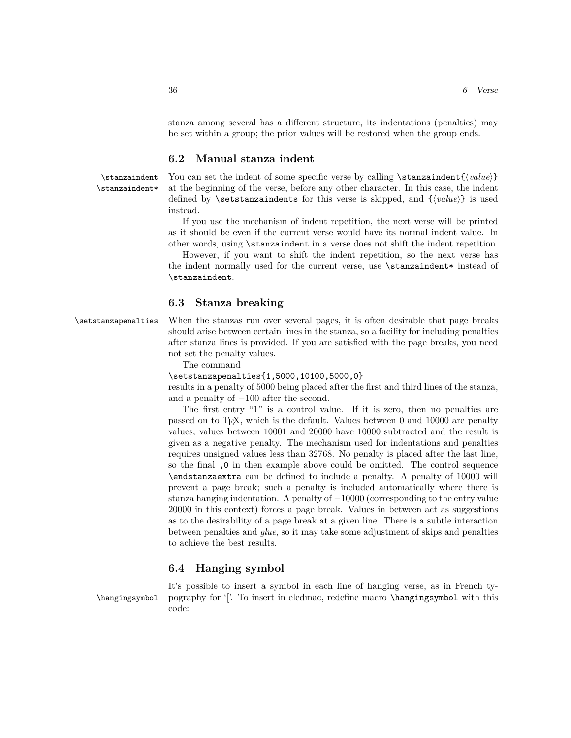stanza among several has a different structure, its indentations (penalties) may be set within a group; the prior values will be restored when the group ends.

## <span id="page-35-0"></span>**6.2 Manual stanza indent**

\stanzaindent You can set the indent of some specific verse by calling \stanzaindent{*⟨value⟩*} \stanzaindent\* at the beginning of the verse, before any other character. In this case, the indent defined by \setstanzaindents for this verse is skipped, and {*⟨value⟩*} is used instead.

> If you use the mechanism of indent repetition, the next verse will be printed as it should be even if the current verse would have its normal indent value. In other words, using \stanzaindent in a verse does not shift the indent repetition.

> However, if you want to shift the indent repetition, so the next verse has the indent normally used for the current verse, use \stanzaindent\* instead of \stanzaindent.

## <span id="page-35-1"></span>**6.3 Stanza breaking**

\setstanzapenalties When the stanzas run over several pages, it is often desirable that page breaks should arise between certain lines in the stanza, so a facility for including penalties after stanza lines is provided. If you are satisfied with the page breaks, you need not set the penalty values.

The command

\setstanzapenalties{1,5000,10100,5000,0}

results in a penalty of 5000 being placed after the first and third lines of the stanza, and a penalty of *−*100 after the second.

The first entry "1" is a control value. If it is zero, then no penalties are passed on to TEX, which is the default. Values between 0 and 10000 are penalty values; values between 10001 and 20000 have 10000 subtracted and the result is given as a negative penalty. The mechanism used for indentations and penalties requires unsigned values less than 32768. No penalty is placed after the last line, so the final ,0 in then example above could be omitted. The control sequence \endstanzaextra can be defined to include a penalty. A penalty of 10000 will prevent a page break; such a penalty is included automatically where there is stanza hanging indentation. A penalty of *−*10000 (corresponding to the entry value 20000 in this context) forces a page break. Values in between act as suggestions as to the desirability of a page break at a given line. There is a subtle interaction between penalties and *glue*, so it may take some adjustment of skips and penalties to achieve the best results.

## <span id="page-35-2"></span>**6.4 Hanging symbol**

It's possible to insert a symbol in each line of hanging verse, as in French ty- \hangingsymbol pography for '['. To insert in eledmac, redefine macro \hangingsymbol with this code: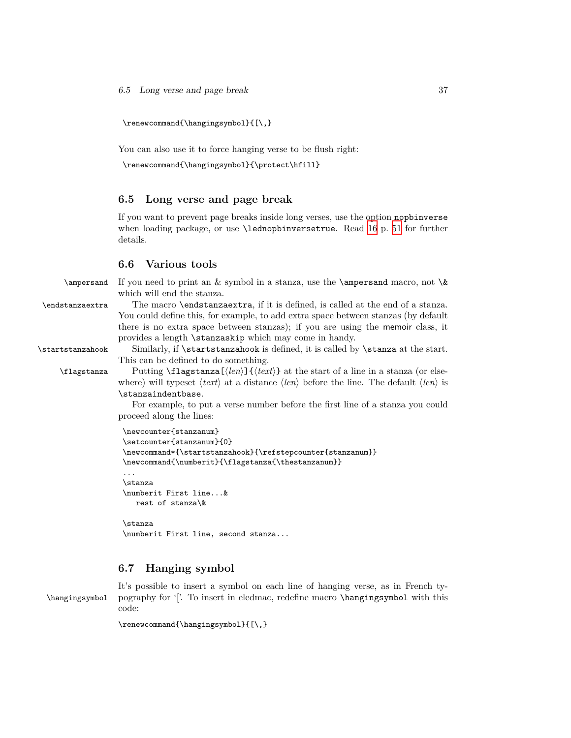\renewcommand{\hangingsymbol}{[\,}

You can also use it to force hanging verse to be flush right:

```
\renewcommand{\hangingsymbol}{\protect\hfill}
```
#### **6.5 Long verse and page break**

If you want to prevent page breaks inside long verses, use the option nopbinverse when loading package, or use \lednopbinversetrue. Read [16](#page-49-0) p. [51](#page-49-0) for further details.

#### **6.6 Various tools**

\ampersand If you need to print an  $&$  symbol in a stanza, use the \ampersand macro, not \& which will end the stanza.

\endstanzaextra The macro \endstanzaextra, if it is defined, is called at the end of a stanza. You could define this, for example, to add extra space between stanzas (by default there is no extra space between stanzas); if you are using the memoir class, it provides a length \stanzaskip which may come in handy.

\startstanzahook Similarly, if \startstanzahook is defined, it is called by \stanza at the start.

This can be defined to do something. \flagstanza Putting \flagstanza[*⟨len⟩*]{*⟨text⟩*} at the start of a line in a stanza (or else-

where) will typeset *⟨text⟩* at a distance *⟨len⟩* before the line. The default *⟨len⟩* is \stanzaindentbase.

For example, to put a verse number before the first line of a stanza you could proceed along the lines:

```
\newcounter{stanzanum}
\setcounter{stanzanum}{0}
\newcommand*{\startstanzahook}{\refstepcounter{stanzanum}}
\newcommand{\numberit}{\flagstanza{\thestanzanum}}
...
\stanza
\numberit First line...&
  rest of stanza\&
\stanza
\numberit First line, second stanza...
```
#### **6.7 Hanging symbol**

It's possible to insert a symbol on each line of hanging verse, as in French ty- \hangingsymbol pography for '['. To insert in eledmac, redefine macro \hangingsymbol with this code:

```
\renewcommand{\hangingsymbol}{[\,}
```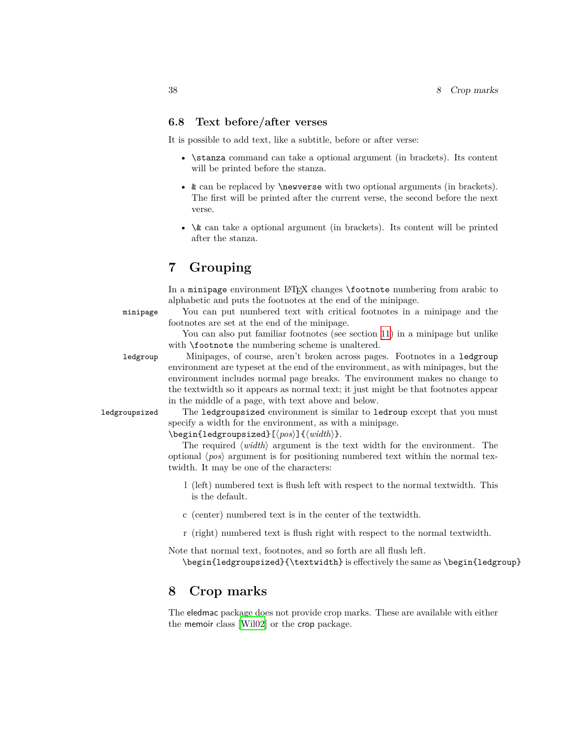#### **6.8 Text before/after verses**

It is possible to add text, like a subtitle, before or after verse:

- \stanza command can take a optional argument (in brackets). Its content will be printed before the stanza.
- & can be replaced by **\newverse** with two optional arguments (in brackets). The first will be printed after the current verse, the second before the next verse.
- $\&$  can take a optional argument (in brackets). Its content will be printed after the stanza.

# **7 Grouping**

In a minipage environment LATEX changes \footnote numbering from arabic to alphabetic and puts the footnotes at the end of the minipage.

minipage You can put numbered text with critical footnotes in a minipage and the footnotes are set at the end of the minipage.

> You can also put familiar footnotes (see section [11\)](#page-41-0) in a minipage but unlike with **\footnote** the numbering scheme is unaltered.

ledgroup Minipages, of course, aren't broken across pages. Footnotes in a ledgroup environment are typeset at the end of the environment, as with minipages, but the environment includes normal page breaks. The environment makes no change to the textwidth so it appears as normal text; it just might be that footnotes appear in the middle of a page, with text above and below.

ledgroupsized The ledgroupsized environment is similar to ledroup except that you must specify a width for the environment, as with a minipage.

\begin{ledgroupsized}[*⟨pos⟩*]{*⟨width⟩*}.

The required *⟨width⟩* argument is the text width for the environment. The optional *⟨pos⟩* argument is for positioning numbered text within the normal textwidth. It may be one of the characters:

- l (left) numbered text is flush left with respect to the normal textwidth. This is the default.
- c (center) numbered text is in the center of the textwidth.
- r (right) numbered text is flush right with respect to the normal textwidth.

Note that normal text, footnotes, and so forth are all flush left. \begin{ledgroupsized}{\textwidth} is effectively the same as \begin{ledgroup}

## **8 Crop marks**

The eledmac package does not provide crop marks. These are available with either the memoir class [\[Wil02\]](#page-263-0) or the crop package.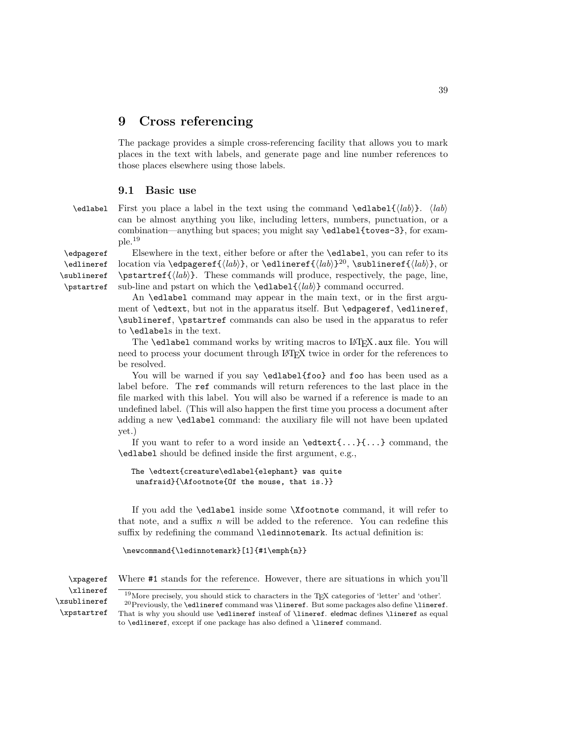## **9 Cross referencing**

The package provides a simple cross-referencing facility that allows you to mark places in the text with labels, and generate page and line number references to those places elsewhere using those labels.

#### **9.1 Basic use**

\edlabel First you place a label in the text using the command \edlabel{*⟨lab⟩*}. *⟨lab⟩* can be almost anything you like, including letters, numbers, punctuation, or a combination—anything but spaces; you might say \edlabel{toves-3}, for example.<sup>19</sup>

\edpageref Elsewhere in the text, either before or after the \edlabel, you can refer to its location via \edpageref{*⟨lab⟩*}, or \edlineref{*⟨lab⟩*} 20 , \sublineref{*⟨lab⟩*}, or \pstartref{*⟨lab⟩*}. These commands will produce, respectively, the page, line, sub-line and pstart on which the \edlabel{*⟨lab⟩*} command occurred.

> An \edlabel command may appear in the main text, or in the first argument of \edtext, but not in the apparatus itself. But \edpageref, \edlineref, \sublineref, \pstartref commands can also be used in the apparatus to refer to \edlabels in the text.

> The **\edlabel** command works by writing macros to L<sup>AT</sup>EX.aux file. You will need to process your document through LATEX twice in order for the references to be resolved.

> You will be warned if you say **\edlabel{foo}** and **foo** has been used as a label before. The ref commands will return references to the last place in the file marked with this label. You will also be warned if a reference is made to an undefined label. (This will also happen the first time you process a document after adding a new \edlabel command: the auxiliary file will not have been updated yet.)

> If you want to refer to a word inside an  $\text{...}\{... \}$  command, the \edlabel should be defined inside the first argument, e.g.,

```
The \edtext{creature\edlabel{elephant} was quite
unafraid}{\Afootnote{Of the mouse, that is.}}
```
If you add the \edlabel inside some \Xfootnote command, it will refer to that note, and a suffix *n* will be added to the reference. You can redefine this suffix by redefining the command \ledinnotemark. Its actual definition is:

```
\newcommand{\ledinnotemark}[1]{#1\emph{n}}
```
\xpageref Where #1 stands for the reference. However, there are situations in which you'll

\xlineref \xsublineref \xpstartref

<sup>20</sup>Previously, the **\edlineref** command was **\lineref**. But some packages also define **\lineref**. That is why you should use \edlineref insteaf of \lineref. eledmac defines \lineref as equal to \edlineref, except if one package has also defined a \lineref command.

\edlineref \sublineref \pstartref

 $19$ More precisely, you should stick to characters in the T<sub>EX</sub> categories of 'letter' and 'other'.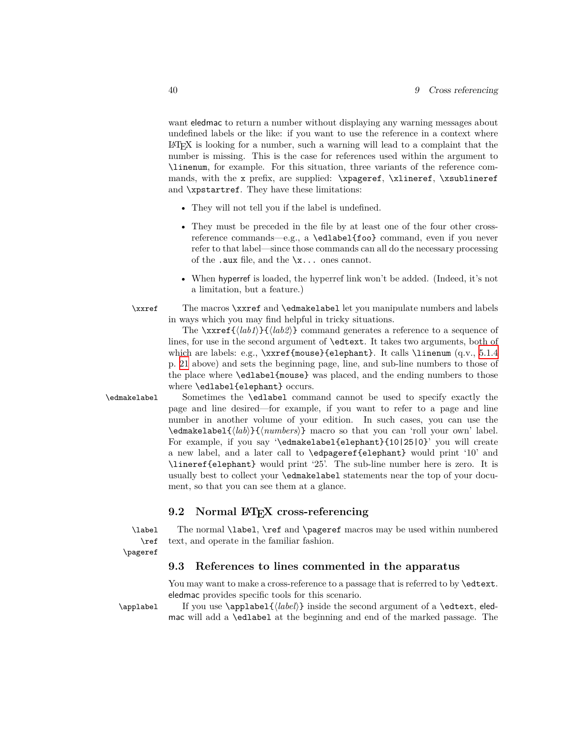want eledmac to return a number without displaying any warning messages about undefined labels or the like: if you want to use the reference in a context where  $\Delta E$ <sub>E</sub>X is looking for a number, such a warning will lead to a complaint that the number is missing. This is the case for references used within the argument to \linenum, for example. For this situation, three variants of the reference commands, with the x prefix, are supplied: \xpageref, \xlineref, \xsublineref and \xpstartref. They have these limitations:

- They will not tell you if the label is undefined.
- They must be preceded in the file by at least one of the four other crossreference commands—e.g., a \edlabel{foo} command, even if you never refer to that label—since those commands can all do the necessary processing of the .aux file, and the  $\lambda x$ ... ones cannot.
- When hyperref is loaded, the hyperref link won't be added. (Indeed, it's not a limitation, but a feature.)
- \xxref The macros \xxref and \edmakelabel let you manipulate numbers and labels in ways which you may find helpful in tricky situations.

The \xxref{*⟨lab1⟩*}{*⟨lab2⟩*} command generates a reference to a sequence of lines, for use in the second argument of \edtext. It takes two arguments, both of which are labels: e.g., \xxref{mouse}{elephant}. It calls \linenum (q.v., [5.1.4](#page-20-0) p. [21](#page-20-0) above) and sets the beginning page, line, and sub-line numbers to those of the place where \edlabel{mouse} was placed, and the ending numbers to those where \edlabel{elephant} occurs.

\edmakelabel Sometimes the \edlabel command cannot be used to specify exactly the page and line desired—for example, if you want to refer to a page and line number in another volume of your edition. In such cases, you can use the \edmakelabel{*⟨lab⟩*}{*⟨numbers⟩*} macro so that you can 'roll your own' label. For example, if you say '\edmakelabel{elephant}{10|25|0}' you will create a new label, and a later call to \edpageref{elephant} would print '10' and \lineref{elephant} would print '25'. The sub-line number here is zero. It is usually best to collect your \edmakelabel statements near the top of your document, so that you can see them at a glance.

#### **9.2 Normal LATEX cross-referencing**

\ref \pageref

\label The normal \label, \ref and \pageref macros may be used within numbered text, and operate in the familiar fashion.

## **9.3 References to lines commented in the apparatus**

You may want to make a cross-reference to a passage that is referred to by **\edtext**. eledmac provides specific tools for this scenario.

\applabel If you use \applabel{*⟨label⟩*} inside the second argument of a \edtext, eledmac will add a \edlabel at the beginning and end of the marked passage. The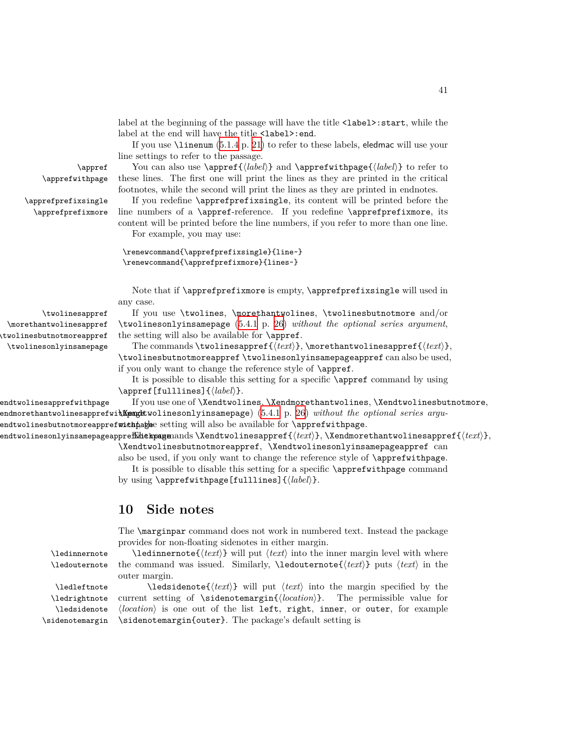label at the beginning of the passage will have the title  $\langle \text{label}\rangle$ : start, while the label at the end will have the title <label>:end.

If you use \linenum [\(5.1.4](#page-20-0) p. [21](#page-20-0)) to refer to these labels, eledmac will use your line settings to refer to the passage.

\appref You can also use \appref{*⟨label⟩*} and \apprefwithpage{*⟨label⟩*} to refer to \apprefwithpage these lines. The first one will print the lines as they are printed in the critical footnotes, while the second will print the lines as they are printed in endnotes.

\apprefprefixsingle If you redefine \apprefprefixsingle, its content will be printed before the \apprefprefixmore line numbers of a \appref-reference. If you redefine \apprefprefixmore, its content will be printed before the line numbers, if you refer to more than one line. For example, you may use:

```
\renewcommand{\apprefprefixsingle}{line~}
\renewcommand{\apprefprefixmore}{lines~}
```
Note that if \apprefprefixmore is empty, \apprefprefixsingle will used in any case.

\twolinesappref If you use \twolines, \morethantwolines, \twolinesbutnotmore and/or \twolinesonlyinsamepage ([5.4.1](#page-24-0) p. [26\)](#page-24-0) *without the optional series argument*, the setting will also be available for \appref.

> The commands \twolinesappref{*⟨text⟩*}, \morethantwolinesappref{*⟨text⟩*}, \twolinesbutnotmoreappref \twolinesonlyinsamepageappref can also be used, if you only want to change the reference style of \appref.

> It is possible to disable this setting for a specific \appref command by using \appref[fulllines]{*⟨label⟩*}.

endtwolinesapprefwithpage If you use one of \Xendtwolines, \Xendmorethantwolines, \Xendtwolinesbutnotmore, endmorethantwolinesapprefwi**thpaget**wolinesonlyinsamepage) [\(5.4.1](#page-24-0) p. [26](#page-24-0)) *without the optional series argu*endtwolinesbutnotmoreapprefwithpagee setting will also be available for **\apprefwithpage**.

\Xendtwolinesonlyinsamepageapprefwithpage The commands \Xendtwolinesappref{*⟨text⟩*}, \Xendmorethantwolinesappref{*⟨text⟩*}, \Xendtwolinesbutnotmoreappref, \Xendtwolinesonlyinsamepageappref can

also be used, if you only want to change the reference style of \apprefwithpage. It is possible to disable this setting for a specific \apprefwithpage command by using \apprefwithpage[fulllines]{*⟨label⟩*}.

## **10 Side notes**

The \marginpar command does not work in numbered text. Instead the package provides for non-floating sidenotes in either margin.

\ledinnernote \ledinnernote{*⟨text⟩*} will put *⟨text⟩* into the inner margin level with where \ledouternote the command was issued. Similarly, \ledouternote{*⟨text⟩*} puts *⟨text⟩* in the outer margin.

```
\ledrightnote
   \ledsidenote
\sidenotemargin
```
\ledleftnote \ledsidenote{*⟨text⟩*} will put *⟨text⟩* into the margin specified by the current setting of \sidenotemargin{*⟨location⟩*}. The permissible value for *⟨location⟩* is one out of the list left, right, inner, or outer, for example \sidenotemargin{outer}. The package's default setting is

\morethantwolinesappref \twolinesbutnotmoreappref \twolinesonlyinsamepage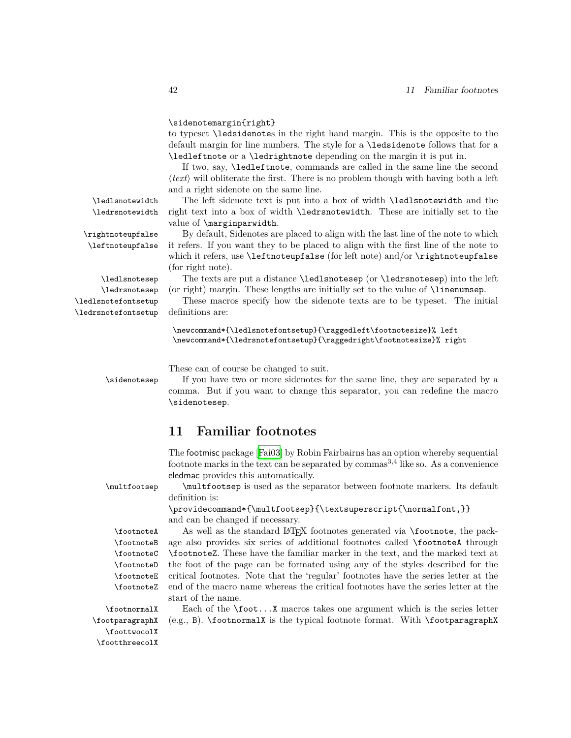#### \sidenotemargin{right}

to typeset \ledsidenotes in the right hand margin. This is the opposite to the default margin for line numbers. The style for a \ledsidenote follows that for a \ledleftnote or a \ledrightnote depending on the margin it is put in.

If two, say, \ledleftnote, commands are called in the same line the second *⟨text⟩* will obliterate the first. There is no problem though with having both a left and a right sidenote on the same line.

\ledlsnotewidth The left sidenote text is put into a box of width \ledlsnotewidth and the \ledrsnotewidth right text into a box of width \ledrsnotewidth. These are initially set to the value of \marginparwidth.

\rightnoteupfalse By default, Sidenotes are placed to align with the last line of the note to which \leftnoteupfalse it refers. If you want they to be placed to align with the first line of the note to which it refers, use **\leftnoteupfalse** (for left note) and/or **\rightnoteupfalse** (for right note).

\ledlsnotesep The texts are put a distance \ledlsnotesep (or \ledrsnotesep) into the left \ledrsnotesep (or right) margin. These lengths are initially set to the value of \linenumsep.

\ledlsnotefontsetup These macros specify how the sidenote texts are to be typeset. The initial

\newcommand\*{\ledlsnotefontsetup}{\raggedleft\footnotesize}% left \newcommand\*{\ledrsnotefontsetup}{\raggedright\footnotesize}% right

These can of course be changed to suit.

\sidenotesep If you have two or more sidenotes for the same line, they are separated by a comma. But if you want to change this separator, you can redefine the macro \sidenotesep.

## <span id="page-41-0"></span>**11 Familiar footnotes**

The footmisc package [\[Fai03\]](#page-263-1) by Robin Fairbairns has an option whereby sequential footnote marks in the text can be separated by commas<sup>3,4</sup> like so. As a convenience eledmac provides this automatically.

\multfootsep \multfootsep is used as the separator between footnote markers. Its default definition is:

> \providecommand\*{\multfootsep}{\textsuperscript{\normalfont,}} and can be changed if necessary.

\footnoteB \footnoteC \footnoteD \footnoteE \footnoteZ

\footnoteA As well as the standard LATEX footnotes generated via \footnote, the pack age also provides six series of additional footnotes called \footnoteA through \footnoteZ. These have the familiar marker in the text, and the marked text at the foot of the page can be formated using any of the styles described for the critical footnotes. Note that the 'regular' footnotes have the series letter at the end of the macro name whereas the critical footnotes have the series letter at the start of the name.

\footparagraphX \foottwocolX \footthreecolX

\footnormalX Each of the \foot...X macros takes one argument which is the series letter (e.g., B). \footnormalX is the typical footnote format. With \footparagraphX

\ledrsnotefontsetup definitions are: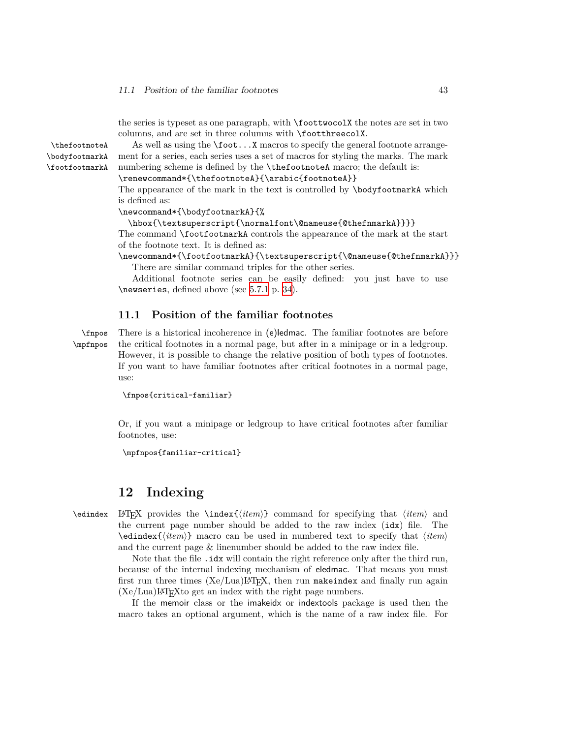the series is typeset as one paragraph, with \foottwocolX the notes are set in two columns, and are set in three columns with \footthreecolX.

\thefootnoteA As well as using the \foot...X macros to specify the general footnote arrange ment for a series, each series uses a set of macros for styling the marks. The mark numbering scheme is defined by the **\thefootnoteA** macro; the default is: \renewcommand\*{\thefootnoteA}{\arabic{footnoteA}}

> The appearance of the mark in the text is controlled by \bodyfootmarkA which is defined as:

\newcommand\*{\bodyfootmarkA}{%

#### \hbox{\textsuperscript{\normalfont\@nameuse{@thefnmarkA}}}}

The command \footfootmarkA controls the appearance of the mark at the start of the footnote text. It is defined as:

\newcommand\*{\footfootmarkA}{\textsuperscript{\@nameuse{@thefnmarkA}}} There are similar command triples for the other series.

Additional footnote series can be easily defined: you just have to use \newseries, defined above (see [5.7.1](#page-33-0) p. [34](#page-33-0)).

#### **11.1 Position of the familiar footnotes**

\fnpos There is a historical incoherence in (e)ledmac. The familiar footnotes are before \mpfnpos the critical footnotes in a normal page, but after in a minipage or in a ledgroup. However, it is possible to change the relative position of both types of footnotes. If you want to have familiar footnotes after critical footnotes in a normal page, use:

\fnpos{critical-familiar}

Or, if you want a minipage or ledgroup to have critical footnotes after familiar footnotes, use:

\mpfnpos{familiar-critical}

## **12 Indexing**

\edindex LATEX provides the \index{*⟨item⟩*} command for specifying that *⟨item⟩* and the current page number should be added to the raw index (idx) file. The \edindex{*⟨item⟩*} macro can be used in numbered text to specify that *⟨item⟩* and the current page & linenumber should be added to the raw index file.

> Note that the file . idx will contain the right reference only after the third run, because of the internal indexing mechanism of eledmac. That means you must first run three times  $(Xe/Lua)IATEX$ , then run makeindex and finally run again  $(Xe/Lua)IATEXto get an index with the right page numbers.$

> If the memoir class or the imakeidx or indextools package is used then the macro takes an optional argument, which is the name of a raw index file. For

\bodyfootmarkA \footfootmarkA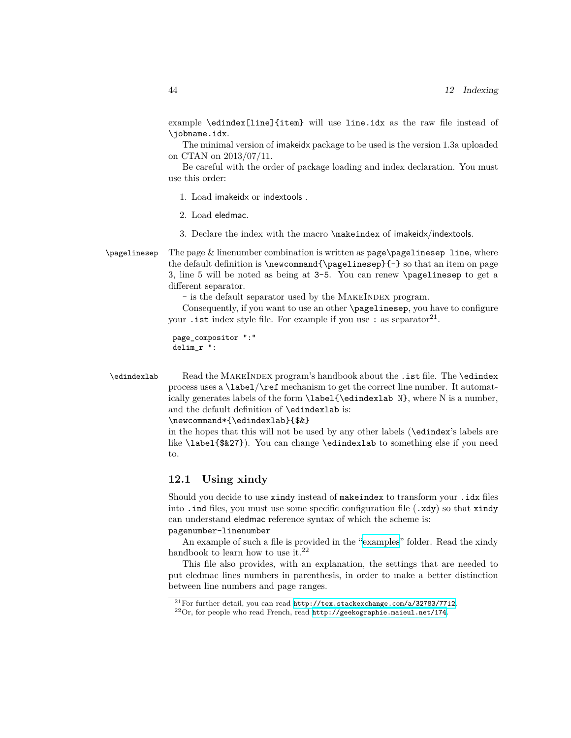example \edindex[line]{item} will use line.idx as the raw file instead of \jobname.idx.

The minimal version of imakeidx package to be used is the version 1.3a uploaded on CTAN on 2013/07/11.

Be careful with the order of package loading and index declaration. You must use this order:

- 1. Load imakeidx or indextools .
- 2. Load eledmac.
- 3. Declare the index with the macro \makeindex of imakeidx/indextools.

 $\text{pagelinesep}$  The page & linenumber combination is written as page $\text{pagelinesep}$  line, where the default definition is \newcommand{\pagelinesep}{-} so that an item on page 3, line 5 will be noted as being at 3-5. You can renew \pagelinesep to get a different separator.

- is the default separator used by the MAKEINDEX program.

Consequently, if you want to use an other \pagelinesep, you have to configure your . ist index style file. For example if you use : as separator<sup>21</sup>.

```
page_compositor ":"
delim_r ":
```
\edindexlab Read the MakeIndex program's handbook about the .ist file. The \edindex process uses a \label/\ref mechanism to get the correct line number. It automatically generates labels of the form \label{\edindexlab N}, where N is a number, and the default definition of \edindexlab is:

\newcommand\*{\edindexlab}{\$&}

in the hopes that this will not be used by any other labels (\edindex's labels are like \label{\$&27}). You can change \edindexlab to something else if you need to.

### **12.1 Using xindy**

Should you decide to use xindy instead of makeindex to transform your .idx files into . ind files, you must use some specific configuration file  $(x\,dy)$  so that xindy can understand eledmac reference syntax of which the scheme is: pagenumber-linenumber

An example of such a file is provided in the ["examples"](examples/.) folder. Read the xindy handbook to learn how to use it.<sup>22</sup>

This file also provides, with an explanation, the settings that are needed to put eledmac lines numbers in parenthesis, in order to make a better distinction between line numbers and page ranges.

<sup>&</sup>lt;sup>21</sup>For further detail, you can read <http://tex.stackexchange.com/a/32783/7712>.

 $^{22}$ Or, for people who read French, read <http://geekographie.maieul.net/174>.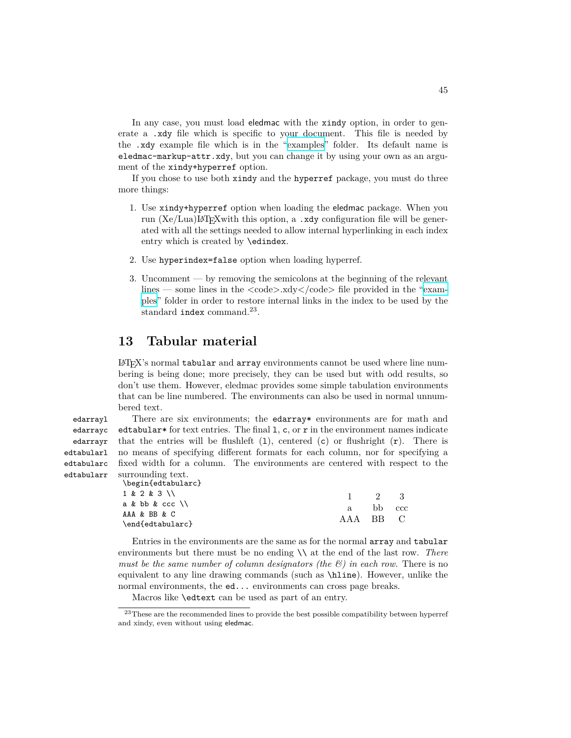In any case, you must load eledmac with the xindy option, in order to generate a .xdy file which is specific to your document. This file is needed by the .xdy example file which is in the ["examples"](examples/.) folder. Its default name is eledmac-markup-attr.xdy, but you can change it by using your own as an argument of the xindy+hyperref option.

If you chose to use both xindy and the hyperref package, you must do three more things:

- 1. Use xindy+hyperref option when loading the eledmac package. When you run  $(Xe/Lua)IAT$ <sub>F</sub>Xwith this option, a .xdy configuration file will be generated with all the settings needed to allow internal hyperlinking in each index entry which is created by \edindex.
- 2. Use hyperindex=false option when loading hyperref.
- 3. Uncomment by removing the semicolons at the beginning of the relevant lines — some lines in the  $\langle \text{code}\rangle$ .xdy $\langle \text{code}\rangle$  file provided in the ["exam](examples/.)[ples](examples/.)" folder in order to restore internal links in the index to be used by the standard index command.<sup>23</sup>.

## **13 Tabular material**

LATEX's normal tabular and array environments cannot be used where line numbering is being done; more precisely, they can be used but with odd results, so don't use them. However, eledmac provides some simple tabulation environments that can be line numbered. The environments can also be used in normal unnumbered text.

edarrayc edarrayr edtabularl edtabularc edtabularr

edarrayl There are six environments; the edarray\* environments are for math and edtabular<sup>\*</sup> for text entries. The final 1, c, or  $r$  in the environment names indicate that the entries will be flushleft  $(1)$ , centered  $(c)$  or flushright  $(r)$ . There is no means of specifying different formats for each column, nor for specifying a fixed width for a column. The environments are centered with respect to the surrounding text.

\begin{edtabularc}

| 1 & 2 & 3 \\     |          | $\frac{1}{2}$ $\frac{2}{3}$ |  |
|------------------|----------|-----------------------------|--|
| a & bb & ccc \\  |          | a bb ccc                    |  |
| AAA & BB & C     | AAA BB C |                             |  |
| \end{edtabularc} |          |                             |  |

Entries in the environments are the same as for the normal array and tabular environments but there must be no ending \\ at the end of the last row. *There must be the same number of column designators (the*  $\mathcal{C}$ *) in each row.* There is no equivalent to any line drawing commands (such as \hline). However, unlike the normal environments, the ed... environments can cross page breaks.

Macros like \edtext can be used as part of an entry.

 $^{23}\mathrm{These}$  are the recommended lines to provide the best possible compatibility between hyperref and xindy, even without using eledmac.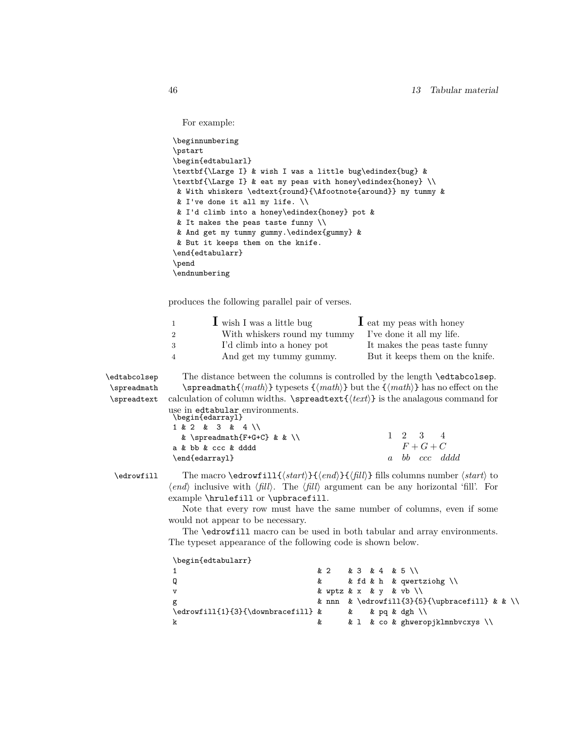```
For example:
```

```
\beginnumbering
\pstart
\begin{edtabularl}
\textbf{\Large I} & wish I was a little bug\edindex{bug} &
\textbf{\Large I} & eat my peas with honey\edindex{honey} \\
& With whiskers \edtext{round}{\Afootnote{around}} my tummy &
& I've done it all my life. \\
& I'd climb into a honey\edindex{honey} pot &
& It makes the peas taste funny \\
& And get my tummy gummy.\edindex{gummy} &
& But it keeps them on the knife.
\end{edtabularr}
\pend
\endnumbering
```
produces the following parallel pair of verses.

|    | $\mathbf 1$ wish I was a little bug | $\mathbf 1$ eat my peas with honey |
|----|-------------------------------------|------------------------------------|
|    | With whiskers round my tummy        | I've done it all my life.          |
| -3 | I'd climb into a honey pot          | It makes the peas taste funny      |
| 4  | And get my tummy gummy.             | But it keeps them on the knife.    |

\edtabcolsep The distance between the columns is controlled by the length \edtabcolsep. \spreadmath \spreadmath{*⟨math⟩*} typesets {*⟨math⟩*} but the {*⟨math⟩*} has no effect on the \spreadtext calculation of column widths. \spreadtext{*⟨text⟩*} is the analagous command for use in edtabular environments. \begin{edarrayl}

|  |  | 1 & 2 & 3 & 4 \\    |  |                             |  |  |  |  |                 |               |
|--|--|---------------------|--|-----------------------------|--|--|--|--|-----------------|---------------|
|  |  |                     |  | & \spreadmath{F+G+C} & & \\ |  |  |  |  | $1 \t2 \t3 \t4$ |               |
|  |  | a & bb & ccc & dddd |  |                             |  |  |  |  | $F+G+C$         |               |
|  |  | \end{edarray1}      |  |                             |  |  |  |  |                 | a bb ccc dddd |

\edrowfill The macro \edrowfill{*⟨start⟩*}{*⟨end⟩*}{*⟨fill⟩*} fills columns number *⟨start⟩* to *⟨end⟩* inclusive with *⟨fill⟩*. The *⟨fill⟩* argument can be any horizontal 'fill'. For example \hrulefill or \upbracefill.

> Note that every row must have the same number of columns, even if some would not appear to be necessary.

> The \edrowfill macro can be used in both tabular and array environments. The typeset appearance of the following code is shown below.

\begin{edtabularr} 1 & 2 & 3 & 4 & 5 \\ Q & & fd & h & qwertziohg \\ v  $\begin{array}{ccc} \texttt{v} & \texttt{k} & \texttt{wptz} & \texttt{k} & \texttt{x} & \texttt{w} & \texttt{w} & \texttt{w} & \texttt{w} & \texttt{w} & \texttt{w} & \texttt{w} & \texttt{w} & \texttt{w} & \texttt{w} & \texttt{w} & \texttt{w} & \texttt{w} & \texttt{w} & \texttt{w} & \texttt{w} & \texttt{w} & \texttt{w} & \texttt{w} & \texttt{w} & \texttt{w} & \texttt{w} & \texttt{w} & \texttt{w} & \texttt{w} & \text$ g  $\&$  nn  $\&$  \edrowfill{3}{5}{\upbracefill}  $\&$   $\&$  \  $\edrowfill{1}{3}{\down}$  & & pq & dgh  $\setminus$ k & & l & co & ghweropjklmnbvcxys \\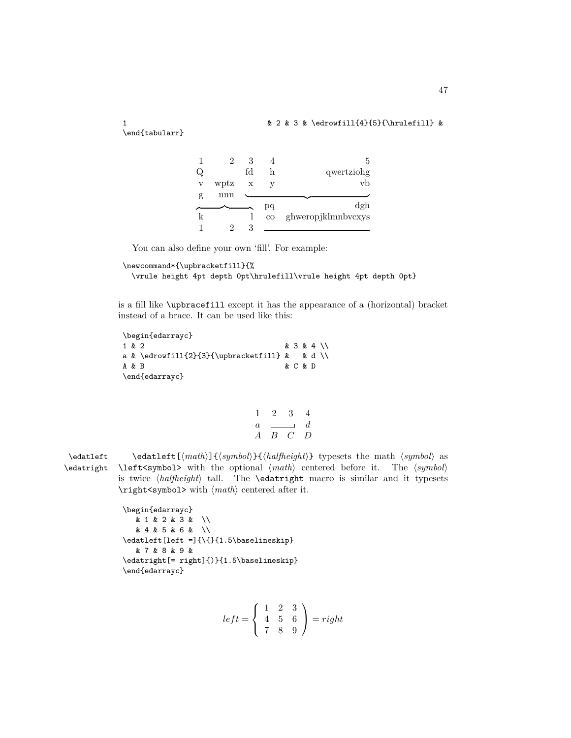1 & 2 & 3 & \edrowfill{4}{5}{\hrulefill} &

\end{tabularr}

|   |      |    |             | 5                  |
|---|------|----|-------------|--------------------|
|   |      | fд | h           | qwertziong         |
| V | wptz | X  |             | vb                 |
| g | nnn  |    |             |                    |
|   |      |    |             |                    |
|   |      |    | рq          | dgh                |
|   |      |    | $_{\rm co}$ | ghweropjklmnbvcxys |

You can also define your own 'fill'. For example:

```
\newcommand*{\upbracketfill}{%
```
\vrule height 4pt depth 0pt\hrulefill\vrule height 4pt depth 0pt}

is a fill like \upbracefill except it has the appearance of a (horizontal) bracket instead of a brace. It can be used like this:

```
\begin{edarrayc}
1 & 2 & 3 & 4 \\
a & \edrowfill{2}{3}{\upbracketfill} & & d \\
A & B & C & D
\end{edarrayc}
```

$$
\begin{array}{ccccc}\n1 & 2 & 3 & 4 \\
a & \downarrow \qquad & d \\
A & B & C & D\n\end{array}
$$

\edatleft \edatleft[*⟨math⟩*]{*⟨symbol⟩*}{*⟨halfheight⟩*} typesets the math *⟨symbol⟩* as \edatright \left<symbol> with the optional *⟨math⟩* centered before it. The *⟨symbol⟩* is twice *⟨halfheight⟩* tall. The \edatright macro is similar and it typesets \right<symbol> with *⟨math⟩* centered after it.

```
\begin{edarrayc}
  & 1 & 2 & 3 & \\
  & 4 & 5 & 6 & \\
\edatleft[left =]{\{}{1.5\baselineskip}
  & 7 & 8 & 9 &
\edatright[= right]{)}{1.5\baselineskip}
\end{edarrayc}
```

$$
left = \left\{ \begin{array}{ccc} 1 & 2 & 3 \\ 4 & 5 & 6 \\ 7 & 8 & 9 \end{array} \right\} = right
$$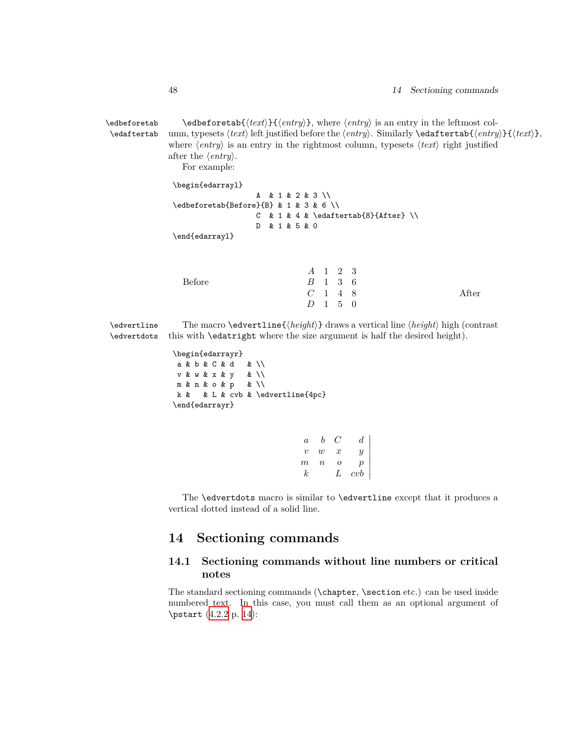\edbeforetab \edbeforetab{*⟨text⟩*}{*⟨entry⟩*}, where *⟨entry⟩* is an entry in the leftmost col- \edaftertab umn, typesets *⟨text⟩* left justified before the *⟨entry⟩*. Similarly \edaftertab{*⟨entry⟩*}{*⟨text⟩*}, where *⟨entry⟩* is an entry in the rightmost column, typesets *⟨text⟩* right justified after the *⟨entry⟩*.

For example:

\begin{edarrayl} A & 1 & 2 & 3 \\ \edbeforetab{Before}{B} & 1 & 3 & 6 \\ C & 1 & 4 & \edaftertab{8}{After} \\ D & 1 & 5 & 0 \end{edarrayl}

|               | A 1 2 3                     |  |       |
|---------------|-----------------------------|--|-------|
| <b>Before</b> | $B \quad 1 \quad 3 \quad 6$ |  |       |
|               | $C$ 1 4 8                   |  | After |
|               | $D \quad 1 \quad 5 \quad 0$ |  |       |

\edvertline The macro \edvertline{*⟨height⟩*} draws a vertical line *⟨height⟩* high (contrast \edvertdots this with \edatright where the size argument is half the desired height).

> \begin{edarrayr} a & b & C & d & \\ v & w & x & y & \\ m & n & o & p & \\ k & & L & cvb & \edvertline{4pc} \end{edarrayr}

> > *a b C d v w x y m n o p k L cvb*  $\overline{\phantom{a}}$  $\overline{\phantom{a}}$  $\overline{\phantom{a}}$  $\overline{\phantom{a}}$  $\overline{\phantom{a}}$  $\overline{\phantom{a}}$  $\overline{\phantom{a}}$  $\overline{\phantom{a}}$

The \edvertdots macro is similar to \edvertline except that it produces a vertical dotted instead of a solid line.

## **14 Sectioning commands**

## **14.1 Sectioning commands without line numbers or critical notes**

The standard sectioning commands (\chapter, \section etc.) can be used inside numbered text. In this case, you must call them as an optional argument of \pstart [\(4.2.2](#page-13-0) p. [14\)](#page-13-0):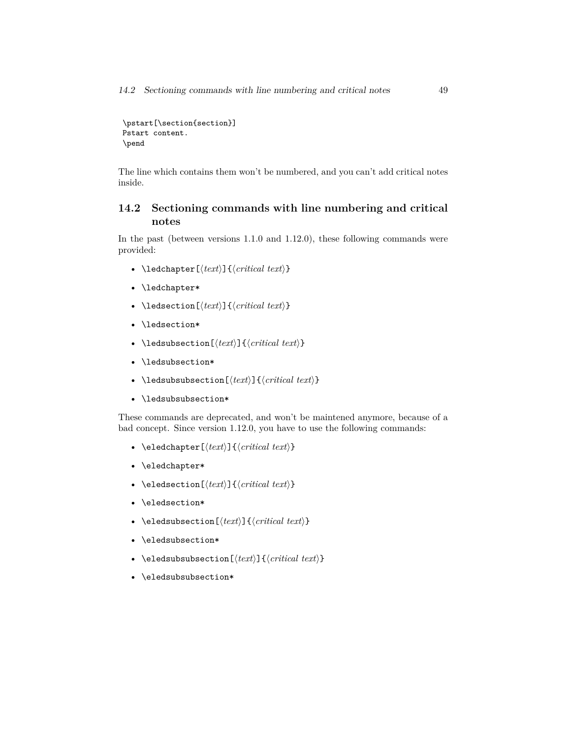*14.2 Sectioning commands with line numbering and critical notes* 49

```
\pstart[\section{section}]
Pstart content.
\pend
```
The line which contains them won't be numbered, and you can't add critical notes inside.

## **14.2 Sectioning commands with line numbering and critical notes**

In the past (between versions 1.1.0 and 1.12.0), these following commands were provided:

- \ledchapter[*⟨text⟩*]{*⟨critical text⟩*}
- \ledchapter\*
- \ledsection[*⟨text⟩*]{*⟨critical text⟩*}
- \ledsection\*
- \ledsubsection[*⟨text⟩*]{*⟨critical text⟩*}
- \ledsubsection\*
- \ledsubsubsection[*⟨text⟩*]{*⟨critical text⟩*}
- \ledsubsubsection\*

These commands are deprecated, and won't be maintened anymore, because of a bad concept. Since version 1.12.0, you have to use the following commands:

- \eledchapter[*⟨text⟩*]{*⟨critical text⟩*}
- \eledchapter\*
- \eledsection[*⟨text⟩*]{*⟨critical text⟩*}
- \eledsection\*
- \eledsubsection[*⟨text⟩*]{*⟨critical text⟩*}
- \eledsubsection\*
- \eledsubsubsection[*⟨text⟩*]{*⟨critical text⟩*}
- \eledsubsubsection\*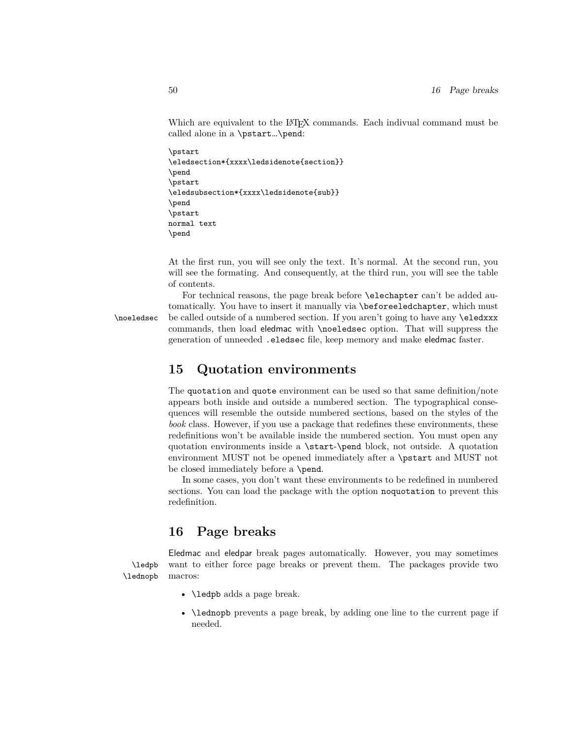Which are equivalent to the LAT<sub>EX</sub> commands. Each indivual command must be called alone in a \pstart…\pend:

```
\pstart
\eledsection*{xxxx\ledsidenote{section}}
\pend
\pstart
\eledsubsection*{xxxx\ledsidenote{sub}}
\pend
\pstart
normal text
\pend
```
At the first run, you will see only the text. It's normal. At the second run, you will see the formating. And consequently, at the third run, you will see the table of contents.

For technical reasons, the page break before \elechapter can't be added automatically. You have to insert it manually via \beforeeledchapter, which must \noeledsec be called outside of a numbered section. If you aren't going to have any \eledxxx commands, then load eledmac with \noeledsec option. That will suppress the generation of unneeded .eledsec file, keep memory and make eledmac faster.

## **15 Quotation environments**

The quotation and quote environment can be used so that same definition/note appears both inside and outside a numbered section. The typographical consequences will resemble the outside numbered sections, based on the styles of the *book* class. However, if you use a package that redefines these environments, these redefinitions won't be available inside the numbered section. You must open any quotation environments inside a \start-\pend block, not outside. A quotation environment MUST not be opened immediately after a \pstart and MUST not be closed immediately before a \pend.

In some cases, you don't want these environments to be redefined in numbered sections. You can load the package with the option noquotation to prevent this redefinition.

## <span id="page-49-0"></span>**16 Page breaks**

Eledmac and eledpar break pages automatically. However, you may sometimes \ledpb want to either force page breaks or prevent them. The packages provide two \lednopb macros:

• \ledpb adds a page break.

• \lednopb prevents a page break, by adding one line to the current page if needed.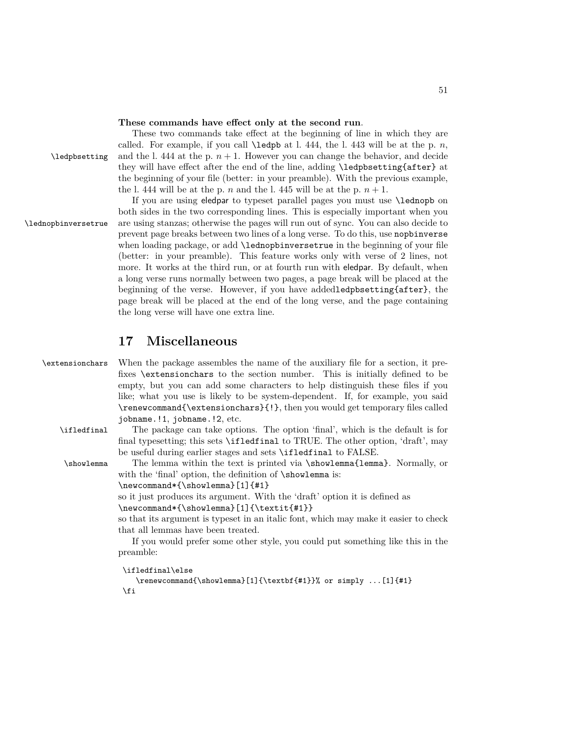#### **These commands have effect only at the second run**.

These two commands take effect at the beginning of line in which they are called. For example, if you call  $\leq$  at l. 444, the l. 443 will be at the p. *n*,  $\lambda$  ledpbsetting and the l. 444 at the p.  $n + 1$ . However you can change the behavior, and decide they will have effect after the end of the line, adding \ledpbsetting{after} at the beginning of your file (better: in your preamble). With the previous example, the l. 444 will be at the p. *n* and the l. 445 will be at the p.  $n + 1$ .

If you are using eledpar to typeset parallel pages you must use \lednopb on both sides in the two corresponding lines. This is especially important when you \lednopbinversetrue are using stanzas; otherwise the pages will run out of sync. You can also decide to prevent page breaks between two lines of a long verse. To do this, use nopbinverse when loading package, or add \lednopbinversetrue in the beginning of your file (better: in your preamble). This feature works only with verse of 2 lines, not more. It works at the third run, or at fourth run with eledpar. By default, when a long verse runs normally between two pages, a page break will be placed at the beginning of the verse. However, if you have addedledpbsetting{after}, the page break will be placed at the end of the long verse, and the page containing the long verse will have one extra line.

## **17 Miscellaneous**

\extensionchars When the package assembles the name of the auxiliary file for a section, it prefixes \extensionchars to the section number. This is initially defined to be empty, but you can add some characters to help distinguish these files if you like; what you use is likely to be system-dependent. If, for example, you said \renewcommand{\extensionchars}{!}, then you would get temporary files called jobname.!1, jobname.!2, etc.

\ifledfinal The package can take options. The option 'final', which is the default is for final typesetting; this sets \ifledfinal to TRUE. The other option, 'draft', may be useful during earlier stages and sets \ifledfinal to FALSE.

\showlemma The lemma within the text is printed via \showlemma{lemma}. Normally, or with the 'final' option, the definition of  $\s$ howlemma is:

\newcommand\*{\showlemma}[1]{#1}

so it just produces its argument. With the 'draft' option it is defined as

\newcommand\*{\showlemma}[1]{\textit{#1}}

so that its argument is typeset in an italic font, which may make it easier to check that all lemmas have been treated.

If you would prefer some other style, you could put something like this in the preamble:

```
\ifledfinal\else
```

```
\renewcommand{\showlemma}[1]{\textbf{#1}}% or simply ...[1]{#1}
\fi
```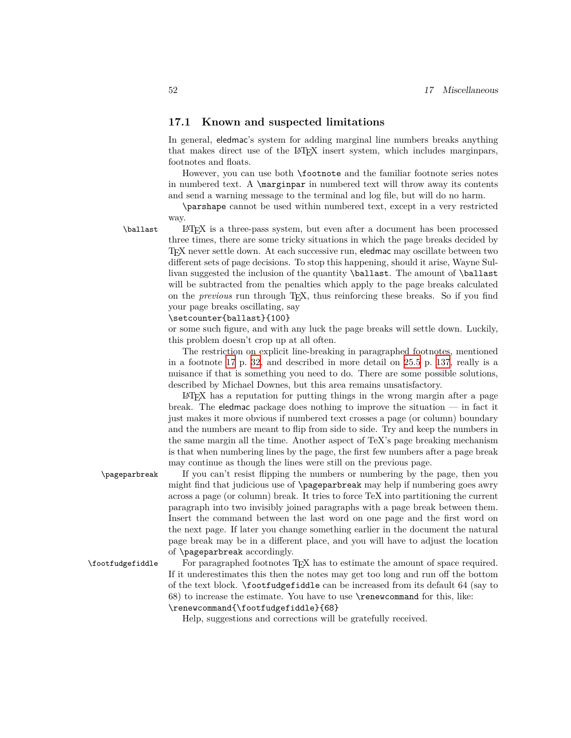#### **17.1 Known and suspected limitations**

In general, eledmac's system for adding marginal line numbers breaks anything that makes direct use of the LATEX insert system, which includes marginpars, footnotes and floats.

However, you can use both \footnote and the familiar footnote series notes in numbered text. A \marginpar in numbered text will throw away its contents and send a warning message to the terminal and log file, but will do no harm.

\parshape cannot be used within numbered text, except in a very restricted way.

\ballast LATEX is a three-pass system, but even after a document has been processed three times, there are some tricky situations in which the page breaks decided by TEX never settle down. At each successive run, eledmac may oscillate between two different sets of page decisions. To stop this happening, should it arise, Wayne Sullivan suggested the inclusion of the quantity \ballast. The amount of \ballast will be subtracted from the penalties which apply to the page breaks calculated on the *previous* run through TEX, thus reinforcing these breaks. So if you find your page breaks oscillating, say

\setcounter{ballast}{100}

or some such figure, and with any luck the page breaks will settle down. Luckily, this problem doesn't crop up at all often.

The restriction on explicit line-breaking in paragraphed footnotes, mentioned in a footnote [17](#page-31-0) p. [32](#page-31-0), and described in more detail on [25.5](#page-136-0) p. [137,](#page-136-0) really is a nuisance if that is something you need to do. There are some possible solutions, described by Michael Downes, but this area remains unsatisfactory.

LATEX has a reputation for putting things in the wrong margin after a page break. The eledmac package does nothing to improve the situation  $\overline{\phantom{a}}$  in fact it just makes it more obvious if numbered text crosses a page (or column) boundary and the numbers are meant to flip from side to side. Try and keep the numbers in the same margin all the time. Another aspect of TeX's page breaking mechanism is that when numbering lines by the page, the first few numbers after a page break may continue as though the lines were still on the previous page.

\pageparbreak If you can't resist flipping the numbers or numbering by the page, then you might find that judicious use of \pageparbreak may help if numbering goes awry across a page (or column) break. It tries to force TeX into partitioning the current paragraph into two invisibly joined paragraphs with a page break between them. Insert the command between the last word on one page and the first word on the next page. If later you change something earlier in the document the natural page break may be in a different place, and you will have to adjust the location of \pageparbreak accordingly.

\footfudgefiddle For paragraphed footnotes TEX has to estimate the amount of space required. If it underestimates this then the notes may get too long and run off the bottom of the text block. \footfudgefiddle can be increased from its default 64 (say to 68) to increase the estimate. You have to use \renewcommand for this, like: \renewcommand{\footfudgefiddle}{68}

Help, suggestions and corrections will be gratefully received.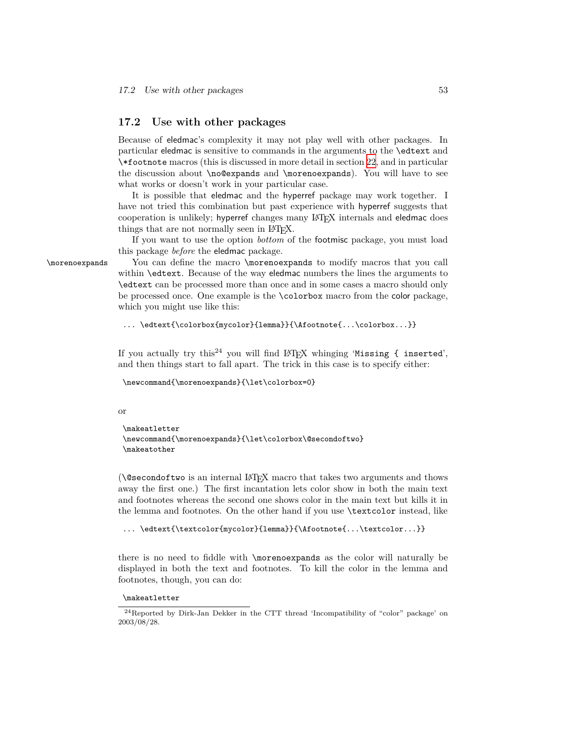#### **17.2 Use with other packages**

Because of eledmac's complexity it may not play well with other packages. In particular eledmac is sensitive to commands in the arguments to the \edtext and \\*footnote macros (this is discussed in more detail in section [22](#page-90-0), and in particular the discussion about \no@expands and \morenoexpands). You will have to see what works or doesn't work in your particular case.

It is possible that eledmac and the hyperref package may work together. I have not tried this combination but past experience with hyperref suggests that cooperation is unlikely; hyperref changes many LATEX internals and eledmac does things that are not normally seen in LAT<sub>EX</sub>.

If you want to use the option *bottom* of the footmisc package, you must load this package *before* the eledmac package.

\morenoexpands You can define the macro \morenoexpands to modify macros that you call within \edtext. Because of the way eledmac numbers the lines the arguments to \edtext can be processed more than once and in some cases a macro should only be processed once. One example is the \colorbox macro from the color package, which you might use like this:

```
... \edtext{\colorbox{mycolor}{lemma}}{\Afootnote{...\colorbox...}}
```
If you actually try this<sup>24</sup> you will find LAT<sub>E</sub>X whinging 'Missing { inserted', and then things start to fall apart. The trick in this case is to specify either:

```
\newcommand{\morenoexpands}{\let\colorbox=0}
```
#### or

```
\makeatletter
\newcommand{\morenoexpands}{\let\colorbox\@secondoftwo}
\makeatother
```
(\@secondoftwo is an internal LATEX macro that takes two arguments and thows away the first one.) The first incantation lets color show in both the main text and footnotes whereas the second one shows color in the main text but kills it in the lemma and footnotes. On the other hand if you use \textcolor instead, like

```
... \edtext{\textcolor{mycolor}{lemma}}{\Afootnote{...\textcolor...}}
```
there is no need to fiddle with \morenoexpands as the color will naturally be displayed in both the text and footnotes. To kill the color in the lemma and footnotes, though, you can do:

```
\makeatletter
```
<sup>24</sup>Reported by Dirk-Jan Dekker in the CTT thread 'Incompatibility of "color" package' on 2003/08/28.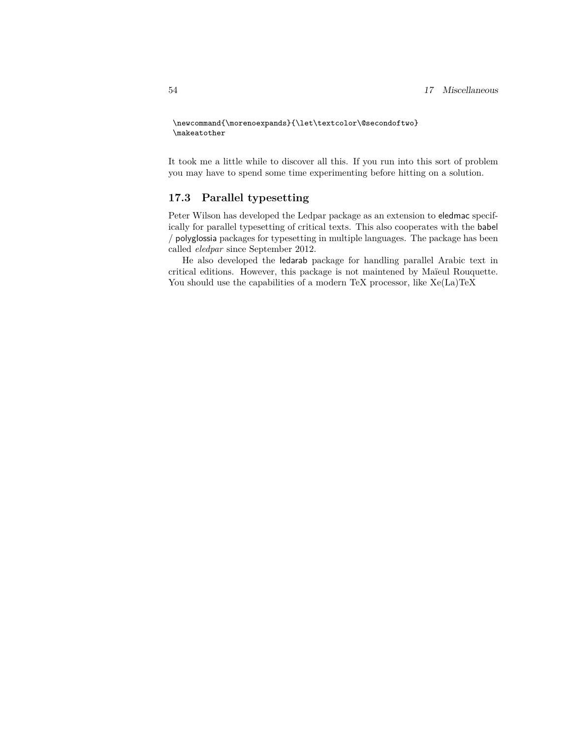```
\newcommand{\morenoexpands}{\let\textcolor\@secondoftwo}
\makeatother
```
It took me a little while to discover all this. If you run into this sort of problem you may have to spend some time experimenting before hitting on a solution.

#### **17.3 Parallel typesetting**

Peter Wilson has developed the Ledpar package as an extension to eledmac specifically for parallel typesetting of critical texts. This also cooperates with the babel / polyglossia packages for typesetting in multiple languages. The package has been called *eledpar* since September 2012.

He also developed the ledarab package for handling parallel Arabic text in critical editions. However, this package is not maintened by Maïeul Rouquette. You should use the capabilities of a modern TeX processor, like  $Xe(La)TeX$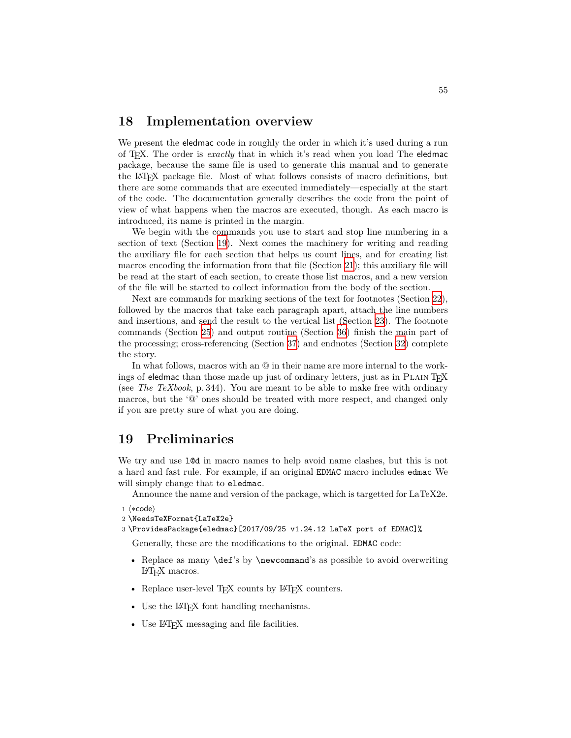## **18 Implementation overview**

We present the eledmac code in roughly the order in which it's used during a run of TEX. The order is *exactly* that in which it's read when you load The eledmac package, because the same file is used to generate this manual and to generate the LATEX package file. Most of what follows consists of macro definitions, but there are some commands that are executed immediately—especially at the start of the code. The documentation generally describes the code from the point of view of what happens when the macros are executed, though. As each macro is introduced, its name is printed in the margin.

We begin with the commands you use to start and stop line numbering in a section of text (Section [19](#page-54-0)). Next comes the machinery for writing and reading the auxiliary file for each section that helps us count lines, and for creating list macros encoding the information from that file (Section [21\)](#page-66-0); this auxiliary file will be read at the start of each section, to create those list macros, and a new version of the file will be started to collect information from the body of the section.

Next are commands for marking sections of the text for footnotes (Section [22\)](#page-90-0), followed by the macros that take each paragraph apart, attach the line numbers and insertions, and send the result to the vertical list (Section [23](#page-103-0)). The footnote commands (Section [25](#page-121-0)) and output routine (Section [36\)](#page-183-0) finish the main part of the processing; cross-referencing (Section [37](#page-189-0)) and endnotes (Section [32\)](#page-162-0) complete the story.

In what follows, macros with an @ in their name are more internal to the workings of eledmac than those made up just of ordinary letters, just as in PLAIN T<sub>EX</sub> (see *The TeXbook*, p. 344). You are meant to be able to make free with ordinary macros, but the '@' ones should be treated with more respect, and changed only if you are pretty sure of what you are doing.

## <span id="page-54-0"></span>**19 Preliminaries**

We try and use l@d in macro names to help avoid name clashes, but this is not a hard and fast rule. For example, if an original EDMAC macro includes edmac We will simply change that to eledmac.

Announce the name and version of the package, which is targetted for LaTeX2e.

```
1 ⟨∗code⟩
```

```
2 \NeedsTeXFormat{LaTeX2e}
```
3 \ProvidesPackage{eledmac}[2017/09/25 v1.24.12 LaTeX port of EDMAC]%

Generally, these are the modifications to the original. EDMAC code:

- Replace as many **\def**'s by **\newcommand**'s as possible to avoid overwriting LATEX macros.
- Replace user-level T<sub>E</sub>X counts by L<sup>4</sup>T<sub>E</sub>X counters.
- Use the LAT<sub>EX</sub> font handling mechanisms.
- Use IAT<sub>F</sub>X messaging and file facilities.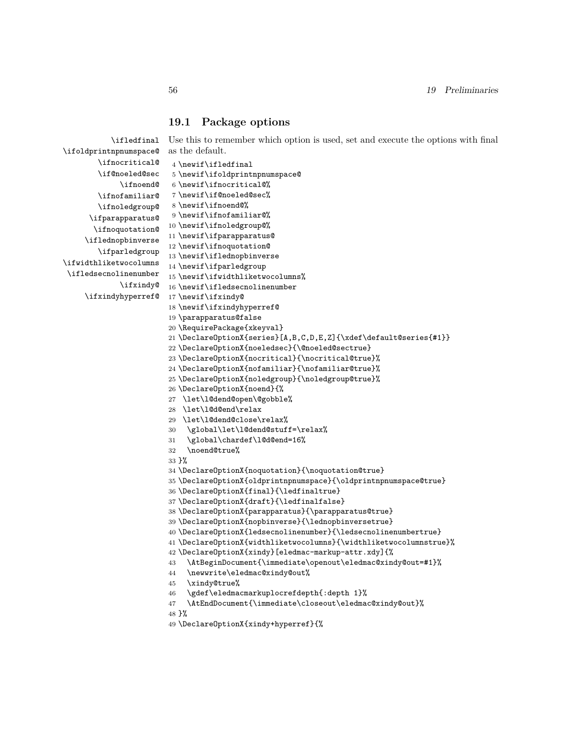#### **19.1 Package options**

\ifledfinal Use this to remember which option is used, set and execute the options with final as the default.

```
\ifoldprintnpnumspace@
        \ifnocritical@
       \if@noeled@sec
             \ifnoend@
        \ifnofamiliar@
        \ifnoledgroup@
      \ifparapparatus@
      \ifnoquotation@
     \iflednopbinverse
        \ifparledgroup
\ifwidthliketwocolumns
\ifledsecnolinenumber
             \ifxindy@
    \ifxindyhyperref@
                         4 \newif\ifledfinal
                        5 \newif\ifoldprintnpnumspace@
                       6 \newif\ifnocritical@%
                       7 \newif\if@noeled@sec%
                        8 \newif\ifnoend@%
                         9 \newif\ifnofamiliar@%
                        10 \newif\ifnoledgroup@%
                        11 \newif\ifparapparatus@
                        12 \newif\ifnoquotation@
                        13 \newif\iflednopbinverse
                        14 \newif\ifparledgroup
                        15 \newif\ifwidthliketwocolumns%
                        16 \newif\ifledsecnolinenumber
                        17 \newif\ifxindy@
                        18 \newif\ifxindyhyperref@
                        19 \parapparatus@false
                        20 \RequirePackage{xkeyval}
                        21 \DeclareOptionX{series}[A,B,C,D,E,Z]{\xdef\default@series{#1}}
                        22 \DeclareOptionX{noeledsec}{\@noeled@sectrue}
                        23 \DeclareOptionX{nocritical}{\nocritical@true}%
                        24 \DeclareOptionX{nofamiliar}{\nofamiliar@true}%
                        25 \DeclareOptionX{noledgroup}{\noledgroup@true}%
                        26 \DeclareOptionX{noend}{%
                        27 \let\l@dend@open\@gobble%
                        28 \let\l@d@end\relax
                        29 \let\l@dend@close\relax%
                        30 \global\let\l@dend@stuff=\relax%
                        31 \global\chardef\l@d@end=16%
                        32 \noend@true%
                        33 }%
                        34 \DeclareOptionX{noquotation}{\noquotation@true}
                        35 \DeclareOptionX{oldprintnpnumspace}{\oldprintnpnumspace@true}
                        36 \DeclareOptionX{final}{\ledfinaltrue}
                        37 \DeclareOptionX{draft}{\ledfinalfalse}
                        38 \DeclareOptionX{parapparatus}{\parapparatus@true}
                        39 \DeclareOptionX{nopbinverse}{\lednopbinversetrue}
                        40 \DeclareOptionX{ledsecnolinenumber}{\ledsecnolinenumbertrue}
                        41 \DeclareOptionX{widthliketwocolumns}{\widthliketwocolumnstrue}%
                        42 \DeclareOptionX{xindy}[eledmac-markup-attr.xdy]{%
                        43 \AtBeginDocument{\immediate\openout\eledmac@xindy@out=#1}%
                        44 \newwrite\eledmac@xindy@out%
                        45 \xindy@true%
                        46 \gdef\eledmacmarkuplocrefdepth{:depth 1}%
                        47 \AtEndDocument{\immediate\closeout\eledmac@xindy@out}%
                        48 }%
```
\DeclareOptionX{xindy+hyperref}{%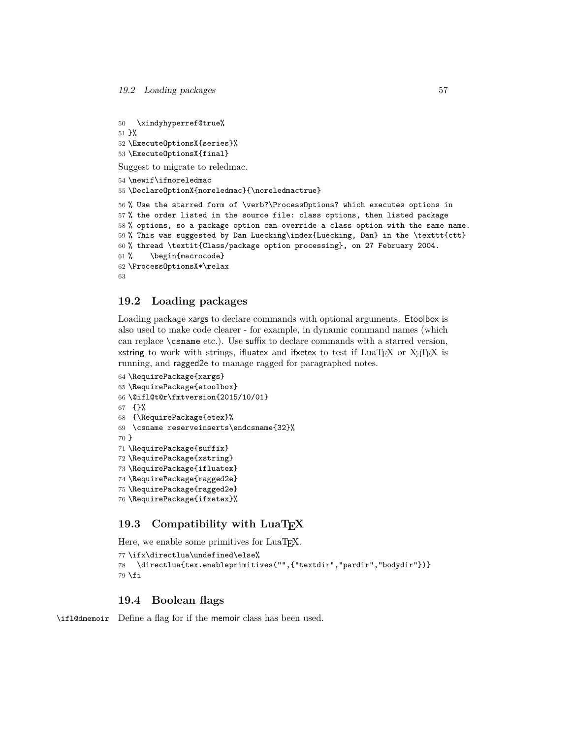```
50 \xindyhyperref@true%
51 }%
52 \ExecuteOptionsX{series}%
53 \ExecuteOptionsX{final}
Suggest to migrate to reledmac.
54 \newif\ifnoreledmac
55 \DeclareOptionX{noreledmac}{\noreledmactrue}
56 % Use the starred form of \verb?\ProcessOptions? which executes options in
57 % the order listed in the source file: class options, then listed package
58 % options, so a package option can override a class option with the same name.
59 % This was suggested by Dan Luecking\index{Luecking, Dan} in the \texttt{ctt}
60 % thread \textit{Class/package option processing}, on 27 February 2004.
61 % \begin{macrocode}
62 \ProcessOptionsX*\relax
63
```
#### **19.2 Loading packages**

Loading package xargs to declare commands with optional arguments. Etoolbox is also used to make code clearer - for example, in dynamic command names (which can replace \csname etc.). Use suffix to declare commands with a starred version, xstring to work with strings, ifluatex and ifxetex to test if LuaTEX or XATEX is running, and ragged2e to manage ragged for paragraphed notes.

```
64 \RequirePackage{xargs}
65 \RequirePackage{etoolbox}
66 \@ifl@t@r\fmtversion{2015/10/01}
67 {}%
68 {\RequirePackage{etex}%
69 \csname reserveinserts\endcsname{32}%
70 }
71 \RequirePackage{suffix}
72 \RequirePackage{xstring}
73 \RequirePackage{ifluatex}
74 \RequirePackage{ragged2e}
75 \RequirePackage{ragged2e}
76 \RequirePackage{ifxetex}%
```
## 19.3 Compatibility with LuaT<sub>E</sub>X

Here, we enable some primitives for LuaT<sub>EX</sub>.

```
77 \ifx\directlua\undefined\else%
78 \directlua{tex.enableprimitives("",{"textdir","pardir","bodydir"})}
79 \fi
```
#### **19.4 Boolean flags**

\ifl@dmemoir Define a flag for if the memoir class has been used.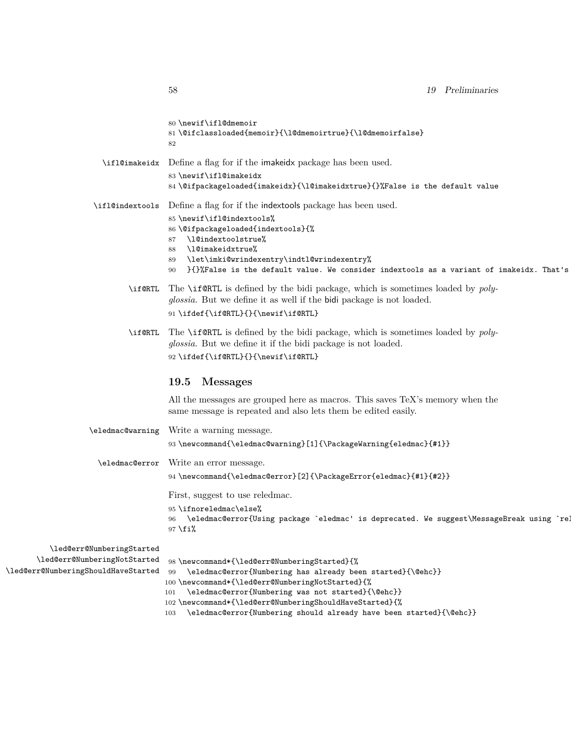|                                                                     | 80\newif\ifl@dmemoir<br>81\@ifclassloaded{memoir}{\l@dmemoirtrue}{\l@dmemoirfalse}<br>82                                                                                                                                                                                                                                                      |
|---------------------------------------------------------------------|-----------------------------------------------------------------------------------------------------------------------------------------------------------------------------------------------------------------------------------------------------------------------------------------------------------------------------------------------|
|                                                                     | \ifl@imakeidx Define a flag for if the imakeidx package has been used.<br>83 \newif\ifl@imakeidx                                                                                                                                                                                                                                              |
|                                                                     | 84\@ifpackageloaded{imakeidx}{\l@imakeidxtrue}{}%False is the default value                                                                                                                                                                                                                                                                   |
|                                                                     | \ifl@indextools  Define a flag for if the indextools package has been used.<br>85 \newif\ifl@indextools%<br>86 \@ifpackageloaded{indextools}{%<br>87 \l@indextoolstrue%<br>88 \10imakeidxtrue%<br>89 \let\imki@wrindexentry\indtl@wrindexentry%<br>90 }{}%False is the default value. We consider indextools as a variant of imakeidx. That's |
|                                                                     | \if@RTL The \if@RTL is defined by the bidi package, which is sometimes loaded by poly-<br>glossia. But we define it as well if the bidi package is not loaded.<br>91 \ifdef{\if@RTL}{}{\newif\if@RTL}                                                                                                                                         |
|                                                                     | \if@RTL The \if@RTL is defined by the bidi package, which is sometimes loaded by poly-<br>glossia. But we define it if the bidi package is not loaded.<br>92\ifdef{\if@RTL}{}{\newif\if@RTL}                                                                                                                                                  |
|                                                                     | 19.5 Messages                                                                                                                                                                                                                                                                                                                                 |
|                                                                     | All the messages are grouped here as macros. This saves TeX's memory when the<br>same message is repeated and also lets them be edited easily.                                                                                                                                                                                                |
|                                                                     | \eledmac@warning Write a warning message.<br>93\newcommand{\eledmac@warning}[1]{\PackageWarning{eledmac}{#1}}                                                                                                                                                                                                                                 |
|                                                                     | \eledmac@error Write an error message.                                                                                                                                                                                                                                                                                                        |
|                                                                     | 94 \newcommand{\eledmac@error}[2]{\PackageError{eledmac}{#1}{#2}}                                                                                                                                                                                                                                                                             |
|                                                                     | First, suggest to use reledmac.                                                                                                                                                                                                                                                                                                               |
|                                                                     | 95 \ifnoreledmac\else%<br>96 \eledmac@error{Using package `eledmac' is deprecated. We suggest\MessageBreak using `re!<br>$97$ \fi%                                                                                                                                                                                                            |
| \led@err@NumberingStarted                                           |                                                                                                                                                                                                                                                                                                                                               |
| \led@err@NumberingNotStarted<br>\led@err@NumberingShouldHaveStarted | 98\newcommand*{\led@err@NumberingStarted}{%<br>99 \eledmac@error{Numbering has already been started}{\@ehc}}<br>100\newcommand*{\led@err@NumberingNotStarted}{%<br>101 \eledmac@error{Numbering was not started}{\@ehc}}<br>102 \newcommand*{\led@err@NumberingShouldHaveStarted}{%                                                           |

103 \eledmac@error{Numbering should already have been started}{\@ehc}}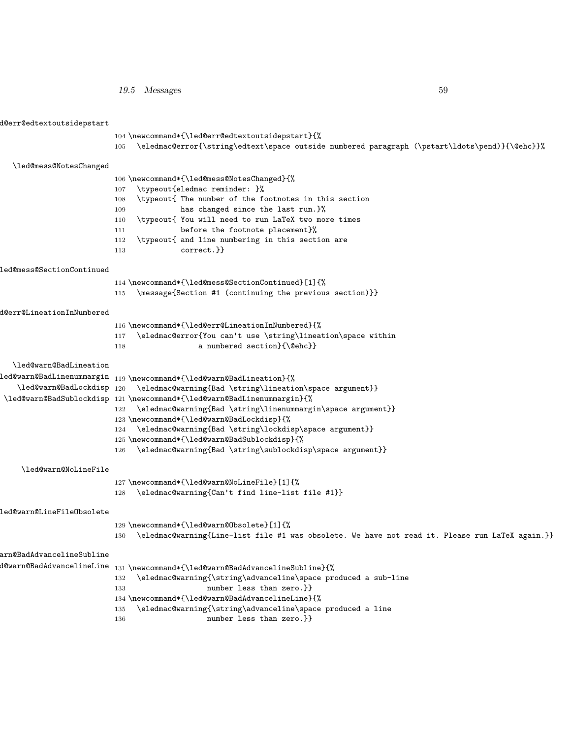*19.5 Messages* 59

| d@err@edtextoutsidepstart |                                                                                                                                                          |
|---------------------------|----------------------------------------------------------------------------------------------------------------------------------------------------------|
|                           | 104 \newcommand*{\led@err@edtextoutsidepstart}{%<br>\eledmac@error{\string\edtext\space outside numbered paragraph (\pstart\ldots\pend)}{\@ehc}}%<br>105 |
|                           |                                                                                                                                                          |
| \led@mess@NotesChanged    | 106 \newcommand*{\led@mess@NotesChanged}{%                                                                                                               |
|                           | \typeout{eledmac reminder: }%<br>107                                                                                                                     |
|                           | \typeout{ The number of the footnotes in this section<br>108                                                                                             |
|                           | has changed since the last run. }%<br>109                                                                                                                |
|                           | \typeout{ You will need to run LaTeX two more times<br>110                                                                                               |
|                           | before the footnote placement}%<br>111                                                                                                                   |
|                           | \typeout{ and line numbering in this section are<br>112                                                                                                  |
|                           | $correct.\}$<br>113                                                                                                                                      |
| led@mess@SectionContinued |                                                                                                                                                          |
|                           | 114 \newcommand*{\led@mess@SectionContinued}[1]{%                                                                                                        |
|                           | \message{Section #1 (continuing the previous section)}}<br>115                                                                                           |
| d@err@LineationInNumbered |                                                                                                                                                          |
|                           | 116 \newcommand*{\led@err@LineationInNumbered}{%                                                                                                         |
|                           | \eledmac@error{You can't use \string\lineation\space within<br>117                                                                                       |
|                           | a numbered section}{\@ehc}}<br>118                                                                                                                       |
| \led@warn@BadLineation    |                                                                                                                                                          |
|                           | ${\tt led@warm@BadLinearSummargin_{119}\newcommand*\{\label{red}m\\1ed@warn@BadLineation}\{\\$                                                           |
| \led@warn@BadLockdisp 120 | \eledmac@warning{Bad \string\lineation\space argument}}                                                                                                  |
|                           | \led@warn@BadSublockdisp 121\newcommand*{\led@warn@BadLinenummargin}{%                                                                                   |
|                           | 122 \eledmac@warning{Bad \string\linenummargin\space argument}}                                                                                          |
|                           | 123 \newcommand*{\led@warn@BadLockdisp}{%                                                                                                                |
|                           | 124 \eledmac@warning{Bad \string\lockdisp\space argument}}                                                                                               |
|                           | 125 \newcommand*{\led@warn@BadSublockdisp}{%                                                                                                             |
|                           | \eledmac@warning{Bad \string\sublockdisp\space argument}}<br>126                                                                                         |
| \led@warn@NoLineFile      |                                                                                                                                                          |
|                           | 127\newcommand*{\led@warn@NoLineFile}[1]{%                                                                                                               |
|                           | \eledmac@warning{Can't find line-list file #1}}<br>128                                                                                                   |
| led@warn@LineFileObsolete |                                                                                                                                                          |
|                           | 129 \newcommand*{\led@warn@Obsolete}[1]{%                                                                                                                |
|                           | \eledmac@warning{Line-list file #1 was obsolete. We have not read it. Please run LaTeX again.}}<br>130                                                   |
| arn@BadAdvancelineSubline |                                                                                                                                                          |
|                           | $d$ @warn@BadAdvancelineLine $_{131}$ \newcommand*{\led@warn@BadAdvancelineSubline}{%                                                                    |
|                           | \eledmac@warning{\string\advanceline\space produced a sub-line<br>132                                                                                    |
|                           | number less than zero.}}<br>133                                                                                                                          |
|                           | 134 \newcommand*{\led@warn@BadAdvancelineLine}{%                                                                                                         |
|                           | \eledmac@warning{\string\advanceline\space produced a line<br>135<br>number less than zero.}}                                                            |
|                           | 136                                                                                                                                                      |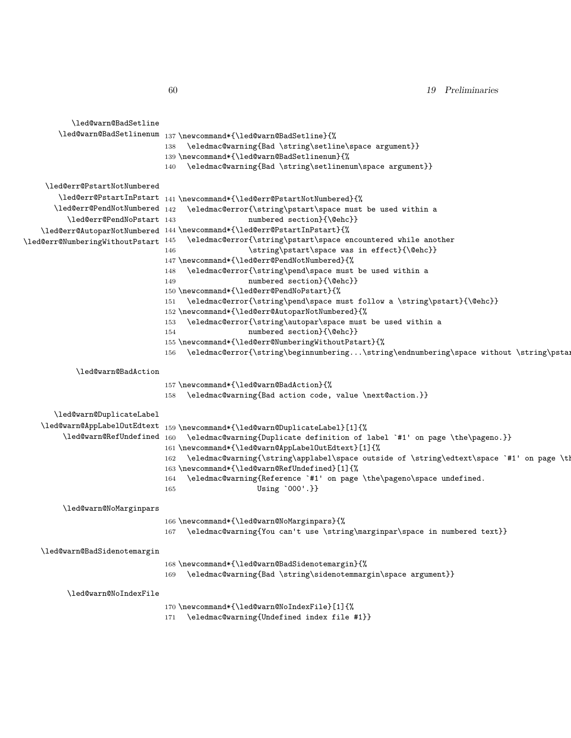*19 Preliminaries*

| \led@warn@BadSetline            |                                                                                                 |
|---------------------------------|-------------------------------------------------------------------------------------------------|
| \led@warn@BadSetlinenum         | 137 \newcommand*{\led@warn@BadSetline}{%                                                        |
|                                 | \eledmac@warning{Bad \string\setline\space argument}}<br>138                                    |
|                                 | 139 \newcommand*{\led@warn@BadSetlinenum}{%                                                     |
|                                 | \eledmac@warning{Bad \string\setlinenum\space argument}}<br>140                                 |
|                                 |                                                                                                 |
| \led@err@PstartNotNumbered      |                                                                                                 |
| \led@err@PstartInPstart         | 141 \newcommand*{\led@err@PstartNotNumbered}{%                                                  |
| $\leq$ 142                      | \eledmac@error{\string\pstart\space must be used within a                                       |
| \led@err@PendNoPstart 143       | numbered section}{\@ehc}}                                                                       |
|                                 | \led@err@AutoparNotNumbered 144 \newcommand*{\led@err@PstartInPstart}{%                         |
| \led@err@NumberingWithoutPstart | \eledmac@error{\string\pstart\space encountered while another<br>145                            |
|                                 | \string\pstart\space was in effect}{\@ehc}}<br>146                                              |
|                                 | 147 \newcommand*{\led@err@PendNotNumbered}{%                                                    |
|                                 | \eledmac@error{\string\pend\space must be used within a<br>148                                  |
|                                 | numbered section}{\@ehc}}<br>149                                                                |
|                                 | 150 \newcommand*{\led@err@PendNoPstart}{%                                                       |
|                                 | \eledmac@error{\string\pend\space must follow a \string\pstart}{\@ehc}}<br>151                  |
|                                 | 152 \newcommand*{\led@err@AutoparNotNumbered}{%                                                 |
|                                 | \eledmac@error{\string\autopar\space must be used within a<br>153                               |
|                                 | numbered section}{\@ehc}}<br>154                                                                |
|                                 | 155 \newcommand*{\led@err@NumberingWithoutPstart}{%                                             |
|                                 | \eledmac@error{\string\beginnumbering\string\endnumbering\space without \string\pstal<br>156    |
|                                 |                                                                                                 |
| \led@warn@BadAction             |                                                                                                 |
|                                 | 157 \newcommand*{\led@warn@BadAction}{%                                                         |
|                                 | \eledmac@warning{Bad action code, value \next@action.}}<br>158                                  |
|                                 |                                                                                                 |
| \led@warn@DuplicateLabel        |                                                                                                 |
| \led@warn@AppLabelOutEdtext     | 159 \newcommand*{\led@warn@DuplicateLabel}[1]{%                                                 |
| \led@warn@RefUndefined 160      | \eledmac@warning{Duplicate definition of label `#1' on page \the\pageno.}}                      |
|                                 | 161 \newcommand*{\led@warn@AppLabelOutEdtext}[1]{%                                              |
|                                 | \eledmac@warning{\string\applabel\space outside of \string\edtext\space `#1' on page \tl<br>162 |
|                                 | 163 \newcommand*{\led@warn@RefUndefined}[1]{%                                                   |
|                                 | \eledmac@warning{Reference `#1' on page \the\pageno\space undefined.<br>164                     |
|                                 | Using '000'.}}<br>165                                                                           |
| \led@warn@NoMarginpars          |                                                                                                 |
|                                 |                                                                                                 |
|                                 | 166 \newcommand*{\led@warn@NoMarginpars}{%                                                      |
|                                 | $\verb \eledmac@warming{You can't use \strut\mbox{marginpar}\space in numbered text}\n$<br>167  |
| \led@warn@BadSidenotemargin     |                                                                                                 |
|                                 |                                                                                                 |
|                                 | 168\newcommand*{\led@warn@BadSidenotemargin}{%                                                  |
|                                 | \eledmac@warning{Bad \string\sidenotemmargin\space argument}}<br>169                            |
|                                 |                                                                                                 |
| \led@warn@NoIndexFile           |                                                                                                 |
|                                 | 170 \newcommand*{\led@warn@NoIndexFile}[1]{%                                                    |
|                                 | \eledmac@warning{Undefined index file #1}}<br>171                                               |
|                                 |                                                                                                 |
|                                 |                                                                                                 |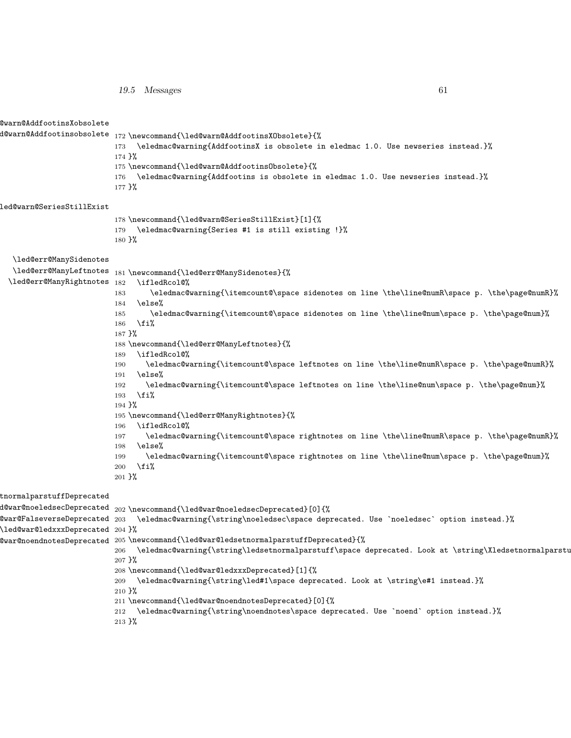| 19.5 Messages |  |
|---------------|--|
|               |  |

| @warn@AddfootinsXobsolete        |                                                                                                                                                                                                                                                                                                                                                                                                                                                 |
|----------------------------------|-------------------------------------------------------------------------------------------------------------------------------------------------------------------------------------------------------------------------------------------------------------------------------------------------------------------------------------------------------------------------------------------------------------------------------------------------|
|                                  |                                                                                                                                                                                                                                                                                                                                                                                                                                                 |
|                                  | \eledmac@warning{AddfootinsX is obsolete in eledmac 1.0. Use newseries instead.}%<br>173                                                                                                                                                                                                                                                                                                                                                        |
|                                  | 174 }%                                                                                                                                                                                                                                                                                                                                                                                                                                          |
|                                  | 175 \newcommand{\led@warn@AddfootinsObsolete}{%                                                                                                                                                                                                                                                                                                                                                                                                 |
|                                  | \eledmac@warning{Addfootins is obsolete in eledmac 1.0. Use newseries instead.}%<br>176                                                                                                                                                                                                                                                                                                                                                         |
|                                  | 177 }%                                                                                                                                                                                                                                                                                                                                                                                                                                          |
| led@warn@SeriesStillExist        |                                                                                                                                                                                                                                                                                                                                                                                                                                                 |
|                                  | 178 \newcommand{\led@warn@SeriesStillExist}[1]{%                                                                                                                                                                                                                                                                                                                                                                                                |
|                                  | \eledmac@warning{Series #1 is still existing !}%<br>179                                                                                                                                                                                                                                                                                                                                                                                         |
|                                  | $180 \frac{\text{m}}{\text{s}}$                                                                                                                                                                                                                                                                                                                                                                                                                 |
| \led@err@ManySidenotes           |                                                                                                                                                                                                                                                                                                                                                                                                                                                 |
|                                  | $\label{cor:main} \verb ded@err@ManyLeftnotes _1@newcommand{{\label{label:main}c}{\textbf{display}}$                                                                                                                                                                                                                                                                                                                                            |
| \led@err@ManyRightnotes 182      | \ifledRcol@%                                                                                                                                                                                                                                                                                                                                                                                                                                    |
|                                  | \eledmac@warning{\itemcount@\space sidenotes on line \the\line@numR\space p. \the\page@numR}%<br>183                                                                                                                                                                                                                                                                                                                                            |
|                                  | \else%<br>184                                                                                                                                                                                                                                                                                                                                                                                                                                   |
|                                  | \eledmac@warning{\itemcount@\space sidenotes on line \the\line@num\space p. \the\page@num}%<br>185                                                                                                                                                                                                                                                                                                                                              |
|                                  | \fi%<br>186                                                                                                                                                                                                                                                                                                                                                                                                                                     |
|                                  | $187 \frac{\text{Y}}{\text{S}}$<br>188 \newcommand{\led@err@ManyLeftnotes}{%                                                                                                                                                                                                                                                                                                                                                                    |
|                                  | \ifledRcol@%<br>189                                                                                                                                                                                                                                                                                                                                                                                                                             |
|                                  | \eledmac@warning{\itemcount@\space leftnotes on line \the\line@numR\space p. \the\page@numR}%<br>190                                                                                                                                                                                                                                                                                                                                            |
|                                  | \else%<br>191                                                                                                                                                                                                                                                                                                                                                                                                                                   |
|                                  | \eledmac@warning{\itemcount@\space leftnotes on line \the\line@num\space p. \the\page@num}%<br>192                                                                                                                                                                                                                                                                                                                                              |
|                                  | \fi%<br>193                                                                                                                                                                                                                                                                                                                                                                                                                                     |
|                                  | 194 }%                                                                                                                                                                                                                                                                                                                                                                                                                                          |
|                                  | 195 \newcommand{\led@err@ManyRightnotes}{%                                                                                                                                                                                                                                                                                                                                                                                                      |
|                                  | \ifledRcol@%<br>196                                                                                                                                                                                                                                                                                                                                                                                                                             |
|                                  | \eledmac@warning{\itemcount@\space rightnotes on line \the\line@numR\space p. \the\page@numR}%<br>197                                                                                                                                                                                                                                                                                                                                           |
|                                  | \else%<br>198<br>\eledmac@warning{\itemcount@\space rightnotes on line \the\line@num\space p. \the\page@num}%<br>199                                                                                                                                                                                                                                                                                                                            |
|                                  | \fi%<br>200                                                                                                                                                                                                                                                                                                                                                                                                                                     |
|                                  | $201 \frac{\nu}{2}$                                                                                                                                                                                                                                                                                                                                                                                                                             |
| tnormalparstuffDeprecated        |                                                                                                                                                                                                                                                                                                                                                                                                                                                 |
|                                  | $d@war@noeled see Deprecated 202 \neq word{\leq @war@noeled see Deprecated}[0] {\text{\%}}$                                                                                                                                                                                                                                                                                                                                                     |
|                                  | $@war@Falseverse Deprecated 203 \eledmac@warning{\string\noeledsec\space speed\space. Use \noeledsec\space profile.$                                                                                                                                                                                                                                                                                                                            |
| \led@war@ledxxxDeprecated 204 }% |                                                                                                                                                                                                                                                                                                                                                                                                                                                 |
|                                  | $@war@noendnotesDeprecated 205 \newcommand{\leq}{!ed@war@ledsetnormalparstuffDeprecated}{{\textcirc}~f\&\textcirc~f\&\textcirc~f\&\textcirc~f\&\textcirc~f\&\textcirc~f\&\textcirc~f\&\textcirc~f\&\textcirc~f\&\textcirc~f\&\textcirc~f\&\textcirc~f\&\textcirc~f\&\textcirc~f\&\textcirc~f\&\textcirc~f\&\textcirc~f\&\textcirc~f\&\textcirc~f\&\textcirc~f\&\textcirc~f\&\textcirc~f\&\textcirc~f\&\textcirc~f\&\textcirc~f\&\textcirc~f\&\$ |
|                                  | \eledmac@warning{\string\ledsetnormalparstuff\space deprecated. Look at \string\Xledsetnormalparstu<br>206                                                                                                                                                                                                                                                                                                                                      |
|                                  | 207 }%                                                                                                                                                                                                                                                                                                                                                                                                                                          |
|                                  | 208 \newcommand{\led@war@ledxxxDeprecated}[1]{%                                                                                                                                                                                                                                                                                                                                                                                                 |
|                                  | \eledmac@warning{\string\led#1\space deprecated. Look at \string\e#1 instead.}%<br>209                                                                                                                                                                                                                                                                                                                                                          |
|                                  | 210 }%                                                                                                                                                                                                                                                                                                                                                                                                                                          |
|                                  | 211 \newcommand{\led@war@noendnotesDeprecated}[0]{%                                                                                                                                                                                                                                                                                                                                                                                             |
|                                  | 212 \eledmac@warning{\string\noendnotes\space deprecated. Use `noend` option instead.}%                                                                                                                                                                                                                                                                                                                                                         |
|                                  | 213 }%                                                                                                                                                                                                                                                                                                                                                                                                                                          |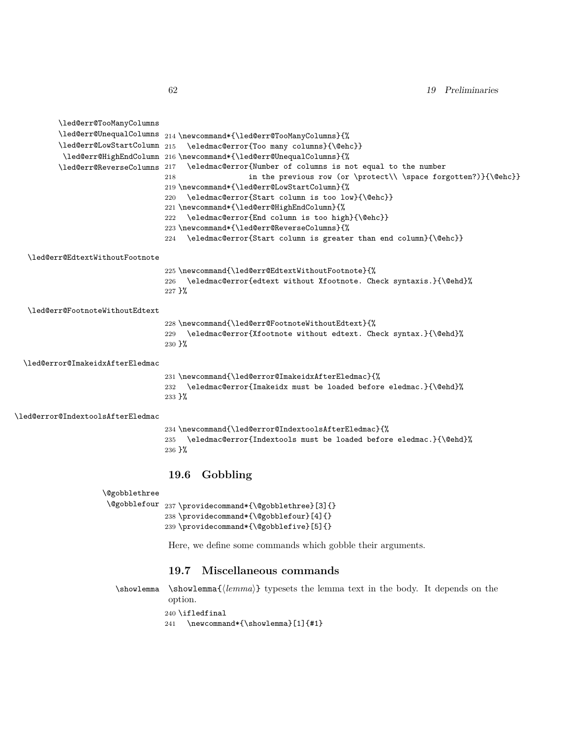| \led@err@TooManyColumns           |                                                                          |
|-----------------------------------|--------------------------------------------------------------------------|
|                                   |                                                                          |
| \led@err@LowStartColumn 215       | \eledmac@error{Too many columns}{\@ehc}}                                 |
|                                   | \led@err@HighEndColumn 216 \newcommand*{\led@err@UnequalColumns}{%       |
| \led@err@ReverseColumns 217       | \eledmac@error{Number of columns is not equal to the number              |
|                                   | in the previous row (or \protect\\ \space forgotten?)}{\@ehc}}<br>218    |
|                                   | 219 \newcommand*{\led@err@LowStartColumn}{%                              |
|                                   | \eledmac@error{Start column is too low}{\@ehc}}<br>220                   |
|                                   | 221 \newcommand*{\led@err@HighEndColumn}{%                               |
|                                   | \eledmac@error{End column is too high}{\@ehc}}<br>222                    |
|                                   | 223\newcommand*{\led@err@ReverseColumns}{%                               |
|                                   | \eledmac@error{Start column is greater than end column}{\@ehc}}<br>224   |
| \led@err@EdtextWithoutFootnote    |                                                                          |
|                                   | 225 \newcommand{\led@err@EdtextWithoutFootnote}{%                        |
|                                   | \eledmac@error{edtext without Xfootnote. Check syntaxis.}{\@ehd}%<br>226 |
|                                   | $227$ }%                                                                 |
| \led@err@FootnoteWithoutEdtext    |                                                                          |
|                                   | 228 \newcommand{\led@err@FootnoteWithoutEdtext}{%                        |
|                                   | \eledmac@error{Xfootnote without edtext. Check syntax.}{\@ehd}%<br>229   |
|                                   | $230 \frac{\text{m}}{\text{m}}$                                          |
| \led@error@ImakeidxAfterEledmac   |                                                                          |
|                                   | 231 \newcommand{\led@error@ImakeidxAfterEledmac}{%                       |
|                                   | 232 \eledmac@error{Imakeidx must be loaded before eledmac.}{\@ehd}%      |
|                                   | $233$ }%                                                                 |
| \led@error@IndextoolsAfterEledmac |                                                                          |
|                                   | 234 \newcommand{\led@error@IndextoolsAfterEledmac}{%                     |
|                                   | \eledmac@error{Indextools must be loaded before eledmac.}{\@ehd}%<br>235 |
|                                   | $236$ }%                                                                 |
|                                   |                                                                          |
|                                   | 19.6 Gobbling                                                            |
| <i><u><b>Qgobblethree</b></u></i> |                                                                          |
|                                   | $\verb+\@gobblefour_237\pprovides command*\{\verb+\@gobblethree [3]{*}$  |
|                                   | 238 \providecommand*{\@gobblefour}[4]{}                                  |
|                                   | 239 \providecommand*{\@gobblefive}[5]{}                                  |
|                                   | Here, we define some commands which gobble their arguments.              |
|                                   | 10.7 Miscollanoous commands                                              |

### **19.7 Miscellaneous commands**

\showlemma \showlemma{*⟨lemma⟩*} typesets the lemma text in the body. It depends on the option.  $240$  \ifledfinal  $\,$ 

241 \newcommand\*{\showlemma}[1]{#1}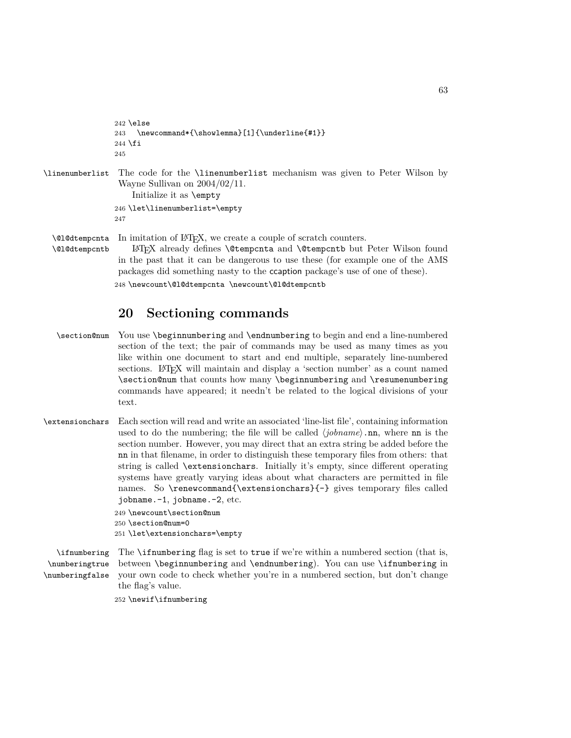```
242 \else
                 243 \newcommand*{\showlemma}[1]{\underline{#1}}
                 244 \fi
                 245
\linenumberlist The code for the \linenumberlist mechanism was given to Peter Wilson by
                 Wayne Sullivan on 2004/02/11.
                     Initialize it as \empty
                 246 \let\linenumberlist=\empty
                 247
  \@l@dtempcnta
  \@l@dtempcntb
                 In imitation of LAT<sub>EX</sub>, we create a couple of scratch counters.
                     LATEX already defines \@tempcnta and \@tempcntb but Peter Wilson found
```
in the past that it can be dangerous to use these (for example one of the AMS packages did something nasty to the ccaption package's use of one of these).

248 \newcount\@l@dtempcnta \newcount\@l@dtempcntb

## **20 Sectioning commands**

- \section@num You use \beginnumbering and \endnumbering to begin and end a line-numbered section of the text; the pair of commands may be used as many times as you like within one document to start and end multiple, separately line-numbered sections. LAT<sub>EX</sub> will maintain and display a 'section number' as a count named \section@num that counts how many \beginnumbering and \resumenumbering commands have appeared; it needn't be related to the logical divisions of your text.
- \extensionchars Each section will read and write an associated 'line-list file', containing information used to do the numbering; the file will be called *⟨jobname⟩*.nn, where nn is the section number. However, you may direct that an extra string be added before the nn in that filename, in order to distinguish these temporary files from others: that string is called \extensionchars. Initially it's empty, since different operating systems have greatly varying ideas about what characters are permitted in file names. So \renewcommand{\extensionchars}{-} gives temporary files called jobname.-1, jobname.-2, etc.

```
249 \newcount\section@num
250 \section@num=0
251 \let\extensionchars=\empty
```
\ifnumbering The \ifnumbering flag is set to true if we're within a numbered section (that is, \numberingtrue \numberingfalse between \beginnumbering and \endnumbering). You can use \ifnumbering in your own code to check whether you're in a numbered section, but don't change the flag's value.

252 \newif\ifnumbering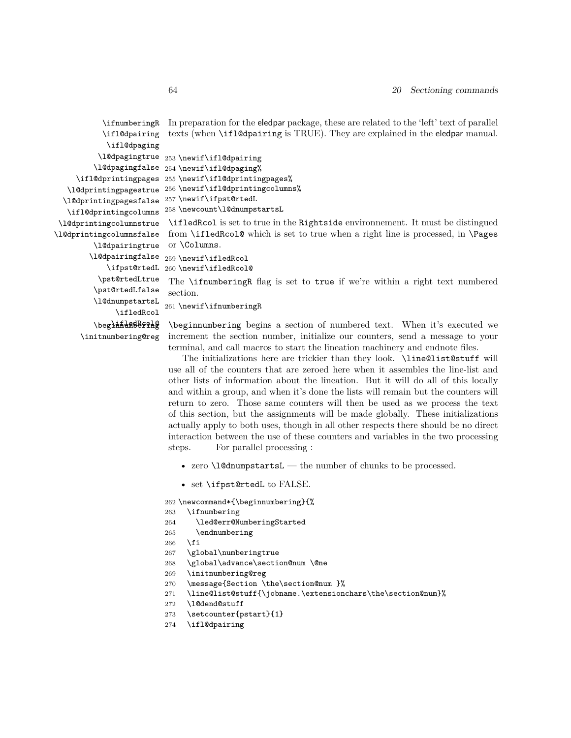| Ir.       | \ifnumberingR            |
|-----------|--------------------------|
| te        | \ifl@dpairing            |
|           | \ifl@dpaging             |
| 253       | \l@dpagingtrue           |
| 254       | \l@dpagingfalse          |
| 255       | \ifl@dprintingpages      |
| 256       | \10dprintingpagestrue    |
| 257       | \1@dprintingpagesfalse   |
| 258       | \ifl@dprintingcolumns    |
| \:        | \1@dprintingcolumnstrue  |
| fr        | \l@dprintingcolumnsfalse |
| <b>Ol</b> | \10dpairingtrue          |
| 259       | \l@dpairingfalse         |
| 260       | \ifpst@rtedL             |
| T         | \pst@rtedLtrue           |
| se        | \pst@rtedLfalse          |
| 261       | \10dnumpstartsL          |
|           | \ifledRcol               |
| \1        | \beg1####BBF9#@          |
| in        | \initnumbering@reg       |
|           |                          |

preparation for the eledpar package, these are related to the 'left' text of parallel  $exts$  (when  $\iota$ ifl@dpairing is TRUE). They are explained in the eledpar manual.

```
\newif\ifl@dpairing
\newif\ifl@dpaging%
\newif\ifl@dprintingpages%
\newif\ifl@dprintingcolumns%
\newif\ifpst@rtedL
\newcount\l@dnumpstartsL
```
\ifledRcol is set to true in the Rightside environnement. It must be distingued om \ifledRcol@ which is set to true when a right line is processed, in \Pages  $\lambda$ Columns.

\newif\ifledRcol

\newif\ifledRcol@

The **\ifnumberingR** flag is set to true if we're within a right text numbered section.

\newif\ifnumberingR

beginnumbering begins a section of numbered text. When it's executed we increment the section number, initialize our counters, send a message to your terminal, and call macros to start the lineation machinery and endnote files.

The initializations here are trickier than they look. \line@list@stuff will use all of the counters that are zeroed here when it assembles the line-list and other lists of information about the lineation. But it will do all of this locally and within a group, and when it's done the lists will remain but the counters will return to zero. Those same counters will then be used as we process the text of this section, but the assignments will be made globally. These initializations actually apply to both uses, though in all other respects there should be no direct interaction between the use of these counters and variables in the two processing steps. For parallel processing :

- zero \l@dnumpstartsL the number of chunks to be processed.
- set \ifpst@rtedL to FALSE.

```
262 \newcommand*{\beginnumbering}{%
```

```
263 \ifnumbering
```
264 \led@err@NumberingStarted

```
265 \endnumbering
```

```
266 \fi
```
- 267 \global\numberingtrue
- 268 \global\advance\section@num \@ne
- 269 \initnumbering@reg
- 270 \message{Section \the\section@num }%
- 271 \line@list@stuff{\jobname.\extensionchars\the\section@num}%
- 272 \l@dend@stuff
- 273 \setcounter{pstart}{1}
- 274 \ifl@dpairing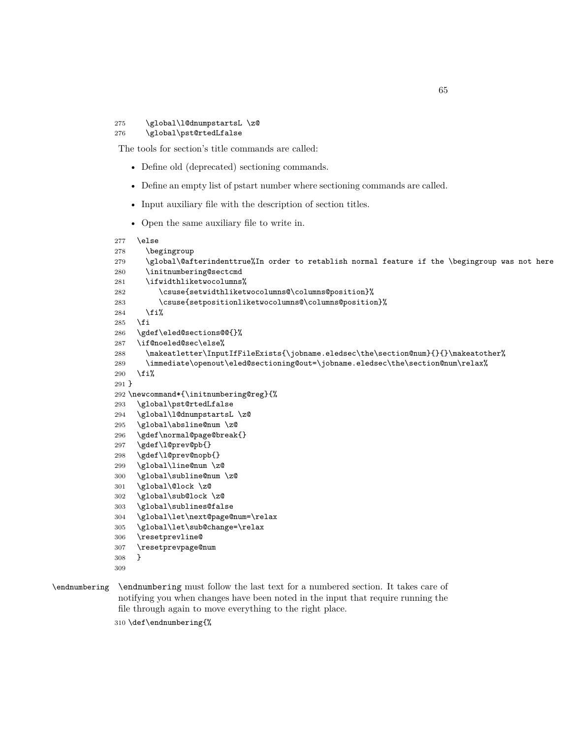#### \global\l@dnumpstartsL \z@ \global\pst@rtedLfalse

The tools for section's title commands are called:

- Define old (deprecated) sectioning commands.
- Define an empty list of pstart number where sectioning commands are called.
- Input auxiliary file with the description of section titles.
- Open the same auxiliary file to write in.

```
277 \else
278 \begingroup
279 \global\@afterindenttrue%In order to retablish normal feature if the \begingroup was not here
280 \initnumbering@sectcmd
281 \ifwidthliketwocolumns%
282 \csuse{setwidthliketwocolumns@\columns@position}%
283 \csuse{setpositionliketwocolumns@\columns@position}%
284 \overrightarrow{1}285 \fi
286 \gdef\eled@sections@@{}%
287 \if@noeled@sec\else%
288 \makeatletter\InputIfFileExists{\jobname.eledsec\the\section@num}{}{}\makeatother%
289 \immediate\openout\eled@sectioning@out=\jobname.eledsec\the\section@num\relax%
290 \overline{\text{1}}291 }
292 \newcommand*{\initnumbering@reg}{%
293 \global\pst@rtedLfalse
294 \global\l@dnumpstartsL \z@
295 \global\absline@num \z@
296 \gdef\normal@page@break{}
297 \gdef\l@prev@pb{}
298 \gdef\l@prev@nopb{}
299 \global\line@num \z@
300 \global\subline@num \z@
301 \global\@lock \z@
302 \global\sub@lock \z@
303 \global\sublines@false
304 \global\let\next@page@num=\relax
305 \global\let\sub@change=\relax
306 \resetprevline@
307 \resetprevpage@num
308 }
309
```
\endnumbering \endnumbering must follow the last text for a numbered section. It takes care of notifying you when changes have been noted in the input that require running the file through again to move everything to the right place.

\def\endnumbering{%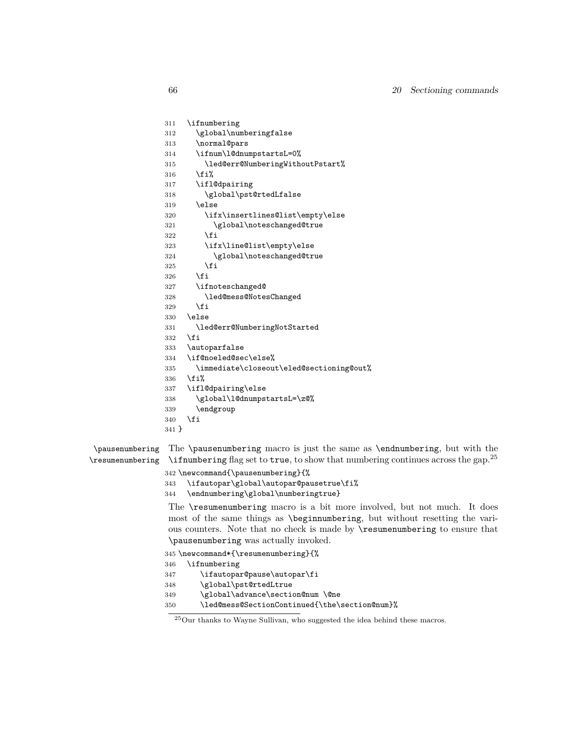```
311 \ifnumbering
312 \global\numberingfalse
313 \normal@pars
314 \ifnum\l@dnumpstartsL=0%
315 \led@err@NumberingWithoutPstart%
316 \overline{1}\317 \ifl@dpairing
318 \global\pst@rtedLfalse
319 \text{le}320 \ifx\insertlines@list\empty\else
321 \global\noteschanged@true
322 \qquad \text{if}323 \ifx\line@list\empty\else
324 \global\noteschanged@true
325 \fi
326 \fi
327 \ifnoteschanged@
328 \led@mess@NotesChanged
329 \fi
330 \else
331 \led@err@NumberingNotStarted
332 \fi
333 \autoparfalse
334 \if@noeled@sec\else%
335 \immediate\closeout\eled@sectioning@out%
336 \fi%
337 \ifl@dpairing\else
338 \global\l@dnumpstartsL=\z@%
339 \endgroup
340 \fi
341 }
```
#### \pausenumbering \resumenumbering The \pausenumbering macro is just the same as \endnumbering, but with the \ifnumbering flag set to true, to show that numbering continues across the gap.<sup>25</sup>

- \newcommand{\pausenumbering}{%
- \ifautopar\global\autopar@pausetrue\fi%
- \endnumbering\global\numberingtrue}

The \resumenumbering macro is a bit more involved, but not much. It does most of the same things as \beginnumbering, but without resetting the various counters. Note that no check is made by \resumenumbering to ensure that \pausenumbering was actually invoked.

```
345 \newcommand*{\resumenumbering}{%
346 \ifnumbering
347 \ifautopar@pause\autopar\fi
348 \global\pst@rtedLtrue
349 \global\advance\section@num \@ne
350 \led@mess@SectionContinued{\the\section@num}%
```
 $^{25}\mathrm{Our}$  thanks to Wayne Sullivan, who suggested the idea behind these macros.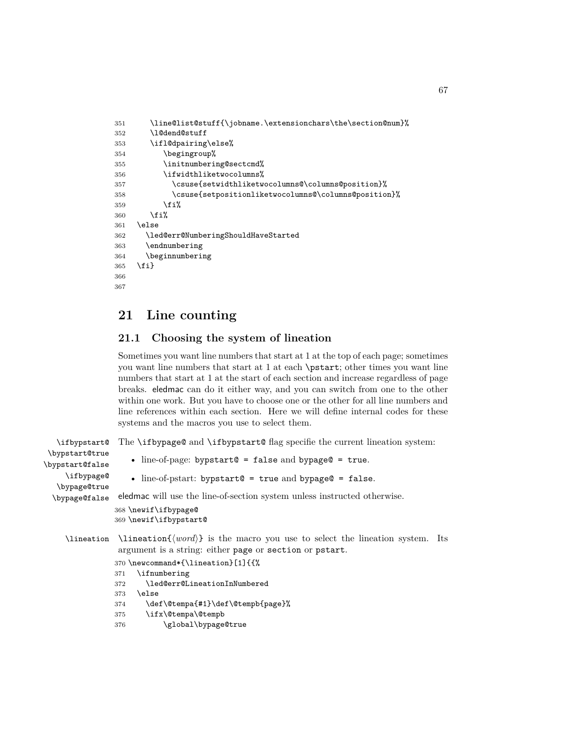```
351 \line@list@stuff{\jobname.\extensionchars\the\section@num}%
352 \l@dend@stuff
353 \ifl@dpairing\else%
354 \begingroup%
355 \initnumbering@sectcmd%
356 \ifwidthliketwocolumns%
357 \csuse{setwidthliketwocolumns@\columns@position}%
358 \csuse{setpositionliketwocolumns@\columns@position}%
359 \overrightarrow{1\}360 \fi%
361 \else
362 \led@err@NumberingShouldHaveStarted
363 \endnumbering
364 \beginnumbering
365 \fi}
366
367
```
## <span id="page-66-0"></span>**21 Line counting**

## **21.1 Choosing the system of lineation**

Sometimes you want line numbers that start at 1 at the top of each page; sometimes you want line numbers that start at 1 at each \pstart; other times you want line numbers that start at 1 at the start of each section and increase regardless of page breaks. eledmac can do it either way, and you can switch from one to the other within one work. But you have to choose one or the other for all line numbers and line references within each section. Here we will define internal codes for these systems and the macros you use to select them.

```
\ifbypstart@
\bypstart@true
\bypstart@false
    \ifbypage@
   \bypage@true
 \bypage@false
                The \ifbypage@ and \ifbypstart@ flag specifie the current lineation system:
                    • line-of-page: bypstart@ = false and bypage@ = true.
                    • line-of-pstart: bypstart@ = true and bypage@ = false.
                eledmac will use the line-of-section system unless instructed otherwise.
                368 \newif\ifbypage@
                369 \newif\ifbypstart@
    \lineation \lineation{⟨word⟩} is the macro you use to select the lineation system. Its
                 argument is a string: either page or section or pstart.
                370 \newcommand*{\lineation}[1]{{%
                371 \ifnumbering
                372 \led@err@LineationInNumbered
                373 \else
                374 \def\@tempa{#1}\def\@tempb{page}%
                375 \ifx\@tempa\@tempb
                376 \global\bypage@true
```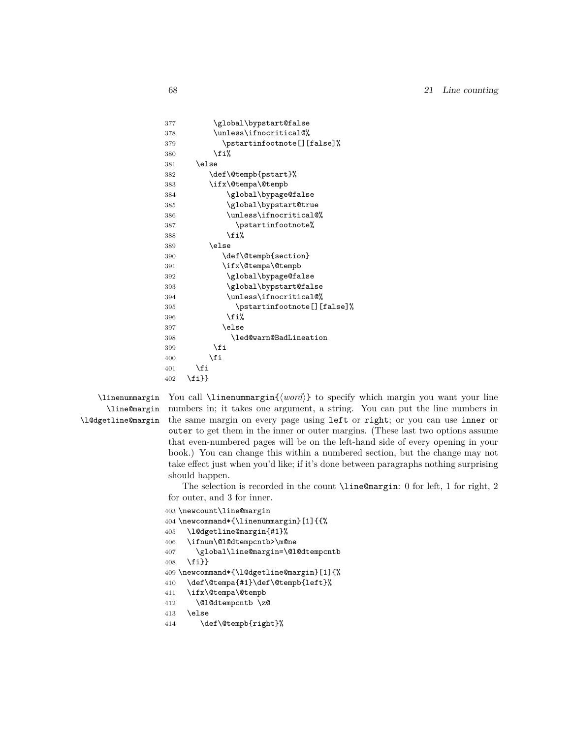```
377 \global\bypstart@false
378 \unless\ifnocritical@%
379 \pstartinfootnote[][false]%
380 \overline{\iota}381 \else
382 \def\@tempb{pstart}%
383 \ifx\@tempa\@tempb
384 \global\bypage@false
385 \global\bypstart@true
386 \unless\ifnocritical@%
387 \pstartinfootnote%
388 \overrightarrow{1}389 \else
390 \def\@tempb{section}
391 \ifx\@tempa\@tempb
392 \global\bypage@false
393 \global\bypstart@false
394 \unless\ifnocritical@%
395 \pstartinfootnote[][false]%
396 \fi%
397 \else
398 \led@warn@BadLineation
399 \qquad \qquad \text{if}400 \overrightarrow{fi}401 \fi
402 \fi}}
```

```
\linenummargin
      \line@margin
\l@dgetline@margin
```
You call \linenummargin{*⟨word⟩*} to specify which margin you want your line numbers in; it takes one argument, a string. You can put the line numbers in the same margin on every page using left or right; or you can use inner or outer to get them in the inner or outer margins. (These last two options assume that even-numbered pages will be on the left-hand side of every opening in your book.) You can change this within a numbered section, but the change may not take effect just when you'd like; if it's done between paragraphs nothing surprising should happen.

The selection is recorded in the count \line@margin: 0 for left, 1 for right, 2 for outer, and 3 for inner.

```
403 \newcount\line@margin
404 \newcommand*{\linenummargin}[1]{{%
405 \l@dgetline@margin{#1}%
406 \ifnum\@l@dtempcntb>\m@ne
407 \global\line@margin=\@l@dtempcntb
408 \fi}}
409 \newcommand*{\l@dgetline@margin}[1]{%
410 \def\@tempa{#1}\def\@tempb{left}%
411 \ifx\@tempa\@tempb
412 \@l@dtempcntb \z@
413 \else
414 \def\@tempb{right}%
```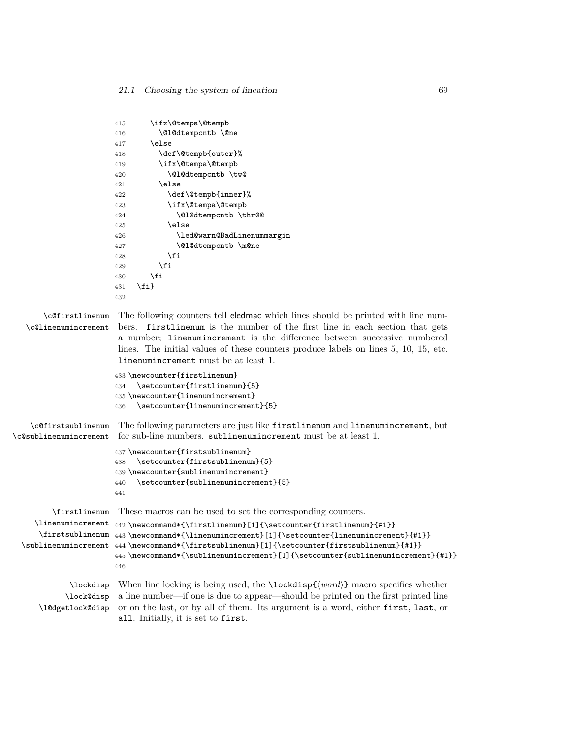```
415 \ifx\@tempa\@tempb
                       416 \@l@dtempcntb \@ne
                       417 \else
                       418 \def\@tempb{outer}%
                       419 \ifx\@tempa\@tempb
                       420 \@l@dtempcntb \tw@
                       421 \else
                       422 \def\@tempb{inner}%
                       423 \ifx\@tempa\@tempb
                       424 \@l@dtempcntb \thr@@
                       425 \else
                       426 \led@warn@BadLinenummargin
                       427 \\compare\\compare\\compare\\compare\\compare\\compare\\compare\\compare\\com
                       428 \overline{1} \fi
                       429 \fi
                       430 \overline{\ } \overline{\ } \fi
                       431 \quad \text{If}432
       \c@firstlinenum
  \c@linenumincrement
                       The following counters tell eledmac which lines should be printed with line num-
                        bers. firstlinenum is the number of the first line in each section that gets
                        a number; linenumincrement is the difference between successive numbered
                        lines. The initial values of these counters produce labels on lines 5, 10, 15, etc.
                        linenumincrement must be at least 1.
                       433 \newcounter{firstlinenum}
                       434 \setcounter{firstlinenum}{5}
                       435 \newcounter{linenumincrement}
                       436 \setcounter{linenumincrement}{5}
    \c@firstsublinenum
The following parameters are just like firstlinenum and linenumincrement, but
\c@sublinenumincrement
for sub-line numbers. sublinenumincrement must be at least 1.
                       437 \newcounter{firstsublinenum}
                       438 \setcounter{firstsublinenum}{5}
                       439 \newcounter{sublinenumincrement}
                       440 \setcounter{sublinenumincrement}{5}
                       441
         \firstlinenum
     \linenumincrement 442 \newcommand*{\firstlinenum}[1]{\setcounter{firstlinenum}{#1}}
      \firstsublinenum 443 \newcommand*{\linenumincrement}[1]{\setcounter{linenumincrement}{#1}}
  \sublinenumincrement
444 \newcommand*{\firstsublinenum}[1]{\setcounter{firstsublinenum}{#1}}
                       These macros can be used to set the corresponding counters.
                       445 \newcommand*{\sublinenumincrement}[1]{\setcounter{sublinenumincrement}{#1}}
                       446
             \lockdisp
When line locking is being used, the \lockdisp{⟨word⟩} macro specifies whether
            \lock@disp
a line number—if one is due to appear—should be printed on the first printed line
     \l@dgetlock@disp
                       or on the last, or by all of them. Its argument is a word, either first, last, or
                        all. Initially, it is set to first.
```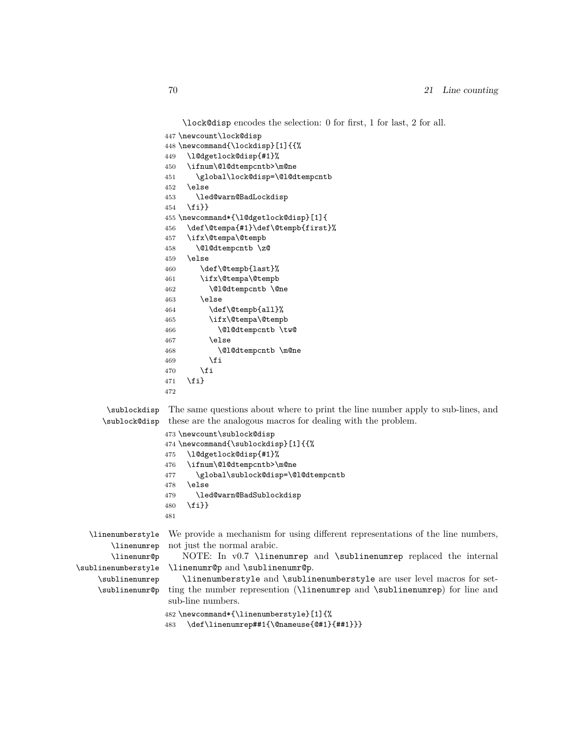\lock@disp encodes the selection: 0 for first, 1 for last, 2 for all.

```
447 \newcount\lock@disp
                   448 \newcommand{\lockdisp}[1]{{%
                   449 \l@dgetlock@disp{#1}%
                   450 \ifnum\@l@dtempcntb>\m@ne
                   451 \global\lock@disp=\@l@dtempcntb
                   452 \else
                   453 \led@warn@BadLockdisp
                   454 \fi}}
                   455 \newcommand*{\l@dgetlock@disp}[1]{
                   456 \def\@tempa{#1}\def\@tempb{first}%
                   457 \ifx\@tempa\@tempb
                   458 \@l@dtempcntb \z@
                   459 \else
                   460 \def\@tempb{last}%
                   461 \ifx\@tempa\@tempb
                   462 \@l@dtempcntb \@ne
                   463 \else
                   464 \def\@tempb{all}%
                   465 \ifx\@tempa\@tempb
                   466 \@l@dtempcntb \tw@
                   467 \else
                   468 \@l@dtempcntb \m@ne
                   469 \fi
                   470 \fi
                   471 \fi}
                   472
      \sublockdisp
The same questions about where to print the line number apply to sub-lines, and
     \sublock@disp
these are the analogous macros for dealing with the problem.
                   473 \newcount\sublock@disp
                   474 \newcommand{\sublockdisp}[1]{{%
                   475 \l@dgetlock@disp{#1}%
                   476 \ifnum\@l@dtempcntb>\m@ne
                   477 \global\sublock@disp=\@l@dtempcntb
                   478 \else
                   479 \led@warn@BadSublockdisp
                   480 \fi}}
                   481
  \linenumberstyle
We provide a mechanism for using different representations of the line numbers,
       \linenumrep
       \linenumr@p
\sublinenumberstyle
    \sublinenumrep
    \sublinenumr@p
                   not just the normal arabic.
                       NOTE: In v0.7 \linenumrep and \sublinenumrep replaced the internal
                    \linenumr@p and \sublinenumr@p.
                       \linenumberstyle and \sublinenumberstyle are user level macros for set-
                   ting the number represention (\linenumrep and \sublinenumrep) for line and
                   sub-line numbers.
                   482 \newcommand*{\linenumberstyle}[1]{%
```
\def\linenumrep##1{\@nameuse{@#1}{##1}}}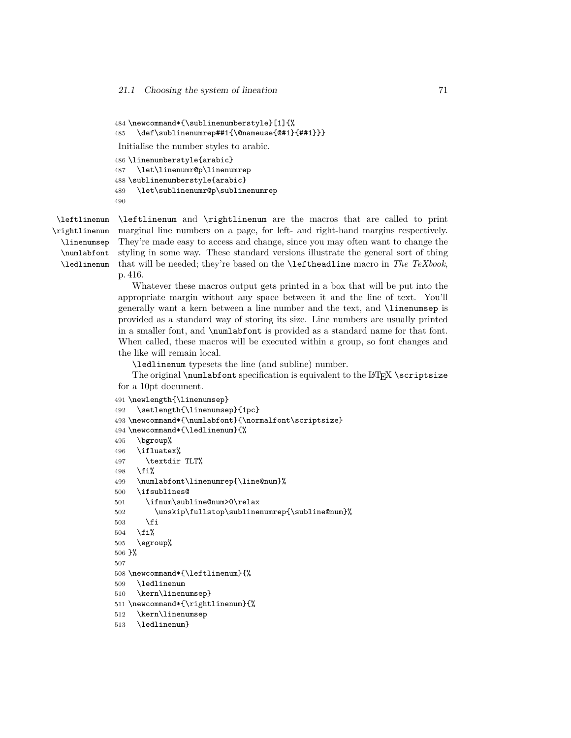```
484 \newcommand*{\sublinenumberstyle}[1]{%
485 \def\sublinenumrep##1{\@nameuse{@#1}{##1}}}
Initialise the number styles to arabic.
486 \linenumberstyle{arabic}
487 \let\linenumr@p\linenumrep
488 \sublinenumberstyle{arabic}
489 \let\sublinenumr@p\sublinenumrep
490
```
\leftlinenum \rightlinenum \linenumsep \numlabfont \ledlinenum

\leftlinenum and \rightlinenum are the macros that are called to print marginal line numbers on a page, for left- and right-hand margins respectively. They're made easy to access and change, since you may often want to change the styling in some way. These standard versions illustrate the general sort of thing that will be needed; they're based on the \leftheadline macro in *The TeXbook*, p. 416.

Whatever these macros output gets printed in a box that will be put into the appropriate margin without any space between it and the line of text. You'll generally want a kern between a line number and the text, and \linenumsep is provided as a standard way of storing its size. Line numbers are usually printed in a smaller font, and \numlabfont is provided as a standard name for that font. When called, these macros will be executed within a group, so font changes and the like will remain local.

\ledlinenum typesets the line (and subline) number.

The original  $\mathcal{S}$  original  $\mathcal{S}$  are specification is equivalent to the LATEX  $\text{S}$ for a 10pt document.

```
491 \newlength{\linenumsep}
492 \setlength{\linenumsep}{1pc}
493 \newcommand*{\numlabfont}{\normalfont\scriptsize}
494 \newcommand*{\ledlinenum}{%
495 \bgroup%
496 \ifluatex%
497 \textdir TLT%
498 \fi%
499 \numlabfont\linenumrep{\line@num}%
500 \ifsublines@
501 \ifnum\subline@num>0\relax
502 \unskip\fullstop\sublinenumrep{\subline@num}%
503 \qquad \text{If }504 \overline{12}505 \egroup%
506 }%
507
508 \newcommand*{\leftlinenum}{%
509 \ledlinenum
510 \kern\linenumsep}
511 \newcommand*{\rightlinenum}{%
512 \kern\linenumsep
513 \ledlinenum}
```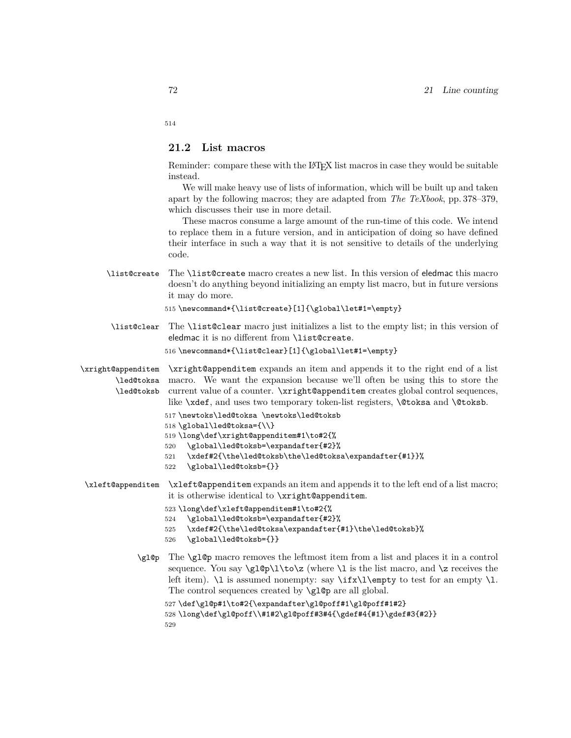514

#### **21.2 List macros**

Reminder: compare these with the LATEX list macros in case they would be suitable instead.

We will make heavy use of lists of information, which will be built up and taken apart by the following macros; they are adapted from *The TeXbook*, pp. 378–379, which discusses their use in more detail.

These macros consume a large amount of the run-time of this code. We intend to replace them in a future version, and in anticipation of doing so have defined their interface in such a way that it is not sensitive to details of the underlying code.

\list@create The \list@create macro creates a new list. In this version of eledmac this macro doesn't do anything beyond initializing an empty list macro, but in future versions it may do more.

515 \newcommand\*{\list@create}[1]{\global\let#1=\empty}

\list@clear The \list@clear macro just initializes a list to the empty list; in this version of eledmac it is no different from \list@create.

516 \newcommand\*{\list@clear}[1]{\global\let#1=\empty}

\xright@appenditem \led@toksa \led@toksb \xright@appenditem expands an item and appends it to the right end of a list macro. We want the expansion because we'll often be using this to store the current value of a counter. \xright@appenditem creates global control sequences, like \xdef, and uses two temporary token-list registers, \@toksa and \@toksb.

- 517 \newtoks\led@toksa \newtoks\led@toksb
- 518 \global\led@toksa={\\}
- 519 \long\def\xright@appenditem#1\to#2{%
- 520 \global\led@toksb=\expandafter{#2}%
- 521 \xdef#2{\the\led@toksb\the\led@toksa\expandafter{#1}}%
- 522 \global\led@toksb={}}
- \xleft@appenditem \xleft@appenditem expands an item and appends it to the left end of a list macro; it is otherwise identical to \xright@appenditem.
	- 523 \long\def\xleft@appenditem#1\to#2{%
	- 524 \global\led@toksb=\expandafter{#2}%
	- 525 \xdef#2{\the\led@toksa\expandafter{#1}\the\led@toksb}%
	- 526 \global\led@toksb={}}
	- \gl@p The \gl@p macro removes the leftmost item from a list and places it in a control sequence. You say  $\gtrsim \gtrsim (\where \lceil \cdot \ln \rceil)$  is the list macro, and  $\zeta$  receives the left item).  $\lceil \cdot \rceil$  is assumed nonempty: say  $\i{f x}{\Omega}$  to test for an empty  $\lceil \cdot \rceil$ . The control sequences created by  $\gtrsim 10p$  are all global.

```
527 \def\gl@p#1\to#2{\expandafter\gl@poff#1\gl@poff#1#2}
528 \long\def\gl@poff\\#1#2\gl@poff#3#4{\gdef#4{#1}\gdef#3{#2}}
529
```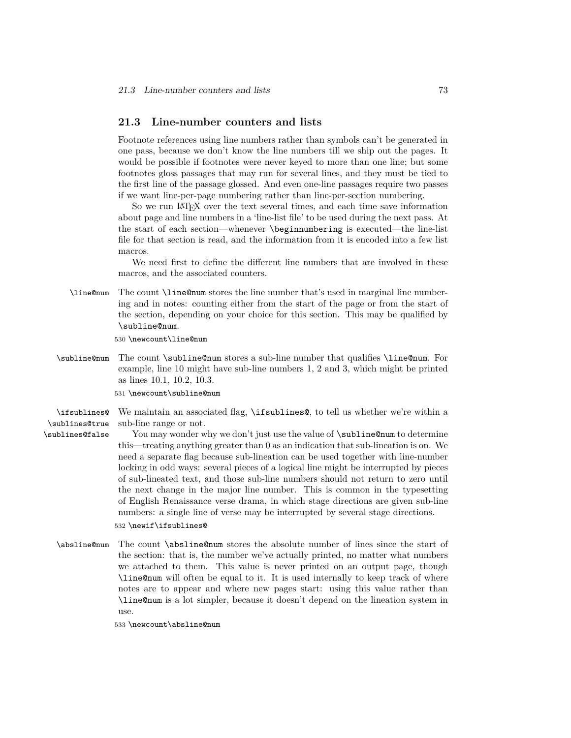### **21.3 Line-number counters and lists**

Footnote references using line numbers rather than symbols can't be generated in one pass, because we don't know the line numbers till we ship out the pages. It would be possible if footnotes were never keyed to more than one line; but some footnotes gloss passages that may run for several lines, and they must be tied to the first line of the passage glossed. And even one-line passages require two passes if we want line-per-page numbering rather than line-per-section numbering.

So we run LATEX over the text several times, and each time save information about page and line numbers in a 'line-list file' to be used during the next pass. At the start of each section—whenever \beginnumbering is executed—the line-list file for that section is read, and the information from it is encoded into a few list macros.

We need first to define the different line numbers that are involved in these macros, and the associated counters.

\line@num The count \line@num stores the line number that's used in marginal line numbering and in notes: counting either from the start of the page or from the start of the section, depending on your choice for this section. This may be qualified by \subline@num.

530 \newcount\line@num

- \subline@num The count \subline@num stores a sub-line number that qualifies \line@num. For example, line 10 might have sub-line numbers 1, 2 and 3, which might be printed as lines 10*.*1, 10*.*2, 10*.*3.
	- 531 \newcount\subline@num

\ifsublines@ \sublines@true We maintain an associated flag, **\ifsublines@**, to tell us whether we're within a sub-line range or not.

\sublines@false

You may wonder why we don't just use the value of  $\sub{subline@num}$  to determine this—treating anything greater than 0 as an indication that sub-lineation is on. We need a separate flag because sub-lineation can be used together with line-number locking in odd ways: several pieces of a logical line might be interrupted by pieces of sub-lineated text, and those sub-line numbers should not return to zero until the next change in the major line number. This is common in the typesetting of English Renaissance verse drama, in which stage directions are given sub-line numbers: a single line of verse may be interrupted by several stage directions.

#### 532 \newif\ifsublines@

\absline@num The count \absline@num stores the absolute number of lines since the start of the section: that is, the number we've actually printed, no matter what numbers we attached to them. This value is never printed on an output page, though \line@num will often be equal to it. It is used internally to keep track of where notes are to appear and where new pages start: using this value rather than \line@num is a lot simpler, because it doesn't depend on the lineation system in use.

533 \newcount\absline@num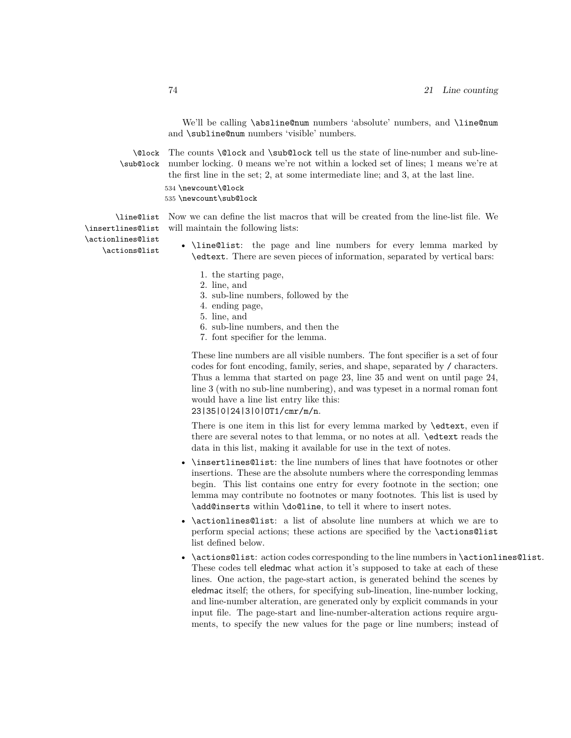We'll be calling \absline@num numbers 'absolute' numbers, and \line@num and \subline@num numbers 'visible' numbers.

\@lock \sub@lock

The counts **\@lock** and **\sub@lock** tell us the state of line-number and sub-linenumber locking. 0 means we're not within a locked set of lines; 1 means we're at the first line in the set; 2, at some intermediate line; and 3, at the last line.

534 \newcount\@lock

535 \newcount\sub@lock

\line@list Now we can define the list macros that will be created from the line-list file. We will maintain the following lists:

\insertlines@list \actionlines@list \actions@list

- <span id="page-73-0"></span>• \line@list: the page and line numbers for every lemma marked by \edtext. There are seven pieces of information, separated by vertical bars:
	- 1. the starting page,
	- 2. line, and
	- 3. sub-line numbers, followed by the
	- 4. ending page,
	- 5. line, and
	- 6. sub-line numbers, and then the
	- 7. font specifier for the lemma.

These line numbers are all visible numbers. The font specifier is a set of four codes for font encoding, family, series, and shape, separated by / characters. Thus a lemma that started on page 23, line 35 and went on until page 24, line 3 (with no sub-line numbering), and was typeset in a normal roman font would have a line list entry like this:

### 23|35|0|24|3|0|OT1/cmr/m/n.

There is one item in this list for every lemma marked by \edtext, even if there are several notes to that lemma, or no notes at all. \edtext reads the data in this list, making it available for use in the text of notes.

- \insertlines@list: the line numbers of lines that have footnotes or other insertions. These are the absolute numbers where the corresponding lemmas begin. This list contains one entry for every footnote in the section; one lemma may contribute no footnotes or many footnotes. This list is used by \add@inserts within \do@line, to tell it where to insert notes.
- \actionlines@list: a list of absolute line numbers at which we are to perform special actions; these actions are specified by the \actions@list list defined below.
- \actions@list: action codes corresponding to the line numbers in \actionlines@list. These codes tell eledmac what action it's supposed to take at each of these lines. One action, the page-start action, is generated behind the scenes by eledmac itself; the others, for specifying sub-lineation, line-number locking, and line-number alteration, are generated only by explicit commands in your input file. The page-start and line-number-alteration actions require arguments, to specify the new values for the page or line numbers; instead of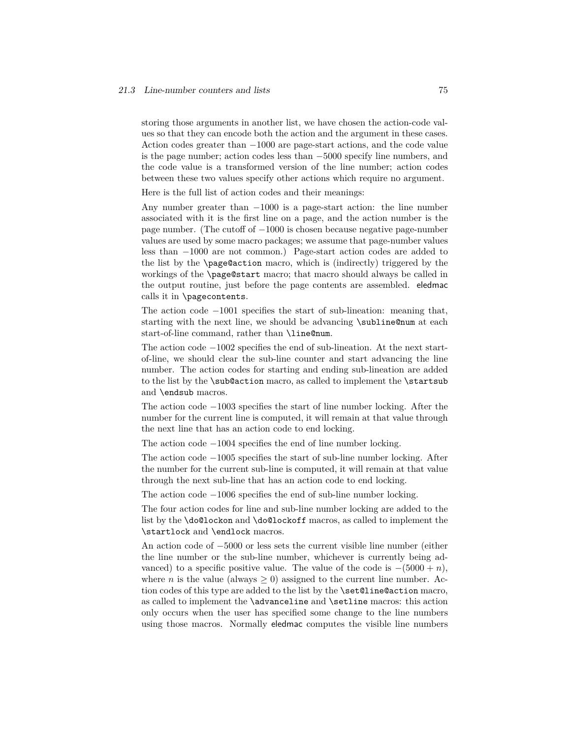storing those arguments in another list, we have chosen the action-code values so that they can encode both the action and the argument in these cases. Action codes greater than *−*1000 are page-start actions, and the code value is the page number; action codes less than *−*5000 specify line numbers, and the code value is a transformed version of the line number; action codes between these two values specify other actions which require no argument.

Here is the full list of action codes and their meanings:

Any number greater than *−*1000 is a page-start action: the line number associated with it is the first line on a page, and the action number is the page number. (The cutoff of *−*1000 is chosen because negative page-number values are used by some macro packages; we assume that page-number values less than *−*1000 are not common.) Page-start action codes are added to the list by the \page@action macro, which is (indirectly) triggered by the workings of the \page@start macro; that macro should always be called in the output routine, just before the page contents are assembled. eledmac calls it in \pagecontents.

The action code *−*1001 specifies the start of sub-lineation: meaning that, starting with the next line, we should be advancing \subline@num at each start-of-line command, rather than \line@num.

The action code *−*1002 specifies the end of sub-lineation. At the next startof-line, we should clear the sub-line counter and start advancing the line number. The action codes for starting and ending sub-lineation are added to the list by the \sub@action macro, as called to implement the \startsub and \endsub macros.

The action code *−*1003 specifies the start of line number locking. After the number for the current line is computed, it will remain at that value through the next line that has an action code to end locking.

The action code −1004 specifies the end of line number locking.

The action code *−*1005 specifies the start of sub-line number locking. After the number for the current sub-line is computed, it will remain at that value through the next sub-line that has an action code to end locking.

The action code −1006 specifies the end of sub-line number locking.

The four action codes for line and sub-line number locking are added to the list by the \do@lockon and \do@lockoff macros, as called to implement the \startlock and \endlock macros.

An action code of *−*5000 or less sets the current visible line number (either the line number or the sub-line number, whichever is currently being advanced) to a specific positive value. The value of the code is  $-(5000 + n)$ , where *n* is the value (always  $\geq 0$ ) assigned to the current line number. Action codes of this type are added to the list by the \set@line@action macro, as called to implement the \advanceline and \setline macros: this action only occurs when the user has specified some change to the line numbers using those macros. Normally eledmac computes the visible line numbers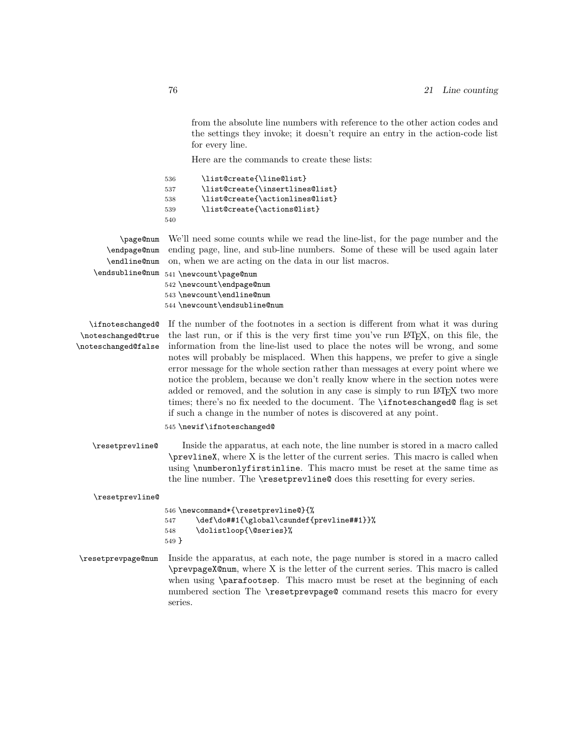from the absolute line numbers with reference to the other action codes and the settings they invoke; it doesn't require an entry in the action-code list for every line.

Here are the commands to create these lists:

| 536 | \list@create{\line@list}        |
|-----|---------------------------------|
| 537 | \list@create{\insertlines@list} |
| 538 | \list@create{\actionlines@list} |
| 539 | \list@create{\actions@list}     |
| 540 |                                 |

\page@num We'll need some counts while we read the line-list, for the page number and the ending page, line, and sub-line numbers. Some of these will be used again later on, when we are acting on the data in our list macros.

\endpage@num \endline@num

\endsubline@num 541\newcount\page@num \newcount\endpage@num \newcount\endline@num \newcount\endsubline@num

\ifnoteschanged@ \noteschanged@true \noteschanged@false

If the number of the footnotes in a section is different from what it was during the last run, or if this is the very first time you've run LATEX, on this file, the information from the line-list used to place the notes will be wrong, and some notes will probably be misplaced. When this happens, we prefer to give a single error message for the whole section rather than messages at every point where we notice the problem, because we don't really know where in the section notes were added or removed, and the solution in any case is simply to run LAT<sub>EX</sub> two more times; there's no fix needed to the document. The \ifnoteschanged@ flag is set if such a change in the number of notes is discovered at any point.

545 \newif\ifnoteschanged@

\resetprevline@ Inside the apparatus, at each note, the line number is stored in a macro called \prevlineX, where X is the letter of the current series. This macro is called when using \numberonlyfirstinline. This macro must be reset at the same time as the line number. The \resetprevline@ does this resetting for every series.

\resetprevline@

```
546 \newcommand*{\resetprevline@}{%
547 \def\do##1{\global\csundef{prevline##1}}%
548 \dolistloop{\@series}%
549 }
```
\resetprevpage@num Inside the apparatus, at each note, the page number is stored in a macro called \prevpageX@num, where X is the letter of the current series. This macro is called when using \parafootsep. This macro must be reset at the beginning of each numbered section The \resetprevpage@ command resets this macro for every series.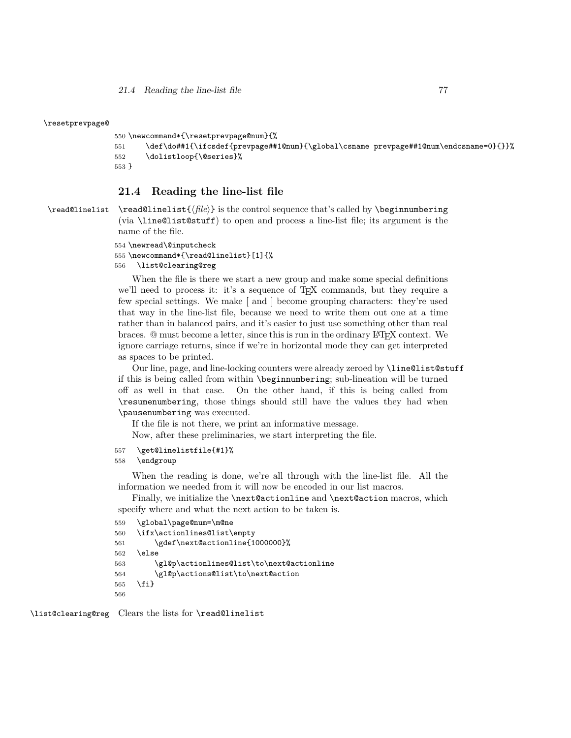*21.4 Reading the line-list file* 77

#### \resetprevpage@

```
550 \newcommand*{\resetprevpage@num}{%
551 \def\do##1{\ifcsdef{prevpage##1@num}{\global\csname prevpage##1@num\endcsname=0}{}}%
552 \dolistloop{\@series}%
553 }
```
### **21.4 Reading the line-list file**

\read@linelist \read@linelist{*⟨file⟩*} is the control sequence that's called by \beginnumbering (via \line@list@stuff) to open and process a line-list file; its argument is the name of the file.

```
554 \newread\@inputcheck
```

```
555 \newcommand*{\read@linelist}[1]{%
```

```
556 \list@clearing@reg
```
When the file is there we start a new group and make some special definitions we'll need to process it: it's a sequence of T<sub>EX</sub> commands, but they require a few special settings. We make [ and ] become grouping characters: they're used that way in the line-list file, because we need to write them out one at a time rather than in balanced pairs, and it's easier to just use something other than real braces. @ must become a letter, since this is run in the ordinary LATEX context. We ignore carriage returns, since if we're in horizontal mode they can get interpreted as spaces to be printed.

Our line, page, and line-locking counters were already zeroed by \line@list@stuff if this is being called from within \beginnumbering; sub-lineation will be turned off as well in that case. On the other hand, if this is being called from \resumenumbering, those things should still have the values they had when \pausenumbering was executed.

If the file is not there, we print an informative message. Now, after these preliminaries, we start interpreting the file.

```
557 \get@linelistfile{#1}%
```
### 558 \endgroup

When the reading is done, we're all through with the line-list file. All the information we needed from it will now be encoded in our list macros.

Finally, we initialize the \next@actionline and \next@action macros, which specify where and what the next action to be taken is.

```
559 \global\page@num=\m@ne
560 \ifx\actionlines@list\empty
561 \gdef\next@actionline{1000000}%
562 \else
563 \gl@p\actionlines@list\to\next@actionline
564 \gl@p\actions@list\to\next@action
565 \fi}
566
```
\list@clearing@reg Clears the lists for \read@linelist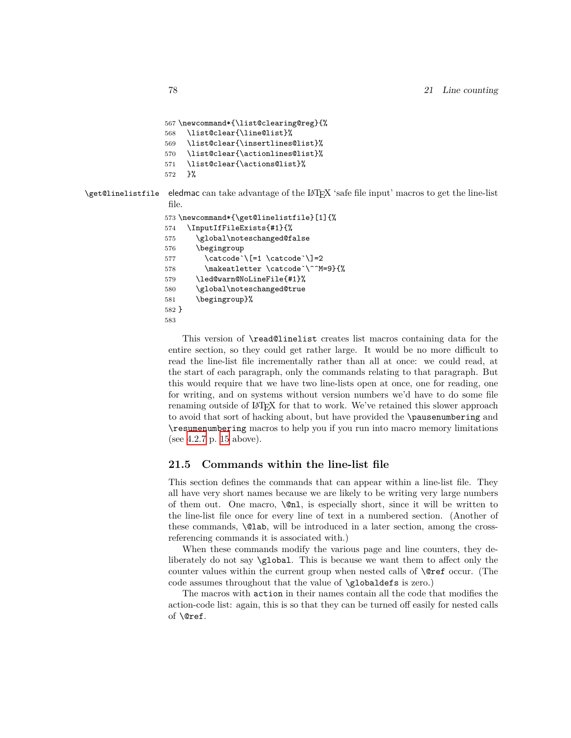```
567 \newcommand*{\list@clearing@reg}{%
568 \list@clear{\line@list}%
569 \list@clear{\insertlines@list}%
570 \list@clear{\actionlines@list}%
571 \list@clear{\actions@list}%
572 }%
```
\get@linelistfile eledmac can take advantage of the LATEX 'safe file input' macros to get the line-list file.

```
573 \newcommand*{\get@linelistfile}[1]{%
574 \InputIfFileExists{#1}{%
575 \global\noteschanged@false
576 \begingroup
577 \catcode`\[=1 \catcode`\]=2
578 \makeatletter \catcode \^^M=9}{%
579 \led@warn@NoLineFile{#1}%
580 \global\noteschanged@true
581 \begingroup}%
582 }
583
```
This version of \read@linelist creates list macros containing data for the entire section, so they could get rather large. It would be no more difficult to read the line-list file incrementally rather than all at once: we could read, at the start of each paragraph, only the commands relating to that paragraph. But this would require that we have two line-lists open at once, one for reading, one for writing, and on systems without version numbers we'd have to do some file renaming outside of LATEX for that to work. We've retained this slower approach to avoid that sort of hacking about, but have provided the \pausenumbering and \resumenumbering macros to help you if you run into macro memory limitations (see [4.2.7](#page-14-0) p. [15](#page-14-0) above).

### **21.5 Commands within the line-list file**

This section defines the commands that can appear within a line-list file. They all have very short names because we are likely to be writing very large numbers of them out. One macro, \@nl, is especially short, since it will be written to the line-list file once for every line of text in a numbered section. (Another of these commands, \@lab, will be introduced in a later section, among the crossreferencing commands it is associated with.)

When these commands modify the various page and line counters, they deliberately do not say \global. This is because we want them to affect only the counter values within the current group when nested calls of \@ref occur. (The code assumes throughout that the value of \globaldefs is zero.)

The macros with action in their names contain all the code that modifies the action-code list: again, this is so that they can be turned off easily for nested calls of \@ref.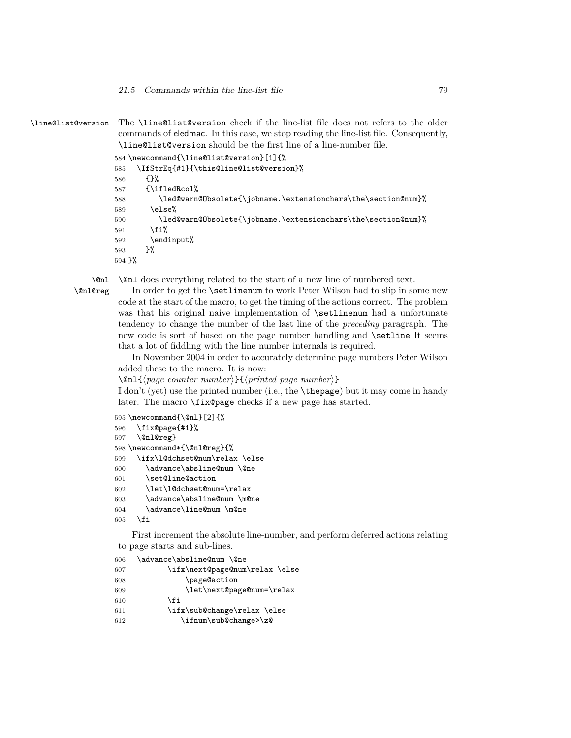\line@list@version The \line@list@version check if the line-list file does not refers to the older commands of eledmac. In this case, we stop reading the line-list file. Consequently, \line@list@version should be the first line of a line-number file.

```
584 \newcommand{\line@list@version}[1]{%
585 \IfStrEq{#1}{\this@line@list@version}%
586 {}%
587 {\ifledRcol%
588 \led@warn@Obsolete{\jobname.\extensionchars\the\section@num}%
589 \else%
590 \led@warn@Obsolete{\jobname.\extensionchars\the\section@num}%
591 \fi%
592 \endinput%
593 }%
594 }%
```
\@nl \@nl does everything related to the start of a new line of numbered text.

\@nl@reg In order to get the \setlinenum to work Peter Wilson had to slip in some new code at the start of the macro, to get the timing of the actions correct. The problem was that his original naive implementation of \setlinenum had a unfortunate tendency to change the number of the last line of the *preceding* paragraph. The new code is sort of based on the page number handling and **\setline** It seems that a lot of fiddling with the line number internals is required.

> In November 2004 in order to accurately determine page numbers Peter Wilson added these to the macro. It is now:

\@nl{*⟨page counter number⟩*}{*⟨printed page number⟩*}

I don't (yet) use the printed number (i.e., the \thepage) but it may come in handy later. The macro \fix@page checks if a new page has started.

```
595 \newcommand{\@nl}[2]{%
596 \fix@page{#1}%
597 \@nl@reg}
598 \newcommand*{\@nl@reg}{%
599 \ifx\l@dchset@num\relax \else
600 \advance\absline@num \@ne
601 \set@line@action
602 \let\l@dchset@num=\relax
603 \advance\absline@num \m@ne
604 \advance\line@num \m@ne
605 \fi
```
First increment the absolute line-number, and perform deferred actions relating to page starts and sub-lines.

| 606 | \advance\absline@num \@ne      |
|-----|--------------------------------|
| 607 | \ifx\next@page@num\relax \else |
| 608 | \page@action                   |
| 609 | \let\next@page@num=\relax      |
| 610 | \fi                            |
| 611 | \ifx\sub@change\relax \else    |
| 612 | \ifnum\sub@change>\z@          |
|     |                                |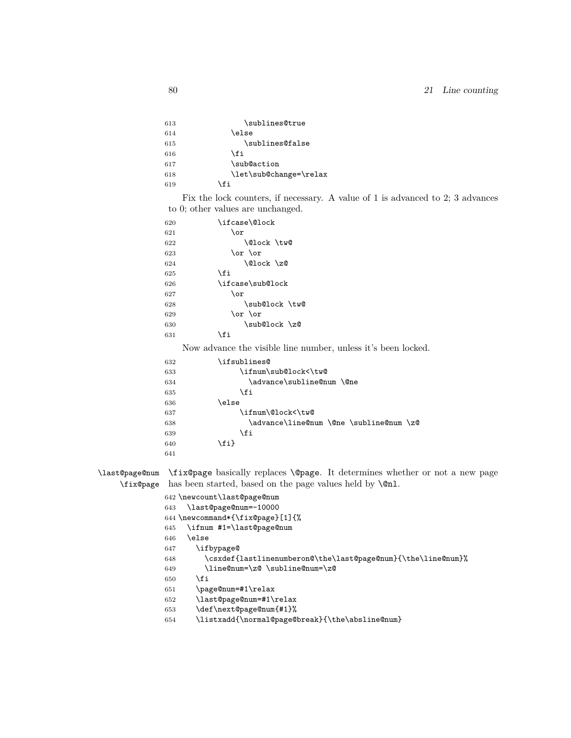| 613 | \sublines@true         |
|-----|------------------------|
| 614 | \else                  |
| 615 | \sublines@false        |
| 616 | \fi                    |
| 617 | \sub@action            |
| 618 | \let\sub@change=\relax |
| 619 | \fi                    |
|     |                        |

Fix the lock counters, if necessary. A value of 1 is advanced to 2; 3 advances to 0; other values are unchanged.

| 620 | \ifcase\@lock    |  |  |
|-----|------------------|--|--|
| 621 | \or              |  |  |
| 622 | \@lock \tw@      |  |  |
| 623 | \or \or          |  |  |
| 624 | \@lock \z@       |  |  |
| 625 | \fi              |  |  |
| 626 | \ifcase\sub@lock |  |  |
| 627 | \or              |  |  |
| 628 | \sub@lock \tw@   |  |  |
| 629 | \or \or          |  |  |
| 630 | \sub@lock \z@    |  |  |
| 631 | fi               |  |  |
|     |                  |  |  |

Now advance the visible line number, unless it's been locked.

| 632 | \ifsublines@                            |
|-----|-----------------------------------------|
| 633 | \ifnum\sub@lock<\tw@                    |
| 634 | \advance\subline@num \@ne               |
| 635 | \fi                                     |
| 636 | \else                                   |
| 637 | \ifnum\@lock<\tw@                       |
| 638 | \advance\line@num \@ne \subline@num \z@ |
| 639 | \fi                                     |
| 640 | \fi}                                    |
| 641 |                                         |

\last@page@num \fix@page basically replaces \@page. It determines whether or not a new page \fix@page has been started, based on the page values held by  $\emptyset$ nl.

> \newcount\last@page@num \last@page@num=-10000 \newcommand\*{\fix@page}[1]{% \ifnum #1=\last@page@num \else \ifbypage@ \csxdef{lastlinenumberon@\the\last@page@num}{\the\line@num}% \line@num=\z@ \subline@num=\z@ \fi \page@num=#1\relax \last@page@num=#1\relax \def\next@page@num{#1}% \listxadd{\normal@page@break}{\the\absline@num}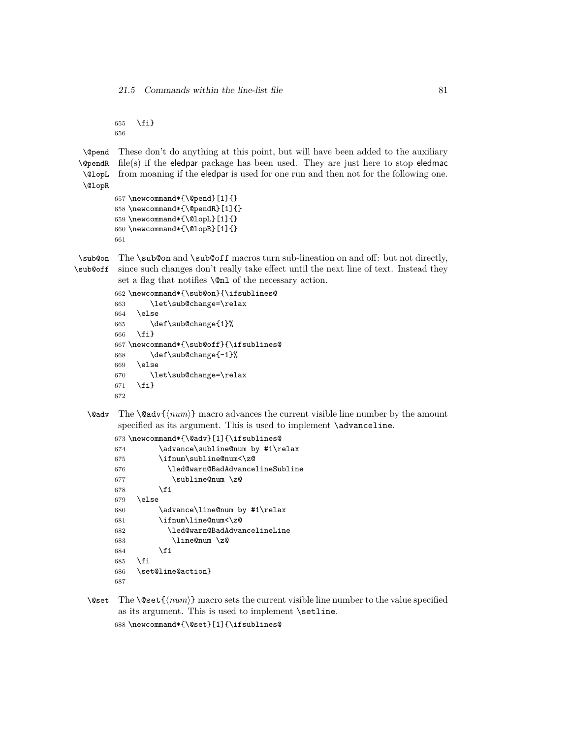\fi} 

\@pend \@pendR \@lopL \@lopR These don't do anything at this point, but will have been added to the auxiliary file(s) if the eledpar package has been used. They are just here to stop eledmac from moaning if the eledpar is used for one run and then not for the following one.

```
657 \newcommand*{\@pend}[1]{}
658 \newcommand*{\@pendR}[1]{}
659 \newcommand*{\@lopL}[1]{}
660 \newcommand*{\@lopR}[1]{}
661
```
\sub@on The \sub@on and \sub@off macros turn sub-lineation on and off: but not directly,

\sub@off since such changes don't really take effect until the next line of text. Instead they set a flag that notifies **\**©nl of the necessary action.

```
662 \newcommand*{\sub@on}{\ifsublines@
663 \let\sub@change=\relax
664 \else
665 \def\sub@change{1}%
666 \fi}
667 \newcommand*{\sub@off}{\ifsublines@
668 \def\sub@change{-1}%
669 \else
670 \let\sub@change=\relax
671 \fi}
672
```
\@adv The \@adv{*⟨num⟩*} macro advances the current visible line number by the amount specified as its argument. This is used to implement \advanceline.

```
673 \newcommand*{\@adv}[1]{\ifsublines@
674 \advance\subline@num by #1\relax
675 \ifnum\subline@num<\z@
676 \led@warn@BadAdvancelineSubline
677 \subline@num \z@
678 \fi
679 \else
680 \advance\line@num by #1\relax
681 \ifnum\line@num<\z@
682 \led@warn@BadAdvancelineLine
683 \line@num \z@
684 \fi
685 \fi
686 \set@line@action}
687
```
\@set The \@set{*⟨num⟩*} macro sets the current visible line number to the value specified as its argument. This is used to implement \setline. \newcommand\*{\@set}[1]{\ifsublines@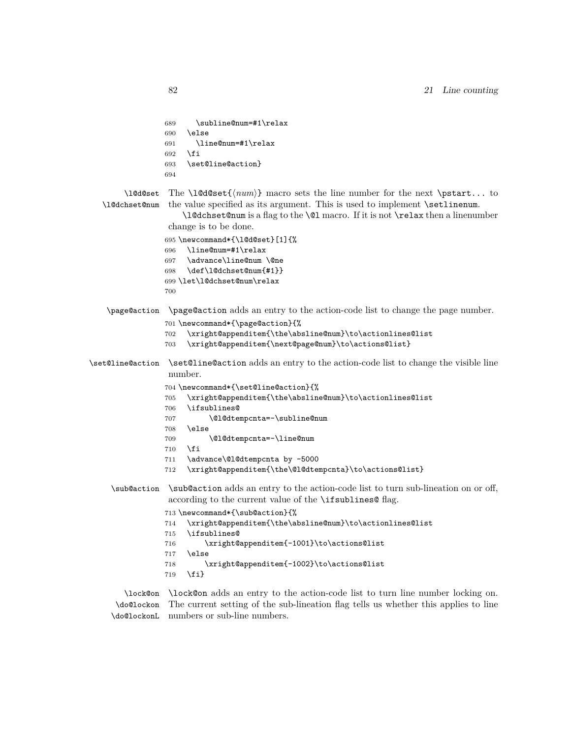```
689 \subline@num=#1\relax
690 \else
691 \line@num=#1\relax
692 \fi
693 \set@line@action}
694
```
\l@d@set \l@dchset@num

The \l@d@set{*{num*}} macro sets the line number for the next \pstart... to the value specified as its argument. This is used to implement \setlinenum.

\l@dchset@num is a flag to the \@l macro. If it is not \relax then a linenumber change is to be done.

```
695 \newcommand*{\l@d@set}[1]{%
696 \line@num=#1\relax
697 \advance\line@num \@ne
698 \def\l@dchset@num{#1}}
699 \let\l@dchset@num\relax
700
```
#### \page@action \page@action adds an entry to the action-code list to change the page number.

```
701 \newcommand*{\page@action}{%
```

```
702 \xright@appenditem{\the\absline@num}\to\actionlines@list
```

```
703 \xright@appenditem{\next@page@num}\to\actions@list}
```
- \set@line@action \set@line@action adds an entry to the action-code list to change the visible line number.
	- \newcommand\*{\set@line@action}{%
	- \xright@appenditem{\the\absline@num}\to\actionlines@list
	- \ifsublines@
	- 707 \@l@dtempcnta=-\subline@num
	- \else
	- 709 \@l@dtempcnta=-\line@num
	- \fi
	- \advance\@l@dtempcnta by -5000
	- \xright@appenditem{\the\@l@dtempcnta}\to\actions@list}
	- \sub@action \sub@action adds an entry to the action-code list to turn sub-lineation on or off, according to the current value of the **\ifsublines@** flag.
		- \newcommand\*{\sub@action}{%
		- \xright@appenditem{\the\absline@num}\to\actionlines@list
		- \ifsublines@
		- \xright@appenditem{-1001}\to\actions@list
		- \else
		- \xright@appenditem{-1002}\to\actions@list
		- \fi}

\lock@on \lock@on adds an entry to the action-code list to turn line number locking on. \do@lockon \do@lockonL numbers or sub-line numbers.The current setting of the sub-lineation flag tells us whether this applies to line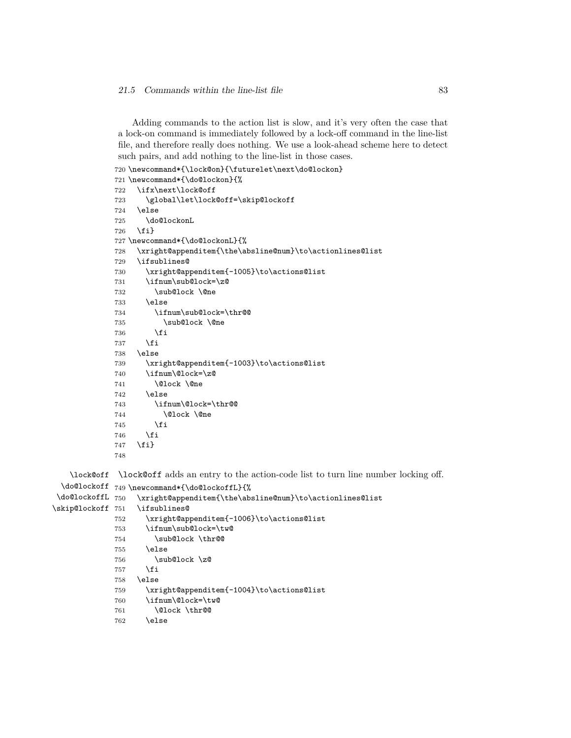Adding commands to the action list is slow, and it's very often the case that a lock-on command is immediately followed by a lock-off command in the line-list file, and therefore really does nothing. We use a look-ahead scheme here to detect such pairs, and add nothing to the line-list in those cases.

```
720 \newcommand*{\lock@on}{\futurelet\next\do@lockon}
721 \newcommand*{\do@lockon}{%
722 \ifx\next\lock@off
723 \global\let\lock@off=\skip@lockoff
724 \else
725 \do@lockonL
726 \fi}
727 \newcommand*{\do@lockonL}{%
728 \xright@appenditem{\the\absline@num}\to\actionlines@list
729 \ifsublines@
730 \xright@appenditem{-1005}\to\actions@list
731 \ifnum\sub@lock=\z@
732 \sub@lock \@ne
733 \else
734 \ifnum\sub@lock=\thr@@
735 \sub@lock \@ne
736 \fi
737 \overline{f}738 \else
739 \xright@appenditem{-1003}\to\actions@list
740 \ifnum\@lock=\z@
741 \@lock \@ne
742 \else
743 \ifnum\@lock=\thr@@
744 \Clock \Cne
745 \fi
746 \fi
747 \fi}
748
```
\lock@off \lock@off adds an entry to the action-code list to turn line number locking off.

```
\do@lockoff
749 \newcommand*{\do@lockoffL}{%
\do@lockoffL 750
\skip@lockoff 751
                  \xright@appenditem{\the\absline@num}\to\actionlines@list
                  \ifsublines@
             752 \xright@appenditem{-1006}\to\actions@list
             753 \ifnum\sub@lock=\tw@
             754 \sub@lock \thr@@
             755 \else
             756 \sub@lock \z@
             757 \overline{f}758 \else
             759 \xright@appenditem{-1004}\to\actions@list
             760 \ifnum\@lock=\tw@
             761 \@lock \thr@@
             762 \else
```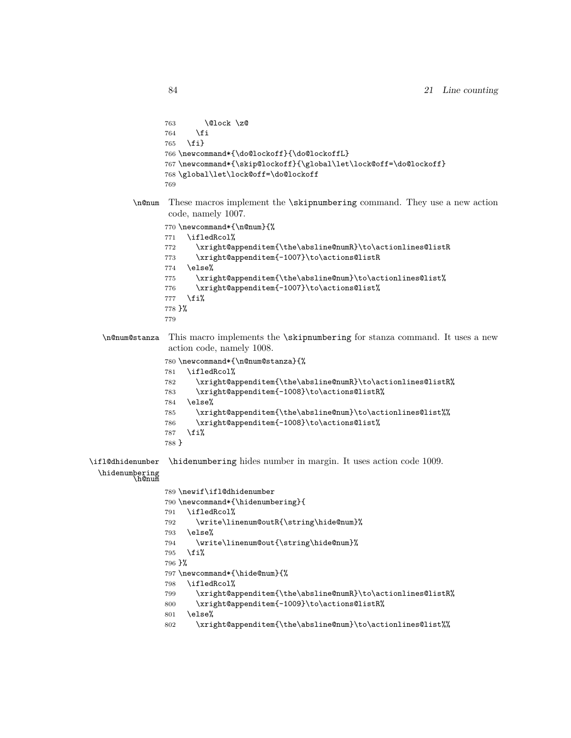```
763 \@lock \z@
                764 \fi
                765 \fi}
                766 \newcommand*{\do@lockoff}{\do@lockoffL}
                767 \newcommand*{\skip@lockoff}{\global\let\lock@off=\do@lockoff}
                768 \global\let\lock@off=\do@lockoff
                769
         \n@num These macros implement the \skipnumbering command. They use a new action
                 code, namely 1007.
                770 \newcommand*{\n@num}{%
                771 \ifledRcol%
                772 \xright@appenditem{\the\absline@numR}\to\actionlines@listR
                773 \xright@appenditem{-1007}\to\actions@listR
                774 \else%
                775 \xright@appenditem{\the\absline@num}\to\actionlines@list%
                776 \xright@appenditem{-1007}\to\actions@list%
                777 \fi%
                778 }%
                779
  \n@num@stanza This macro implements the \skipnumbering for stanza command. It uses a new
                 action code, namely 1008.
                780 \newcommand*{\n@num@stanza}{%
                781 \ifledRcol%
                782 \xright@appenditem{\the\absline@numR}\to\actionlines@listR%
                783 \xright@appenditem{-1008}\to\actions@listR%
                784 \else%
                785 \xright@appenditem{\the\absline@num}\to\actionlines@list%%
                786 \xright@appenditem{-1008}\to\actions@list%
                787 \fi%
                788 }
\ifl@dhidenumber
  \hidenumbering<br>h@num
                 \hidenumbering hides number in margin. It uses action code 1009.
                789 \newif\ifl@dhidenumber
                790 \newcommand*{\hidenumbering}{
                791 \ifledRcol%
                792 \write\linenum@outR{\string\hide@num}%
                793 \else%
                794 \write\linenum@out{\string\hide@num}%
                795 \fi%
                796 }%
                797 \newcommand*{\hide@num}{%
                798 \ifledRcol%
                799 \xright@appenditem{\the\absline@numR}\to\actionlines@listR%
                800 \xright@appenditem{-1009}\to\actions@listR%
                801 \else%
```
\xright@appenditem{\the\absline@num}\to\actionlines@list%%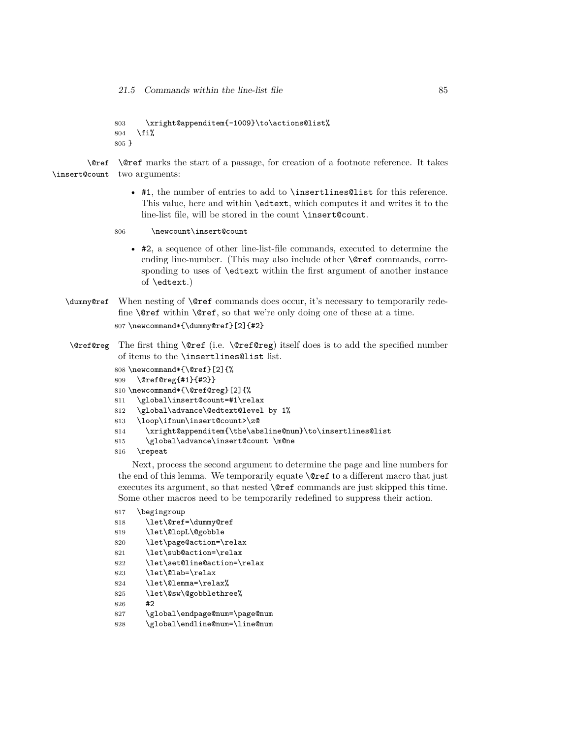21.5 Commands within the line-list file 85

```
803 \xright@appenditem{-1009}\to\actions@list%
804 \fi%
805 }
```
\@ref \@ref marks the start of a passage, for creation of a footnote reference. It takes \insert@count two arguments:

- #1, the number of entries to add to \insertlines@list for this reference. This value, here and within \edtext, which computes it and writes it to the line-list file, will be stored in the count \insert@count.
- 806 \newcount\insert@count
	- #2, a sequence of other line-list-file commands, executed to determine the ending line-number. (This may also include other **\@ref** commands, corresponding to uses of \edtext within the first argument of another instance of \edtext.)
- \dummy@ref When nesting of \@ref commands does occur, it's necessary to temporarily redefine \@ref within \@ref, so that we're only doing one of these at a time. 807 \newcommand\*{\dummy@ref}[2]{#2}
- \@ref@reg The first thing \@ref (i.e. \@ref@reg) itself does is to add the specified number of items to the \insertlines@list list.

```
808 \newcommand*{\@ref}[2]{%
809 \@ref@reg{#1}{#2}}
810 \newcommand*{\@ref@reg}[2]{%
811 \global\insert@count=#1\relax
812 \global\advance\@edtext@level by 1%
813 \loop\ifnum\insert@count>\z@
```
- 814 \xright@appenditem{\the\absline@num}\to\insertlines@list
- 815 \global\advance\insert@count \m@ne
- 816 \repeat

Next, process the second argument to determine the page and line numbers for the end of this lemma. We temporarily equate \@ref to a different macro that just executes its argument, so that nested \@ref commands are just skipped this time. Some other macros need to be temporarily redefined to suppress their action.

 \begingroup \let\@ref=\dummy@ref \let\@lopL\@gobble \let\page@action=\relax 821 \let\sub@action=\relax \let\set@line@action=\relax \let\@lab=\relax \let\@lemma=\relax% \let\@sw\@gobblethree% 826 #2 \global\endpage@num=\page@num \global\endline@num=\line@num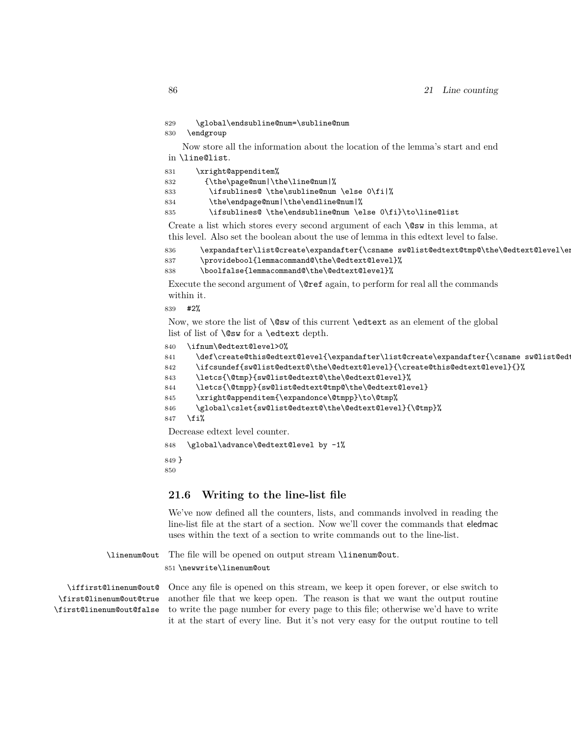```
829 \global\endsubline@num=\subline@num
```
830 \endgroup

Now store all the information about the location of the lemma's start and end in \line@list.

| 831 | \xright@appenditem%                                       |
|-----|-----------------------------------------------------------|
| 832 | $\theta \$ = {\the\page@num \the\line@num %               |
| 833 | \ifsublines@\the\subline@num\else 0\fi %                  |
| 834 | \the\endpage@num \the\endline@num %                       |
| 835 | \ifsublines@ \the\endsubline@num \else 0\fi}\to\line@list |

Create a list which stores every second argument of each \@sw in this lemma, at this level. Also set the boolean about the use of lemma in this edtext level to false.

```
836 \expandafter\list@create\expandafter{\csname sw@list@edtext@tmp@\the\@edtext@level\en
837 \providebool{lemmacommand@\the\@edtext@level}%
838 \boolfalse{lemmacommand@\the\@edtext@level}%
```
Execute the second argument of **\@ref** again, to perform for real all the commands within it.

839 #2%

Now, we store the list of  $\@x$  of this current  $\ed$ text as an element of the global list of list of \@sw for a \edtext depth.

```
840 \ifnum\@edtext@level>0%
```

```
841 \def\create@this@edtext@level{\expandafter\list@create\expandafter{\csname sw@list@edtext
842 \ifcsundef{sw@list@edtext@\the\@edtext@level}{\create@this@edtext@level}{}%
```

```
843 \letcs{\@tmp}{sw@list@edtext@\the\@edtext@level}%
```

```
844 \letcs{\@tmpp}{sw@list@edtext@tmp@\the\@edtext@level}
```

```
845 \xright@appenditem{\expandonce\@tmpp}\to\@tmp%
```

```
846 \global\cslet{sw@list@edtext@\the\@edtext@level}{\@tmp}%
```

```
847 \fi%
```
Decrease edtext level counter.

848 \global\advance\@edtext@level by -1%

```
849 }
850
```
**21.6 Writing to the line-list file**

We've now defined all the counters, lists, and commands involved in reading the line-list file at the start of a section. Now we'll cover the commands that eledmac uses within the text of a section to write commands out to the line-list.

\linenum@out The file will be opened on output stream \linenum@out. 851 \newwrite\linenum@out

\iffirst@linenum@out@ \first@linenum@out@true \first@linenum@out@false Once any file is opened on this stream, we keep it open forever, or else switch to another file that we keep open. The reason is that we want the output routine to write the page number for every page to this file; otherwise we'd have to write it at the start of every line. But it's not very easy for the output routine to tell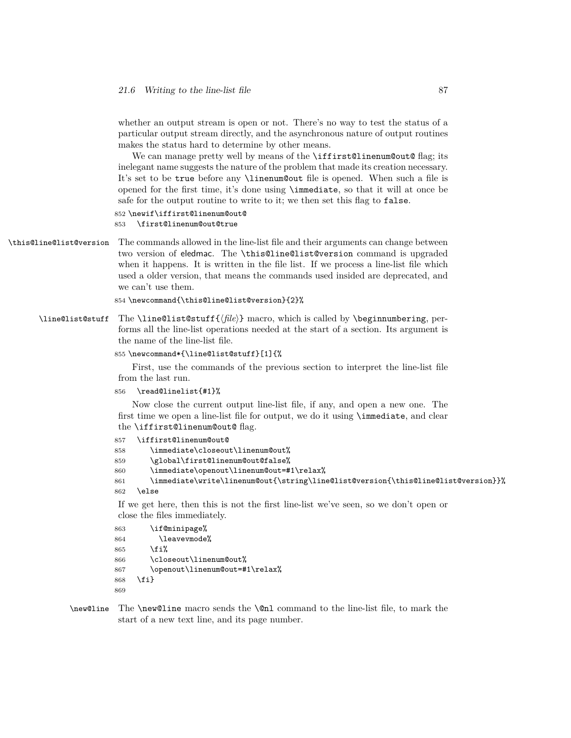whether an output stream is open or not. There's no way to test the status of a particular output stream directly, and the asynchronous nature of output routines makes the status hard to determine by other means.

We can manage pretty well by means of the **\iffirst@linenum@out@** flag; its inelegant name suggests the nature of the problem that made its creation necessary. It's set to be true before any \linenum@out file is opened. When such a file is opened for the first time, it's done using \immediate, so that it will at once be safe for the output routine to write to it; we then set this flag to false.

```
852 \newif\iffirst@linenum@out@
853 \first@linenum@out@true
```
\this@line@list@version The commands allowed in the line-list file and their arguments can change between two version of eledmac. The \this@line@list@version command is upgraded when it happens. It is written in the file list. If we process a line-list file which used a older version, that means the commands used insided are deprecated, and we can't use them.

```
854 \newcommand{\this@line@list@version}{2}%
```
\line@list@stuff The \line@list@stuff{*⟨file⟩*} macro, which is called by \beginnumbering, performs all the line-list operations needed at the start of a section. Its argument is the name of the line-list file.

#### 855 \newcommand\*{\line@list@stuff}[1]{%

First, use the commands of the previous section to interpret the line-list file from the last run.

```
856 \read@linelist{#1}%
```
Now close the current output line-list file, if any, and open a new one. The first time we open a line-list file for output, we do it using \immediate, and clear the \iffirst@linenum@out@ flag.

```
857 \iffirst@linenum@out@
858 \immediate\closeout\linenum@out%
859 \global\first@linenum@out@false%
860 \immediate\openout\linenum@out=#1\relax%
861 \immediate\write\linenum@out{\string\line@list@version{\this@line@list@version}}%
862 \else
```
If we get here, then this is not the first line-list we've seen, so we don't open or close the files immediately.

```
863 \if@minipage%
864 \leavevmode%
865 \fi%
866 \closeout\linenum@out%
867 \openout\linenum@out=#1\relax%
868 \fi}
869
```
\new@line The \new@line macro sends the \@nl command to the line-list file, to mark the start of a new text line, and its page number.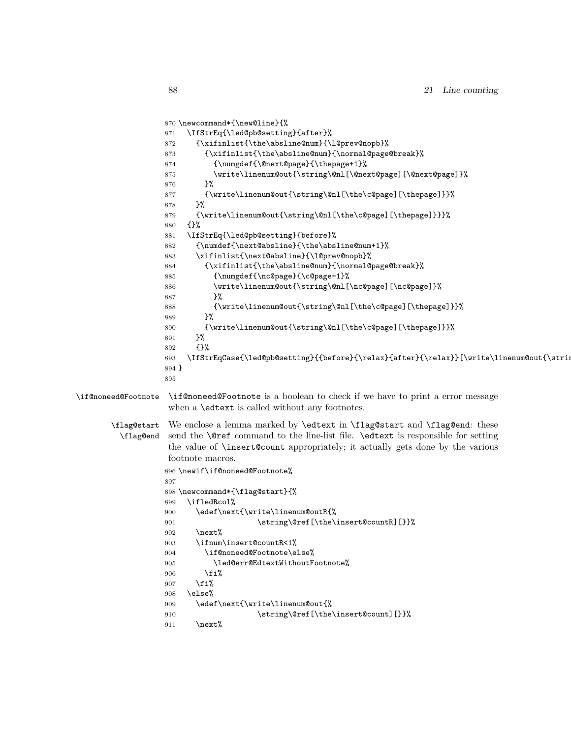```
870 \newcommand*{\new@line}{%
                  871 \IfStrEq{\led@pb@setting}{after}%
                  872 {\xifinlist{\the\absline@num}{\l@prev@nopb}%
                  873 {\xifinlist{\the\absline@num}{\normal@page@break}%
                  874 {\numgdef{\@next@page}{\thepage+1}%
                  875 \write\linenum@out{\string\@nl[\@next@page][\@next@page]}%
                  876 }%
                  877 {\write\linenum@out{\string\@nl[\the\c@page][\thepage]}}%
                  878 }%
                  879 {\write\linenum@out{\string\@nl[\the\c@page][\thepage]}}}%
                  880 {}%
                  881 \IfStrEq{\led@pb@setting}{before}%
                  882 {\numdef{\next@absline}{\the\absline@num+1}%
                  883 \xifinlist{\next@absline}{\l@prev@nopb}%
                  884 {\xifinlist{\the\absline@num}{\normal@page@break}%
                  885 {\numgdef{\nc@page}{\c@page+1}%
                  886 \write\linenum@out{\string\@nl[\nc@page][\nc@page]}%
                  887 }%
                   888 {\write\linenum@out{\string\@nl[\the\c@page][\thepage]}}%
                   889 }%
                  890 {\write\linenum@out{\string\@nl[\the\c@page][\thepage]}}%
                  891 }%
                  892 {}%
                  893 \IfStrEqCase{\led@pb@setting}{{before}{\relax}{after}{\relax}}[\write\linenum@out{\string\
                  894 }
                  895
\if@noneed@Footnote \if@noneed@Footnote is a boolean to check if we have to print a error message
                   when a \edtext is called without any footnotes.
       \flag@start
         \flag@end
                   We enclose a lemma marked by \edtext in \flag@start and \flag@end: these
                   send the \@ref command to the line-list file. \edtext is responsible for setting
                   the value of \insert@count appropriately; it actually gets done by the various
                   footnote macros.
                  896 \newif\if@noneed@Footnote%
                  897
                  898 \newcommand*{\flag@start}{%
                  899 \ifledRcol%
                  900 \edef\next{\write\linenum@outR{%
                  901 \string\@ref[\the\insert@countR][}}%
                  902 \rightarrow \text{next%}903 \ifnum\insert@countR<1%
                  904 \if@noneed@Footnote\else%
                  905 \led@err@EdtextWithoutFootnote%
                  906 \overline{\text{f}i\text{}}907 \{fi\}908 \else%
                  909 \edef\next{\write\linenum@out{%
                  910 \string\@ref[\the\insert@count][}}%
                  911 \next%
```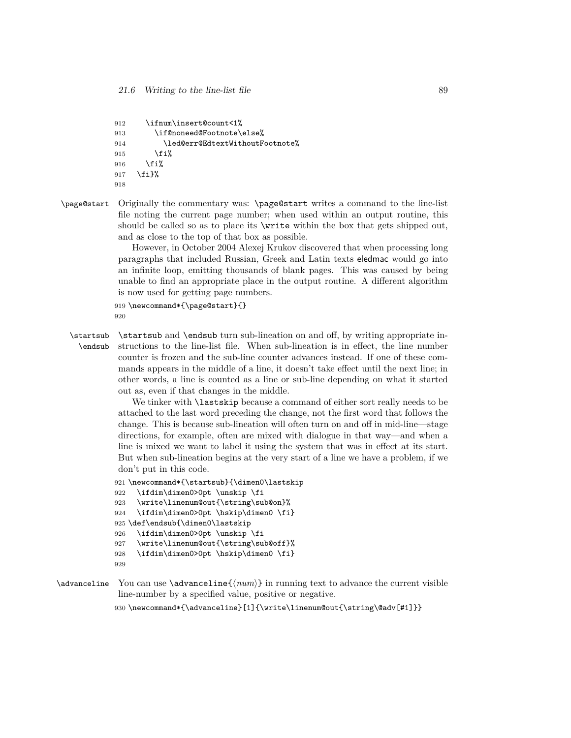```
912 \ifnum\insert@count<1%
913 \if@noneed@Footnote\else%
914 \led@err@EdtextWithoutFootnote%
915 \fi%
916 \fi%
917 \fi}%
918
```
\page@start Originally the commentary was: \page@start writes a command to the line-list file noting the current page number; when used within an output routine, this should be called so as to place its \write within the box that gets shipped out, and as close to the top of that box as possible.

> However, in October 2004 Alexej Krukov discovered that when processing long paragraphs that included Russian, Greek and Latin texts eledmac would go into an infinite loop, emitting thousands of blank pages. This was caused by being unable to find an appropriate place in the output routine. A different algorithm is now used for getting page numbers.

```
919 \newcommand*{\page@start}{}
920
```
\startsub \startsub and \endsub turn sub-lineation on and off, by writing appropriate in-\endsub structions to the line-list file. When sub-lineation is in effect, the line number counter is frozen and the sub-line counter advances instead. If one of these commands appears in the middle of a line, it doesn't take effect until the next line; in other words, a line is counted as a line or sub-line depending on what it started out as, even if that changes in the middle.

> We tinker with **lastskip** because a command of either sort really needs to be attached to the last word preceding the change, not the first word that follows the change. This is because sub-lineation will often turn on and off in mid-line—stage directions, for example, often are mixed with dialogue in that way—and when a line is mixed we want to label it using the system that was in effect at its start. But when sub-lineation begins at the very start of a line we have a problem, if we don't put in this code.

```
921 \newcommand*{\startsub}{\dimen0\lastskip
922 \ifdim\dimen0>0pt \unskip \fi
923 \write\linenum@out{\string\sub@on}%
924 \ifdim\dimen0>0pt \hskip\dimen0 \fi}
925 \def\endsub{\dimen0\lastskip
```

```
926 \ifdim\dimen0>0pt \unskip \fi
```

```
927 \write\linenum@out{\string\sub@off}%
```

```
928 \ifdim\dimen0>0pt \hskip\dimen0 \fi}
```
929

\advanceline You can use \advanceline{*⟨num⟩*} in running text to advance the current visible line-number by a specified value, positive or negative.

930 \newcommand\*{\advanceline}[1]{\write\linenum@out{\string\@adv[#1]}}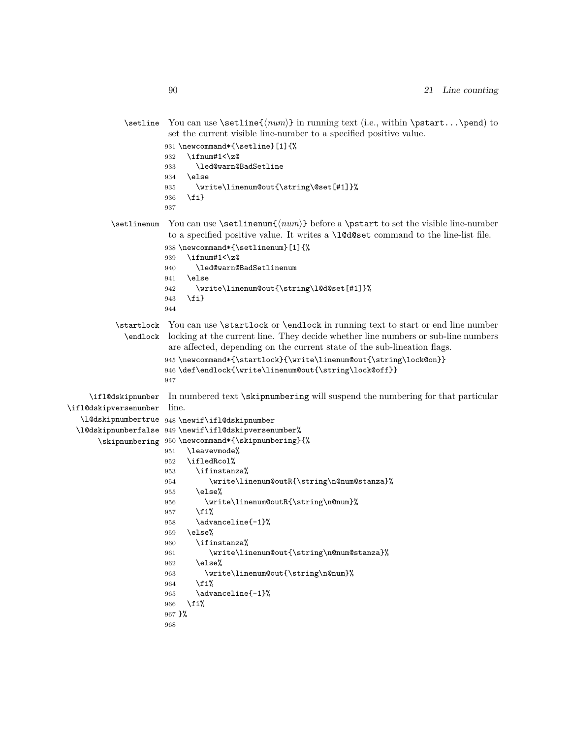|                       | \setline You can use \setline{ $\langle num \rangle$ } in running text (i.e., within \pstart\pend) to<br>set the current visible line-number to a specified positive value.<br>931 \newcommand*{\setline}[1]{%<br>\ifnum#1<\z@<br>932<br>\led@warn@BadSetline<br>933<br>\else<br>934<br>\write\linenum@out{\string\@set[#1]}%<br>935<br>\fi}<br>936 |
|-----------------------|-----------------------------------------------------------------------------------------------------------------------------------------------------------------------------------------------------------------------------------------------------------------------------------------------------------------------------------------------------|
| \setlinenum           | 937<br>to a specified positive value. It writes a \1@d@set command to the line-list file.                                                                                                                                                                                                                                                           |
|                       | 938 \newcommand*{\setlinenum}[1]{%<br>\ifnum#1<\z@<br>939<br>\led@warn@BadSetlinenum<br>940<br>\else<br>941                                                                                                                                                                                                                                         |
|                       | \write\linenum@out{\string\l@d@set[#1]}%<br>942<br>\fi}<br>943<br>944                                                                                                                                                                                                                                                                               |
| \startlock            | You can use \startlock or \endlock in running text to start or end line number<br>\endlock locking at the current line. They decide whether line numbers or sub-line numbers<br>are affected, depending on the current state of the sub-lineation flags.<br>945 \newcommand*{\startlock}{\write\linenum@out{\string\lock@on}}                       |
|                       | 946 \def\endlock{\write\linenum@out{\string\lock@off}}<br>947                                                                                                                                                                                                                                                                                       |
| \ifl@dskipnumber      | In numbered text \skipnumbering will suspend the numbering for that particular                                                                                                                                                                                                                                                                      |
| \ifl@dskipversenumber | line.                                                                                                                                                                                                                                                                                                                                               |
| \10dskipnumbertrue    | 948 \newif\ifl@dskipnumber                                                                                                                                                                                                                                                                                                                          |
|                       | \l@dskipnumberfalse 949 \newif\ifl@dskipversenumber%                                                                                                                                                                                                                                                                                                |
|                       | \skipnumbering 950 \newcommand*{\skipnumbering}{%                                                                                                                                                                                                                                                                                                   |
|                       | \leavevmode%<br>951                                                                                                                                                                                                                                                                                                                                 |
|                       | \ifledRcol%<br>952                                                                                                                                                                                                                                                                                                                                  |
|                       | \ifinstanza%<br>953                                                                                                                                                                                                                                                                                                                                 |
|                       | \write\linenum@outR{\string\n@num@stanza}%<br>954                                                                                                                                                                                                                                                                                                   |
|                       | \else%<br>955<br>\write\linenum@outR{\string\n@num}%                                                                                                                                                                                                                                                                                                |
|                       | 956<br>\fi%<br>957                                                                                                                                                                                                                                                                                                                                  |
|                       | \advanceline{-1}%<br>958                                                                                                                                                                                                                                                                                                                            |
|                       | \else%<br>959                                                                                                                                                                                                                                                                                                                                       |
|                       | \ifinstanza%<br>960                                                                                                                                                                                                                                                                                                                                 |
|                       | \write\linenum@out{\string\n@num@stanza}%<br>961                                                                                                                                                                                                                                                                                                    |
|                       | \else%<br>962                                                                                                                                                                                                                                                                                                                                       |
|                       | \write\linenum@out{\string\n@num}%<br>963                                                                                                                                                                                                                                                                                                           |
|                       | \fi%<br>964                                                                                                                                                                                                                                                                                                                                         |
|                       | \advanceline{-1}%<br>965                                                                                                                                                                                                                                                                                                                            |
|                       | \fi%<br>966                                                                                                                                                                                                                                                                                                                                         |
|                       | 967 }%                                                                                                                                                                                                                                                                                                                                              |
|                       | 968                                                                                                                                                                                                                                                                                                                                                 |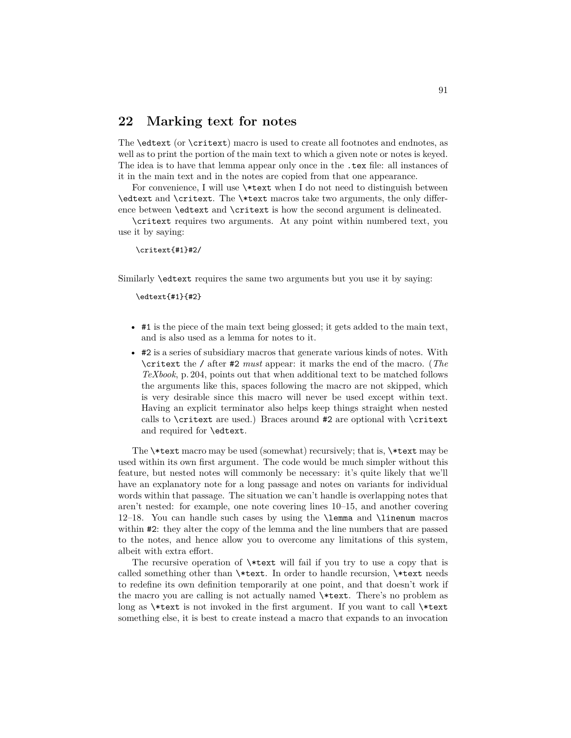## **22 Marking text for notes**

The \edtext (or \critext) macro is used to create all footnotes and endnotes, as well as to print the portion of the main text to which a given note or notes is keyed. The idea is to have that lemma appear only once in the .tex file: all instances of it in the main text and in the notes are copied from that one appearance.

For convenience, I will use \\*text when I do not need to distinguish between \edtext and \critext. The \\*text macros take two arguments, the only difference between \edtext and \critext is how the second argument is delineated.

\critext requires two arguments. At any point within numbered text, you use it by saying:

\critext{#1}#2/

Similarly \edtext requires the same two arguments but you use it by saying:

\edtext{#1}{#2}

- #1 is the piece of the main text being glossed; it gets added to the main text, and is also used as a lemma for notes to it.
- #2 is a series of subsidiary macros that generate various kinds of notes. With \critext the / after #2 *must* appear: it marks the end of the macro. (*The TeXbook*, p. 204, points out that when additional text to be matched follows the arguments like this, spaces following the macro are not skipped, which is very desirable since this macro will never be used except within text. Having an explicit terminator also helps keep things straight when nested calls to \critext are used.) Braces around #2 are optional with \critext and required for \edtext.

The \\*text macro may be used (somewhat) recursively; that is, \\*text may be used within its own first argument. The code would be much simpler without this feature, but nested notes will commonly be necessary: it's quite likely that we'll have an explanatory note for a long passage and notes on variants for individual words within that passage. The situation we can't handle is overlapping notes that aren't nested: for example, one note covering lines 10–15, and another covering 12–18. You can handle such cases by using the \lemma and \linenum macros within **#2**: they alter the copy of the lemma and the line numbers that are passed to the notes, and hence allow you to overcome any limitations of this system, albeit with extra effort.

The recursive operation of \\*text will fail if you try to use a copy that is called something other than \\*text. In order to handle recursion, \\*text needs to redefine its own definition temporarily at one point, and that doesn't work if the macro you are calling is not actually named \\*text. There's no problem as long as \\*text is not invoked in the first argument. If you want to call \\*text something else, it is best to create instead a macro that expands to an invocation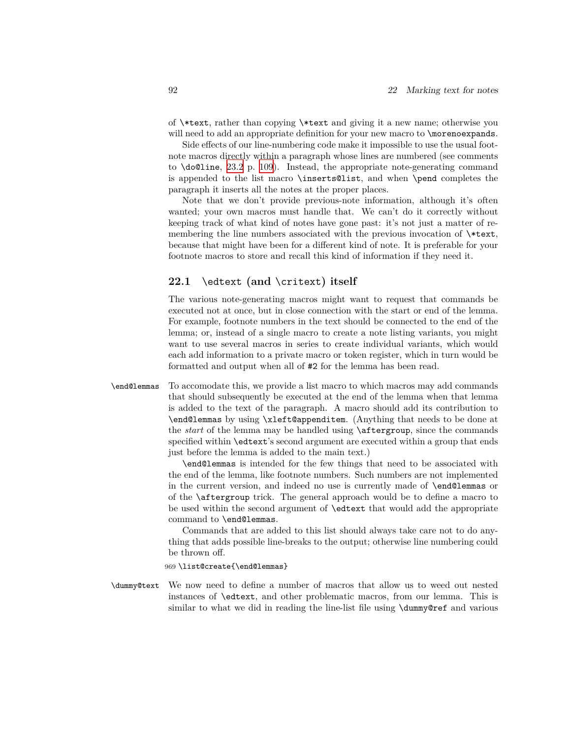of \\*text, rather than copying \\*text and giving it a new name; otherwise you will need to add an appropriate definition for your new macro to \morenoexpands.

Side effects of our line-numbering code make it impossible to use the usual footnote macros directly within a paragraph whose lines are numbered (see comments to \do@line, [23.2](#page-108-0) p. [109](#page-108-0)). Instead, the appropriate note-generating command is appended to the list macro \inserts@list, and when \pend completes the paragraph it inserts all the notes at the proper places.

Note that we don't provide previous-note information, although it's often wanted; your own macros must handle that. We can't do it correctly without keeping track of what kind of notes have gone past: it's not just a matter of remembering the line numbers associated with the previous invocation of \\*text, because that might have been for a different kind of note. It is preferable for your footnote macros to store and recall this kind of information if they need it.

### <span id="page-91-0"></span>**22.1** \edtext **(and** \critext**) itself**

The various note-generating macros might want to request that commands be executed not at once, but in close connection with the start or end of the lemma. For example, footnote numbers in the text should be connected to the end of the lemma; or, instead of a single macro to create a note listing variants, you might want to use several macros in series to create individual variants, which would each add information to a private macro or token register, which in turn would be formatted and output when all of #2 for the lemma has been read.

\end@lemmas To accomodate this, we provide a list macro to which macros may add commands that should subsequently be executed at the end of the lemma when that lemma is added to the text of the paragraph. A macro should add its contribution to \end@lemmas by using \xleft@appenditem. (Anything that needs to be done at the *start* of the lemma may be handled using \aftergroup, since the commands specified within \edtext's second argument are executed within a group that ends just before the lemma is added to the main text.)

> \end@lemmas is intended for the few things that need to be associated with the end of the lemma, like footnote numbers. Such numbers are not implemented in the current version, and indeed no use is currently made of \end@lemmas or of the \aftergroup trick. The general approach would be to define a macro to be used within the second argument of \edtext that would add the appropriate command to \end@lemmas.

> Commands that are added to this list should always take care not to do anything that adds possible line-breaks to the output; otherwise line numbering could be thrown off.

969 \list@create{\end@lemmas}

\dummy@text We now need to define a number of macros that allow us to weed out nested instances of \edtext, and other problematic macros, from our lemma. This is similar to what we did in reading the line-list file using \dummy@ref and various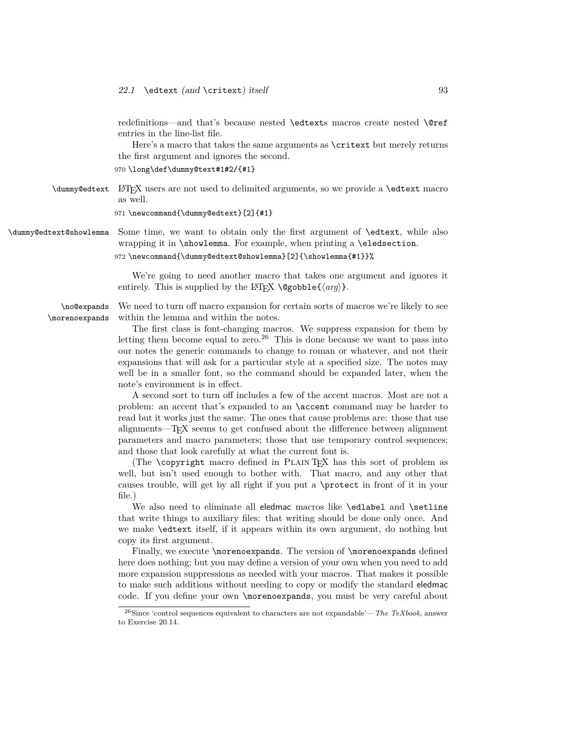redefinitions—and that's because nested \edtexts macros create nested \@ref entries in the line-list file.

Here's a macro that takes the same arguments as \critext but merely returns the first argument and ignores the second.

970 \long\def\dummy@text#1#2/{#1}

\dummy@edtext LATEX users are not used to delimited arguments, so we provide a \edtext macro as well.

971 \newcommand{\dummy@edtext}[2]{#1}

\dummy@edtext@showlemma Some time, we want to obtain only the first argument of \edtext, while also wrapping it in \showlemma. For example, when printing a \eledsection.

972 \newcommand{\dummy@edtext@showlemma}[2]{\showlemma{#1}}%

We're going to need another macro that takes one argument and ignores it entirely. This is supplied by the LAT<sub>E</sub>X  $\deg$ obble{ $\langle arg \rangle$ }.

We need to turn off macro expansion for certain sorts of macros we're likely to see within the lemma and within the notes.

The first class is font-changing macros. We suppress expansion for them by letting them become equal to zero.<sup>26</sup> This is done because we want to pass into our notes the generic commands to change to roman or whatever, and not their expansions that will ask for a particular style at a specified size. The notes may well be in a smaller font, so the command should be expanded later, when the note's environment is in effect.

A second sort to turn off includes a few of the accent macros. Most are not a problem: an accent that's expanded to an \accent command may be harder to read but it works just the same. The ones that cause problems are: those that use alignments—TEX seems to get confused about the difference between alignment parameters and macro parameters; those that use temporary control sequences; and those that look carefully at what the current font is.

(The \copyright macro defined in Plain TEX has this sort of problem as well, but isn't used enough to bother with. That macro, and any other that causes trouble, will get by all right if you put a \protect in front of it in your file.)

We also need to eliminate all eledmac macros like \edlabel and \setline that write things to auxiliary files: that writing should be done only once. And we make \edtext itself, if it appears within its own argument, do nothing but copy its first argument.

Finally, we execute \morenoexpands. The version of \morenoexpands defined here does nothing; but you may define a version of your own when you need to add more expansion suppressions as needed with your macros. That makes it possible to make such additions without needing to copy or modify the standard eledmac code. If you define your own \morenoexpands, you must be very careful about

\no@expands \morenoexpands

<sup>26</sup>Since 'control sequences equivalent to characters are not expandable'—*The TeXbook*, answer to Exercise 20.14.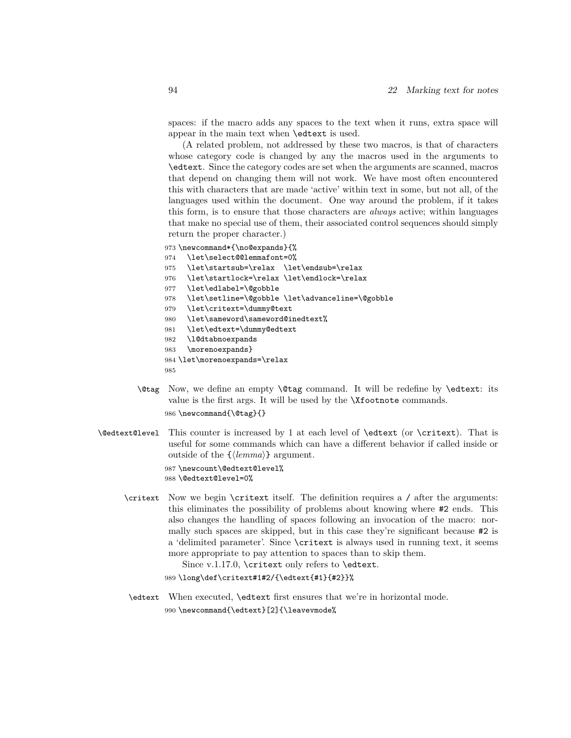spaces: if the macro adds any spaces to the text when it runs, extra space will appear in the main text when \edtext is used.

(A related problem, not addressed by these two macros, is that of characters whose category code is changed by any the macros used in the arguments to \edtext. Since the category codes are set when the arguments are scanned, macros that depend on changing them will not work. We have most often encountered this with characters that are made 'active' within text in some, but not all, of the languages used within the document. One way around the problem, if it takes this form, is to ensure that those characters are *always* active; within languages that make no special use of them, their associated control sequences should simply return the proper character.)

```
973 \newcommand*{\no@expands}{%
```
- 974 \let\select@@lemmafont=0%
- 975 \let\startsub=\relax \let\endsub=\relax
- 976 \let\startlock=\relax \let\endlock=\relax
- 977 \let\edlabel=\@gobble
- 978 \let\setline=\@gobble \let\advanceline=\@gobble
- 979 \let\critext=\dummy@text
- 980 \let\sameword\sameword@inedtext%
- 981 \let\edtext=\dummy@edtext
- 982 \l@dtabnoexpands
- 983 \morenoexpands}
- 984 \let\morenoexpands=\relax
- 985
- \@tag Now, we define an empty \@tag command. It will be redefine by \edtext: its value is the first args. It will be used by the **\Xfootnote** commands. 986 \newcommand{\@tag}{}
- \@edtext@level This counter is increased by 1 at each level of \edtext (or \critext). That is useful for some commands which can have a different behavior if called inside or outside of the {*⟨lemma⟩*} argument.

987 \newcount\@edtext@level% 988 \@edtext@level=0%

\critext Now we begin \critext itself. The definition requires a / after the arguments: this eliminates the possibility of problems about knowing where #2 ends. This also changes the handling of spaces following an invocation of the macro: normally such spaces are skipped, but in this case they're significant because #2 is a 'delimited parameter'. Since \critext is always used in running text, it seems more appropriate to pay attention to spaces than to skip them.

Since v.1.17.0, \critext only refers to \edtext.

989 \long\def\critext#1#2/{\edtext{#1}{#2}}%

\edtext When executed, \edtext first ensures that we're in horizontal mode. 990 \newcommand{\edtext}[2]{\leavevmode%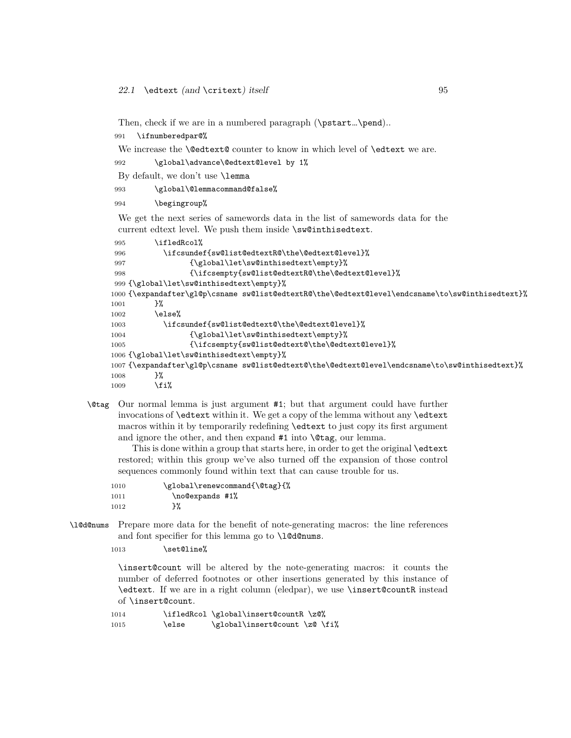Then, check if we are in a numbered paragraph (\pstart...\pend)..

991 \ifnumberedpar@%

We increase the **\@edtext@** counter to know in which level of **\edtext** we are.

```
992 \global\advance\@edtext@level by 1%
```
By default, we don't use \lemma

993 \global\@lemmacommand@false%

994 \begingroup%

We get the next series of samewords data in the list of samewords data for the current edtext level. We push them inside \sw@inthisedtext.

```
995 \ifledRcol%
996 \ifcsundef{sw@list@edtextR@\the\@edtext@level}%
997 {\global\let\sw@inthisedtext\empty}%
998 {\ifcsempty{sw@list@edtextR@\the\@edtext@level}%
999 {\global\let\sw@inthisedtext\empty}%
1000 {\expandafter\gl@p\csname sw@list@edtextR@\the\@edtext@level\endcsname\to\sw@inthisedtext}%
1001 }%
1002 \else%
1003 \ifcsundef{sw@list@edtext@\the\@edtext@level}%
1004 {\global\let\sw@inthisedtext\empty}%
1005 {\ifcsempty{sw@list@edtext@\the\@edtext@level}%
1006 {\global\let\sw@inthisedtext\empty}%
1007 {\expandafter\gl@p\csname sw@list@edtext@\the\@edtext@level\endcsname\to\sw@inthisedtext}%
1008 }%
1009 \fi%
```
\@tag Our normal lemma is just argument #1; but that argument could have further invocations of \edtext within it. We get a copy of the lemma without any \edtext macros within it by temporarily redefining \edtext to just copy its first argument and ignore the other, and then expand #1 into  $\text{Class}$ , our lemma.

This is done within a group that starts here, in order to get the original \edtext restored; within this group we've also turned off the expansion of those control sequences commonly found within text that can cause trouble for us.

| 1010 | \global\renewcommand{\@tag}{% |  |  |
|------|-------------------------------|--|--|
| 1011 | \no@expands #1%               |  |  |
| 1012 | }%                            |  |  |

\l@d@nums Prepare more data for the benefit of note-generating macros: the line references and font specifier for this lemma go to  $\ldots$ 

```
1013 \set@line%
```
\insert@count will be altered by the note-generating macros: it counts the number of deferred footnotes or other insertions generated by this instance of \edtext. If we are in a right column (eledpar), we use \insert@countR instead of \insert@count.

```
1014 \ifledRcol \global\insert@countR \z@%
1015 \else \global\insert@count \z@ \fi%
```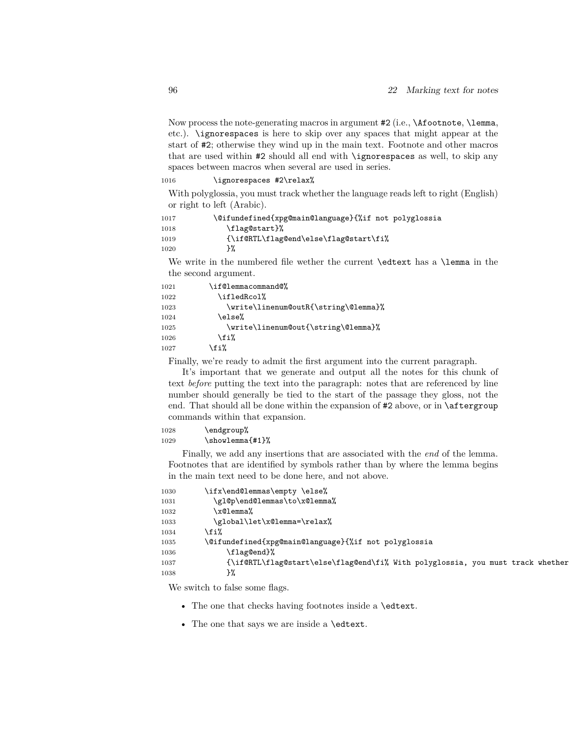Now process the note-generating macros in argument #2 (i.e., \Afootnote, \lemma, etc.). \ignorespaces is here to skip over any spaces that might appear at the start of #2; otherwise they wind up in the main text. Footnote and other macros that are used within #2 should all end with \ignorespaces as well, to skip any spaces between macros when several are used in series.

#### 1016 \ignorespaces #2\relax%

With polyglossia, you must track whether the language reads left to right (English) or right to left (Arabic).

```
1017 \@ifundefined{xpg@main@language}{%if not polyglossia
1018 \flag@start}%
1019 {\if@RTL\flag@end\else\flag@start\fi%
1020 }%
```
We write in the numbered file wether the current **\edtext** has a **\lemma** in the the second argument.

| 1021 | \if@lemmacommand@%                   |
|------|--------------------------------------|
| 1022 | \ifledRcol%                          |
| 1023 | \write\linenum@outR{\string\@lemma}% |
| 1024 | \else%                               |
| 1025 | \write\linenum@out{\string\@lemma}%  |
| 1026 | \fi%                                 |
| 1027 | £i ن                                 |

Finally, we're ready to admit the first argument into the current paragraph.

It's important that we generate and output all the notes for this chunk of text *before* putting the text into the paragraph: notes that are referenced by line number should generally be tied to the start of the passage they gloss, not the end. That should all be done within the expansion of #2 above, or in \aftergroup commands within that expansion.

1028 \endgroup% 1029 \showlemma{#1}%

Finally, we add any insertions that are associated with the *end* of the lemma. Footnotes that are identified by symbols rather than by where the lemma begins in the main text need to be done here, and not above.

| 1030 | \ifx\end@lemmas\empty \else%                                                   |
|------|--------------------------------------------------------------------------------|
| 1031 | \gl@p\end@lemmas\to\x@lemma%                                                   |
| 1032 | \x@lemma%                                                                      |
| 1033 | \global\let\x@lemma=\relax%                                                    |
| 1034 | \fi%                                                                           |
| 1035 | \@ifundefined{xpg@main@language}{%if not polyglossia                           |
| 1036 | \flag@end}%                                                                    |
| 1037 | {\if@RTL\flag@start\else\flag@end\fi% With polyglossia, you must track whether |
| 1038 | }‰                                                                             |

We switch to false some flags.

- The one that checks having footnotes inside a **\edtext**.
- The one that says we are inside a \edtext.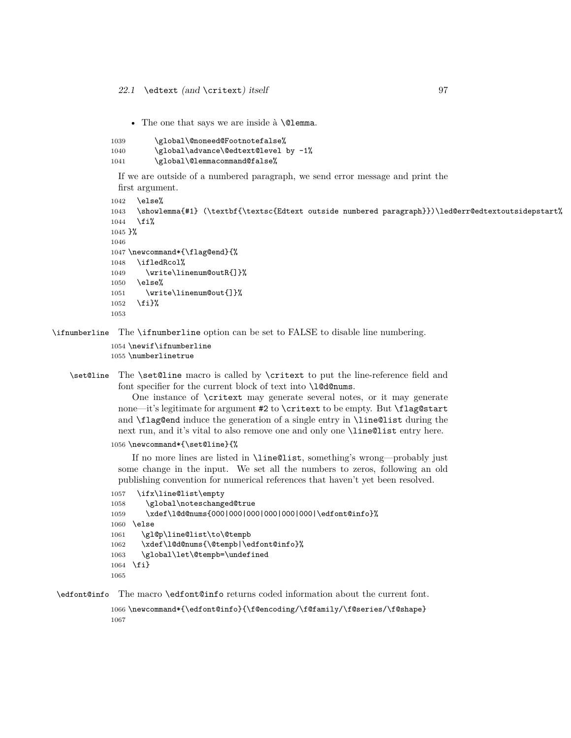• The one that says we are inside à **\@lemma**.

```
1039 \global\@noneed@Footnotefalse%
1040 \global\advance\@edtext@level by -1%
1041 \global\@lemmacommand@false%
```
If we are outside of a numbered paragraph, we send error message and print the first argument.

```
1042 \else%
1043 \showlemma{#1} (\textbf{\textsc{Edtext outside numbered paragraph}})\led@err@edtextoutsidepstart%
1044 \fi%
1045 }%
1046
1047 \newcommand*{\flag@end}{%
1048 \ifledRcol%
1049 \write\linenum@outR{]}%
1050 \else%
1051 \write\linenum@out{]}%
1052 \fi}%
1053
```
\ifnumberline The \ifnumberline option can be set to FALSE to disable line numbering.

```
1054 \newif\ifnumberline
1055 \numberlinetrue
```
\set@line The \set@line macro is called by \critext to put the line-reference field and font specifier for the current block of text into \l@d@nums.

> One instance of \critext may generate several notes, or it may generate none—it's legitimate for argument #2 to \critext to be empty. But \flag@start and \flag@end induce the generation of a single entry in \line@list during the next run, and it's vital to also remove one and only one \line@list entry here.

1056 \newcommand\*{\set@line}{%

If no more lines are listed in \line@list, something's wrong—probably just some change in the input. We set all the numbers to zeros, following an old publishing convention for numerical references that haven't yet been resolved.

```
1057 \ifx\line@list\empty
1058 \global\noteschanged@true
1059 \xdef\l@d@nums{000|000|000|000|000|000|\edfont@info}%
1060 \else
1061 \gl@p\line@list\to\@tempb
1062 \xdef\l@d@nums{\@tempb|\edfont@info}%
1063 \global\let\@tempb=\undefined
1064 \fi}
1065
```
\edfont@info The macro \edfont@info returns coded information about the current font.

1066 \newcommand\*{\edfont@info}{\f@encoding/\f@family/\f@series/\f@shape} 1067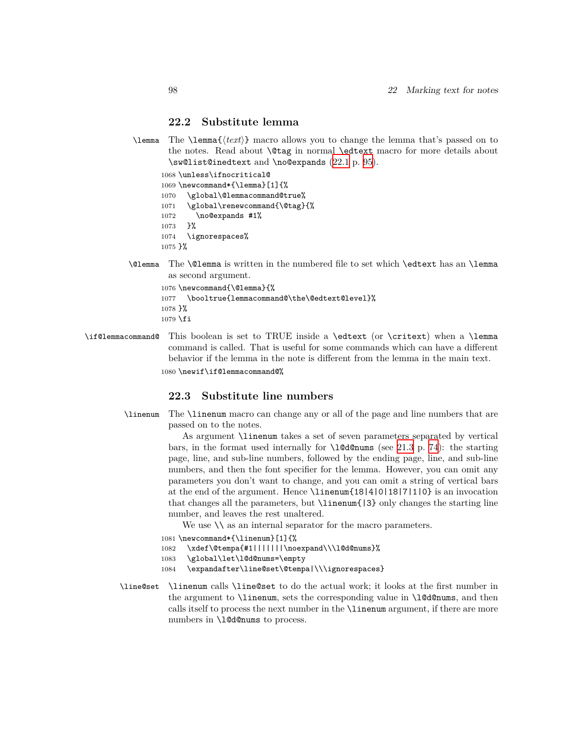### **22.2 Substitute lemma**

\lemma The \lemma{*⟨text⟩*} macro allows you to change the lemma that's passed on to the notes. Read about \@tag in normal \edtext macro for more details about \sw@list@inedtext and \no@expands ([22.1](#page-91-0) p. [95\)](#page-91-0).

1068 \unless\ifnocritical@

1069 \newcommand\*{\lemma}[1]{%

- 1070 \global\@lemmacommand@true% 1071 \global\renewcommand{\@tag}{% 1072 \no@expands #1% 1073 }%
- 1074 \ignorespaces% 1075 }%
- \@lemma The \@lemma is written in the numbered file to set which \edtext has an \lemma as second argument.

```
1076 \newcommand{\@lemma}{%
1077 \booltrue{lemmacommand@\the\@edtext@level}%
1078 }%
1079 \fi
```
\if@lemmacommand@ This boolean is set to TRUE inside a \edtext (or \critext) when a \lemma command is called. That is useful for some commands which can have a different behavior if the lemma in the note is different from the lemma in the main text. 1080 \newif\if@lemmacommand@%

### **22.3 Substitute line numbers**

\linenum The \linenum macro can change any or all of the page and line numbers that are passed on to the notes.

> As argument \linenum takes a set of seven parameters separated by vertical bars, in the format used internally for  $\lambda$  determines (see [21.3](#page-73-0) p. [74](#page-73-0)): the starting page, line, and sub-line numbers, followed by the ending page, line, and sub-line numbers, and then the font specifier for the lemma. However, you can omit any parameters you don't want to change, and you can omit a string of vertical bars at the end of the argument. Hence \linenum{18|4|0|18|7|1|0} is an invocation that changes all the parameters, but \linenum{|3} only changes the starting line number, and leaves the rest unaltered.

We use  $\setminus \$ as an internal separator for the macro parameters.

- 1081 \newcommand\*{\linenum}[1]{%
- 1082 \xdef\@tempa{#1|||||||\noexpand\\\l@d@nums}%
- 1083 \global\let\l@d@nums=\empty
- 1084 \expandafter\line@set\@tempa|\\\ignorespaces}
- \line@set \linenum calls \line@set to do the actual work; it looks at the first number in the argument to  $\lambda$  inenum, sets the corresponding value in  $\lambda$  deformations, and then calls itself to process the next number in the \linenum argument, if there are more numbers in **\l@d@nums** to process.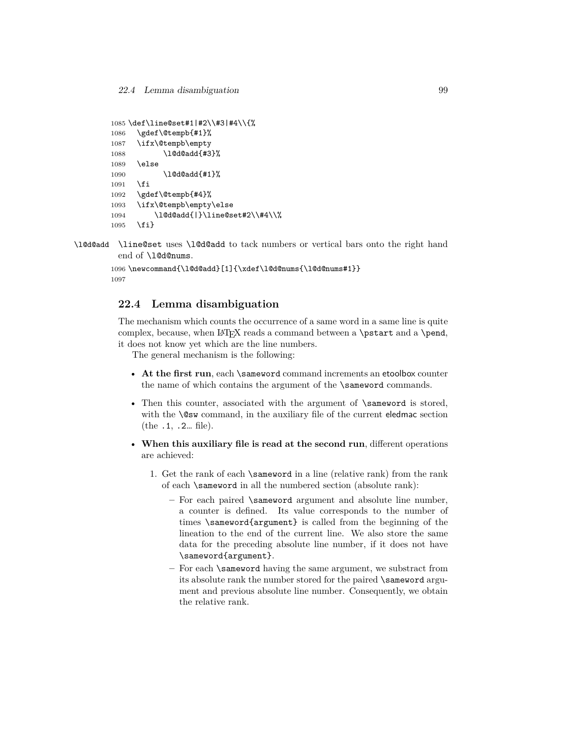```
1085 \def\line@set#1|#2\\#3|#4\\{%
1086 \gdef\@tempb{#1}%
1087 \ifx\@tempb\empty
1088 \l@d@add{#3}%
1089 \else
1090 \l@d@add{#1}%
1091 \fi
1092 \gdef\@tempb{#4}%
1093 \ifx\@tempb\empty\else
1094 \l@d@add{|}\line@set#2\\#4\\%
1095 \fi}
```
\l@d@add \line@set uses \l@d@add to tack numbers or vertical bars onto the right hand end of \l@d@nums.

```
1096 \newcommand{\l@d@add}[1]{\xdef\l@d@nums{\l@d@nums#1}}
1097
```
### **22.4 Lemma disambiguation**

The mechanism which counts the occurrence of a same word in a same line is quite complex, because, when LATEX reads a command between a **\pstart** and a **\pend**, it does not know yet which are the line numbers.

The general mechanism is the following:

- At the first run, each \sameword command increments an etoolbox counter the name of which contains the argument of the **\sameword** commands.
- Then this counter, associated with the argument of **\sameword** is stored, with the **\@sw** command, in the auxiliary file of the current eledmac section (the .1, .2… file).
- **When this auxiliary file is read at the second run**, different operations are achieved:
	- 1. Get the rank of each \sameword in a line (relative rank) from the rank of each \sameword in all the numbered section (absolute rank):
		- **–** For each paired \sameword argument and absolute line number, a counter is defined. Its value corresponds to the number of times \sameword{argument} is called from the beginning of the lineation to the end of the current line. We also store the same data for the preceding absolute line number, if it does not have \sameword{argument}.
		- **–** For each \sameword having the same argument, we substract from its absolute rank the number stored for the paired \sameword argument and previous absolute line number. Consequently, we obtain the relative rank.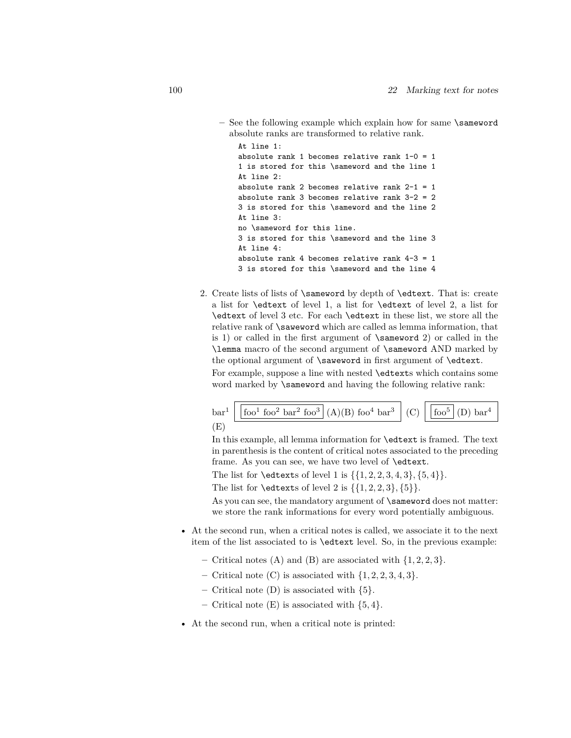**–** See the following example which explain how for same \sameword absolute ranks are transformed to relative rank.

```
At line 1:
absolute rank 1 becomes relative rank 1-0 = 11 is stored for this \sameword and the line 1
At line 2:
absolute rank 2 becomes relative rank 2-1 = 1absolute rank 3 becomes relative rank 3-2 = 2
3 is stored for this \sameword and the line 2
At line 3:
no \sameword for this line.
3 is stored for this \sameword and the line 3
At line 4:
absolute rank 4 becomes relative rank 4-3 = 13 is stored for this \sameword and the line 4
```
2. Create lists of lists of \sameword by depth of \edtext. That is: create a list for \edtext of level 1, a list for \edtext of level 2, a list for \edtext of level 3 etc. For each \edtext in these list, we store all the relative rank of \saweword which are called as lemma information, that is 1) or called in the first argument of \sameword 2) or called in the \lemma macro of the second argument of \sameword AND marked by the optional argument of \saweword in first argument of \edtext.

For example, suppose a line with nested \edtexts which contains some word marked by \sameword and having the following relative rank:



In this example, all lemma information for \edtext is framed. The text in parenthesis is the content of critical notes associated to the preceding frame. As you can see, we have two level of \edtext.

The list for \edtexts of level 1 is *{{*1*,* 2*,* 2*,* 3*,* 4*,* 3*}, {*5*,* 4*}}*.

The list for \edtexts of level 2 is *{{*1*,* 2*,* 2*,* 3*}, {*5*}}*.

As you can see, the mandatory argument of \sameword does not matter: we store the rank informations for every word potentially ambiguous.

- At the second run, when a critical notes is called, we associate it to the next item of the list associated to is \edtext level. So, in the previous example:
	- **–** Critical notes (A) and (B) are associated with *{*1*,* 2*,* 2*,* 3*}*.
	- **–** Critical note (C) is associated with *{*1*,* 2*,* 2*,* 3*,* 4*,* 3*}*.
	- **–** Critical note (D) is associated with *{*5*}*.
	- **–** Critical note (E) is associated with *{*5*,* 4*}*.
- At the second run, when a critical note is printed: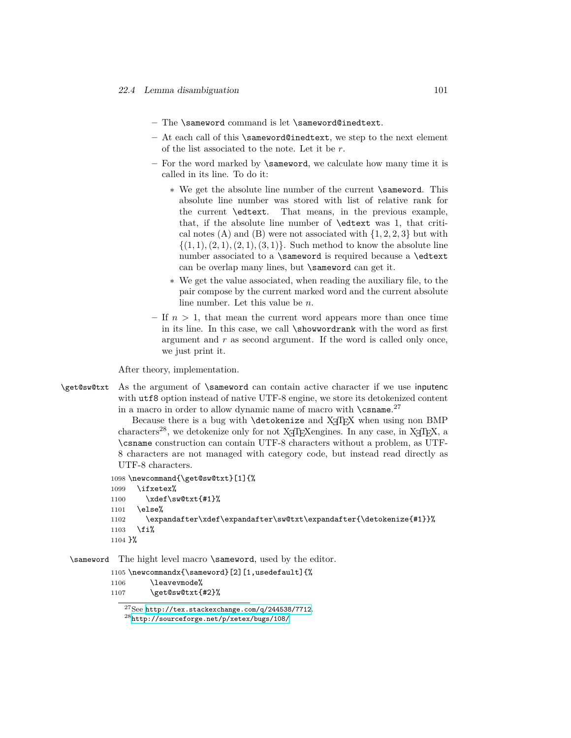- **–** The \sameword command is let \sameword@inedtext.
- **–** At each call of this \sameword@inedtext, we step to the next element of the list associated to the note. Let it be *r*.
- **–** For the word marked by \sameword, we calculate how many time it is called in its line. To do it:
	- ∗ We get the absolute line number of the current \sameword. This absolute line number was stored with list of relative rank for the current \edtext. That means, in the previous example, that, if the absolute line number of \edtext was 1, that critical notes (A) and (B) were not associated with  $\{1, 2, 2, 3\}$  but with  $\{(1, 1), (2, 1), (2, 1), (3, 1)\}.$  Such method to know the absolute line number associated to a \sameword is required because a \edtext can be overlap many lines, but \sameword can get it.
	- ∗ We get the value associated, when reading the auxiliary file, to the pair compose by the current marked word and the current absolute line number. Let this value be *n*.
- **–** If *n >* 1, that mean the current word appears more than once time in its line. In this case, we call \showwordrank with the word as first argument and *r* as second argument. If the word is called only once, we just print it.

After theory, implementation.

\get@sw@txt As the argument of \sameword can contain active character if we use inputenc with  $\text{utf8}$  option instead of native UTF-8 engine, we store its detokenized content in a macro in order to allow dynamic name of macro with  $\cosh^2$ 

> Because there is a bug with \detokenize and XƎTEX when using non BMP characters<sup>28</sup>, we detokenize only for not X $\overline{ATFX}$ engines. In any case, in X $\overline{ATFX}$ , a \csname construction can contain UTF-8 characters without a problem, as UTF-8 characters are not managed with category code, but instead read directly as UTF-8 characters.

```
1098 \newcommand{\get@sw@txt}[1]{%
1099 \ifxetex%
1100 \xdef\sw@txt{#1}%
1101 \else%
1102 \expandafter\xdef\expandafter\sw@txt\expandafter{\detokenize{#1}}%
1103 \fi%
1104 }%
```
\sameword The hight level macro \sameword, used by the editor.

```
1105 \newcommandx{\sameword}[2][1,usedefault]{%
1106 \leavevmode%
1107 \get@sw@txt{#2}%
```
<sup>27</sup>See <http://tex.stackexchange.com/q/244538/7712>. <sup>28</sup><http://sourceforge.net/p/xetex/bugs/108/>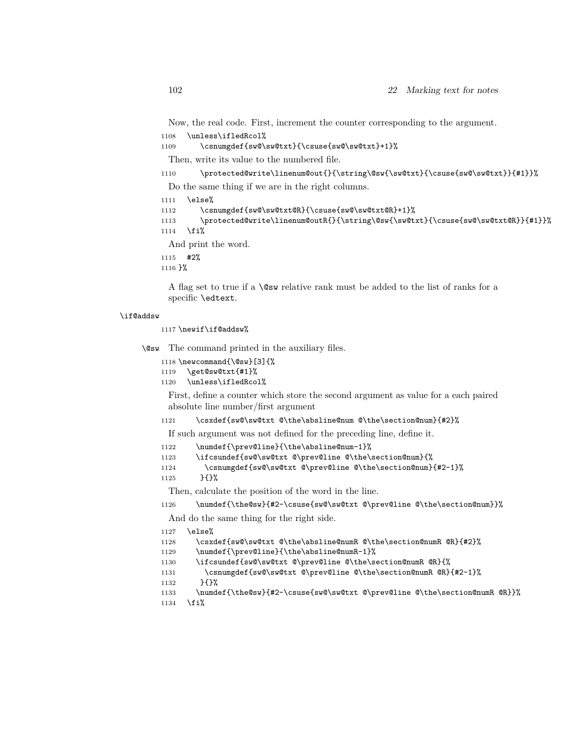Now, the real code. First, increment the counter corresponding to the argument. 1108 \unless\ifledRcol%

```
1109 \csnumgdef{sw@\sw@txt}{\csuse{sw@\sw@txt}+1}%
```
Then, write its value to the numbered file.

1110 \protected@write\linenum@out{}{\string\@sw{\sw@txt}{\csuse{sw@\sw@txt}}{#1}}%

Do the same thing if we are in the right columns.

```
1111 \else%
```

```
1112 \csnumgdef{sw@\sw@txt@R}{\csuse{sw@\sw@txt@R}+1}%
1113 \protected@write\linenum@outR{}{\string\@sw{\sw@txt}{\csuse{sw@\sw@txt@R}}{#1}}%
1114 \fi%
```
And print the word.

1115 #2%

1116 }%

A flag set to true if a \@sw relative rank must be added to the list of ranks for a specific \edtext.

#### \if@addsw

1117 \newif\if@addsw%

\@sw The command printed in the auxiliary files.

```
1118 \newcommand{\@sw}[3]{%
```
1119 \get@sw@txt{#1}%

1120 \unless\ifledRcol%

First, define a counter which store the second argument as value for a each paired absolute line number/first argument

### 1121 \csxdef{sw@\sw@txt @\the\absline@num @\the\section@num}{#2}%

If such argument was not defined for the preceding line, define it.

```
1122 \numdef{\prev@line}{\the\absline@num-1}%
```

```
1123 \ifcsundef{sw@\sw@txt @\prev@line @\the\section@num}{%
```
1124 \csnumgdef{sw@\sw@txt @\prev@line @\the\section@num}{#2-1}%

```
1125 }{}%
```
Then, calculate the position of the word in the line.

1126 \numdef{\the@sw}{#2-\csuse{sw@\sw@txt @\prev@line @\the\section@num}}%

And do the same thing for the right side.

```
1127 \else%
```

```
1128 \csxdef{sw@\sw@txt @\the\absline@numR @\the\section@numR @R}{#2}%
```

```
1129 \numdef{\prev@line}{\the\absline@numR-1}%
```

```
1130 \ifcsundef{sw@\sw@txt @\prev@line @\the\section@numR @R}{%
```

```
1131 \csnumgdef{sw@\sw@txt @\prev@line @\the\section@numR @R}{#2-1}%
```

```
1132 }{}%
```

```
1133 \numdef{\the@sw}{#2-\csuse{sw@\sw@txt @\prev@line @\the\section@numR @R}}%
```

```
1134 \overline{134}
```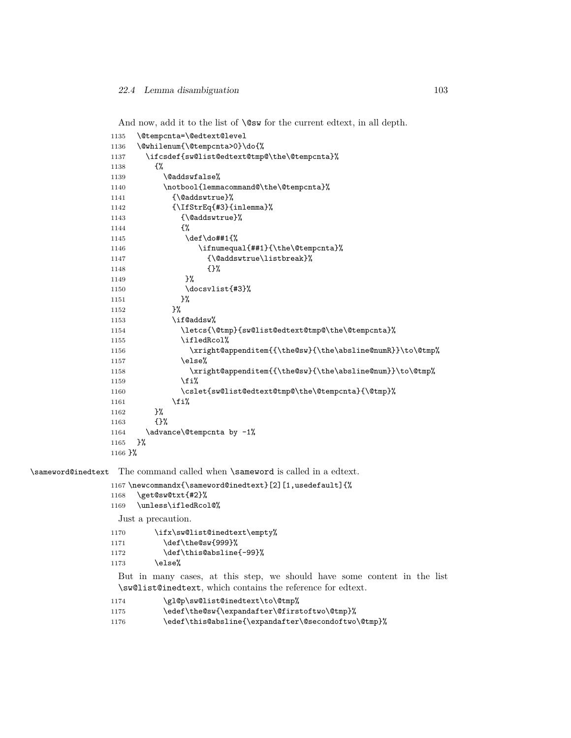And now, add it to the list of  $\cos$  for the current edtext, in all depth.

| 1135      | \@tempcnta=\@edtext@level                                 |
|-----------|-----------------------------------------------------------|
| 1136      | \@whilenum{\@tempcnta>0}\do{%                             |
| 1137      | \ifcsdef{sw@list@edtext@tmp@\the\@tempcnta}%              |
| 1138      | £%                                                        |
| 1139      | \@addswfalse%                                             |
| 1140      | \notbool{lemmacommand@\the\@tempcnta}%                    |
| 1141      | {\@addswtrue}%                                            |
| 1142      | {\IfStrEq{#3}{inlemma}%                                   |
| 1143      | {\@addswtrue}%                                            |
| 1144      | €%                                                        |
| 1145      | \def\do##1{%                                              |
| 1146      | \ifnumequal{##1}{\the\@tempcnta}%                         |
| 1147      | {\@addswtrue\listbreak}%                                  |
| 1148      | $\{$ }%                                                   |
| 1149      | }‰                                                        |
| 1150      | \docsvlist{#3}%                                           |
| 1151      | }%                                                        |
| 1152      | }‰                                                        |
| 1153      | \if@addsw%                                                |
| 1154      | \letcs{\@tmp}{sw@list@edtext@tmp@\the\@tempcnta}%         |
| 1155      | \ifledRcol%                                               |
| 1156      | \xright@appenditem{{\the@sw}{\the\absline@numR}}\to\@tmp% |
| 1157      | \else%                                                    |
| 1158      | \xright@appenditem{{\the@sw}{\the\absline@num}}\to\@tmp%  |
| 1159      | \fi%                                                      |
| 1160      | \cslet{sw@list@edtext@tmp@\the\@tempcnta}{\@tmp}%         |
| 1161      | \fi%                                                      |
| 1162      | }%                                                        |
| 1163      | {}‰                                                       |
| 1164      | \advance\@tempcnta by -1%                                 |
| 1165      | }%                                                        |
| $1166$ }% |                                                           |
|           |                                                           |

\sameword@inedtext The command called when \sameword is called in a edtext.

```
1167 \newcommandx{\sameword@inedtext}[2][1,usedefault]{%
```
- \get@sw@txt{#2}%
- \unless\ifledRcol@%

Just a precaution.

```
1170 \ifx\sw@list@inedtext\empty%
```
- 1171 \def\the@sw{999}%
- 1172 \def\this@absline{-99}%
- 1173 \else%

But in many cases, at this step, we should have some content in the list \sw@list@inedtext, which contains the reference for edtext.

- 1174 \gl@p\sw@list@inedtext\to\@tmp%
- 1175 \edef\the@sw{\expandafter\@firstoftwo\@tmp}%

```
1176 \edef\this@absline{\expandafter\@secondoftwo\@tmp}%
```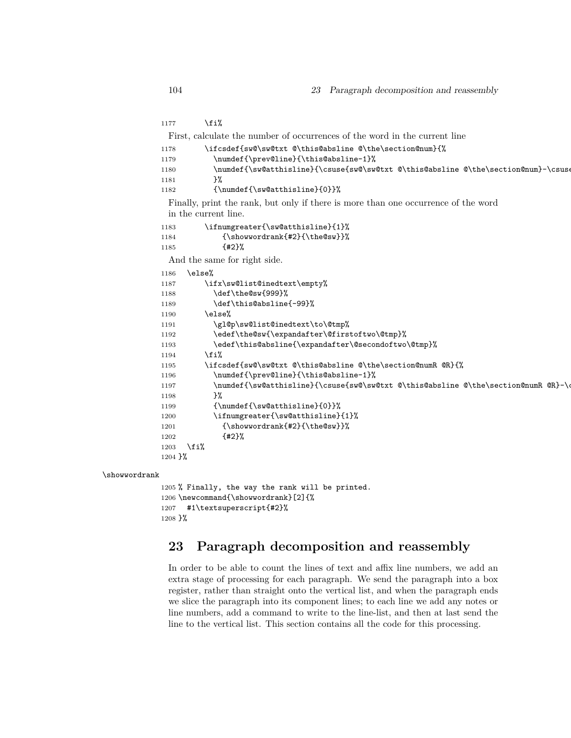```
1177 \{f_i\}First, calculate the number of occurrences of the word in the current line
1178 \ifcsdef{sw@\sw@txt @\this@absline @\the\section@num}{%
1179 \numdef{\prev@line}{\this@absline-1}%
1180 \numdef{\sw@atthisline}{\csuse{sw@\sw@txt @\this@absline @\the\section@num}-\csuse
1181 }%
1182 {\numdef{\sw@atthisline}{0}}%
 Finally, print the rank, but only if there is more than one occurrence of the word
 in the current line.
1183 \ifnumgreater{\sw@atthisline}{1}%
1184 {\showwordrank{#2}{\the@sw}}%
1185 {#2}%
 And the same for right side.
1186 \else%
1187 \ifx\sw@list@inedtext\empty%
1188 \def\the@sw{999}%
1189 \def\this@absline{-99}%
1190 \else%
1191 \gl@p\sw@list@inedtext\to\@tmp%
1192 \edef\the@sw{\expandafter\@firstoftwo\@tmp}%
1193 \edef\this@absline{\expandafter\@secondoftwo\@tmp}%
1194 \fi%
1195 \ifcsdef{sw@\sw@txt @\this@absline @\the\section@numR @R}{%
1196 \numdef{\prev@line}{\this@absline-1}%
1197 \numdef{\sw@atthisline}{\csuse{sw@\sw@txt @\this@absline @\the\section@numR @R}-\e
1198 }%
1199 {\numdef{\sw@atthisline}{0}}%
1200 \ifnumgreater{\sw@atthisline}{1}%
1201 {\showwordrank{#2}{\the@sw}}%
1202 {#2}%
1203 \fi%
1204 }%
```
### \showwordrank

```
1205 % Finally, the way the rank will be printed.
1206 \newcommand{\showwordrank}[2]{%
1207 #1\textsuperscript{#2}%
1208 }%
```
# **23 Paragraph decomposition and reassembly**

In order to be able to count the lines of text and affix line numbers, we add an extra stage of processing for each paragraph. We send the paragraph into a box register, rather than straight onto the vertical list, and when the paragraph ends we slice the paragraph into its component lines; to each line we add any notes or line numbers, add a command to write to the line-list, and then at last send the line to the vertical list. This section contains all the code for this processing.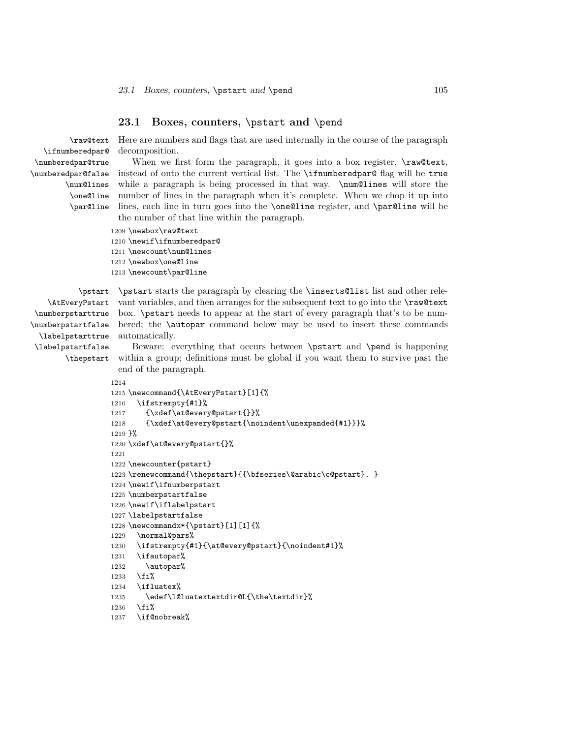### **23.1 Boxes, counters,** \pstart **and** \pend

\raw@text \ifnumberedpar@ \numberedpar@true \numberedpar@false \num@lines \one@line \par@line

Here are numbers and flags that are used internally in the course of the paragraph decomposition.

When we first form the paragraph, it goes into a box register,  $\langle \text{raw@text}, \rangle$ instead of onto the current vertical list. The \ifnumberedpar@ flag will be true while a paragraph is being processed in that way.  $\num@lines$  will store the number of lines in the paragraph when it's complete. When we chop it up into lines, each line in turn goes into the \one@line register, and \par@line will be the number of that line within the paragraph.

```
1209 \newbox\raw@text
```
1210 \newif\ifnumberedpar@ 1211 \newcount\num@lines 1212 \newbox\one@line

1213 \newcount\par@line

\AtEveryPstart \numberpstarttrue \numberpstartfalse \labelpstarttrue \labelpstartfalse

\pstart \pstart starts the paragraph by clearing the \inserts@list list and other relevant variables, and then arranges for the subsequent text to go into the \raw@text box. \pstart needs to appear at the start of every paragraph that's to be numbered; the \autopar command below may be used to insert these commands automatically.

\thepstart within a group; definitions must be global if you want them to survive past the Beware: everything that occurs between \pstart and \pend is happening end of the paragraph.

```
1214
1215 \newcommand{\AtEveryPstart}[1]{%
1216 \ifstrempty{#1}%
1217 {\xdef\at@every@pstart{}}%
1218 {\xdef\at@every@pstart{\noindent\unexpanded{#1}}}%
1219 }%
1220 \xdef\at@every@pstart{}%
1221
1222 \newcounter{pstart}
1223 \renewcommand{\thepstart}{{\bfseries\@arabic\c@pstart}. }
1224 \newif\ifnumberpstart
1225 \numberpstartfalse
1226 \newif\iflabelpstart
1227 \labelpstartfalse
1228 \newcommandx*{\pstart}[1][1]{%
1229 \normal@pars%
1230 \ifstrempty{#1}{\at@every@pstart}{\noindent#1}%
1231 \ifautopar%
1232 \autopar%
1233 \fi%
1234 \ifluatex%
1235 \edef\l@luatextextdir@L{\the\textdir}%
1236 \fi%
1237 \if@nobreak%
```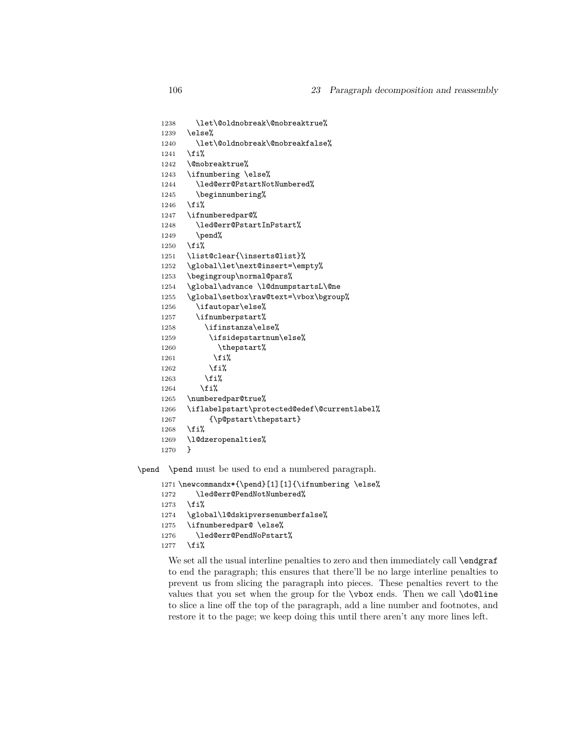```
1238 \let\@oldnobreak\@nobreaktrue%
1239 \else%
1240 \let\@oldnobreak\@nobreakfalse%
1241 \fi%
1242 \@nobreaktrue%
1243 \ifnumbering \else%
1244 \led@err@PstartNotNumbered%
1245 \beginnumbering%
1246 \overline{\text{f}1\text{}}1247 \ifnumberedpar@%
1248 \led@err@PstartInPstart%
1249 \pend%
1250 \fi%
1251 \list@clear{\inserts@list}%
1252 \global\let\next@insert=\empty%
1253 \begingroup\normal@pars%
1254 \global\advance \l@dnumpstartsL\@ne
1255 \global\setbox\raw@text=\vbox\bgroup%
1256 \ifautopar\else%
1257 \ifnumberpstart%
1258 \ifinstanza\else%
1259 \ifsidepstartnum\else%
1260 \thepstart%
1261 \overrightarrow{1261}1262 \overrightarrow{1262}1263 \overrightarrow{1263}1264 \overrightarrow{1264}1265 \numberedpar@true%
1266 \iflabelpstart\protected@edef\@currentlabel%
1267 {\p@pstart\thepstart}
1268 \overline{\text{if}}1269 \l@dzeropenalties%
1270 }
```
\pend \pend must be used to end a numbered paragraph.

```
1271 \newcommandx*{\pend}[1][1]{\ifnumbering \else%
1272 \led@err@PendNotNumbered%
1273 \fi%
1274 \global\l@dskipversenumberfalse%
1275 \ifnumberedpar@ \else%
1276 \led@err@PendNoPstart%
1277 \fi%
```
We set all the usual interline penalties to zero and then immediately call \endgraf to end the paragraph; this ensures that there'll be no large interline penalties to prevent us from slicing the paragraph into pieces. These penalties revert to the values that you set when the group for the \vbox ends. Then we call \do@line to slice a line off the top of the paragraph, add a line number and footnotes, and restore it to the page; we keep doing this until there aren't any more lines left.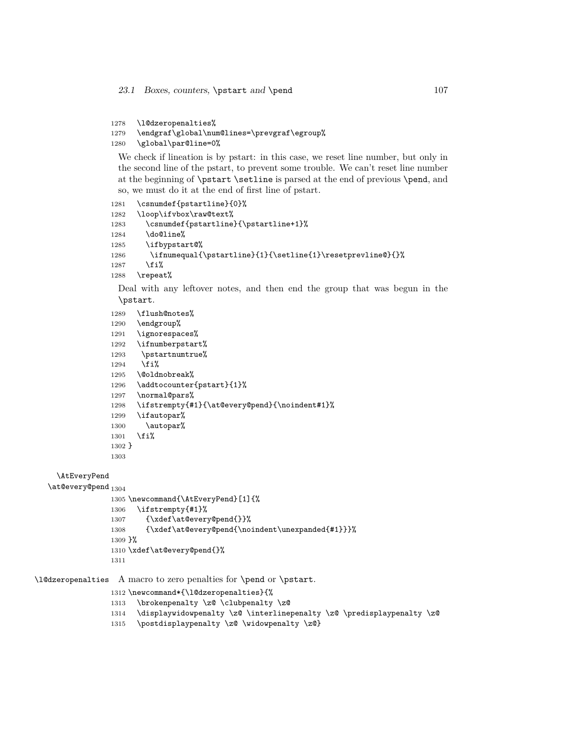```
1278 \l@dzeropenalties%
```

```
1279 \endgraf\global\num@lines=\prevgraf\egroup%
```

```
1280 \global\par@line=0%
```
We check if lineation is by pstart: in this case, we reset line number, but only in the second line of the pstart, to prevent some trouble. We can't reset line number at the beginning of \pstart \setline is parsed at the end of previous \pend, and so, we must do it at the end of first line of pstart.

```
1281 \csnumdef{pstartline}{0}%
1282 \loop\ifvbox\raw@text%
1283 \csnumdef{pstartline}{\pstartline+1}%
1284 \do@line%
1285 \ifbypstart@%
1286 \ifnumequal{\pstartline}{1}{\setline{1}\resetprevline@}{}%
1287 \fi%
1288 \repeat%
```
Deal with any leftover notes, and then end the group that was begun in the \pstart.

```
1289 \flush@notes%
1290 \endgroup%
1291 \ignorespaces%
1292 \ifnumberpstart%
1293 \pstartnumtrue%
1294 \overline{\text{f}i\text{}}1295 \@oldnobreak%
1296 \addtocounter{pstart}{1}%
1297 \normal@pars%
1298 \ifstrempty{#1}{\at@every@pend}{\noindent#1}%
1299 \ifautopar%
1300 \autopar%
1301 \fi%
1302 }
1303
```
### \AtEveryPend

 $\lambda$ at@every@pend  $_{1304}$ 

```
1305 \newcommand{\AtEveryPend}[1]{%
1306 \ifstrempty{#1}%
1307 {\xdef\at@every@pend{}}%
1308 {\xdef\at@every@pend{\noindent\unexpanded{#1}}}%
1309 }%
1310 \xdef\at@every@pend{}%
1311
```
\l@dzeropenalties A macro to zero penalties for \pend or \pstart.

\newcommand\*{\l@dzeropenalties}{%

- \brokenpenalty \z@ \clubpenalty \z@
- \displaywidowpenalty \z@ \interlinepenalty \z@ \predisplaypenalty \z@
- \postdisplaypenalty \z@ \widowpenalty \z@}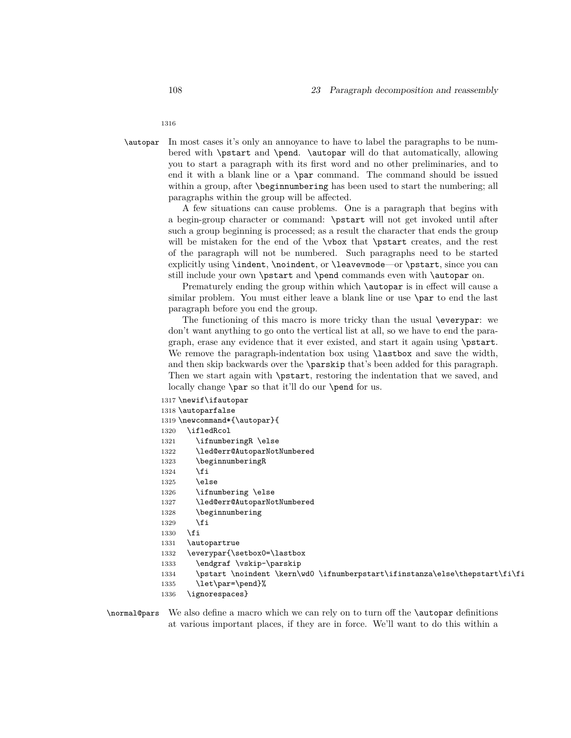1316

\autopar In most cases it's only an annoyance to have to label the paragraphs to be numbered with **\pstart** and **\pend. \autopar** will do that automatically, allowing you to start a paragraph with its first word and no other preliminaries, and to end it with a blank line or a \par command. The command should be issued within a group, after **\beginnumbering** has been used to start the numbering; all paragraphs within the group will be affected.

> A few situations can cause problems. One is a paragraph that begins with a begin-group character or command: \pstart will not get invoked until after such a group beginning is processed; as a result the character that ends the group will be mistaken for the end of the **\vbox** that **\pstart** creates, and the rest of the paragraph will not be numbered. Such paragraphs need to be started explicitly using \indent, \noindent, or \leavevmode—or \pstart, since you can still include your own \pstart and \pend commands even with \autopar on.

> Prematurely ending the group within which **\autopar** is in effect will cause a similar problem. You must either leave a blank line or use \par to end the last paragraph before you end the group.

> The functioning of this macro is more tricky than the usual \everypar: we don't want anything to go onto the vertical list at all, so we have to end the paragraph, erase any evidence that it ever existed, and start it again using \pstart. We remove the paragraph-indentation box using **\lastbox** and save the width, and then skip backwards over the \parskip that's been added for this paragraph. Then we start again with \pstart, restoring the indentation that we saved, and locally change \par so that it'll do our \pend for us.

```
1317 \newif\ifautopar
1318 \autoparfalse
1319 \newcommand*{\autopar}{
1320 \ifledRcol
1321 \ifnumberingR \else
1322 \led@err@AutoparNotNumbered
1323 \beginnumberingR
1324 \fi
1325 \else
1326 \ifnumbering \else
1327 \led@err@AutoparNotNumbered
1328 \beginnumbering
1329 \fi
1330 \fi
1331 \autopartrue
1332 \everypar{\setbox0=\lastbox
1333 \endgraf \vskip-\parskip
1334 \pstart \noindent \kern\wd0 \ifnumberpstart\ifinstanza\else\thepstart\fi\fi
1335 \let\par=\pend}%
```

```
1336 \ignorespaces}
```
\normal@pars We also define a macro which we can rely on to turn off the \autopar definitions at various important places, if they are in force. We'll want to do this within a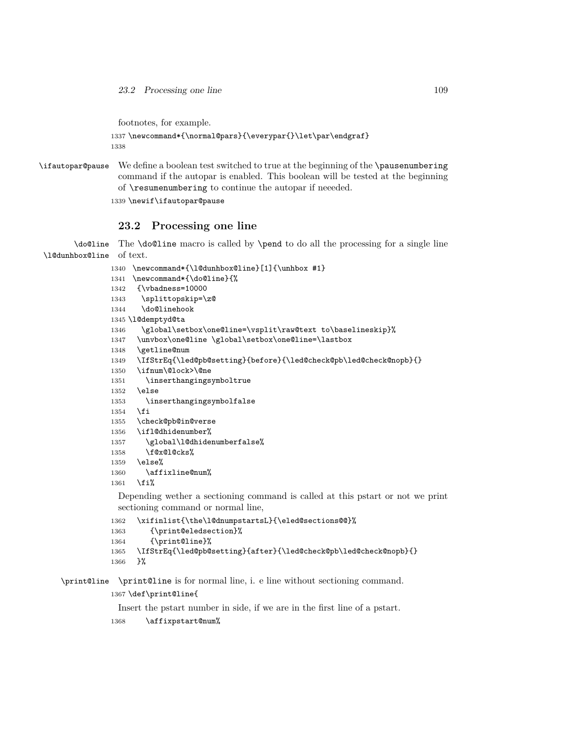23.2 Processing one line 109

footnotes, for example.

```
1337\newcommand*{\normal@pars}{\everypar{}\let\par\endgraf}
1338
```
\ifautopar@pause We define a boolean test switched to true at the beginning of the \pausenumbering command if the autopar is enabled. This boolean will be tested at the beginning of \resumenumbering to continue the autopar if neeeded.

\newif\ifautopar@pause

# **23.2 Processing one line**

\do@line The \do@line macro is called by \pend to do all the processing for a single line \l@dunhbox@line of text.

```
1340 \newcommand*{\l@dunhbox@line}[1]{\unhbox #1}
1341 \newcommand*{\do@line}{%
1342 {\vbadness=10000
1343 \splittopskip=\z@
1344 \do@linehook
1345 \l@demptyd@ta
1346 \global\setbox\one@line=\vsplit\raw@text to\baselineskip}%
1347 \unvbox\one@line \global\setbox\one@line=\lastbox
1348 \getline@num
1349 \IfStrEq{\led@pb@setting}{before}{\led@check@pb\led@check@nopb}{}
1350 \ifnum\@lock>\@ne
1351 \inserthangingsymboltrue
1352 \else
1353 \inserthangingsymbolfalse
1354 \fi
1355 \check@pb@in@verse
1356 \ifl@dhidenumber%
1357 \global\l@dhidenumberfalse%
1358 \f@x@l@cks%
1359 \else%
1360 \affixline@num%
1361 \fi%
 Depending wether a sectioning command is called at this pstart or not we print
 sectioning command or normal line,
```

```
1362 \xifinlist{\the\l@dnumpstartsL}{\eled@sections@@}%
1363 {\print@eledsection}%
1364 {\print@line}%
```

```
1365 \IfStrEq{\led@pb@setting}{after}{\led@check@pb\led@check@nopb}{}
1366 }%
```
\print@line \print@line is for normal line, i. e line without sectioning command.

# \def\print@line{

Insert the pstart number in side, if we are in the first line of a pstart.

\affixpstart@num%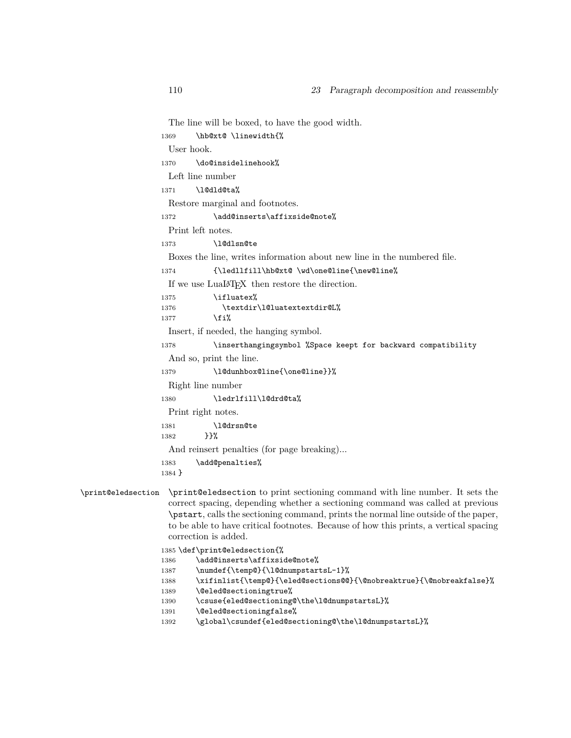```
The line will be boxed, to have the good width.
                  1369 \hb@xt@ \linewidth{%
                   User hook.
                  1370 \do@insidelinehook%
                   Left line number
                  1371 \l@dld@ta%
                   Restore marginal and footnotes.
                  1372 \add@inserts\affixside@note%
                   Print left notes.
                  1373 \l@dlsn@te
                   Boxes the line, writes information about new line in the numbered file.
                  1374 {\ledllfill\hb@xt@ \wd\one@line{\new@line%
                   If we use \textsc{LuaI4T} \texttt{F} \texttt{X} then restore the direction.
                  1375 \ifluatex%
                  1376 \textdir\l@luatextextdir@L%
                  1377 \fi%
                   Insert, if needed, the hanging symbol.
                  1378 \inserthangingsymbol %Space keept for backward compatibility
                    And so, print the line.
                  1379 \l@dunhbox@line{\one@line}}%
                   Right line number
                  1380 \ledrlfill\l@drd@ta%
                   Print right notes.
                  1381 \l@drsn@te
                  1382 }}%
                    And reinsert penalties (for page breaking)...
                  1383 \add@penalties%
                  1384 }
\print@eledsection \print@eledsection to print sectioning command with line number. It sets the
                   correct spacing, depending whether a sectioning command was called at previous
                    \pstart, calls the sectioning command, prints the normal line outside of the paper,
                   to be able to have critical footnotes. Because of how this prints, a vertical spacing
                   correction is added.
                  1385 \def\print@eledsection{%
                  1386 \add@inserts\affixside@note%
```
- 1387 \numdef{\temp@}{\l@dnumpstartsL-1}%
- 1388 \xifinlist{\temp@}{\eled@sections@@}{\@nobreaktrue}{\@nobreakfalse}%
- 1389 \@eled@sectioningtrue%
- 1390 \csuse{eled@sectioning@\the\l@dnumpstartsL}%
- 1391 \@eled@sectioningfalse%
- 1392 \global\csundef{eled@sectioning@\the\l@dnumpstartsL}%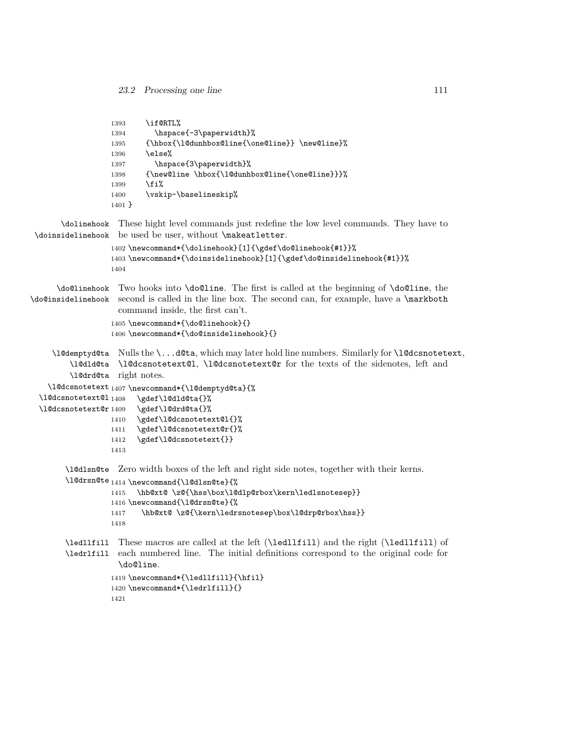```
1393 \if@RTL%
                  1394 \hspace{-3\paperwidth}%
                  1395 {\hbox{\l@dunhbox@line{\one@line}} \new@line}%
                  1396 \else%
                  1397 \hspace{3\paperwidth}%
                  1398 {\new@line \hbox{\l@dunhbox@line{\one@line}}}%
                  1399 \overrightarrow{1399}1400 \vskip-\baselineskip%
                  1401 }
       \dolinehook
These hight level commands just redefine the low level commands. They have to
 \doinsidelinehook
be used be user, without \makeatletter.
                  1402 \newcommand*{\dolinehook}[1]{\gdef\do@linehook{#1}}%
                  1403 \newcommand*{\doinsidelinehook}[1]{\gdef\do@insidelinehook{#1}}%
                  1404
      \do@linehook
Two hooks into \do@line. The first is called at the beginning of \do@line, the
\do@insidelinehook
second is called in the line box. The second can, for example, have a \markboth
                    command inside, the first can't.
                  1405 \newcommand*{\do@linehook}{}
                  1406 \newcommand*{\do@insidelinehook}{}
     \l@demptyd@ta
Nulls the \...d@ta, which may later hold line numbers. Similarly for \l@dcsnotetext,
         \l@dld@ta
\l@dcsnotetext@l, \l@dcsnotetext@r for the texts of the sidenotes, left and
         \l@drd@ta
right notes.
    \l@dcsnotetext<sub>1407</sub> \newcommand*{\l@demptyd@ta}{%
 \l@dcsnotetext@l
 \l@dcsnotetext@r1409
                        \gdef\l@dld@ta{}%
                        \gdef\l@drd@ta{}%
                  1410 \gdef\l@dcsnotetext@l{}%
                  1411 \gdef\l@dcsnotetext@r{}%
                  1412 \gdef\l@dcsnotetext{}}
                  1413
        \l@dlsn@te
Zero width boxes of the left and right side notes, together with their kerns.
        \l@drsn@te<sub>1414</sub> \newcommand{\l@dlsn@te}{%
                  1415 \hb@xt@ \z@{\hss\box\l@dlp@rbox\kern\ledlsnotesep}}
                  1416 \newcommand{\l@drsn@te}{%
                  1417 \hb@xt@ \z@{\kern\ledrsnotesep\box\l@drp@rbox\hss}}
                  1418
        \ledllfill
These macros are called at the left (\ledllfill) and the right (\ledllfill) of
        \ledrlfill
each numbered line. The initial definitions correspond to the original code for
                    \do@line.
```

```
1419 \newcommand*{\ledllfill}{\hfil}
1420 \newcommand*{\ledrlfill}{}
1421
```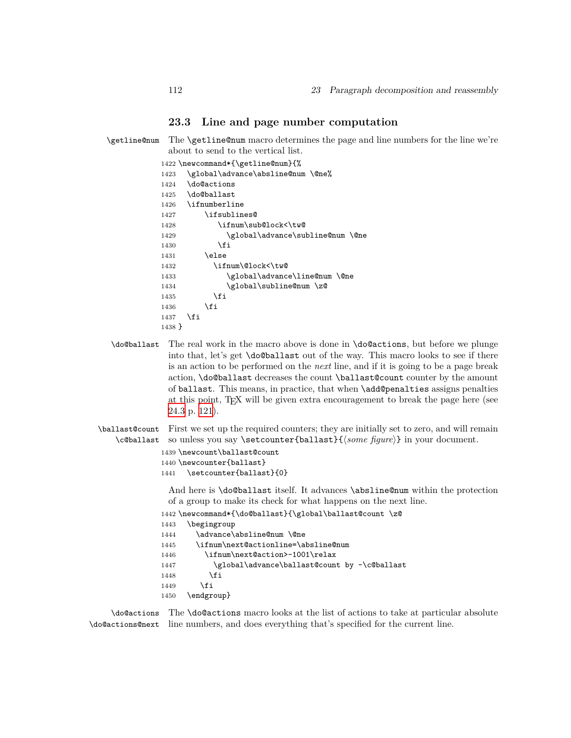# **23.3 Line and page number computation**

\getline@num The \getline@num macro determines the page and line numbers for the line we're about to send to the vertical list.

|          | 1422 \newcommand*{\getline@num}{% |
|----------|-----------------------------------|
| 1423     | \global\advance\absline@num \@ne% |
| 1424     | \do@actions                       |
| 1425     | \do@ballast                       |
| 1426     | \ifnumberline                     |
| 1427     | \ifsublines@                      |
| 1428     | \ifnum\sub@lock<\tw@              |
| 1429     | \global\advance\subline@num \@ne  |
| 1430     | \fi                               |
| 1431     | \else                             |
| 1432     | \ifnum\@lock<\tw@                 |
| 1433     | \global\advance\line@num \@ne     |
| 1434     | \global\subline@num \z@           |
| 1435     | \fi                               |
| 1436     | \fi                               |
| 1437     | \fi                               |
| $1438$ } |                                   |

<span id="page-111-0"></span>\do@ballast The real work in the macro above is done in \do@actions, but before we plunge into that, let's get \do@ballast out of the way. This macro looks to see if there is an action to be performed on the *next* line, and if it is going to be a page break action, \do@ballast decreases the count \ballast@count counter by the amount of ballast. This means, in practice, that when \add@penalties assigns penalties at this point, TEX will be given extra encouragement to break the page here (see [24.3](#page-120-0) p. [121](#page-120-0)).

\ballast@count First we set up the required counters; they are initially set to zero, and will remain \c@ballast so unless you say \setcounter{ballast}{*⟨some figure⟩*} in your document.

```
1439 \newcount\ballast@count
1440 \newcounter{ballast}
1441 \setcounter{ballast}{0}
```
And here is \do@ballast itself. It advances \absline@num within the protection of a group to make its check for what happens on the next line.

```
1442 \newcommand*{\do@ballast}{\global\ballast@count \z@
```

```
1443 \begingroup
```

```
1444 \advance\absline@num \@ne
1445 \ifnum\next@actionline=\absline@num
1446 \ifnum\next@action>-1001\relax
1447 \global\advance\ballast@count by -\c@ballast
1448 \fi
1449 \qquad \qquad \fi
1450 \endgroup}
```
\do@actions The \do@actions macro looks at the list of actions to take at particular absolute \do@actions@next line numbers, and does everything that's specified for the current line.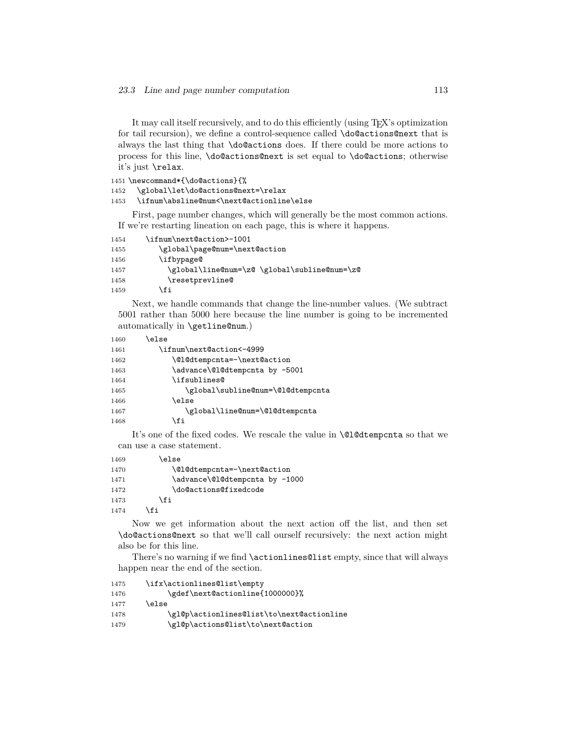It may call itself recursively, and to do this efficiently (using T<sub>E</sub>X's optimization for tail recursion), we define a control-sequence called \do@actions@next that is always the last thing that \do@actions does. If there could be more actions to process for this line, \do@actions@next is set equal to \do@actions; otherwise it's just \relax.

```
1451 \newcommand*{\do@actions}{%
```
1452 \global\let\do@actions@next=\relax

1453 \ifnum\absline@num<\next@actionline\else

First, page number changes, which will generally be the most common actions. If we're restarting lineation on each page, this is where it happens.

| 1454 | \ifnum\next@action>-1001                     |
|------|----------------------------------------------|
| 1455 | \global\page@num=\next@action                |
| 1456 | \ifbypage@                                   |
| 1457 | \global\line@num=\z@ \global\subline@num=\z@ |
| 1458 | \resetprevline@                              |
| 1459 | \fi                                          |
|      |                                              |

Next, we handle commands that change the line-number values. (We subtract 5001 rather than 5000 here because the line number is going to be incremented automatically in \getline@num.)

| \else |
|-------|
|       |

| 1461 | \ifnum\next@action<-4999          |
|------|-----------------------------------|
| 1462 | \@l@dtempcnta=-\next@action       |
| 1463 | \advance\@l@dtempcnta by -5001    |
| 1464 | \ifsublines@                      |
| 1465 | \global\subline@num=\@l@dtempcnta |
| 1466 | \else                             |
| 1467 | \global\line@num=\@l@dtempcnta    |
| 1468 | \fi                               |

It's one of the fixed codes. We rescale the value in \@l@dtempcnta so that we can use a case statement.

```
1469 \else
1470 \@l@dtempcnta=-\next@action
1471 \advance\@l@dtempcnta by -1000
1472 \do@actions@fixedcode
1473 \fi
1474 \fi
```
Now we get information about the next action off the list, and then set \do@actions@next so that we'll call ourself recursively: the next action might also be for this line.

There's no warning if we find \actionlines@list empty, since that will always happen near the end of the section.

```
1475 \ifx\actionlines@list\empty
1476 \gdef\next@actionline{1000000}%
1477 \else
1478 \gl@p\actionlines@list\to\next@actionline
1479 \gl@p\actions@list\to\next@action
```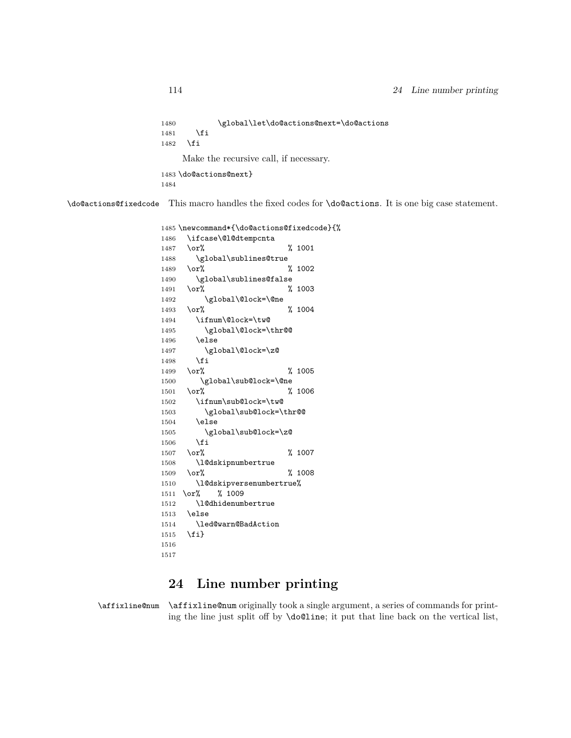```
1480 \global\let\do@actions@next=\do@actions
1481 \fi
1482 \fi
    Make the recursive call, if necessary.
1483 \do@actions@next}
1484
```
\do@actions@fixedcode This macro handles the fixed codes for \do@actions. It is one big case statement.

```
1485 \newcommand*{\do@actions@fixedcode}{%
1486 \ifcase\@l@dtempcnta
1487 \or% % 1001
1488 \global\sublines@true
1489 \or% % 1002
1490 \global\sublines@false
1491 \or% % 1003
1492 \global\@lock=\@ne
1493 \or% % 1004
1494 \ifnum\@lock=\tw@
1495 \global\@lock=\thr@@
1496 \else
1497 \global\@lock=\z@
1498 \fi
1499 \or% % 1005
1500 \global\sub@lock=\@ne
1501 \or% % 1006
1502 \ifnum\sub@lock=\tw@
1503 \global\sub@lock=\thr@@
1504 \else
1505 \global\sub@lock=\z@
1506 \fi
1507 \or% % 1007
1508 \l@dskipnumbertrue
1509 \or% % 1008
1510 \l@dskipversenumbertrue%
1511 \or% % 1009
1512 \l@dhidenumbertrue
1513 \else
1514 \led@warn@BadAction
1515 \fi}
1516
1517
```
# **24 Line number printing**

\affixline@num \affixline@num originally took a single argument, a series of commands for printing the line just split off by \do@line; it put that line back on the vertical list,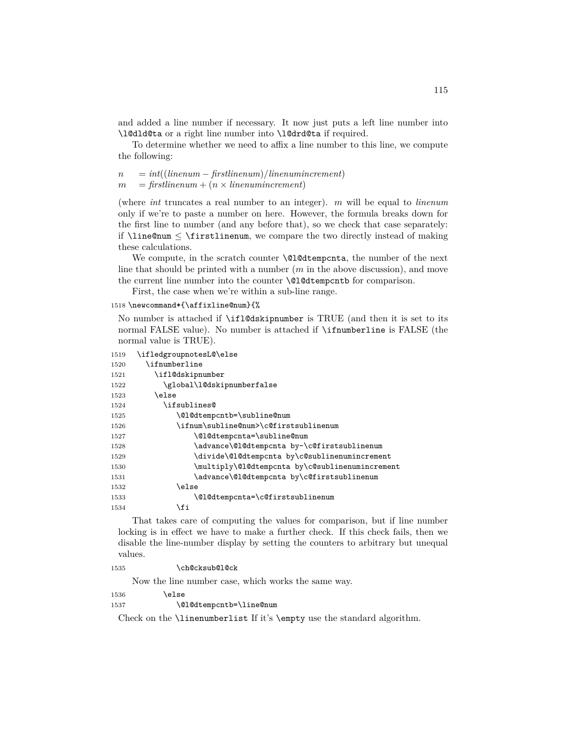and added a line number if necessary. It now just puts a left line number into \l@dld@ta or a right line number into \l@drd@ta if required.

To determine whether we need to affix a line number to this line, we compute the following:

```
n = int((linenum − firstlinenum)/linenumincrement)
m = firstlinenum + (n \times linenumincrement)
```
(where *int* truncates a real number to an integer). *m* will be equal to *linenum* only if we're to paste a number on here. However, the formula breaks down for the first line to number (and any before that), so we check that case separately: if \line@num *≤* \firstlinenum, we compare the two directly instead of making these calculations.

We compute, in the scratch counter **\@l@dtempcnta**, the number of the next line that should be printed with a number (*m* in the above discussion), and move the current line number into the counter  $\Omega$  detempcntb for comparison.

First, the case when we're within a sub-line range.

```
1518 \newcommand*{\affixline@num}{%
```
No number is attached if \ifl@dskipnumber is TRUE (and then it is set to its normal FALSE value). No number is attached if \ifnumberline is FALSE (the normal value is TRUE).

| 1519 | \ifledgroupnotesL@\else                         |
|------|-------------------------------------------------|
| 1520 | \ifnumberline                                   |
| 1521 | \ifl@dskipnumber                                |
| 1522 | \global\1@dskipnumberfalse                      |
| 1523 | \else                                           |
| 1524 | \ifsublines@                                    |
| 1525 | \@l@dtempcntb=\subline@num                      |
| 1526 | \ifnum\subline@num>\c@firstsublinenum           |
| 1527 | \@l@dtempcnta=\subline@num                      |
| 1528 | \advance\@l@dtempcnta by-\c@firstsublinenum     |
| 1529 | \divide\@l@dtempcnta by\c@sublinenumincrement   |
| 1530 | \multiply\@l@dtempcnta by\c@sublinenumincrement |
| 1531 | \advance\@l@dtempcnta by\c@firstsublinenum      |
| 1532 | \else                                           |
| 1533 | \@l@dtempcnta=\c@firstsublinenum                |
| 1534 | \fi                                             |

That takes care of computing the values for comparison, but if line number locking is in effect we have to make a further check. If this check fails, then we disable the line-number display by setting the counters to arbitrary but unequal values.

1535 \ch@cksub@l@ck

Now the line number case, which works the same way.

| 1536 | \else |
|------|-------|
|------|-------|

1537 \ClCdtempcntb=\line@num

Check on the \linenumberlist If it's \empty use the standard algorithm.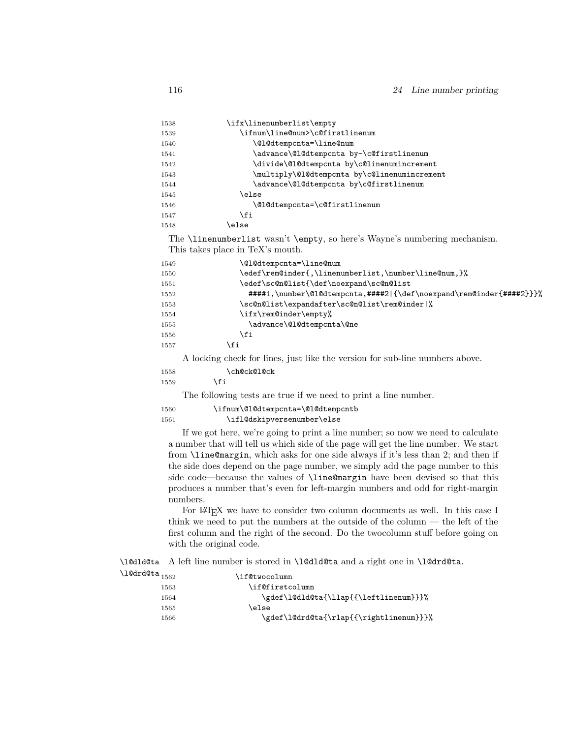| 1538 | \ifx\linenumberlist\empty                    |
|------|----------------------------------------------|
| 1539 | \ifnum\line@num>\c@firstlinenum              |
| 1540 | \@l@dtempcnta=\line@num                      |
| 1541 | \advance\@l@dtempcnta by-\c@firstlinenum     |
| 1542 | \divide\@l@dtempcnta by\c@linenumincrement   |
| 1543 | \multiply\@l@dtempcnta by\c@linenumincrement |
| 1544 | \advance\@l@dtempcnta by\c@firstlinenum      |
| 1545 | \else                                        |
| 1546 | \@l@dtempcnta=\c@firstlinenum                |
| 1547 | \fi                                          |
| 1548 | else)                                        |

The \linenumberlist wasn't \empty, so here's Wayne's numbering mechanism. This takes place in TeX's mouth.

| 1549 | \@1@dtempcnta=\line@num                                              |
|------|----------------------------------------------------------------------|
| 1550 | \edef\rem@inder{,\linenumberlist,\number\line@num,}%                 |
| 1551 | \edef\sc@n@list{\def\noexpand\sc@n@list                              |
| 1552 | #####1,\number\@1@dtempcnta,####2 {\def\noexpand\rem@inder{####2}}}% |
| 1553 | \sc@n@list\expandafter\sc@n@list\rem@inder %                         |
| 1554 | \ifx\rem@inder\empty%                                                |
| 1555 | \advance\@1@dtempcnta\@ne                                            |
| 1556 | \fi                                                                  |
| 1557 | ιfi                                                                  |

A locking check for lines, just like the version for sub-line numbers above.

| \ch@ck@l@ck |
|-------------|
|             |

\fi

The following tests are true if we need to print a line number.

```
1560 \ifnum\@l@dtempcnta=\@l@dtempcntb
1561 \ifl@dskipversenumber\else
```
If we got here, we're going to print a line number; so now we need to calculate a number that will tell us which side of the page will get the line number. We start from \line@margin, which asks for one side always if it's less than 2; and then if the side does depend on the page number, we simply add the page number to this side code—because the values of \line@margin have been devised so that this produces a number that's even for left-margin numbers and odd for right-margin numbers.

For LAT<sub>EX</sub> we have to consider two column documents as well. In this case I think we need to put the numbers at the outside of the column — the left of the first column and the right of the second. Do the twocolumn stuff before going on with the original code.

\l@dld@ta A left line number is stored in \l@dld@ta and a right one in \l@drd@ta.

| $\lambda$ l@drd@ta $_{1562}$ | \if@twocolumn                           |
|------------------------------|-----------------------------------------|
| 1563                         | \if@firstcolumn                         |
| 1564                         | \gdef\10dld@ta{\llap{{\leftlinenum}}}%  |
| 1565                         | \else                                   |
| 1566                         | \gdef\l@drd@ta{\rlap{{\rightlinenum}}}% |
|                              |                                         |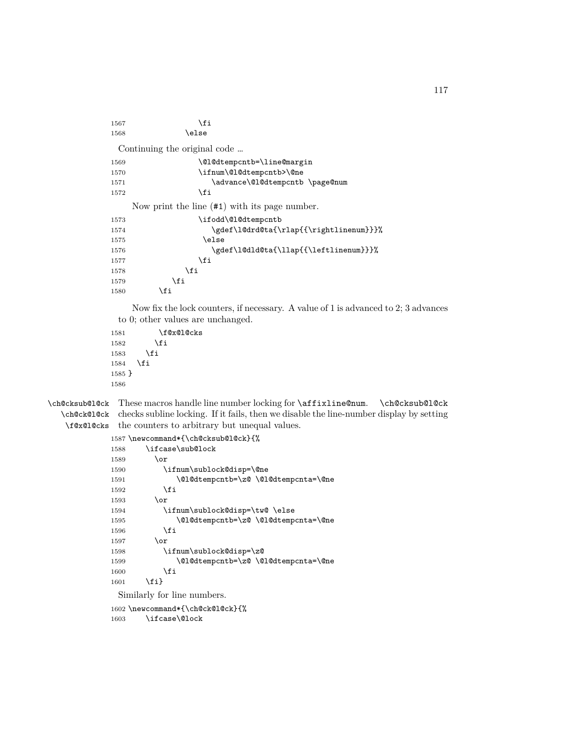| 1567 | \fi                                              |
|------|--------------------------------------------------|
| 1568 | \else                                            |
|      | Continuing the original code                     |
| 1569 | \@1@dtempcntb=\line@margin                       |
| 1570 | \ifnum\@l@dtempcntb>\@ne                         |
| 1571 | \advance\@l@dtempcntb \page@num                  |
| 1572 | \fi                                              |
|      | Now print the line $(\#1)$ with its page number. |
| 1573 | \ifodd\@l@dtempcntb                              |
| 1574 | \gdef\l@drd@ta{\rlap{{\rightlinenum}}}%          |
| 1575 | \else                                            |
| 1576 | \gdef\1@dld@ta{\llap{{\leftlinenum}}}%           |
| 1577 | \fi                                              |
| 1578 | \fi                                              |
| 1579 | \fi                                              |
| 1580 | \fi                                              |

Now fix the lock counters, if necessary. A value of 1 is advanced to 2; 3 advances to 0; other values are unchanged.

```
1581 \f@x@l@cks
1582 \setminusfi<br>1583 \setminusfi
15831584 \fi
1585 }
1586
```
\ch@cksub@l@ck These macros handle line number locking for \affixline@num. \ch@cksub@l@ck \ch@ck@l@ck checks subline locking. If it fails, then we disable the line-number display by setting \f@x@l@cks the counters to arbitrary but unequal values.

```
1587 \newcommand*{\ch@cksub@l@ck}{%
1588 \ifcase\sub@lock
1589 \qquad \qquad \text{or}1590 \ifnum\sublock@disp=\@ne
1591 \@l@dtempcntb=\z@ \@l@dtempcnta=\@ne
1592 \overrightarrow{1}1593 \or
1594 \ifnum\sublock@disp=\tw@ \else
1595 \@l@dtempcntb=\z@ \@l@dtempcnta=\@ne
1596 \fi
1597 \or
1598 \ifnum\sublock@disp=\z@
1599 \@l@dtempcntb=\z@ \@l@dtempcnta=\@ne
1600 \quad \text{if}1601 \fi}
```
Similarly for line numbers.

1602 \newcommand\*{\ch@ck@l@ck}{%

1603 \ifcase\@lock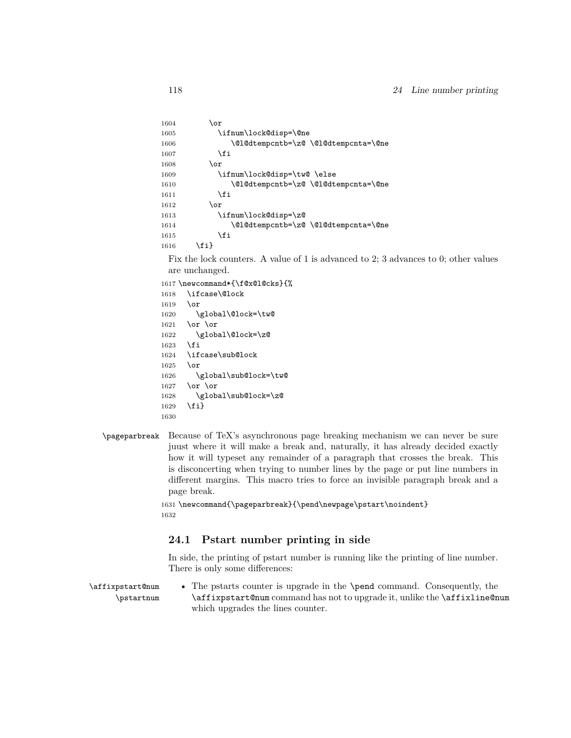```
1604 \or
1605 \ifnum\lock@disp=\@ne
1606 \@l@dtempcntb=\z@ \@l@dtempcnta=\@ne
1607 \fi
1608 \or
1609 \ifnum\lock@disp=\tw@ \else
1610 \@l@dtempcntb=\z@ \@l@dtempcnta=\@ne
1611 \fi
1612 \or
1613 \ifnum\lock@disp=\z@
1614 \@l@dtempcntb=\z@ \@l@dtempcnta=\@ne
1615 \fi
1616 \fi}
 Fix the lock counters. A value of 1 is advanced to 2; 3 advances to 0; other values
 are unchanged.
1617 \newcommand*{\f@x@l@cks}{%
1618 \ifcase\@lock
1619 \or
1620 \global\@lock=\tw@
1621 \or \or1622 \global\@lock=\z@
1623 \fi
1624 \ifcase\sub@lock
1625 \or
1626 \global\sub@lock=\tw@
1627 \or \or
1628 \global\sub@lock=\z@
1629 \fi}
```
\pageparbreak Because of TeX's asynchronous page breaking mechanism we can never be sure juust where it will make a break and, naturally, it has already decided exactly how it will typeset any remainder of a paragraph that crosses the break. This is disconcerting when trying to number lines by the page or put line numbers in different margins. This macro tries to force an invisible paragraph break and a page break.

```
1631 \newcommand{\pageparbreak}{\pend\newpage\pstart\noindent}
1632
```
# **24.1 Pstart number printing in side**

In side, the printing of pstart number is running like the printing of line number. There is only some differences:

\affixpstart@num \pstartnum • The pstarts counter is upgrade in the \pend command. Consequently, the \affixpstart@num command has not to upgrade it, unlike the \affixline@num which upgrades the lines counter.

1630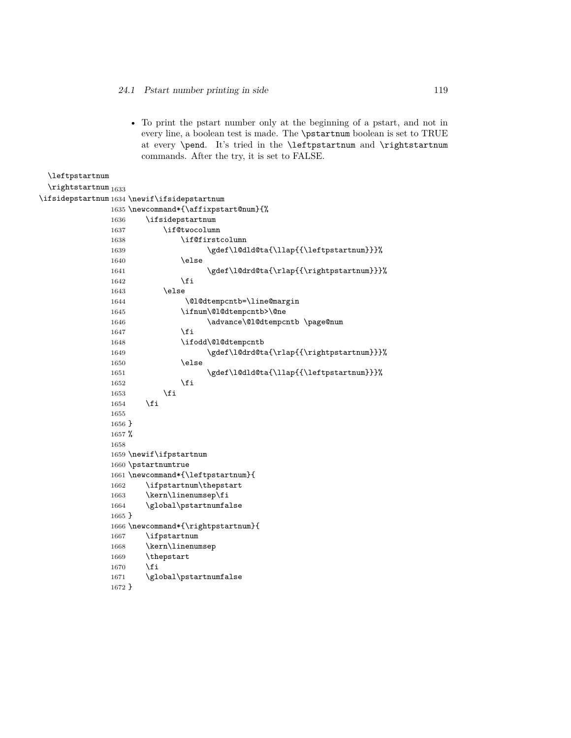\leftpstartnum

1672 }

• To print the pstart number only at the beginning of a pstart, and not in every line, a boolean test is made. The \pstartnum boolean is set to TRUE at every \pend. It's tried in the \leftpstartnum and \rightstartnum commands. After the try, it is set to FALSE.

```
\rightstartnum 1633
\ifsidepstartnum 1634 \newif\ifsidepstartnum
             1635 \newcommand*{\affixpstart@num}{%
             1636 \ifsidepstartnum
             1637 \if@twocolumn
             1638 \if@firstcolumn
             1639 \gdef\l@dld@ta{\llap{{\leftpstartnum}}}%
             1640 \else
             1641 \gdef\l@drd@ta{\rlap{{\rightpstartnum}}}}
             1642 \fi
             1643 \else
             1644 \\@l@dtempcntb=\line@margin
             1645 \ifnum\@l@dtempcntb>\@ne
             1646 \dvance\@l@dtempcntb \page@num
             1647 \fi
             1648 \ifodd\@l@dtempcntb
             1649 \gdef\l@drd@ta{\rlap{{\rightpstartnum}}}%
             1650 \else
             1651 \gdef\l@dld@ta{\llap{{\leftpstartnum}}}%
             1652 \fi
             1653 \fi
             1654 \fi
             1655
             1656 }
             1657 %
             1658
             1659 \newif\ifpstartnum
             1660 \pstartnumtrue
             1661 \newcommand*{\leftpstartnum}{
             1662 \ifpstartnum\thepstart
             1663 \kern\linenumsep\fi
             1664 \global\pstartnumfalse
             1665 }
             1666 \newcommand*{\rightpstartnum}{
             1667 \ifpstartnum
             1668 \kern\linenumsep
             1669 \thepstart
             1670 \fi
             1671 \global\pstartnumfalse
```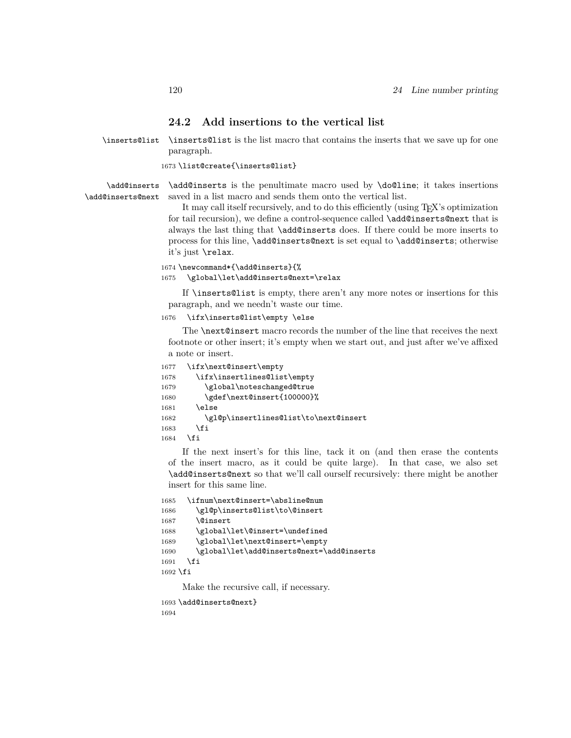# **24.2 Add insertions to the vertical list**

\inserts@list \inserts@list is the list macro that contains the inserts that we save up for one paragraph.

1673 \list@create{\inserts@list}

\add@inserts \add@inserts@next \add@inserts is the penultimate macro used by \do@line; it takes insertions saved in a list macro and sends them onto the vertical list.

It may call itself recursively, and to do this efficiently (using T<sub>E</sub>X's optimization for tail recursion), we define a control-sequence called **\add@inserts@next** that is always the last thing that \add@inserts does. If there could be more inserts to process for this line, \add@inserts@next is set equal to \add@inserts; otherwise it's just \relax.

#### 1674 \newcommand\*{\add@inserts}{% 1675 \global\let\add@inserts@next=\relax

If \inserts@list is empty, there aren't any more notes or insertions for this paragraph, and we needn't waste our time.

1676 \ifx\inserts@list\empty \else

The \next@insert macro records the number of the line that receives the next footnote or other insert; it's empty when we start out, and just after we've affixed a note or insert.

```
1677 \ifx\next@insert\empty
1678 \ifx\insertlines@list\empty
1679 \global\noteschanged@true
1680 \gdef\next@insert{100000}%
1681 \else
1682 \gl@p\insertlines@list\to\next@insert
1683 \fi
1684 \fi
```
If the next insert's for this line, tack it on (and then erase the contents of the insert macro, as it could be quite large). In that case, we also set \add@inserts@next so that we'll call ourself recursively: there might be another insert for this same line.

```
1685 \ifnum\next@insert=\absline@num
1686 \gl@p\inserts@list\to\@insert
1687 \@insert
1688 \global\let\@insert=\undefined
1689 \global\let\next@insert=\empty
1690 \global\let\add@inserts@next=\add@inserts
1691 \quad \text{If}1692 \fi
```
Make the recursive call, if necessary.

```
1693 \add@inserts@next}
1694
```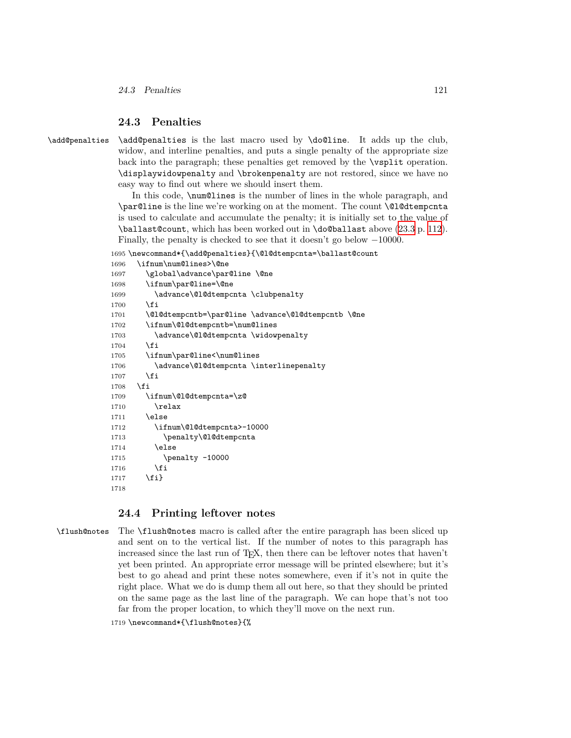# **24.3 Penalties**

\add@penalties \add@penalties is the last macro used by \do@line. It adds up the club, widow, and interline penalties, and puts a single penalty of the appropriate size back into the paragraph; these penalties get removed by the \vsplit operation. \displaywidowpenalty and \brokenpenalty are not restored, since we have no easy way to find out where we should insert them.

> <span id="page-120-0"></span>In this code, \num@lines is the number of lines in the whole paragraph, and \par@line is the line we're working on at the moment. The count \@l@dtempcnta is used to calculate and accumulate the penalty; it is initially set to the value of \ballast@count, which has been worked out in \do@ballast above [\(23.3](#page-111-0) p. [112\)](#page-111-0). Finally, the penalty is checked to see that it doesn't go below *−*10000.

1695 \newcommand\*{\add@penalties}{\@l@dtempcnta=\ballast@count

| 1696 | \ifnum\num@lines>\@ne                              |
|------|----------------------------------------------------|
| 1697 | \global\advance\par@line \@ne                      |
| 1698 | \ifnum\par@line=\@ne                               |
| 1699 | \advance\@l@dtempcnta \clubpenalty                 |
| 1700 | \fi                                                |
| 1701 | \@l@dtempcntb=\par@line \advance\@l@dtempcntb \@ne |
| 1702 | \ifnum\@l@dtempcntb=\num@lines                     |
| 1703 | \advance\@1@dtempcnta \widowpenalty                |
| 1704 | \fi                                                |
| 1705 | \ifnum\par@line<\num@lines                         |
| 1706 | \advance\@1@dtempcnta \interlinepenalty            |
| 1707 | \fi                                                |
| 1708 | \fi                                                |
| 1709 | \ifnum\@l@dtempcnta=\z@                            |
| 1710 | \relax                                             |
| 1711 | \else                                              |
| 1712 | \ifnum\@l@dtempcnta>-10000                         |
| 1713 | \penalty\@l@dtempcnta                              |
| 1714 | \else                                              |
| 1715 | $\penalty -10000$                                  |
| 1716 | \fi                                                |
| 1717 | $\{f_i\}$                                          |
| 1718 |                                                    |

### **24.4 Printing leftover notes**

\flush@notes The \flush@notes macro is called after the entire paragraph has been sliced up and sent on to the vertical list. If the number of notes to this paragraph has increased since the last run of T<sub>E</sub>X, then there can be leftover notes that haven't yet been printed. An appropriate error message will be printed elsewhere; but it's best to go ahead and print these notes somewhere, even if it's not in quite the right place. What we do is dump them all out here, so that they should be printed on the same page as the last line of the paragraph. We can hope that's not too far from the proper location, to which they'll move on the next run.

1719 \newcommand\*{\flush@notes}{%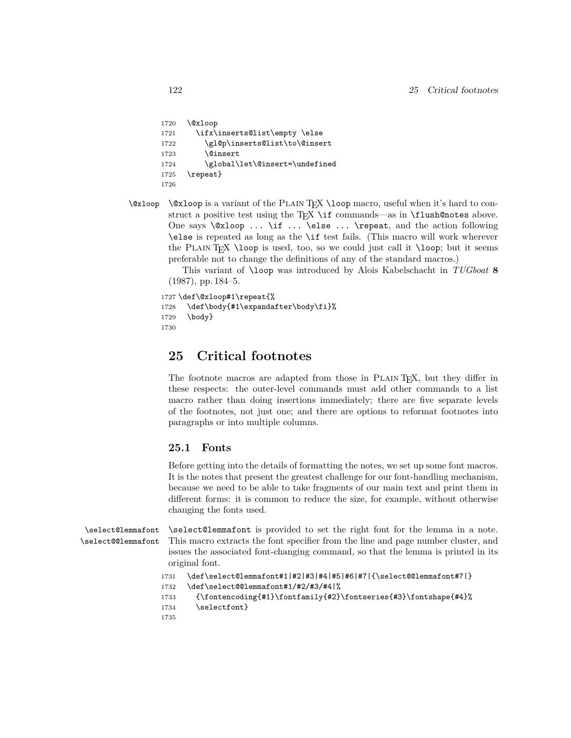```
1720 \@xloop
1721 \ifx\inserts@list\empty \else
1722 \gl@p\inserts@list\to\@insert
1723 \@insert
1724 \global\let\@insert=\undefined
1725 \repeat}
1726
```
\@xloop \@xloop is a variant of the Plain TEX \loop macro, useful when it's hard to construct a positive test using the T<sub>EX</sub> \if commands—as in  $If$ lush@notes above. One says \@xloop ... \if ... \else ... \repeat, and the action following \else is repeated as long as the \if test fails. (This macro will work wherever the PLAIN T<sub>EX</sub> \loop is used, too, so we could just call it \loop; but it seems preferable not to change the definitions of any of the standard macros.)

> This variant of \loop was introduced by Alois Kabelschacht in *TUGboat* **8** (1987), pp. 184–5.

```
1727 \def\@xloop#1\repeat{%
1728 \def\body{#1\expandafter\body\fi}%
1729 \body}
1730
```
# **25 Critical footnotes**

The footnote macros are adapted from those in PLAIN T<sub>EX</sub>, but they differ in these respects: the outer-level commands must add other commands to a list macro rather than doing insertions immediately; there are five separate levels of the footnotes, not just one; and there are options to reformat footnotes into paragraphs or into multiple columns.

# **25.1 Fonts**

Before getting into the details of formatting the notes, we set up some font macros. It is the notes that present the greatest challenge for our font-handling mechanism, because we need to be able to take fragments of our main text and print them in different forms: it is common to reduce the size, for example, without otherwise changing the fonts used.

```
\select@lemmafont
\select@@lemmafont
```
\select@lemmafont is provided to set the right font for the lemma in a note. This macro extracts the font specifier from the line and page number cluster, and issues the associated font-changing command, so that the lemma is printed in its original font.

```
1731 \def\select@lemmafont#1|#2|#3|#4|#5|#6|#7|{\select@@lemmafont#7|}
1732 \def\select@@lemmafont#1/#2/#3/#4|%
```

```
1733 {\fontencoding{#1}\fontfamily{#2}\fontseries{#3}\fontshape{#4}%
```
- 1734 \selectfont}
- 1735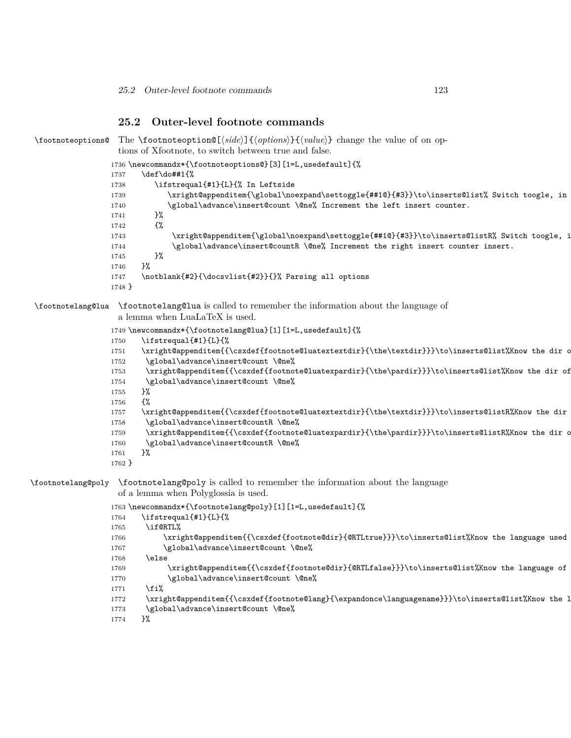# **25.2 Outer-level footnote commands**

```
\footnoteoptions@ The \footnoteoption@[⟨side⟩]{⟨options⟩}{⟨value⟩} change the value of on op-
                   tions of Xfootnote, to switch between true and false.
                 1736 \newcommandx*{\footnoteoptions@}[3][1=L,usedefault]{%
                 1737 \def\do##1{%
                 1738 \ifstrequal{#1}{L}{% In Leftside
                 1739 \xright@appenditem{\global\noexpand\settoggle{##1@}{#3}}\to\inserts@list% Switch toogle, in
                 1740 \global\advance\insert@count \@ne% Increment the left insert counter.
                 1741 }%
                 1742 {%
                 1743 \xright@appenditem{\global\noexpand\settoggle{##1@}{#3}}\to\inserts@listR% Switch toogle, i
                 1744 \global\advance\insert@countR \@ne% Increment the right insert counter insert.
                 1745 }%
                 1746 }%
                 1747 \notblank{#2}{\docsvlist{#2}}{}% Parsing all options
                 1748 }
\footnotelang@lua \footnotelang@lua is called to remember the information about the language of
                   a lemma when LuaLaTeX is used.
                 1749 \newcommandx*{\footnotelang@lua}[1][1=L,usedefault]{%
                 1750 \ifstrequal{#1}{L}{%
                 1751 \xright@appenditem{{\csxdef{footnote@luatextextdir}{\the\textdir}}}\to\inserts@list%Know the dir o
                 1752 \global\advance\insert@count \@ne%
                 1753 \xright@appenditem{{\csxdef{footnote@luatexpardir}{\the\pardir}}}\to\inserts@list%Know the dir of
                 1754 \global\advance\insert@count \@ne%
                 1755 }%
                 1756 {%
                 1757 \xright@appenditem{{\csxdef{footnote@luatextextdir}{\the\textdir}}}\to\inserts@listR%Know the dir
                 1758 \global\advance\insert@countR \@ne%
                 1759 \xright@appenditem{{\csxdef{footnote@luatexpardir}{\the\pardir}}}\to\inserts@listR%Know the dir o
                 1760 \global\advance\insert@countR \@ne%
                 1761 }%
                 1762 }
\footnotelang@poly \footnotelang@poly is called to remember the information about the language
                   of a lemma when Polyglossia is used.
                 1763 \newcommandx*{\footnotelang@poly}[1][1=L,usedefault]{%
                 1764 \ifstrequal{#1}{L}{%
                 1765 \if@RTL%
                 1766 \xright@appenditem{{\csxdef{footnote@dir}{@RTLtrue}}}\to\inserts@list%Know the language used
                 1767 \global\advance\insert@count \@ne%
                 1768 \else
                 1769 \xright@appenditem{{\csxdef{footnote@dir}{@RTLfalse}}}\to\inserts@list%Know the language of
                 1770 \global\advance\insert@count \@ne%
                 1771 \fi%
                 1772 \xright@appenditem{{\csxdef{footnote@lang}{\expandonce\languagename}}}\to\inserts@list%Know the l
                 1773 \global\advance\insert@count \@ne%
                 1774 }%
```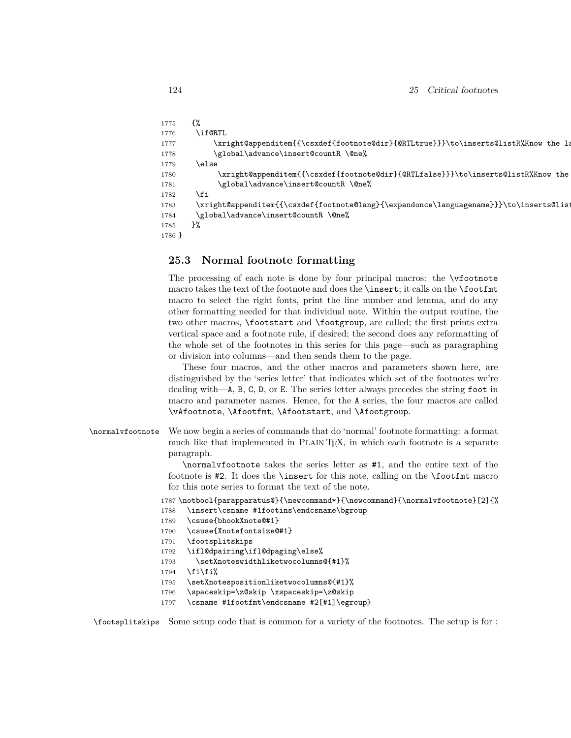```
1775 {%
1776 \if@RTL
1777 \xright@appenditem{{\csxdef{footnote@dir}{@RTLtrue}}}\to\inserts@listR%Know the language of lemmage of lemmage of lemmage of lemmage of lemmage of lemmage of lemmage of lemmage of lemmage of lemmage of lemmage of lemm
1778 \global\advance\insert@countR \@ne%
1779 \else
1780 \xright@appenditem{{\csxdef{footnote@dir}{@RTLfalse}}}\to\inserts@listR%Know the
1781 \global\advance\insert@countR \@ne%
1782 \fi
1783 \xright@appenditem{{\csxdef{footnote@lang}{\expandonce\languagename}}}\to\inserts@listR%Know the language of lemma
1784 \global\advance\insert@countR \@ne%
1785 }%
1786 }
```
# **25.3 Normal footnote formatting**

The processing of each note is done by four principal macros: the \vfootnote macro takes the text of the footnote and does the \insert; it calls on the \footfmt macro to select the right fonts, print the line number and lemma, and do any other formatting needed for that individual note. Within the output routine, the two other macros, \footstart and \footgroup, are called; the first prints extra vertical space and a footnote rule, if desired; the second does any reformatting of the whole set of the footnotes in this series for this page—such as paragraphing or division into columns—and then sends them to the page.

These four macros, and the other macros and parameters shown here, are distinguished by the 'series letter' that indicates which set of the footnotes we're dealing with—A, B, C, D, or E. The series letter always precedes the string foot in macro and parameter names. Hence, for the A series, the four macros are called \vAfootnote, \Afootfmt, \Afootstart, and \Afootgroup.

\normalvfootnote We now begin a series of commands that do 'normal' footnote formatting: a format much like that implemented in Plain TEX, in which each footnote is a separate paragraph.

> \normalvfootnote takes the series letter as #1, and the entire text of the footnote is #2. It does the \insert for this note, calling on the \footfmt macro for this note series to format the text of the note.

1787 \notbool{parapparatus@}{\newcommand\*}{\newcommand}{\normalvfootnote}[2]{%

- 1788 \insert\csname #1footins\endcsname\bgroup
- 1789 \csuse{bhookXnote@#1}
- 1790 \csuse{Xnotefontsize@#1}
- 1791 \footsplitskips
- 1792 \ifl@dpairing\ifl@dpaging\else%
- 1793 \setXnoteswidthliketwocolumns@{#1}%
- $1794$  \fi\fi\
- 1795 \setXnotespositionliketwocolumns@{#1}%
- 1796 \spaceskip=\z@skip \xspaceskip=\z@skip
- 1797 \csname #1footfmt\endcsname #2[#1]\egroup}

\footsplitskips Some setup code that is common for a variety of the footnotes. The setup is for :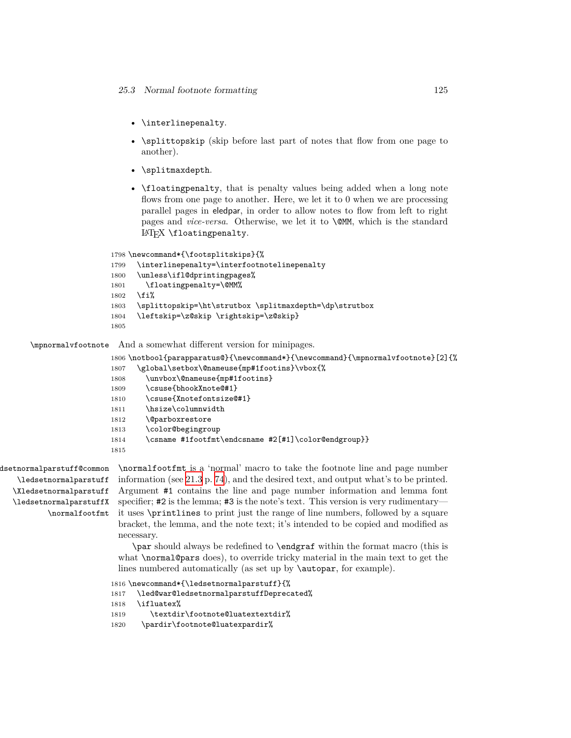- \interlinepenalty.
- \splittopskip (skip before last part of notes that flow from one page to another).
- \splitmaxdepth.
- \floatingpenalty, that is penalty values being added when a long note flows from one page to another. Here, we let it to 0 when we are processing parallel pages in eledpar, in order to allow notes to flow from left to right pages and *vice-versa*. Otherwise, we let it to \@MM, which is the standard LAT<sub>EX</sub> \floatingpenalty.

```
1798 \newcommand*{\footsplitskips}{%
```

```
1799 \interlinepenalty=\interfootnotelinepenalty
1800 \unless\ifl@dprintingpages%
1801 \floatingpenalty=\@MM%
1802 \fi%
1803 \splittopskip=\ht\strutbox \splitmaxdepth=\dp\strutbox
1804 \leftskip=\z@skip \rightskip=\z@skip}
1805
```
\mpnormalvfootnote And a somewhat different version for minipages.

```
1806 \notbool{parapparatus@}{\newcommand*}{\newcommand}{\mpnormalvfootnote}[2]{%
1807 \global\setbox\@nameuse{mp#1footins}\vbox{%
1808 \unvbox\@nameuse{mp#1footins}
1809 \csuse{bhookXnote@#1}
1810 \csuse{Xnotefontsize@#1}
1811 \hsize\columnwidth
1812 \@parboxrestore
1813 \color@begingroup
1814 \csname #1footfmt\endcsname #2[#1]\color@endgroup}}
1815
```
dsetnormalparstuff@common \ledsetnormalparstuff \Xledsetnormalparstuff \ledsetnormalparstuffX \normalfootfmt \normalfootfmt is a 'normal' macro to take the footnote line and page number information (see [21.3](#page-73-0) p. [74](#page-73-0)), and the desired text, and output what's to be printed. Argument #1 contains the line and page number information and lemma font specifier; #2 is the lemma; #3 is the note's text. This version is very rudimentary it uses \printlines to print just the range of line numbers, followed by a square bracket, the lemma, and the note text; it's intended to be copied and modified as necessary.

\par should always be redefined to \endgraf within the format macro (this is what \normal@pars does), to override tricky material in the main text to get the lines numbered automatically (as set up by **\autopar**, for example).

```
1816 \newcommand*{\ledsetnormalparstuff}{%
1817 \led@war@ledsetnormalparstuffDeprecated%
1818 \ifluatex%
1819 \textdir\footnote@luatextextdir%
1820 \pardir\footnote@luatexpardir%
```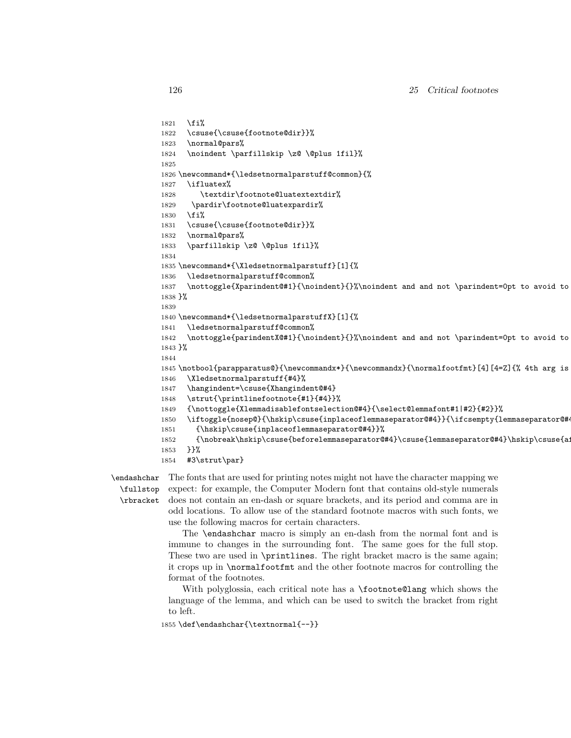```
1821 \fi%
1822 \csuse{\csuse{footnote@dir}}%
1823 \normal@pars%
1824 \noindent \parfillskip \z@ \@plus 1fil}%
1825
1826 \newcommand*{\ledsetnormalparstuff@common}{%
1827 \ifluatex%
1828 \textdir\footnote@luatextextdir%
1829 \pardir\footnote@luatexpardir%
1830 \fi%
1831 \csuse{\csuse{footnote@dir}}%
1832 \normal@pars%
1833 \parfillskip \z@ \@plus 1fil}%
1834
1835 \newcommand*{\Xledsetnormalparstuff}[1]{%
1836 \ledsetnormalparstuff@common%
1837 \nottoggle{Xparindent@#1}{\noindent}{}%\noindent and and not \parindent=0pt to avoid to
1838 }%
1839
1840 \newcommand*{\ledsetnormalparstuffX}[1]{%
1841 \ledsetnormalparstuff@common%
1842 \nottoggle{parindentX@#1}{\noindent}{}%\noindent and and not \parindent=0pt to avoid to
1843 }%
1844
1845 \notbool{parapparatus@}{\newcommandx*}{\newcommandx}{\normalfootfmt}[4][4=Z]{% 4th arg is
1846 \Xledsetnormalparstuff{#4}%
1847 \hangindent=\csuse{Xhangindent@#4}
1848 \strut{\printlinefootnote{#1}{#4}}%
1849 {\nottoggle{Xlemmadisablefontselection@#4}{\select@lemmafont#1|#2}{#2}}%
1850 \iftoggle{nosep@}{\hskip\csuse{inplaceoflemmaseparator@#4}}{\ifcsempty{lemmaseparator@#
1851 {\hskip\csuse{inplaceoflemmaseparator@#4}}%
1852 {\nobreak\hskip\csuse{beforelemmaseparator@#4}\csuse{lemmaseparator@#4}\hskip\csuse{a
1853 }}%
1854 #3\strut\par}
```
\endashchar \fullstop \rbracket The fonts that are used for printing notes might not have the character mapping we expect: for example, the Computer Modern font that contains old-style numerals does not contain an en-dash or square brackets, and its period and comma are in odd locations. To allow use of the standard footnote macros with such fonts, we use the following macros for certain characters.

The \endashchar macro is simply an en-dash from the normal font and is immune to changes in the surrounding font. The same goes for the full stop. These two are used in \printlines. The right bracket macro is the same again; it crops up in \normalfootfmt and the other footnote macros for controlling the format of the footnotes.

With polyglossia, each critical note has a \footnote@lang which shows the language of the lemma, and which can be used to switch the bracket from right to left.

1855 \def\endashchar{\textnormal{--}}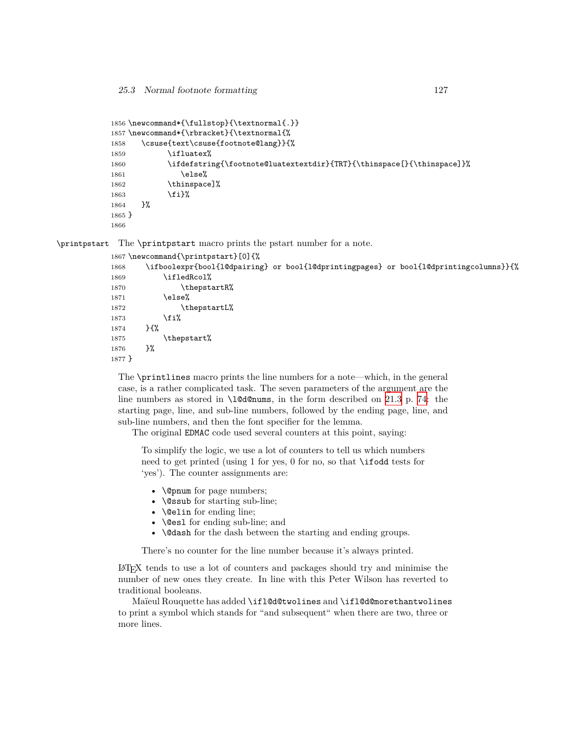```
1856 \newcommand*{\fullstop}{\textnormal{.}}
1857 \newcommand*{\rbracket}{\textnormal{%
1858 \csuse{text\csuse{footnote@lang}}{%
1859 \ifluatex%
1860 \ifdefstring{\footnote@luatextextdir}{TRT}{\thinspace[}{\thinspace]}%
1861 \else%
1862 \thinspace]%
1863 \fi}%
1864 }%
1865 }
1866
```
\printpstart The \printpstart macro prints the pstart number for a note.

```
1867 \newcommand{\printpstart}[0]{%
1868 \ifboolexpr{bool{l@dpairing} or bool{l@dprintingpages} or bool{l@dprintingcolumns}}{%
1869 \ifledRcol%
1870 \thepstartR%
1871 \else%
1872 \thepstartL%
1873 \fi%
1874 }{%
1875 \thepstart%
1876 }%
1877 }
```
The \printlines macro prints the line numbers for a note—which, in the general case, is a rather complicated task. The seven parameters of the argument are the line numbers as stored in  $\ldots$  and  $\ldots$ , in the form described on [21.3](#page-73-0) p. [74:](#page-73-0) the starting page, line, and sub-line numbers, followed by the ending page, line, and sub-line numbers, and then the font specifier for the lemma.

The original EDMAC code used several counters at this point, saying:

To simplify the logic, we use a lot of counters to tell us which numbers need to get printed (using 1 for yes, 0 for no, so that \ifodd tests for 'yes'). The counter assignments are:

- \@pnum for page numbers;
- **\@ssub** for starting sub-line;
- \@elin for ending line;
- **\@es1** for ending sub-line; and
- **\@dash** for the dash between the starting and ending groups.

There's no counter for the line number because it's always printed.

LATEX tends to use a lot of counters and packages should try and minimise the number of new ones they create. In line with this Peter Wilson has reverted to traditional booleans.

Maïeul Rouquette has added \ifl@d@twolines and \ifl@d@morethantwolines to print a symbol which stands for "and subsequent" when there are two, three or more lines.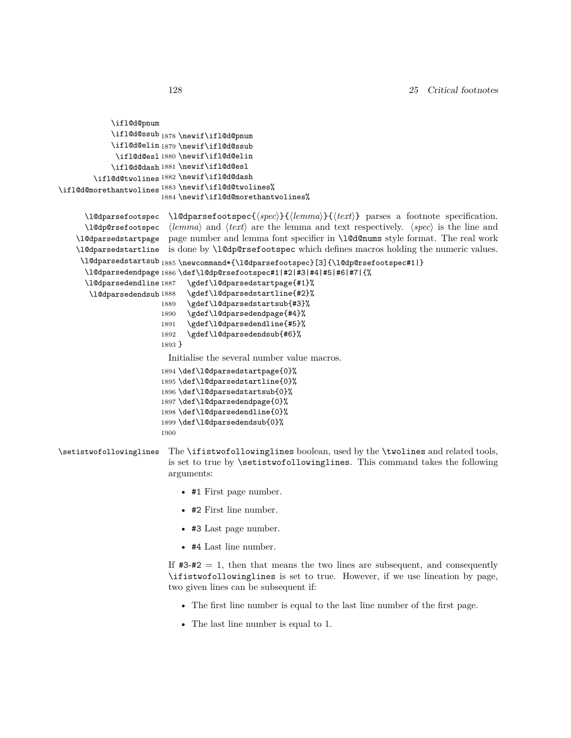```
\ifl@d@pnum
            \ifl@d@ssub<sub>1878</sub> \newif\ifl@d@pnum
            \ifl@d@elin 1879 \newif\ifl@d@ssub
             \ifl@d@esl 1880 \newif\ifl@d@elin
            \ifl@d@dash 1881 \newif\ifl@d@esl
        \ifl@d@twolines 1882 \newif\ifl@d@dash
\ifl@d@morethantwolines
1883 \newif\ifl@d@twolines%
                        1884 \newif\ifl@d@morethantwolines%
      \l@dparsefootspec
\l@dparsefootspec{⟨spec⟩}{⟨lemma⟩}{⟨text⟩} parses a footnote specification.
      \l@dp@rsefootspec
⟨lemma⟩ and ⟨text⟩ are the lemma and text respectively. ⟨spec⟩ is the line and
    \l@dparsedstartpage
    \l@dparsedstartline
is done by \l@dp@rsefootspec which defines macros holding the numeric values.
     \l@dparsedstartsub
1885 \newcommand*{\l@dparsefootspec}[3]{\l@dp@rsefootspec#1|}
      \l@dparsedendpage
1886 \def\l@dp@rsefootspec#1|#2|#3|#4|#5|#6|#7|{%
     \l@dparsedendline 1887
       \l@dparsedendsub 1888
                         page number and lemma font specifier in \l@d@nums style format. The real work
                              \gdef\l@dparsedstartpage{#1}%
                              \gdef\l@dparsedstartline{#2}%
                        1889 \gdef\l@dparsedstartsub{#3}%
                        1890 \gdef\l@dparsedendpage{#4}%
                        1891 \gdef\l@dparsedendline{#5}%
                        1892 \gdef\l@dparsedendsub{#6}%
                        1893 }
                         Initialise the several number value macros.
                        1894 \def\l@dparsedstartpage{0}%
                        1895 \def\l@dparsedstartline{0}%
                        1896 \def\l@dparsedstartsub{0}%
                        1897 \def\l@dparsedendpage{0}%
                        1898 \def\l@dparsedendline{0}%
                        1899 \def\l@dparsedendsub{0}%
                        1900
```
\setistwofollowinglines The \ifistwofollowinglines boolean, used by the \twolines and related tools, is set to true by \setistwofollowinglines. This command takes the following arguments:

- #1 First page number.
- #2 First line number.
- #3 Last page number.
- #4 Last line number.

If  $#3-#2 = 1$ , then that means the two lines are subsequent, and consequently \ifistwofollowinglines is set to true. However, if we use lineation by page, two given lines can be subsequent if:

- The first line number is equal to the last line number of the first page.
- The last line number is equal to 1.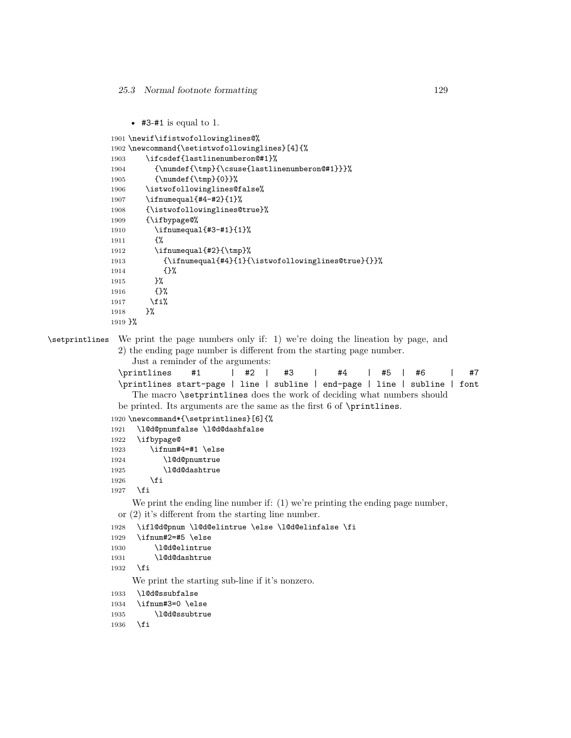```
• #3-#1 is equal to 1.
```

```
1901 \newif\ifistwofollowinglines@%
1902 \newcommand{\setistwofollowinglines}[4]{%
1903 \ifcsdef{lastlinenumberon@#1}%
1904 {\numdef{\tmp}{\csuse{lastlinenumberon@#1}}}%
1905 {\numdef{\tmp}{0}}%
1906 \istwofollowinglines@false%
1907 \ifnumequal{#4-#2}{1}%
1908 {\istwofollowinglines@true}%
1909 {\ifbypage@%
1910 \ifnumequal{#3-#1}{1}%
1911 {%
1912 \ifnumequal{#2}{\tmp}%
1913 {\ifnumequal{#4}{1}{\istwofollowinglines@true}{}}%
1914 {}%
1915 }%
1916 {}%
1917 \fi%
1918 }%
1919 }%
```
\setprintlines We print the page numbers only if: 1) we're doing the lineation by page, and 2) the ending page number is different from the starting page number.

<span id="page-128-0"></span>Just a reminder of the arguments:

```
\printlines #1 | #2 | #3 | #4 | #5 | #6 | #7
\printlines start-page | line | subline | end-page | line | subline | font
  The macro \setprintlines does the work of deciding what numbers should
```
be printed. Its arguments are the same as the first 6 of \printlines.

```
1920 \newcommand*{\setprintlines}[6]{%
1921 \l@d@pnumfalse \l@d@dashfalse
1922 \ifbypage@
1923 \ifnum#4=#1 \else
1924 \l@d@pnumtrue
1925 \l@d@dashtrue
1926 \fi
1927 \fi
```
We print the ending line number if: (1) we're printing the ending page number, or (2) it's different from the starting line number.

```
1928 \ifl@d@pnum \l@d@elintrue \else \l@d@elinfalse \fi
1929 \ifnum#2=#5 \else
1930 \l@d@elintrue
```

```
1931 \l@d@dashtrue
```
1932 \fi

We print the starting sub-line if it's nonzero.

1933 \l@d@ssubfalse

```
1934 \ifnum#3=0 \else
```

```
1935 \l@d@ssubtrue
```

```
1936 \fi
```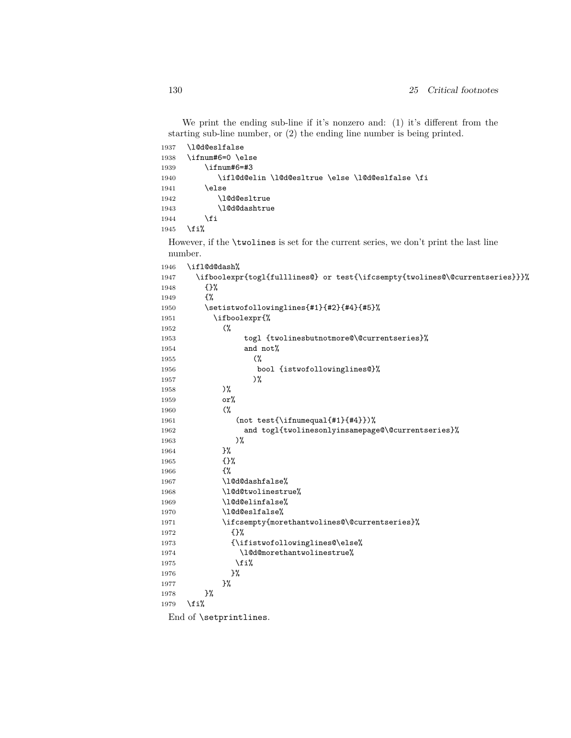We print the ending sub-line if it's nonzero and: (1) it's different from the starting sub-line number, or (2) the ending line number is being printed.

| 1937 | \l@d@eslfalse                                                                                |
|------|----------------------------------------------------------------------------------------------|
| 1938 | \ifnum#6=0 \else                                                                             |
| 1939 | \ifnum#6=#3                                                                                  |
| 1940 | \ifl@d@elin \l@d@esltrue \else \l@d@eslfalse \fi                                             |
| 1941 | \else                                                                                        |
| 1942 | \10d0es1true                                                                                 |
| 1943 | \10d0dashtrue                                                                                |
| 1944 | \fi                                                                                          |
| 1945 | \fi%                                                                                         |
|      | However, if the <b>\twolines</b> is set for the current series, we don't print the last line |
|      | number.                                                                                      |
| 1946 | \ifl@d@dash%                                                                                 |
| 1947 | \ifboolexpr{togl{fulllines@} or test{\ifcsempty{twolines@\@currentseries}}}%                 |
| 1948 | $\{$ }%                                                                                      |
| 1949 | ብ"                                                                                           |
| 1950 | \setistwofollowinglines{#1}{#2}{#4}{#5}%                                                     |
| 1951 | \ifboolexpr{%                                                                                |
| 1952 | $\gamma$                                                                                     |
| 1953 | togl {twolinesbutnotmore@\@currentseries}%                                                   |

```
1953 togl {twolinesbutnotmore@\@currentseries}%
1954 and not%
1955 (%
1956 bool {istwofollowinglines@}%
1957 )%
1958 )%
1959 or%
1960 (%
1961 (not test{\ifnumequal{#1}{#4}})%
1962 and togl{twolinesonlyinsamepage@\@currentseries}%
1963 )%
1964 }%
1965 {}%
1966 {%
1967 \l@d@dashfalse%
1968 \l@d@twolinestrue%
1969 \l@d@elinfalse%
1970 \l@d@eslfalse%
1971 \ifcsempty{morethantwolines@\@currentseries}%
1972 {}%
1973 {\ifistwofollowinglines@\else%
1974 \l@d@morethantwolinestrue%
1975 \overleftrightarrow{12}1976 }%
1977 }%
1978 }%
1979 \fi%
 End of \setprintlines.
```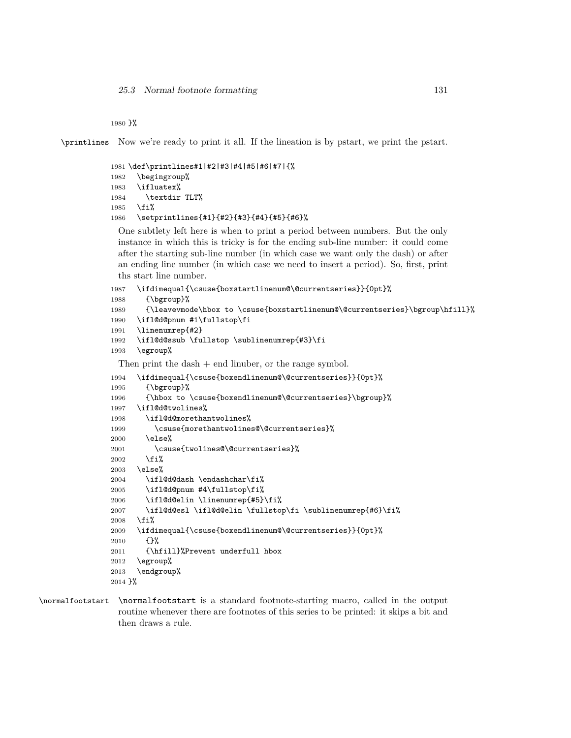}%

\printlines Now we're ready to print it all. If the lineation is by pstart, we print the pstart.

```
1981 \def\printlines#1|#2|#3|#4|#5|#6|#7|{%
1982 \begingroup%
1983 \ifluatex%
1984 \textdir TLT%
1985 \fi%
1986 \setprintlines{#1}{#2}{#3}{#4}{#5}{#6}%
```
One subtlety left here is when to print a period between numbers. But the only instance in which this is tricky is for the ending sub-line number: it could come after the starting sub-line number (in which case we want only the dash) or after an ending line number (in which case we need to insert a period). So, first, print ths start line number.

```
1987 \ifdimequal{\csuse{boxstartlinenum@\@currentseries}}{0pt}%
1988 {\bgroup}%
1989 {\leavevmode\hbox to \csuse{boxstartlinenum@\@currentseries}\bgroup\hfill}%
1990 \ifl@d@pnum #1\fullstop\fi
1991 \linenumrep{#2}
1992 \ifl@d@ssub \fullstop \sublinenumrep{#3}\fi
1993 \egroup%
 Then print the dash + end linuber, or the range symbol.
```
\ifdimequal{\csuse{boxendlinenum@\@currentseries}}{0pt}%

```
1995 {\bgroup}%
1996 {\hbox to \csuse{boxendlinenum@\@currentseries}\bgroup}%
1997 \ifl@d@twolines%
1998 \ifl@d@morethantwolines%
1999 \csuse{morethantwolines@\@currentseries}%
2000 \else%
2001 \csuse{twolines@\@currentseries}%
2002 \fi%
2003 \else%
2004 \ifl@d@dash \endashchar\fi%
2005 \ifl@d@pnum #4\fullstop\fi%
2006 \ifl@d@elin \linenumrep{#5}\fi%
2007 \ifl@d@esl \ifl@d@elin \fullstop\fi \sublinenumrep{#6}\fi%
2008 \fi%
2009 \ifdimequal{\csuse{boxendlinenum@\@currentseries}}{0pt}%
2010 {}%
2011 {\hfill}%Prevent underfull hbox
2012 \egroup%
2013 \endgroup%
2014 \frac{1}{6}
```
\normalfootstart \normalfootstart is a standard footnote-starting macro, called in the output routine whenever there are footnotes of this series to be printed: it skips a bit and then draws a rule.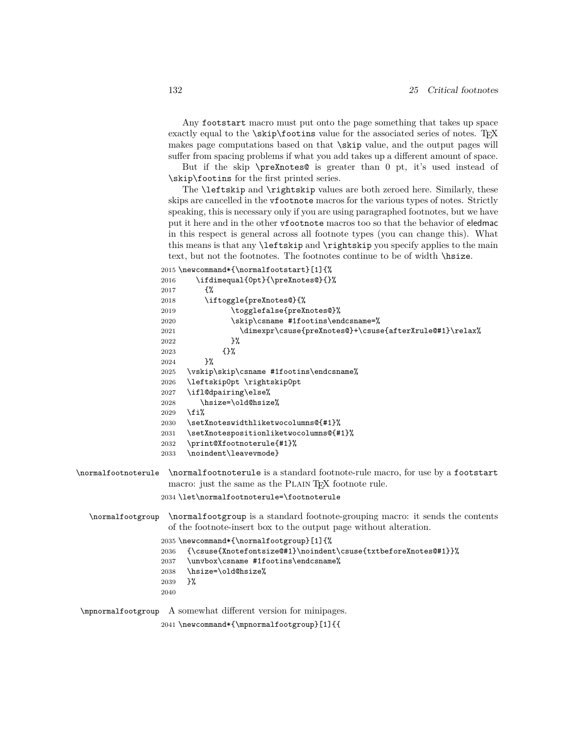Any footstart macro must put onto the page something that takes up space exactly equal to the  $\scriptstyle\backslash$ skip $\scriptstyle\backslash$ footins value for the associated series of notes. TEX makes page computations based on that \skip value, and the output pages will suffer from spacing problems if what you add takes up a different amount of space.

<span id="page-131-0"></span>But if the skip \preXnotes@ is greater than 0 pt, it's used instead of \skip\footins for the first printed series.

The \leftskip and \rightskip values are both zeroed here. Similarly, these skips are cancelled in the vfootnote macros for the various types of notes. Strictly speaking, this is necessary only if you are using paragraphed footnotes, but we have put it here and in the other vfootnote macros too so that the behavior of eledmac in this respect is general across all footnote types (you can change this). What this means is that any \leftskip and \rightskip you specify applies to the main text, but not the footnotes. The footnotes continue to be of width **\hsize**.

\newcommand\*{\normalfootstart}[1]{%

|                     | 2016 | \ifdimequal{0pt}{\preXnotes@}{}%                                                                                                                   |
|---------------------|------|----------------------------------------------------------------------------------------------------------------------------------------------------|
|                     | 2017 | ብ"                                                                                                                                                 |
|                     | 2018 | \iftoggle{preXnotes@}{%                                                                                                                            |
|                     | 2019 | \togglefalse{preXnotes@}%                                                                                                                          |
|                     | 2020 | \skip\csname #1footins\endcsname=%                                                                                                                 |
|                     | 2021 | \dimexpr\csuse{preXnotes@}+\csuse{afterXrule@#1}\relax%                                                                                            |
|                     | 2022 | $\frac{1}{2}$                                                                                                                                      |
|                     | 2023 | {}‰                                                                                                                                                |
|                     | 2024 | $\frac{1}{2}$                                                                                                                                      |
|                     | 2025 | \vskip\skip\csname #1footins\endcsname%                                                                                                            |
|                     | 2026 | \leftskip0pt \rightskip0pt                                                                                                                         |
|                     | 2027 | \ifl@dpairing\else%                                                                                                                                |
|                     | 2028 | \hsize=\old@hsize%                                                                                                                                 |
|                     | 2029 | \fi%                                                                                                                                               |
|                     | 2030 | \setXnoteswidthliketwocolumns@{#1}%                                                                                                                |
|                     | 2031 | \setXnotespositionliketwocolumns@{#1}%                                                                                                             |
|                     | 2032 | \print@Xfootnoterule{#1}%                                                                                                                          |
|                     | 2033 | \noindent\leavevmode}                                                                                                                              |
| \normalfootnoterule |      | \normalfootnoterule is a standard footnote-rule macro, for use by a footstart<br>macro: just the same as the PLAIN T <sub>F</sub> X footnote rule. |
|                     |      | 2034 \let\normalfootnoterule=\footnoterule                                                                                                         |
| \normalfootgroup    |      | \normalfootgroup is a standard footnote-grouping macro: it sends the contents<br>of the footnote-insert box to the output page without alteration. |
|                     |      | 2035 \newcommand*{\normalfootgroup}[1]{%                                                                                                           |
|                     | 2036 | {\csuse{Xnotefontsize@#1}\noindent\csuse{txtbeforeXnotes@#1}}%                                                                                     |
|                     | 2037 | \unvbox\csname #1footins\endcsname%                                                                                                                |
|                     | 2038 | \hsize=\old@hsize%                                                                                                                                 |
|                     | 2039 | }%                                                                                                                                                 |
|                     | 2040 |                                                                                                                                                    |
|                     |      |                                                                                                                                                    |

\mpnormalfootgroup A somewhat different version for minipages.

\newcommand\*{\mpnormalfootgroup}[1]{{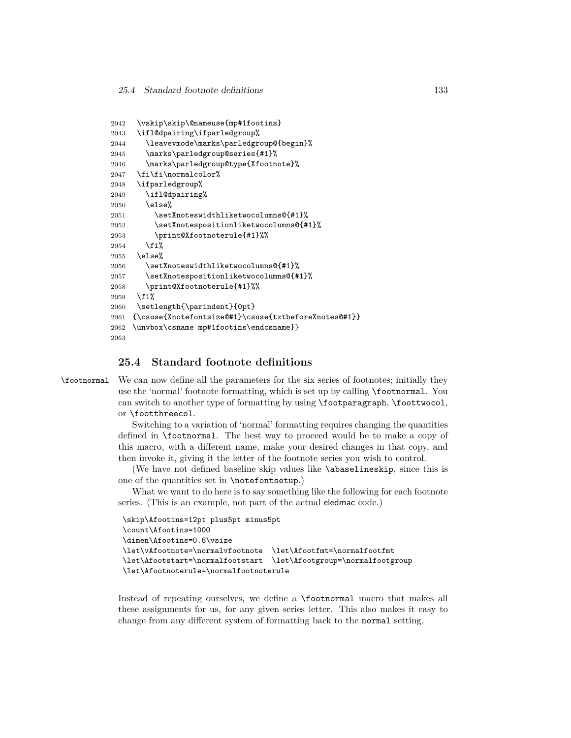```
2042 \vskip\skip\@nameuse{mp#1footins}
2043 \ifl@dpairing\ifparledgroup%
2044 \leavevmode\marks\parledgroup@{begin}%
2045 \marks\parledgroup@series{#1}%
2046 \marks\parledgroup@type{Xfootnote}%
2047 \fi\fi\normalcolor%
2048 \ifparledgroup%
2049 \ifl@dpairing%
2050 \else%
2051 \setXnoteswidthliketwocolumns@{#1}%
2052 \setXnotespositionliketwocolumns@{#1}%
2053 \print@Xfootnoterule{#1}%%
2054 \fi%
2055 \else%
2056 \setXnoteswidthliketwocolumns@{#1}%
2057 \setXnotespositionliketwocolumns@{#1}%
2058 \print@Xfootnoterule{#1}%%
2059 \fi%
2060 \setlength{\parindent}{0pt}
2061 {\csuse{Xnotefontsize@#1}\csuse{txtbeforeXnotes@#1}}
2062 \unvbox\csname mp#1footins\endcsname}}
2063
```
# **25.4 Standard footnote definitions**

\footnormal We can now define all the parameters for the six series of footnotes; initially they use the 'normal' footnote formatting, which is set up by calling \footnormal. You can switch to another type of formatting by using \footparagraph, \foottwocol, or \footthreecol.

> Switching to a variation of 'normal' formatting requires changing the quantities defined in \footnormal. The best way to proceed would be to make a copy of this macro, with a different name, make your desired changes in that copy, and then invoke it, giving it the letter of the footnote series you wish to control.

> (We have not defined baseline skip values like \abaselineskip, since this is one of the quantities set in \notefontsetup.)

> What we want to do here is to say something like the following for each footnote series. (This is an example, not part of the actual eledmac code.)

```
\skip\Afootins=12pt plus5pt minus5pt
\count\Afootins=1000
\dimen\Afootins=0.8\vsize
\let\vAfootnote=\normalvfootnote \let\Afootfmt=\normalfootfmt
\let\Afootstart=\normalfootstart \let\Afootgroup=\normalfootgroup
\let\Afootnoterule=\normalfootnoterule
```
Instead of repeating ourselves, we define a \footnormal macro that makes all these assignments for us, for any given series letter. This also makes it easy to change from any different system of formatting back to the normal setting.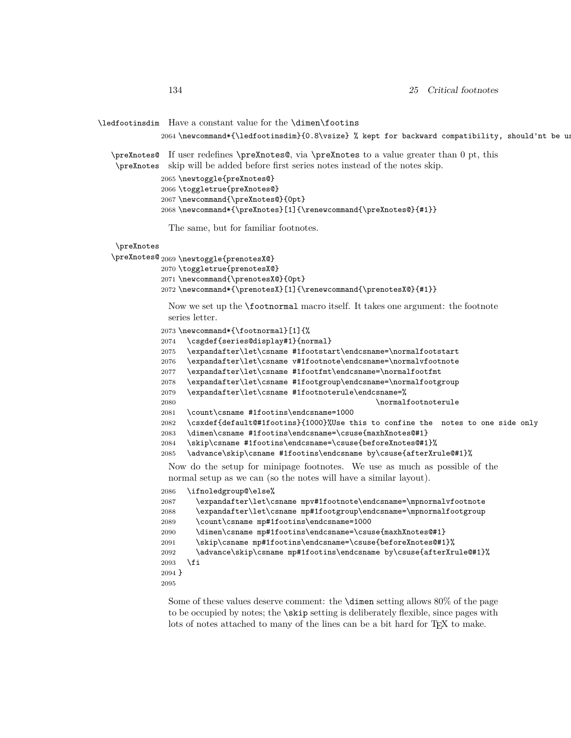#### \ledfootinsdim Have a constant value for the \dimen\footins

2064 \newcommand\*{\ledfootinsdim}{0.8\vsize} % kept for backward compatibility, should'nt be us

\preXnotes@ If user redefines \preXnotes@, via \preXnotes to a value greater than 0 pt, this

\preXnotes skip will be added before first series notes instead of the notes skip.

```
2065 \newtoggle{preXnotes@}
2066 \toggletrue{preXnotes@}
2067 \newcommand{\preXnotes@}{0pt}
2068 \newcommand{\t{1}{\texttt{}}
```
The same, but for familiar footnotes.

# \preXnotes

```
\preXnotes@ 2069 \newtoggle{prenotesX@}
```

```
2070 \toggletrue{prenotesX@}
```

```
2071 \newcommand{\prenotesX@}{0pt}
```

```
2072 \newcommand*{\prenotesX}[1]{\renewcommand{\prenotesX@}{#1}}
```
Now we set up the \footnormal macro itself. It takes one argument: the footnote series letter.

```
2073 \newcommand*{\footnormal}[1]{%
```

```
2074 \csgdef{series@display#1}{normal}
```
2075 \expandafter\let\csname #1footstart\endcsname=\normalfootstart

```
2076 \expandafter\let\csname v#1footnote\endcsname=\normalvfootnote
```

```
2077 \expandafter\let\csname #1footfmt\endcsname=\normalfootfmt
```

```
2078 \expandafter\let\csname #1footgroup\endcsname=\normalfootgroup
```

```
2079 \expandafter\let\csname #1footnoterule\endcsname=%
```

```
2080 \normalfootnoterule
```

```
2081 \count\csname #1footins\endcsname=1000
```
2082 \csxdef{default@#1footins}{1000}%Use this to confine the notes to one side only

```
2083 \dimen\csname #1footins\endcsname=\csuse{maxhXnotes@#1}
```

```
2084 \skip\csname #1footins\endcsname=\csuse{beforeXnotes@#1}%
```

```
2085 \advance\skip\csname #1footins\endcsname by\csuse{afterXrule@#1}%
```
Now do the setup for minipage footnotes. We use as much as possible of the normal setup as we can (so the notes will have a similar layout).

```
2086 \ifnoledgroup@\else%
```

```
2087 \expandafter\let\csname mpv#1footnote\endcsname=\mpnormalvfootnote
2088 \expandafter\let\csname mp#1footgroup\endcsname=\mpnormalfootgroup
2089 \count\csname mp#1footins\endcsname=1000
2090 \dimen\csname mp#1footins\endcsname=\csuse{maxhXnotes@#1}
2091 \skip\csname mp#1footins\endcsname=\csuse{beforeXnotes@#1}%
2092 \advance\skip\csname mp#1footins\endcsname by\csuse{afterXrule@#1}%
2093 \fi
2094 }
2095
```
Some of these values deserve comment: the \dimen setting allows 80% of the page to be occupied by notes; the \skip setting is deliberately flexible, since pages with lots of notes attached to many of the lines can be a bit hard for T<sub>E</sub>X to make.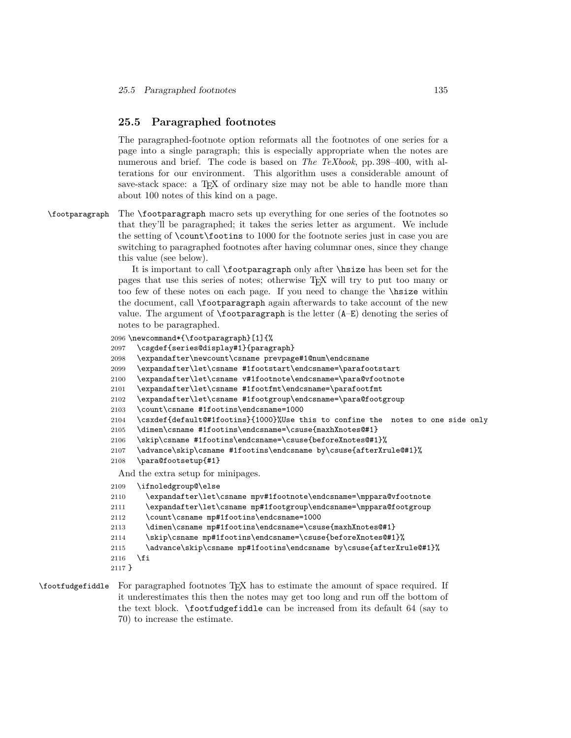# **25.5 Paragraphed footnotes**

The paragraphed-footnote option reformats all the footnotes of one series for a page into a single paragraph; this is especially appropriate when the notes are numerous and brief. The code is based on *The TeXbook*, pp. 398–400, with alterations for our environment. This algorithm uses a considerable amount of save-stack space: a T<sub>EX</sub> of ordinary size may not be able to handle more than about 100 notes of this kind on a page.

\footparagraph The \footparagraph macro sets up everything for one series of the footnotes so that they'll be paragraphed; it takes the series letter as argument. We include the setting of \count\footins to 1000 for the footnote series just in case you are switching to paragraphed footnotes after having columnar ones, since they change this value (see below).

> It is important to call \footparagraph only after \hsize has been set for the pages that use this series of notes; otherwise TEX will try to put too many or too few of these notes on each page. If you need to change the \hsize within the document, call \footparagraph again afterwards to take account of the new value. The argument of  $\footnotesize{\text{footarargraph}}$  is the letter  $(A-E)$  denoting the series of notes to be paragraphed.

```
2096 \newcommand*{\footparagraph}[1]{%
2097 \csgdef{series@display#1}{paragraph}
2098 \expandafter\newcount\csname prevpage#1@num\endcsname
2099 \expandafter\let\csname #1footstart\endcsname=\parafootstart
2100 \expandafter\let\csname v#1footnote\endcsname=\para@vfootnote
2101 \expandafter\let\csname #1footfmt\endcsname=\parafootfmt
2102 \expandafter\let\csname #1footgroup\endcsname=\para@footgroup
2103 \count\csname #1footins\endcsname=1000
2104 \csxdef{default@#1footins}{1000}%Use this to confine the notes to one side only
2105 \dimen\csname #1footins\endcsname=\csuse{maxhXnotes@#1}
2106 \skip\csname #1footins\endcsname=\csuse{beforeXnotes@#1}%
2107 \advance\skip\csname #1footins\endcsname by\csuse{afterXrule@#1}%
2108 \para@footsetup{#1}
 And the extra setup for minipages.
2109 \ifnoledgroup@\else
2110 \expandafter\let\csname mpv#1footnote\endcsname=\mppara@vfootnote
2111 \expandafter\let\csname mp#1footgroup\endcsname=\mppara@footgroup
2112 \count\csname mp#1footins\endcsname=1000
2113 \dimen\csname mp#1footins\endcsname=\csuse{maxhXnotes@#1}
2114 \skip\csname mp#1footins\endcsname=\csuse{beforeXnotes@#1}%
2115 \advance\skip\csname mp#1footins\endcsname by\csuse{afterXrule@#1}%
2116 \fi
2117 }
```
# \footfudgefiddle For paragraphed footnotes TEX has to estimate the amount of space required. If it underestimates this then the notes may get too long and run off the bottom of the text block. \footfudgefiddle can be increased from its default 64 (say to 70) to increase the estimate.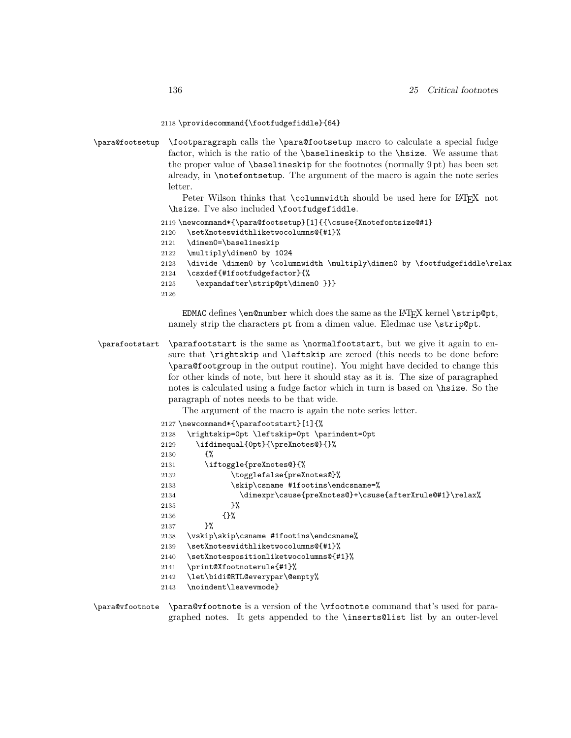#### 2118 \providecommand{\footfudgefiddle}{64}

\para@footsetup \footparagraph calls the \para@footsetup macro to calculate a special fudge factor, which is the ratio of the \baselineskip to the \hsize. We assume that the proper value of \baselineskip for the footnotes (normally 9 pt) has been set already, in \notefontsetup. The argument of the macro is again the note series letter.

> Peter Wilson thinks that \columnwidth should be used here for LATEX not \hsize. I've also included \footfudgefiddle.

```
2119 \newcommand*{\para@footsetup}[1]{{\csuse{Xnotefontsize@#1}
```

```
2120 \setXnoteswidthliketwocolumns@{#1}%
```
- 2121 \dimen0=\baselineskip
- 2122 \multiply\dimen0 by 1024
- 2123 \divide \dimen0 by \columnwidth \multiply\dimen0 by \footfudgefiddle\relax
- 2124 \csxdef{#1footfudgefactor}{%
- 2125 \expandafter\strip@pt\dimen0 }}}

2126

EDMAC defines  $\emptyset$  and  $\emptyset$  which does the same as the LAT<sub>E</sub>X kernel  $\scriptstyle\setminus$ strip $\emptyset$ pt, namely strip the characters pt from a dimen value. Eledmac use  $\strut \text{string}$ .

\parafootstart \parafootstart is the same as \normalfootstart, but we give it again to ensure that \rightskip and \leftskip are zeroed (this needs to be done before \para@footgroup in the output routine). You might have decided to change this for other kinds of note, but here it should stay as it is. The size of paragraphed notes is calculated using a fudge factor which in turn is based on \hsize. So the paragraph of notes needs to be that wide.

The argument of the macro is again the note series letter.

```
2127 \newcommand*{\parafootstart}[1]{%
2128 \rightskip=0pt \leftskip=0pt \parindent=0pt
2129 \ifdimequal{0pt}{\preXnotes@}{}%
2130 \{ \%2131 \iftoggle{preXnotes@}{%
2132 \togglefalse{preXnotes@}%
2133 \skip\csname #1footins\endcsname=%
2134 \dimexpr\csuse{preXnotes@}+\csuse{afterXrule@#1}\relax%
2135 }%
2136 {}%
2137 }%
2138 \vskip\skip\csname #1footins\endcsname%
2139 \setXnoteswidthliketwocolumns@{#1}%
2140 \setXnotespositionliketwocolumns@{#1}%
2141 \print@Xfootnoterule{#1}%
2142 \let\bidi@RTL@everypar\@empty%
2143 \noindent\leavevmode}
```
\para@vfootnote \para@vfootnote is a version of the \vfootnote command that's used for paragraphed notes. It gets appended to the \inserts@list list by an outer-level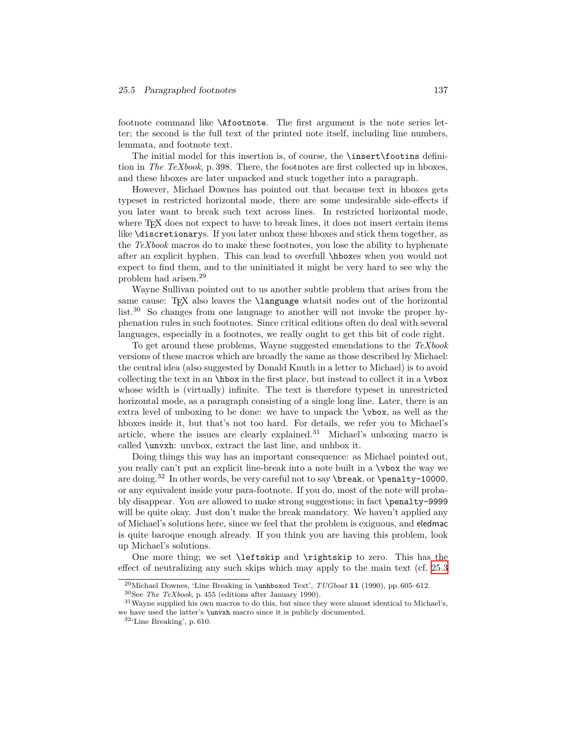#### *25.5 Paragraphed footnotes* 137

footnote command like \Afootnote. The first argument is the note series letter; the second is the full text of the printed note itself, including line numbers, lemmata, and footnote text.

The initial model for this insertion is, of course, the \insert\footins definition in *The TeXbook*, p. 398. There, the footnotes are first collected up in hboxes, and these hboxes are later unpacked and stuck together into a paragraph.

However, Michael Downes has pointed out that because text in hboxes gets typeset in restricted horizontal mode, there are some undesirable side-effects if you later want to break such text across lines. In restricted horizontal mode, where T<sub>E</sub>X does not expect to have to break lines, it does not insert certain items like \discretionarys. If you later unbox these hboxes and stick them together, as the *TeXbook* macros do to make these footnotes, you lose the ability to hyphenate after an explicit hyphen. This can lead to overfull \hboxes when you would not expect to find them, and to the uninitiated it might be very hard to see why the problem had arisen.<sup>29</sup>

Wayne Sullivan pointed out to us another subtle problem that arises from the same cause: T<sub>E</sub>X also leaves the  $\lambda$  anguage what is nodes out of the horizontal list.<sup>30</sup> So changes from one language to another will not invoke the proper hyphenation rules in such footnotes. Since critical editions often do deal with several languages, especially in a footnotes, we really ought to get this bit of code right.

To get around these problems, Wayne suggested emendations to the *TeXbook* versions of these macros which are broadly the same as those described by Michael: the central idea (also suggested by Donald Knuth in a letter to Michael) is to avoid collecting the text in an \hbox in the first place, but instead to collect it in a \vbox whose width is (virtually) infinite. The text is therefore typeset in unrestricted horizontal mode, as a paragraph consisting of a single long line. Later, there is an extra level of unboxing to be done: we have to unpack the \vbox, as well as the hboxes inside it, but that's not too hard. For details, we refer you to Michael's article, where the issues are clearly explained.<sup>31</sup> Michael's unboxing macro is called \unvxh: unvbox, extract the last line, and unhbox it.

Doing things this way has an important consequence: as Michael pointed out, you really can't put an explicit line-break into a note built in a \vbox the way we are doing.<sup>32</sup> In other words, be very careful not to say \break, or \penalty-10000, or any equivalent inside your para-footnote. If you do, most of the note will probably disappear. You *are* allowed to make strong suggestions; in fact \penalty-9999 will be quite okay. Just don't make the break mandatory. We haven't applied any of Michael's solutions here, since we feel that the problem is exiguous, and eledmac is quite baroque enough already. If you think you are having this problem, look up Michael's solutions.

One more thing; we set \leftskip and \rightskip to zero. This has the effect of neutralizing any such skips which may apply to the main text (cf. [25.3](#page-131-0)

<sup>29</sup>Michael Downes, 'Line Breaking in \unhboxed Text', *TUGboat* **11** (1990), pp. 605–612.

<sup>30</sup>See *The TeXbook*, p. 455 (editions after January 1990).

<sup>&</sup>lt;sup>31</sup> Wayne supplied his own macros to do this, but since they were almost identical to Michael's, we have used the latter's \unvxh macro since it is publicly documented.

<sup>32</sup>'Line Breaking', p. 610.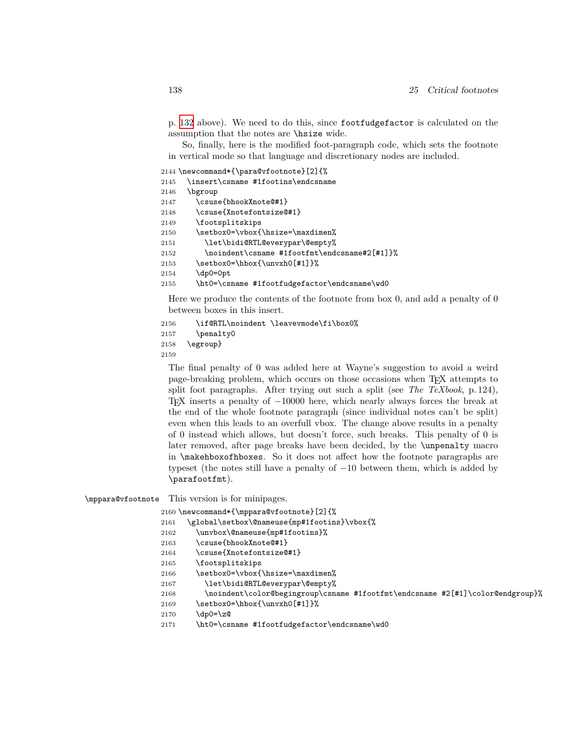p. [132](#page-131-0) above). We need to do this, since footfudgefactor is calculated on the assumption that the notes are \hsize wide.

So, finally, here is the modified foot-paragraph code, which sets the footnote in vertical mode so that language and discretionary nodes are included.

```
2144 \newcommand*{\para@vfootnote}[2]{%
2145 \insert\csname #1footins\endcsname
2146 \bgroup
2147 \csuse{bhookXnote@#1}
2148 \csuse{Xnotefontsize@#1}
2149 \footsplitskips
2150 \setbox0=\vbox{\hsize=\maxdimen%
2151 \let\bidi@RTL@everypar\@empty%
2152 \noindent\csname #1footfmt\endcsname#2[#1]}%
2153 \setbox0=\hbox{\unvxh0[#1]}%
2154 \dp0=0pt
2155 \ht0=\csname #1footfudgefactor\endcsname\wd0
```
Here we produce the contents of the footnote from box 0, and add a penalty of 0 between boxes in this insert.

```
2156 \if@RTL\noindent \leavevmode\fi\box0%
2157 \penalty0
2158 \egroup}
2159
```
The final penalty of 0 was added here at Wayne's suggestion to avoid a weird page-breaking problem, which occurs on those occasions when TEX attempts to split foot paragraphs. After trying out such a split (see *The TeXbook*, p. 124), TEX inserts a penalty of *−*10000 here, which nearly always forces the break at the end of the whole footnote paragraph (since individual notes can't be split) even when this leads to an overfull vbox. The change above results in a penalty of 0 instead which allows, but doesn't force, such breaks. This penalty of 0 is later removed, after page breaks have been decided, by the \unpenalty macro in \makehboxofhboxes. So it does not affect how the footnote paragraphs are typeset (the notes still have a penalty of *−*10 between them, which is added by \parafootfmt).

\mppara@vfootnote This version is for minipages.

2160 \newcommand\*{\mppara@vfootnote}[2]{%

2161 \global\setbox\@nameuse{mp#1footins}\vbox{%

- 2162 \unvbox\@nameuse{mp#1footins}%
- 2163 \csuse{bhookXnote@#1}
- 2164 \csuse{Xnotefontsize@#1}
- 2165 \footsplitskips
- 2166 \setbox0=\vbox{\hsize=\maxdimen%
- 2167 \let\bidi@RTL@everypar\@empty%
- 2168 \noindent\color@begingroup\csname #1footfmt\endcsname #2[#1]\color@endgroup}%
- 2169 \setbox0=\hbox{\unvxh0[#1]}%
- 2170 \dp0=\z@
- 2171 \ht0=\csname #1footfudgefactor\endcsname\wd0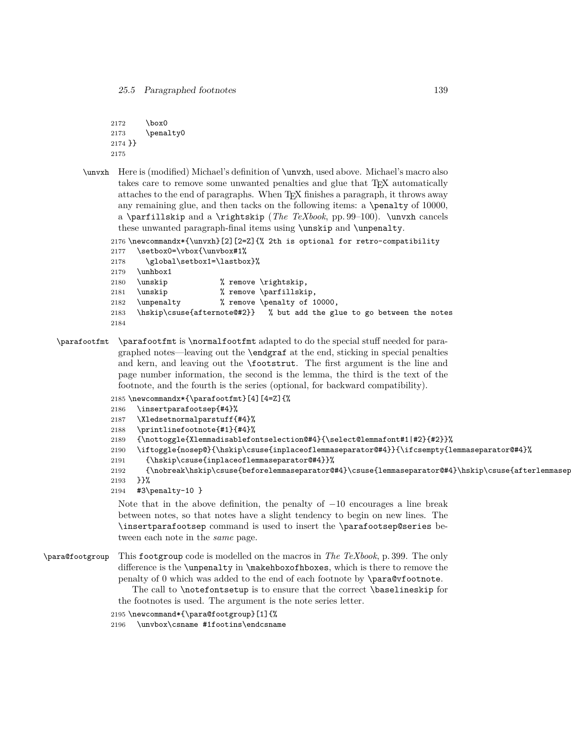```
2172 \box0
2173 \penalty0
2174 }}
2175
```
\unvxh Here is (modified) Michael's definition of \unvxh, used above. Michael's macro also takes care to remove some unwanted penalties and glue that T<sub>EX</sub> automatically attaches to the end of paragraphs. When TEX finishes a paragraph, it throws away any remaining glue, and then tacks on the following items: a \penalty of 10000, a \parfillskip and a \rightskip (*The TeXbook*, pp. 99–100). \unvxh cancels these unwanted paragraph-final items using \unskip and \unpenalty.

```
2176 \newcommandx*{\unvxh}[2][2=Z]{% 2th is optional for retro-compatibility
2177 \setbox0=\vbox{\unvbox#1%
2178 \global\setbox1=\lastbox}%
```

```
2179 \unhbox1
2180 \unskip % remove \rightskip,
2181 \unskip % remove \parfillskip,
2182 \unpenalty % remove \penalty of 10000,
2183 \hskip\csuse{afternote@#2}} % but add the glue to go between the notes
2184
```
\parafootfmt \parafootfmt is \normalfootfmt adapted to do the special stuff needed for paragraphed notes—leaving out the \endgraf at the end, sticking in special penalties and kern, and leaving out the \footstrut. The first argument is the line and page number information, the second is the lemma, the third is the text of the footnote, and the fourth is the series (optional, for backward compatibility).

```
2185 \newcommandx*{\parafootfmt}[4][4=Z]{%
2186 \insertparafootsep{#4}%
2187 \Xledsetnormalparstuff{#4}%
2188 \printlinefootnote{#1}{#4}%
2189 {\nottoggle{Xlemmadisablefontselection@#4}{\select@lemmafont#1|#2}{#2}}%
2190 \iftoggle{nosep@}{\hskip\csuse{inplaceoflemmaseparator@#4}}{\ifcsempty{lemmaseparator@#4}%
2191 {\hskip\csuse{inplaceoflemmaseparator@#4}}%
2192 {\nobreak\hskip\csuse{beforelemmaseparator@#4}\csuse{lemmaseparator@#4}\hskip\csuse{afterlemmasep
2193 }}%
2194 #3\penalty-10 }
```
Note that in the above definition, the penalty of *−*10 encourages a line break between notes, so that notes have a slight tendency to begin on new lines. The \insertparafootsep command is used to insert the \parafootsep@series between each note in the *same* page.

\para@footgroup This footgroup code is modelled on the macros in *The TeXbook*, p. 399. The only difference is the \unpenalty in \makehboxofhboxes, which is there to remove the penalty of  $0$  which was added to the end of each footnote by  $\partial \Omega$  by  $\partial \Omega$ 

> The call to \notefontsetup is to ensure that the correct \baselineskip for the footnotes is used. The argument is the note series letter.

2195 \newcommand\*{\para@footgroup}[1]{%

2196 \unvbox\csname #1footins\endcsname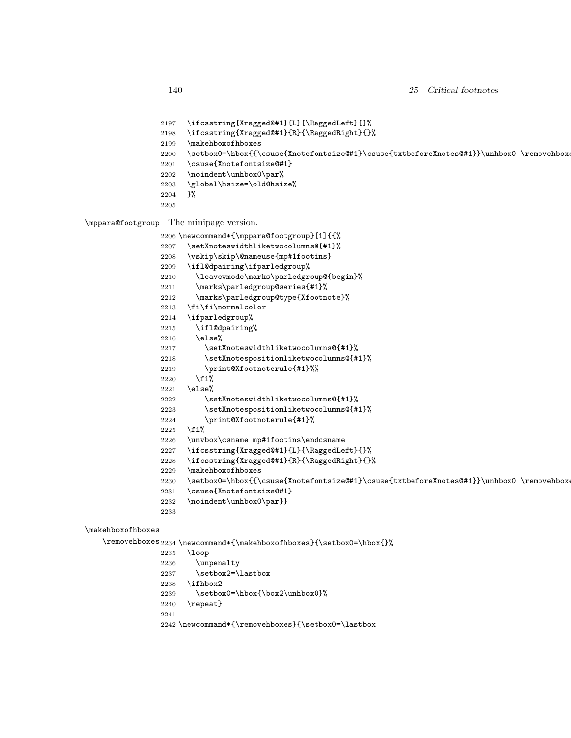```
2197 \ifcsstring{Xragged@#1}{L}{\RaggedLeft}{}%
                2198 \ifcsstring{Xragged@#1}{R}{\RaggedRight}{}%
                2199 \makehboxofhboxes
                2200 \setbox0=\hbox{{\csuse{Xnotefontsize@#1}\csuse{txtbeforeXnotes@#1}}\unhbox0 \removehboxe
                2201 \csuse{Xnotefontsize@#1}
                2202 \noindent\unhbox0\par%
                2203 \global\hsize=\old@hsize%
                2204 }%
                2205
\mppara@footgroup The minipage version.
                2206 \newcommand*{\mppara@footgroup}[1]{{%
                2207 \setXnoteswidthliketwocolumns@{#1}%
                2208 \vskip\skip\@nameuse{mp#1footins}
                2209 \ifl@dpairing\ifparledgroup%
                2210 \leavevmode\marks\parledgroup@{begin}%
                2211 \marks\parledgroup@series{#1}%
                2212 \marks\parledgroup@type{Xfootnote}%
                2213 \fi\fi\normalcolor
                2214 \ifparledgroup%
                2215 \ifl@dpairing%
                2216 \else%
                2217 \setXnoteswidthliketwocolumns@{#1}%
                2218 \setXnotespositionliketwocolumns@{#1}%
                2219 \print@Xfootnoterule{#1}%%
                2220 \overline{\text{f}i}2221 \else%
                2222 \setXnoteswidthliketwocolumns@{#1}%
                2223 \setXnotespositionliketwocolumns@{#1}%
                2224 \print@Xfootnoterule{#1}%
                2225 \overline{\text{if}}2226 \unvbox\csname mp#1footins\endcsname
                2227 \ifcsstring{Xragged@#1}{L}{\RaggedLeft}{}%
                2228 \ifcsstring{Xragged@#1}{R}{\RaggedRight}{}%
                2229 \makehboxofhboxes
                2230 \setbox0=\hbox{{\csuse{Xnotefontsize@#1}\csuse{txtbeforeXnotes@#1}}\unhbox0 \removehboxe
                2231 \csuse{Xnotefontsize@#1}
                2232 \noindent\unhbox0\par}}
                2233
```
#### \makehboxofhboxes

 $\removehboxes$   $2234 \newcommand*{\mathbb{\xleftarrow}{{\sets}}{\setminus}$ 

\loop

 \unpenalty 2237 \setbox2=\lastbox \ifhbox2 2239 \setbox0=\hbox{\box2\unhbox0}% \repeat} \newcommand\*{\removehboxes}{\setbox0=\lastbox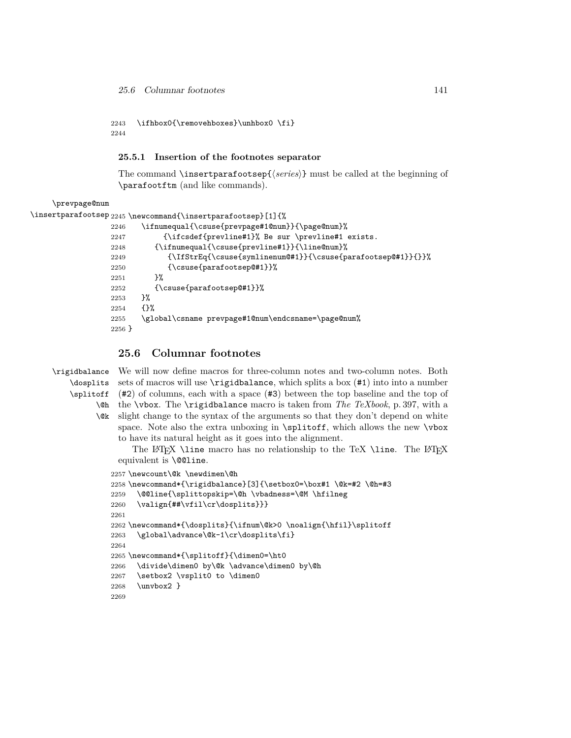```
2243 \ifhbox0{\removehboxes}\unhbox0 \fi}
2244
```
#### **25.5.1 Insertion of the footnotes separator**

The command \insertparafootsep{*⟨series⟩*} must be called at the beginning of \parafootftm (and like commands).

\prevpage@num

2256 }

```
\verb|\insertparafootsep|2245\newcommand{\line{\t{15}}\n1]{{\cal K}}2246 \ifnumequal{\csuse{prevpage#1@num}}{\page@num}%
                 2247 {\ifcsdef{prevline#1}% Be sur \prevline#1 exists.
                 2248 {\ifnumequal{\csuse{prevline#1}}{\line@num}%
                 2249 {\IfStrEq{\csuse{symlinenum@#1}}{\csuse{parafootsep@#1}}{}}%
                 2250 {\csuse{parafootsep@#1}}%
                 2251 }%
                 2252 {\csuse{parafootsep@#1}}%
                 2253 }%
                 2254 {}%
```
2255 \global\csname prevpage#1@num\endcsname=\page@num%

# **25.6 Columnar footnotes**

```
\rigidbalance
    \dosplits
    \splitoff
          \@h
the \vbox. The \rigidbalance macro is taken from The TeXbook, p. 397, with a
          \@k
slight change to the syntax of the arguments so that they don't depend on white
               We will now define macros for three-column notes and two-column notes. Both
               sets of macros will use \rigidbalance, which splits a box (#1) into into a number
               (#2) of columns, each with a space (#3) between the top baseline and the top of
               space. Note also the extra unboxing in \splitoff, which allows the new \vbox
               to have its natural height as it goes into the alignment.
                   The LAT<sub>EX</sub> \line macro has no relationship to the TeX \line. The LAT<sub>EX</sub>
               equivalent is \@@line.
              2257 \newcount\@k \newdimen\@h
              2258 \newcommand*{\rigidbalance}[3]{\setbox0=\box#1 \@k=#2 \@h=#3
              2259 \@@line{\splittopskip=\@h \vbadness=\@M \hfilneg
              2260 \valign{##\vfil\cr\dosplits}}}
              2261
              2262 \newcommand*{\dosplits}{\ifnum\@k>0 \noalign{\hfil}\splitoff
              2263 \global\advance\@k-1\cr\dosplits\fi}
              2264
              2265 \newcommand*{\splitoff}{\dimen0=\ht0
              2266 \divide\dimen0 by\@k \advance\dimen0 by\@h
              2267 \setbox2 \vsplit0 to \dimen0
              2268 \unvbox2 }
              2269
```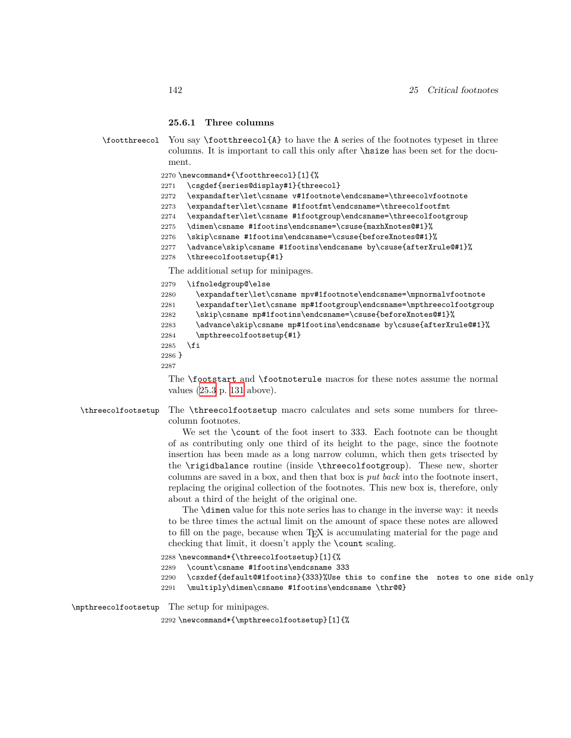#### **25.6.1 Three columns**

\footthreecol You say \footthreecol{A} to have the A series of the footnotes typeset in three columns. It is important to call this only after \hsize has been set for the document. 2270 \newcommand\*{\footthreecol}[1]{% 2271 \csgdef{series@display#1}{threecol} 2272 \expandafter\let\csname v#1footnote\endcsname=\threecolvfootnote 2273 \expandafter\let\csname #1footfmt\endcsname=\threecolfootfmt 2274 \expandafter\let\csname #1footgroup\endcsname=\threecolfootgroup 2275 \dimen\csname #1footins\endcsname=\csuse{maxhXnotes@#1}% 2276 \skip\csname #1footins\endcsname=\csuse{beforeXnotes@#1}% 2277 \advance\skip\csname #1footins\endcsname by\csuse{afterXrule@#1}% 2278 \threecolfootsetup{#1} The additional setup for minipages. 2279 \ifnoledgroup@\else 2280 \expandafter\let\csname mpv#1footnote\endcsname=\mpnormalvfootnote 2281 \expandafter\let\csname mp#1footgroup\endcsname=\mpthreecolfootgroup 2282 \skip\csname mp#1footins\endcsname=\csuse{beforeXnotes@#1}% 2283 \advance\skip\csname mp#1footins\endcsname by\csuse{afterXrule@#1}% 2284 \mpthreecolfootsetup{#1}  $2285$  \fi 2286 } 2287 The \footstart and \footnoterule macros for these notes assume the normal values [\(25.3](#page-128-0) p. [131](#page-128-0) above). \threecolfootsetup The \threecolfootsetup macro calculates and sets some numbers for threecolumn footnotes. We set the \count of the foot insert to 333. Each footnote can be thought of as contributing only one third of its height to the page, since the footnote insertion has been made as a long narrow column, which then gets trisected by

the \rigidbalance routine (inside \threecolfootgroup). These new, shorter columns are saved in a box, and then that box is *put back* into the footnote insert, replacing the original collection of the footnotes. This new box is, therefore, only about a third of the height of the original one.

The \dimen value for this note series has to change in the inverse way: it needs to be three times the actual limit on the amount of space these notes are allowed to fill on the page, because when TEX is accumulating material for the page and checking that limit, it doesn't apply the \count scaling.

 \newcommand\*{\threecolfootsetup}[1]{% \count\csname #1footins\endcsname 333 \csxdef{default@#1footins}{333}%Use this to confine the notes to one side only \multiply\dimen\csname #1footins\endcsname \thr@@}

\mpthreecolfootsetup The setup for minipages.

2292 \newcommand\*{\mpthreecolfootsetup}[1]{%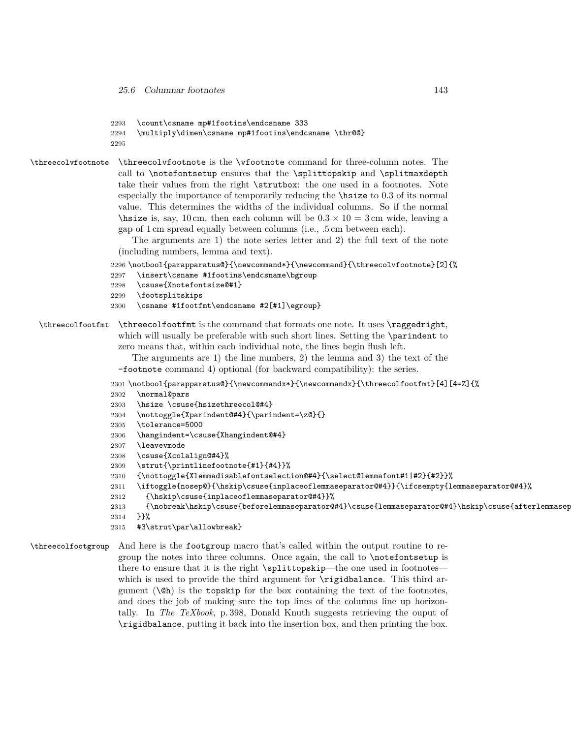```
2293 \count\csname mp#1footins\endcsname 333
```

```
2294 \multiply\dimen\csname mp#1footins\endcsname \thr@@}
```

```
2295
```
\threecolvfootnote \threecolvfootnote is the \vfootnote command for three-column notes. The call to \notefontsetup ensures that the \splittopskip and \splitmaxdepth take their values from the right \strutbox: the one used in a footnotes. Note especially the importance of temporarily reducing the \hsize to 0*.*3 of its normal value. This determines the widths of the individual columns. So if the normal  $\hbar$  is, say, 10 cm, then each column will be  $0.3 \times 10 = 3$  cm wide, leaving a gap of 1 cm spread equally between columns (i.e., .5 cm between each).

The arguments are 1) the note series letter and 2) the full text of the note (including numbers, lemma and text).

```
2296 \notbool{parapparatus@}{\newcommand*}{\newcommand}{\threecolvfootnote}[2]{%
```
- 2297 \insert\csname #1footins\endcsname\bgroup
- 2298 \csuse{Xnotefontsize@#1}
- 2299 \footsplitskips
- 2300 \csname #1footfmt\endcsname #2[#1]\egroup}

\threecolfootfmt \threecolfootfmt is the command that formats one note. It uses \raggedright, which will usually be preferable with such short lines. Setting the **\parindent** to zero means that, within each individual note, the lines begin flush left.

> The arguments are 1) the line numbers, 2) the lemma and 3) the text of the -footnote command 4) optional (for backward compatibility): the series.

- 2301 \notbool{parapparatus@}{\newcommandx\*}{\newcommandx}{\threecolfootfmt}[4][4=Z]{%
- 2302 \normal@pars
- 2303 \hsize \csuse{hsizethreecol@#4}
- 2304 \nottoggle{Xparindent@#4}{\parindent=\z@}{}
- 2305 \tolerance=5000
- 2306 \hangindent=\csuse{Xhangindent@#4}
- 2307 \leavevmode
- 2308 \csuse{Xcolalign@#4}%
- 2309 \strut{\printlinefootnote{#1}{#4}}%
- 2310 {\nottoggle{Xlemmadisablefontselection@#4}{\select@lemmafont#1|#2}{#2}}%
- 2311 \iftoggle{nosep@}{\hskip\csuse{inplaceoflemmaseparator@#4}}{\ifcsempty{lemmaseparator@#4}%
- 2312 {\hskip\csuse{inplaceoflemmaseparator@#4}}%
- 2313 {\nobreak\hskip\csuse{beforelemmaseparator@#4}\csuse{lemmaseparator@#4}\hskip\csuse{afterlemmaseparator@#4}% 2314 }}%
- 2315 #3\strut\par\allowbreak}

\threecolfootgroup And here is the footgroup macro that's called within the output routine to regroup the notes into three columns. Once again, the call to \notefontsetup is there to ensure that it is the right \splittopskip—the one used in footnotes which is used to provide the third argument for  $\rightarrow$  rigidbalance. This third argument  $(\Diamond \phi)$  is the topskip for the box containing the text of the footnotes, and does the job of making sure the top lines of the columns line up horizontally. In *The TeXbook*, p. 398, Donald Knuth suggests retrieving the ouput of \rigidbalance, putting it back into the insertion box, and then printing the box.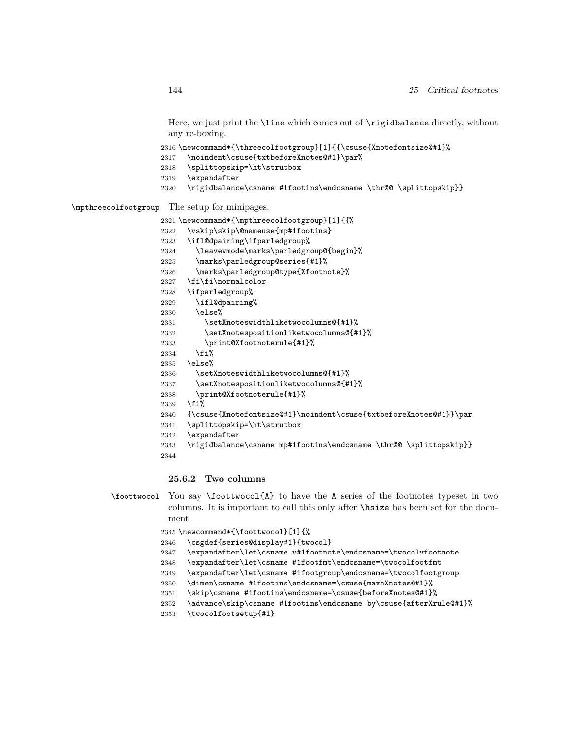Here, we just print the \line which comes out of \rigidbalance directly, without any re-boxing.

\newcommand\*{\threecolfootgroup}[1]{{\csuse{Xnotefontsize@#1}%

- \noindent\csuse{txtbeforeXnotes@#1}\par%
- \splittopskip=\ht\strutbox
- \expandafter
- \rigidbalance\csname #1footins\endcsname \thr@@ \splittopskip}}

\mpthreecolfootgroup The setup for minipages.

```
2321 \newcommand*{\mpthreecolfootgroup}[1]{{%
2322 \vskip\skip\@nameuse{mp#1footins}
2323 \ifl@dpairing\ifparledgroup%
2324 \leavevmode\marks\parledgroup@{begin}%
2325 \marks\parledgroup@series{#1}%
2326 \marks\parledgroup@type{Xfootnote}%
2327 \fi\fi\normalcolor
2328 \ifparledgroup%
2329 \ifl@dpairing%
2330 \else%
2331 \setXnoteswidthliketwocolumns@{#1}%
2332 \setXnotespositionliketwocolumns@{#1}%
2333 \print@Xfootnoterule{#1}%
2334 \{f_i\}2335 \else%
2336 \setXnoteswidthliketwocolumns@{#1}%
2337 \setXnotespositionliketwocolumns@{#1}%
2338 \print@Xfootnoterule{#1}%
2339 \fi%
2340 {\csuse{Xnotefontsize@#1}\noindent\csuse{txtbeforeXnotes@#1}}\par
2341 \splittopskip=\ht\strutbox
```
- \expandafter
- 2343 \rigidbalance\csname mp#1footins\endcsname \thr@@ \splittopskip}}
- 

#### **25.6.2 Two columns**

```
\foottwocol You say \foottwocol{A} to have the A series of the footnotes typeset in two
             columns. It is important to call this only after \hsize has been set for the docu-
             ment.
```
\newcommand\*{\foottwocol}[1]{%

- \csgdef{series@display#1}{twocol}
- \expandafter\let\csname v#1footnote\endcsname=\twocolvfootnote
- \expandafter\let\csname #1footfmt\endcsname=\twocolfootfmt
- \expandafter\let\csname #1footgroup\endcsname=\twocolfootgroup
- \dimen\csname #1footins\endcsname=\csuse{maxhXnotes@#1}%
- \skip\csname #1footins\endcsname=\csuse{beforeXnotes@#1}%
- 2352 \advance\skip\csname #1footins\endcsname by\csuse{afterXrule@#1}%
- \twocolfootsetup{#1}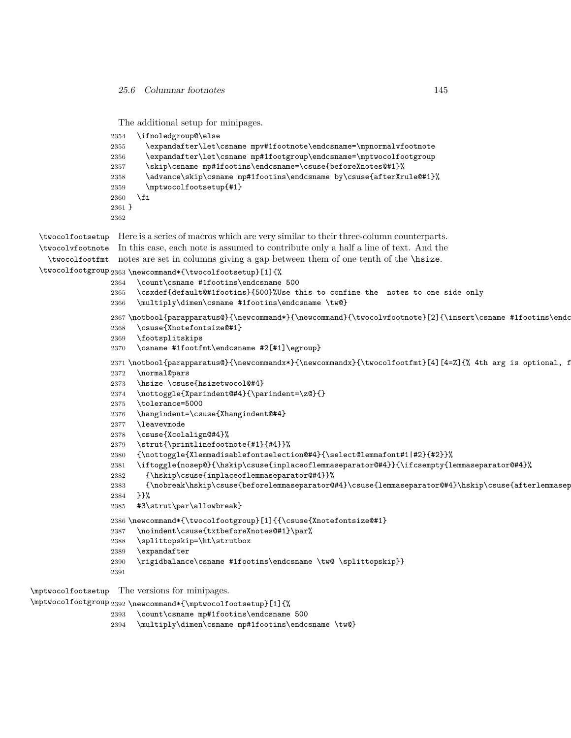The additional setup for minipages.

```
2354 \ifnoledgroup@\else
2355 \expandafter\let\csname mpv#1footnote\endcsname=\mpnormalvfootnote
2356 \expandafter\let\csname mp#1footgroup\endcsname=\mptwocolfootgroup
2357 \skip\csname mp#1footins\endcsname=\csuse{beforeXnotes@#1}%
2358 \advance\skip\csname mp#1footins\endcsname by\csuse{afterXrule@#1}%
2359 \mptwocolfootsetup{#1}
2360 \fi
2361 }
2362
```

```
\twocolfootsetup
Here is a series of macros which are very similar to their three-column counterparts.
\twocolvfootnote
In this case, each note is assumed to contribute only a half a line of text. And the
  \twocolfootfmt
notes are set in columns giving a gap between them of one tenth of the \hsize.
\twocolfootgroup 2363 \newcommand*{\twocolfootsetup}[1]{%
                2364 \count\csname #1footins\endcsname 500
                2365 \csxdef{default@#1footins}{500}%Use this to confine the notes to one side only
                2366 \multiply\dimen\csname #1footins\endcsname \tw@}
                2367\notbool{parapparatus@}{\newcommand*}{\newcommand}{\twocolvfootnote}[2]{\insert\csname #1footins\endc
                2368 \csuse{Xnotefontsize@#1}
                2369 \footsplitskips
                2370 \csname #1footfmt\endcsname #2[#1]\egroup}
                2371 \notbool{parapparatus@}{\newcommandx*}{\newcommandx}{\twocolfootfmt}[4][4=Z]{% 4th arg is optional, f
                2372 \normal@pars
                2373 \hsize \csuse{hsizetwocol@#4}
                2374 \nottoggle{Xparindent@#4}{\parindent=\z@}{}
                2375 \tolerance=5000
                2376 \hangindent=\csuse{Xhangindent@#4}
                2377 \leavevmode
                2378 \csuse{Xcolalign@#4}%
                2379 \strut{\printlinefootnote{#1}{#4}}%
                2380 {\nottoggle{Xlemmadisablefontselection@#4}{\select@lemmafont#1|#2}{#2}}%
                2381 \iftoggle{nosep@}{\hskip\csuse{inplaceoflemmaseparator@#4}}{\ifcsempty{lemmaseparator@#4}%
                2382 {\hskip\csuse{inplaceoflemmaseparator@#4}}%
                2383 {\nobreak\hskip\csuse{beforelemmaseparator@#4}\csuse{lemmaseparator@#4}\hskip\csuse{afterlemmasep
                2384 }}%
                2385 #3\strut\par\allowbreak}
                2386 \newcommand*{\twocolfootgroup}[1]{{\csuse{Xnotefontsize@#1}
                2387 \noindent\csuse{txtbeforeXnotes@#1}\par%
                2388 \splittopskip=\ht\strutbox
                2389 \expandafter
                2390 \rigidbalance\csname #1footins\endcsname \tw@ \splittopskip}}
                2391
```
\mptwocolfootsetup The versions for minipages.

\mptwocolfootgroup 2392 \newcommand\*{\mptwocolfootsetup}[1]{%

- \count\csname mp#1footins\endcsname 500
- \multiply\dimen\csname mp#1footins\endcsname \tw@}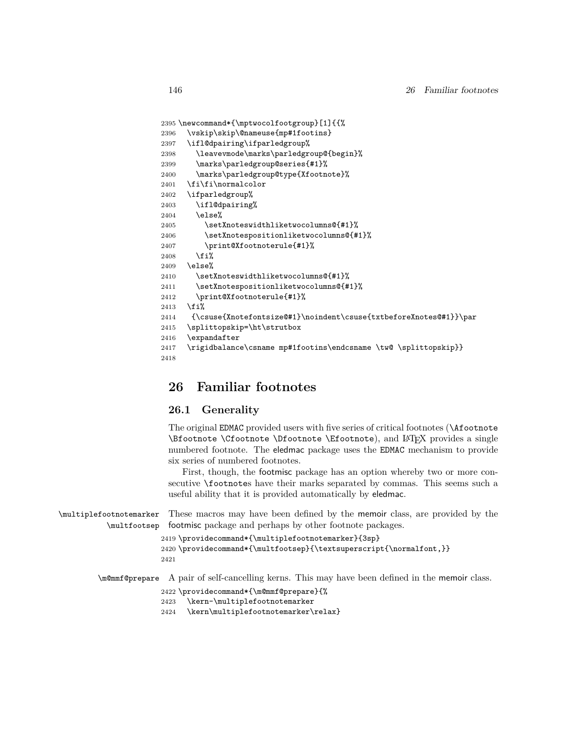```
2395 \newcommand*{\mptwocolfootgroup}[1]{{%
2396 \vskip\skip\@nameuse{mp#1footins}
2397 \ifl@dpairing\ifparledgroup%
2398 \leavevmode\marks\parledgroup@{begin}%
2399 \marks\parledgroup@series{#1}%
2400 \marks\parledgroup@type{Xfootnote}%
2401 \fi\fi\normalcolor
2402 \ifparledgroup%
2403 \ifl@dpairing%
2404 \else%
2405 \setXnoteswidthliketwocolumns@{#1}%
2406 \setXnotespositionliketwocolumns@{#1}%
2407 \print@Xfootnoterule{#1}%
2408 \fi%
2409 \else%
2410 \setXnoteswidthliketwocolumns@{#1}%
2411 \setXnotespositionliketwocolumns@{#1}%
2412 \print@Xfootnoterule{#1}%
2413 \fi%
2414 {\csuse{Xnotefontsize@#1}\noindent\csuse{txtbeforeXnotes@#1}}\par
2415 \splittopskip=\ht\strutbox
2416 \expandafter
2417 \rigidbalance\csname mp#1footins\endcsname \tw@ \splittopskip}}
2418
```
# **26 Familiar footnotes**

### **26.1 Generality**

The original EDMAC provided users with five series of critical footnotes (\Afootnote \Bfootnote \Cfootnote \Dfootnote \Efootnote), and LATEX provides a single numbered footnote. The eledmac package uses the EDMAC mechanism to provide six series of numbered footnotes.

First, though, the footmisc package has an option whereby two or more consecutive \footnotes have their marks separated by commas. This seems such a useful ability that it is provided automatically by eledmac.

```
\multiplefootnotemarker
           \multfootsep
                         These macros may have been defined by the memoir class, are provided by the
                         footmisc package and perhaps by other footnote packages.
```

```
2419 \providecommand*{\multiplefootnotemarker}{3sp}
2420 \providecommand*{\multfootsep}{\textsuperscript{\normalfont,}}
```
2421

\m@mmf@prepare A pair of self-cancelling kerns. This may have been defined in the memoir class.

```
2422 \providecommand*{\m@mmf@prepare}{%
```

```
2423 \kern-\multiplefootnotemarker
```

```
2424 \kern\multiplefootnotemarker\relax}
```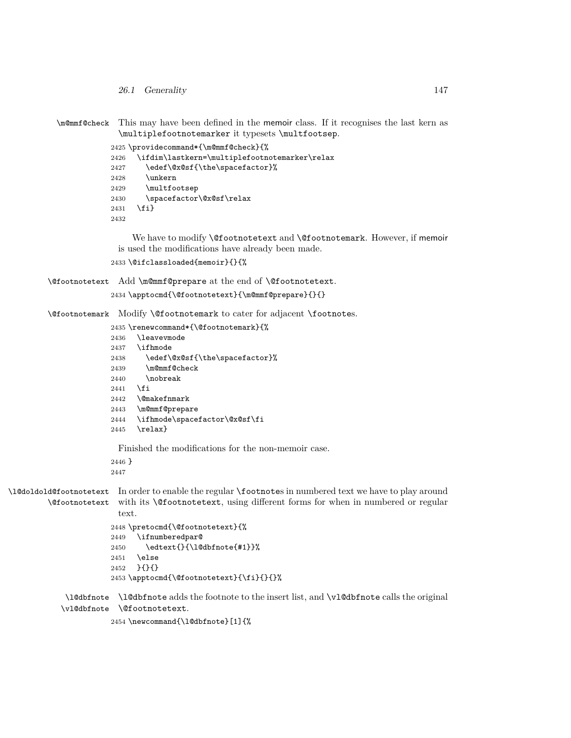- *26.1 Generality* 147
- \m@mmf@check This may have been defined in the memoir class. If it recognises the last kern as \multiplefootnotemarker it typesets \multfootsep.

 \providecommand\*{\m@mmf@check}{% \ifdim\lastkern=\multiplefootnotemarker\relax 2427 \edef\@x@sf{\the\spacefactor}% \unkern \multfootsep \spacefactor\@x@sf\relax \fi}

We have to modify **\@footnotetext** and **\@footnotemark**. However, if memoir is used the modifications have already been made.

```
2433 \@ifclassloaded{memoir}{}{%
```
\@footnotetext Add \m@mmf@prepare at the end of \@footnotetext. \apptocmd{\@footnotetext}{\m@mmf@prepare}{}{}

\@footnotemark Modify \@footnotemark to cater for adjacent \footnotes.

```
2435 \renewcommand*{\@footnotemark}{%
2436 \leavevmode
2437 \ifhmode
2438 \edef\@x@sf{\the\spacefactor}%
2439 \m@mmf@check
2440 \nobreak
2441 \fi
2442 \@makefnmark
2443 \m@mmf@prepare
2444 \ifhmode\spacefactor\@x@sf\fi
2445 \relax}
 Finished the modifications for the non-memoir case.
2446 }
2447
```
\l@doldold@footnotetext In order to enable the regular \footnotes in numbered text we have to play around \@footnotetext with its \@footnotetext, using different forms for when in numbered or regular text.

```
2448 \pretocmd{\@footnotetext}{%
2449 \ifnumberedpar@
2450 \edtext{}{\l@dbfnote{#1}}%
2451 \else
2452 }{}{}
2453 \apptocmd{\@footnotetext}{\fi}{}{}%
```
\l@dbfnote \l@dbfnote adds the footnote to the insert list, and \vl@dbfnote calls the original \vl@dbfnote \@footnotetext.

\newcommand{\l@dbfnote}[1]{%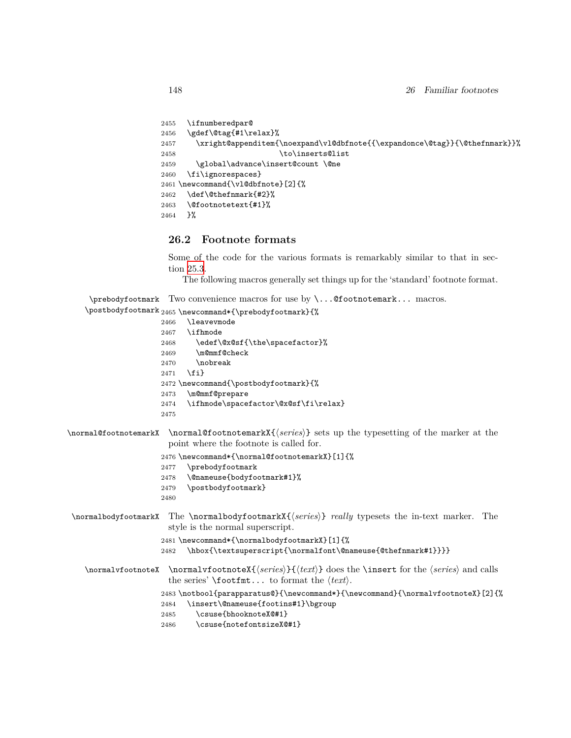```
2455 \ifnumberedpar@
2456 \gdef\@tag{#1\relax}%
2457 \xright@appenditem{\noexpand\vl@dbfnote{{\expandonce\@tag}}{\@thefnmark}}%
2458 \to\inserts@list
2459 \global\advance\insert@count \@ne
2460 \fi\ignorespaces}
2461 \newcommand{\vl@dbfnote}[2]{%
2462 \def\@thefnmark{#2}%
2463 \@footnotetext{#1}%
2464 }%
```
## **26.2 Footnote formats**

Some of the code for the various formats is remarkably similar to that in section [25.3.](#page-123-0)

The following macros generally set things up for the 'standard' footnote format.

```
\prebodyfootmark
Two convenience macros for use by \...@footnotemark... macros.
```

```
\postbodyfootmark 2465 \newcommand*{\prebodyfootmark}{%
                     2466 \leavevmode
                     2467 \ifhmode
                     2468 \edef\@x@sf{\the\spacefactor}%
                     2469 \m@mmf@check
                     2470 \nobreak
                     2471 \fi}
                     2472 \newcommand{\postbodyfootmark}{%
                     2473 \m@mmf@prepare
                     2474 \ifhmode\spacefactor\@x@sf\fi\relax}
                     2475
\normal@footnotemarkX \normal@footnotemarkX{⟨series⟩} sets up the typesetting of the marker at the
                      point where the footnote is called for.
                     2476 \newcommand*{\normal@footnotemarkX}[1]{%
                     2477 \prebodyfootmark
                     2478 \@nameuse{bodyfootmark#1}%
                     2479 \postbodyfootmark}
                     2480
 \normalbodyfootmarkX The \normalbodyfootmarkX{⟨series⟩} really typesets the in-text marker. The
                      style is the normal superscript.
                     2481 \newcommand*{\normalbodyfootmarkX}[1]{%
                     2482 \hbox{\textsuperscript{\normalfont\@nameuse{@thefnmark#1}}}}
   \normalvfootnoteX \normalvfootnoteX{⟨series⟩}{⟨text⟩} does the \insert for the ⟨series⟩ and calls
                       the series' \footfmt... to format the ⟨text⟩.
                     2483 \notbool{parapparatus@}{\newcommand*}{\newcommand}{\normalvfootnoteX}[2]{%
                     2484 \insert\@nameuse{footins#1}\bgroup
                     2485 \csuse{bhooknoteX@#1}
                     2486 \csuse{notefontsizeX@#1}
```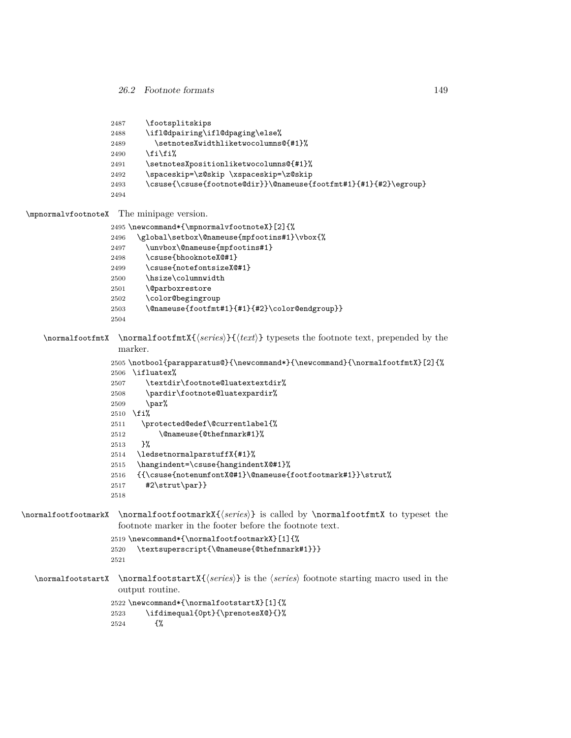| 2487<br>2488<br>2489<br>2490<br>2491<br>2492<br>2493<br>2494                                            | \footsplitskips<br>\ifl@dpairing\ifl@dpaging\else%<br>\setnotesXwidthliketwocolumns@{#1}%<br>$\iota$ i $\iota$<br>\setnotesXpositionliketwocolumns@{#1}%<br>\spaceskip=\z@skip \xspaceskip=\z@skip<br>\csuse{\csuse{footnote@dir}}\@nameuse{footfmt#1}{#1}{#2}\egroup}                                                                                                                                                                                                                                                                     |
|---------------------------------------------------------------------------------------------------------|--------------------------------------------------------------------------------------------------------------------------------------------------------------------------------------------------------------------------------------------------------------------------------------------------------------------------------------------------------------------------------------------------------------------------------------------------------------------------------------------------------------------------------------------|
| \mpnormalvfootnoteX                                                                                     | The minipage version.                                                                                                                                                                                                                                                                                                                                                                                                                                                                                                                      |
|                                                                                                         | 2495 \newcommand*{\mpnormalvfootnoteX}[2]{%                                                                                                                                                                                                                                                                                                                                                                                                                                                                                                |
| 2496                                                                                                    | \global\setbox\@nameuse{mpfootins#1}\vbox{%                                                                                                                                                                                                                                                                                                                                                                                                                                                                                                |
| 2497                                                                                                    | \unvbox\@nameuse{mpfootins#1}                                                                                                                                                                                                                                                                                                                                                                                                                                                                                                              |
| 2498                                                                                                    | \csuse{bhooknoteX@#1}                                                                                                                                                                                                                                                                                                                                                                                                                                                                                                                      |
| 2499                                                                                                    | \csuse{notefontsizeX@#1}                                                                                                                                                                                                                                                                                                                                                                                                                                                                                                                   |
| 2500                                                                                                    | \hsize\columnwidth                                                                                                                                                                                                                                                                                                                                                                                                                                                                                                                         |
| 2501                                                                                                    | <i><u><b>Neparboxrestore</b></u></i>                                                                                                                                                                                                                                                                                                                                                                                                                                                                                                       |
| 2502                                                                                                    | \color@begingroup                                                                                                                                                                                                                                                                                                                                                                                                                                                                                                                          |
| 2503                                                                                                    | \@nameuse{footfmt#1}{#1}{#2}\color@endgroup}}                                                                                                                                                                                                                                                                                                                                                                                                                                                                                              |
| 2504                                                                                                    |                                                                                                                                                                                                                                                                                                                                                                                                                                                                                                                                            |
| \normalfootfmtX<br>2507<br>2508<br>2509<br>2511<br>2512<br>2513<br>2514<br>2515<br>2516<br>2517<br>2518 | $\normal{\normalfont \textsf{series}} {\text{text}}$ were sets the footnote text, prepended by the<br>marker.<br>2505 \notbool{parapparatus@}{\newcommand*}{\newcommand}{\normalfootfmtX}[2]{%<br>2506 \ifluatex%<br>\textdir\footnote@luatextextdir%<br>\pardir\footnote@luatexpardir%<br>\par%<br>$2510$ \fi%<br>\protected@edef\@currentlabel{%<br>\@nameuse{@thefnmark#1}%<br>3%<br>\ledsetnormalparstuffX{#1}%<br>\hangindent=\csuse{hangindentX@#1}%<br>{{\csuse{notenumfontX@#1}\@nameuse{footfootmark#1}}\strut%<br>#2\strut\par}} |
| \normalfootfootmarkX                                                                                    | \normalfootfootmarkX{\series\} is called by \normalfootfmtX to typeset the<br>footnote marker in the footer before the footnote text.                                                                                                                                                                                                                                                                                                                                                                                                      |
| 2520<br>2521                                                                                            | 2519 \newcommand*{\normalfootfootmarkX}[1]{%<br>\textsuperscript{\@nameuse{@thefnmark#1}}}                                                                                                                                                                                                                                                                                                                                                                                                                                                 |
| \normalfootstartX                                                                                       | $\{normalfootstartX {\text{series}}\}$ is the $\langle series \rangle$ footnote starting macro used in the<br>output routine.                                                                                                                                                                                                                                                                                                                                                                                                              |
| 2523                                                                                                    | 2522 \newcommand*{\normalfootstartX}[1]{%<br>\ifdimequal{0pt}{\prenotesX@}{}%                                                                                                                                                                                                                                                                                                                                                                                                                                                              |

{%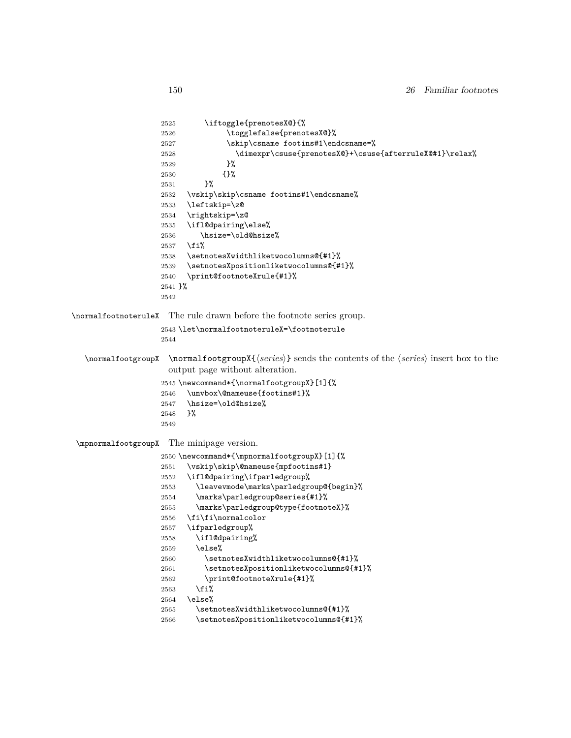```
2525 \iftoggle{prenotesX@}{%
2526 \togglefalse{prenotesX@}%
2527 \skip\csname footins#1\endcsname=%
```

```
2528 \dimexpr\csuse{prenotesX@}+\csuse{afterruleX@#1}\relax%<br>2529 }%
2529\,2530 {}%
2531 }%
2532 \vskip\skip\csname footins#1\endcsname%
2533 \leftskip=\z@
2534 \rightskip=\z@
2535 \ifl@dpairing\else%
2536 \hsize=\old@hsize%
2537 \fi%
2538 \setnotesXwidthliketwocolumns@{#1}%
2539 \setnotesXpositionliketwocolumns@{#1}%
2540 \print@footnoteXrule{#1}%
2541 }%
2542
```
\normalfootnoteruleX The rule drawn before the footnote series group.

```
2543 \let\normalfootnoteruleX=\footnoterule
2544
```
\normalfootgroupX \normalfootgroupX{*⟨series⟩*} sends the contents of the *⟨series⟩* insert box to the output page without alteration.

```
2545 \newcommand*{\normalfootgroupX}[1]{%
2546 \unvbox\@nameuse{footins#1}%
2547 \hsize=\old@hsize%
2548 }%
2549
```
\mpnormalfootgroupX The minipage version.

|      | 2550 \newcommand*{\mpnormalfootgroupX}[1]{% |
|------|---------------------------------------------|
| 2551 | \vskip\skip\@nameuse{mpfootins#1}           |
| 2552 | \ifl@dpairing\ifparledgroup%                |
| 2553 | \leavevmode\marks\parledgroup@{begin}%      |
| 2554 | \marks\parledgroup@series{#1}%              |
| 2555 | \marks\parledgroup@type{footnoteX}%         |
| 2556 | \fi\fi\normalcolor                          |
| 2557 | \ifparledgroup%                             |
| 2558 | \ifl@dpairing%                              |
| 2559 | \else%                                      |
| 2560 | \setnotesXwidthliketwocolumns@{#1}%         |
| 2561 | \setnotesXpositionliketwocolumns@{#1}%      |
| 2562 | \print@footnoteXrule{#1}%                   |
| 2563 | \fi%                                        |
| 2564 | \else%                                      |
| 2565 | \setnotesXwidthliketwocolumns@{#1}%         |
| 2566 | \setnotesXpositionliketwocolumns@{#1}%      |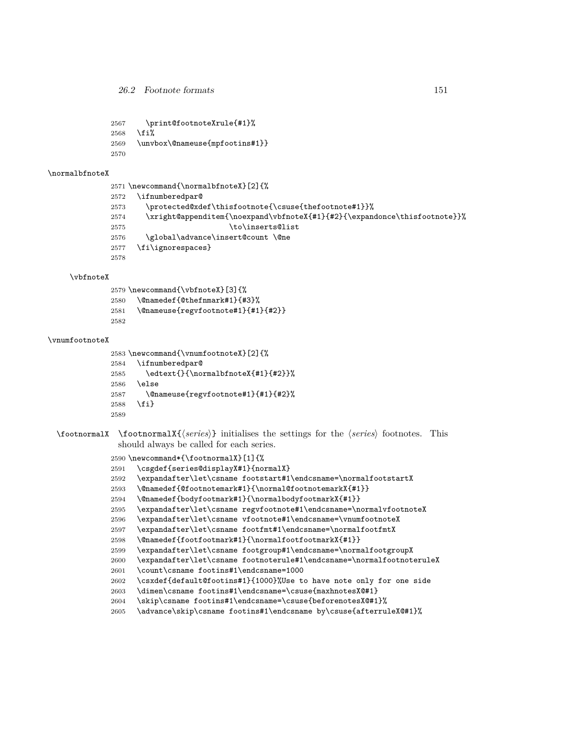```
2567 \print@footnoteXrule{#1}%
2568 \fi%
2569 \unvbox\@nameuse{mpfootins#1}}
2570
```
#### \normalbfnoteX

```
2571 \newcommand{\normalbfnoteX}[2]{%
2572 \ifnumberedpar@
2573 \protected@xdef\thisfootnote{\csuse{thefootnote#1}}%
2574 \xright@appenditem{\noexpand\vbfnoteX{#1}{#2}{\expandonce\thisfootnote}}%
2575 \to\inserts@list
2576 \global\advance\insert@count \@ne
2577 \fi\ignorespaces}
2578
```
#### \vbfnoteX

```
2579 \newcommand{\vbfnoteX}[3]{%
2580 \@namedef{@thefnmark#1}{#3}%
2581 \@nameuse{regvfootnote#1}{#1}{#2}}
2582
```
#### \vnumfootnoteX

```
2583 \newcommand{\vnumfootnoteX}[2]{%
2584 \ifnumberedpar@
2585 \edtext{}{\normalbfnoteX{#1}{#2}}%
2586 \else
2587 \@nameuse{regvfootnote#1}{#1}{#2}%
2588 \fi}
2589
```
\footnormalX \footnormalX{*⟨series⟩*} initialises the settings for the *⟨series⟩* footnotes. This should always be called for each series.

```
2590 \newcommand*{\footnormalX}[1]{%
```
- \csgdef{series@displayX#1}{normalX}
- \expandafter\let\csname footstart#1\endcsname=\normalfootstartX
- \@namedef{@footnotemark#1}{\normal@footnotemarkX{#1}}
- \@namedef{bodyfootmark#1}{\normalbodyfootmarkX{#1}}
- \expandafter\let\csname regvfootnote#1\endcsname=\normalvfootnoteX
- \expandafter\let\csname vfootnote#1\endcsname=\vnumfootnoteX
- \expandafter\let\csname footfmt#1\endcsname=\normalfootfmtX
- \@namedef{footfootmark#1}{\normalfootfootmarkX{#1}}
- \expandafter\let\csname footgroup#1\endcsname=\normalfootgroupX
- \expandafter\let\csname footnoterule#1\endcsname=\normalfootnoteruleX
- \count\csname footins#1\endcsname=1000
- \csxdef{default@footins#1}{1000}%Use to have note only for one side
- \dimen\csname footins#1\endcsname=\csuse{maxhnotesX@#1}
- \skip\csname footins#1\endcsname=\csuse{beforenotesX@#1}%
- \advance\skip\csname footins#1\endcsname by\csuse{afterruleX@#1}%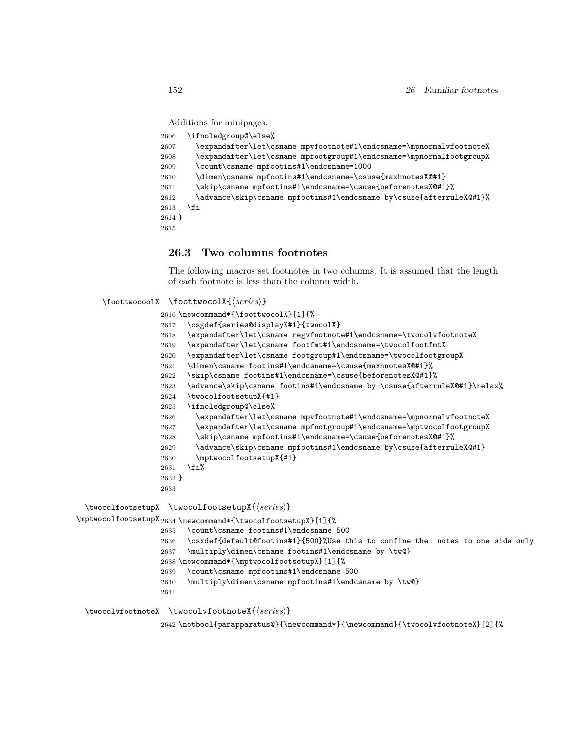Additions for minipages.

| 2606     | \ifnoledgroup@\else%                                                |
|----------|---------------------------------------------------------------------|
| 2607     | \expandafter\let\csname mpvfootnote#1\endcsname=\mpnormalvfootnoteX |
| 2608     | \expandafter\let\csname mpfootgroup#1\endcsname=\mpnormalfootgroupX |
| 2609     | \count\csname mpfootins#1\endcsname=1000                            |
| 2610     | \dimen\csname mpfootins#1\endcsname=\csuse{maxhnotesX@#1}           |
| 2611     | \skip\csname mpfootins#1\endcsname=\csuse{beforenotesX@#1}%         |
| 2612     | \advance\skip\csname mpfootins#1\endcsname by\csuse{afterruleX@#1}% |
| 2613     | \fi                                                                 |
| $2614$ } |                                                                     |
| 2615     |                                                                     |

## **26.3 Two columns footnotes**

The following macros set footnotes in two columns. It is assumed that the length of each footnote is less than the column width.

#### \foottwocoolX \foottwocolX{*⟨series⟩*}

|          | $\setminus$ foottwocoolX $\setminus$ foottwocolX{ $\setminus$ series $\rangle$ } |
|----------|----------------------------------------------------------------------------------|
|          | 2616 \newcommand*{\foottwocolX}[1]{%                                             |
| 2617     | \csgdef{series@displayX#1}{twocolX}                                              |
| 2618     | \expandafter\let\csname regvfootnote#1\endcsname=\twocolvfootnoteX               |
| 2619     | \expandafter\let\csname footfmt#1\endcsname=\twocolfootfmtX                      |
| 2620     | \expandafter\let\csname footgroup#1\endcsname=\twocolfootgroupX                  |
| 2621     | \dimen\csname footins#1\endcsname=\csuse{maxhnotesX@#1}%                         |
| 2622     | \skip\csname footins#1\endcsname=\csuse{beforenotesX@#1}%                        |
| 2623     | \advance\skip\csname footins#1\endcsname by \csuse{afterruleX@#1}\relax%         |
| 2624     | \twocolfootsetupX{#1}                                                            |
| 2625     | \ifnoledgroup@\else%                                                             |
| 2626     | \expandafter\let\csname mpvfootnote#1\endcsname=\mpnormalvfootnoteX              |
| 2627     | \expandafter\let\csname mpfootgroup#1\endcsname=\mptwocolfootgroupX              |
| 2628     | \skip\csname mpfootins#1\endcsname=\csuse{beforenotesX@#1}%                      |
| 2629     | \advance\skip\csname mpfootins#1\endcsname by\csuse{afterruleX@#1}               |
| 2630     | \mptwocolfootsetupX{#1}                                                          |
| 2631     | \fi%                                                                             |
| $2632$ } |                                                                                  |
| 2633     |                                                                                  |
|          | \twocolfootsetupX \twocolfootsetupX{(series)}                                    |
|          | $\verb \mptwocolfootsetupX 2634\newcommand*{{\twocolfootsetupX}[1]{\text{\n%}}$  |
| 2635     | \count\csname footins#1\endcsname 500                                            |
| 2636     | \csxdef{default@footins#1}{500}%Use this to confine the notes to one side only   |
| 2637     | \multiply\dimen\csname footins#1\endcsname by \tw@}                              |
|          | 2638 \newcommand*{\mptwocolfootsetupX}[1]{%                                      |
| 2639     | \count\csname mpfootins#1\endcsname 500                                          |
| 2640     | \multiply\dimen\csname mpfootins#1\endcsname by \tw@}                            |
| 2641     |                                                                                  |
|          |                                                                                  |

\twocolvfootnoteX \twocolvfootnoteX{*⟨series⟩*}

 $2642 \not \o{paramparatus@} {\newcommand*}{{newcommand}}{{\twoadd})}$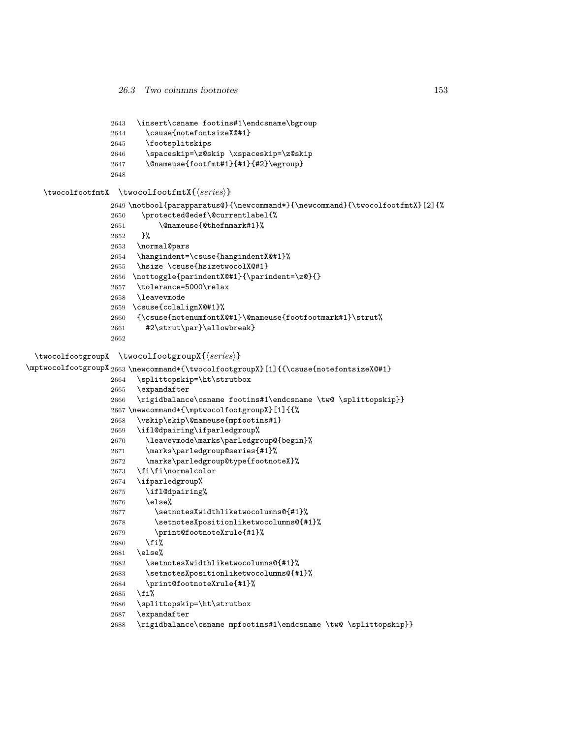```
2643 \insert\csname footins#1\endcsname\bgroup
2644 \csuse{notefontsizeX@#1}
2645 \footsplitskips
2646 \spaceskip=\z@skip \xspaceskip=\z@skip
2647 \@nameuse{footfmt#1}{#1}{#2}\egroup}
2648
```
#### \twocolfootfmtX \twocolfootfmtX{*⟨series⟩*}

```
2649 \notbool{parapparatus@}{\newcommand*}{\newcommand}{\twocolfootfmtX}[2]{%
```

```
2650 \protected@edef\@currentlabel{%
2651 \@nameuse{@thefnmark#1}%
2652 }%
2653 \normal@pars
2654 \hangindent=\csuse{hangindentX@#1}%
2655 \hsize \csuse{hsizetwocolX@#1}
2656 \nottoggle{parindentX@#1}{\parindent=\z@}{}
2657 \tolerance=5000\relax
2658 \leavevmode
2659 \csuse{colalignX@#1}%
2660 {\csuse{notenumfontX@#1}\@nameuse{footfootmark#1}\strut%
2661 #2\strut\par}\allowbreak}
2662
```
#### \twocolfootgroupX \twocolfootgroupX{*⟨series⟩*}

```
\mptwocolfootgroupX 2663 \newcommand*{\twocolfootgroupX}[1]{{\csuse{notefontsizeX@#1}
                  2664 \splittopskip=\ht\strutbox
                  2665 \expandafter
                  2666 \rigidbalance\csname footins#1\endcsname \tw@ \splittopskip}}
                  2667 \newcommand*{\mptwocolfootgroupX}[1]{{%
                  2668 \vskip\skip\@nameuse{mpfootins#1}
                  2669 \ifl@dpairing\ifparledgroup%
                  2670 \leavevmode\marks\parledgroup@{begin}%
                  2671 \marks\parledgroup@series{#1}%
                  2672 \marks\parledgroup@type{footnoteX}%
                  2673 \fi\fi\normalcolor
                  2674 \ifparledgroup%
                  2675 \ifl@dpairing%
                  2676 \else%
                  2677 \setnotesXwidthliketwocolumns@{#1}%
                  2678 \setnotesXpositionliketwocolumns@{#1}%
                  2679 \print@footnoteXrule{#1}%
                  2680 \fi%
                  2681 \else%
                  2682 \setnotesXwidthliketwocolumns@{#1}%
                  2683 \setnotesXpositionliketwocolumns@{#1}%
                  2684 \print@footnoteXrule{#1}%
                  2685 \fi%
                  2686 \splittopskip=\ht\strutbox
                  2687 \expandafter
                  2688 \rigidbalance\csname mpfootins#1\endcsname \tw@ \splittopskip}}
```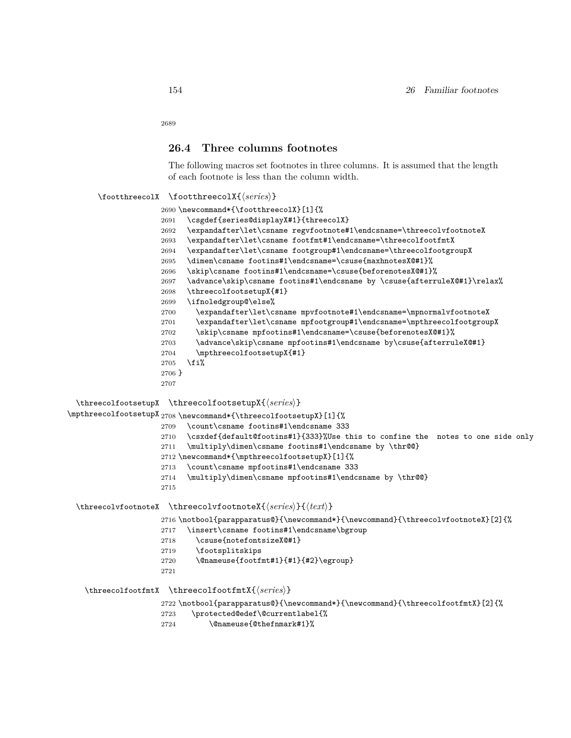### **26.4 Three columns footnotes**

The following macros set footnotes in three columns. It is assumed that the length of each footnote is less than the column width.

### \footthreecolX \footthreecolX{*⟨series⟩*}

|          | 2690 \newcommand*{\footthreecolX}[1]{%                                   |
|----------|--------------------------------------------------------------------------|
| 2691     | \csgdef{series@displayX#1}{threecolX}                                    |
| 2692     | \expandafter\let\csname regvfootnote#1\endcsname=\threecolvfootnoteX     |
| 2693     | \expandafter\let\csname footfmt#1\endcsname=\threecolfootfmtX            |
| 2694     | \expandafter\let\csname footgroup#1\endcsname=\threecolfootgroupX        |
| 2695     | \dimen\csname footins#1\endcsname=\csuse{maxhnotesX@#1}%                 |
| 2696     | \skip\csname footins#1\endcsname=\csuse{beforenotesX@#1}%                |
| 2697     | \advance\skip\csname footins#1\endcsname by \csuse{afterruleX@#1}\relax% |
| 2698     | \threecolfootsetupX{#1}                                                  |
| 2699     | \ifnoledgroup@\else%                                                     |
| 2700     | \expandafter\let\csname mpvfootnote#1\endcsname=\mpnormalvfootnoteX      |
| 2701     | \expandafter\let\csname mpfootgroup#1\endcsname=\mpthreecolfootgroupX    |
| 2702     | \skip\csname mpfootins#1\endcsname=\csuse{beforenotesX@#1}%              |
| 2703     | \advance\skip\csname mpfootins#1\endcsname by\csuse{afterruleX@#1}       |
| 2704     | \mpthreecolfootsetupX{#1}                                                |
| 2705     | \fi%                                                                     |
| $2706$ } |                                                                          |
| 2707     |                                                                          |

\threecolfootsetupX \threecolfootsetupX{*⟨series⟩*}

\mpthreecolfootsetupX 2708 \newcommand\*{\threecolfootsetupX}[1]{%

- \count\csname footins#1\endcsname 333
	- \csxdef{default@footins#1}{333}%Use this to confine the notes to one side only
	- \multiply\dimen\csname footins#1\endcsname by \thr@@}
	- \newcommand\*{\mpthreecolfootsetupX}[1]{%
	- \count\csname mpfootins#1\endcsname 333
	- \multiply\dimen\csname mpfootins#1\endcsname by \thr@@}
- 

\threecolvfootnoteX \threecolvfootnoteX{*⟨series⟩*}{*⟨text⟩*}

\notbool{parapparatus@}{\newcommand\*}{\newcommand}{\threecolvfootnoteX}[2]{%

- \insert\csname footins#1\endcsname\bgroup
- 2718 \csuse{notefontsizeX@#1}
- \footsplitskips
- \@nameuse{footfmt#1}{#1}{#2}\egroup}
- 

#### \threecolfootfmtX \threecolfootfmtX{*⟨series⟩*}

\notbool{parapparatus@}{\newcommand\*}{\newcommand}{\threecolfootfmtX}[2]{%

- \protected@edef\@currentlabel{%
- \@nameuse{@thefnmark#1}%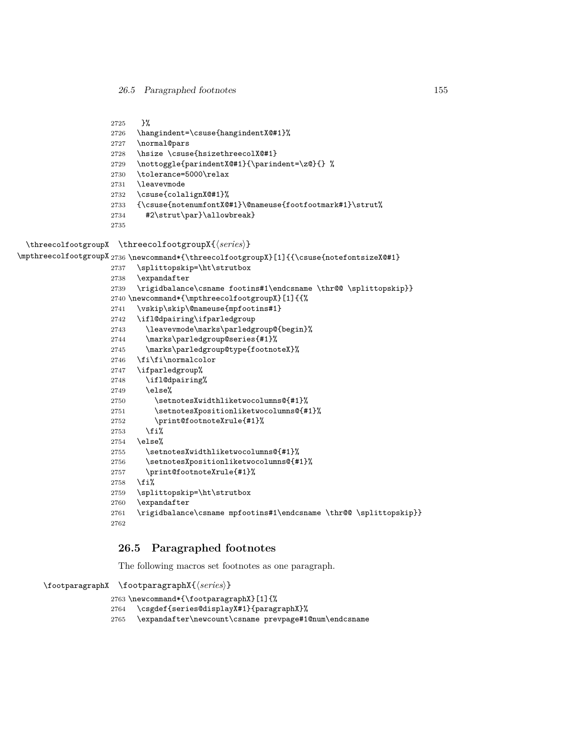```
2725 }%
2726 \hangindent=\csuse{hangindentX@#1}%
2727 \normal@pars
2728 \hsize \csuse{hsizethreecolX@#1}
2729 \nottoggle{parindentX@#1}{\parindent=\z@}{} %
2730 \tolerance=5000\relax
2731 \leavevmode
2732 \csuse{colalignX@#1}%
2733 {\csuse{notenumfontX@#1}\@nameuse{footfootmark#1}\strut%
2734 #2\strut\par}\allowbreak}
2735
```
\threecolfootgroupX \threecolfootgroupX{*⟨series⟩*}

\mpthreecolfootgroupX<sub>2736</sub> \newcommand\*{\threecolfootgroupX}[1]{{\csuse{notefontsizeX@#1}

```
2737 \splittopskip=\ht\strutbox
2738 \expandafter
2739 \rigidbalance\csname footins#1\endcsname \thr@@ \splittopskip}}
2740 \newcommand*{\mpthreecolfootgroupX}[1]{{%
2741 \vskip\skip\@nameuse{mpfootins#1}
2742 \ifl@dpairing\ifparledgroup
2743 \leavevmode\marks\parledgroup@{begin}%
2744 \marks\parledgroup@series{#1}%
2745 \marks\parledgroup@type{footnoteX}%
2746 \fi\fi\normalcolor
2747 \ifparledgroup%
2748 \ifl@dpairing%
2749 \else%
2750 \setnotesXwidthliketwocolumns@{#1}%
2751 \setnotesXpositionliketwocolumns@{#1}%
2752 \print@footnoteXrule{#1}%
2753 \fi%
2754 \else%
2755 \setnotesXwidthliketwocolumns@{#1}%
2756 \setnotesXpositionliketwocolumns@{#1}%
2757 \print@footnoteXrule{#1}%
2758 \fi%
2759 \splittopskip=\ht\strutbox
2760 \expandafter
2761 \rigidbalance\csname mpfootins#1\endcsname \thr@@ \splittopskip}}
2762
```
## **26.5 Paragraphed footnotes**

The following macros set footnotes as one paragraph.

```
\footparagraphX \footparagraphX{⟨series⟩}
```

```
2763 \newcommand*{\footparagraphX}[1]{%
```
- \csgdef{series@displayX#1}{paragraphX}%
- \expandafter\newcount\csname prevpage#1@num\endcsname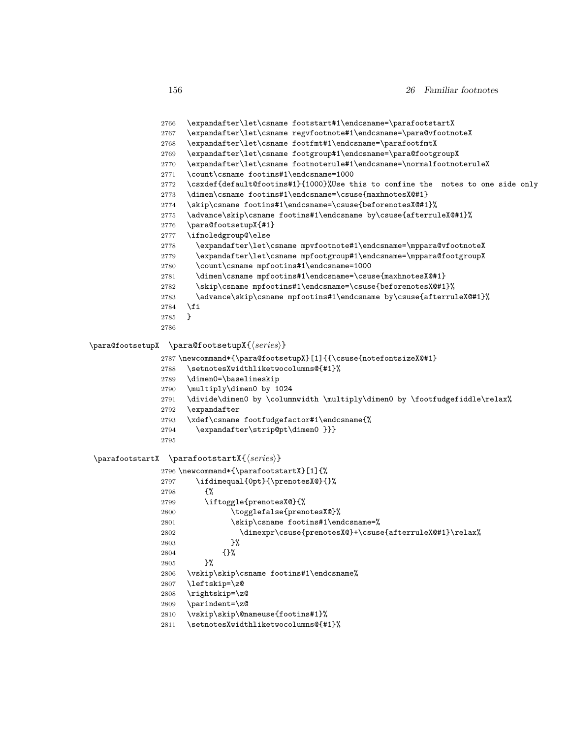- \expandafter\let\csname footstart#1\endcsname=\parafootstartX
- \expandafter\let\csname regvfootnote#1\endcsname=\para@vfootnoteX
- \expandafter\let\csname footfmt#1\endcsname=\parafootfmtX
- \expandafter\let\csname footgroup#1\endcsname=\para@footgroupX
- \expandafter\let\csname footnoterule#1\endcsname=\normalfootnoteruleX
- \count\csname footins#1\endcsname=1000
- \csxdef{default@footins#1}{1000}%Use this to confine the notes to one side only
- \dimen\csname footins#1\endcsname=\csuse{maxhnotesX@#1}
- \skip\csname footins#1\endcsname=\csuse{beforenotesX@#1}%
- \advance\skip\csname footins#1\endcsname by\csuse{afterruleX@#1}%
- \para@footsetupX{#1}
- \ifnoledgroup@\else
- \expandafter\let\csname mpvfootnote#1\endcsname=\mppara@vfootnoteX
- \expandafter\let\csname mpfootgroup#1\endcsname=\mppara@footgroupX
- \count\csname mpfootins#1\endcsname=1000
- \dimen\csname mpfootins#1\endcsname=\csuse{maxhnotesX@#1}
- 2782 \skip\csname mpfootins#1\endcsname=\csuse{beforenotesX@#1}%
- 2783 \advance\skip\csname mpfootins#1\endcsname by\csuse{afterruleX@#1}%
- \fi
- }
- 

#### \para@footsetupX \para@footsetupX{*⟨series⟩*}

\newcommand\*{\para@footsetupX}[1]{{\csuse{notefontsizeX@#1}

- 2788 \setnotesXwidthliketwocolumns@{#1}%
- \dimen0=\baselineskip
- \multiply\dimen0 by 1024
- \divide\dimen0 by \columnwidth \multiply\dimen0 by \footfudgefiddle\relax%
- \expandafter
- \xdef\csname footfudgefactor#1\endcsname{%
- \expandafter\strip@pt\dimen0 }}}
- 

#### \parafootstartX \parafootstartX{*⟨series⟩*}

 \newcommand\*{\parafootstartX}[1]{% \ifdimequal{0pt}{\prenotesX@}{}% {% \iftoggle{prenotesX@}{% 2800 \togglefalse{prenotesX@}% 2801 \skip\csname footins#1\endcsname=% \dimexpr\csuse{prenotesX@}+\csuse{afterruleX@#1}\relax% 2803 }% {}% }% \vskip\skip\csname footins#1\endcsname% \leftskip=\z@ \rightskip=\z@ \parindent=\z@ \vskip\skip\@nameuse{footins#1}% \setnotesXwidthliketwocolumns@{#1}%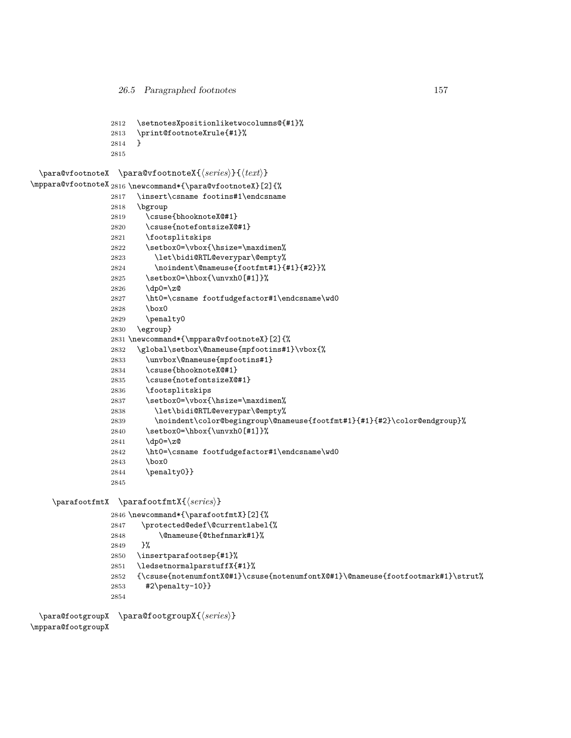```
2812 \setnotesXpositionliketwocolumns@{#1}%
2813 \print@footnoteXrule{#1}%
```

```
2814 }
```

```
2815
```
\para@vfootnoteX \para@vfootnoteX{*⟨series⟩*}{*⟨text⟩*}

```
\mppara@vfootnoteX
2816 \newcommand*{\para@vfootnoteX}[2]{%
```

```
2817 \insert\csname footins#1\endcsname
2818 \bgroup
2819 \csuse{bhooknoteX@#1}
2820 \csuse{notefontsizeX@#1}
2821 \footsplitskips
2822 \setbox0=\vbox{\hsize=\maxdimen%
2823 \let\bidi@RTL@everypar\@empty%
2824 \noindent\@nameuse{footfmt#1}{#1}{#2}}%
2825 \setbox0=\hbox{\unvxh0[#1]}%
2826 \dp0=\z@
2827 \ht0=\csname footfudgefactor#1\endcsname\wd0
2828 \box0
2829 \penalty0
2830 \egroup}
2831 \newcommand*{\mppara@vfootnoteX}[2]{%
2832 \global\setbox\@nameuse{mpfootins#1}\vbox{%
2833 \unvbox\@nameuse{mpfootins#1}
2834 \csuse{bhooknoteX@#1}
2835 \csuse{notefontsizeX@#1}
2836 \footsplitskips
2837 \setbox0=\vbox{\hsize=\maxdimen%
2838 \let\bidi@RTL@everypar\@empty%
2839 \noindent\color@begingroup\@nameuse{footfmt#1}{#1}{#2}\color@endgroup}%
2840 \setbox0=\hbox{\unvxh0[#1]}%
2841 \dp0=\z@
2842 \ht0=\csname footfudgefactor#1\endcsname\wd0
2843 \box0
2844 \penalty0}}
2845
```

```
\parafootfmtX \parafootfmtX{⟨series⟩}
```

```
2846 \newcommand*{\parafootfmtX}[2]{%
2847 \protected@edef\@currentlabel{%
2848 \@nameuse{@thefnmark#1}%
2849 }%
2850 \insertparafootsep{#1}%
2851 \ledsetnormalparstuffX{#1}%
2852 {\csuse{notenumfontX@#1}\csuse{notenumfontX@#1}\@nameuse{footfootmark#1}\strut%
2853 #2\penalty-10}}
2854
```

```
\para@footgroupX
\para@footgroupX{⟨series⟩}
```
\mppara@footgroupX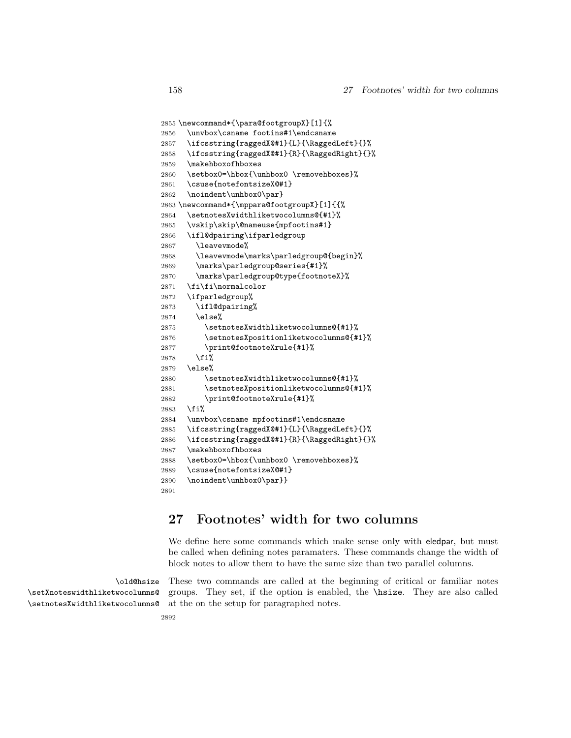```
2855 \newcommand*{\para@footgroupX}[1]{%
2856 \unvbox\csname footins#1\endcsname
2857 \ifcsstring{raggedX@#1}{L}{\RaggedLeft}{}%
2858 \ifcsstring{raggedX@#1}{R}{\RaggedRight}{}%
2859 \makehboxofhboxes
2860 \setbox0=\hbox{\unhbox0 \removehboxes}%
2861 \csuse{notefontsizeX@#1}
2862 \noindent\unhbox0\par}
2863 \newcommand*{\mppara@footgroupX}[1]{{%
2864 \setnotesXwidthliketwocolumns@{#1}%
2865 \vskip\skip\@nameuse{mpfootins#1}
2866 \ifl@dpairing\ifparledgroup
2867 \leavevmode%
2868 \leavevmode\marks\parledgroup@{begin}%
2869 \marks\parledgroup@series{#1}%
2870 \marks\parledgroup@type{footnoteX}%
2871 \fi\fi\normalcolor
2872 \ifparledgroup%
2873 \ifl@dpairing%
2874 \else%
2875 \setnotesXwidthliketwocolumns@{#1}%
2876 \setnotesXpositionliketwocolumns@{#1}%
2877 \print@footnoteXrule{#1}%
2878 \fi%
2879 \else%
2880 \setnotesXwidthliketwocolumns@{#1}%
2881 \setnotesXpositionliketwocolumns@{#1}%
2882 \print@footnoteXrule{#1}%
2883 \fi%
2884 \unvbox\csname mpfootins#1\endcsname
2885 \ifcsstring{raggedX@#1}{L}{\RaggedLeft}{}%
2886 \ifcsstring{raggedX@#1}{R}{\RaggedRight}{}%
2887 \makehboxofhboxes
2888 \setbox0=\hbox{\unhbox0 \removehboxes}%
2889 \csuse{notefontsizeX@#1}
2890 \noindent\unhbox0\par}}
2891
```
# **27 Footnotes' width for two columns**

We define here some commands which make sense only with eledpar, but must be called when defining notes paramaters. These commands change the width of block notes to allow them to have the same size than two parallel columns.

\old@hsize \setXnoteswidthliketwocolumns@ \setnotesXwidthliketwocolumns@

These two commands are called at the beginning of critical or familiar notes groups. They set, if the option is enabled, the \hsize. They are also called at the on the setup for paragraphed notes.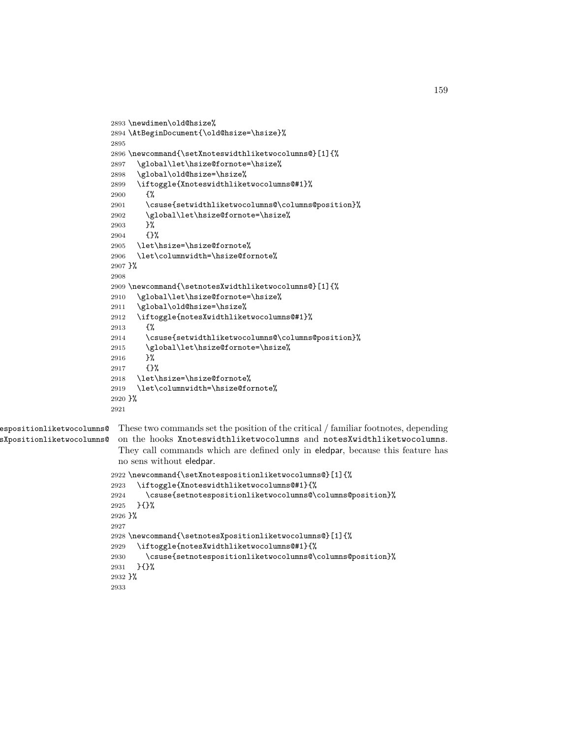```
2893 \newdimen\old@hsize%
                                 2894 \AtBeginDocument{\old@hsize=\hsize}%
                                 2895
                                 2896 \newcommand{\setXnoteswidthliketwocolumns@}[1]{%
                                 2897 \global\let\hsize@fornote=\hsize%
                                 2898 \global\old@hsize=\hsize%
                                 2899 \iftoggle{Xnoteswidthliketwocolumns@#1}%
                                 2900 {%
                                 2901 \csuse{setwidthliketwocolumns@\columns@position}%
                                 2902 \global\let\hsize@fornote=\hsize%
                                 2903 }%
                                 2904 {}%
                                 2905 \let\hsize=\hsize@fornote%
                                 2906 \let\columnwidth=\hsize@fornote%
                                 2907 }%
                                 2908
                                 2909 \newcommand{\setnotesXwidthliketwocolumns@}[1]{%
                                 2910 \global\let\hsize@fornote=\hsize%
                                 2911 \global\old@hsize=\hsize%
                                 2912 \iftoggle{notesXwidthliketwocolumns@#1}%
                                 2913 {%
                                 2914 \csuse{setwidthliketwocolumns@\columns@position}%
                                 2915 \global\let\hsize@fornote=\hsize%
                                 2916 }%
                                 2917 {}%
                                 2918 \let\hsize=\hsize@fornote%
                                 2919 \let\columnwidth=\hsize@fornote%
                                 2920 }%
                                 2921
\epsilonspositionliketwocolumns@ These two commands set the position of the critical / familiar footnotes, depending
        sXpositionliketwocolumns@
                                  on the hooks Xnoteswidthliketwocolumns and notesXwidthliketwocolumns.
                                  They call commands which are defined only in eledpar, because this feature has
                                  no sens without eledpar.
```

```
2922 \newcommand{\setXnotespositionliketwocolumns@}[1]{%
2923 \iftoggle{Xnoteswidthliketwocolumns@#1}{%
2924 \csuse{setnotespositionliketwocolumns@\columns@position}%
2925 }{}%
2926 }%
2927
2928 \newcommand{\setnotesXpositionliketwocolumns@}[1]{%
2929 \iftoggle{notesXwidthliketwocolumns@#1}{%
2930 \csuse{setnotespositionliketwocolumns@\columns@position}%
2931 }{}%
2932 }%
2933
```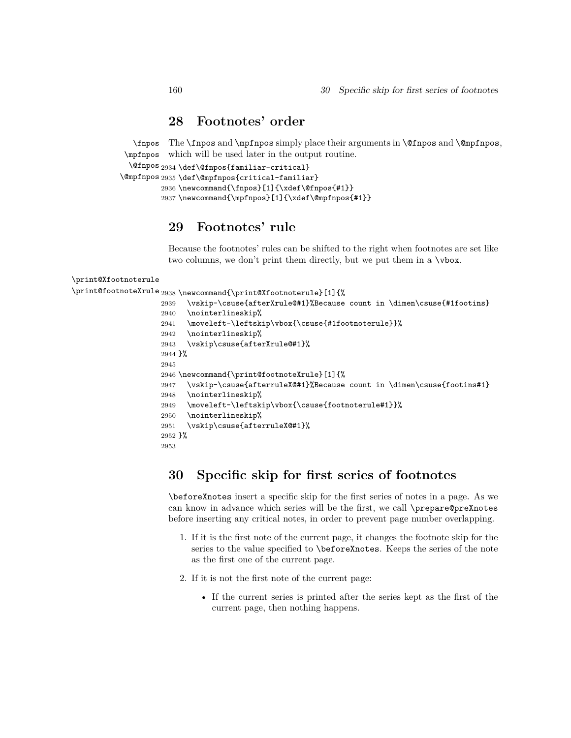## **28 Footnotes' order**

\fnpos \mpfnpos which will be used later in the output routine. The \fnpos and \mpfnpos simply place their arguments in \@fnpos and \@mpfnpos,

```
\@fnpos
2934 \def\@fnpos{familiar-critical}
```

```
\@mpfnpos
2935 \def\@mpfnpos{critical-familiar}
         2936 \newcommand{\fnpos}[1]{\xdef\@fnpos{#1}}
         2937 \newcommand{\mpfnpos}[1]{\xdef\@mpfnpos{#1}}
```
# **29 Footnotes' rule**

Because the footnotes' rules can be shifted to the right when footnotes are set like two columns, we don't print them directly, but we put them in a  $\forall$ box.

```
\print@Xfootnoterule
\print@footnoteXrule 2938 \newcommand{\print@Xfootnoterule}[1]{%
                    2939 \vskip-\csuse{afterXrule@#1}%Because count in \dimen\csuse{#1footins}
                    2940 \nointerlineskip%
                    2941 \moveleft-\leftskip\vbox{\csuse{#1footnoterule}}%
                    2942 \nointerlineskip%
                    2943 \vskip\csuse{afterXrule@#1}%
                    2944 }%
                    2945
                    2946 \newcommand{\print@footnoteXrule}[1]{%
                    2947 \vskip-\csuse{afterruleX@#1}%Because count in \dimen\csuse{footins#1}
                    2948 \nointerlineskip%
                    2949 \moveleft-\leftskip\vbox{\csuse{footnoterule#1}}%
                    2950 \nointerlineskip%
                    2951 \vskip\csuse{afterruleX@#1}%
                    2952 }%
                    2953
```
# **30 Specific skip for first series of footnotes**

\beforeXnotes insert a specific skip for the first series of notes in a page. As we can know in advance which series will be the first, we call \prepare@preXnotes before inserting any critical notes, in order to prevent page number overlapping.

- 1. If it is the first note of the current page, it changes the footnote skip for the series to the value specified to \beforeXnotes. Keeps the series of the note as the first one of the current page.
- 2. If it is not the first note of the current page:
	- If the current series is printed after the series kept as the first of the current page, then nothing happens.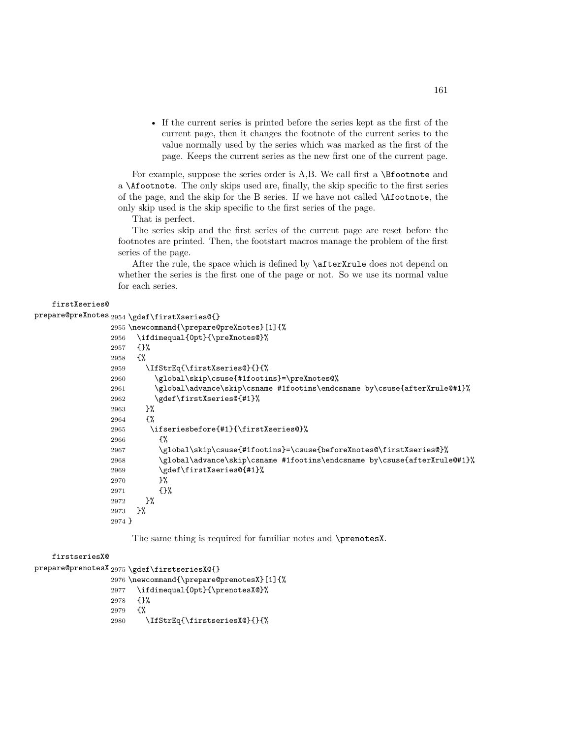• If the current series is printed before the series kept as the first of the current page, then it changes the footnote of the current series to the value normally used by the series which was marked as the first of the page. Keeps the current series as the new first one of the current page.

For example, suppose the series order is A,B. We call first a \Bfootnote and a \Afootnote. The only skips used are, finally, the skip specific to the first series of the page, and the skip for the B series. If we have not called \Afootnote, the only skip used is the skip specific to the first series of the page.

That is perfect.

The series skip and the first series of the current page are reset before the footnotes are printed. Then, the footstart macros manage the problem of the first series of the page.

After the rule, the space which is defined by \afterXrule does not depend on whether the series is the first one of the page or not. So we use its normal value for each series.

#### firstXseries@

```
prepare@preXnotes 2954 \gdef\firstXseries@{}
                 2955 \newcommand{\prepare@preXnotes}[1]{%
                 2956 \ifdimequal{0pt}{\preXnotes@}%
```

```
2957 {}%
2958 {%
2959 \IfStrEq{\firstXseries@}{}{%
2960 \global\skip\csuse{#1footins}=\preXnotes@%
2961 \global\advance\skip\csname #1footins\endcsname by\csuse{afterXrule@#1}%
2962 \gdef\firstXseries@{#1}%
2963 }%
2964 {%
2965 \ifseriesbefore{#1}{\firstXseries@}%
2966 {%
2967 \global\skip\csuse{#1footins}=\csuse{beforeXnotes@\firstXseries@}%
2968 \global\advance\skip\csname #1footins\endcsname by\csuse{afterXrule@#1}%
2969 \gdef\firstXseries@{#1}%
2970 }%
2971 {}%
2972 }%
2973 }%
2974 }
```
The same thing is required for familiar notes and \prenotesX.

#### firstseriesX@

```
prepare@prenotesX 2975 \gdef\firstseriesX@{}
                 2976 \newcommand{\prepare@prenotesX}[1]{%
                 2977 \ifdimequal{0pt}{\prenotesX@}%
                 2978 {}%
                 2979 {%
                 2980 \IfStrEq{\firstseriesX@}{}{%
```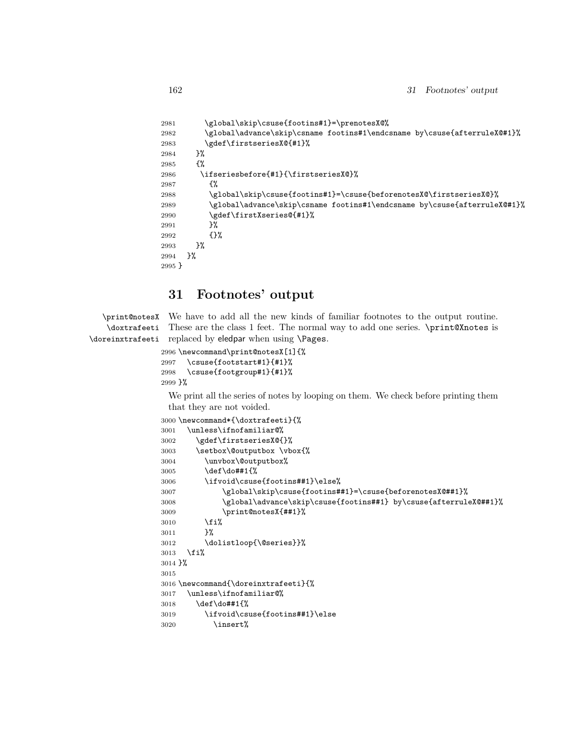```
2981 \global\skip\csuse{footins#1}=\prenotesX@%
2982 \global\advance\skip\csname footins#1\endcsname by\csuse{afterruleX@#1}%
2983 \gdef\firstseriesX@{#1}%
2984 }%
2985 {%
2986 \ifseriesbefore{#1}{\firstseriesX@}%
2987 {%
2988 \global\skip\csuse{footins#1}=\csuse{beforenotesX@\firstseriesX@}%
2989 \global\advance\skip\csname footins#1\endcsname by\csuse{afterruleX@#1}%
2990 \gdef\firstXseries@{#1}%
2991 }%
2992 {}%
2993 }%
2994 }%
2995 }
```
# **31 Footnotes' output**

\print@notesX \doxtrafeeti \doreinxtrafeeti We have to add all the new kinds of familiar footnotes to the output routine. These are the class 1 feet. The normal way to add one series. \print@Xnotes is replaced by eledpar when using \Pages.

```
2996 \newcommand\print@notesX[1]{%
2997 \csuse{footstart#1}{#1}%
2998 \csuse{footgroup#1}{#1}%
2999 }%
```
We print all the series of notes by looping on them. We check before printing them that they are not voided.

```
3000 \newcommand*{\doxtrafeeti}{%
3001 \unless\ifnofamiliar@%
3002 \gdef\firstseriesX@{}%
3003 \setbox\@outputbox \vbox{%
3004 \unvbox\@outputbox%
3005 \def\do##1{%
3006 \ifvoid\csuse{footins##1}\else%
3007 \global\skip\csuse{footins##1}=\csuse{beforenotesX@##1}%
3008 \global\advance\skip\csuse{footins##1} by\csuse{afterruleX@##1}%
3009 \print@notesX{##1}%
3010 \overline{\forall}3011 }%
3012 \dolistloop{\@series}}%
3013 \fi%
3014 }%
3015
3016 \newcommand{\doreinxtrafeeti}{%
3017 \unless\ifnofamiliar@%
3018 \def\do##1{%
3019 \ifvoid\csuse{footins##1}\else
3020 \insert%
```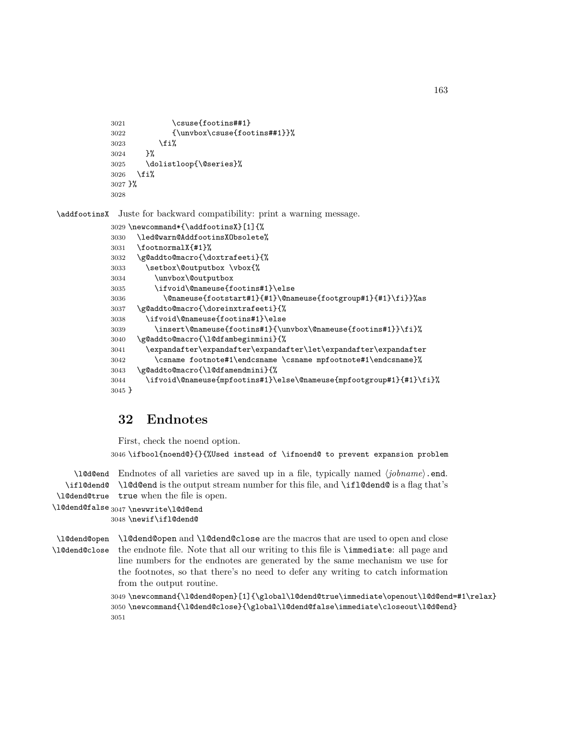```
3021 \csuse{footins##1}
3022 {\unvbox\csuse{footins##1}}%
3023 \{f_i\}3024 }%
3025 \dolistloop{\@series}%
3026 \fi%
3027 }%
3028
```
\addfootinsX Juste for backward compatibility: print a warning message.

```
3029 \newcommand*{\addfootinsX}[1]{%
3030 \led@warn@AddfootinsXObsolete%
3031 \footnormalX{#1}%
3032 \g@addto@macro{\doxtrafeeti}{%
3033 \setbox\@outputbox \vbox{%
3034 \unvbox\@outputbox
3035 \ifvoid\@nameuse{footins#1}\else
3036 \@nameuse{footstart#1}{#1}\@nameuse{footgroup#1}{#1}\fi}}%as
3037 \g@addto@macro{\doreinxtrafeeti}{%
3038 \ifvoid\@nameuse{footins#1}\else
3039 \insert\@nameuse{footins#1}{\unvbox\@nameuse{footins#1}}\fi}%
3040 \g@addto@macro{\l@dfambeginmini}{%
3041 \expandafter\expandafter\expandafter\let\expandafter\expandafter
3042 \csname footnote#1\endcsname \csname mpfootnote#1\endcsname}%
3043 \g@addto@macro{\l@dfamendmini}{%
3044 \ifvoid\@nameuse{mpfootins#1}\else\@nameuse{mpfootgroup#1}{#1}\fi}%
3045 }
```
# **32 Endnotes**

First, check the noend option.

\ifbool{noend@}{}{%Used instead of \ifnoend@ to prevent expansion problem

\l@d@end Endnotes of all varieties are saved up in a file, typically named *⟨jobname⟩*.end. \ifl@dend@ \l@d@end is the output stream number for this file, and \ifl@dend@ is a flag that's \l@dend@true true when the file is open.

```
\l@dend@false
3047 \newwrite\l@d@end
```

```
3048 \newif\ifl@dend@
```
\l@dend@open \l@dend@open and \l@dend@close are the macros that are used to open and close \l@dend@close the endnote file. Note that all our writing to this file is \immediate: all page and line numbers for the endnotes are generated by the same mechanism we use for the footnotes, so that there's no need to defer any writing to catch information from the output routine.

```
3049 \newcommand{\l@dend@open}[1]{\global\l@dend@true\immediate\openout\l@d@end=#1\relax}
3050 \newcommand{\l@dend@close}{\global\l@dend@false\immediate\closeout\l@d@end}
3051
```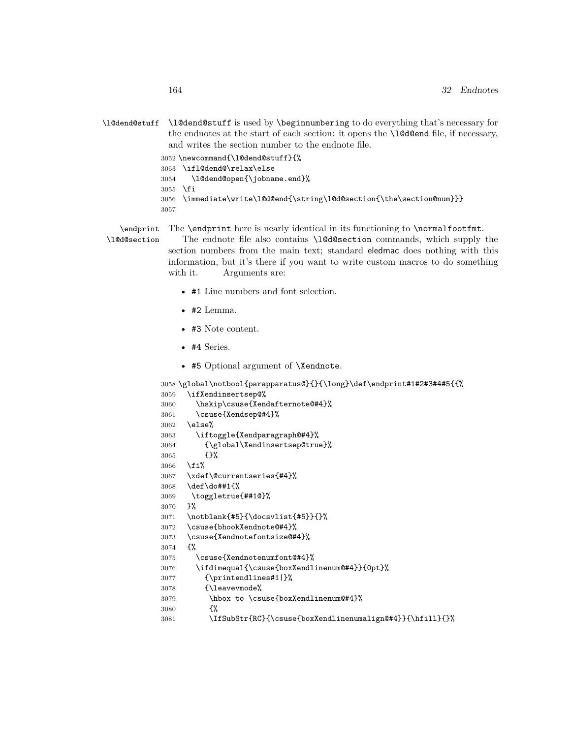\l@dend@stuff \l@dend@stuff is used by \beginnumbering to do everything that's necessary for the endnotes at the start of each section: it opens the **\l@d@end** file, if necessary, and writes the section number to the endnote file.

```
3052 \newcommand{\l@dend@stuff}{%
3053 \ifl@dend@\relax\else
3054 \l@dend@open{\jobname.end}%
3055 \fi
3056 \immediate\write\l@d@end{\string\l@d@section{\the\section@num}}}
3057
```
\endprint The \endprint here is nearly identical in its functioning to \normalfootfmt.

```
\l@d@section
```
The endnote file also contains \l@d@section commands, which supply the section numbers from the main text; standard eledmac does nothing with this information, but it's there if you want to write custom macros to do something with it. Arguments are:

- #1 Line numbers and font selection.
- #2 Lemma.
- #3 Note content.
- #4 Series.
- #5 Optional argument of **\Xendnote**.

```
3058 \global\notbool{parapparatus@}{}{\long}\def\endprint#1#2#3#4#5{{%
3059 \ifXendinsertsep@%
3060 \hskip\csuse{Xendafternote@#4}%
```

```
3061 \csuse{Xendsep@#4}%
3062 \else%
3063 \iftoggle{Xendparagraph@#4}%
3064 {\global\Xendinsertsep@true}%
3065 {}%
3066 \fi%
3067 \xdef\@currentseries{#4}%
3068 \def\do##1{%
3069 \toggletrue{##1@}%
3070 }%
3071 \notblank{#5}{\docsvlist{#5}}{}%
3072 \csuse{bhookXendnote@#4}%
3073 \csuse{Xendnotefontsize@#4}%
3074 {%
3075 \csuse{Xendnotenumfont@#4}%
3076 \ifdimequal{\csuse{boxXendlinenum@#4}}{0pt}%
3077 {\printendlines#1|}%
3078 {\leavevmode%
3079 \hbox to \csuse{boxXendlinenum@#4}%
3080 {%
3081 \IfSubStr{RC}{\csuse{boxXendlinenumalign@#4}}{\hfill}{}%
```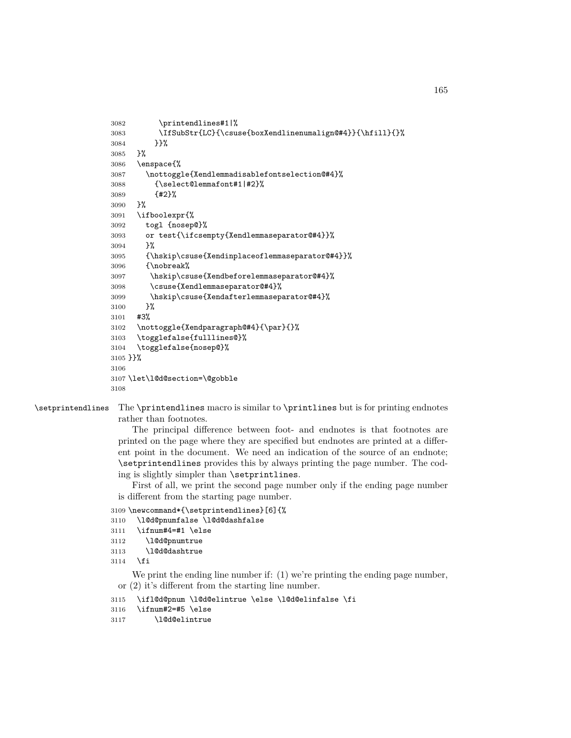```
3082 \printendlines#1|%
3083 \IfSubStr{LC}{\csuse{boxXendlinenumalign@#4}}{\hfill}{}%
3084 }}%
3085 }%
3086 \enspace{%
3087 \nottoggle{Xendlemmadisablefontselection@#4}%
3088 {\select@lemmafont#1|#2}%
3089 {#2}%
3090 }%
3091 \ifboolexpr{%
3092 togl {nosep@}%
3093 or test{\ifcsempty{Xendlemmaseparator@#4}}%
3094 }%
3095 {\hskip\csuse{Xendinplaceoflemmaseparator@#4}}%
3096 {\nobreak%
3097 \hskip\csuse{Xendbeforelemmaseparator@#4}%
3098 \csuse{Xendlemmaseparator@#4}%
3099 \hskip\csuse{Xendafterlemmaseparator@#4}%
3100 }%
3101 #3%
3102 \nottoggle{Xendparagraph@#4}{\par}{}%
3103 \togglefalse{fulllines@}%
3104 \togglefalse{nosep@}%
3105 }}%
3106
3107 \let\l@d@section=\@gobble
3108
```
\setprintendlines The \printendlines macro is similar to \printlines but is for printing endnotes

rather than footnotes.

The principal difference between foot- and endnotes is that footnotes are printed on the page where they are specified but endnotes are printed at a different point in the document. We need an indication of the source of an endnote; \setprintendlines provides this by always printing the page number. The coding is slightly simpler than \setprintlines.

First of all, we print the second page number only if the ending page number is different from the starting page number.

```
3109 \newcommand*{\setprintendlines}[6]{%
```

```
3110 \l@d@pnumfalse \l@d@dashfalse
```
\ifnum#4=#1 \else

```
3112 \l@d@pnumtrue
```

```
3113 \l@d@dashtrue
```

```
3114 \fi
```
We print the ending line number if: (1) we're printing the ending page number, or (2) it's different from the starting line number.

```
3115 \ifl@d@pnum \l@d@elintrue \else \l@d@elinfalse \fi
```

```
3116 \ifnum#2=#5 \else
```

```
3117 \l@d@elintrue
```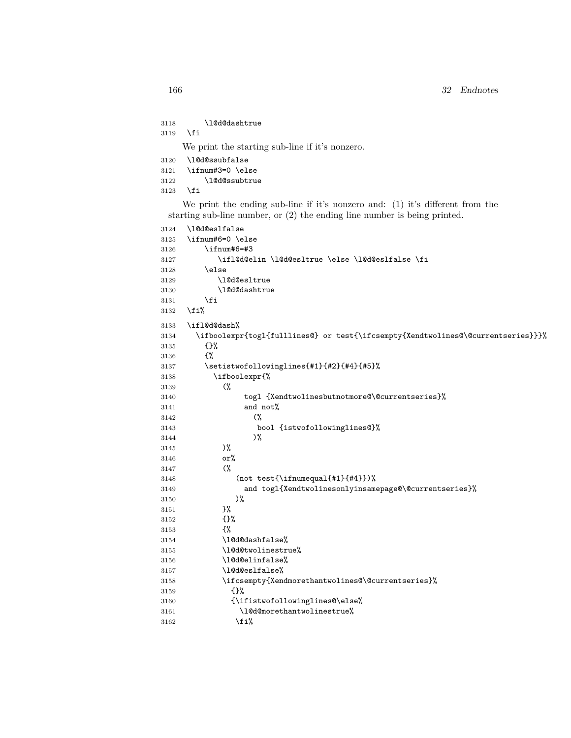\l@d@dashtrue \fi

We print the starting sub-line if it's nonzero.

| 3120 | \l@d@ssubfalse   |  |  |  |
|------|------------------|--|--|--|
| 3121 | \ifnum#3=0 \else |  |  |  |
| 3122 | \1@d@ssubtrue    |  |  |  |
| 3123 | \fi              |  |  |  |

We print the ending sub-line if it's nonzero and: (1) it's different from the starting sub-line number, or (2) the ending line number is being printed.

| 3124 | \1@d@eslfalse                                                                    |
|------|----------------------------------------------------------------------------------|
| 3125 | \ifnum#6=0 \else                                                                 |
| 3126 | \ifnum#6=#3                                                                      |
| 3127 | \ifl@d@elin \l@d@esltrue \else \l@d@eslfalse \fi                                 |
| 3128 | \else                                                                            |
| 3129 | \1@d@esltrue                                                                     |
| 3130 | \10d0dashtrue                                                                    |
| 3131 | \fi                                                                              |
| 3132 | \fi%                                                                             |
| 3133 | \ifl@d@dash%                                                                     |
| 3134 | \ifboolexpr{togl{fulllines@} or test{\ifcsempty{Xendtwolines@\@currentseries}}}% |
| 3135 | $\{$ }%                                                                          |
| 3136 | £%                                                                               |
| 3137 | \setistwofollowinglines{#1}{#2}{#4}{#5}%                                         |
| 3138 | \ifboolexpr{%                                                                    |
| 3139 | $\frac{6}{3}$                                                                    |
| 3140 | togl {Xendtwolinesbutnotmore@\@currentseries}%                                   |
| 3141 | and not%                                                                         |
| 3142 | $\frac{6}{3}$                                                                    |
| 3143 | bool {istwofollowinglines@}%                                                     |
| 3144 | $)\%$                                                                            |
| 3145 | $)\%$                                                                            |
| 3146 | or%                                                                              |
| 3147 | $\gamma$                                                                         |
| 3148 | (not test{\ifnumequal{#1}{#4}})%                                                 |
| 3149 | and togl{Xendtwolinesonlyinsamepage@\@currentseries}%                            |
| 3150 | $)\%$                                                                            |
| 3151 | }‰                                                                               |
| 3152 | $\{ \}$ %                                                                        |
| 3153 | €%                                                                               |
| 3154 | \10d0dashfalse%                                                                  |
| 3155 | \l@d@twolinestrue%                                                               |
| 3156 | \10d0elinfalse%                                                                  |
| 3157 | \10d0eslfalse%                                                                   |
| 3158 | \ifcsempty{Xendmorethantwolines@\@currentseries}%                                |
| 3159 | {}‰                                                                              |
| 3160 | {\ifistwofollowinglines@\else%                                                   |
| 3161 | \10d0morethantwolinestrue%                                                       |
| 3162 | \fi%                                                                             |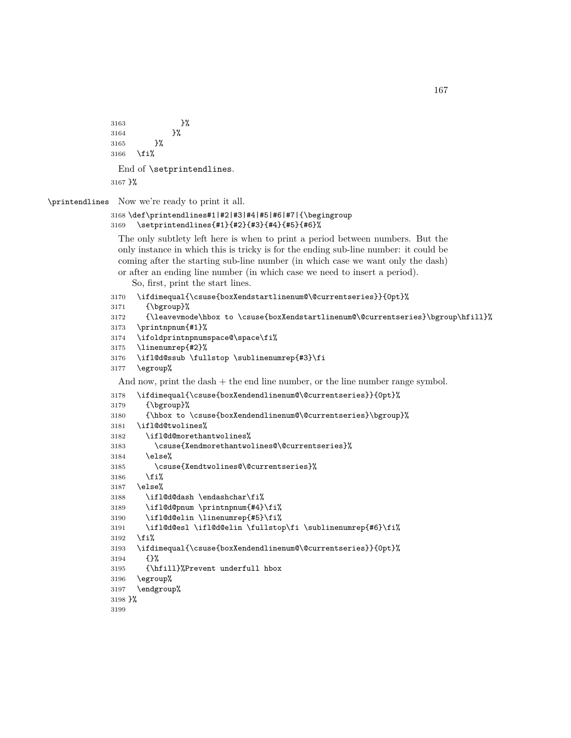```
3163 }%
3164 }%
3165 }%
3166 \fi%
 End of \setprintendlines.
3167 }%
```
\printendlines Now we're ready to print it all.

```
3168 \def\printendlines#1|#2|#3|#4|#5|#6|#7|{\begingroup
3169 \setprintendlines{#1}{#2}{#3}{#4}{#5}{#6}%
```
The only subtlety left here is when to print a period between numbers. But the only instance in which this is tricky is for the ending sub-line number: it could be coming after the starting sub-line number (in which case we want only the dash) or after an ending line number (in which case we need to insert a period).

So, first, print the start lines.

```
3170 \ifdimequal{\csuse{boxXendstartlinenum@\@currentseries}}{0pt}%
```

```
3171 {\bgroup}%
```

```
3172 {\leavevmode\hbox to \csuse{boxXendstartlinenum@\@currentseries}\bgroup\hfill}%
```

```
3173 \printnpnum{#1}%
```

```
3174 \ifoldprintnpnumspace@\space\fi%
```

```
3175 \linenumrep{#2}%
```

```
3176 \ifl@d@ssub \fullstop \sublinenumrep{#3}\fi
```

```
3177 \egroup%
```
And now, print the dash + the end line number, or the line number range symbol.

```
3178 \ifdimequal{\csuse{boxXendendlinenum@\@currentseries}}{0pt}%
3179 {\bgroup}%
3180 {\hbox to \csuse{boxXendendlinenum@\@currentseries}\bgroup}%
3181 \ifl@d@twolines%
3182 \ifl@d@morethantwolines%
3183 \csuse{Xendmorethantwolines@\@currentseries}%
3184 \else%
3185 \csuse{Xendtwolines@\@currentseries}%
3186 \fi%
3187 \else%
3188 \ifl@d@dash \endashchar\fi%
3189 \ifl@d@pnum \printnpnum{#4}\fi%
3190 \ifl@d@elin \linenumrep{#5}\fi%
3191 \ifl@d@esl \ifl@d@elin \fullstop\fi \sublinenumrep{#6}\fi%
3192 \fi%
3193 \ifdimequal{\csuse{boxXendendlinenum@\@currentseries}}{0pt}%
3194 {}%
3195 {\hfill}%Prevent underfull hbox
3196 \egroup%
3197 \endgroup%
3198 }%
3199
```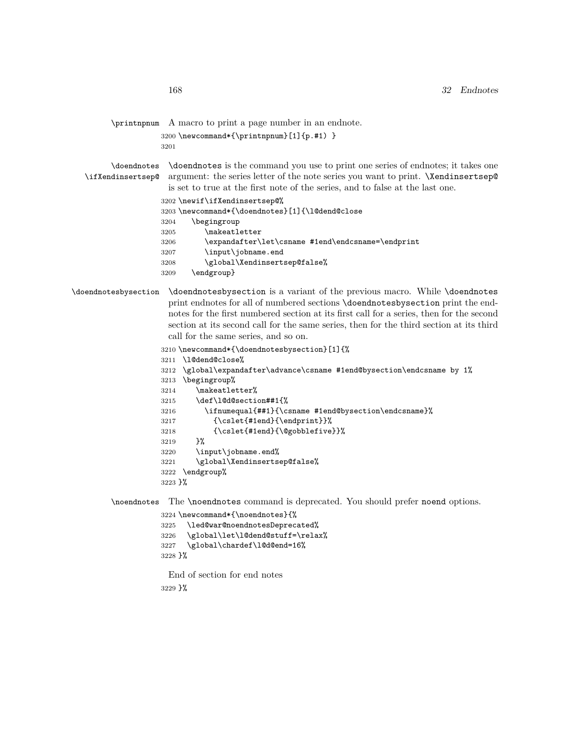```
\printnpnum A macro to print a page number in an endnote.
```

```
3200 \newcommand*{\printnpnum}[1]{p.#1) }
3201
```
\doendnotes \doendnotes is the command you use to print one series of endnotes; it takes one \ifXendinsertsep@ argument: the series letter of the note series you want to print. \Xendinsertsep@ is set to true at the first note of the series, and to false at the last one.

\newif\ifXendinsertsep@%

```
3203 \newcommand*{\doendnotes}[1]{\l@dend@close
```

```
3204 \begingroup
```

```
3205 \makeatletter
```
\expandafter\let\csname #1end\endcsname=\endprint

```
3207 \input\jobname.end
```

```
3208 \global\Xendinsertsep@false%
```
\endgroup}

### \doendnotesbysection \doendnotesbysection is a variant of the previous macro. While \doendnotes print endnotes for all of numbered sections \doendnotesbysection print the endnotes for the first numbered section at its first call for a series, then for the second section at its second call for the same series, then for the third section at its third call for the same series, and so on.

\newcommand\*{\doendnotesbysection}[1]{%

```
3211 \l@dend@close%
```

```
3212 \global\expandafter\advance\csname #1end@bysection\endcsname by 1%
```

```
3213 \begingroup%
```

```
3214 \makeatletter%
```

```
3215 \def\l@d@section##1{%
```

```
3216 \ifnumequal{##1}{\csname #1end@bysection\endcsname}%
```

```
3217 {\cslet{#1end}{\endprint}}%
```

```
3218 {\cslet{#1end}{\@gobblefive}}%
```

```
3219 }%
```

```
3220 \input\jobname.end%
3221 \global\Xendinsertsep@false%
```

```
3222 \endgroup%
```
}%

\noendnotes The \noendnotes command is deprecated. You should prefer noend options.

```
3224 \newcommand*{\noendnotes}{%
3225 \led@war@noendnotesDeprecated%
3226 \global\let\l@dend@stuff=\relax%
3227 \global\chardef\l@d@end=16%
3228 }%
```
End of section for end notes

}%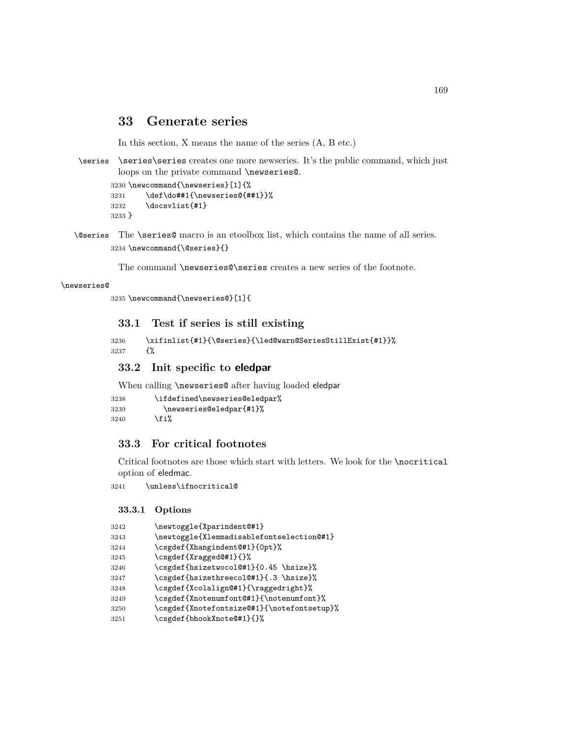# **33 Generate series**

In this section, X means the name of the series (A, B etc.)

\series \series\series creates one more newseries. It's the public command, which just loops on the private command \newseries@.

```
3230 \newcommand{\newseries}[1]{%
3231 \def\do##1{\newseries@{##1}}%
3232 \docsvlist{#1}
3233 }
```
\@series The \series@ macro is an etoolbox list, which contains the name of all series. \newcommand{\@series}{}

The command **\newseries@\series** creates a new series of the footnote.

#### \newseries@

```
3235 \newcommand{\newseries@}[1]{
```
## **33.1 Test if series is still existing**

```
3236 \xifinlist{#1}{\@series}{\led@warn@SeriesStillExist{#1}}%
3237 {%
```
### **33.2 Init specific to eledpar**

When calling \newseries@ after having loaded eledpar

```
3238 \ifdefined\newseries@eledpar%
3239 \newseries@eledpar{#1}%
3240 \fi%
```
### **33.3 For critical footnotes**

Critical footnotes are those which start with letters. We look for the \nocritical option of eledmac.

\unless\ifnocritical@

#### **33.3.1 Options**

| 3242 | \newtoggle{Xparindent@#1}                  |
|------|--------------------------------------------|
| 3243 | \newtoggle{Xlemmadisablefontselection@#1}  |
| 3244 | \csgdef{Xhangindent@#1}{0pt}%              |
| 3245 | \csgdef{Xragged@#1}{}%                     |
| 3246 | \csgdef{hsizetwocol@#1}{0.45 \hsize}%      |
| 3247 | \csgdef{hsizethreecol@#1}{.3 \hsize}%      |
| 3248 | \csgdef{Xcolalign@#1}{\raggedright}%       |
| 3249 | \csgdef{Xnotenumfont@#1}{\notenumfont}%    |
| 3250 | \csgdef{Xnotefontsize@#1}{\notefontsetup}% |
| 3251 | \csgdef{bhookXnote@#1}{}%                  |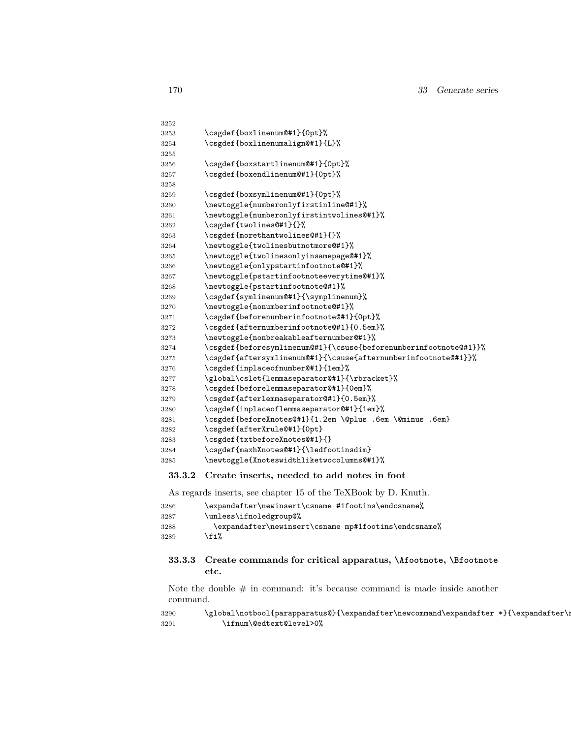| 3252 |                                                                  |
|------|------------------------------------------------------------------|
| 3253 | \csgdef{boxlinenum@#1}{0pt}%                                     |
| 3254 | \csgdef{boxlinenumalign@#1}{L}%                                  |
| 3255 |                                                                  |
| 3256 | \csgdef{boxstartlinenum@#1}{0pt}%                                |
| 3257 | \csgdef{boxendlinenum@#1}{Opt}%                                  |
| 3258 |                                                                  |
| 3259 | \csgdef{boxsymlinenum@#1}{Opt}%                                  |
| 3260 | \newtoggle{numberonlyfirstinline@#1}%                            |
| 3261 | \newtoggle{numberonlyfirstintwolines@#1}%                        |
| 3262 | \csgdef{twolines@#1}{}%                                          |
| 3263 | \csgdef{morethantwolines@#1}{}%                                  |
| 3264 | \newtoggle{twolinesbutnotmore@#1}%                               |
| 3265 | \newtoggle{twolinesonlyinsamepage@#1}%                           |
| 3266 | \newtoggle{onlypstartinfootnote@#1}%                             |
| 3267 | \newtoggle{pstartinfootnoteeverytime@#1}%                        |
| 3268 | \newtoggle{pstartinfootnote@#1}%                                 |
| 3269 | \csgdef{symlinenum@#1}{\symplinenum}%                            |
| 3270 | \newtoggle{nonumberinfootnote@#1}%                               |
| 3271 | \csgdef{beforenumberinfootnote@#1}{0pt}%                         |
| 3272 | \csgdef{afternumberinfootnote@#1}{0.5em}%                        |
| 3273 | \newtoggle{nonbreakableafternumber@#1}%                          |
| 3274 | \csgdef{beforesymlinenum@#1}{\csuse{beforenumberinfootnote@#1}}% |
| 3275 | \csgdef{aftersymlinenum@#1}{\csuse{afternumberinfootnote@#1}}%   |
| 3276 | \csgdef{inplaceofnumber@#1}{1em}%                                |
| 3277 | \global\cslet{lemmaseparator@#1}{\rbracket}%                     |
| 3278 | \csgdef{beforelemmaseparator@#1}{0em}%                           |
| 3279 | \csgdef{afterlemmaseparator@#1}{0.5em}%                          |
| 3280 | \csgdef{inplaceoflemmaseparator@#1}{1em}%                        |
| 3281 | \csgdef{beforeXnotes@#1}{1.2em \@plus .6em \@minus .6em}         |
| 3282 | \csgdef{afterXrule@#1}{0pt}                                      |
| 3283 | \csgdef{txtbeforeXnotes@#1}{}                                    |
| 3284 | \csgdef{maxhXnotes@#1}{\ledfootinsdim}                           |
| 3285 | \newtoggle{Xnoteswidthliketwocolumns@#1}%                        |

### **33.3.2 Create inserts, needed to add notes in foot**

As regards inserts, see chapter 15 of the TeXBook by D. Knuth.

| 3286 | \expandafter\newinsert\csname #1footins\endcsname%   |
|------|------------------------------------------------------|
| 3287 | \unless\ifnoledgroup@%                               |
| 3288 | \expandafter\newinsert\csname mp#1footins\endcsname% |
| 3289 | \fi%                                                 |

### **33.3.3 Create commands for critical apparatus, \Afootnote, \Bfootnote etc.**

Note the double  $\#$  in command: it's because command is made inside another command.

#### $3290 \verb|\global\notbool{parapparatus@}{\expandafter\newcommand{\expandafter*}{\expandafter}$ \ifnum\@edtext@level>0%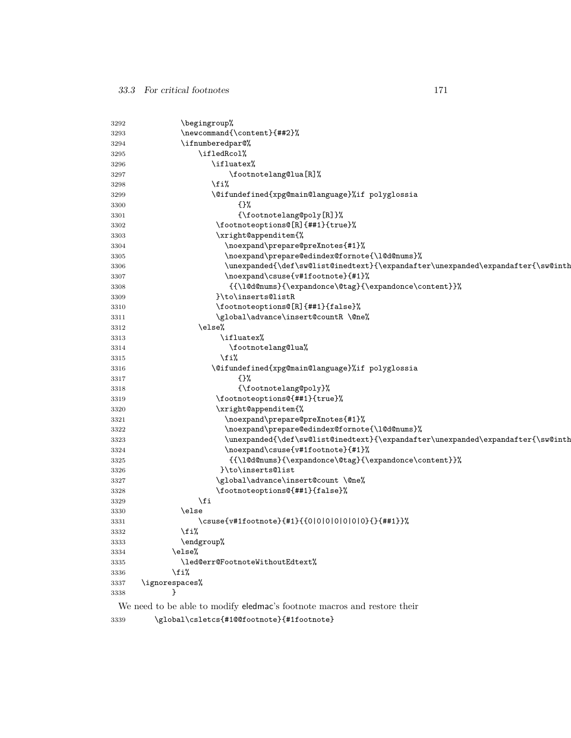| 3292 | \begingroup%                                                                                              |  |
|------|-----------------------------------------------------------------------------------------------------------|--|
| 3293 | \newcommand{\content}{##2}%                                                                               |  |
| 3294 | \ifnumberedpar@%                                                                                          |  |
| 3295 | \ifledRcol%                                                                                               |  |
| 3296 | \ifluatex%                                                                                                |  |
| 3297 | \footnotelang@lua[R]%                                                                                     |  |
| 3298 | ∖fi%                                                                                                      |  |
| 3299 | \@ifundefined{xpg@main@language}%if polyglossia                                                           |  |
| 3300 | $\{ \}$ %                                                                                                 |  |
| 3301 | {\footnotelang@poly[R]}%                                                                                  |  |
| 3302 | \footnoteoptions@[R]{##1}{true}%                                                                          |  |
| 3303 | \xright@appenditem{%                                                                                      |  |
| 3304 | \noexpand\prepare@preXnotes{#1}%                                                                          |  |
| 3305 | \noexpand\prepare@edindex@fornote{\1@d@nums}%                                                             |  |
| 3306 | \unexpanded{\def\sw@list@inedtext}{\expandafter\unexpanded\expandafter{\sw@inth                           |  |
| 3307 | \noexpand\csuse{v#1footnote}{#1}%                                                                         |  |
| 3308 | {{\l@d@nums}{\expandonce\@tag}{\expandonce\content}}%                                                     |  |
| 3309 | }\to\inserts@listR                                                                                        |  |
| 3310 | \footnoteoptions@[R]{##1}{false}%                                                                         |  |
| 3311 | \global\advance\insert@countR \@ne%                                                                       |  |
| 3312 | \else%                                                                                                    |  |
| 3313 | \ifluatex%                                                                                                |  |
| 3314 | \footnotelang@lua%                                                                                        |  |
| 3315 | \fi%                                                                                                      |  |
| 3316 | \@ifundefined{xpg@main@language}%if polyglossia                                                           |  |
| 3317 | $\{ \}$ %                                                                                                 |  |
| 3318 | {\footnotelang@poly}%                                                                                     |  |
| 3319 | \footnoteoptions@{##1}{true}%                                                                             |  |
| 3320 | \xright@appenditem{%                                                                                      |  |
| 3321 | \noexpand\prepare@preXnotes{#1}%                                                                          |  |
| 3322 | \noexpand\prepare@edindex@fornote{\1@d@nums}%                                                             |  |
| 3323 | \unexpanded{\def\sw@list@inedtext}{\expandafter\unexpanded\expandafter{\sw@inth                           |  |
| 3324 | \noexpand\csuse{v#1footnote}{#1}%                                                                         |  |
| 3325 | ${\label{label:main} $$ \{ \l\odot\} {\expandonce\otag} {\expandonce\ototag} \Big\} \quad \text{ and} $$$ |  |
| 3326 | }\to\inserts@list                                                                                         |  |
| 3327 | \global\advance\insert@count \@ne%                                                                        |  |
| 3328 | \footnoteoptions@{##1}{false}%                                                                            |  |
| 3329 | \fi                                                                                                       |  |
| 3330 | \else                                                                                                     |  |
| 3331 | \csuse{v#1footnote}{#1}{{0 0 0 0 0 0}{}{##1}}%                                                            |  |
| 3332 | \fi%                                                                                                      |  |
| 3333 | \endgroup%                                                                                                |  |
| 3334 | \else%                                                                                                    |  |
| 3335 | \led@err@FootnoteWithoutEdtext%                                                                           |  |
| 3336 | \fi%                                                                                                      |  |
| 3337 | \ignorespaces%                                                                                            |  |
| 3338 |                                                                                                           |  |

We need to be able to modify eledmac's footnote macros and restore their

\global\csletcs{#1@@footnote}{#1footnote}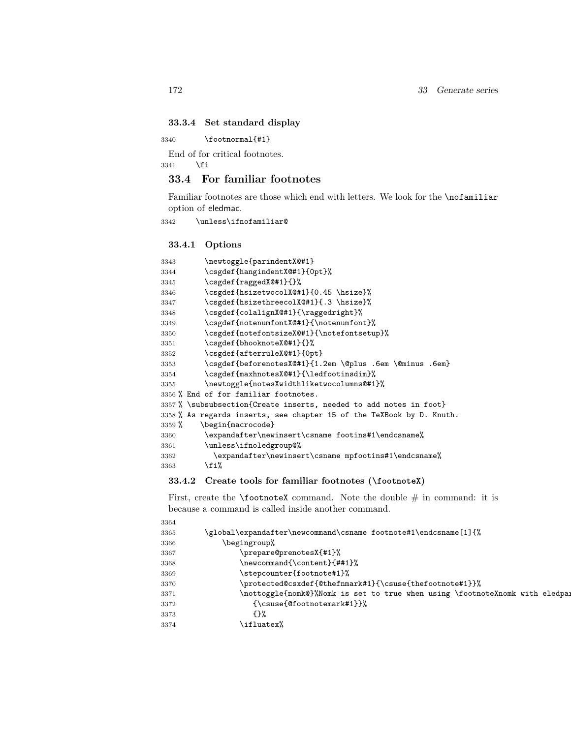### **33.3.4 Set standard display**

\footnormal{#1}

End of for critical footnotes.

\fi

# **33.4 For familiar footnotes**

Familiar footnotes are those which end with letters. We look for the \nofamiliar option of eledmac.

\unless\ifnofamiliar@

### **33.4.1 Options**

| 3343     | \newtoggle{parindentX@#1}                                             |
|----------|-----------------------------------------------------------------------|
| 3344     | \csgdef{hangindentX@#1}{0pt}%                                         |
| 3345     | \csgdef{raggedX@#1}{}%                                                |
| 3346     | \csgdef{hsizetwocolX@#1}{0.45 \hsize}%                                |
| 3347     | \csgdef{hsizethreecolX@#1}{.3 \hsize}%                                |
| 3348     | \csgdef{colalignX@#1}{\raggedright}%                                  |
| 3349     | \csgdef{notenumfontX@#1}{\notenumfont}%                               |
| 3350     | \csgdef{notefontsizeX@#1}{\notefontsetup}%                            |
| 3351     | \csgdef{bhooknoteX@#1}{}%                                             |
| 3352     | \csgdef{afterruleX@#1}{0pt}                                           |
| 3353     | \csgdef{beforenotesX@#1}{1.2em \@plus .6em \@minus .6em}              |
| 3354     | \csgdef{maxhnotesX@#1}{\ledfootinsdim}%                               |
| 3355     | \newtoggle{notesXwidthliketwocolumns@#1}%                             |
|          | 3356 % End of for familiar footnotes.                                 |
|          | 3357 % \subsubsection{Create inserts, needed to add notes in foot}    |
|          | 3358 % As regards inserts, see chapter 15 of the TeXBook by D. Knuth. |
| $3359\%$ | \begin{macrocode}                                                     |
| 3360     | \expandafter\newinsert\csname footins#1\endcsname%                    |
| 3361     | \unless\ifnoledgroup@%                                                |
| 3362     | \expandafter\newinsert\csname mpfootins#1\endcsname%                  |
| 3363     | \fi%                                                                  |

### **33.4.2 Create tools for familiar footnotes (\footnoteX)**

First, create the **\footnoteX** command. Note the double  $\#$  in command: it is because a command is called inside another command.

| 3364 |                                                                              |
|------|------------------------------------------------------------------------------|
| 3365 | \global\expandafter\newcommand\csname footnote#1\endcsname[1]{%              |
| 3366 | \begingroup%                                                                 |
| 3367 | \prepare@prenotesX{#1}%                                                      |
| 3368 | \newcommand{\content}{##1}%                                                  |
| 3369 | \stepcounter{footnote#1}%                                                    |
| 3370 | \protected@csxdef{@thefnmark#1}{\csuse{thefootnote#1}}%                      |
| 3371 | \nottoggle{nomk@}%Nomk is set to true when using \footnoteXnomk with eledpar |
| 3372 | $\{\text{Csuse}(\text{Otootment#1}\}\)$                                      |
| 3373 | {ን‰                                                                          |
| 3374 | \ifluatex%                                                                   |
|      |                                                                              |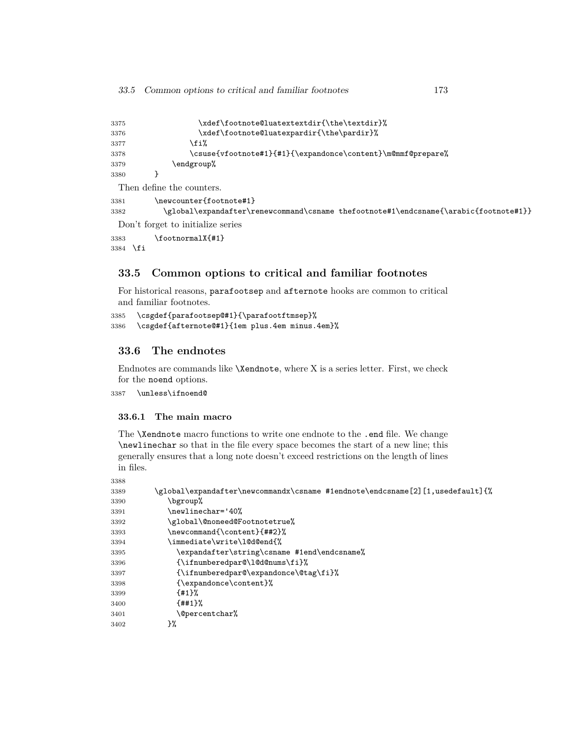| 3375                      | \xdef\footnote@luatextextdir{\the\textdir}%                 |  |  |
|---------------------------|-------------------------------------------------------------|--|--|
| 3376                      | \xdef\footnote@luatexpardir{\the\pardir}%                   |  |  |
| 3377                      | \fi%                                                        |  |  |
| 3378                      | \csuse{vfootnote#1}{#1}{\expandonce\content}\m@mmf@prepare% |  |  |
| 3379                      | \endgroup%                                                  |  |  |
| 3380                      |                                                             |  |  |
| Then define the counters. |                                                             |  |  |
| 3381                      | \newcounter{footnote#1}                                     |  |  |

 \global\expandafter\renewcommand\csname thefootnote#1\endcsname{\arabic{footnote#1}} Don't forget to initialize series

\footnormalX{#1}

\fi

## **33.5 Common options to critical and familiar footnotes**

For historical reasons, parafootsep and afternote hooks are common to critical and familiar footnotes.

```
3385 \csgdef{parafootsep@#1}{\parafootftmsep}%
3386 \csgdef{afternote@#1}{1em plus.4em minus.4em}%
```
## **33.6 The endnotes**

Endnotes are commands like \Xendnote, where X is a series letter. First, we check for the noend options.

\unless\ifnoend@

#### **33.6.1 The main macro**

The **\Xendnote** macro functions to write one endnote to the .end file. We change \newlinechar so that in the file every space becomes the start of a new line; this generally ensures that a long note doesn't exceed restrictions on the length of lines in files.

| 3388 |                                                                               |
|------|-------------------------------------------------------------------------------|
| 3389 | \global\expandafter\newcommandx\csname #1endnote\endcsname[2][1,usedefault]{% |
| 3390 | \bgroup%                                                                      |
| 3391 | \newlinechar='40%                                                             |
| 3392 | \global\@noneed@Footnotetrue%                                                 |
| 3393 | \newcommand{\content}{##2}%                                                   |
| 3394 | \immediate\write\l@d@end{%                                                    |
| 3395 | \expandafter\string\csname #1end\endcsname%                                   |
| 3396 | $\{\ifmmode\text{10d@nums\\fi}\right\}$                                       |
| 3397 | {\ifnumberedpar@\expandonce\@tag\fi}%                                         |
| 3398 | {\expandonce\content}%                                                        |
| 3399 | ${41\%}$                                                                      |
| 3400 | ${4#1}$                                                                       |
| 3401 | <b>\@percentchar%</b>                                                         |
| 3402 | }%                                                                            |
|      |                                                                               |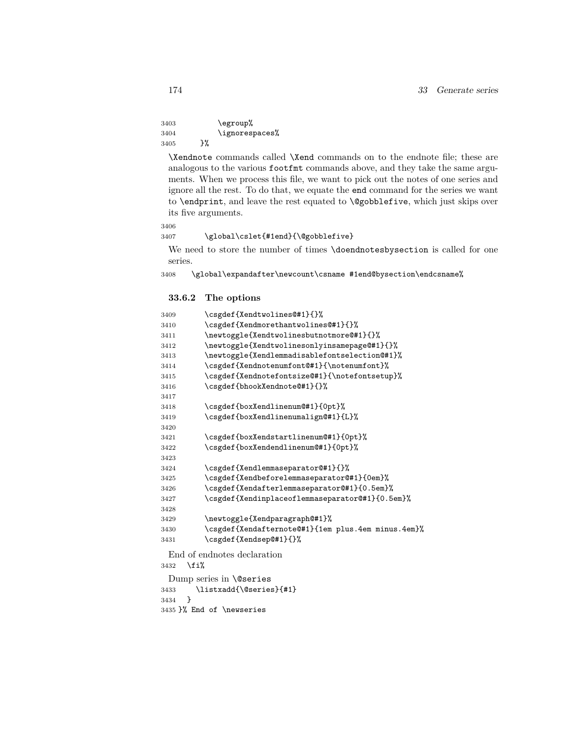```
3403 \egroup%
3404 \ignorespaces%
3405 }%
```
\Xendnote commands called \Xend commands on to the endnote file; these are analogous to the various footfmt commands above, and they take the same arguments. When we process this file, we want to pick out the notes of one series and ignore all the rest. To do that, we equate the end command for the series we want to \endprint, and leave the rest equated to \@gobblefive, which just skips over its five arguments.

```
3406
```
#### 3407 \global\cslet{#1end}{\@gobblefive}

We need to store the number of times \doendnotesbysection is called for one series.

 $3408 \label{10b1} $$$ 

### **33.6.2 The options**

| 3409                      | \csgdef{Xendtwolines@#1}{}%                        |  |
|---------------------------|----------------------------------------------------|--|
| 3410                      | \csgdef{Xendmorethantwolines@#1}{}%                |  |
| 3411                      | \newtoggle{Xendtwolinesbutnotmore@#1}{}%           |  |
| 3412                      | \newtoggle{Xendtwolinesonlyinsamepage@#1}{}%       |  |
| 3413                      | \newtoggle{Xendlemmadisablefontselection@#1}%      |  |
| 3414                      | \csgdef{Xendnotenumfont@#1}{\notenumfont}%         |  |
| 3415                      | \csgdef{Xendnotefontsize@#1}{\notefontsetup}%      |  |
| 3416                      | \csgdef{bhookXendnote@#1}{}%                       |  |
| 3417                      |                                                    |  |
| 3418                      | \csgdef{boxXendlinenum@#1}{0pt}%                   |  |
| 3419                      | \csgdef{boxXendlinenumalign@#1}{L}%                |  |
| 3420                      |                                                    |  |
| 3421                      | \csgdef{boxXendstartlinenum@#1}{0pt}%              |  |
| 3422                      | \csgdef{boxXendendlinenum@#1}{0pt}%                |  |
| 3423                      |                                                    |  |
| 3424                      | \csgdef{Xendlemmaseparator@#1}{}%                  |  |
| 3425                      | \csgdef{Xendbeforelemmaseparator@#1}{0em}%         |  |
| 3426                      | \csgdef{Xendafterlemmaseparator@#1}{0.5em}%        |  |
| 3427                      | \csgdef{Xendinplaceoflemmaseparator@#1}{0.5em}%    |  |
| 3428                      |                                                    |  |
| 3429                      | \newtoggle{Xendparagraph@#1}%                      |  |
| 3430                      | \csgdef{Xendafternote@#1}{1em plus.4em minus.4em}% |  |
| 3431                      | \csgdef{Xendsep@#1}{}%                             |  |
|                           | End of endnotes declaration                        |  |
| \fi%<br>3432              |                                                    |  |
|                           | Dump series in $\Q$ series                         |  |
| 3433                      | \listxadd{\@series}{#1}                            |  |
| ł<br>3434                 |                                                    |  |
| 3435 }% End of \newseries |                                                    |  |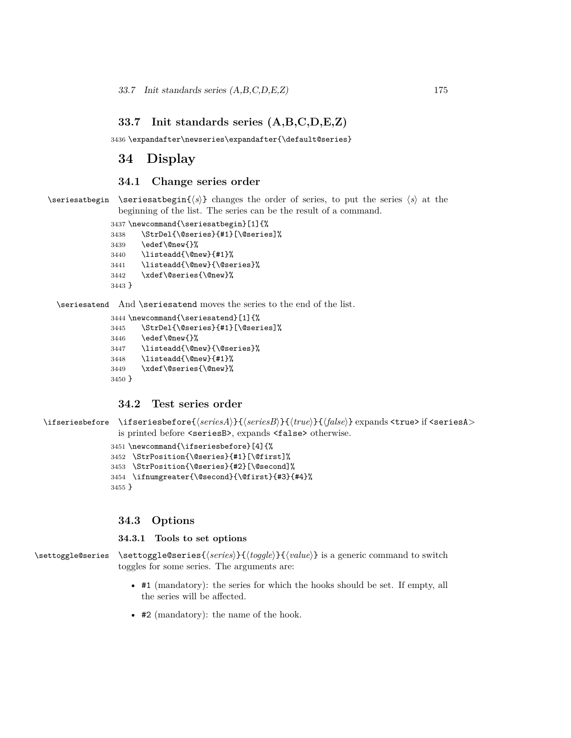## **33.7 Init standards series (A,B,C,D,E,Z)**

3436 \expandafter\newseries\expandafter{\default@series}

# **34 Display**

### **34.1 Change series order**

\seriesatbegin \seriesatbegin{*⟨s⟩*} changes the order of series, to put the series *⟨s⟩* at the beginning of the list. The series can be the result of a command.

```
3437 \newcommand{\seriesatbegin}[1]{%
3438 \StrDel{\@series}{#1}[\@series]%
3439 \edef\@new{}%
3440 \listeadd{\@new}{#1}%
3441 \listeadd{\@new}{\@series}%
3442 \xdef\@series{\@new}%
3443 }
```
\seriesatend And \seriesatend moves the series to the end of the list.

```
3444 \newcommand{\seriesatend}[1]{%
3445 \StrDel{\@series}{#1}[\@series]%
3446 \edef\@new{}%
3447 \listeadd{\@new}{\@series}%
3448 \listeadd{\@new}{#1}%
3449 \xdef\@series{\@new}%
3450 }
```
## **34.2 Test series order**

```
\ifseriesbefore \ifseriesbefore{⟨seriesA⟩}{⟨seriesB⟩}{⟨true⟩}{⟨false⟩} expands <true> if <seriesA>
                 is printed before <seriesB>, expands <false> otherwise.
```

```
3451 \newcommand{\ifseriesbefore}[4]{%
```

```
3452 \StrPosition{\@series}{#1}[\@first]%
```
3453 \StrPosition{\@series}{#2}[\@second]% 3454 \ifnumgreater{\@second}{\@first}{#3}{#4}%

```
3455 }
```
## **34.3 Options**

#### **34.3.1 Tools to set options**

\settoggle@series \settoggle@series{*⟨series⟩*}{*⟨toggle⟩*}{*⟨value⟩*} is a generic command to switch toggles for some series. The arguments are:

- #1 (mandatory): the series for which the hooks should be set. If empty, all the series will be affected.
- #2 (mandatory): the name of the hook.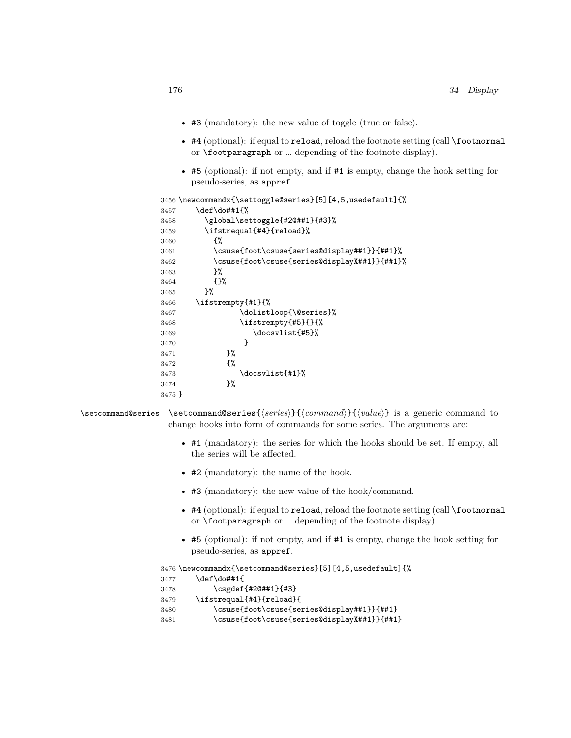- #3 (mandatory): the new value of toggle (true or false).
- #4 (optional): if equal to reload, reload the footnote setting (call \footnormal or \footparagraph or … depending of the footnote display).
- #5 (optional): if not empty, and if #1 is empty, change the hook setting for pseudo-series, as appref.

```
3456 \newcommandx{\settoggle@series}[5][4,5,usedefault]{%
3457 \def\do##1{%
3458 \global\settoggle{#2@##1}{#3}%
3459 \ifstrequal{#4}{reload}%
3460 {%
3461 \csuse{foot\csuse{series@display##1}}{##1}%
3462 \csuse{foot\csuse{series@displayX##1}}{##1}%
3463 }%
3464 \{ \}%
3465
3466 \ifstrempty{#1}{%
3467 \dolistloop{\@series}%
3468 \ifstrempty{#5}{}{%
3469 \docsvlist{#5}%
3470 }<br>3471 }%
3471
3472 {%
3473 \docsvlist{#1}%
3474 }%
3475 }
```

```
\setcommand@series \setcommand@series{⟨series⟩}{⟨command⟩}{⟨value⟩} is a generic command to
                   change hooks into form of commands for some series. The arguments are:
```
- #1 (mandatory): the series for which the hooks should be set. If empty, all the series will be affected.
- #2 (mandatory): the name of the hook.
- #3 (mandatory): the new value of the hook/command.
- #4 (optional): if equal to reload, reload the footnote setting (call \footnormal or \footparagraph or … depending of the footnote display).
- #5 (optional): if not empty, and if #1 is empty, change the hook setting for pseudo-series, as appref.

```
3476 \newcommandx{\setcommand@series}[5][4,5,usedefault]{%
3477 \def\do##1{
3478 \csgdef{#2@##1}{#3}
3479 \ifstrequal{#4}{reload}{
3480 \csuse{foot\csuse{series@display##1}}{##1}
3481 \csuse{foot\csuse{series@displayX##1}}{##1}
```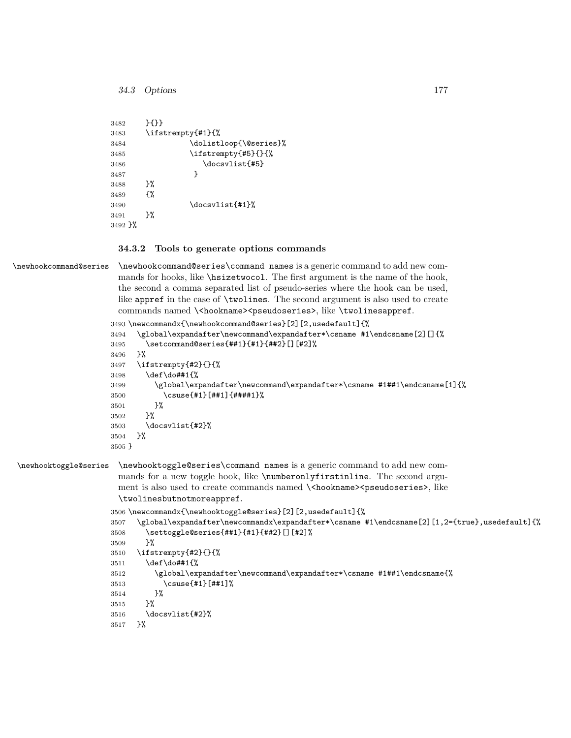```
34.3 Options 177
```

| 3482    | ${+}$                  |
|---------|------------------------|
| 3483    | \ifstrempty{#1}{%      |
| 3484    | \dolistloop{\@series}% |
| 3485    | \ifstrempty{#5}{}{%    |
| 3486    | \docsvlist{#5}         |
| 3487    | ł                      |
| 3488    | ጉ%                     |
| 3489    | ብ"                     |
| 3490    | \docsvlist{#1}%        |
| 3491    | ን%                     |
| 3492 }% |                        |

#### **34.3.2 Tools to generate options commands**

\newhookcommand@series \newhookcommand@series\command names is a generic command to add new commands for hooks, like \hsizetwocol. The first argument is the name of the hook, the second a comma separated list of pseudo-series where the hook can be used, like appref in the case of \twolines. The second argument is also used to create commands named \<hookname><pseudoseries>, like \twolinesappref.

```
3493 \newcommandx{\newhookcommand@series}[2][2,usedefault]{%
3494 \global\expandafter\newcommand\expandafter*\csname #1\endcsname[2][]{%
3495 \setcommand@series{##1}{#1}{##2}[][#2]%
3496 }%
3497 \ifstrempty{#2}{}{%
3498 \def\do##1{%
3499 \global\expandafter\newcommand\expandafter*\csname #1##1\endcsname[1]{%
3500 \csuse{#1}[##1]{####1}%
3501 }%
3502 }%
3503 \docsvlist{#2}%
3504 }%
3505 }
```
\newhooktoggle@series \newhooktoggle@series\command names is a generic command to add new commands for a new toggle hook, like \numberonlyfirstinline. The second argument is also used to create commands named  $\{\text{coms} \}$  seudoseries>, like \twolinesbutnotmoreappref.

```
3506 \newcommandx{\newhooktoggle@series}[2][2,usedefault]{%
3507 \global\expandafter\newcommandx\expandafter*\csname #1\endcsname[2][1,2={true},usedefault]{%
3508 \settoggle@series{##1}{#1}{##2}[][#2]%
3509 }%
3510 \ifstrempty{#2}{}{%
3511 \def\do##1{%
3512 \global\expandafter\newcommand\expandafter*\csname #1##1\endcsname{%
3513 \csuse{#1}[##1]%
3514 }%
3515 }%
3516 \docsvlist{#2}%
3517 }%
```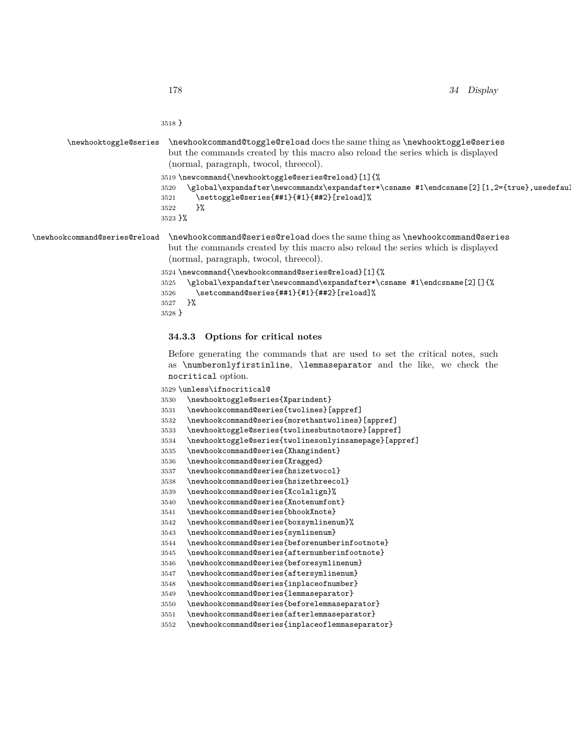}

## \newhooktoggle@series \newhookcommand@toggle@reload does the same thing as \newhooktoggle@series but the commands created by this macro also reload the series which is displayed (normal, paragraph, twocol, threecol). \newcommand{\newhooktoggle@series@reload}[1]{% 3520 \global\expandafter\newcommandx\expandafter\*\csname #1\endcsname [2][1,2={true},usedefault] \settoggle@series{##1}{#1}{##2}[reload]% }% }% \newhookcommand@series@reload \newhookcommand@series@reload does the same thing as \newhookcommand@series

but the commands created by this macro also reload the series which is displayed (normal, paragraph, twocol, threecol).

```
3524 \newcommand{\newhookcommand@series@reload}[1]{%
3525 \global\expandafter\newcommand\expandafter*\csname #1\endcsname[2][]{%
3526 \setcommand@series{##1}{#1}{##2}[reload]%
3527 }%
```

```
3528 }
```
#### **34.3.3 Options for critical notes**

Before generating the commands that are used to set the critical notes, such as \numberonlyfirstinline, \lemmaseparator and the like, we check the nocritical option.

\unless\ifnocritical@

| 3530 | \newhooktoggle@series{Xparindent}                     |
|------|-------------------------------------------------------|
| 3531 | \newhookcommand@series{twolines}[appref]              |
| 3532 | \newhookcommand@series{morethantwolines}[appref]      |
| 3533 | \newhooktoggle@series{twolinesbutnotmore}[appref]     |
| 3534 | \newhooktoggle@series{twolinesonlyinsamepage}[appref] |
| 3535 | \newhookcommand@series{Xhangindent}                   |
| 3536 | \newhookcommand@series{Xragged}                       |
| 3537 | \newhookcommand@series{hsizetwocol}                   |
| 3538 | \newhookcommand@series{hsizethreecol}                 |
| 3539 | \newhookcommand@series{Xcolalign}%                    |
| 3540 | \newhookcommand@series{Xnotenumfont}                  |
| 3541 | \newhookcommand@series{bhookXnote}                    |
| 3542 | \newhookcommand@series{boxsymlinenum}%                |
| 3543 | \newhookcommand@series{symlinenum}                    |
| 3544 | \newhookcommand@series{beforenumberinfootnote}        |
| 3545 | \newhookcommand@series{afternumberinfootnote}         |
| 3546 | \newhookcommand@series{beforesymlinenum}              |
| 3547 | \newhookcommand@series{aftersymlinenum}               |
| 3548 | \newhookcommand@series{inplaceofnumber}               |
| 3549 | \newhookcommand@series{lemmaseparator}                |
| 3550 | \newhookcommand@series{beforelemmaseparator}          |
| 3551 | \newhookcommand@series{afterlemmaseparator}           |
| 3552 | \newhookcommand@series{inplaceoflemmaseparator}       |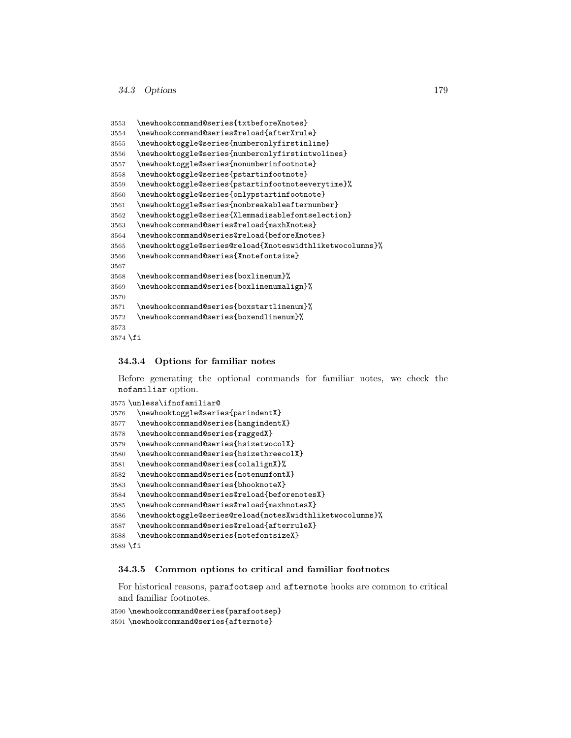```
3553 \newhookcommand@series{txtbeforeXnotes}
3554 \newhookcommand@series@reload{afterXrule}
3555 \newhooktoggle@series{numberonlyfirstinline}
3556 \newhooktoggle@series{numberonlyfirstintwolines}
3557 \newhooktoggle@series{nonumberinfootnote}
3558 \newhooktoggle@series{pstartinfootnote}
3559 \newhooktoggle@series{pstartinfootnoteeverytime}%
3560 \newhooktoggle@series{onlypstartinfootnote}
3561 \newhooktoggle@series{nonbreakableafternumber}
3562 \newhooktoggle@series{Xlemmadisablefontselection}
3563 \newhookcommand@series@reload{maxhXnotes}
3564 \newhookcommand@series@reload{beforeXnotes}
3565 \newhooktoggle@series@reload{Xnoteswidthliketwocolumns}%
3566 \newhookcommand@series{Xnotefontsize}
3567
3568 \newhookcommand@series{boxlinenum}%
3569 \newhookcommand@series{boxlinenumalign}%
3570
3571 \newhookcommand@series{boxstartlinenum}%
3572 \newhookcommand@series{boxendlinenum}%
3573
3574 \fi
```
#### **34.3.4 Options for familiar notes**

Before generating the optional commands for familiar notes, we check the nofamiliar option.

```
3575 \unless\ifnofamiliar@
3576 \newhooktoggle@series{parindentX}
3577 \newhookcommand@series{hangindentX}
3578 \newhookcommand@series{raggedX}
3579 \newhookcommand@series{hsizetwocolX}
3580 \newhookcommand@series{hsizethreecolX}
3581 \newhookcommand@series{colalignX}%
3582 \newhookcommand@series{notenumfontX}
3583 \newhookcommand@series{bhooknoteX}
3584 \newhookcommand@series@reload{beforenotesX}
3585 \newhookcommand@series@reload{maxhnotesX}
3586 \newhooktoggle@series@reload{notesXwidthliketwocolumns}%
3587 \newhookcommand@series@reload{afterruleX}
3588 \newhookcommand@series{notefontsizeX}
3589 \fi
```
#### **34.3.5 Common options to critical and familiar footnotes**

For historical reasons, parafootsep and afternote hooks are common to critical and familiar footnotes.

```
3590 \newhookcommand@series{parafootsep}
```

```
3591 \newhookcommand@series{afternote}
```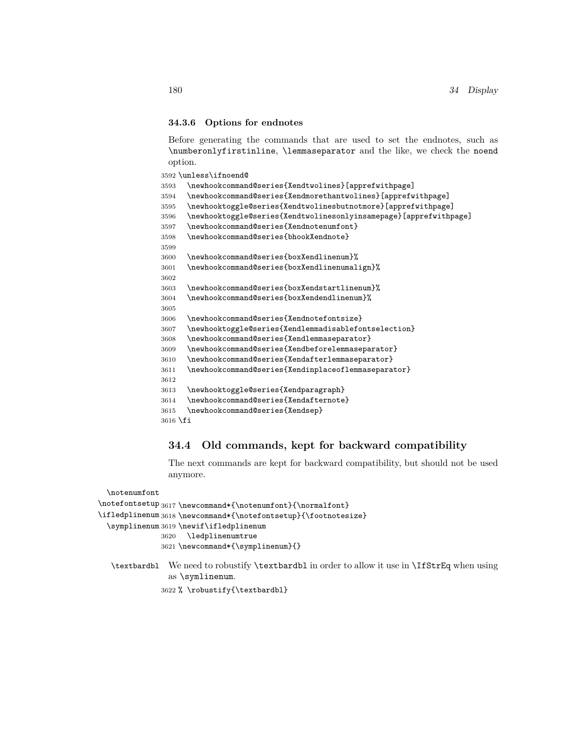#### **34.3.6 Options for endnotes**

Before generating the commands that are used to set the endnotes, such as \numberonlyfirstinline, \lemmaseparator and the like, we check the noend option.

\unless\ifnoend@

| 3593       | \newhookcommand@series{Xendtwolines}[apprefwithpage]              |
|------------|-------------------------------------------------------------------|
| 3594       | \newhookcommand@series{Xendmorethantwolines}[apprefwithpage]      |
| 3595       | \newhooktoggle@series{Xendtwolinesbutnotmore}[apprefwithpage]     |
| 3596       | \newhooktoggle@series{Xendtwolinesonlyinsamepage}[apprefwithpage] |
| 3597       | \newhookcommand@series{Xendnotenumfont}                           |
| 3598       | \newhookcommand@series{bhookXendnote}                             |
| 3599       |                                                                   |
| 3600       | \newhookcommand@series{boxXendlinenum}%                           |
| 3601       | \newhookcommand@series{boxXendlinenumalign}%                      |
| 3602       |                                                                   |
| 3603       | \newhookcommand@series{boxXendstartlinenum}%                      |
| 3604       | \newhookcommand@series{boxXendendlinenum}%                        |
| 3605       |                                                                   |
| 3606       | \newhookcommand@series{Xendnotefontsize}                          |
| 3607       | \newhooktoggle@series{Xendlemmadisablefontselection}              |
| 3608       | \newhookcommand@series{Xendlemmaseparator}                        |
| 3609       | \newhookcommand@series{Xendbeforelemmaseparator}                  |
| 3610       | \newhookcommand@series{Xendafterlemmaseparator}                   |
| 3611       | \newhookcommand@series{Xendinplaceoflemmaseparator}               |
| 3612       |                                                                   |
| 3613       | \newhooktoggle@series{Xendparagraph}                              |
| 3614       | \newhookcommand@series{Xendafternote}                             |
| 3615       | \newhookcommand@series{Xendsep}                                   |
| $3616$ \fi |                                                                   |
|            |                                                                   |

## **34.4 Old commands, kept for backward compatibility**

The next commands are kept for backward compatibility, but should not be used anymore.

```
\notenumfont
\notefontsetup 3617\newcommand*{\notenumfont}{\normalfont}
\ifledplinenum 3618 \newcommand*{\notefontsetup}{\footnotesize}
  \symplinenum
3619 \newif\ifledplinenum
              3620 \ledplinenumtrue
              3621 \newcommand*{\symplinenum}{}
  \textbardbl We need to robustify \textbardbl in order to allow it use in \IfStrEq when using
```

```
as \symlinenum.
```
% \robustify{\textbardbl}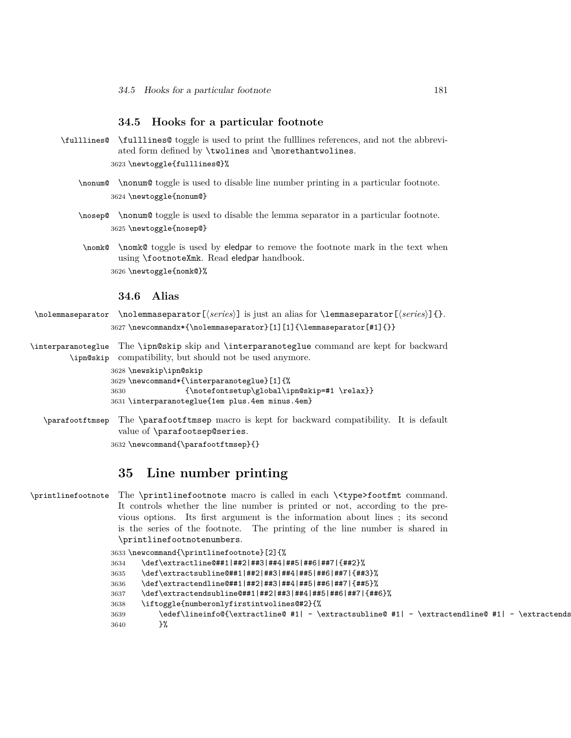#### **34.5 Hooks for a particular footnote**

\fulllines@ \fulllines@ toggle is used to print the fulllines references, and not the abbreviated form defined by \twolines and \morethantwolines.

3623 \newtoggle{fulllines@}%

- \nonum@ \nonum@ toggle is used to disable line number printing in a particular footnote. 3624 \newtoggle{nonum@}
- \nosep@ \nonum@ toggle is used to disable the lemma separator in a particular footnote. 3625 \newtoggle{nosep@}
- \nomk@ \nomk@ toggle is used by eledpar to remove the footnote mark in the text when using \footnoteXmk. Read eledpar handbook. 3626 \newtoggle{nomk@}%

#### **34.6 Alias**

\nolemmaseparator \nolemmaseparator[*⟨series⟩*] is just an alias for \lemmaseparator[*⟨series⟩*]{}. 3627 \newcommandx\*{\nolemmaseparator}[1][1]{\lemmaseparator[#1]{}}

\interparanoteglue The \ipn@skip skip and \interparanoteglue command are kept for backward \ipn@skip compatibility, but should not be used anymore.

```
3628 \newskip\ipn@skip
3629 \newcommand*{\interparanoteglue}[1]{%
3630 {\notefontsetup\global\ipn@skip=#1 \relax}}
3631 \interparanoteglue{1em plus.4em minus.4em}
```
\parafootftmsep The \parafootftmsep macro is kept for backward compatibility. It is default value of \parafootsep@series.

3632 \newcommand{\parafootftmsep}{}

# **35 Line number printing**

\printlinefootnote The \printlinefootnote macro is called in each \<type>footfmt command. It controls whether the line number is printed or not, according to the previous options. Its first argument is the information about lines ; its second is the series of the footnote. The printing of the line number is shared in \printlinefootnotenumbers.

```
3633 \newcommand{\printlinefootnote}[2]{%
3634 \def\extractline@##1|##2|##3|##4|##5|##6|##7|{##2}%
3635 \def\extractsubline@##1|##2|##3|##4|##5|##6|##7|{##3}%
3636 \def\extractendline@##1|##2|##3|##4|##5|##6|##7|{##5}%
3637 \def\extractendsubline@##1|##2|##3|##4|##5|##6|##7|{##6}%
3638 \iftoggle{numberonlyfirstintwolines@#2}{%
3639 \edef\lineinfo@{\extractline@ #1| - \extractsubline@ #1| - \extractendline@ #1| - \extractends
3640 }%
```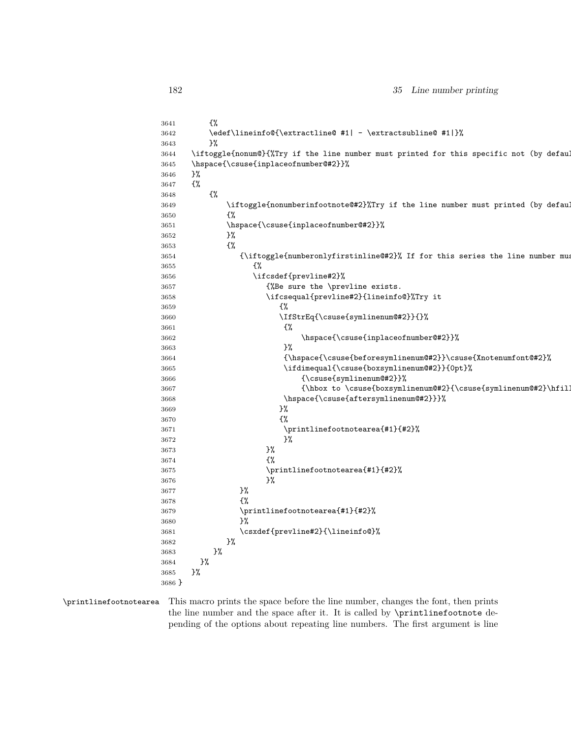| 3641   | ₹%                                                                                      |
|--------|-----------------------------------------------------------------------------------------|
| 3642   | \edef\lineinfo@{\extractline@ #1  - \extractsubline@ #1 }%                              |
| 3643   | }%                                                                                      |
| 3644   | \iftoggle{nonum@}{%Try if the line number must printed for this specific not (by defaul |
| 3645   | \hspace{\csuse{inplaceofnumber@#2}}%                                                    |
| 3646   | }‰                                                                                      |
| 3647   | {%                                                                                      |
|        | $\frac{1}{2}$                                                                           |
| 3648   |                                                                                         |
| 3649   | \iftoggle{nonumberinfootnote@#2}%Try if the line number must printed (by defaul         |
| 3650   | £%                                                                                      |
| 3651   | \hspace{\csuse{inplaceofnumber@#2}}%                                                    |
| 3652   | }%                                                                                      |
| 3653   | {%                                                                                      |
| 3654   | {\iftoggle{numberonlyfirstinline@#2}% If for this series the line number must           |
| 3655   | £%                                                                                      |
| 3656   | \ifcsdef{prevline#2}%                                                                   |
| 3657   | {%Be sure the \prevline exists.                                                         |
| 3658   | \ifcsequal{prevline#2}{lineinfo@}%Try it                                                |
| 3659   | {%                                                                                      |
| 3660   | \IfStrEq{\csuse{symlinenum@#2}}{}%                                                      |
| 3661   | €%                                                                                      |
| 3662   | \hspace{\csuse{inplaceofnumber@#2}}%                                                    |
| 3663   | }%                                                                                      |
| 3664   | {\hspace{\csuse{beforesymlinenum@#2}}\csuse{Xnotenumfont@#2}%                           |
| 3665   | \ifdimequal{\csuse{boxsymlinenum@#2}}{0pt}%                                             |
| 3666   | {\csuse{symlinenum@#2}}%                                                                |
| 3667   | {\hbox to \csuse{boxsymlinenum@#2}{\csuse{symlinenum@#2}\hfil]                          |
| 3668   | \hspace{\csuse{aftersymlinenum@#2}}}%                                                   |
| 3669   | }‰                                                                                      |
| 3670   | ₹%                                                                                      |
| 3671   | \printlinefootnotearea{#1}{#2}%                                                         |
| 3672   | }%                                                                                      |
|        | }‰                                                                                      |
| 3673   | {%                                                                                      |
| 3674   |                                                                                         |
| 3675   | \printlinefootnotearea{#1}{#2}%                                                         |
| 3676   | }%                                                                                      |
| 3677   | }‰                                                                                      |
| 3678   | ₹%                                                                                      |
| 3679   | \printlinefootnotearea{#1}{#2}%                                                         |
| 3680   | }%                                                                                      |
| 3681   | \csxdef{prevline#2}{\lineinfo@}%                                                        |
| 3682   | }%                                                                                      |
| 3683   | 3%                                                                                      |
| 3684   | }‰                                                                                      |
| 3685   | }%                                                                                      |
| 3686 } |                                                                                         |
|        |                                                                                         |

# \printlinefootnotearea This macro prints the space before the line number, changes the font, then prints the line number and the space after it. It is called by \printlinefootnote de-

pending of the options about repeating line numbers. The first argument is line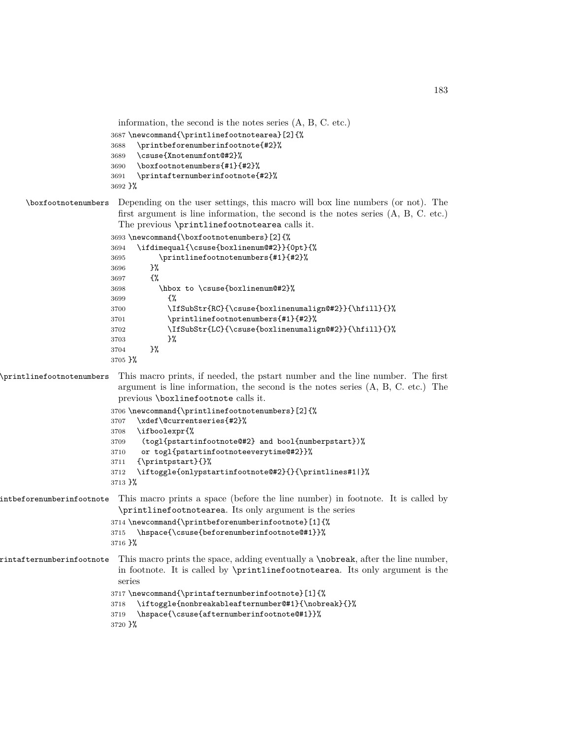```
information, the second is the notes series (A, B, C. etc.)
3687 \newcommand{\printlinefootnotearea}[2]{%
3688 \printbeforenumberinfootnote{#2}%
3689 \csuse{Xnotenumfont@#2}%
3690 \boxfootnotenumbers{#1}{#2}%
3691 \printafternumberinfootnote{#2}%
3692 }%
```
## \boxfootnotenumbers Depending on the user settings, this macro will box line numbers (or not). The first argument is line information, the second is the notes series (A, B, C. etc.) The previous \printlinefootnotearea calls it.

```
3693 \newcommand{\boxfootnotenumbers}[2]{%
3694 \ifdimequal{\csuse{boxlinenum@#2}}{0pt}{%
3695 \printlinefootnotenumbers{#1}{#2}%
3696 }%
3697 {%
3698 \hbox to \csuse{boxlinenum@#2}%
3699 {%
3700 \IfSubStr{RC}{\csuse{boxlinenumalign@#2}}{\hfill}{}%
3701 \printlinefootnotenumbers{#1}{#2}%
3702 \IfSubStr{LC}{\csuse{boxlinenumalign@#2}}{\hfill}{}%
3703 }%
3704 }%
3705 }%
```
\printlinefootnotenumbers This macro prints, if needed, the pstart number and the line number. The first argument is line information, the second is the notes series (A, B, C. etc.) The previous \boxlinefootnote calls it.

```
3706 \newcommand{\printlinefootnotenumbers}[2]{%
3707 \xdef\@currentseries{#2}%
3708 \ifboolexpr{%
3709 (togl{pstartinfootnote@#2} and bool{numberpstart})%
3710 or togl{pstartinfootnoteeverytime@#2}}%
3711 {\printpstart}{}%
3712 \iftoggle{onlypstartinfootnote@#2}{}{\printlines#1|}%
```

```
3713 }%
```
# intbeforenumberinfootnote This macro prints a space (before the line number) in footnote. It is called by \printlinefootnotearea. Its only argument is the series

```
3714 \newcommand{\printbeforenumberinfootnote}[1]{%
3715 \hspace{\csuse{beforenumberinfootnote@#1}}%
3716 }%
```
# $\pi$ intafternumberinfootnote This macro prints the space, adding eventually a \nobreak, after the line number, in footnote. It is called by \printlinefootnotearea. Its only argument is the series

```
3717 \newcommand{\printafternumberinfootnote}[1]{%
3718 \iftoggle{nonbreakableafternumber@#1}{\nobreak}{}%
3719 \hspace{\csuse{afternumberinfootnote@#1}}%
```

```
3720 }%
```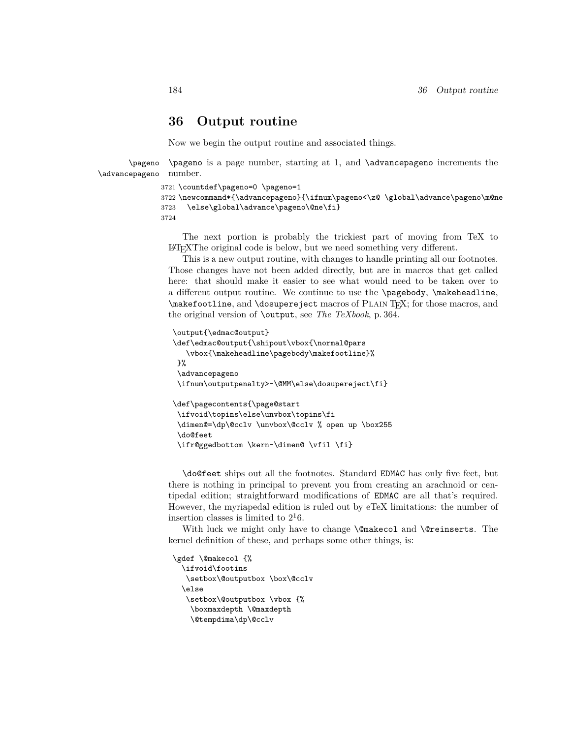# **36 Output routine**

Now we begin the output routine and associated things.

\pageno \advancepageno number. \pageno is a page number, starting at 1, and \advancepageno increments the

```
3721 \countdef\pageno=0 \pageno=1
3722 \newcommand*{\advancepageno}{\ifnum\pageno<\z@ \global\advance\pageno\m@ne
3723 \else\global\advance\pageno\@ne\fi}
3724
```
The next portion is probably the trickiest part of moving from TeX to LATEXṪhe original code is below, but we need something very different.

This is a new output routine, with changes to handle printing all our footnotes. Those changes have not been added directly, but are in macros that get called here: that should make it easier to see what would need to be taken over to a different output routine. We continue to use the \pagebody, \makeheadline,  $\mathcal{A}$  and  $\text{degenerate}$  macros of PLAIN T<sub>EX</sub>; for those macros, and the original version of \output, see *The TeXbook*, p. 364.

```
\output{\edmac@output}
\def\edmac@output{\shipout\vbox{\normal@pars
  \vbox{\makeheadline\pagebody\makefootline}%
}%
\advancepageno
\ifnum\outputpenalty>-\@MM\else\dosupereject\fi}
\def\pagecontents{\page@start
\ifvoid\topins\else\unvbox\topins\fi
\dimen@=\dp\@cclv \unvbox\@cclv % open up \box255
\do@feet
```
\ifr@ggedbottom \kern-\dimen@ \vfil \fi}

\do@feet ships out all the footnotes. Standard EDMAC has only five feet, but there is nothing in principal to prevent you from creating an arachnoid or centipedal edition; straightforward modifications of EDMAC are all that's required. However, the myriapedal edition is ruled out by eTeX limitations: the number of insertion classes is limited to  $2^16$ .

With luck we might only have to change **\@makecol** and **\@reinserts**. The kernel definition of these, and perhaps some other things, is:

```
\gdef \@makecol {%
 \ifvoid\footins
  \setbox\@outputbox \box\@cclv
 \else
  \setbox\@outputbox \vbox {%
    \boxmaxdepth \@maxdepth
    \@tempdima\dp\@cclv
```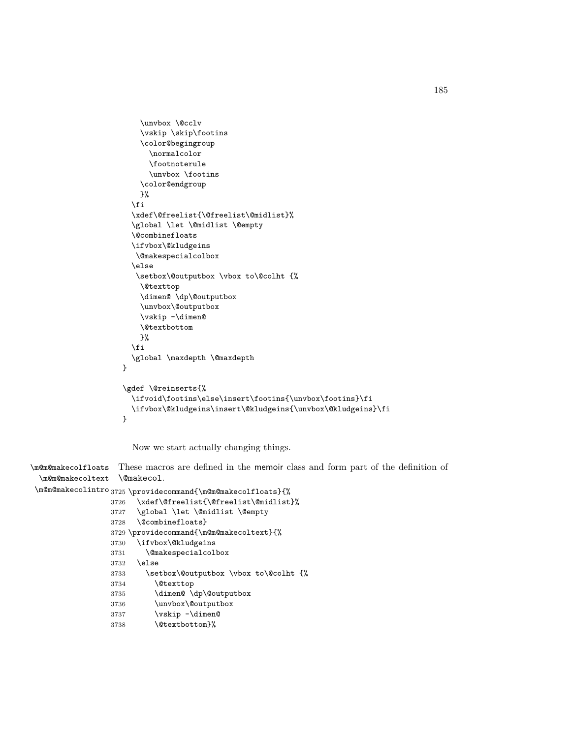```
\unvbox \@cclv
    \vskip \skip\footins
    \color@begingroup
      \normalcolor
      \footnoterule
      \unvbox \footins
    \color@endgroup
   }%
  \fi
  \xdef\@freelist{\@freelist\@midlist}%
  \global \let \@midlist \@empty
  \@combinefloats
  \ifvbox\@kludgeins
   \@makespecialcolbox
  \else
   \setbox\@outputbox \vbox to\@colht {%
    \@texttop
    \dimen@ \dp\@outputbox
    \unvbox\@outputbox
    \vskip -\dimen@
    \@textbottom
   }%
  \fi
  \global \maxdepth \@maxdepth
}
\gdef \@reinserts{%
  \ifvoid\footins\else\insert\footins{\unvbox\footins}\fi
  \ifvbox\@kludgeins\insert\@kludgeins{\unvbox\@kludgeins}\fi
}
```
Now we start actually changing things.

\m@m@makecolfloats These macros are defined in the memoir class and form part of the definition of \m@m@makecoltext \@makecol.

```
\m@m@makecolintro
3725 \providecommand{\m@m@makecolfloats}{%
                3726 \xdef\@freelist{\@freelist\@midlist}%
                3727 \global \let \@midlist \@empty
                3728 \@combinefloats}
                3729 \providecommand{\m@m@makecoltext}{%
                3730 \ifvbox\@kludgeins
                3731 \@makespecialcolbox
                3732 \else
                3733 \setbox\@outputbox \vbox to\@colht {%
                3734 \@texttop
               3735 \dimen@ \dp\@outputbox
                3736 \unvbox\@outputbox
                3737 \vskip -\dimen@
                3738 \@textbottom}%
```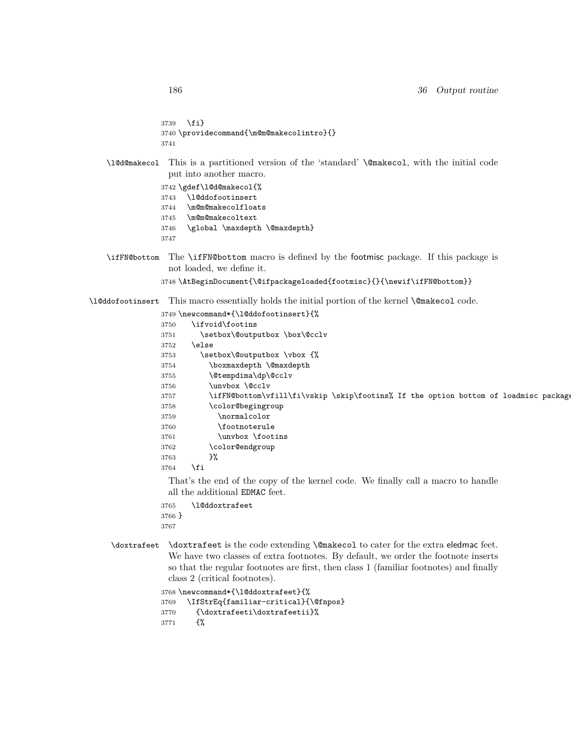```
3739 \fi}
3740 \providecommand{\m@m@makecolintro}{}
3741
```
\l@d@makecol This is a partitioned version of the 'standard' \@makecol, with the initial code put into another macro.

```
3742 \gdef\l@d@makecol{%
3743 \l@ddofootinsert
3744 \m@m@makecolfloats
3745 \m@m@makecoltext
3746 \global \maxdepth \@maxdepth}
3747
```
\ifFN@bottom The \ifFN@bottom macro is defined by the footmisc package. If this package is not loaded, we define it.

\AtBeginDocument{\@ifpackageloaded{footmisc}{}{\newif\ifFN@bottom}}

\l@ddofootinsert This macro essentially holds the initial portion of the kernel \@makecol code.

\newcommand\*{\l@ddofootinsert}{%

| 3750 | \ifvoid\footins                                                                     |
|------|-------------------------------------------------------------------------------------|
| 3751 | \setbox\@outputbox \box\@cclv                                                       |
| 3752 | \else                                                                               |
| 3753 | \setbox\@outputbox \vbox {%                                                         |
| 3754 | \boxmaxdepth \@maxdepth                                                             |
| 3755 | \@tempdima\dp\@cclv                                                                 |
| 3756 | \unvbox \@cclv                                                                      |
| 3757 | \ifFN@bottom\vfill\fi\vskip \skip\footins% If the option bottom of loadmisc package |
| 3758 | \color@begingroup                                                                   |
| 3759 | \normalcolor                                                                        |
| 3760 | \footnoterule                                                                       |
| 3761 | \unvbox \footins                                                                    |
| 3762 | \color@endgroup                                                                     |
| 3763 | }‰                                                                                  |
| 3764 | \fi                                                                                 |
|      | $-1$                                                                                |

That's the end of the copy of the kernel code. We finally call a macro to handle all the additional EDMAC feet.

- \l@ddoxtrafeet }
- \doxtrafeet \doxtrafeet is the code extending \@makecol to cater for the extra eledmac feet. We have two classes of extra footnotes. By default, we order the footnote inserts so that the regular footnotes are first, then class 1 (familiar footnotes) and finally class 2 (critical footnotes).

```
3768 \newcommand*{\l@ddoxtrafeet}{%
3769 \IfStrEq{familiar-critical}{\@fnpos}
3770 {\doxtrafeeti\doxtrafeetii}%
3771 {%
```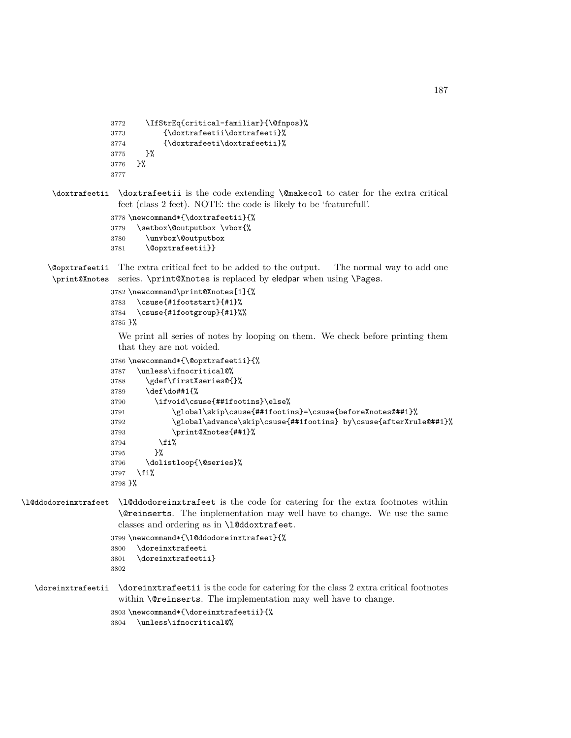```
3772 \IfStrEq{critical-familiar}{\@fnpos}%
3773 {\doxtrafeetii\doxtrafeeti}%
3774 {\doxtrafeeti\doxtrafeetii}%
3775 }%
3776 }%
3777
```

```
\doxtrafeetii \doxtrafeetii is the code extending \@makecol to cater for the extra critical
                feet (class 2 feet). NOTE: the code is likely to be 'featurefull'.
```

```
3778 \newcommand*{\doxtrafeetii}{%
3779 \setbox\@outputbox \vbox{%
3780 \unvbox\@outputbox
3781 \@opxtrafeetii}}
```
\@opxtrafeetii The extra critical feet to be added to the output. The normal way to add one \print@Xnotes series. \print@Xnotes is replaced by eledpar when using \Pages.

```
3782 \newcommand\print@Xnotes[1]{%
3783 \csuse{#1footstart}{#1}%
3784 \csuse{#1footgroup}{#1}%%
3785 }%
```
We print all series of notes by looping on them. We check before printing them that they are not voided.

```
3786 \newcommand*{\@opxtrafeetii}{%
3787 \unless\ifnocritical@%
3788 \gdef\firstXseries@{}%
3789 \def\do##1{%
3790 \ifvoid\csuse{##1footins}\else%
3791 \global\skip\csuse{##1footins}=\csuse{beforeXnotes@##1}%
3792 \global\advance\skip\csuse{##1footins} by\csuse{afterXrule@##1}%
3793 \print@Xnotes{##1}%
3794 \fi%
3795 }%
3796 \dolistloop{\@series}%
3797 \fi%
3798 }%
```
\l@ddodoreinxtrafeet \l@ddodoreinxtrafeet is the code for catering for the extra footnotes within \@reinserts. The implementation may well have to change. We use the same classes and ordering as in \l@ddoxtrafeet.

```
3799 \newcommand*{\l@ddodoreinxtrafeet}{%
3800 \doreinxtrafeeti
3801 \doreinxtrafeetii}
3802
```
\doreinxtrafeetii \doreinxtrafeetii is the code for catering for the class 2 extra critical footnotes within \@reinserts. The implementation may well have to change.

```
3803 \newcommand*{\doreinxtrafeetii}{%
3804 \unless\ifnocritical@%
```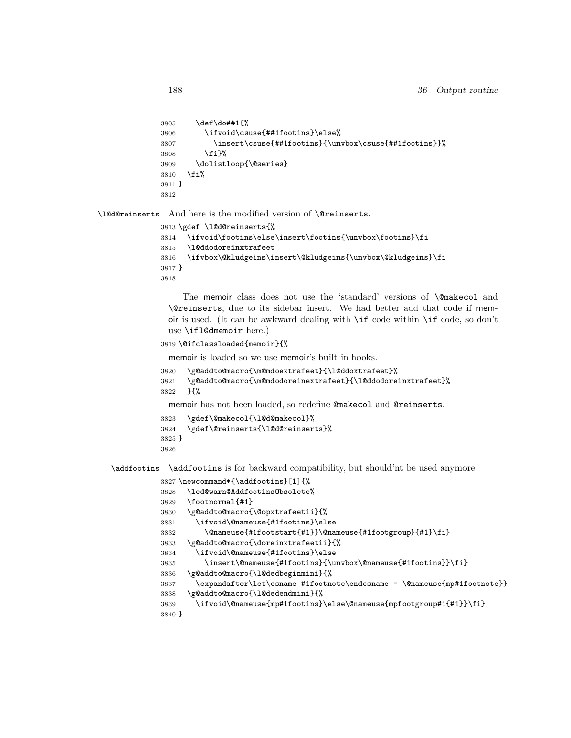```
3805 \def\do##1{%
3806 \ifvoid\csuse{##1footins}\else%
3807 \insert\csuse{##1footins}{\unvbox\csuse{##1footins}}%
3808 \fi}%
3809 \dolistloop{\@series}
3810 \fi%
3811 }
3812
```
\l@d@reinserts And here is the modified version of \@reinserts.

```
3813 \gdef \l@d@reinserts{%
3814 \ifvoid\footins\else\insert\footins{\unvbox\footins}\fi
3815 \l@ddodoreinxtrafeet
3816 \ifvbox\@kludgeins\insert\@kludgeins{\unvbox\@kludgeins}\fi
3817 }
3818
```
The memoir class does not use the 'standard' versions of \@makecol and \@reinserts, due to its sidebar insert. We had better add that code if memoir is used. (It can be awkward dealing with \if code within \if code, so don't use \ifl@dmemoir here.)

```
3819 \@ifclassloaded{memoir}{%
```
memoir is loaded so we use memoir's built in hooks.

```
3820 \g@addto@macro{\m@mdoextrafeet}{\l@ddoxtrafeet}%
```

```
3821 \g@addto@macro{\m@mdodoreinextrafeet}{\l@ddodoreinxtrafeet}%
```
}{%

memoir has not been loaded, so redefine @makecol and @reinserts.

```
3823 \gdef\@makecol{\l@d@makecol}%
```

```
3824 \gdef\@reinserts{\l@d@reinserts}%
```

```
3825 }
```

```
3826
```
\addfootins \addfootins is for backward compatibility, but should'nt be used anymore.

```
3827 \newcommand*{\addfootins}[1]{%
```

```
3828 \led@warn@AddfootinsObsolete%
```
- \footnormal{#1}
- \g@addto@macro{\@opxtrafeetii}{%
- \ifvoid\@nameuse{#1footins}\else

```
3832 \@nameuse{#1footstart{#1}}\@nameuse{#1footgroup}{#1}\fi}
```

```
3833 \g@addto@macro{\doreinxtrafeetii}{%
```
\ifvoid\@nameuse{#1footins}\else

```
3835 \insert\@nameuse{#1footins}{\unvbox\@nameuse{#1footins}}\fi}
```
\g@addto@macro{\l@dedbeginmini}{%

```
3837 \expandafter\let\csname #1footnote\endcsname = \@nameuse{mp#1footnote}}
3838 \g@addto@macro{\l@dedendmini}{%
```

```
3839 \ifvoid\@nameuse{mp#1footins}\else\@nameuse{mpfootgroup#1{#1}}\fi}
```

```
3840 }
```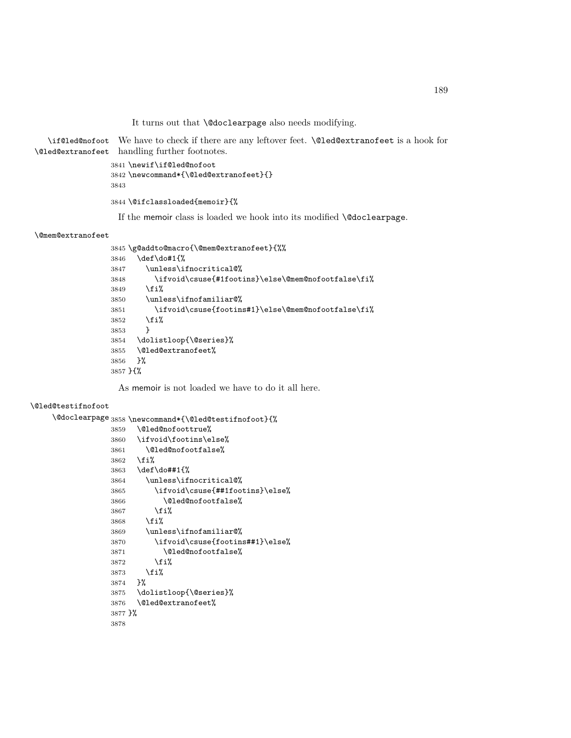It turns out that **\@doclearpage** also needs modifying.

```
\if@led@nofoot
We have to check if there are any leftover feet. \@led@extranofeet is a hook for
\@led@extranofeet
handling further footnotes.
                  3841 \newif\if@led@nofoot
                  3842 \newcommand*{\@led@extranofeet}{}
                  3843
                  3844 \@ifclassloaded{memoir}{%
```
If the memoir class is loaded we hook into its modified \@doclearpage.

#### \@mem@extranofeet

```
3845 \g@addto@macro{\@mem@extranofeet}{%%
3846 \def\do#1{%
3847 \unless\ifnocritical@%
3848 \ifvoid\csuse{#1footins}\else\@mem@nofootfalse\fi%
3849 \fi%
3850 \unless\ifnofamiliar@%
3851 \ifvoid\csuse{footins#1}\else\@mem@nofootfalse\fi%
3852 \fi%
3853 }
3854 \dolistloop{\@series}%
3855 \@led@extranofeet%
3856 }%
3857 }{%
```
As memoir is not loaded we have to do it all here.

#### \@led@testifnofoot

```
\@doclearpage 3858 \newcommand*{\@led@testifnofoot}{%
```

```
3859 \@led@nofoottrue%
3860 \ifvoid\footins\else%
3861 \@led@nofootfalse%
3862 \fi%
3863 \def\do##1{%
3864 \unless\ifnocritical@%
3865 \ifvoid\csuse{##1footins}\else%
3866 \@led@nofootfalse%
3867 \fi%
3868 \fi%
3869 \unless\ifnofamiliar@%
3870 \ifvoid\csuse{footins##1}\else%
3871 \@led@nofootfalse%
3872 \fi%
3873 \fi%
3874 }%
3875 \dolistloop{\@series}%
3876 \@led@extranofeet%
3877 }%
3878
```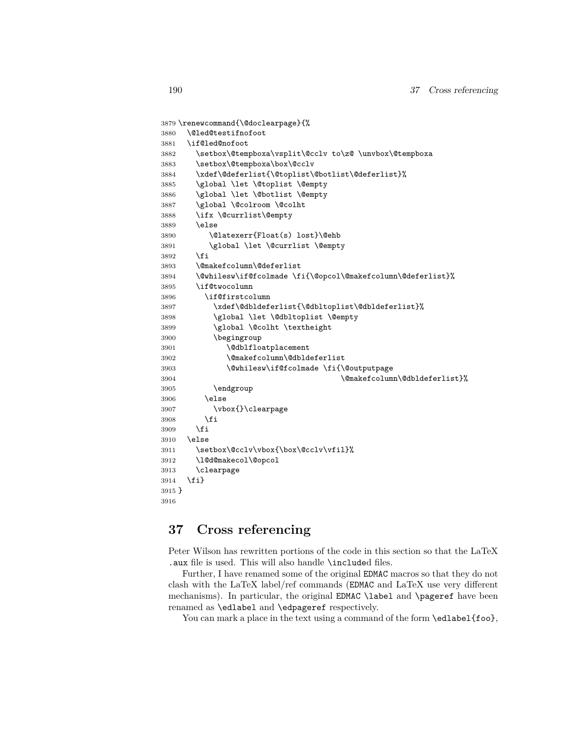```
3879 \renewcommand{\@doclearpage}{%
3880 \@led@testifnofoot
3881 \if@led@nofoot
3882 \setbox\@tempboxa\vsplit\@cclv to\z@ \unvbox\@tempboxa
3883 \setbox\@tempboxa\box\@cclv
3884 \xdef\@deferlist{\@toplist\@botlist\@deferlist}%
3885 \global \let \@toplist \@empty
3886 \global \let \@botlist \@empty
3887 \global \@colroom \@colht
3888 \ifx \@currlist\@empty
3889 \else
3890 \@latexerr{Float(s) lost}\@ehb
3891 \global \let \@currlist \@empty
3892 \fi
3893 \@makefcolumn\@deferlist
3894 \@whilesw\if@fcolmade \fi{\@opcol\@makefcolumn\@deferlist}%
3895 \if@twocolumn
3896 \if@firstcolumn
3897 \xdef\@dbldeferlist{\@dbltoplist\@dbldeferlist}%
3898 \global \let \@dbltoplist \@empty
3899 \global \@colht \textheight
3900 \begingroup
3901 \@dblfloatplacement
3902 \@makefcolumn\@dbldeferlist
3903 \@whilesw\if@fcolmade \fi{\@outputpage
3904 \@makefcolumn\@dbldeferlist}%
3905 \endgroup
3906 \else
3907 \vbox{}\clearpage
3908 \fi
3909 \fi
3910 \else
3911 \setbox\@cclv\vbox{\box\@cclv\vfil}%
3912 \l@d@makecol\@opcol
3913 \clearpage
3914 \fi}
3915 }
3916
```
# **37 Cross referencing**

Peter Wilson has rewritten portions of the code in this section so that the LaTeX .aux file is used. This will also handle \included files.

Further, I have renamed some of the original EDMAC macros so that they do not clash with the LaTeX label/ref commands (EDMAC and LaTeX use very different mechanisms). In particular, the original EDMAC \label and \pageref have been renamed as \edlabel and \edpageref respectively.

You can mark a place in the text using a command of the form \edlabel{foo},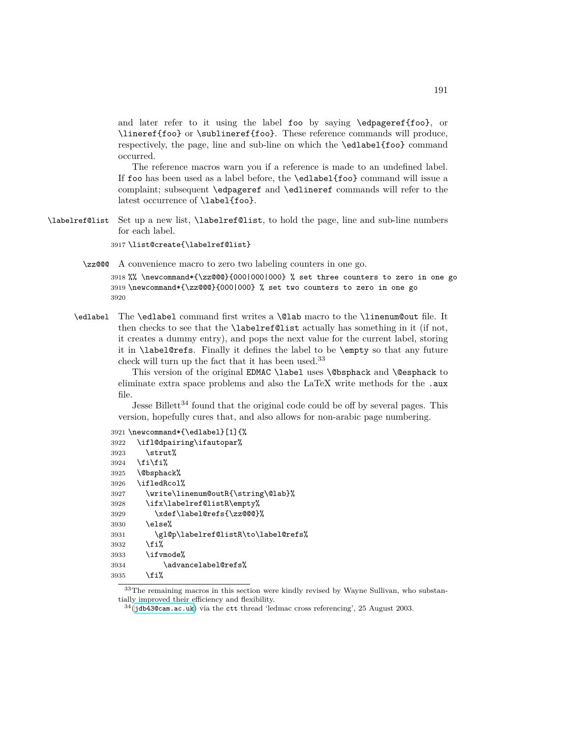and later refer to it using the label foo by saying \edpageref{foo}, or \lineref{foo} or \sublineref{foo}. These reference commands will produce, respectively, the page, line and sub-line on which the \edlabel{foo} command occurred.

The reference macros warn you if a reference is made to an undefined label. If foo has been used as a label before, the \edlabel{foo} command will issue a complaint; subsequent \edpageref and \edlineref commands will refer to the latest occurrence of \label{foo}.

\labelref@list Set up a new list, \labelref@list, to hold the page, line and sub-line numbers for each label.

3917 \list@create{\labelref@list}

\zz@@@ A convenience macro to zero two labeling counters in one go.

3918 %% \newcommand\*{\zz@@@}{000|000|000} % set three counters to zero in one go 3919 \newcommand\*{\zz@@@}{000|000} % set two counters to zero in one go 3920

\edlabel The \edlabel command first writes a \@lab macro to the \linenum@out file. It then checks to see that the \labelref@list actually has something in it (if not, it creates a dummy entry), and pops the next value for the current label, storing it in \label@refs. Finally it defines the label to be \empty so that any future check will turn up the fact that it has been used.<sup>33</sup>

> This version of the original EDMAC \label uses \@bsphack and \@esphack to eliminate extra space problems and also the LaTeX write methods for the .aux file.

> Jesse Billett<sup>34</sup> found that the original code could be off by several pages. This version, hopefully cures that, and also allows for non-arabic page numbering.

```
3921 \newcommand*{\edlabel}[1]{%
3922 \ifl@dpairing\ifautopar%
3923 \strut%
3924 \fi\fi%
3925 \@bsphack%
3926 \ifledRcol%
3927 \write\linenum@outR{\string\@lab}%
3928 \ifx\labelref@listR\empty%
3929 \xdef\label@refs{\zz@@@}%
3930 \else%
3931 \gl@p\labelref@listR\to\label@refs%
3932 \fi%
3933 \ifvmode%
3934 \advancelabel@refs%
3935 \fi%
```
<sup>33</sup>The remaining macros in this section were kindly revised by Wayne Sullivan, who substantially improved their efficiency and flexibility.

 $34$ (<jdb43@cam.ac.uk>) via the ctt thread 'ledmac cross referencing', 25 August 2003.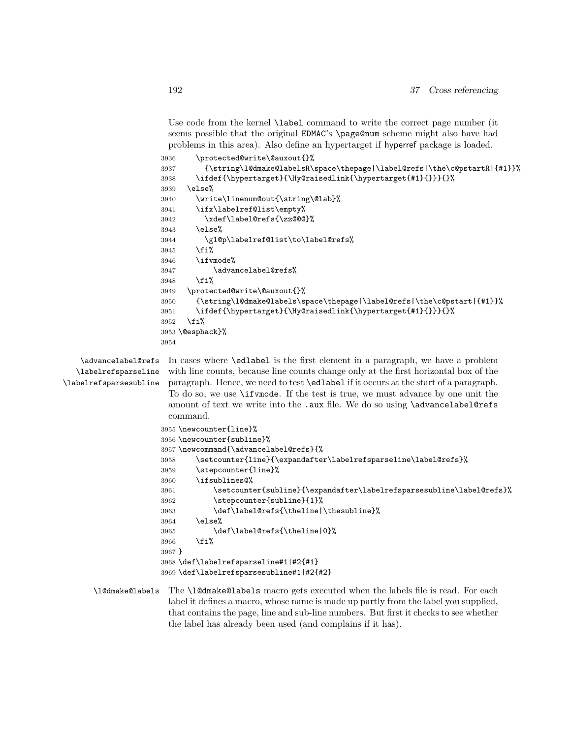Use code from the kernel \label command to write the correct page number (it seems possible that the original EDMAC's \page@num scheme might also have had problems in this area). Also define an hypertarget if hyperref package is loaded.

```
3936 \protected@write\@auxout{}%
                     3937 {\string\l@dmake@labelsR\space\thepage|\label@refs|\the\c@pstartR|{#1}}%
                     3938 \ifdef{\hypertarget}{\Hy@raisedlink{\hypertarget{#1}{}}}{}%
                      3939 \else%
                     3940 \write\linenum@out{\string\@lab}%
                     3941 \ifx\labelref@list\empty%
                     3942 \xdef\label@refs{\zz@@@}%
                     3943 \else%
                     3944 \gl@p\labelref@list\to\label@refs%
                     3945 \{f_i\}3946 \ifvmode%
                     3947 \advancelabel@refs%
                     3948 \fi%
                     3949 \protected@write\@auxout{}%
                     3950 {\string\l@dmake@labels\space\thepage|\label@refs|\the\c@pstart|{#1}}%
                     3951 \ifdef{\hypertarget}{\Hy@raisedlink{\hypertarget{#1}{}}}{}%
                     3952 \fi%
                     3953 \@esphack}%
                     3954
    \advancelabel@refs In cases where \edlabel is the first element in a paragraph, we have a problem
  \labelrefsparseline
\labelrefsparsesubline
                       with line counts, because line counts change only at the first horizontal box of the
                       paragraph. Hence, we need to test \edlabel if it occurs at the start of a paragraph.
                       To do so, we use \ifvmode. If the test is true, we must advance by one unit the
                       amount of text we write into the .aux file. We do so using \advancelabel@refs
                       command.
                     3955 \newcounter{line}%
                     3956 \newcounter{subline}%
                     3957 \newcommand{\advancelabel@refs}{%
                     3958 \setcounter{line}{\expandafter\labelrefsparseline\label@refs}%
                     3959 \stepcounter{line}%
                     3960 \ifsublines@%
                     3961 \setcounter{subline}{\expandafter\labelrefsparsesubline\label@refs}%
                     3962 \stepcounter{subline}{1}%
                     3963 \def\label@refs{\theline|\thesubline}%
                     3964 \else%
                     3965 \def\label@refs{\theline|0}%
                     3966 \fi<sup>9</sup>
                     3967 }
                     3968 \def\labelrefsparseline#1|#2{#1}
                     3969 \def\labelrefsparsesubline#1|#2{#2}
      \l@dmake@labels The \l@dmake@labels macro gets executed when the labels file is read. For each
                       label it defines a macro, whose name is made up partly from the label you supplied,
```
that contains the page, line and sub-line numbers. But first it checks to see whether

the label has already been used (and complains if it has).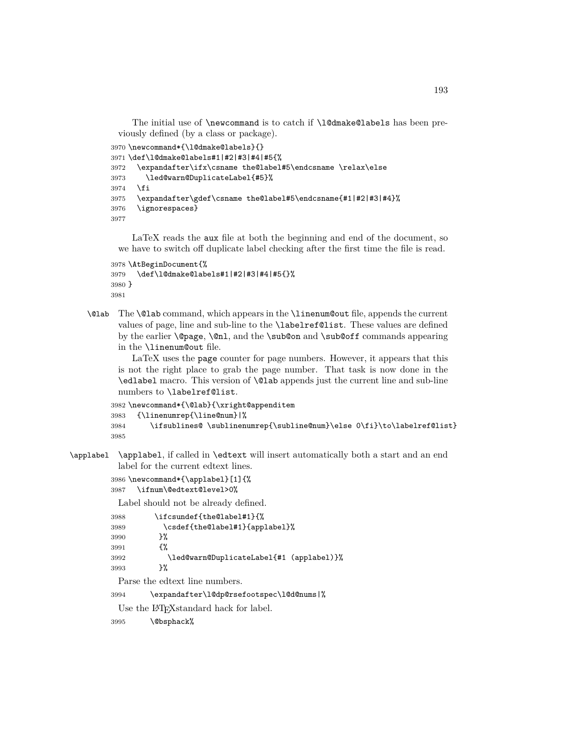The initial use of \newcommand is to catch if \1@dmake@labels has been previously defined (by a class or package).

```
3970 \newcommand*{\l@dmake@labels}{}
3971 \def\l@dmake@labels#1|#2|#3|#4|#5{%
3972 \expandafter\ifx\csname the@label#5\endcsname \relax\else
3973 \led@warn@DuplicateLabel{#5}%
3974 \fi
3975 \expandafter\gdef\csname the@label#5\endcsname{#1|#2|#3|#4}%
3976 \ignorespaces}
3977
```
LaTeX reads the aux file at both the beginning and end of the document, so we have to switch off duplicate label checking after the first time the file is read.

```
3978 \AtBeginDocument{%
3979 \def\l@dmake@labels#1|#2|#3|#4|#5{}%
3980 }
3981
```
\@lab The \@lab command, which appears in the \linenum@out file, appends the current values of page, line and sub-line to the \labelref@list. These values are defined by the earlier \@page, \@nl, and the \sub@on and \sub@off commands appearing in the \linenum@out file.

LaTeX uses the page counter for page numbers. However, it appears that this is not the right place to grab the page number. That task is now done in the \edlabel macro. This version of \@lab appends just the current line and sub-line numbers to \labelref@list.

```
3982 \newcommand*{\@lab}{\xright@appenditem
3983 {\linenumrep{\line@num}|%
3984 \ifsublines@ \sublinenumrep{\subline@num}\else 0\fi}\to\labelref@list}
3985
```
\applabel \applabel, if called in \edtext will insert automatically both a start and an end label for the current edtext lines.

```
3986 \newcommand*{\applabel}[1]{%
3987 \ifnum\@edtext@level>0%
```
Label should not be already defined.

| 3988 | \ifcsundef{the@label#1}{%                |
|------|------------------------------------------|
| 3989 | \csdef{the@label#1}{applabe1}%           |
| 3990 | ጉ%                                       |
| 3991 | ብ"                                       |
| 3992 | \led@warn@DuplicateLabel{#1 (applabel)}% |
| 3993 | ጉ%                                       |
|      |                                          |

Parse the edtext line numbers.

```
3994 \expandafter\l@dp@rsefootspec\l@d@nums|%
```
Use the LAT<sub>E</sub>X<sub>standard</sub> hack for label.

\@bsphack%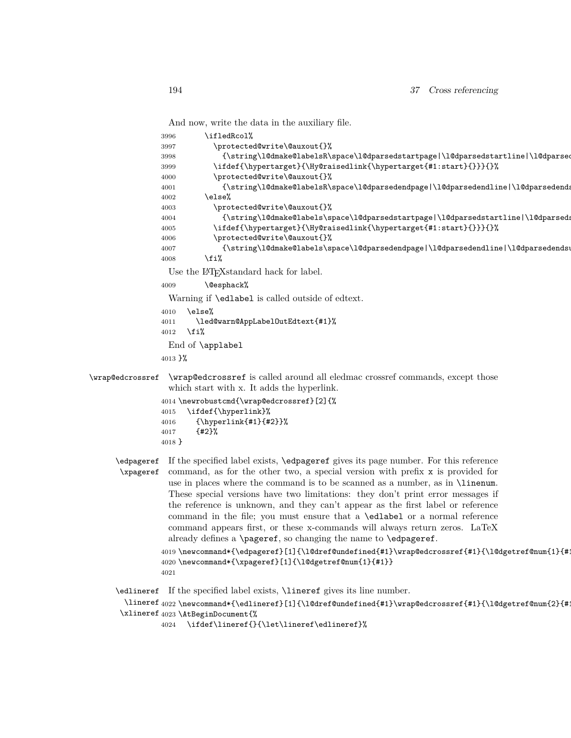And now, write the data in the auxiliary file.

```
3996 \ifledRcol%
               3997 \protected@write\@auxout{}%
               3998 {\string\l@dmake@labelsR\space\l@dparsedstartpage|\l@dparsedstartline|\l@dparsed
               3999 \ifdef{\hypertarget}{\Hy@raisedlink{\hypertarget{#1:start}{}}}{}%
               4000 \protected@write\@auxout{}%
               4001 {\string\l@dmake@labelsR\space\l@dparsedendpage|\l@dparsedendline|\l@dparsedendsub
               4002 \else%
               4003 \protected@write\@auxout{}%
               4004 {\string\l@dmake@labels\space\l@dparsedstartpage|\l@dparsedstartline|\l@dparseds
               4005 \ifdef{\hypertarget}{\Hy@raisedlink{\hypertarget{#1:start}{}}}{}%
               4006 \protected@write\@auxout{}%
               4007 {\string\l@dmake@labels\space\l@dparsedendpage|\l@dparsedendline|\l@dparsedendsub
               4008 \fi%
                 Use the LAT<sub>E</sub>X<sub>standard</sub> hack for label.
               4009 \@esphack%
                 Warning if \edlabel is called outside of edtext.
               4010 \else%
               4011 \led@warn@AppLabelOutEdtext{#1}%
               4012 \fi%
                 End of \applabel
               4013 }%
\wrap@edcrossref \wrap@edcrossref is called around all eledmac crossref commands, except those
                 which start with x. It adds the hyperlink.
               4014 \newrobustcmd{\wrap@edcrossref}[2]{%
               4015 \ifdef{\hyperlink}%
               4016 {\hyperlink{#1}{#2}}%
               4017 {#2}%
               4018 }
     \edpageref
If the specified label exists, \edpageref gives its page number. For this reference
```

```
\xpageref
           command, as for the other two, a special version with prefix x is provided for
           use in places where the command is to be scanned as a number, as in \linenum.
           These special versions have two limitations: they don't print error messages if
           the reference is unknown, and they can't appear as the first label or reference
           command in the file; you must ensure that a \edlabel or a normal reference
           command appears first, or these x-commands will always return zeros. LaTeX
           already defines a \pageref, so changing the name to \edpageref.
```

```
4019 \newcommand*{\edpageref}[1]{\l@dref@undefined{#1}\wrap@edcrossref{#1}{\l@dgetref@num{1}{#1}}}
4020 \newcommand*{\xpageref}[1]{\l@dgetref@num{1}{#1}}
4021
```
\edlineref If the specified label exists, \lineref gives its line number.

\lineref 4022 \newcommand\*{\edlineref}[1]{\l@dref@undefined{#1}\wrap@edcrossref{#1}{\l@dgetref@num{2}{#1}}}% \xlineref 4023 \AtBeginDocument{%

4024 \ifdef\lineref{}{\let\lineref\edlineref}%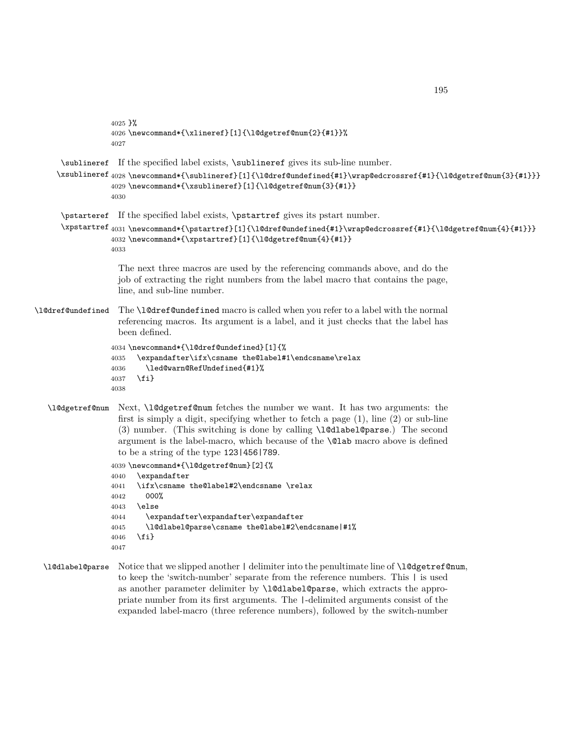```
4025 }%
                  4026 \newcommand*{\xlineref}[1]{\l@dgetref@num{2}{#1}}%
                  4027
      \sublineref
If the specified label exists, \sublineref gives its sub-line number.
     \xsublineref
4028 \newcommand*{\sublineref}[1]{\l@dref@undefined{#1}\wrap@edcrossref{#1}{\l@dgetref@num{3}{#1}}}
                  4029 \newcommand*{\xsublineref}[1]{\l@dgetref@num{3}{#1}}
                  4030
      \pstarteref
If the specified label exists, \pstartref gives its pstart number.
      \xpstartref<sub>4031</sub>\newcommand*{\pstartref}[1]{\l@dref@undefined{#1}\wrap@edcrossref{#1}{\l@dgetref@num{4}{#1}}}
                  4032 \newcommand*{\xpstartref}[1]{\l@dgetref@num{4}{#1}}
                  4033
                   The next three macros are used by the referencing commands above, and do the
                   job of extracting the right numbers from the label macro that contains the page,
                   line, and sub-line number.
\l@dref@undefined The \l@dref@undefined macro is called when you refer to a label with the normal
                   referencing macros. Its argument is a label, and it just checks that the label has
                   been defined.
                  4034 \newcommand*{\l@dref@undefined}[1]{%
                  4035 \expandafter\ifx\csname the@label#1\endcsname\relax
                  4036 \led@warn@RefUndefined{#1}%
                  4037 \fi}
                  4038
   \l@dgetref@num Next, \l@dgetref@num fetches the number we want. It has two arguments: the
                   first is simply a digit, specifying whether to fetch a page (1), line (2) or sub-line
                   (3) number. (This switching is done by calling \l@dlabel@parse.) The second
                   argument is the label-macro, which because of the \@lab macro above is defined
                   to be a string of the type 123|456|789.
                  4039 \newcommand*{\l@dgetref@num}[2]{%
                  4040 \expandafter
                  4041 \ifx\csname the@label#2\endcsname \relax
                  4042 000%
                  4043 \else
                  4044 \expandafter\expandafter\expandafter
                  4045 \l@dlabel@parse\csname the@label#2\endcsname|#1%
                  4046 \fi}
                  4047
  \l@dlabel@parse Notice that we slipped another | delimiter into the penultimate line of \l@dgetref@num,
                   to keep the 'switch-number' separate from the reference numbers. This | is used
```
as another parameter delimiter by \l@dlabel@parse, which extracts the appropriate number from its first arguments. The |-delimited arguments consist of the expanded label-macro (three reference numbers), followed by the switch-number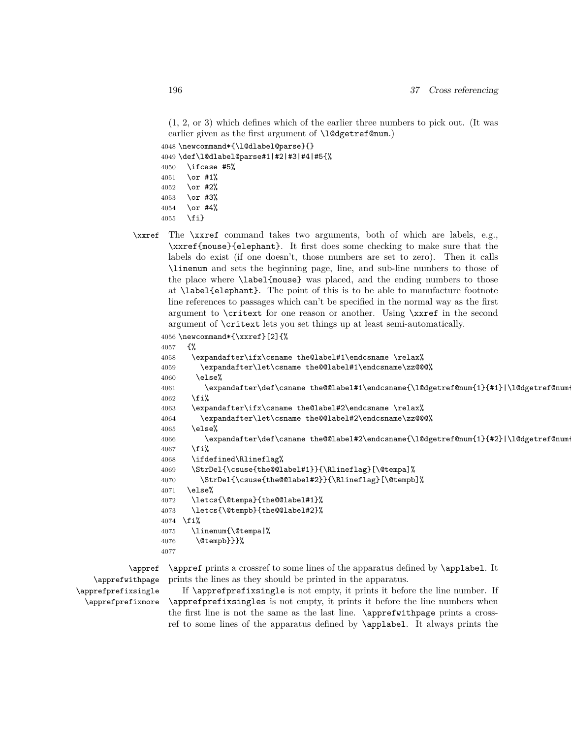```
earlier given as the first argument of \l@dgetref@num.)
4048 \newcommand*{\l@dlabel@parse}{}
4049 \def\l@dlabel@parse#1|#2|#3|#4|#5{%
4050 \ifcase #5%
4051 \or #1%
4052 \or #2%
4053 \or #3%
4054 \or #4%
```

```
4055 \fi}
```
\xxref The \xxref command takes two arguments, both of which are labels, e.g., \xxref{mouse}{elephant}. It first does some checking to make sure that the labels do exist (if one doesn't, those numbers are set to zero). Then it calls \linenum and sets the beginning page, line, and sub-line numbers to those of the place where \label{mouse} was placed, and the ending numbers to those at \label{elephant}. The point of this is to be able to manufacture footnote line references to passages which can't be specified in the normal way as the first argument to \critext for one reason or another. Using \xxref in the second argument of \critext lets you set things up at least semi-automatically.

```
4056 \newcommand*{\xxref}[2]{%
4057 {%
4058 \expandafter\ifx\csname the@label#1\endcsname \relax%
4059 \expandafter\let\csname the@@label#1\endcsname\zz@@@%
4060 \else%
4061 \expandafter\def\csname the@@label#1\endcsname{\l@dgetref@num{1}{#1}|\l@dgetref@num
4062 \fi%
4063 \expandafter\ifx\csname the@label#2\endcsname \relax%
4064 \expandafter\let\csname the@@label#2\endcsname\zz@@@%
4065 \else%
4066 \expandafter\def\csname the@@label#2\endcsname{\l@dgetref@num{1}{#2}|\l@dgetref@num
4067 \fi%
4068 \ifdefined\Rlineflag%
4069 \StrDel{\csuse{the@@label#1}}{\Rlineflag}[\@tempa]%
4070 \StrDel{\csuse{the@@label#2}}{\Rlineflag}[\@tempb]%
4071 \else%
4072 \letcs{\@tempa}{the@@label#1}%
4073 \letcs{\@tempb}{the@@label#2}%
4074 \fi%
4075 \linenum{\@tempa|%
4076 \@tempb}}}%
4077
```

```
\appref
   \apprefwithpage
\apprefprefixsingle
 \apprefprefixmore
```
\appref prints a crossref to some lines of the apparatus defined by \applabel. It prints the lines as they should be printed in the apparatus.

If \apprefprefixsingle is not empty, it prints it before the line number. If \apprefprefixsingles is not empty, it prints it before the line numbers when the first line is not the same as the last line. \apprefwithpage prints a crossref to some lines of the apparatus defined by \applabel. It always prints the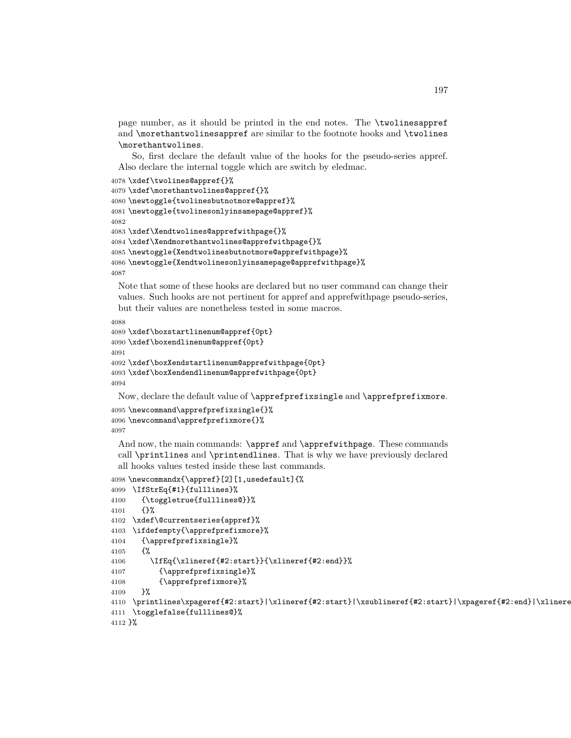page number, as it should be printed in the end notes. The \twolinesappref and \morethantwolinesappref are similar to the footnote hooks and \twolines \morethantwolines.

So, first declare the default value of the hooks for the pseudo-series appref. Also declare the internal toggle which are switch by eledmac.

```
4078 \xdef\twolines@appref{}%
4079 \xdef\morethantwolines@appref{}%
4080 \newtoggle{twolinesbutnotmore@appref}%
4081 \newtoggle{twolinesonlyinsamepage@appref}%
4082
4083 \xdef\Xendtwolines@apprefwithpage{}%
4084 \xdef\Xendmorethantwolines@apprefwithpage{}%
4085 \newtoggle{Xendtwolinesbutnotmore@apprefwithpage}%
4086 \newtoggle{Xendtwolinesonlyinsamepage@apprefwithpage}%
4087
```
Note that some of these hooks are declared but no user command can change their values. Such hooks are not pertinent for appref and apprefwithpage pseudo-series, but their values are nonetheless tested in some macros.

```
4088
4089 \xdef\boxstartlinenum@appref{0pt}
4090 \xdef\boxendlinenum@appref{0pt}
4091
4092 \xdef\boxXendstartlinenum@apprefwithpage{0pt}
4093 \xdef\boxXendendlinenum@apprefwithpage{0pt}
4094
```
Now, declare the default value of \apprefprefixsingle and \apprefprefixmore.

```
4095 \newcommand\apprefprefixsingle{}%
4096 \newcommand\apprefprefixmore{}%
4097
```
And now, the main commands:  $\apph{appref}$  and  $\apph{appref}$  in these commands call \printlines and \printendlines. That is why we have previously declared all hooks values tested inside these last commands.

```
4098 \newcommandx{\appref}[2][1,usedefault]{%
4099 \IfStrEq{#1}{fulllines}%
4100 {\toggletrue{fulllines@}}%
4101 {}%
4102 \xdef\@currentseries{appref}%
4103 \ifdefempty{\apprefprefixmore}%
4104 {\apprefprefixsingle}%
4105 {%
4106 \IfEq{\xlineref{#2:start}}{\xlineref{#2:end}}%
4107 {\apprefprefixsingle}%
4108 {\apprefprefixmore}%
4109 }%
4110 \printlines\xpageref{#2:start}|\xlineref{#2:start}|\xsublineref{#2:start}|\xpageref{#2:end}|\xlineref{#2:end}|\xsublineref{#2:end}||%
4111 \togglefalse{fulllines@}%
4112 }%
```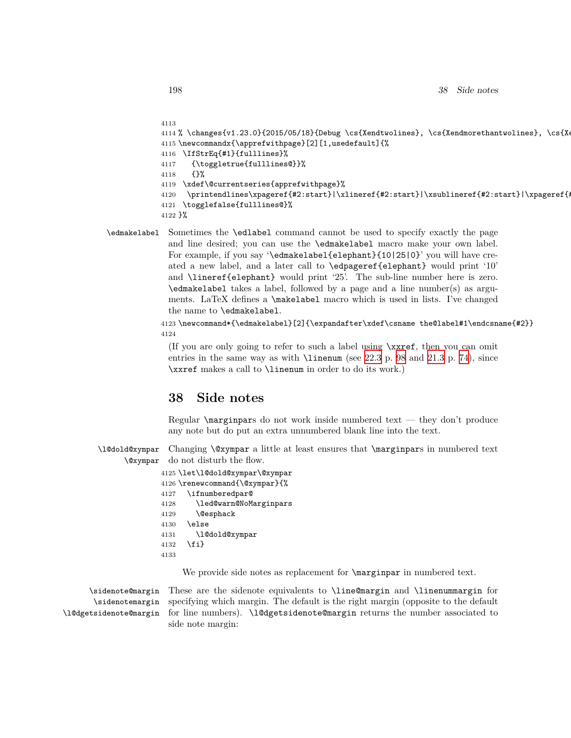```
4113
4114 % \changes{v1.23.0}{2015/05/18}{Debug \cs{Xendtwolines}, \cs{Xendmorethantwolines}, \cs{Xendtwolines}
4115 \newcommandx{\apprefwithpage}[2][1,usedefault]{%
4116 \IfStrEq{#1}{fulllines}%
4117 {\toggletrue{fulllines@}}%
4118 {}%
4119 \xdef\@currentseries{apprefwithpage}%
4120 \printendlines\xpageref{#2:start}|\xlineref{#2:start}|\xsublineref{#2:start}|\xpageref{#
4121 \togglefalse{fulllines@}%
4122 }%
```
\edmakelabel Sometimes the \edlabel command cannot be used to specify exactly the page and line desired; you can use the \edmakelabel macro make your own label. For example, if you say '\edmakelabel{elephant}{10|25|0}' you will have created a new label, and a later call to \edpageref{elephant} would print '10' and \lineref{elephant} would print '25'. The sub-line number here is zero. \edmakelabel takes a label, followed by a page and a line number(s) as arguments. LaTeX defines a \makelabel macro which is used in lists. I've changed the name to \edmakelabel.

> 4123 \newcommand\*{\edmakelabel}[2]{\expandafter\xdef\csname the@label#1\endcsname{#2}} 4124

(If you are only going to refer to such a label using \xxref, then you can omit entries in the same way as with  $\linenum$  (see [22.3](#page-97-0) p. [98](#page-97-0) and [21.3](#page-73-0) p. [74\)](#page-73-0), since \xxref makes a call to \linenum in order to do its work.)

# **38 Side notes**

Regular \marginpars do not work inside numbered text — they don't produce any note but do put an extra unnumbered blank line into the text.

\l@dold@xympar \@xympar Changing \@xympar a little at least ensures that \marginpars in numbered text do not disturb the flow.

|      | 4125 \let\l@dold@xympar\@xympar |
|------|---------------------------------|
|      | 4126 \renewcommand{\@xympar}{%  |
| 4127 | \ifnumberedpar@                 |
| 4128 | \led@warn@NoMarginpars          |
| 4129 | <b>\@esphack</b>                |
| 4130 | \else                           |
| 4131 | \l@dold@xympar                  |
| 4132 | \fi}                            |
| 4133 |                                 |

We provide side notes as replacement for  $\m{marginpar}$  in numbered text.

\sidenote@margin \sidenotemargin \l@dgetsidenote@margin

These are the sidenote equivalents to \line@margin and \linenummargin for specifying which margin. The default is the right margin (opposite to the default for line numbers). \l@dgetsidenote@margin returns the number associated to side note margin: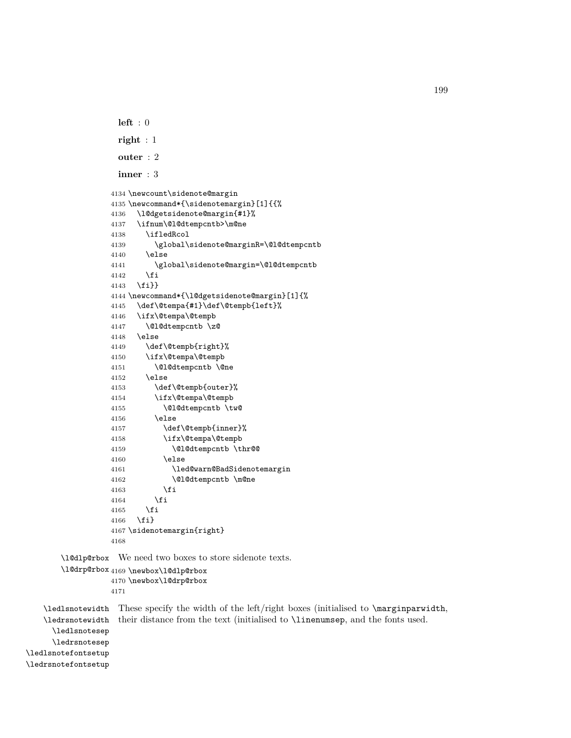```
left : 0
 right : 1
 outer : 2
 inner : 3
4134 \newcount\sidenote@margin
4135 \newcommand*{\sidenotemargin}[1]{{%
4136 \l@dgetsidenote@margin{#1}%
4137 \ifnum\@l@dtempcntb>\m@ne
4138 \ifledRcol
4139 \global\sidenote@marginR=\@l@dtempcntb
4140 \else
4141 \global\sidenote@margin=\@l@dtempcntb
4142 \fi
4143 \fi}}
4144 \newcommand*{\l@dgetsidenote@margin}[1]{%
4145 \def\@tempa{#1}\def\@tempb{left}%
4146 \ifx\@tempa\@tempb
4147 \@l@dtempcntb \z@
4148 \else
4149 \def\@tempb{right}%
4150 \ifx\@tempa\@tempb
4151 \@l@dtempcntb \@ne
4152 \else
4153 \def\@tempb{outer}%
4154 \ifx\@tempa\@tempb
4155 \@l@dtempcntb \tw@
4156 \else
4157 \def\@tempb{inner}%
4158 \ifx\@tempa\@tempb
4159 \@l@dtempcntb \thr@@
4160 \else
4161 \led@warn@BadSidenotemargin
4162 \\Q1@dtempcntb \m@ne
4163 \fi
4164 \fi
4165 \fi
4166 \fi}
4167 \sidenotemargin{right}
4168
```
\l@dlp@rbox We need two boxes to store sidenote texts.

```
\l@drp@rbox
4169 \newbox\l@dlp@rbox
            4170 \newbox\l@drp@rbox
            4171
```
\ledlsnotewidth These specify the width of the left/right boxes (initialised to \marginparwidth, \ledrsnotewidth \ledlsnotesep \ledrsnotesep \ledlsnotefontsetup \ledrsnotefontsetup their distance from the text (initialised to \linenumsep, and the fonts used.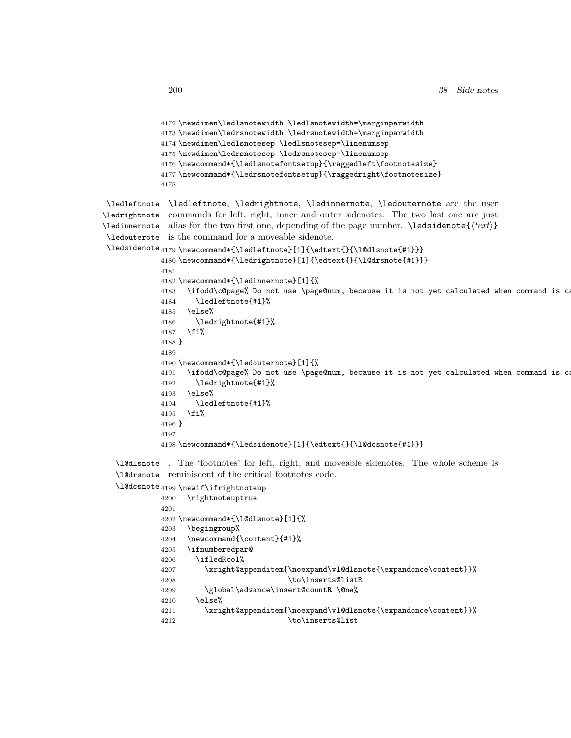```
4172 \newdimen\ledlsnotewidth \ledlsnotewidth=\marginparwidth
             4173 \newdimen\ledrsnotewidth \ledrsnotewidth=\marginparwidth
             4174 \newdimen\ledlsnotesep \ledlsnotesep=\linenumsep
             4175 \newdimen\ledrsnotesep \ledrsnotesep=\linenumsep
             4176 \newcommand*{\ledlsnotefontsetup}{\raggedleft\footnotesize}
             4177 \newcommand*{\ledrsnotefontsetup}{\raggedright\footnotesize}
             4178
 \ledleftnote
\ledleftnote, \ledrightnote, \ledinnernote, \ledouternote are the user
\ledrightnote
commands for left, right, inner and outer sidenotes. The two last one are just
\ledinnernote
 \ledouterote
is the command for a moveable sidenote.
 \ledsidenote
4179 \newcommand*{\ledleftnote}[1]{\edtext{}{\l@dlsnote{#1}}}
              alias for the two first one, depending of the page number. \ledsidenote{⟨text⟩}
             4180 \newcommand*{\ledrightnote}[1]{\edtext{}{\l@drsnote{#1}}}
             4181
             4182 \newcommand*{\ledinnernote}[1]{%
             4183 \ifodd\c@page% Do not use \page@num, because it is not yet calculated when command is called
             4184 \ledleftnote{#1}%
             4185 \else%
             4186 \ledrightnote{#1}%
             4187 \fi%
             4188 }
             4189
             4190 \newcommand*{\ledouternote}[1]{%
             4191 \ifodd\c@page% Do not use \page@num, because it is not yet calculated when command is called
             4192 \ledrightnote{#1}%
             4193 \else%
             4194 \ledleftnote{#1}%
             4195 \fi%
             4196 }
             4197
             4198 \newcommand*{\ledsidenote}[1]{\edtext{}{\l@dcsnote{#1}}}
   \l@dlsnote
. The 'footnotes' for left, right, and moveable sidenotes. The whole scheme is
   \l@drsnote
reminiscent of the critical footnotes code.
   \l@dcsnote
4199 \newif\ifrightnoteup
```

```
4200 \rightnoteuptrue
4201
4202 \newcommand*{\l@dlsnote}[1]{%
4203 \begingroup%
4204 \newcommand{\content}{#1}%
4205 \ifnumberedpar@
4206 \ifledRcol%
4207 \xright@appenditem{\noexpand\vl@dlsnote{\expandonce\content}}%
4208 \to\inserts@listR
4209 \global\advance\insert@countR \@ne%
4210 \else%
4211 \xright@appenditem{\noexpand\vl@dlsnote{\expandonce\content}}%
4212 \to\inserts@list
```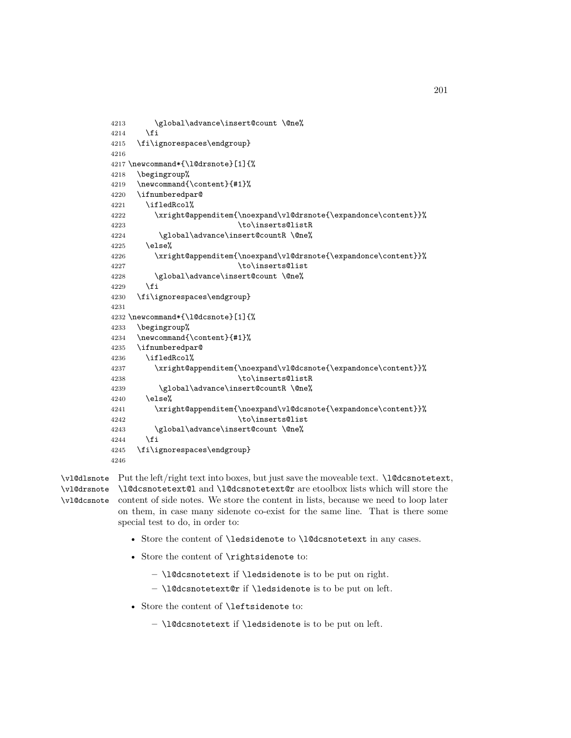```
4213 \global\advance\insert@count \@ne%
4214 \fi
4215 \fi\ignorespaces\endgroup}
4216
4217 \newcommand*{\l@drsnote}[1]{%
4218 \begingroup%
4219 \newcommand{\content}{#1}%
4220 \ifnumberedpar@
4221 \ifledRcol%
4222 \xright@appenditem{\noexpand\vl@drsnote{\expandonce\content}}%
4223 \to\inserts@listR
4224 \global\advance\insert@countR \@ne%
4225 \else%
4226 \xright@appenditem{\noexpand\vl@drsnote{\expandonce\content}}%
4227 \to\inserts@list
4228 \global\advance\insert@count \@ne%
4229 \fi
4230 \fi\ignorespaces\endgroup}
4231
4232 \newcommand*{\l@dcsnote}[1]{%
4233 \begingroup%
4234 \newcommand{\content}{#1}%
4235 \ifnumberedpar@
4236 \ifledRcol%
4237 \xright@appenditem{\noexpand\vl@dcsnote{\expandonce\content}}%
4238 \to\inserts@listR
4239 \global\advance\insert@countR \@ne%
4240 \else%
4241 \xright@appenditem{\noexpand\vl@dcsnote{\expandonce\content}}%
4242 \to\inserts@list
4243 \global\advance\insert@count \@ne%
4244 \fi
4245 \fi\ignorespaces\endgroup}
4246
```
\vl@dlsnote Put the left/right text into boxes, but just save the moveable text. \l@dcsnotetext, \vl@drsnote \l@dcsnotetext@l and \l@dcsnotetext@r are etoolbox lists which will store the \vl@dcsnote content of side notes. We store the content in lists, because we need to loop later on them, in case many sidenote co-exist for the same line. That is there some special test to do, in order to:

- Store the content of \ledsidenote to \l@dcsnotetext in any cases.
- Store the content of \rightsidenote to:
	- **–** \l@dcsnotetext if \ledsidenote is to be put on right.
	- **–** \l@dcsnotetext@r if \ledsidenote is to be put on left.
- Store the content of \leftsidenote to:
	- **–** \l@dcsnotetext if \ledsidenote is to be put on left.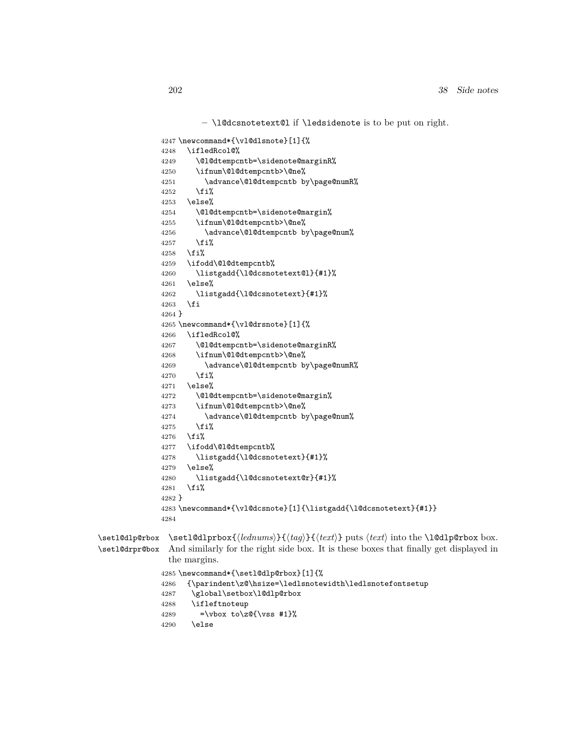```
– \l@dcsnotetext@l if \ledsidenote is to be put on right.
             4247 \newcommand*{\vl@dlsnote}[1]{%
             4248 \ifledRcol@%
             4249 \@l@dtempcntb=\sidenote@marginR%
             4250 \ifnum\@l@dtempcntb>\@ne%
             4251 \advance\@l@dtempcntb by\page@numR%
             4252 \fi%
             4253 \else%
             4254 \@l@dtempcntb=\sidenote@margin%
             4255 \ifnum\@l@dtempcntb>\@ne%
             4256 \advance\@l@dtempcntb by\page@num%
             4257 \fi%
             4258 \fi%
             4259 \ifodd\@l@dtempcntb%
             4260 \listgadd{\l@dcsnotetext@l}{#1}%
             4261 \else%
             4262 \listgadd{\l@dcsnotetext}{#1}%
             4263 \fi
             4264 }
             4265 \newcommand*{\vl@drsnote}[1]{%
             4266 \ifledRcol@%
             4267 \@l@dtempcntb=\sidenote@marginR%
             4268 \ifnum\@l@dtempcntb>\@ne%
             4269 \advance\@l@dtempcntb by\page@numR%
             4270 \{f_i\}4271 \else%
             4272 \@l@dtempcntb=\sidenote@margin%
             4273 \ifnum\@l@dtempcntb>\@ne%
             4274 \advance\@l@dtempcntb by\page@num%
             4275 \{f_i\}4276 \{f_i\}4277 \ifodd\@l@dtempcntb%
             4278 \listgadd{\l@dcsnotetext}{#1}%
             4279 \else%
             4280 \listgadd{\l@dcsnotetext@r}{#1}%
             4281 \fi%
             4282 }
             4283 \newcommand*{\vl@dcsnote}[1]{\listgadd{\l@dcsnotetext}{#1}}
             4284
\setl@dlp@rbox
\setl@dlprbox{⟨lednums⟩}{⟨tag⟩}{⟨text⟩} puts ⟨text⟩ into the \l@dlp@rbox box.
\setl@drpr@box
               And similarly for the right side box. It is these boxes that finally get displayed in
               the margins.
             4285 \newcommand*{\setl@dlp@rbox}[1]{%
             4286 {\parindent\z@\hsize=\ledlsnotewidth\ledlsnotefontsetup
             4287 \global\setbox\l@dlp@rbox
             4288 \ifleftnoteup
             4289 =\vbox to\z\mathcal{C}\\vss #1}%
             4290 \else
```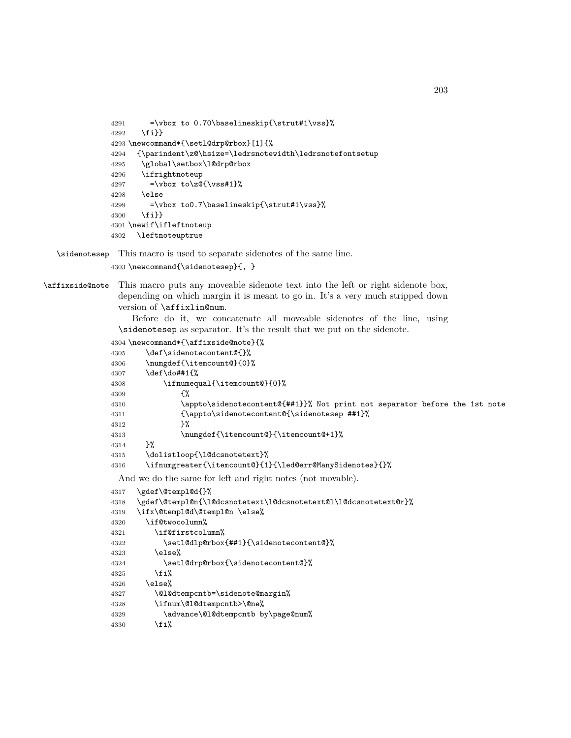```
4291 =\vbox to 0.70\baselineskip{\strut#1\vss}%
4292 \fi}}
4293 \newcommand*{\setl@drp@rbox}[1]{%
4294 {\parindent\z@\hsize=\ledrsnotewidth\ledrsnotefontsetup
4295 \global\setbox\l@drp@rbox
4296 \ifrightnoteup
4297 =\vbox to\zQ{\vss#1}%
4298 \else
4299 =\vbox to0.7\baselineskip{\strut#1\vss}%
4300 \fi}}
4301 \newif\ifleftnoteup
4302 \leftnoteuptrue
```
\sidenotesep This macro is used to separate sidenotes of the same line.

```
4303 \newcommand{\sidenotesep}{, }
```
\affixside@note This macro puts any moveable sidenote text into the left or right sidenote box, depending on which margin it is meant to go in. It's a very much stripped down version of \affixlin@num.

> Before do it, we concatenate all moveable sidenotes of the line, using \sidenotesep as separator. It's the result that we put on the sidenote.

```
4304 \newcommand*{\affixside@note}{%
```

```
4305 \def\sidenotecontent@{}%
4306 \numgdef{\itemcount@}{0}%
4307 \def\do##1{%
4308 \ifnumequal{\itemcount@}{0}%
4309 {%
4310 \appto\sidenotecontent@{##1}}% Not print not separator before the 1st note
4311 {\appto\sidenotecontent@{\sidenotesep ##1}%
4312 }%
4313 \numgdef{\itemcount@}{\itemcount@+1}%
4314 }%
4315 \dolistloop{\l@dcsnotetext}%
4316 \ifnumgreater{\itemcount@}{1}{\led@err@ManySidenotes}{}%
```
And we do the same for left and right notes (not movable).

```
4317 \gdef\@templ@d{}%
4318 \gdef\@templ@n{\l@dcsnotetext\l@dcsnotetext@l\l@dcsnotetext@r}%
4319 \ifx\@templ@d\@templ@n \else%
4320 \if@twocolumn%
4321 \if@firstcolumn%
4322 \setl@dlp@rbox{##1}{\sidenotecontent@}%
4323 \else%
4324 \setl@drp@rbox{\sidenotecontent@}%
4325 \overrightarrow{1\}4326 \else%
4327 \@l@dtempcntb=\sidenote@margin%
4328 \ifnum\@l@dtempcntb>\@ne%
4329 \advance\@l@dtempcntb by\page@num%
4330 \fi%
```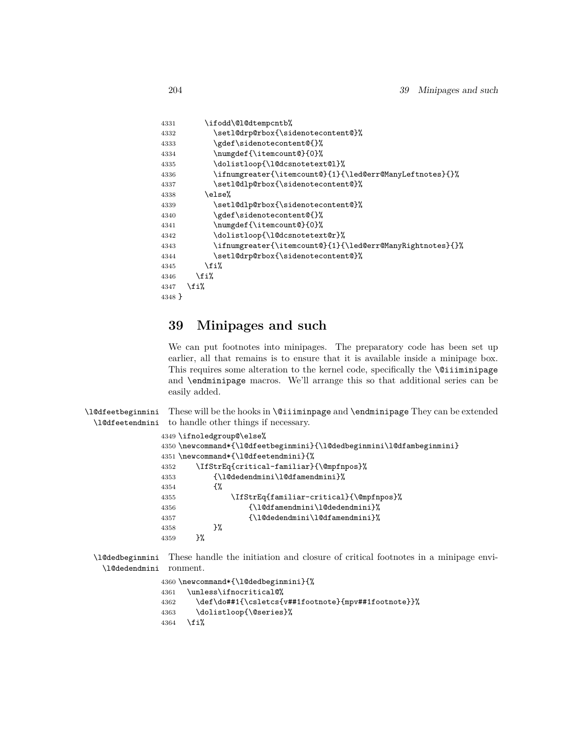```
4331 \ifodd\@l@dtempcntb%
4332 \setl@drp@rbox{\sidenotecontent@}%
4333 \gdef\sidenotecontent@{}%
4334 \numgdef{\itemcount@}{0}%
4335 \dolistloop{\l@dcsnotetext@l}%
4336 \ifnumgreater{\itemcount@}{1}{\led@err@ManyLeftnotes}{}%
4337 \setl@dlp@rbox{\sidenotecontent@}%
4338 \else%
4339 \setl@dlp@rbox{\sidenotecontent@}%
4340 \gdef\sidenotecontent@{}%
4341 \numgdef{\itemcount@}{0}%
4342 \dolistloop{\l@dcsnotetext@r}%
4343 \ifnumgreater{\itemcount@}{1}{\led@err@ManyRightnotes}{}%
4344 \setl@drp@rbox{\sidenotecontent@}%
4345 \fi%
4346 \{f_i\}4347 \fi%
4348 }
```
# **39 Minipages and such**

We can put footnotes into minipages. The preparatory code has been set up earlier, all that remains is to ensure that it is available inside a minipage box. This requires some alteration to the kernel code, specifically the \@iiiminipage and \endminipage macros. We'll arrange this so that additional series can be easily added.

\l@dfeetbeginmini \l@dfeetendmini These will be the hooks in \@iiiminpage and \endminipage They can be extended to handle other things if necessary.

```
4349 \ifnoledgroup@\else%
4350 \newcommand*{\l@dfeetbeginmini}{\l@dedbeginmini\l@dfambeginmini}
4351 \newcommand*{\l@dfeetendmini}{%
4352 \IfStrEq{critical-familiar}{\@mpfnpos}%
4353 {\l@dedendmini\l@dfamendmini}%
4354 {%
4355 \IfStrEq{familiar-critical}{\@mpfnpos}%
4356 {\l@dfamendmini\l@dedendmini}%
4357 {\l@dedendmini\l@dfamendmini}%
4358 }%
4359
```
\l@dedbeginmini These handle the initiation and closure of critical footnotes in a minipage envi-\l@dedendmini ronment.

```
4360 \newcommand*{\l@dedbeginmini}{%
4361 \unless\ifnocritical@%
4362 \def\do##1{\csletcs{v##1footnote}{mpv##1footnote}}%
4363 \dolistloop{\@series}%
4364 \fi%
```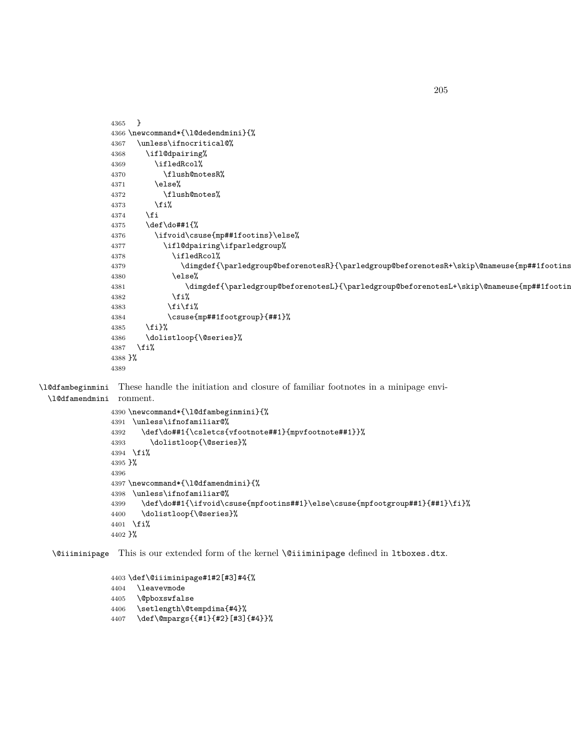```
4365 }
4366 \newcommand*{\l@dedendmini}{%
4367 \unless\ifnocritical@%
4368 \ifl@dpairing%
4369 \ifledRcol%
4370 \flush@notesR%
4371 \else%
4372 \flush@notes%
4373 \fi%
4374 \fi
4375 \def\do##1{%
4376 \ifvoid\csuse{mp##1footins}\else%
4377 \ifl@dpairing\ifparledgroup%
4378 \ifledRcol%
4379 \dimgdef{\parledgroup@beforenotesR}{\parledgroup@beforenotesR+\skip\@nameuse{mp##1footins}}%
4380 \else%
4381 \dimgdef{\parledgroup@beforenotesL}{\parledgroup@beforenotesL+\skip\@nameuse{mp##1footins}}%
4382 \fi%
4383 \overrightarrow{f_1}\4384 \csuse{mp##1footgroup}{##1}%
4385 \fi}%
4386 \dolistloop{\@series}%
4387 \fi%
4388 }%
4389
```
\l@dfambeginmini These handle the initiation and closure of familiar footnotes in a minipage envi-

```
\l@dfamendmini
ronment.
```

```
4390 \newcommand*{\l@dfambeginmini}{%
4391 \unless\ifnofamiliar@%
4392 \def\do##1{\csletcs{vfootnote##1}{mpvfootnote##1}}%
4393 \dolistloop{\@series}%
4394 \fi%
4395 }%
4396
4397 \newcommand*{\l@dfamendmini}{%
4398 \unless\ifnofamiliar@%
4399 \def\do##1{\ifvoid\csuse{mpfootins##1}\else\csuse{mpfootgroup##1}{##1}\fi}%
4400 \dolistloop{\@series}%
4401 \fi%
4402 }%
```
\@iiiminipage This is our extended form of the kernel \@iiiminipage defined in ltboxes.dtx.

```
4403 \def\@iiiminipage#1#2[#3]#4{%
4404 \leavevmode
```

```
4405 \@pboxswfalse
```
- \setlength\@tempdima{#4}%
- \def\@mpargs{{#1}{#2}[#3]{#4}}%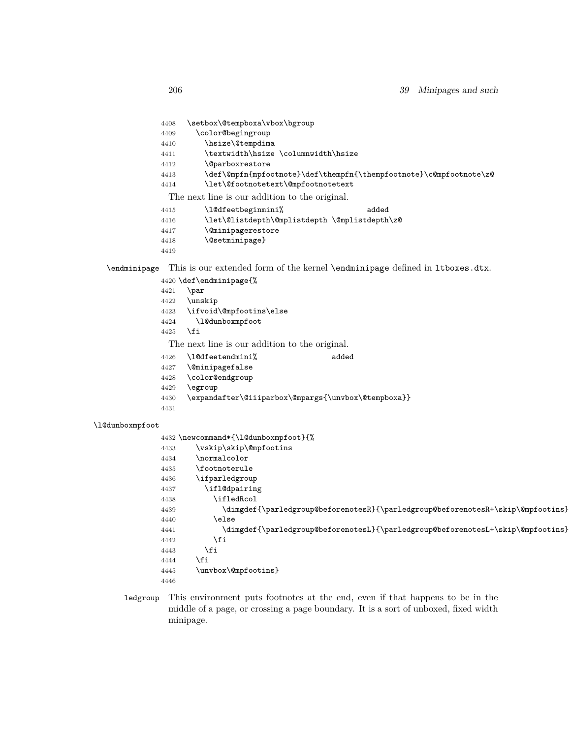- \setbox\@tempboxa\vbox\bgroup
- \color@begingroup
- \hsize\@tempdima
- 4411 \textwidth\hsize \columnwidth\hsize
- \@parboxrestore
- \def\@mpfn{mpfootnote}\def\thempfn{\thempfootnote}\c@mpfootnote\z@
- \let\@footnotetext\@mpfootnotetext

The next line is our addition to the original.

- \l@dfeetbeginmini% added
- \let\@listdepth\@mplistdepth \@mplistdepth\z@
- \@minipagerestore
- \@setminipage}
- 
- \endminipage This is our extended form of the kernel \endminipage defined in ltboxes.dtx.
	- \def\endminipage{% \par \unskip \ifvoid\@mpfootins\else \l@dunboxmpfoot \fi The next line is our addition to the original. \l@dfeetendmini% added \@minipagefalse
	- \color@endgroup
	- \egroup
	- \expandafter\@iiiparbox\@mpargs{\unvbox\@tempboxa}}
	-

#### \l@dunboxmpfoot

- \newcommand\*{\l@dunboxmpfoot}{% 4433 \vskip\skip\@mpfootins \normalcolor \footnoterule \ifparledgroup \ifl@dpairing \ifledRcol \dimgdef{\parledgroup@beforenotesR}{\parledgroup@beforenotesR+\skip\@mpfootins} 4440 \else \dimgdef{\parledgroup@beforenotesL}{\parledgroup@beforenotesL+\skip\@mpfootins} \fi 4443 \fi \fi \unvbox\@mpfootins}
- ledgroup This environment puts footnotes at the end, even if that happens to be in the middle of a page, or crossing a page boundary. It is a sort of unboxed, fixed width minipage.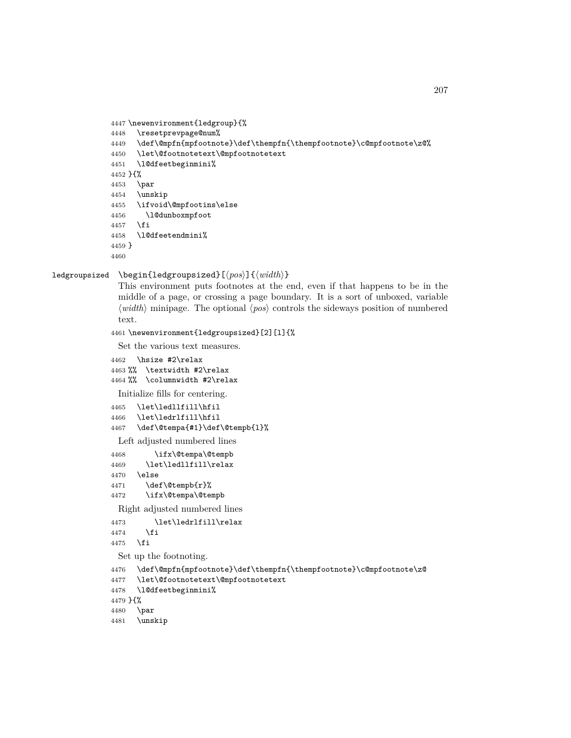```
4447 \newenvironment{ledgroup}{%
4448 \resetprevpage@num%
4449 \def\@mpfn{mpfootnote}\def\thempfn{\thempfootnote}\c@mpfootnote\z@%
4450 \let\@footnotetext\@mpfootnotetext
4451 \l@dfeetbeginmini%
4452 }{%
4453 \par
4454 \unskip
4455 \ifvoid\@mpfootins\else
4456 \l@dunboxmpfoot
4457 \fi
4458 \l@dfeetendmini%
4459 }
4460
```
ledgroupsized \begin{ledgroupsized}[*⟨pos⟩*]{*⟨width⟩*}

This environment puts footnotes at the end, even if that happens to be in the middle of a page, or crossing a page boundary. It is a sort of unboxed, variable *⟨width⟩* minipage. The optional *⟨pos⟩* controls the sideways position of numbered text.

\newenvironment{ledgroupsized}[2][l]{%

Set the various text measures.

```
4462 \hsize #2\relax
4463 %% \textwidth #2\relax
4464 %% \columnwidth #2\relax
```
Initialize fills for centering.

 \let\ledllfill\hfil \let\ledrlfill\hfil \def\@tempa{#1}\def\@tempb{l}%

Left adjusted numbered lines

| 4468 | \ifx\@tempa\@tempb   |
|------|----------------------|
| 4469 | \let\ledllfill\relax |
| 4470 | \else                |
| 4471 | \def\@tempb{r}%      |
| 4472 | \ifx\@tempa\@tempb   |

Right adjusted numbered lines

```
4473 \let\ledrlfill\relax
```

```
4474 \fi
```
\fi

Set up the footnoting.

```
4476 \def\@mpfn{mpfootnote}\def\thempfn{\thempfootnote}\c@mpfootnote\z@
```

```
4477 \let\@footnotetext\@mpfootnotetext
```

```
4478 \l@dfeetbeginmini%
```

```
4479 }{%
```
\par

```
4481 \unskip
```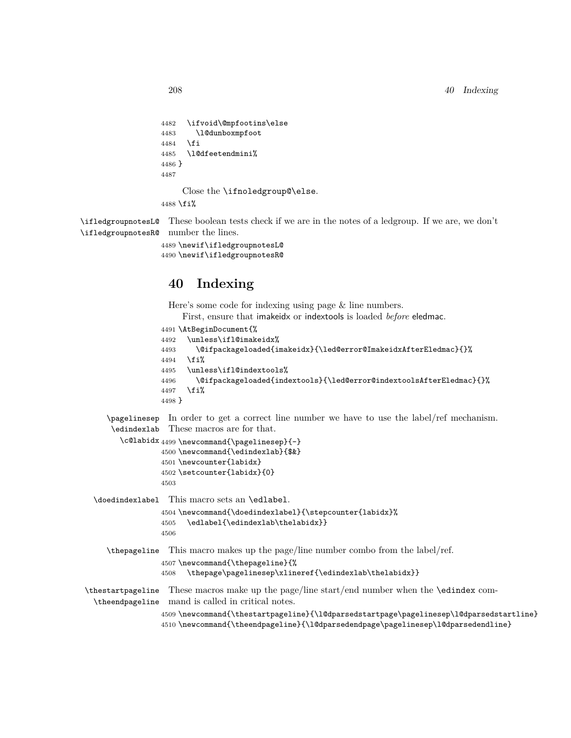```
4482 \ifvoid\@mpfootins\else
4483 \l@dunboxmpfoot
4484 \fi
4485 \l@dfeetendmini%
4486 }
4487
    Close the \ifnoledgroup@\else.
4488 \fi%
```
\ifledgroupnotesL@ These boolean tests check if we are in the notes of a ledgroup. If we are, we don't \ifledgroupnotesR@ number the lines.

```
4489 \newif\ifledgroupnotesL@
4490 \newif\ifledgroupnotesR@
```
# **40 Indexing**

Here's some code for indexing using page & line numbers.

First, ensure that imakeidx or indextools is loaded *before* eledmac.

```
4491 \AtBeginDocument{%
4492 \unless\ifl@imakeidx%
4493 \@ifpackageloaded{imakeidx}{\led@error@ImakeidxAfterEledmac}{}%
4494 \fi%
4495 \unless\ifl@indextools%
4496 \@ifpackageloaded{indextools}{\led@error@indextoolsAfterEledmac}{}%
4497 \fi%
4498 }
```
\pagelinesep In order to get a correct line number we have to use the label/ref mechanism. \edindexlab These macros are for that.

```
\c@labidx 4499 \newcommand{\pagelinesep}{-}
         4500 \newcommand{\edindexlab}{$&}
         4501 \newcounter{labidx}
         4502 \setcounter{labidx}{0}
         4503
```
\doedindexlabel This macro sets an \edlabel.

```
4504 \newcommand{\doedindexlabel}{\stepcounter{labidx}%
4505 \quad \verb|\edlabel{\edindexlab\thelabidx}|4506
```
\thepageline This macro makes up the page/line number combo from the label/ref. \newcommand{\thepageline}{%

\thepage\pagelinesep\xlineref{\edindexlab\thelabidx}}

\thestartpageline These macros make up the page/line start/end number when the \edindex com-\theendpageline mand is called in critical notes.

 \newcommand{\thestartpageline}{\l@dparsedstartpage\pagelinesep\l@dparsedstartline} \newcommand{\theendpageline}{\l@dparsedendpage\pagelinesep\l@dparsedendline}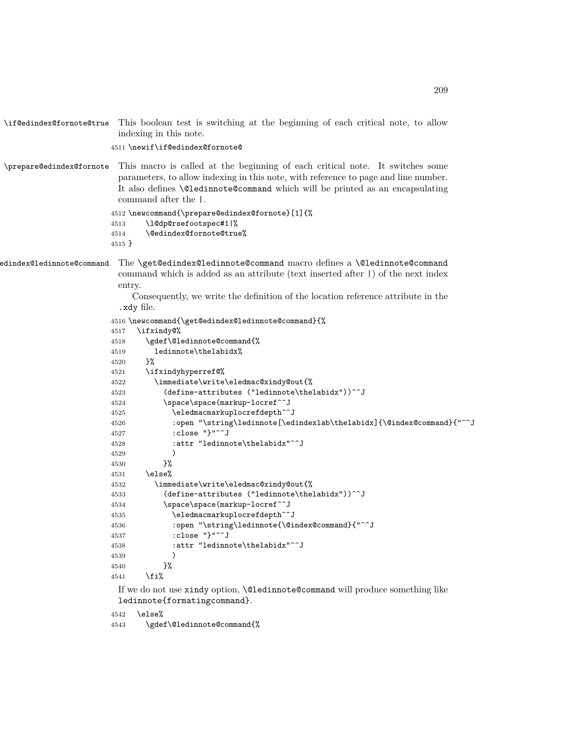```
\if@edindex@fornote@true This boolean test is switching at the beginning of each critical note, to allow
                         indexing in this note.
                       4511 \newif\if@edindex@fornote@
\prepare@edindex@fornote This macro is called at the beginning of each critical note. It switches some
                         parameters, to allow indexing in this note, with reference to page and line number.
                         It also defines \@ledinnote@command which will be printed as an encapsulating
                         command after the |.
                       4512 \newcommand{\prepare@edindex@fornote}[1]{%
                       4513 \l@dp@rsefootspec#1|%
                       4514 \@edindex@fornote@true%
                       4515 }
\get@edindex@ledinnote@command The \get@edindex@ledinnote@command macro defines a \@ledinnote@command
                         command which is added as an attribute (text inserted after |) of the next index
                         entry.
                            Consequently, we write the definition of the location reference attribute in the
                         .xdy file.
                       4516 \newcommand{\get@edindex@ledinnote@command}{%
                       4517 \ifxindy@%
                       4518 \gdef\@ledinnote@command{%
                       4519 ledinnote\thelabidx%
                       4520 }%
                       4521 \ifxindyhyperref@%
                       4522 \immediate\write\eledmac@xindy@out{%
                       4523 (define-attributes ("ledinnote\thelabidx"))^^J
                       4524 \space\space(markup-locref^^J
                       4525 \eledmacmarkuplocrefdepth^^J
                       4526 :open "\string\ledinnote[\edindexlab\thelabidx]{\@index@command}{"^^J
                       4527 :close "}"^^J
                       4528 :attr "ledinnote\thelabidx"^^J
                       4529 )
                       4530 }%
                       4531 \else%
                       4532 \immediate\write\eledmac@xindy@out{%
                       4533 (define-attributes ("ledinnote\thelabidx"))^^J
                       4534 \space\space(markup-locref^^J
                       4535 \eledmacmarkuplocrefdepth^^J
                       4536 :open "\string\ledinnote{\@index@command}{"^^J
                       4537 :close "}"^^J
                       4538 :attr "ledinnote\thelabidx"^^J
                       4539 )
                       4540 }%
                       4541 \fi%
                         If we do not use xindy option, \@ledinnote@command will produce something like
                         ledinnote{formatingcommand}.
                       4542 \else%
                       4543 \gdef\@ledinnote@command{%
```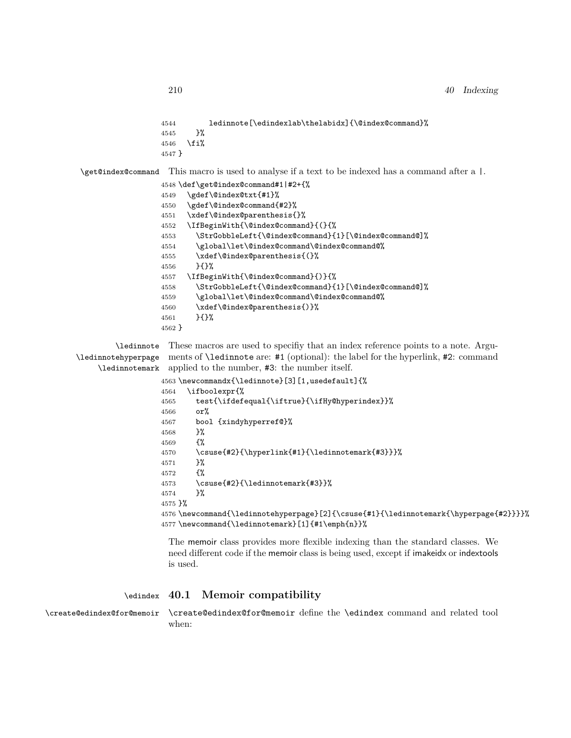```
4544 ledinnote[\edindexlab\thelabidx]{\@index@command}%
                  4545 }%
                 4546 \fi%
                 4547 }
\get@index@command This macro is used to analyse if a text to be indexed has a command after a |.
                 4548 \def\get@index@command#1|#2+{%
                 4549 \gdef\@index@txt{#1}%
                 4550 \gdef\@index@command{#2}%
                 4551 \xdef\@index@parenthesis{}%
                 4552 \IfBeginWith{\@index@command}{(}{%
                 4553 \StrGobbleLeft{\@index@command}{1}[\@index@command@]%
                 4554 \global\let\@index@command\@index@command@%
```
\xdef\@index@parenthesis{(}%

}{}%

\IfBeginWith{\@index@command}{)}{%

\StrGobbleLeft{\@index@command}{1}[\@index@command@]%

\global\let\@index@command\@index@command@%

- \xdef\@index@parenthesis{)}%
- }{}%

}

\ledinnote These macros are used to specifiy that an index reference points to a note. Argu-\ledinnotehyperpage ments of \ledinnote are: #1 (optional): the label for the hyperlink, #2: command \ledinnotemark applied to the number, #3: the number itself.

```
4563 \newcommandx{\ledinnote}[3][1,usedefault]{%
4564 \ifboolexpr{%
4565 test{\ifdefequal{\iftrue}{\ifHy@hyperindex}}%
4566 or
4567 bool {xindyhyperref@}%
4568 }%
4569 {%
4570 \csuse{#2}{\hyperlink{#1}{\ledinnotemark{#3}}}%
4571 }%
4572 {%
4573 \csuse{#2}{\ledinnotemark{#3}}%
```
}%

}%

 \newcommand{\ledinnotehyperpage}[2]{\csuse{#1}{\ledinnotemark{\hyperpage{#2}}}}% \newcommand{\ledinnotemark}[1]{#1\emph{n}}%

The memoir class provides more flexible indexing than the standard classes. We need different code if the memoir class is being used, except if imakeidx or indextools is used.

## \edindex **40.1 Memoir compatibility**

\create@edindex@for@memoir \create@edindex@for@memoir define the \edindex command and related tool when: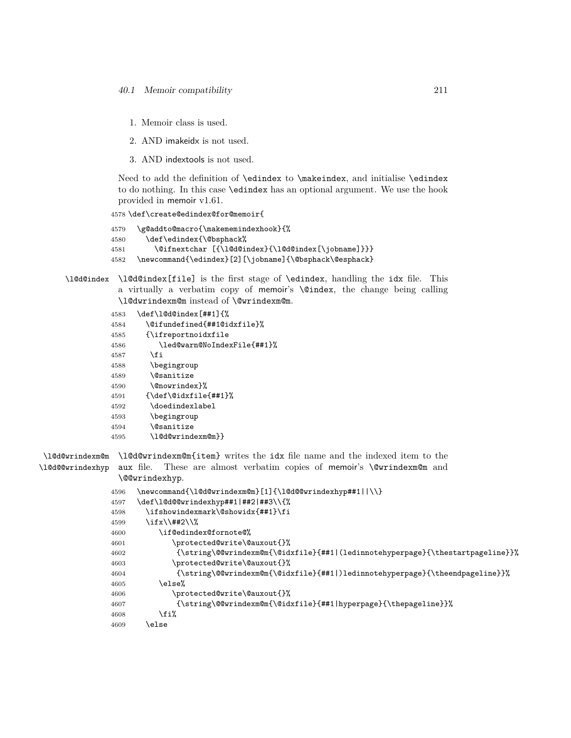- 1. Memoir class is used.
- 2. AND imakeidx is not used.
- 3. AND indextools is not used.

Need to add the definition of \edindex to \makeindex, and initialise \edindex to do nothing. In this case \edindex has an optional argument. We use the hook provided in memoir v1.61.

```
4578 \def\create@edindex@for@memoir{
```

```
4579 \g@addto@macro{\makememindexhook}{%
4580 \def\edindex{\@bsphack%
4581 \@ifnextchar [{\l@d@index}{\l@d@index[\jobname]}}}
4582 \newcommand{\edindex}[2][\jobname]{\@bsphack\@esphack}
```
\l@d@index \l@d@index[file] is the first stage of \edindex, handling the idx file. This a virtually a verbatim copy of memoir's \@index, the change being calling \l@dwrindexm@m instead of \@wrindexm@m.

```
4583 \def\l@d@index[##1]{%
```

```
4584 \@ifundefined{##1@idxfile}%
4585 {\ifreportnoidxfile
4586 \led@warn@NoIndexFile{##1}%
4587 \fi
4588 \begingroup
4589 \@sanitize
4590 \@nowrindex}%
4591 {\def\@idxfile{##1}%
4592 \doedindexlabel
4593 \begingroup
4594 \@sanitize
4595 \l@d@wrindexm@m}}
```
\l@d@wrindexm@m \l@d@wrindexm@m{item} writes the idx file name and the indexed item to the \l@d@@wrindexhyp aux file. These are almost verbatim copies of memoir's \@wrindexm@m and \@@wrindexhyp.

```
4596 \newcommand{\l@d@wrindexm@m}[1]{\l@d@@wrindexhyp##1||\\}
4597 \def\l@d@@wrindexhyp##1|##2|##3\\{%
4598 \ifshowindexmark\@showidx{##1}\fi
4599 \ifx\\##2\\%
4600 \if@edindex@fornote@%
4601 \protected@write\@auxout{}%
4602 {\string\@@wrindexm@m{\@idxfile}{##1|(ledinnotehyperpage}{\thestartpageline}}%
4603 \protected@write\@auxout{}%
4604 {\string\@@wrindexm@m{\@idxfile}{##1|)ledinnotehyperpage}{\theendpageline}}%
4605 \else%
4606 \protected@write\@auxout{}%
4607 {\string\@@wrindexm@m{\@idxfile}{##1|hyperpage}{\thepageline}}%
4608 \fi%
4609 \else
```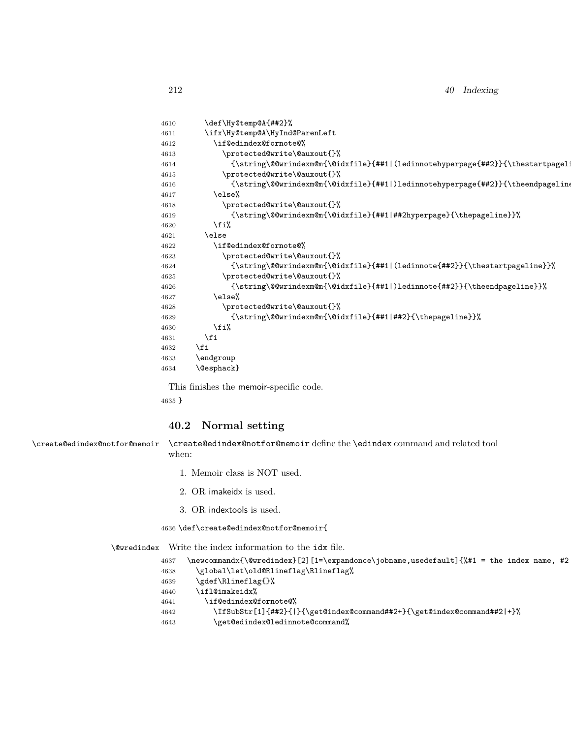| 4610 | \def\Hy@temp@A{##2}%                                                                              |
|------|---------------------------------------------------------------------------------------------------|
| 4611 | \ifx\Hy@temp@A\HyInd@ParenLeft                                                                    |
| 4612 | \if@edindex@fornote@%                                                                             |
| 4613 | \protected@write\@auxout{}%                                                                       |
| 4614 | {\string\@@wrindexm@m{\@idxfile}{##1 (ledinnotehyperpage{##2}}{\thestartpagel:                    |
| 4615 | \protected@write\@auxout{}%                                                                       |
| 4616 | {\string\@@wrindexm@m{\@idxfile}{##1 )ledinnotehyperpage{##2}}{\theendpageline                    |
| 4617 | \else%                                                                                            |
| 4618 | \protected@write\@auxout{}%                                                                       |
| 4619 | {\string\@@wrindexm@m{\@idxfile}{##1 ##2hyperpage}{\thepageline}}%                                |
| 4620 | \fi%                                                                                              |
| 4621 | \else                                                                                             |
| 4622 | \if@edindex@fornote@%                                                                             |
| 4623 | \protected@write\@auxout{}%                                                                       |
| 4624 | {\string\@@wrindexm@m{\@idxfile}{##1 (ledinnote{##2}}{\thestartpageline}}%                        |
| 4625 | \protected@write\@auxout{}%                                                                       |
| 4626 | ${\label{lem:main} $$ {\string\@write{\mathbf{q}_d}f\#1 \text{1} \text{#2}}{\\the endpageline}$$$ |
| 4627 | \else%                                                                                            |
| 4628 | \protected@write\@auxout{}%                                                                       |
| 4629 | ${\scriptstyle\verb (\string\\@wrindexm@m{\@idxfile} {\#1 ##2}{}(\the pageline)}.$                |
| 4630 | \fi%                                                                                              |
| 4631 | \fi                                                                                               |
| 4632 | \fi                                                                                               |
| 4633 | \endgroup                                                                                         |
| 4634 | \@esphack}                                                                                        |

This finishes the memoir-specific code.

}

#### **40.2 Normal setting**

\create@edindex@notfor@memoir \create@edindex@notfor@memoir define the \edindex command and related tool when:

- 1. Memoir class is NOT used.
- 2. OR imakeidx is used.
- 3. OR indextools is used.

\def\create@edindex@notfor@memoir{

\@wredindex Write the index information to the idx file.

- \newcommandx{\@wredindex}[2][1=\expandonce\jobname,usedefault]{%#1 = the index name, #2
- \global\let\old@Rlineflag\Rlineflag%
- 4639 \gdef\Rlineflag{}%
- \ifl@imakeidx%
- \if@edindex@fornote@%
- \IfSubStr[1]{##2}{|}{\get@index@command##2+}{\get@index@command##2|+}%
- \get@edindex@ledinnote@command%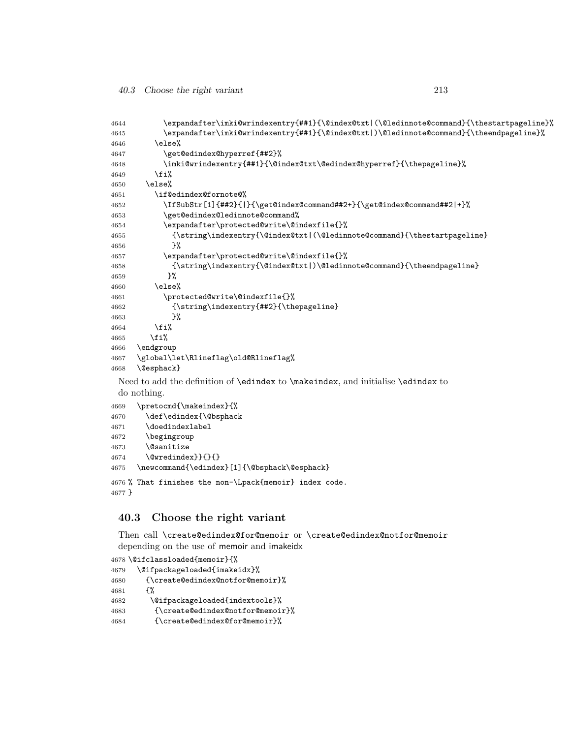```
4644 \expandafter\imki@wrindexentry{##1}{\@index@txt|(\@ledinnote@command}{\thestartpageline}%
4645 \expandafter\imki@wrindexentry{##1}{\@index@txt|)\@ledinnote@command}{\theendpageline}%
4646 \else%
4647 \get@edindex@hyperref{##2}%
4648 \imki@wrindexentry{##1}{\@index@txt\@edindex@hyperref}{\thepageline}%
4649 \fi%
4650 \else%
4651 \if@edindex@fornote@%
4652 \IfSubStr[1]{##2}{|}{\get@index@command##2+}{\get@index@command##2|+}%
4653 \get@edindex@ledinnote@command%
4654 \expandafter\protected@write\@indexfile{}%
4655 {\string\indexentry{\@index@txt|(\@ledinnote@command}{\thestartpageline}
4656 }%
4657 \expandafter\protected@write\@indexfile{}%
4658 {\string\indexentry{\@index@txt|)\@ledinnote@command}{\theendpageline}
4659 }%
4660 \else%
4661 \protected@write\@indexfile{}%
4662 {\string\indexentry{##2}{\thepageline}
4663 }%
4664 \fi%
4665 \fi%
4666 \endgroup
4667 \global\let\Rlineflag\old@Rlineflag%
4668 \@esphack}
```
Need to add the definition of \edindex to \makeindex, and initialise \edindex to do nothing.

```
4669 \pretocmd{\makeindex}{%
4670 \def\edindex{\@bsphack
4671 \doedindexlabel
4672 \begingroup
4673 \@sanitize
4674 \@wredindex}}{}{}
4675 \newcommand{\edindex}[1]{\@bsphack\@esphack}
```

```
4676 % That finishes the non-\Lpack{memoir} index code.
4677 }
```
# **40.3 Choose the right variant**

Then call \create@edindex@for@memoir or \create@edindex@notfor@memoir depending on the use of memoir and imakeidx

```
4678 \@ifclassloaded{memoir}{%
4679 \@ifpackageloaded{imakeidx}%
4680 {\create@edindex@notfor@memoir}%
4681 {%
4682 \@ifpackageloaded{indextools}%
4683 {\create@edindex@notfor@memoir}%
4684 {\create@edindex@for@memoir}%
```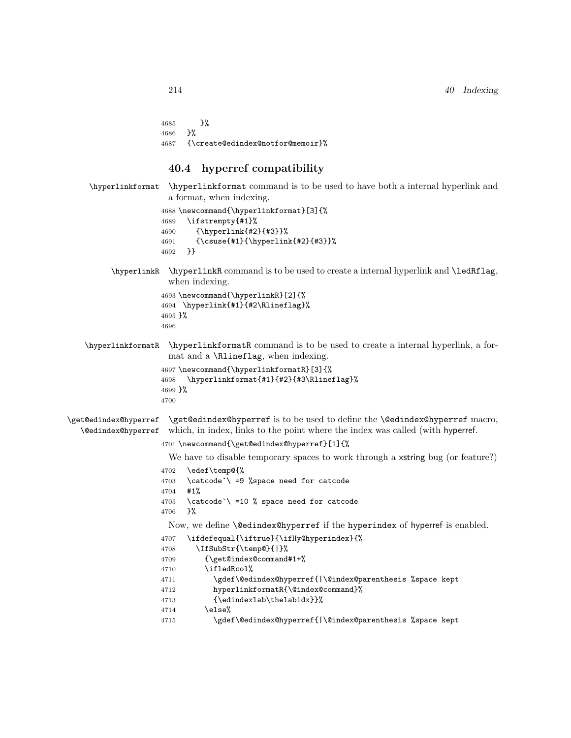}% }% {\create@edindex@notfor@memoir}%

## **40.4 hyperref compatibility**

```
\hyperlinkformat \hyperlinkformat command is to be used to have both a internal hyperlink and
                      a format, when indexing.
                     4688 \newcommand{\hyperlinkformat}[3]{%
                     4689 \ifstrempty{#1}%
                     4690 {\hyperlink{#2}{#3}}%
                     4691 {\csuse{#1}{\hyperlink{#2}{#3}}%
                     4692 }}
         \hyperlinkR \hyperlinkR command is to be used to create a internal hyperlink and \ledRflag,
                      when indexing.
                     4693 \newcommand{\hyperlinkR}[2]{%
                     4694 \hyperlink{#1}{#2\Rlineflag}%
                     4695 }%
                     4696
   \hyperlinkformatR \hyperlinkformatR command is to be used to create a internal hyperlink, a for-
                      mat and a \Rlineflag, when indexing.
                     4697 \newcommand{\hyperlinkformatR}[3]{%
                     4698 \hyperlinkformat{#1}{#2}{#3\Rlineflag}%
                     4699 }%
                     4700
\get@edindex@hyperref
  \@edindex@hyperref
                      \get@edindex@hyperref is to be used to define the \@edindex@hyperref macro,
                      which, in index, links to the point where the index was called (with hyperref.
                    4701 \newcommand{\get@edindex@hyperref}[1]{%
                      We have to disable temporary spaces to work through a x string bug (or feature?)
                    4702 \edef\temp@{%
                     4703 \catcode`\ =9 %space need for catcode
                     4704 #1%
                     4705 \catcode`\ =10 % space need for catcode
                     4706 }%
                      Now, we define \@edindex@hyperref if the hyperindex of hyperref is enabled.
                    4707 \ifdefequal{\iftrue}{\ifHy@hyperindex}{%
                     4708 \IfSubStr{\temp@}{|}%
                     4709 {\get@index@command#1+%
                    4710 \ifledRcol%
                     4711 \gdef\@edindex@hyperref{|\@index@parenthesis %space kept
                     4712 hyperlinkformatR{\@index@command}%
                     4713 {\edindexlab\thelabidx}}%
                     4714 \else%
                     4715 \gdef\@edindex@hyperref{|\@index@parenthesis %space kept
```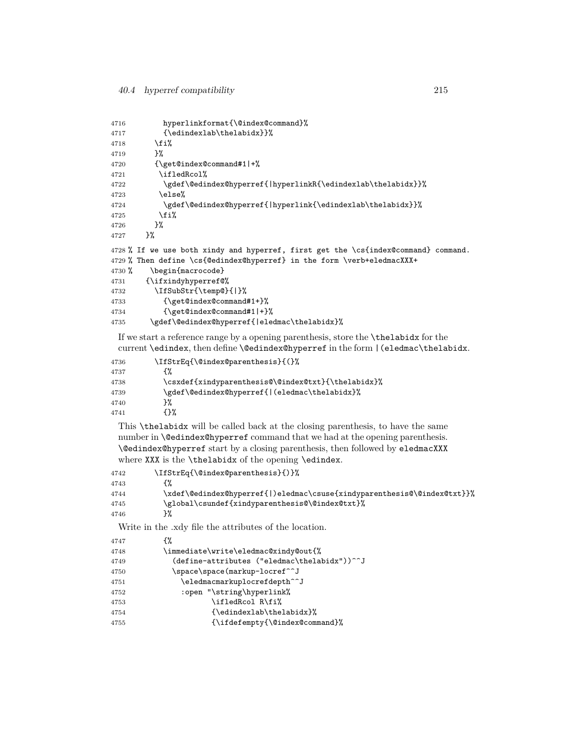```
4716 hyperlinkformat{\@index@command}%
4717 {\edindexlab\thelabidx}}%
4718 \fi%
4719 }%
4720 {\get@index@command#1|+%
4721 \ifledRcol%
4722 \gdef\@edindex@hyperref{|hyperlinkR{\edindexlab\thelabidx}}%
4723 \else%
4724 \gdef\@edindex@hyperref{|hyperlink{\edindexlab\thelabidx}}%
4725 \fi%
4726 }%
4727 }%
4728 % If we use both xindy and hyperref, first get the \cs{index@command} command.
4729 % Then define \cs{@edindex@hyperref} in the form \verb+eledmacXXX+
4730 % \begin{macrocode}
4731 {\ifxindyhyperref@%
4732 \IfSubStr{\temp@}{|}%
4733 {\get@index@command#1+}%
4734 {\get@index@command#1|+}%
4735 \gdef\@edindex@hyperref{|eledmac\thelabidx}%
 If we start a reference range by a opening parenthesis, store the \thelabidx for the
 current \edindex, then define \@edindex@hyperref in the form | (eledmac\thelabidx.
4736 \IfStrEq{\@index@parenthesis}{(}%
4737 {%
4738 \csxdef{xindyparenthesis@\@index@txt}{\thelabidx}%
4739 \gdef\@edindex@hyperref{|(eledmac\thelabidx}%
4740 }%
4741 {}%
 This \thelabidx will be called back at the closing parenthesis, to have the same
 number in \@edindex@hyperref command that we had at the opening parenthesis.
 \@edindex@hyperref start by a closing parenthesis, then followed by eledmacXXX
 where XXX is the \thelabidx of the opening \edindex.
4742 \IfStrEq{\@index@parenthesis}{)}%
4743 {%
4744 \xdef\@edindex@hyperref{|)eledmac\csuse{xindyparenthesis@\@index@txt}}%
4745 \global\csundef{xindyparenthesis@\@index@txt}%
4746 }%
```
Write in the .xdy file the attributes of the location.

| 4747 | {%                                           |
|------|----------------------------------------------|
| 4748 | \immediate\write\eledmac@xindy@out{%         |
| 4749 | (define-attributes ("eledmac\thelabidx"))^^J |
| 4750 | \space\space(markup-locref^^J                |
| 4751 | \eledmacmarkuplocrefdepth^^J                 |
| 4752 | :open "\string\hyperlink%                    |
| 4753 | \ifledRcol R\fi%                             |
| 4754 | $\{ \edindexlab(\theta x) \}$                |
| 4755 | $\{\hat{\cup}\$                              |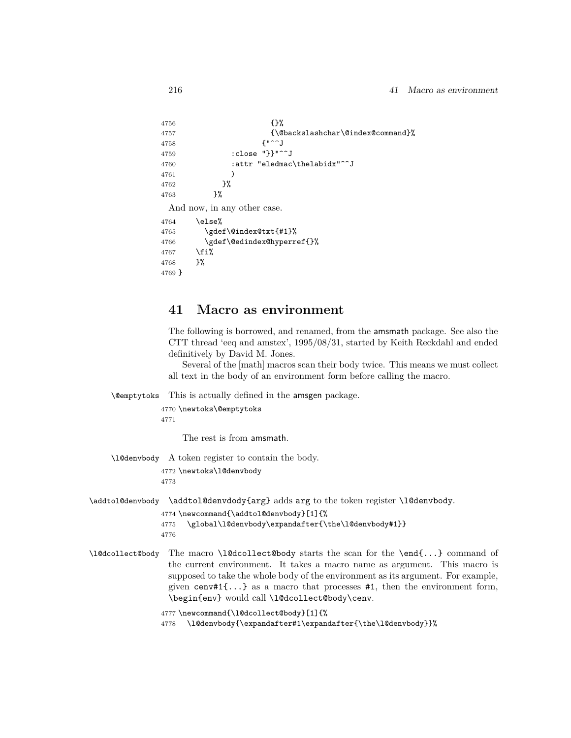```
4756 {}%
4757 {\@backslashchar\@index@command}%
4758 {"^^J
4759 :close "}}"^^J
4760 : attr "eledmac\thelabidx"^^J
4761 )
4762 }%
4763 }%
 And now, in any other case.
4764 \else%
4765 \gdef\@index@txt{#1}%
4766 \gdef\@edindex@hyperref{}%
4767 \fi%
4768 }%
4769 }
```
# **41 Macro as environment**

The following is borrowed, and renamed, from the amsmath package. See also the CTT thread 'eeq and amstex', 1995/08/31, started by Keith Reckdahl and ended definitively by David M. Jones.

Several of the [math] macros scan their body twice. This means we must collect all text in the body of an environment form before calling the macro.

\@emptytoks This is actually defined in the amsgen package.

4770 \newtoks\@emptytoks 4771

The rest is from amsmath.

\l@denvbody A token register to contain the body.

4772 \newtoks\l@denvbody 4773

\addtol@denvbody \addtol@denvdody{arg} adds arg to the token register \l@denvbody.

```
4774 \newcommand{\addtol@denvbody}[1]{%
4775 \global\l@denvbody\expandafter{\the\l@denvbody#1}}
4776
```
\l@dcollect@body The macro \l@dcollect@body starts the scan for the \end{...} command of the current environment. It takes a macro name as argument. This macro is supposed to take the whole body of the environment as its argument. For example, given cenv#1 $\{ \ldots \}$  as a macro that processes #1, then the environment form, \begin{env} would call \l@dcollect@body\cenv.

4777 \newcommand{\l@dcollect@body}[1]{%

4778 \l@denvbody{\expandafter#1\expandafter{\the\l@denvbody}}%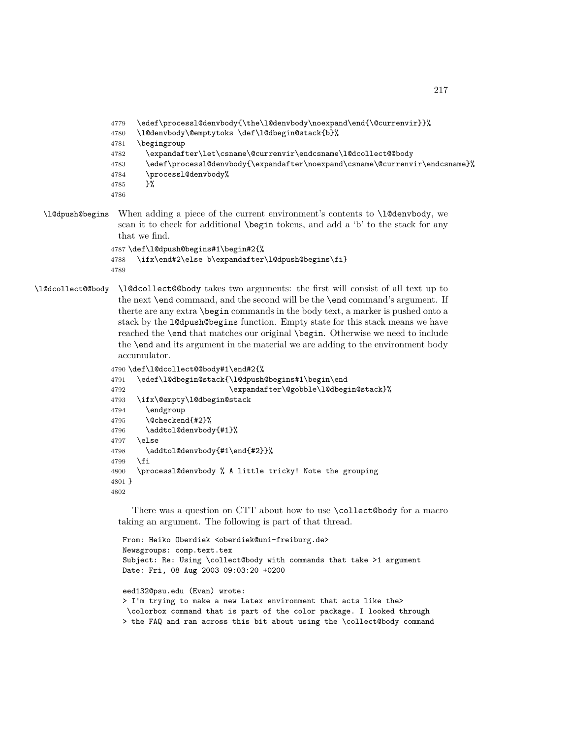```
4779 \edef\processl@denvbody{\the\l@denvbody\noexpand\end{\@currenvir}}%
               4780 \l@denvbody\@emptytoks \def\l@dbegin@stack{b}%
               4781 \begingroup
               4782 \expandafter\let\csname\@currenvir\endcsname\l@dcollect@@body
               4783 \edef\processl@denvbody{\expandafter\noexpand\csname\@currenvir\endcsname}%
               4784 \processl@denvbody%
               4785 }%
               4786
\l@dpush@begins When adding a piece of the current environment's contents to \l@denvbody, we
```
scan it to check for additional \begin tokens, and add a 'b' to the stack for any that we find.

```
4787 \def\l@dpush@begins#1\begin#2{%
4788 \ifx\end#2\else b\expandafter\l@dpush@begins\fi}
4789
```

```
\l@dcollect@@body \l@dcollect@@body takes two arguments: the first will consist of all text up to
                   the next \end command, and the second will be the \end command's argument. If
                   therte are any extra \begin commands in the body text, a marker is pushed onto a
                   stack by the l@dpush@begins function. Empty state for this stack means we have
                   reached the \end that matches our original \begin. Otherwise we need to include
                   the \end and its argument in the material we are adding to the environment body
                   accumulator.
```

```
4790 \def\l@dcollect@@body#1\end#2{%
4791 \edef\l@dbegin@stack{\l@dpush@begins#1\begin\end
4792 \expandafter\@gobble\l@dbegin@stack}%
4793 \ifx\@empty\l@dbegin@stack
4794 \endgroup
4795 \@checkend{#2}%
4796 \addtol@denvbody{#1}%
4797 \else
4798 \addtol@denvbody{#1\end{#2}}%
4799 \fi
4800 \processl@denvbody % A little tricky! Note the grouping
4801 }
4802
```
There was a question on CTT about how to use \collect@body for a macro taking an argument. The following is part of that thread.

```
From: Heiko Oberdiek <oberdiek@uni-freiburg.de>
Newsgroups: comp.text.tex
Subject: Re: Using \collect@body with commands that take >1 argument
Date: Fri, 08 Aug 2003 09:03:20 +0200
eed132@psu.edu (Evan) wrote:
> I'm trying to make a new Latex environment that acts like the>
\colorbox command that is part of the color package. I looked through
> the FAQ and ran across this bit about using the \collect@body command
```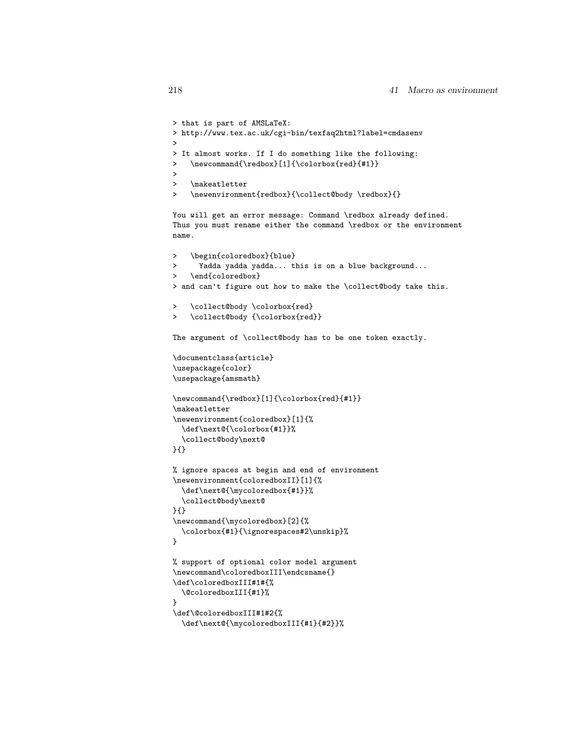```
> that is part of AMSLaTeX:
> http://www.tex.ac.uk/cgi-bin/texfaq2html?label=cmdasenv
>
> It almost works. If I do something like the following:
> \newcommand{\redbox}[1]{\colorbox{red}{#1}}
>
> \makeatletter
> \newenvironment{redbox}{\collect@body \redbox}{}
You will get an error message: Command \redbox already defined.
Thus you must rename either the command \redbox or the environment
name.
> \begin{coloredbox}{blue}
> Yadda yadda yadda... this is on a blue background...
> \end{coloredbox}
> and can't figure out how to make the \collect@body take this.
> \collect@body \colorbox{red}
> \collect@body {\colorbox{red}}
The argument of \collect@body has to be one token exactly.
\documentclass{article}
\usepackage{color}
\usepackage{amsmath}
\newcommand{\redbox}[1]{\colorbox{red}{#1}}
\makeatletter
\newenvironment{coloredbox}[1]{%
  \def\next@{\colorbox{#1}}%
  \collect@body\next@
}{}
% ignore spaces at begin and end of environment
\newenvironment{coloredboxII}[1]{%
  \def\next@{\mycoloredbox{#1}}%
  \collect@body\next@
}{}
\newcommand{\mycoloredbox}[2]{%
  \colorbox{#1}{\ignorespaces#2\unskip}%
}
% support of optional color model argument
\newcommand\coloredboxIII\endcsname{}
\def\coloredboxIII#1#{%
  \@coloredboxIII{#1}%
}
\def\@coloredboxIII#1#2{%
```

```
\def\next@{\mycoloredboxIII{#1}{#2}}%
```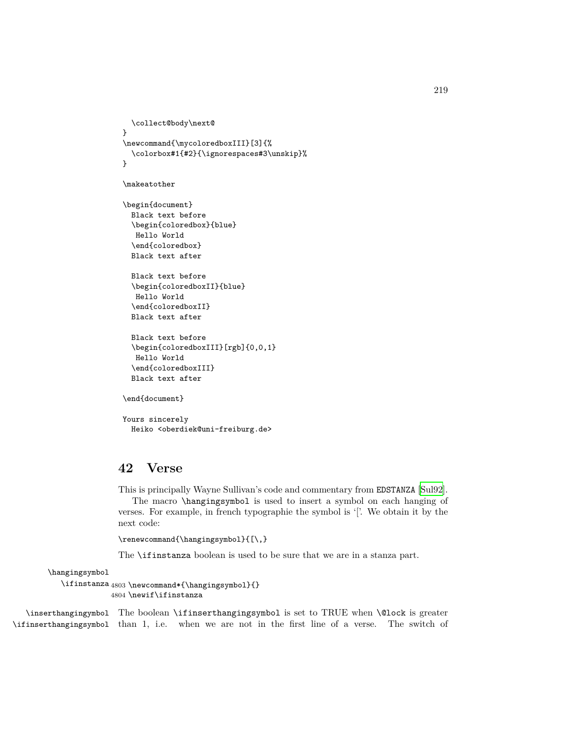```
\collect@body\next@
}
\newcommand{\mycoloredboxIII}[3]{%
  \colorbox#1{#2}{\ignorespaces#3\unskip}%
}
```

```
\makeatother
```
\begin{document} Black text before \begin{coloredbox}{blue} Hello World \end{coloredbox} Black text after

Black text before \begin{coloredboxII}{blue} Hello World \end{coloredboxII} Black text after

```
Black text before
\begin{coloredboxIII}[rgb]{0,0,1}
Hello World
\end{coloredboxIII}
Black text after
```

```
\end{document}
```
Yours sincerely Heiko <oberdiek@uni-freiburg.de>

# **42 Verse**

This is principally Wayne Sullivan's code and commentary from EDSTANZA [\[Sul92\]](#page-263-0).

The macro \hangingsymbol is used to insert a symbol on each hanging of verses. For example, in french typographie the symbol is '['. We obtain it by the next code:

```
\renewcommand{\hangingsymbol}{[\,}
```
The \ifinstanza boolean is used to be sure that we are in a stanza part.

\hangingsymbol

```
\ifinstanza 4803 \newcommand*{\hangingsymbol}{}
            4804 \newif\ifinstanza
```
\inserthangingymbol The boolean \ifinserthangingsymbol is set to TRUE when \@lock is greater \ifinserthangingsymbol than 1, i.e. when we are not in the first line of a verse. The switch of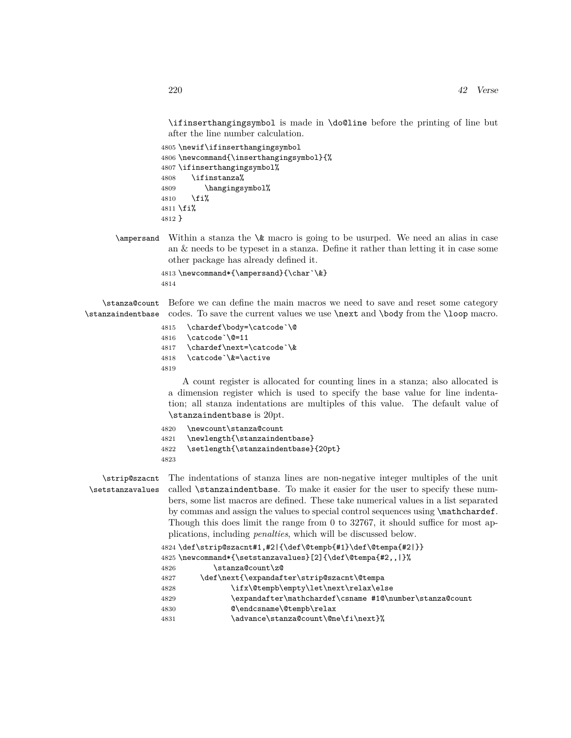\ifinserthangingsymbol is made in \do@line before the printing of line but after the line number calculation.

```
4805 \newif\ifinserthangingsymbol
4806 \newcommand{\inserthangingsymbol}{%
4807 \ifinserthangingsymbol%
4808 \ifinstanza%
4809 \hangingsymbol%
4810 \quad \text{If } i%
4811 \fi%
4812 }
```
 $\langle$  ampersand Within a stanza the  $\&$  macro is going to be usurped. We need an alias in case an & needs to be typeset in a stanza. Define it rather than letting it in case some other package has already defined it.

```
4813 \newcommand*{\ampersand}{\char`\&}
4814
```
\stanza@count Before we can define the main macros we need to save and reset some category \stanzaindentbase codes. To save the current values we use \next and \body from the \loop macro.

- 4815 \chardef\body=\catcode`\@
- 4816 \catcode`\@=11

4817 \chardef\next=\catcode`\&

- 4818 \catcode`\&=\active
- 4819

A count register is allocated for counting lines in a stanza; also allocated is a dimension register which is used to specify the base value for line indentation; all stanza indentations are multiples of this value. The default value of \stanzaindentbase is 20pt.

```
4820 \newcount\stanza@count
```

```
4821 \newlength{\stanzaindentbase}
4822 \setlength{\stanzaindentbase}{20pt}
```
4823

\strip@szacnt \setstanzavalues

The indentations of stanza lines are non-negative integer multiples of the unit called \stanzaindentbase. To make it easier for the user to specify these numbers, some list macros are defined. These take numerical values in a list separated by commas and assign the values to special control sequences using \mathchardef. Though this does limit the range from 0 to 32767, it should suffice for most applications, including *penalties*, which will be discussed below.

```
4824 \def\strip@szacnt#1,#2|{\def\@tempb{#1}\def\@tempa{#2|}}
4825 \newcommand*{\setstanzavalues}[2]{\def\@tempa{#2,,|}%
4826 \stanza@count\z@
4827 \def\next{\expandafter\strip@szacnt\@tempa
4828 \ifx\@tempb\empty\let\next\relax\else
4829 \expandafter\mathchardef\csname #1@\number\stanza@count
4830 @\endcsname\@tempb\relax
4831 \advance\stanza@count\@ne\fi\next}%
```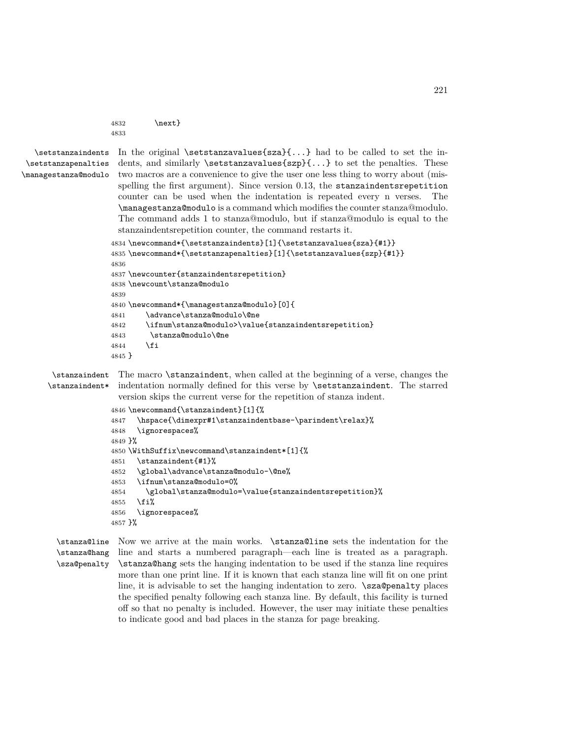```
4832 \next }
4833
```

```
\setstanzaindents
 \setstanzapenalties
\managestanza@modulo
```
In the original  $\text{setsianzavalues}\$ ...} had to be called to set the indents, and similarly **\setstanzavalues{szp}{...}** to set the penalties. These two macros are a convenience to give the user one less thing to worry about (misspelling the first argument). Since version 0.13, the stanzaindentsrepetition counter can be used when the indentation is repeated every n verses. The \managestanza@modulo is a command which modifies the counter stanza@modulo. The command adds 1 to stanza@modulo, but if stanza@modulo is equal to the stanzaindentsrepetition counter, the command restarts it.

```
4834 \newcommand*{\setstanzaindents}[1]{\setstanzavalues{sza}{#1}}
4835 \newcommand*{\setstanzapenalties}[1]{\setstanzavalues{szp}{#1}}
4836
4837 \newcounter{stanzaindentsrepetition}
4838 \newcount\stanza@modulo
4839
4840 \newcommand*{\managestanza@modulo}[0]{
4841 \advance\stanza@modulo\@ne
4842 \ifnum\stanza@modulo>\value{stanzaindentsrepetition}
4843 \stanza@modulo\@ne
4844 \fi
4845 }
```
\stanzaindent The macro \stanzaindent, when called at the beginning of a verse, changes the \stanzaindent\* indentation normally defined for this verse by \setstanzaindent. The starred version skips the current verse for the repetition of stanza indent.

```
4846 \newcommand{\stanzaindent}[1]{%
4847 \hspace{\dimexpr#1\stanzaindentbase-\parindent\relax}%
4848 \ignorespaces%
4849 }%
4850 \WithSuffix\newcommand\stanzaindent*[1]{%
4851 \stanzaindent{#1}%
4852 \global\advance\stanza@modulo-\@ne%
4853 \ifnum\stanza@modulo=0%
4854 \global\stanza@modulo=\value{stanzaindentsrepetition}%
4855 \fi%
4856 \ignorespaces%
4857 }%
```
\stanza@line Now we arrive at the main works. \stanza@line sets the indentation for the \stanza@hang line and starts a numbered paragraph—each line is treated as a paragraph. \sza@penalty \stanza@hang sets the hanging indentation to be used if the stanza line requires more than one print line. If it is known that each stanza line will fit on one print line, it is advisable to set the hanging indentation to zero.  $\s$ za @penalty places the specified penalty following each stanza line. By default, this facility is turned off so that no penalty is included. However, the user may initiate these penalties to indicate good and bad places in the stanza for page breaking.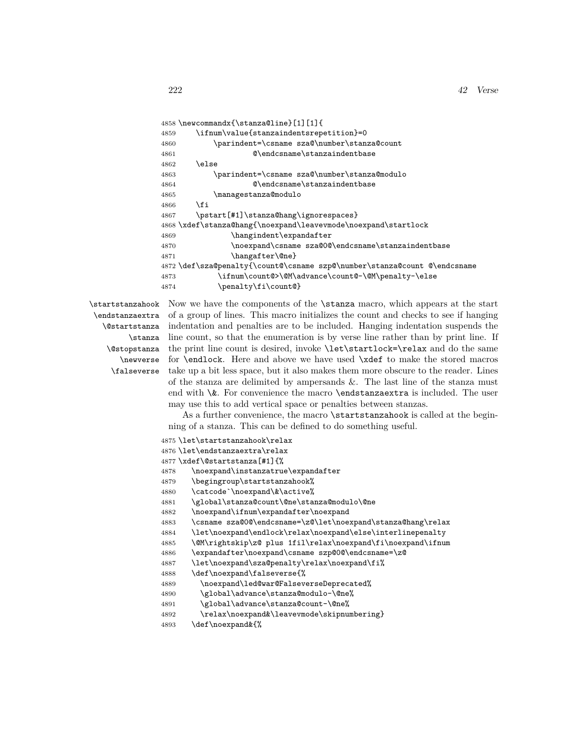```
4858 \newcommandx{\stanza@line}[1][1]{
4859 \ifnum\value{stanzaindentsrepetition}=0
4860 \parindent=\csname sza@\number\stanza@count
4861 @\endcsname\stanzaindentbase
4862 \else
4863 \parindent=\csname sza@\number\stanza@modulo
4864 @\endcsname\stanzaindentbase
4865 \managestanza@modulo
4866 \fi
4867 \pstart[#1]\stanza@hang\ignorespaces}
4868 \xdef\stanza@hang{\noexpand\leavevmode\noexpand\startlock
4869 \hangindent\expandafter
4870 \noexpand\csname sza@0@\endcsname\stanzaindentbase
4871 \hangafter\@ne}
4872 \def\sza@penalty{\count@\csname szp@\number\stanza@count @\endcsname
4873 \ifnum\count@>\@M\advance\count@-\@M\penalty-\else
4874 \penalty\fi\count@}
```
\startstanzahook \endstanzaextra \@startstanza \stanza \@stopstanza \newverse \falseverse

Now we have the components of the \stanza macro, which appears at the start of a group of lines. This macro initializes the count and checks to see if hanging indentation and penalties are to be included. Hanging indentation suspends the line count, so that the enumeration is by verse line rather than by print line. If the print line count is desired, invoke \let\startlock=\relax and do the same for \endlock. Here and above we have used \xdef to make the stored macros take up a bit less space, but it also makes them more obscure to the reader. Lines of the stanza are delimited by ampersands &. The last line of the stanza must end with \&. For convenience the macro \endstanzaextra is included. The user may use this to add vertical space or penalties between stanzas.

As a further convenience, the macro  $\star$  startstanzahook is called at the beginning of a stanza. This can be defined to do something useful.

```
4875 \let\startstanzahook\relax
4876 \let\endstanzaextra\relax
4877 \xdef\@startstanza[#1]{%
4878 \noexpand\instanzatrue\expandafter
4879 \begingroup\startstanzahook%
4880 \catcode`\noexpand\&\active%
4881 \global\stanza@count\@ne\stanza@modulo\@ne
4882 \noexpand\ifnum\expandafter\noexpand
4883 \csname sza@0@\endcsname=\z@\let\noexpand\stanza@hang\relax
4884 \let\noexpand\endlock\relax\noexpand\else\interlinepenalty
4885 \@M\rightskip\z@ plus 1fil\relax\noexpand\fi\noexpand\ifnum
4886 \expandafter\noexpand\csname szp@0@\endcsname=\z@
4887 \let\noexpand\sza@penalty\relax\noexpand\fi%
4888 \def\noexpand\falseverse{%
4889 \noexpand\led@war@FalseverseDeprecated%
4890 \global\advance\stanza@modulo-\@ne%
4891 \global\advance\stanza@count-\@ne%
4892 \relax\noexpand&\leavevmode\skipnumbering}
```

```
4893 \def\noexpand&{%
```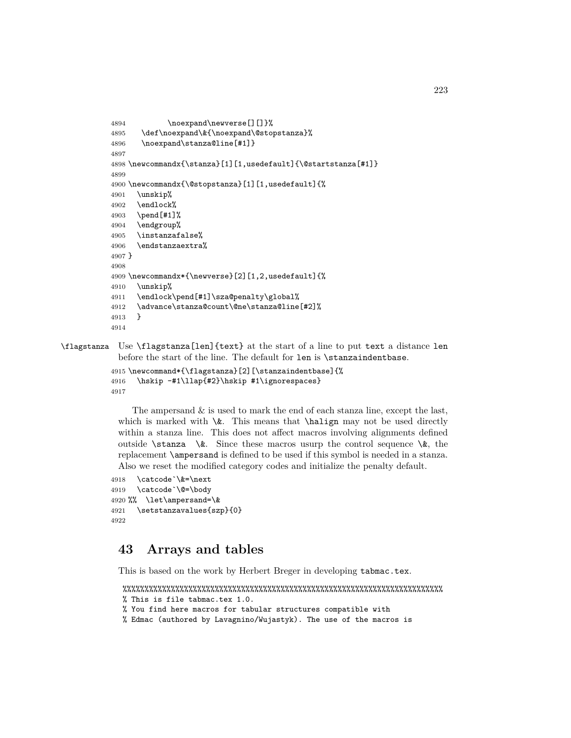```
4894 \noexpand\newverse[][]}%
4895 \def\noexpand\&{\noexpand\@stopstanza}%
4896 \noexpand\stanza@line[#1]}
4897
4898 \newcommandx{\stanza}[1][1,usedefault]{\@startstanza[#1]}
4899
4900 \newcommandx{\@stopstanza}[1][1,usedefault]{%
4901 \unskip%
4902 \endlock%
4903 \pend[#1]%
4904 \endgroup%
4905 \instanzafalse%
4906 \endstanzaextra%
4907 }
4908
4909 \newcommandx*{\newverse}[2][1,2,usedefault]{%
4910 \unskip%
4911 \endlock\pend[#1]\sza@penalty\global%
4912 \advance\stanza@count\@ne\stanza@line[#2]%
4913 }
4914
```
\flagstanza Use \flagstanza[len]{text} at the start of a line to put text a distance len before the start of the line. The default for len is \stanzaindentbase.

```
4915 \newcommand*{\flagstanza}[2][\stanzaindentbase]{%
4916 \hskip -#1\llap{#2}\hskip #1\ignorespaces}
4917
```
The ampersand & is used to mark the end of each stanza line, except the last, which is marked with  $\&$ . This means that  $\hbar$  may not be used directly within a stanza line. This does not affect macros involving alignments defined outside  $\sigma \&.$  Since these macros usurp the control sequence  $\&.$  the replacement \ampersand is defined to be used if this symbol is needed in a stanza. Also we reset the modified category codes and initialize the penalty default.

```
4918 \catcode`\&=\next
4919 \catcode`\@=\body
4920 %% \let\ampersand=\&
4921 \setstanzavalues{szp}{0}
4922
```
# **43 Arrays and tables**

This is based on the work by Herbert Breger in developing tabmac.tex.

```
%%%%%%%%%%%%%%%%%%%%%%%%%%%%%%%%%%%%%%%%%%%%%%%%%%%%%%%%%%%%%%%%%%%%%%%%%
% This is file tabmac.tex 1.0.
```

```
% You find here macros for tabular structures compatible with
```

```
% Edmac (authored by Lavagnino/Wujastyk). The use of the macros is
```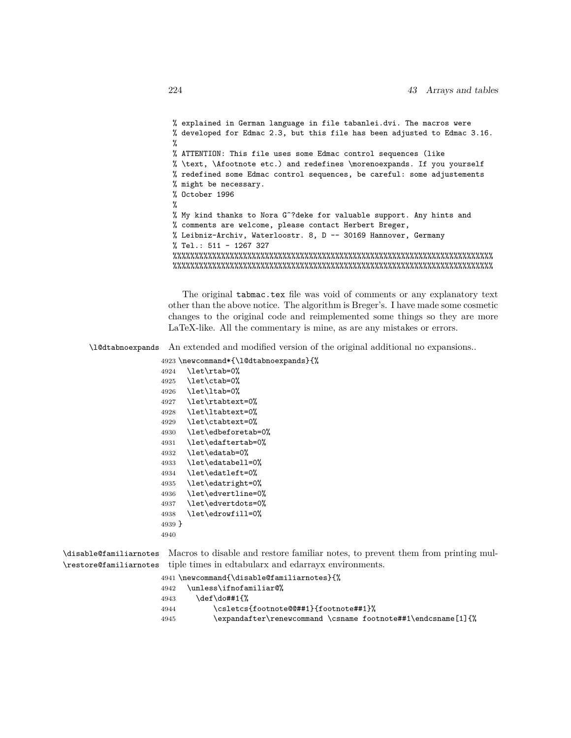```
% explained in German language in file tabanlei.dvi. The macros were
% developed for Edmac 2.3, but this file has been adjusted to Edmac 3.16.
%
% ATTENTION: This file uses some Edmac control sequences (like
% \text, \Afootnote etc.) and redefines \morenoexpands. If you yourself
% redefined some Edmac control sequences, be careful: some adjustements
% might be necessary.
% October 1996
%
% My kind thanks to Nora G^?deke for valuable support. Any hints and
% comments are welcome, please contact Herbert Breger,
% Leibniz-Archiv, Waterloostr. 8, D -- 30169 Hannover, Germany
% Tel.: 511 - 1267 327
%%%%%%%%%%%%%%%%%%%%%%%%%%%%%%%%%%%%%%%%%%%%%%%%%%%%%%%%%%%%%%%%%%%%%%%%%
%%%%%%%%%%%%%%%%%%%%%%%%%%%%%%%%%%%%%%%%%%%%%%%%%%%%%%%%%%%%%%%%%%%%%%%%%
```
The original tabmac.tex file was void of comments or any explanatory text other than the above notice. The algorithm is Breger's. I have made some cosmetic changes to the original code and reimplemented some things so they are more LaTeX-like. All the commentary is mine, as are any mistakes or errors.

\l@dtabnoexpands An extended and modified version of the original additional no expansions..

 \newcommand\*{\l@dtabnoexpands}{% \let\rtab=0% \let\ctab=0% \let\ltab=0% \let\rtabtext=0% \let\ltabtext=0% \let\ctabtext=0% \let\edbeforetab=0% \let\edaftertab=0% \let\edatab=0% \let\edatabell=0% \let\edatleft=0% \let\edatright=0% \let\edvertline=0% \let\edvertdots=0% \let\edrowfill=0% 4939 } 4940

\disable@familiarnotes Macros to disable and restore familiar notes, to prevent them from printing mul-\restore@familiarnotes tiple times in edtabularx and edarrayx environments.

|      | 4941 \newcommand{\disable@familiarnotes}{%                   |
|------|--------------------------------------------------------------|
| 4942 | \unless\ifnofamiliar@%                                       |
| 4943 | \def\do##1{%                                                 |
| 4944 | \csletcs{footnote@@##1}{footnote##1}%                        |
| 4945 | \expandafter\renewcommand \csname footnote##1\endcsname[1]{% |
|      |                                                              |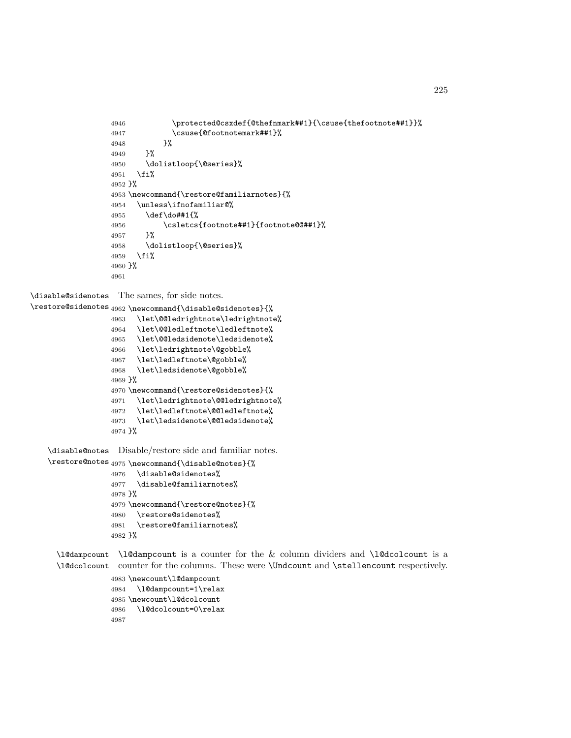```
4946 \protected@csxdef{@thefnmark##1}{\csuse{thefootnote##1}}%
4947 \csuse{@footnotemark##1}%
4948 }%
4949 }%
4950 \dolistloop{\@series}%
4951 \fi%
4952 }%
4953 \newcommand{\restore@familiarnotes}{%
4954 \unless\ifnofamiliar@%
4955 \def\do##1{%
4956 \csletcs{footnote##1}{footnote@@##1}%
4957 }%
4958 \dolistloop{\@series}%
4959 \fi%
4960 }%
4961
```
\disable@sidenotes The sames, for side notes.

```
\restore@sidenotes
4962 \newcommand{\disable@sidenotes}{%
```

```
4963 \let\@@ledrightnote\ledrightnote%
4964 \let\@@ledleftnote\ledleftnote%
4965 \let\@@ledsidenote\ledsidenote%
4966 \let\ledrightnote\@gobble%
4967 \let\ledleftnote\@gobble%
4968 \let\ledsidenote\@gobble%
4969 }%
4970 \newcommand{\restore@sidenotes}{%
4971 \let\ledrightnote\@@ledrightnote%
4972 \let\ledleftnote\@@ledleftnote%
4973 \let\ledsidenote\@@ledsidenote%
4974 }%
```
\disable@notes Disable/restore side and familiar notes.

```
\restore@notes
4975 \newcommand{\disable@notes}{%
              4976 \disable@sidenotes%
              4977 \disable@familiarnotes%
              4978 }%
              4979 \newcommand{\restore@notes}{%
              4980 \restore@sidenotes%
              4981 \restore@familiarnotes%
              4982 }%
```
\l@dampcount \l@dampcount is a counter for the & column dividers and \l@dcolcount is a \l@dcolcount counter for the columns. These were \Undcount and \stellencount respectively.

```
4983 \newcount\l@dampcount
4984 \l@dampcount=1\relax
4985 \newcount\l@dcolcount
4986 \l@dcolcount=0\relax
4987
```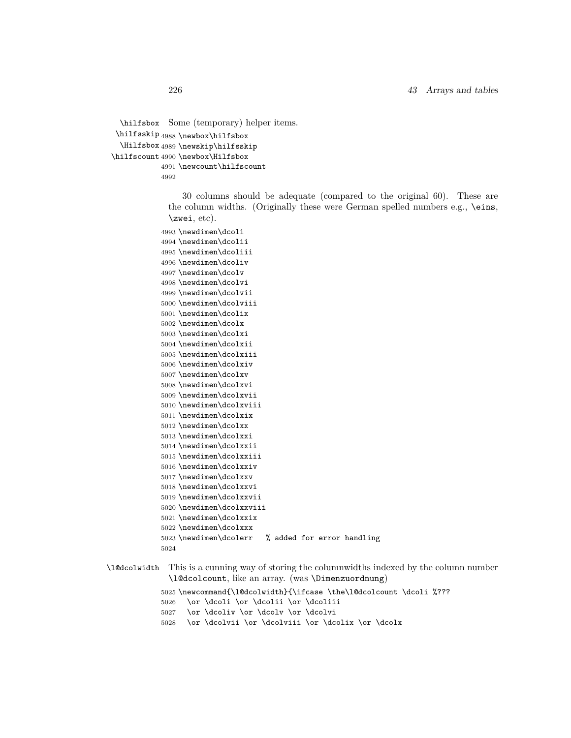```
\hilfsbox
Some (temporary) helper items.
 \hilfsskip
4988 \newbox\hilfsbox
  \Hilfsbox
4989 \newskip\hilfsskip
\hilfscount
4990 \newbox\Hilfsbox
           4991 \newcount\hilfscount
           4992
```
30 columns should be adequate (compared to the original 60). These are the column widths. (Originally these were German spelled numbers e.g., \eins, \zwei, etc).

```
4993 \newdimen\dcoli
4994 \newdimen\dcolii
4995 \newdimen\dcoliii
4996 \newdimen\dcoliv
4997 \newdimen\dcolv
4998 \newdimen\dcolvi
4999 \newdimen\dcolvii
5000 \newdimen\dcolviii
5001 \newdimen\dcolix
5002 \newdimen\dcolx
5003 \newdimen\dcolxi
5004 \newdimen\dcolxii
5005 \newdimen\dcolxiii
5006 \newdimen\dcolxiv
5007 \newdimen\dcolxv
5008 \newdimen\dcolxvi
5009 \newdimen\dcolxvii
5010 \newdimen\dcolxviii
5011 \newdimen\dcolxix
5012 \newdimen\dcolxx
5013 \newdimen\dcolxxi
5014 \newdimen\dcolxxii
5015 \newdimen\dcolxxiii
5016 \newdimen\dcolxxiv
5017 \newdimen\dcolxxv
5018 \newdimen\dcolxxvi
5019 \newdimen\dcolxxvii
5020 \newdimen\dcolxxviii
5021 \newdimen\dcolxxix
5022 \newdimen\dcolxxx
5023 \newdimen\dcolerr % added for error handling
5024
```
#### \l@dcolwidth This is a cunning way of storing the columnwidths indexed by the column number \l@dcolcount, like an array. (was \Dimenzuordnung)

 \newcommand{\l@dcolwidth}{\ifcase \the\l@dcolcount \dcoli %??? \or \dcoli \or \dcolii \or \dcoliii \or \dcoliv \or \dcolv \or \dcolvi \or \dcolvii \or \dcolviii \or \dcolix \or \dcolx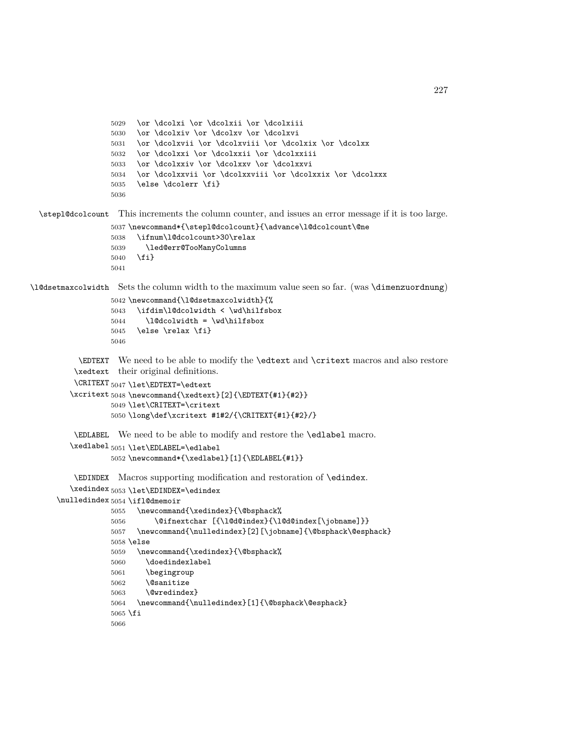```
5029 \or \dcolxi \or \dcolxii \or \dcolxiii
                  5030 \or \dcolxiv \or \dcolxv \or \dcolxvi
                  5031 \or \dcolxvii \or \dcolxviii \or \dcolxix \or \dcolxx
                  5032 \or \dcolxxi \or \dcolxxii \or \dcolxxiii
                  5033 \or \dcolxxiv \or \dcolxxv \or \dcolxxvi
                  5034 \or \dcolxxvii \or \dcolxxviii \or \dcolxxix \or \dcolxxx
                  5035 \else \dcolerr \fi}
                  5036
 \stepl@dcolcount This increments the column counter, and issues an error message if it is too large.
                  5037 \newcommand*{\stepl@dcolcount}{\advance\l@dcolcount\@ne
                  5038 \ifnum\l@dcolcount>30\relax
                  5039 \led@err@TooManyColumns
                  5040 \fi}
                  5041
\l@dsetmaxcolwidth Sets the column width to the maximum value seen so far. (was \dimenzuordnung)
                  5042 \newcommand{\l@dsetmaxcolwidth}{%
                  5043 \ifdim\l@dcolwidth < \wd\hilfsbox
                  5044 \l@dcolwidth = \wd\hilfsbox
                  5045 \else \relax \fi}
                  5046
           \EDTEXT
We need to be able to modify the \edtext and \critext macros and also restore
          \xedtext
their original definitions.
          \CRITEXT 5047 \let\EDTEXT=\edtext
         \xcritext
5048 \newcommand{\xedtext}[2]{\EDTEXT{#1}{#2}}
                  5049 \let\CRITEXT=\critext
                  5050 \long\def\xcritext #1#2/{\CRITEXT{#1}{#2}/}
          \EDLABEL
We need to be able to modify and restore the \edlabel macro.
         \xedlabel<sub>5051</sub>\let\EDLABEL=\edlabel
                  5052 \newcommand*{\xedlabel}[1]{\EDLABEL{#1}}
          \EDINDEX
Macros supporting modification and restoration of \edindex.
         \xedindex 5053 \let\EDINDEX=\edindex
```

```
\nulledindex 5054 \ifl@dmemoir
```

```
5055 \newcommand{\xedindex}{\@bsphack%
5056 \@ifnextchar [{\l@d@index}{\l@d@index[\jobname]}}
5057 \newcommand{\nulledindex}[2][\jobname]{\@bsphack\@esphack}
5058 \else
5059 \newcommand{\xedindex}{\@bsphack%
5060 \doedindexlabel
5061 \begingroup
5062 \@sanitize
5063 \@wredindex}
5064 \newcommand{\nulledindex}[1]{\@bsphack\@esphack}
5065 \fi
5066
```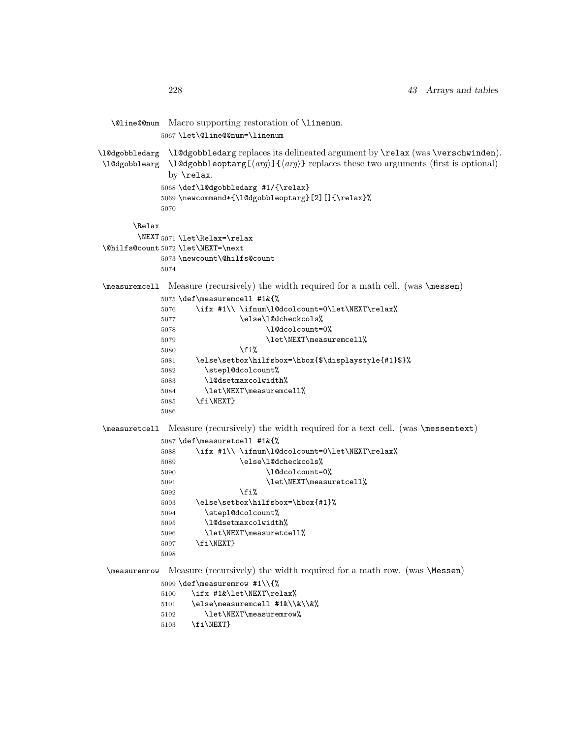```
\@line@@num Macro supporting restoration of \linenum.
            5067 \let\@line@@num=\linenum
\l@dgobbledarg
\l@dgobbledarg replaces its delineated argument by \relax (was \verschwinden).
\l@dgobblearg
\l@dgobbleoptarg[⟨arg⟩]{⟨arg⟩} replaces these two arguments (first is optional)
              by \relax.
             5068 \def\l@dgobbledarg #1/{\relax}
             5069 \newcommand*{\l@dgobbleoptarg}[2][]{\relax}%
             5070
       \Relax
        \NEXT
5071 \let\Relax=\relax
\@hilfs@count
5072 \let\NEXT=\next
             5073 \newcount\@hilfs@count
             5074
\measuremcell Measure (recursively) the width required for a math cell. (was \messen)
            5075 \def\measuremcell #1&{%
            5076 \ifx #1\\ \ifnum\l@dcolcount=0\let\NEXT\relax%
            5077 \else\l@dcheckcols%
            5078 \l@dcolcount=0%
            5079 \let\NEXT\measuremcell%
            5080 \fi%
            5081 \else\setbox\hilfsbox=\hbox{$\displaystyle{#1}$}%
            5082 \stepl@dcolcount%
            5083 \l@dsetmaxcolwidth%
             5084 \let\NEXT\measuremcell%
             5085 \fi\NEXT}
            5086
\measuretcell Measure (recursively) the width required for a text cell. (was \messentext)
            5087 \def\measuretcell #1&{%
            5088 \ifx #1\\ \ifnum\l@dcolcount=0\let\NEXT\relax%
            5089 \else\l@dcheckcols%
             5090 \l@dcolcount=0%
             5091 \let\NEXT\measuretcell%
            5092 \qquad \qquad \text{if } i\text{5093 \else\setbox\hilfsbox=\hbox{#1}%
            5094 \stepl@dcolcount%
             5095 \l@dsetmaxcolwidth%
             5096 \let\NEXT\measuretcell%
             5097 \fi\NEXT}
            5098
 \measuremrow Measure (recursively) the width required for a math row. (was \Messen)
            5099 \def\measuremrow #1\\{%
            5100 \ifx #1&\let\NEXT\relax%
            5101 \else\measuremcell #1&\\&\\&%
            5102 \let\NEXT\measuremrow%
            5103 \fi\NEXT}
```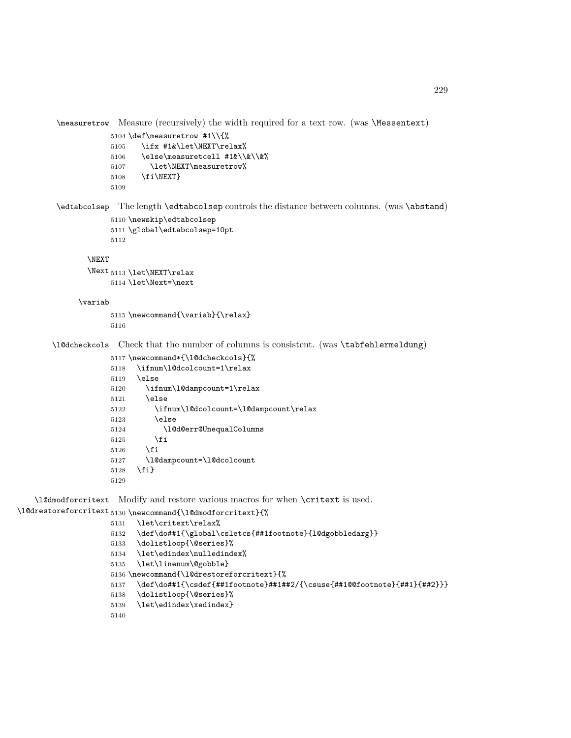\measuretrow Measure (recursively) the width required for a text row. (was \Messentext)

```
5104 \def\measuretrow #1\\{%
5105 \ifx #1&\let\NEXT\relax%
5106 \else\measuretcell #1&\\&\\&%
5107 \let\NEXT\measuretrow%
5108 \fi\NEXT}
5109
```
\edtabcolsep The length \edtabcolsep controls the distance between columns. (was \abstand)

```
5110 \newskip\edtabcolsep
5111 \global\edtabcolsep=10pt
5112
```
#### \NEXT

```
\Next 5113 \let\NEXT\relax
     5114 \let\Next=\next
```
#### \variab

 \newcommand{\variab}{\relax} 

\l@dcheckcols Check that the number of columns is consistent. (was \tabfehlermeldung)

```
5117 \newcommand*{\l@dcheckcols}{%
5118 \ifnum\l@dcolcount=1\relax
5119 \else
5120 \ifnum\l@dampcount=1\relax
5121 \else
5122 \ifnum\l@dcolcount=\l@dampcount\relax
5123 \else
5124 \l@d@err@UnequalColumns
5125 \fi
5126 \fi
5127 \l@dampcount=\l@dcolcount
5128 \fi}
5129
```
\l@dmodforcritext Modify and restore various macros for when \critext is used.

```
\l@drestoreforcritext<sub>5130</sub> \newcommand{\l@dmodforcritext}{%
                     5131 \let\critext\relax%
                     5132 \def\do##1{\global\csletcs{##1footnote}{l@dgobbledarg}}
                     5133 \dolistloop{\@series}%
                     5134 \let\edindex\nulledindex%
                     5135 \let\linenum\@gobble}
                     5136 \newcommand{\l@drestoreforcritext}{%
                     5137 \def\do##1{\csdef{##1footnote}##1##2/{\csuse{##1@@footnote}{##1}{##2}}}
                     5138 \dolistloop{\@series}%
                     5139 \let\edindex\xedindex}
                     5140
```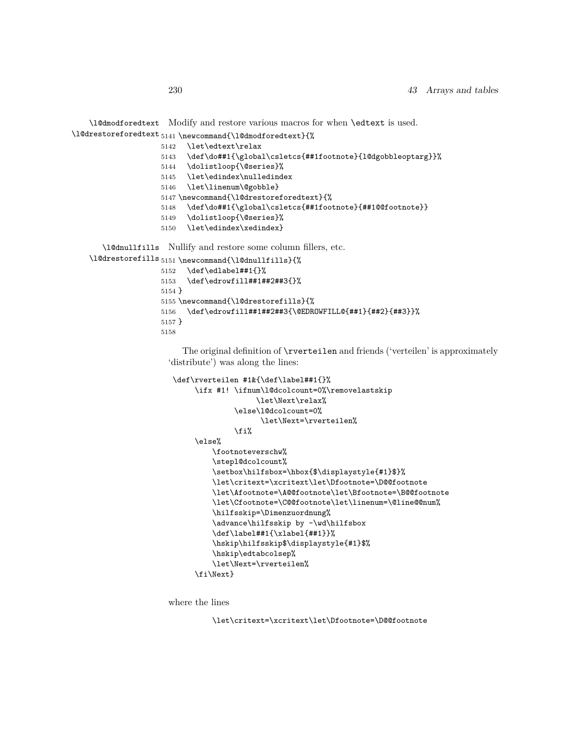```
\l@dmodforedtext
Modify and restore various macros for when \edtext is used.
\l@drestoreforedtext 5141 \newcommand{\l@dmodforedtext}{%
                    5142 \let\edtext\relax
                    5143 \def\do##1{\global\csletcs{##1footnote}{l@dgobbleoptarg}}%
                    5144 \dolistloop{\@series}%
                    5145 \let\edindex\nulledindex
                    5146 \let\linenum\@gobble}
                    5147 \newcommand{\l@drestoreforedtext}{%
                    5148 \def\do##1{\global\csletcs{##1footnote}{##1@@footnote}}
                    5149 \dolistloop{\@series}%
                    5150 \let\edindex\xedindex}
       \l@dnullfills
Nullify and restore some column fillers, etc.
    \l@drestorefills 5151 \newcommand{\l@dnullfills}{%
                    5152 \def\edlabel##1{}%
                    5153 \def\edrowfill##1##2##3{}%
                    5154 }
                    5155 \newcommand{\l@drestorefills}{%
                    5156 \def\edrowfill##1##2##3{\@EDROWFILL@{##1}{##2}{##3}}%
                    5157 }
                    5158
```
The original definition of \rverteilen and friends ('verteilen' is approximately 'distribute') was along the lines:

```
\def\rverteilen #1&{\def\label##1{}%
    \ifx #1! \ifnum\l@dcolcount=0%\removelastskip
                  \let\Next\relax%
              \else\l@dcolcount=0%
                    \let\Next=\rverteilen%
              \fi%
    \else%
        \footnoteverschw%
         \stepl@dcolcount%
         \setbox\hilfsbox=\hbox{$\displaystyle{#1}$}%
         \let\critext=\xcritext\let\Dfootnote=\D@@footnote
         \let\Afootnote=\A@@footnote\let\Bfootnote=\B@@footnote
         \let\Cfootnote=\C@@footnote\let\linenum=\@line@@num%
        \hilfsskip=\Dimenzuordnung%
        \advance\hilfsskip by -\wd\hilfsbox
         \def\label##1{\xlabel{##1}}%
         \hskip\hilfsskip$\displaystyle{#1}$%
        \hskip\edtabcolsep%
        \let\Next=\rverteilen%
     \fi\Next}
```
where the lines

\let\critext=\xcritext\let\Dfootnote=\D@@footnote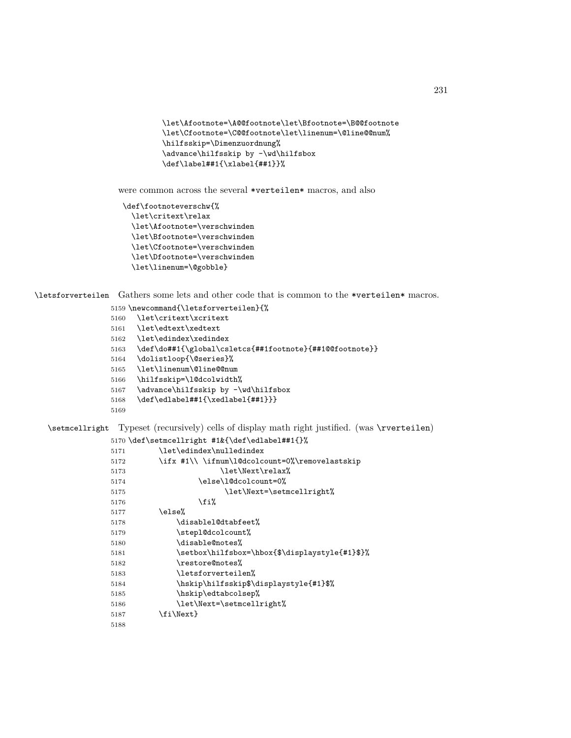```
\let\Afootnote=\A@@footnote\let\Bfootnote=\B@@footnote
\let\Cfootnote=\C@@footnote\let\linenum=\@line@@num%
\hilfsskip=\Dimenzuordnung%
\advance\hilfsskip by -\wd\hilfsbox
\def\label##1{\xlabel{##1}}%
```
were common across the several \*verteilen\* macros, and also

```
\def\footnoteverschw{%
 \let\critext\relax
 \let\Afootnote=\verschwinden
  \let\Bfootnote=\verschwinden
 \let\Cfootnote=\verschwinden
 \let\Dfootnote=\verschwinden
 \let\linenum=\@gobble}
```
\letsforverteilen Gathers some lets and other code that is common to the \*verteilen\* macros.

\newcommand{\letsforverteilen}{%

- \let\critext\xcritext
- \let\edtext\xedtext
- \let\edindex\xedindex
- \def\do##1{\global\csletcs{##1footnote}{##1@@footnote}}
- \dolistloop{\@series}%
- \let\linenum\@line@@num
- \hilfsskip=\l@dcolwidth%
- \advance\hilfsskip by -\wd\hilfsbox
- \def\edlabel##1{\xedlabel{##1}}}

```
5169
```
\setmcellright Typeset (recursively) cells of display math right justified. (was \rverteilen)

#### \def\setmcellright #1&{\def\edlabel##1{}%

| 5171 | \let\edindex\nulledindex                       |  |
|------|------------------------------------------------|--|
| 5172 | \ifx #1\\ \ifnum\l@dcolcount=0%\removelastskip |  |
| 5173 | \let\Next\relax%                               |  |
| 5174 | \else\l@dcolcount=0%                           |  |
| 5175 | \let\Next=\setmcellright%                      |  |
| 5176 | \fi%                                           |  |
| 5177 | \else%                                         |  |
| 5178 | \disablel@dtabfeet%                            |  |
| 5179 | \stepl@dcolcount%                              |  |
| 5180 | \disable@notes%                                |  |
| 5181 | \setbox\hilfsbox=\hbox{\$\displaystyle{#1}\$}% |  |
| 5182 | \restore@notes%                                |  |
| 5183 | \letsforverteilen%                             |  |
| 5184 | \hskip\hilfsskip\$\displaystyle{#1}\$%         |  |
| 5185 | \hskip\edtabcolsep%                            |  |
| 5186 | \let\Next=\setmcellright%                      |  |
| 5187 | \fi\Next}                                      |  |
| 5188 |                                                |  |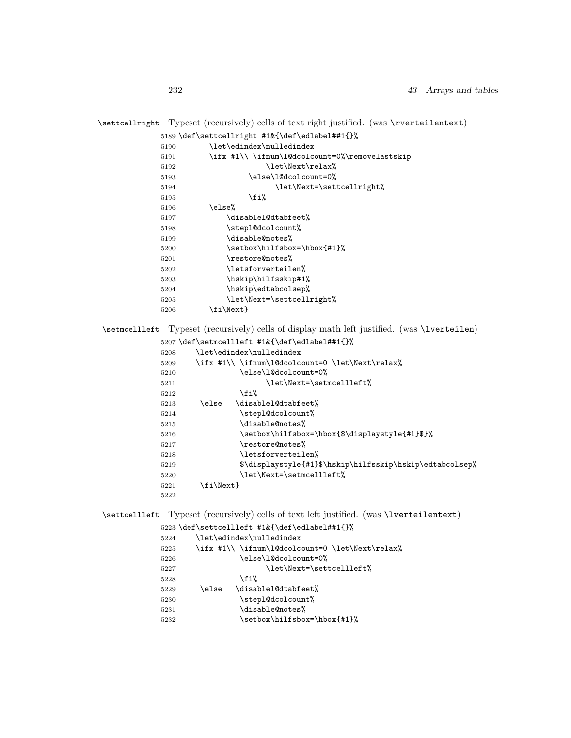### \settcellright Typeset (recursively) cells of text right justified. (was \rverteilentext)

|      | 5189 \def\settcellright #1&{\def\edlabel##1{}% |
|------|------------------------------------------------|
| 5190 | \let\edindex\nulledindex                       |
| 5191 | \ifx #1\\ \ifnum\l@dcolcount=0%\removelastskip |
| 5192 | \let\Next\relax%                               |
| 5193 | \else\1@dcolcount=0%                           |
| 5194 | \let\Next=\settcellright%                      |
| 5195 | \fi%                                           |
| 5196 | \else%                                         |
| 5197 | \disablel@dtabfeet%                            |
| 5198 | \stepl@dcolcount%                              |
| 5199 | \disable@notes%                                |
| 5200 | \setbox\hilfsbox=\hbox{#1}%                    |
| 5201 | \restore@notes%                                |
| 5202 | \letsforverteilen%                             |
| 5203 | \hskip\hilfsskip#1%                            |
| 5204 | \hskip\edtabcolsep%                            |
| 5205 | \let\Next=\settcellright%                      |
| 5206 | \fi\Next}                                      |
|      |                                                |

\setmcellleft Typeset (recursively) cells of display math left justified. (was \lverteilen)

|      |           | 5207\def\setmcellleft #1&{\def\edlabel##1{}%             |
|------|-----------|----------------------------------------------------------|
| 5208 |           | \let\edindex\nulledindex                                 |
| 5209 |           | \ifx #1\\ \ifnum\l@dcolcount=0 \let\Next\relax%          |
| 5210 |           | \else\l@dcolcount=0%                                     |
| 5211 |           | \let\Next=\setmcellleft%                                 |
| 5212 |           | \fi%                                                     |
| 5213 | \else     | \disablel@dtabfeet%                                      |
| 5214 |           | \stepl@dcolcount%                                        |
| 5215 |           | \disable@notes%                                          |
| 5216 |           | \setbox\hilfsbox=\hbox{\$\displaystyle{#1}\$}%           |
| 5217 |           | \restore@notes%                                          |
| 5218 |           | \letsforverteilen%                                       |
| 5219 |           | \$\displaystyle{#1}\$\hskip\hilfsskip\hskip\edtabcolsep% |
| 5220 |           | \let\Next=\setmcellleft%                                 |
| 5221 | \fi\Next} |                                                          |
| 5222 |           |                                                          |

\settcellleft Typeset (recursively) cells of text left justified. (was \lverteilentext)

\def\settcellleft #1&{\def\edlabel##1{}%

| 5224 | \let\edindex\nulledindex |                                                 |  |
|------|--------------------------|-------------------------------------------------|--|
| 5225 |                          | \ifx #1\\ \ifnum\l@dcolcount=0 \let\Next\relax% |  |
| 5226 | \else\1@dcolcount=0%     |                                                 |  |
| 5227 | \let\Next=\settcellleft% |                                                 |  |
| 5228 |                          | \fi%                                            |  |
| 5229 | \else                    | \disablel@dtabfeet%                             |  |
| 5230 |                          | \stepl@dcolcount%                               |  |
| 5231 |                          | \disable@notes%                                 |  |
| 5232 |                          | \setbox\hilfsbox=\hbox{#1}%                     |  |
|      |                          |                                                 |  |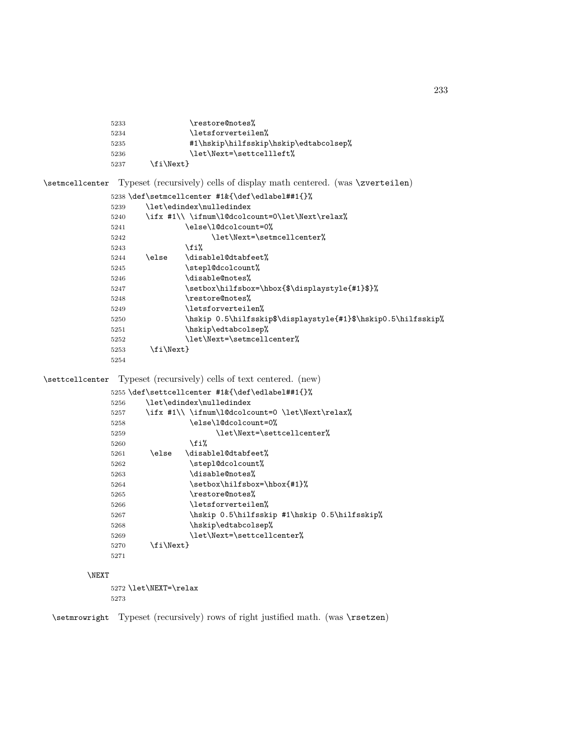```
5233 \restore@notes%
5234 \letsforverteilen%
5235 #1\hskip\hilfsskip\hskip\edtabcolsep%
5236 \let\Next=\settcellleft%
5237 \{fi\Next\}
```
\setmcellcenter Typeset (recursively) cells of display math centered. (was \zverteilen)

```
5238 \def\setmcellcenter #1&{\def\edlabel##1{}%
5239 \let\edindex\nulledindex
5240 \ifx #1\\ \ifnum\l@dcolcount=0\let\Next\relax%
5241 \else\l@dcolcount=0%
5242 \let\Next=\setmcellcenter%
5243 \overrightarrow{1}5244 \else \disablel@dtabfeet%
5245 \stepl@dcolcount%
5246 \disable@notes%
5247 \setbox\hilfsbox=\hbox{$\displaystyle{#1}$}%
5248 \restore@notes%
5249 \letsforverteilen%
5250 \hskip 0.5\hilfsskip$\displaystyle{#1}$\hskip0.5\hilfsskip%
5251 \hskip\edtabcolsep%
5252 \let\Next=\setmcellcenter%
5253 \{fi\Next\}5254
```
\settcellcenter Typeset (recursively) cells of text centered. (new)

```
5255 \def\settcellcenter #1&{\def\edlabel##1{}%
5256 \let\edindex\nulledindex
5257 \ifx #1\\ \ifnum\l@dcolcount=0 \let\Next\relax%
5258 \else\l@dcolcount=0%
5259 \let\Next=\settcellcenter%
5260 \fi%
5261 \else \disablel@dtabfeet%
5262 \stepl@dcolcount%
5263 \disable@notes%
5264 \setbox\hilfsbox=\hbox{#1}%
5265 \restore@notes%
5266 \letsforverteilen%
5267 \hskip 0.5\hilfsskip #1\hskip 0.5\hilfsskip%
5268 \hskip\edtabcolsep%
5269 \let\Next=\settcellcenter%
5270 \fi\Next}
5271
```
#### \NEXT

5272 \let\NEXT=\relax 5273

\setmrowright Typeset (recursively) rows of right justified math. (was \rsetzen)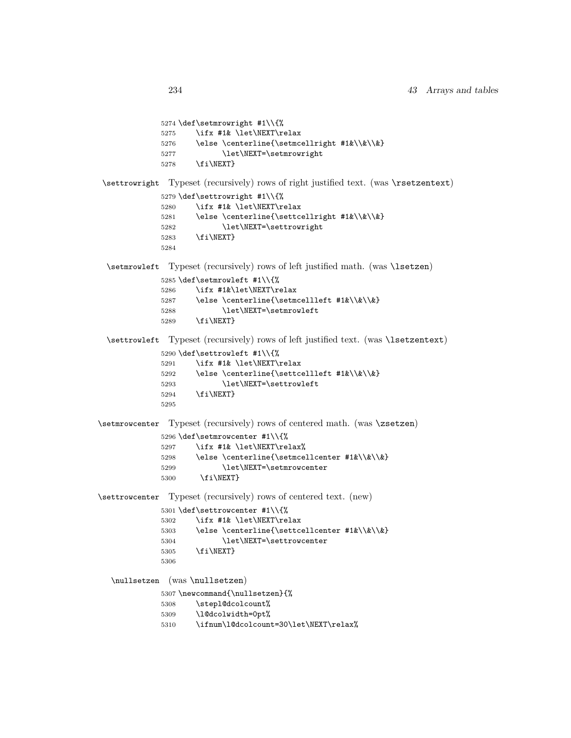\def\setmrowright #1\\{% \ifx #1& \let\NEXT\relax 5276 \else \centerline{\setmcellright #1&\\&\\&} 5277 \let\NEXT=\setmrowright 5278 \fi\NEXT} \settrowright Typeset (recursively) rows of right justified text. (was \rsetzentext) \def\settrowright #1\\{% \ifx #1& \let\NEXT\relax 5281 \else \centerline{\settcellright #1&\\&\\&} 5282 \let\NEXT=\settrowright \fi\NEXT} \setmrowleft Typeset (recursively) rows of left justified math. (was \lsetzen) \def\setmrowleft #1\\{% \ifx #1&\let\NEXT\relax 5287 \else \centerline{\setmcellleft #1&\\&\\&} \let\NEXT=\setmrowleft \fi\NEXT} \settrowleft Typeset (recursively) rows of left justified text. (was \lsetzentext) \def\settrowleft #1\\{% \ifx #1& \let\NEXT\relax 5292 \else \centerline{\settcellleft #1&\\&\\&} 5293 \let\NEXT=\settrowleft \fi\NEXT} \setmrowcenter Typeset (recursively) rows of centered math. (was \zsetzen) \def\setmrowcenter #1\\{% \ifx #1& \let\NEXT\relax% 5298 \else \centerline{\setmcellcenter #1&\\&\\&} 5299 \let\NEXT=\setmrowcenter \fi\NEXT} \settrowcenter Typeset (recursively) rows of centered text. (new) \def\settrowcenter #1\\{% \ifx #1& \let\NEXT\relax 5303 \else \centerline{\settcellcenter #1&\\&\\&} \let\NEXT=\settrowcenter \fi\NEXT} \nullsetzen (was \nullsetzen) \newcommand{\nullsetzen}{% \stepl@dcolcount% \l@dcolwidth=0pt% \ifnum\l@dcolcount=30\let\NEXT\relax%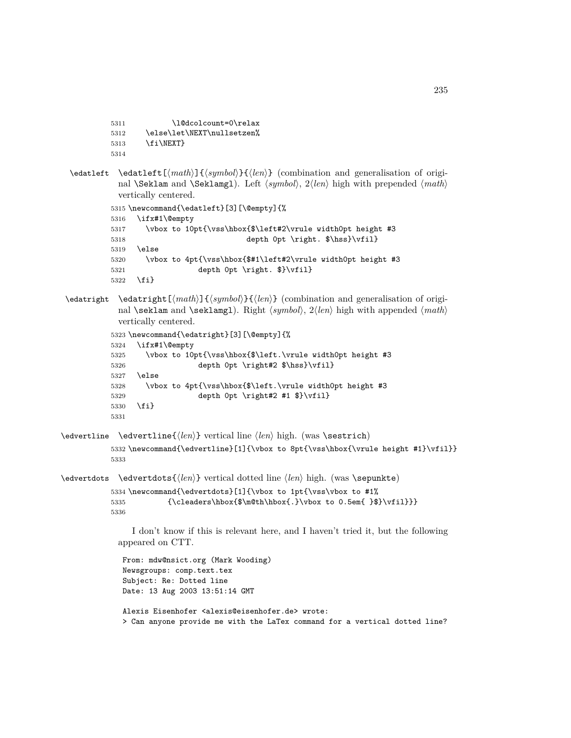```
5311 \l@dcolcount=0\relax
           5312 \else\let\NEXT\nullsetzen%
           5313 \fi\NEXT}
           5314
 \edatleft \edatleft[⟨math⟩]{⟨symbol⟩}{⟨len⟩} (combination and generalisation of origi-
            nal \Seklam and \Seklamgl). Left ⟨symbol⟩, 2⟨len⟩ high with prepended ⟨math⟩
            vertically centered.
           5315 \newcommand{\edatleft}[3][\@empty]{%
           5316 \ifx#1\@empty
           5317 \vbox to 10pt{\vss\hbox{$\left#2\vrule width0pt height #3
           5318 depth 0pt \right. $\hss}\vfil}
           5319 \else
           5320 \vbox to 4pt{\vss\hbox{$#1\left#2\vrule width0pt height #3
           5321 depth 0pt \right. $}\vfil}
           5322 \fi}
\edatright \edatright[⟨math⟩]{⟨symbol⟩}{⟨len⟩} (combination and generalisation of origi-
            nal \seklam and \seklamgl). Right ⟨symbol⟩, 2⟨len⟩ high with appended ⟨math⟩
            vertically centered.
           5323 \newcommand{\edatright}[3][\@empty]{%
           5324 \ifx#1\@empty
           5325 \vbox to 10pt{\vss\hbox{$\left.\vrule width0pt height #3
           5326 depth 0pt \right#2 $\hss}\vfil}
           5327 \else
           5328 \vbox to 4pt{\vss\hbox{$\left.\vrule width0pt height #3
           5329 depth 0pt \right#2 #1 $}\vfil}
           5330 \fi}
           5331
\edvertline \edvertline{⟨len⟩} vertical line ⟨len⟩ high. (was \sestrich)
           5332 \newcommand{\edvertline}[1]{\vbox to 8pt{\vss\hbox{\vrule height #1}\vfil}}
           5333
\edvertdots \edvertdots{⟨len⟩} vertical dotted line ⟨len⟩ high. (was \sepunkte)
           5334 \newcommand{\edvertdots}[1]{\vbox to 1pt{\vss\vbox to #1%
           5335 {\clq\bbox{\hbox{\sf\hbox{\sf.}}bbox\verb{\sf.}}\vbox{ to 0.5em{ }\$}\vfil}5336
               I don't know if this is relevant here, and I haven't tried it, but the following
            appeared on CTT.
             From: mdw@nsict.org (Mark Wooding)
             Newsgroups: comp.text.tex
             Subject: Re: Dotted line
             Date: 13 Aug 2003 13:51:14 GMT
```

```
Alexis Eisenhofer <alexis@eisenhofer.de> wrote:
> Can anyone provide me with the LaTex command for a vertical dotted line?
```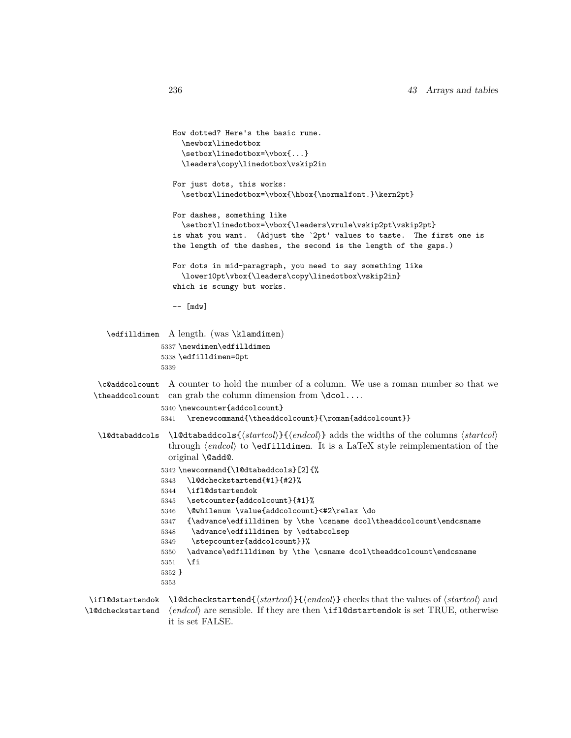```
How dotted? Here's the basic rune.
                   \newbox\linedotbox
                   \setbox\linedotbox=\vbox{...}
                   \leaders\copy\linedotbox\vskip2in
                  For just dots, this works:
                   \setbox\linedotbox=\vbox{\hbox{\normalfont.}\kern2pt}
                 For dashes, something like
                   \setbox\linedotbox=\vbox{\leaders\vrule\vskip2pt\vskip2pt}
                  is what you want. (Adjust the `2pt' values to taste. The first one is
                  the length of the dashes, the second is the length of the gaps.)
                 For dots in mid-paragraph, you need to say something like
                   \lower10pt\vbox{\leaders\copy\linedotbox\vskip2in}
                  which is scungy but works.
                 -- [mdw]
  \edfilldimen A length. (was \klamdimen)
               5337 \newdimen\edfilldimen
               5338 \edfilldimen=0pt
              5339
 \c@addcolcount
A counter to hold the number of a column. We use a roman number so that we
\theaddcolcount
can grab the column dimension from \dcol....
              5340 \newcounter{addcolcount}
               5341 \renewcommand{\theaddcolcount}{\roman{addcolcount}}
\l@dtabaddcols \l@dtabaddcols{⟨startcol⟩}{⟨endcol⟩} adds the widths of the columns ⟨startcol⟩
                through ⟨endcol⟩ to \edfilldimen. It is a LaTeX style reimplementation of the
                original \@add@.
               5342 \newcommand{\l@dtabaddcols}[2]{%
              5343 \l@dcheckstartend{#1}{#2}%
              5344 \ifl@dstartendok
              5345 \setcounter{addcolcount}{#1}%
              5346 \@whilenum \value{addcolcount}<#2\relax \do
              5347 {\advance\edfilldimen by \the \csname dcol\theaddcolcount\endcsname
              5348 \advance\edfilldimen by \edtabcolsep
              5349 \stepcounter{addcolcount}}%
              5350 \advance\edfilldimen by \the \csname dcol\theaddcolcount\endcsname
              5351 \fi
              5352 }
              5353
```
\ifl@dstartendok \l@dcheckstartend{*⟨startcol⟩*}{*⟨endcol⟩*} checks that the values of *⟨startcol⟩* and \l@dcheckstartend *⟨endcol⟩* are sensible. If they are then \ifl@dstartendok is set TRUE, otherwise it is set FALSE.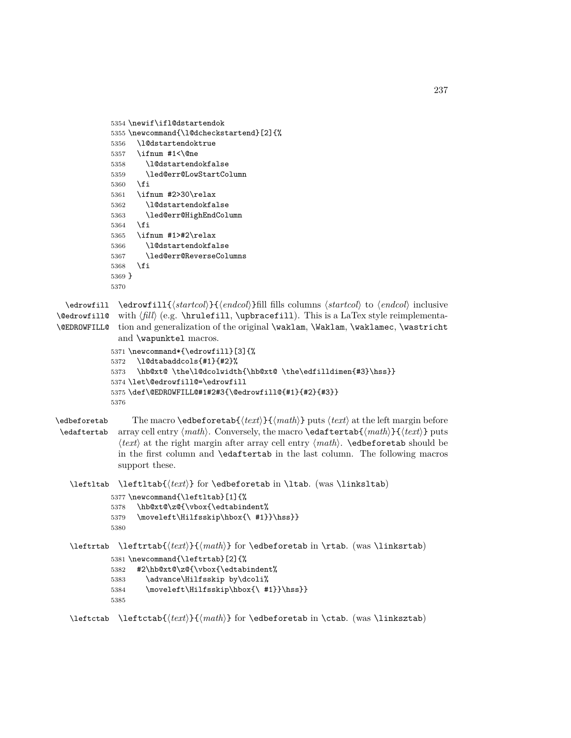```
5354 \newif\ifl@dstartendok
5355 \newcommand{\l@dcheckstartend}[2]{%
5356 \l@dstartendoktrue
5357 \ifnum #1<\@ne
5358 \l@dstartendokfalse
5359 \led@err@LowStartColumn
5360 \fi
5361 \ifnum #2>30\relax
5362 \l@dstartendokfalse
5363 \led@err@HighEndColumn
5364 \fi
5365 \ifnum #1>#2\relax
5366 \l@dstartendokfalse
5367 \led@err@ReverseColumns
5368 \fi
5369 }
5370
```

```
\edrowfill
\edrowfill{⟨startcol⟩}{⟨endcol⟩}fill fills columns ⟨startcol⟩ to ⟨endcol⟩ inclusive
\@edrowfill@
with ⟨fill⟩ (e.g. \hrulefill, \upbracefill). This is a LaTex style reimplementa-
\@EDROWFILL@
tion and generalization of the original \waklam, \Waklam, \waklamec, \wastricht
              and \wapunktel macros.
```

```
5371 \newcommand*{\edrowfill}[3]{%
5372 \l@dtabaddcols{#1}{#2}%
5373 \hb@xt@ \the\l@dcolwidth{\hb@xt@ \the\edfilldimen{#3}\hss}}
5374 \let\@edrowfill@=\edrowfill
5375 \def\@EDROWFILL@#1#2#3{\@edrowfill@{#1}{#2}{#3}}
5376
```
\edbeforetab The macro \edbeforetab{*⟨text⟩*}{*⟨math⟩*} puts *⟨text⟩* at the left margin before \edaftertab array cell entry *⟨math⟩*. Conversely, the macro \edaftertab{*⟨math⟩*}{*⟨text⟩*} puts *⟨text⟩* at the right margin after array cell entry *⟨math⟩*. \edbeforetab should be in the first column and \edaftertab in the last column. The following macros support these.

\leftltab \leftltab{*⟨text⟩*} for \edbeforetab in \ltab. (was \linksltab)

```
5377 \newcommand{\leftltab}[1]{%
5378 \hb@xt@\z@{\vbox{\edtabindent%
5379 \moveleft\Hilfsskip\hbox{\ #1}}\hss}}
5380
```
\leftrtab \leftrtab{*⟨text⟩*}{*⟨math⟩*} for \edbeforetab in \rtab. (was \linksrtab)

```
5381 \newcommand{\leftrtab}[2]{%
5382 #2\hb@xt@\z@{\vbox{\edtabindent%
```

```
5383 \advance\Hilfsskip by\dcoli%
```

```
5384 \moveleft\Hilfsskip\hbox{\ #1}}\hss}}
```

```
5385
```
\leftctab \leftctab{*⟨text⟩*}{*⟨math⟩*} for \edbeforetab in \ctab. (was \linksztab)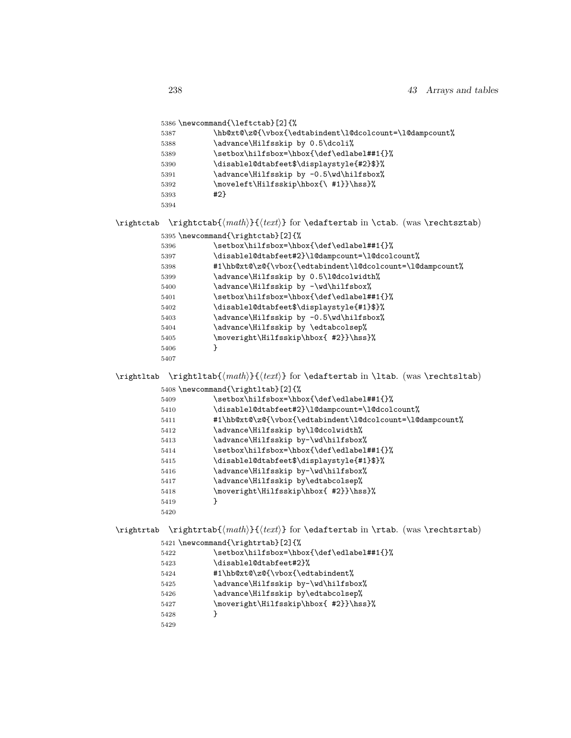|            | 5386 \newcommand{\leftctab}[2]{% |                                                                                    |
|------------|----------------------------------|------------------------------------------------------------------------------------|
|            | 5387                             | \hb@xt@\z@{\vbox{\edtabindent\l@dcolcount=\l@dampcount%                            |
|            | 5388                             | \advance\Hilfsskip by 0.5\dcoli%                                                   |
|            | 5389                             | \setbox\hilfsbox=\hbox{\def\edlabel##1{}%                                          |
|            | 5390                             | \disablel@dtabfeet\$\displaystyle{#2}\$}%                                          |
|            | 5391                             | \advance\Hilfsskip by -0.5\wd\hilfsbox%                                            |
|            | 5392                             | \moveleft\Hilfsskip\hbox{\ #1}}\hss}%                                              |
|            | 5393<br>5394                     | #2}                                                                                |
| \rightctab |                                  | $\rightctab\{\langle math \rangle\}$ for \edaftertab in \ctab. (was \rechtsztab)   |
|            |                                  | 5395 \newcommand{\rightctab}[2]{%                                                  |
|            | 5396                             | \setbox\hilfsbox=\hbox{\def\edlabel##1{}%                                          |
|            | 5397                             | \disablel@dtabfeet#2}\l@dampcount=\l@dcolcount%                                    |
|            | 5398                             | #1\hb@xt@\z@{\vbox{\edtabindent\l@dcolcount=\l@dampcount%                          |
|            | 5399                             | \advance\Hilfsskip by 0.5\l@dcolwidth%                                             |
|            | 5400                             | \advance\Hilfsskip by -\wd\hilfsbox%                                               |
|            | 5401                             | \setbox\hilfsbox=\hbox{\def\edlabel##1{}%                                          |
|            | 5402                             | \disablel@dtabfeet\$\displaystyle{#1}\$}%                                          |
|            | 5403                             | \advance\Hilfsskip by -0.5\wd\hilfsbox%                                            |
|            | 5404                             | \advance\Hilfsskip by \edtabcolsep%                                                |
|            | 5405                             | \moveright\Hilfsskip\hbox{ #2}}\hss}%                                              |
|            | 5406                             | }                                                                                  |
|            | 5407                             |                                                                                    |
| \rightltab |                                  | $\rightl_{\mathcal{H}}({\text{text}})$ for \edaftertab in \ltab. (was \rechtsltab) |
|            |                                  | 5408 \newcommand{\rightltab}[2]{%                                                  |
|            | 5409                             | \setbox\hilfsbox=\hbox{\def\edlabel##1{}%                                          |
|            | 5410                             | \disablel@dtabfeet#2}\l@dampcount=\l@dcolcount%                                    |
|            | 5411                             | #1\hb@xt@\z@{\vbox{\edtabindent\l@dcolcount=\l@dampcount%                          |
|            | 5412                             | \advance\Hilfsskip by\l@dcolwidth%                                                 |
|            | 5413                             | \advance\Hilfsskip by-\wd\hilfsbox%                                                |
|            | 5414                             | \setbox\hilfsbox=\hbox{\def\edlabel##1{}%                                          |
|            | 5415                             | \disablel@dtabfeet\$\displaystyle{#1}\$}%                                          |
|            | 5416                             | \advance\Hilfsskip by-\wd\hilfsbox%                                                |
|            | 5417                             | \advance\Hilfsskip by\edtabcolsep%                                                 |
|            | 5418                             | \moveright\Hilfsskip\hbox{ #2}}\hss}%                                              |
|            | 5419                             | }                                                                                  |
|            | 5420                             |                                                                                    |
| \rightrtab |                                  |                                                                                    |
|            |                                  | 5421 \newcommand{\rightrtab}[2]{%                                                  |
|            | 5422                             | \setbox\hilfsbox=\hbox{\def\edlabel##1{}%                                          |
|            | 5423                             | \disablel@dtabfeet#2}%                                                             |
|            | 5424                             | #1\hb@xt@\z@{\vbox{\edtabindent%                                                   |
|            | 5425                             | \advance\Hilfsskip by-\wd\hilfsbox%                                                |
|            | 5426                             | \advance\Hilfsskip by\edtabcolsep%                                                 |
|            |                                  | \moveright\Hilfsskip\hbox{ #2}}\hss}%                                              |
|            | 5427                             |                                                                                    |

5429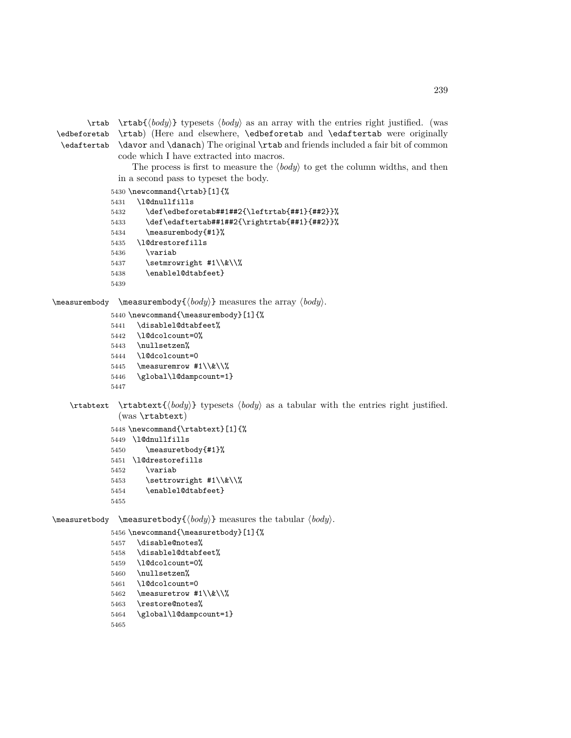\edbeforetab \edaftertab

\rtab \rtab{*⟨body⟩*} typesets *⟨body⟩* as an array with the entries right justified. (was \rtab) (Here and elsewhere, \edbeforetab and \edaftertab were originally \davor and \danach) The original \rtab and friends included a fair bit of common code which I have extracted into macros.

The process is first to measure the *⟨body⟩* to get the column widths, and then in a second pass to typeset the body.

```
5430 \newcommand{\rtab}[1]{%
5431 \l@dnullfills
5432 \det\cdot\det\{2\frac{1\cdot\frac{1\cdot\frac{1\cdot\frac{1\cdot\frac{1}{1\cdot\frac{1}{1\cdot\frac{1}{1\cdot\frac{1}{1\cdot\frac{1}{1\cdot\frac{1}{1\cdot\frac{1}{1\cdot\frac{1}{1\cdot\frac{1}{1\cdot\frac{1}{1\cdot\frac{1}{1\cdot\frac{1}{1\cdot\frac{1}{1\cdot\frac{1}{1\cdot\frac{1}{1\cdot\frac{1}{1\cdot\frac{1}{1\cdot\frac{1}{1\cdot\frac{1}{1\cdot\frac{1}{1\cdot\frac{1}{1\cdot\frac{1}{1\cdot\frac{1}{15433 \def\edaftertab##1##2{\rightrtab{##1}{##2}}%
5434 \measurembody{#1}%
5435 \l@drestorefills
5436 \variab
5437 \setmrowright #1\\&\\%
5438 \enablel@dtabfeet}
5439
```
\measurembody \measurembody{*⟨body⟩*} measures the array *⟨body⟩*.

```
5440 \newcommand{\measurembody}[1]{%
```

```
5441 \disablel@dtabfeet%
```
- \l@dcolcount=0%
- \nullsetzen%
- \l@dcolcount=0
- 5445 \measuremrow  $#1\\\&\\'\%$ \global\l@dampcount=1}
- 
- \rtabtext \rtabtext{*⟨body⟩*} typesets *⟨body⟩* as a tabular with the entries right justified. (was \rtabtext)

```
5448 \newcommand{\rtabtext}[1]{%
5449 \l@dnullfills
5450 \measuretbody{#1}%
5451 \l@drestorefills
5452 \variab
5453 \settrowright #1\\&\\%
5454 \enablel@dtabfeet}
5455
```
\measuretbody \measuretbody{*⟨body⟩*} measures the tabular *⟨body⟩*.

```
5456 \newcommand{\measuretbody}[1]{%
```

```
5457 \disable@notes%
5458 \disablel@dtabfeet%
5459 \l@dcolcount=0%
5460 \nullsetzen%
5461 \l@dcolcount=0
5462 \measuretrow \{1\}\&\\\%5463 \restore@notes%
5464 \global\l@dampcount=1}
5465
```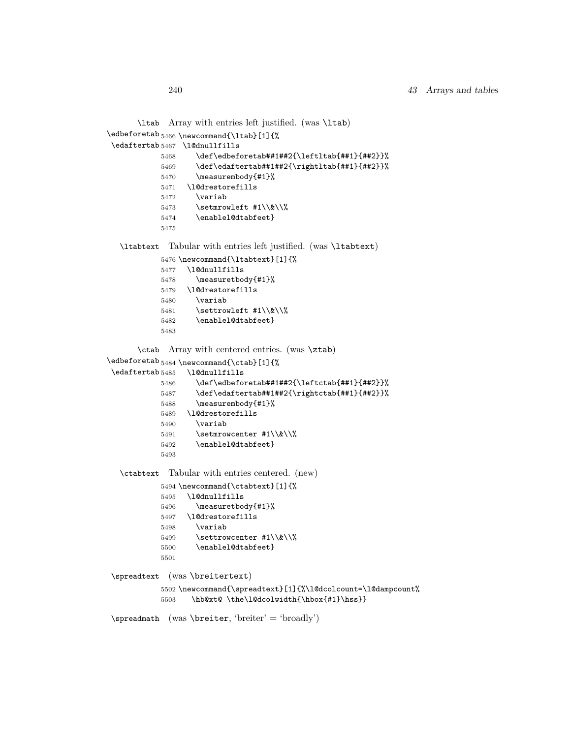```
\ltab
Array with entries left justified. (was \ltab)
\edbeforetab 5466 \newcommand{\ltab}[1]{%
\edaftertab 5467 \l@dnullfills
           5468 \def\edbeforetab##1##2{\leftltab{##1}{##2}}%
           5469 \def\edaftertab##1##2{\rightltab{##1}{##2}}%
           5470 \measurembody{#1}%
           5471 \l@drestorefills
           5472 \variab
           5473 \setmrowleft \sharp 1\backslash \&\backslash \%5474 \enablel@dtabfeet}
           5475
  \ltabtext Tabular with entries left justified. (was \ltabtext)
           5476 \newcommand{\ltabtext}[1]{%
           5477 \l@dnullfills
           5478 \measuretbody{#1}%
           5479 \l@drestorefills
           5480 \variab
           5481 \settrowleft #1\\&\\%
           5482 \enablel@dtabfeet}
           5483
      \ctab
Array with centered entries. (was \ztab)
\edbeforetab 5484 \newcommand{\ctab}[1]{%
\edaftertab 5485 \l@dnullfills
           5486 \def\edbeforetab##1##2{\leftctab{##1}{##2}}%
           5487 \def\edaftertab##1##2{\rightctab{##1}{##2}}%
           5488 \measurembody{#1}%
           5489 \l@drestorefills
           5490 \variab
           5491 \setmrowcenter \{1\}\&\\\%5492 \enablel@dtabfeet}
           5493
  \ctabtext Tabular with entries centered. (new)
           5494 \newcommand{\ctabtext}[1]{%
           5495 \l@dnullfills
           5496 \measuretbody{#1}%
           5497 \l@drestorefills
           5498 \variab
           5499 \settrowcenter \{1\}\&\\\%5500 \enablel@dtabfeet}
           5501
\spreadtext (was \breitertext)
           5502 \newcommand{\spreadtext}[1]{%\l@dcolcount=\l@dampcount%
           5503 \hb@xt@ \the\l@dcolwidth{\hbox{#1}\hss}}
\spreadmath (was \breiter, 'breiter' = 'broadly')
```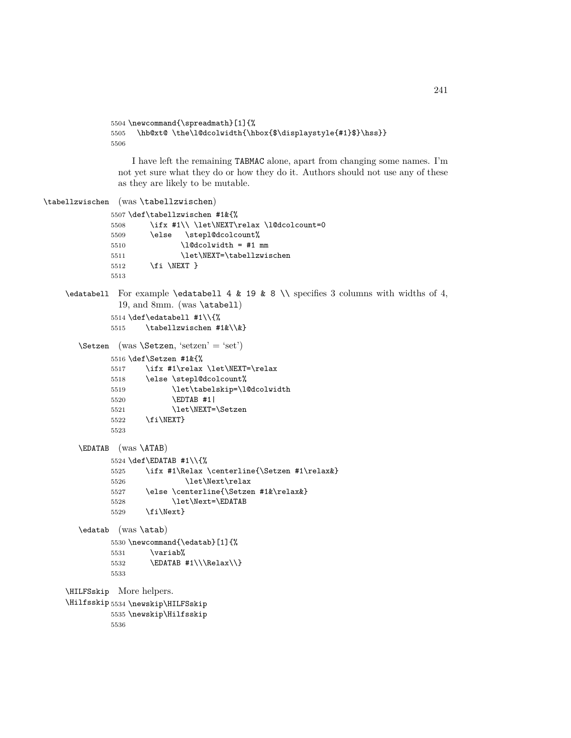```
5504 \newcommand{\spreadmath}[1]{%
5505 \hb@xt@ \the\l@dcolwidth{\hbox{$\displaystyle{#1}$}\hss}}
5506
```
I have left the remaining TABMAC alone, apart from changing some names. I'm not yet sure what they do or how they do it. Authors should not use any of these as they are likely to be mutable.

```
\tabellzwischen (was \tabellzwischen)
              5507 \def\tabellzwischen #1&{%
              5508 \ifx #1\\ \let\NEXT\relax \l@dcolcount=0
              5509 \else \stepl@dcolcount%
              5510 \ldots \l@dcolwidth = #1 mm
              5511 \let\NEXT=\tabellzwischen
              5512 \fi \NEXT }
              5513
    \edatabell For example \edatabell 4 & 19 & 8 \\ specifies 3 columns with widths of 4,
               19, and 8mm. (was \atabell)
              5514 \def\edatabell #1\\{%
              5515 \tabellzwischen #1&\\&}
       \Setzen (was \Setzen, 'setzen' = 'set')
              5516 \def\Setzen #1&{%
              5517 \ifx #1\relax \let\NEXT=\relax
              5518 \else \stepl@dcolcount%
              5519 \let\tabelskip=\l@dcolwidth
              5520 \EDTAB #1|
              5521 \let\NEXT=\Setzen
              5522 \fi\NEXT}
              5523
       \EDATAB (was \ATAB)
              5524 \def\EDATAB #1\\{%
              5525 \ifx #1\Relax \centerline{\Setzen #1\relax&}
              5526 \let\Next\relax
              5527 \else \centerline{\Setzen #1&\relax&}
              5528 \let\Next=\EDATAB
              5529 \fi\Next}
       \edatab (was \atab)
              5530 \newcommand{\edatab}[1]{%
              5531 \variab%
              5532 \EDATAB #1\\\Relax\\}
              5533
    \HILFSskip
More helpers.
    \Hilfsskip
5534 \newskip\HILFSskip
              5535 \newskip\Hilfsskip
              5536
```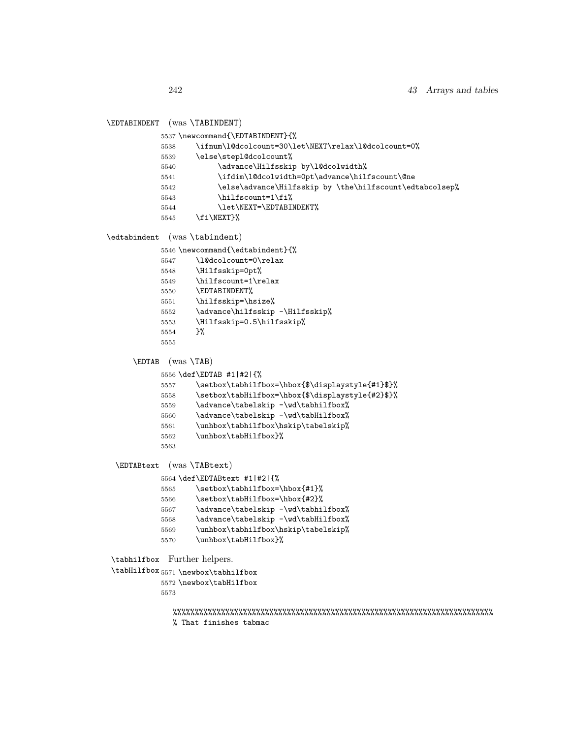\EDTABINDENT (was \TABINDENT)

```
5538 \ifnum\l@dcolcount=30\let\NEXT\relax\l@dcolcount=0%
           5539 \else\stepl@dcolcount%
           5540 \advance\Hilfsskip by\l@dcolwidth%
           5541 \ifdim\l@dcolwidth=0pt\advance\hilfscount\@ne
           5542 \else\advance\Hilfsskip by \the\hilfscount\edtabcolsep%
           5543 \hilfscount=1\fi%
           5544 \let\NEXT=\EDTABINDENT%
           5545 \fi\NEXT}%
\edtabindent (was \tabindent)
           5546 \newcommand{\edtabindent}{%
           5547 \l@dcolcount=0\relax
           5548 \Hilfsskip=0pt%
           5549 \hilfscount=1\relax
           5550 \EDTABINDENT%
           5551 \hilfsskip=\hsize%
           5552 \advance\hilfsskip -\Hilfsskip%
           5553 \Hilfsskip=0.5\hilfsskip%
           5554 }%
           5555
     \EDTAB (was \TAB)
           5556 \def\EDTAB #1|#2|{%
           5557 \setbox\tabhilfbox=\hbox{$\displaystyle{#1}$}%
           5558 \setbox\tabHilfbox=\hbox{$\displaystyle{#2}$}%
           5559 \advance\tabelskip -\wd\tabhilfbox%
           5560 \advance\tabelskip -\wd\tabHilfbox%
           5561 \unhbox\tabhilfbox\hskip\tabelskip%
           5562 \unhbox\tabHilfbox}%
           5563
 \EDTABtext (was \TABtext)
           5564 \def\EDTABtext #1|#2|{%
           5565 \setbox\tabhilfbox=\hbox{#1}%
           5566 \setbox\tabHilfbox=\hbox{#2}%
           5567 \advance\tabelskip -\wd\tabhilfbox%
           5568 \advance\tabelskip -\wd\tabHilfbox%
           5569 \unhbox\tabhilfbox\hskip\tabelskip%
           5570 \unhbox\tabHilfbox}%
 \tabhilfbox
Further helpers.
 \tabHilfbox 5571 \newbox\tabhilfbox
           5572 \newbox\tabHilfbox
           5573
              %%%%%%%%%%%%%%%%%%%%%%%%%%%%%%%%%%%%%%%%%%%%%%%%%%%%%%%%%%%%%%%%%%%%%%%%%
              % That finishes tabmac
```
5537 \newcommand{\EDTABINDENT}{%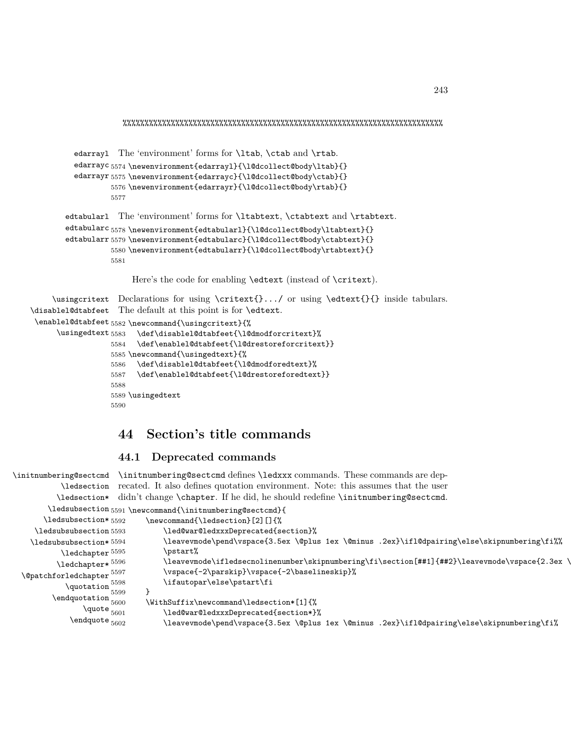%%%%%%%%%%%%%%%%%%%%%%%%%%%%%%%%%%%%%%%%%%%%%%%%%%%%%%%%%%%%%%%%%%%%%%%%%

```
edarrayl
The 'environment' forms for \ltab, \ctab and \rtab.
          edarrayc<sub>5574</sub> \newenvironment{edarray1}{\l@dcollect@body\ltab}{}
          edarrayr 5575 \newenvironment{edarrayc}{\l@dcollect@body\ctab}{}
                   5576 \newenvironment{edarrayr}{\l@dcollect@body\rtab}{}
                   5577
        edtabularl
The 'environment' forms for \ltabtext, \ctabtext and \rtabtext.
        edtabularc<sub>5578</sub>\newenvironment{edtabularl}{\l@dcollect@body\ltabtext}{}
        edtabularr 5579 \newenvironment{edtabularc}{\l@dcollect@body\ctabtext}{}
                   5580 \newenvironment{edtabularr}{\l@dcollect@body\rtabtext}{}
                   5581
                       Here's the code for enabling \edtext (instead of \critext).
     \usingcritext
Declarations for using \critext{}.../ or using \edtext{}{} inside tabulars.
\disablel@dtabfeet
The default at this point is for \edtext.
 \enablel@dtabfeet 5582 \newcommand{\usingcritext}{%
      \usingedtext 5583 \def\disablel@dtabfeet{\l@dmodforcritext}%
                   5584 \def\enablel@dtabfeet{\l@drestoreforcritext}}
                   5585 \newcommand{\usingedtext}{%
                   5586 \def\disablel@dtabfeet{\l@dmodforedtext}%
                   5587 \def\enablel@dtabfeet{\l@drestoreforedtext}}
                   5588
                   5589 \usingedtext
                   5590
```
# **44 Section's title commands**

### **44.1 Deprecated commands**

```
\initnumbering@sectcmd
\initnumbering@sectcmd defines \ledxxx commands. These commands are dep-
             \ledsection
recated. It also defines quotation environment. Note: this assumes that the user
            \ledsection*
didn't change \chapter. If he did, he should redefine \initnumbering@sectcmd.
         \ledsubsection 5591 \newcommand{\initnumbering@sectcmd}{
        \ledsubsection* 5592
     \ledsubsubsection 5593
    \ledsubsubsection* 5594
            \ledchapter 5595
           \ledchapter* 5596\verb+\@patchforledchapter+^{5597}\begin{array}{c}\n\text{Quotation} \end{array}\text{equation} \begin{array}{c} 5599 \\ \text{endquotation} \end{array}\label{eq:qubit} \begin{array}{l} \hspace{-0.5cm} \textbf{quote}_{5601} \end{array}\lambdaendquote _{5602}\newcommand{\ledsection}[2][]{%
                                         \led@war@ledxxxDeprecated{section}%
                                         5594 \leavevmode\pend\vspace{3.5ex \@plus 1ex \@minus .2ex}\ifl@dpairing\else\skipnumbering\fi%%
                                         \pstart%
                                         \leavevmode\ifledsecnolinenumber\skipnumbering\fi\section[##1]{##2}\leavevmode\vspace{2.3ex \
                                         \vspace{-2\parskip}\vspace{-2\baselineskip}%
                                         \ifautopar\else\pstart\fi
                                    5600 \WithSuffix\newcommand\ledsection*[1]{%
                                         \led@war@ledxxxDeprecated{section*}%
                                         5602 \leavevmode\pend\vspace{3.5ex \@plus 1ex \@minus .2ex}\ifl@dpairing\else\skipnumbering\fi%
```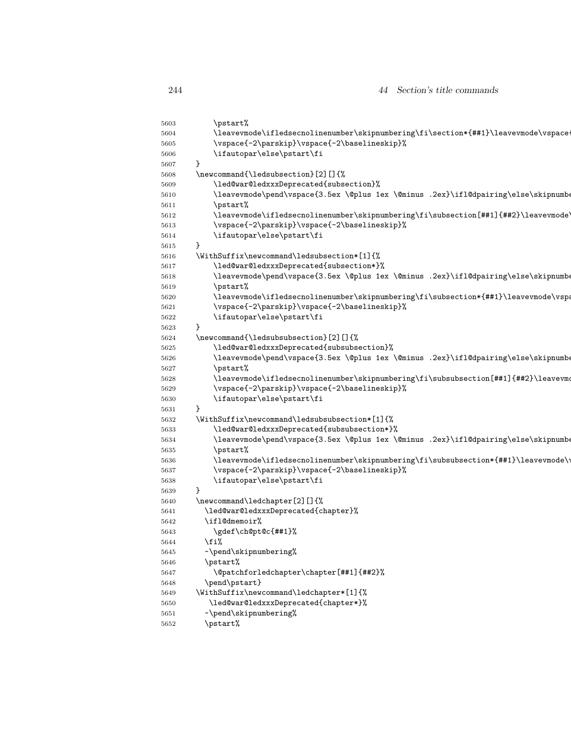```
5603 \pstart%
5604 \leavevmode\ifledsecnolinenumber\skipnumbering\fi\section*{##1}\leavevmode\vspace
5605 \vspace{-2\parskip}\vspace{-2\baselineskip}%
5606 \ifautopar\else\pstart\fi
5607 }
5608 \newcommand{\ledsubsection}[2][]{%
5609 \led@war@ledxxxDeprecated{subsection}%
5610 \leavevmode\pend\vspace{3.5ex \@plus 1ex \@minus .2ex}\ifl@dpairing\else\skipnumbering\else\skipnumbering\else\skipnumbering\else\skipnumbering\else\skipnumbering\else\skipnumbering\else\skipnumbering\else\skipnumberi
5611 \pstart%
5612 \leavevmode\ifledsecnolinenumber\skipnumbering\fi\subsection[##1]{##2}\leavevmode\
5613 \vspace{-2\parskip}\vspace{-2\baselineskip}%
5614 \ifautopar\else\pstart\fi
5615 }
5616 \WithSuffix\newcommand\ledsubsection*[1]{%
5617 \led@war@ledxxxDeprecated{subsection*}%
5618 \leavevmode\pend\vspace{3.5ex \@plus 1ex \@minus .2ex}\ifl@dpairing\else\skipnumbering\else\skipnumbering\else\skipnumbering\else\skipnumbering\else\skipnumbering\else\skipnumbering\else\skipnumbering\else\skipnumber
5619 \pstart%
5620 \leavevmode\ifledsecnolinenumber\skipnumbering\fi\subsection*{##1}\leavevmode\vspace{1.5ex \end{1.5ex \end{1.5ex \end{1.5ex \end{1.5ex \end{1.5ex \end{1.5ex \end{1.5ex \end{1.5ex \end{1.5ex \end{1.5ex \end{1.5ex \end{
5621 \vspace{-2\parskip}\vspace{-2\baselineskip}%
5622 \ifautopar\else\pstart\fi
5623 }
5624 \newcommand{\ledsubsubsection}[2][]{%
5625 \led@war@ledxxxDeprecated{subsubsection}%
5626 \leavevmode\pend\vspace{3.5ex \@plus 1ex \@minus .2ex}\ifl@dpairing\else\skipnumbering\else\skipnumbering\else\skipnumbering\else\skipnumbering\else\skipnumbering\else\skipnumbering\else\skipnumbering\else\skipnumber
5627 \pstart%
5628 \leavevmode\ifledsecnolinenumber\skipnumbering\fi\subsubsection[##1]{##2}\leavevmode\ifledsecnolinenumber\skipnumbering\fi\subsubsection[##1]{##2}\leavevmo
5629 \vspace{-2\parskip}\vspace{-2\baselineskip}%
5630 \ifautopar\else\pstart\fi
5631 }
5632 \WithSuffix\newcommand\ledsubsubsection*[1]{%
5633 \led@war@ledxxxDeprecated{subsubsection*}%
5634 \leavevmode\pend\vspace{3.5ex \@plus 1ex \@minus .2ex}\ifl@dpairing\else\skipnumbe
5635 \pstart%
5636 \leavevmode\ifledsecnolinenumber\skipnumbering\fi\subsubsection*{##1}\leavevmode\
5637 \vspace{-2\parskip}\vspace{-2\baselineskip}%
5638 \ifautopar\else\pstart\fi
5639 }
5640 \newcommand\ledchapter[2][]{%
5641 \led@war@ledxxxDeprecated{chapter}%
5642 \ifl@dmemoir%
5643 \gdef\ch@pt@c{##1}%
5644 \fi%
5645 ~\pend\skipnumbering%
5646 \pstart%
5647 \@patchforledchapter\chapter[##1]{##2}%
5648 \pend\pstart}
5649 \WithSuffix\newcommand\ledchapter*[1]{%
5650 \led@war@ledxxxDeprecated{chapter*}%
5651 ~\pend\skipnumbering%
5652 \pstart%
```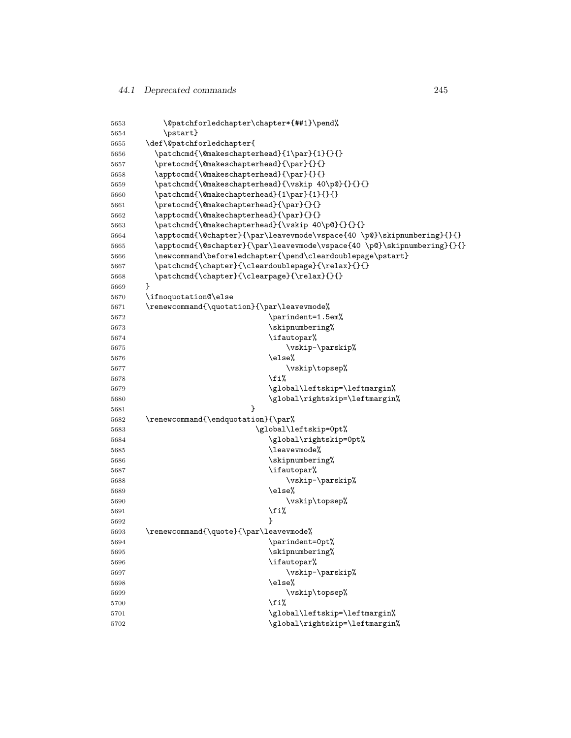| 5653 | \@patchforledchapter\chapter*{##1}\pend%                                |  |  |
|------|-------------------------------------------------------------------------|--|--|
| 5654 | \pstart}                                                                |  |  |
| 5655 | \def\@patchforledchapter{                                               |  |  |
| 5656 | \patchcmd{\@makeschapterhead}{1\par}{1}{}{}                             |  |  |
| 5657 | \pretocmd{\@makeschapterhead}{\par}{}{}                                 |  |  |
| 5658 | \apptocmd{\@makeschapterhead}{\par}{}{}                                 |  |  |
| 5659 | \patchcmd{\@makeschapterhead}{\vskip 40\p@}{}{}{}                       |  |  |
| 5660 | \patchcmd{\@makechapterhead}{1\par}{1}{}{}                              |  |  |
| 5661 | \pretocmd{\@makechapterhead}{\par}{}{}                                  |  |  |
| 5662 | \apptocmd{\@makechapterhead}{\par}{}{}                                  |  |  |
| 5663 | \patchcmd{\@makechapterhead}{\vskip 40\p@}{}{}{}                        |  |  |
| 5664 | \apptocmd{\@chapter}{\par\leavevmode\vspace{40 \p@}\skipnumbering}{}{}  |  |  |
| 5665 | \apptocmd{\@schapter}{\par\leavevmode\vspace{40 \p@}\skipnumbering}{}{} |  |  |
| 5666 | \newcommand\beforeledchapter{\pend\cleardoublepage\pstart}              |  |  |
| 5667 | \patchcmd{\chapter}{\cleardoublepage}{\relax}{}{}                       |  |  |
| 5668 | \patchcmd{\chapter}{\clearpage}{\relax}{}{}                             |  |  |
| 5669 | }                                                                       |  |  |
| 5670 | \ifnoquotation@\else                                                    |  |  |
| 5671 | \renewcommand{\quotation}{\par\leavevmode%                              |  |  |
| 5672 | \parindent=1.5em%                                                       |  |  |
| 5673 | \skipnumbering%                                                         |  |  |
| 5674 | \ifautopar%                                                             |  |  |
| 5675 | \vskip-\parskip%                                                        |  |  |
| 5676 | \else%                                                                  |  |  |
| 5677 | \vskip\topsep%                                                          |  |  |
| 5678 | \fi%                                                                    |  |  |
| 5679 | \global\leftskip=\leftmargin%                                           |  |  |
| 5680 | \global\rightskip=\leftmargin%                                          |  |  |
| 5681 | }                                                                       |  |  |
| 5682 | \renewcommand{\endquotation}{\par%                                      |  |  |
| 5683 | \global\leftskip=0pt%                                                   |  |  |
| 5684 | \global\rightskip=0pt%                                                  |  |  |
| 5685 | \leavevmode%                                                            |  |  |
| 5686 | \skipnumbering%                                                         |  |  |
| 5687 | \ifautopar%                                                             |  |  |
| 5688 | \vskip-\parskip%                                                        |  |  |
| 5689 | \else%                                                                  |  |  |
| 5690 | \vskip\topsep%                                                          |  |  |
| 5691 | \fi%                                                                    |  |  |
| 5692 | ł                                                                       |  |  |
| 5693 | \renewcommand{\quote}{\par\leavevmode%                                  |  |  |
| 5694 | \parindent=0pt%                                                         |  |  |
| 5695 | \skipnumbering%                                                         |  |  |
| 5696 | \ifautopar%                                                             |  |  |
| 5697 | $\verb \vskip- \paralskip $                                             |  |  |
| 5698 | \else%                                                                  |  |  |
| 5699 | \vskip\topsep%                                                          |  |  |
| 5700 | \fi%                                                                    |  |  |
| 5701 | \global\leftskip=\leftmargin%                                           |  |  |
| 5702 | \global\rightskip=\leftmargin%                                          |  |  |
|      |                                                                         |  |  |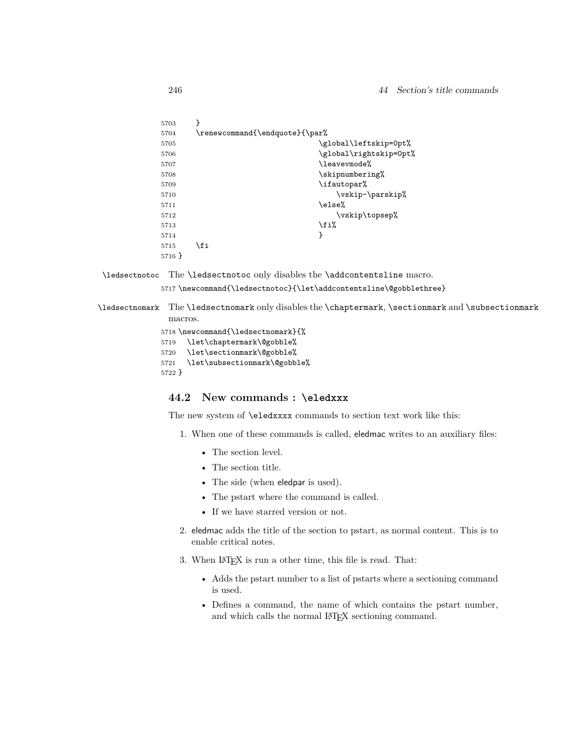| 5703   | λ                              |                        |
|--------|--------------------------------|------------------------|
| 5704   | \renewcommand{\endquote}{\par% |                        |
| 5705   |                                | \global\leftskip=0pt%  |
| 5706   |                                | \global\rightskip=0pt% |
| 5707   |                                | \leavevmode%           |
| 5708   |                                | \skipnumbering%        |
| 5709   |                                | \ifautopar%            |
| 5710   |                                | \vskip-\parskip%       |
| 5711   |                                | \else%                 |
| 5712   |                                | \vskip\topsep%         |
| 5713   |                                | \fi%                   |
| 5714   |                                | ł                      |
| 5715   | \fi                            |                        |
| 5716 } |                                |                        |
|        |                                |                        |

\ledsectnotoc The \ledsectnotoc only disables the \addcontentsline macro.

5717 \newcommand{\ledsectnotoc}{\let\addcontentsline\@gobblethree}

\ledsectnomark The \ledsectnomark only disables the \chaptermark, \sectionmark and \subsectionmark macros.

```
5718 \newcommand{\ledsectnomark}{%
5719 \let\chaptermark\@gobble%
5720 \let\sectionmark\@gobble%
5721 \let\subsectionmark\@gobble%
5722 }
```
### **44.2 New commands : \eledxxx**

The new system of \eledxxxx commands to section text work like this:

- 1. When one of these commands is called, eledmac writes to an auxiliary files:
	- The section level.
	- The section title.
	- The side (when eledpar is used).
	- The pstart where the command is called.
	- If we have starred version or not.
- 2. eledmac adds the title of the section to pstart, as normal content. This is to enable critical notes.
- 3. When LAT<sub>E</sub>X is run a other time, this file is read. That:
	- Adds the pstart number to a list of pstarts where a sectioning command is used.
	- Defines a command, the name of which contains the pstart number, and which calls the normal LAT<sub>E</sub>X sectioning command.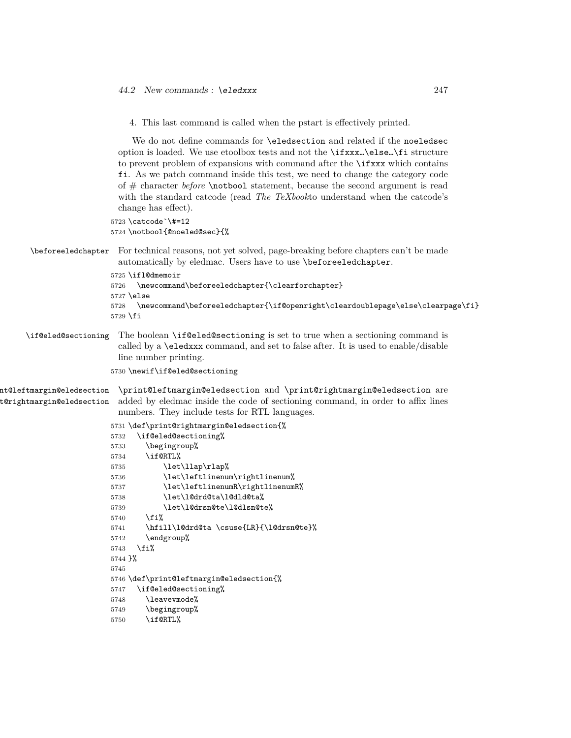4. This last command is called when the pstart is effectively printed.

We do not define commands for \eledsection and related if the noeledsec option is loaded. We use etoolbox tests and not the \ifxxx…\else…\fi structure to prevent problem of expansions with command after the \ifxxx which contains fi. As we patch command inside this test, we need to change the category code of # character *before* \notbool statement, because the second argument is read with the standard catcode (read *The TeXbook*to understand when the catcode's change has effect).

```
5723 \catcode`\#=12
5724 \notbool{@noeled@sec}{%
```
\beforeeledchapter For technical reasons, not yet solved, page-breaking before chapters can't be made automatically by eledmac. Users have to use \beforeeledchapter.

```
5725 \ifl@dmemoir
5726 \newcommand\beforeeledchapter{\clearforchapter}
5727 \else
5728 \newcommand\beforeeledchapter{\if@openright\cleardoublepage\else\clearpage\fi}
5729 \fi
```
\if@eled@sectioning The boolean \if@eled@sectioning is set to true when a sectioning command is called by a \eledxxx command, and set to false after. It is used to enable/disable line number printing.

5730 \newif\if@eled@sectioning

```
nt@leftmargin@eledsection
t@rightmargin@eledsection
                          \print@leftmargin@eledsection and \print@rightmargin@eledsection are
                         added by eledmac inside the code of sectioning command, in order to affix lines
                          numbers. They include tests for RTL languages.
```

```
5731 \def\print@rightmargin@eledsection{%
5732 \if@eled@sectioning%
5733 \begingroup%
5734 \if@RTL%
5735 \let\llap\rlap%
5736 \let\leftlinenum\rightlinenum%
5737 \let\leftlinenumR\rightlinenumR%
5738 \let\l@drd@ta\l@dld@ta%
5739 \let\l@drsn@te\l@dlsn@te%
5740 \fi%
5741 \hfill\l@drd@ta \csuse{LR}{\l@drsn@te}%
5742 \endgroup%
5743 \fi%
5744 }%
5745
5746 \def\print@leftmargin@eledsection{%
5747 \if@eled@sectioning%
5748 \leavevmode%
5749 \begingroup%
5750 \if@RTL%
```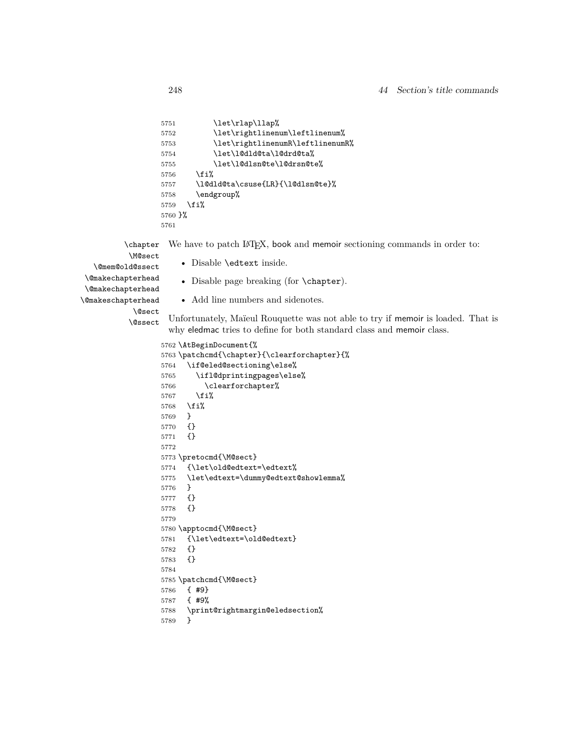```
5751 \let\rlap\llap%
5752 \let\rightlinenum\leftlinenum%
5753 \let\rightlinenumR\leftlinenumR%
5754 \let\l@dld@ta\l@drd@ta%
5755 \let\l@dlsn@te\l@drsn@te%
5756 \{f_i\}5757 \l@dld@ta\csuse{LR}{\l@dlsn@te}%
5758 \endgroup%
5759 \fi%
5760 }%
5761
```
\chapter We have to patch LAT<sub>E</sub>X, book and memoir sectioning commands in order to:

\M@sect

• Disable \edtext inside.

\@mem@old@ssect \@makechapterhead

• Disable page breaking (for \chapter).

\@makechapterhead \@makeschapterhead

\@sect

```
\@ssect
```
• Add line numbers and sidenotes.

Unfortunately, Maïeul Rouquette was not able to try if memoir is loaded. That is why eledmac tries to define for both standard class and memoir class.

```
5762 \AtBeginDocument{%
5763 \patchcmd{\chapter}{\clearforchapter}{%
5764 \if@eled@sectioning\else%
5765 \ifl@dprintingpages\else%
5766 \clearforchapter%
5767 \fi%
5768 \fi%
5769 }
5770 {}
5771 {}
5772
5773 \pretocmd{\M@sect}
5774 {\let\old@edtext=\edtext%
5775 \let\edtext=\dummy@edtext@showlemma%
5776 }
5777 {}
5778 {}
5779
5780 \apptocmd{\M@sect}
5781 {\let\edtext=\old@edtext}
5782 {}
5783 {}
5784
5785 \patchcmd{\M@sect}
5786 { #9}
```

```
5787 { #9%
```

```
5788 \print@rightmargin@eledsection%
```

```
5789 }
```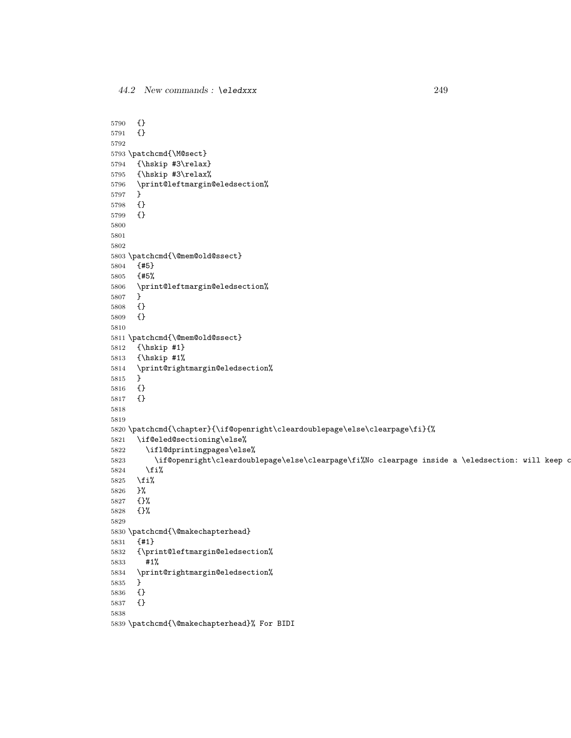{} {} \patchcmd{\M@sect} {\hskip #3\relax} {\hskip #3\relax% \print@leftmargin@eledsection% } {} {} \patchcmd{\@mem@old@ssect} {#5} {#5% \print@leftmargin@eledsection% } {} {} \patchcmd{\@mem@old@ssect} {\hskip #1} {\hskip #1% \print@rightmargin@eledsection% } {} {} \patchcmd{\chapter}{\if@openright\cleardoublepage\else\clearpage\fi}{% \if@eled@sectioning\else% \ifl@dprintingpages\else% 5823 \if@openright\cleardoublepage\else\clearpage\fi%No clearpage inside a \eledsection: will keep o \fi% \fi% }% {}% {}% \patchcmd{\@makechapterhead} {#1} {\print@leftmargin@eledsection% #1% \print@rightmargin@eledsection% } {} {} \patchcmd{\@makechapterhead}% For BIDI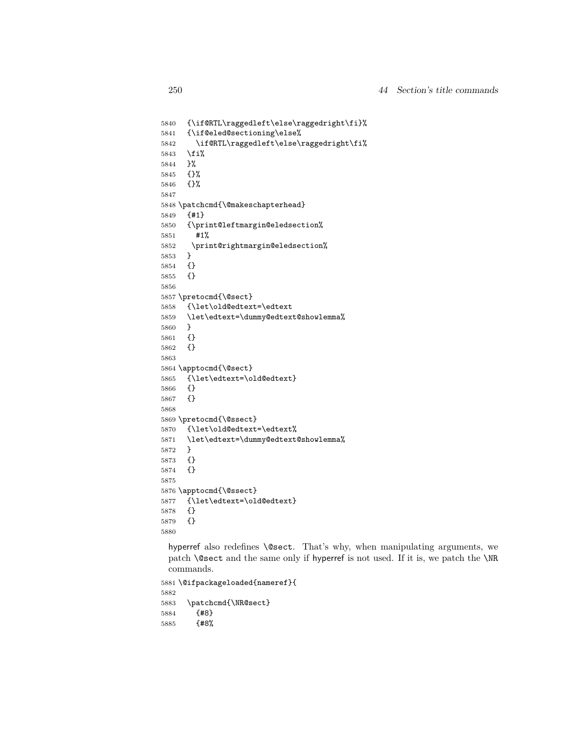```
5840 {\if@RTL\raggedleft\else\raggedright\fi}%
5841 {\if@eled@sectioning\else%
5842 \if@RTL\raggedleft\else\raggedright\fi%
5843 \fi%
5844 }%
5845 {}%
5846 {}%
5847
5848 \patchcmd{\@makeschapterhead}
5849 {#1}
5850 {\print@leftmargin@eledsection%
5851 #1%
5852 \print@rightmargin@eledsection%
5853 }
5854 {}
5855 {}
5856
5857 \pretocmd{\@sect}
5858 {\let\old@edtext=\edtext
5859 \let\edtext=\dummy@edtext@showlemma%
5860 }
5861 {}
5862 {}
5863
5864 \apptocmd{\@sect}
5865 {\let\edtext=\old@edtext}
5866 {}
5867 {}
5868
5869 \pretocmd{\@ssect}
5870 {\let\old@edtext=\edtext%
5871 \let\edtext=\dummy@edtext@showlemma%
5872 }
5873 {}
5874 {}
5875
5876 \apptocmd{\@ssect}
5877 {\let\edtext=\old@edtext}
5878 {}
5879 {}
5880
```
hyperref also redefines \@sect. That's why, when manipulating arguments, we patch \@sect and the same only if hyperref is not used. If it is, we patch the \NR commands.

```
5881 \@ifpackageloaded{nameref}{
5882
5883 \patchcmd{\NR@sect}
5884 {#8}
5885 {#8%
```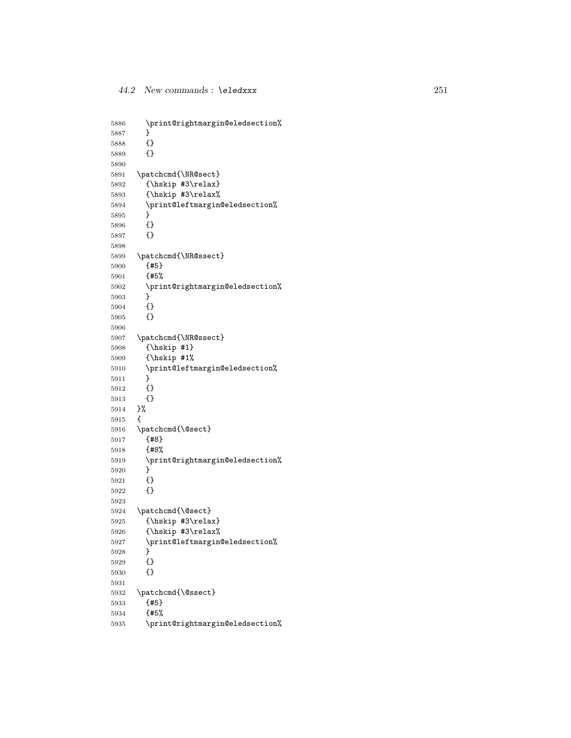```
5886 \print@rightmargin@eledsection%
5887
       }
5888 {}
5889 {}
5890
5891 \patchcmd{\NR@sect}
5892 {\hskip #3\relax}
5893 {\hskip #3\relax%
5894 \print@leftmargin@eledsection%
5895
       }
5896 {}
5897 {}
5898
5899 \patchcmd{\NR@ssect}
5900 {#5}
5901 {#5%
5902 \print@rightmargin@eledsection%
5903
       }
5904 {}
5905 {}
5906
5907 \patchcmd{\NR@ssect}
5908 {\hskip #1}
5909 {\hskip #1%
5910 \print@leftmargin@eledsection%
5911
       }
5912 {}
5913 {}
5914 }%
5915
     {
5916 \patchcmd{\@sect}
5917 {#8}
5918 {#8%
5919 \print@rightmargin@eledsection%
5920
       }
5921 {}
5922 {}
5923
5924 \patchcmd{\@sect}
5925 {\hskip #3\relax}
5926 {\hskip #3\relax%
5927 \print@leftmargin@eledsection%
5928
       }
5929 {}
5930 {}
5931
5932 \patchcmd{\@ssect}
5933 {#5}
5934 {#5%
5935 \print@rightmargin@eledsection%
```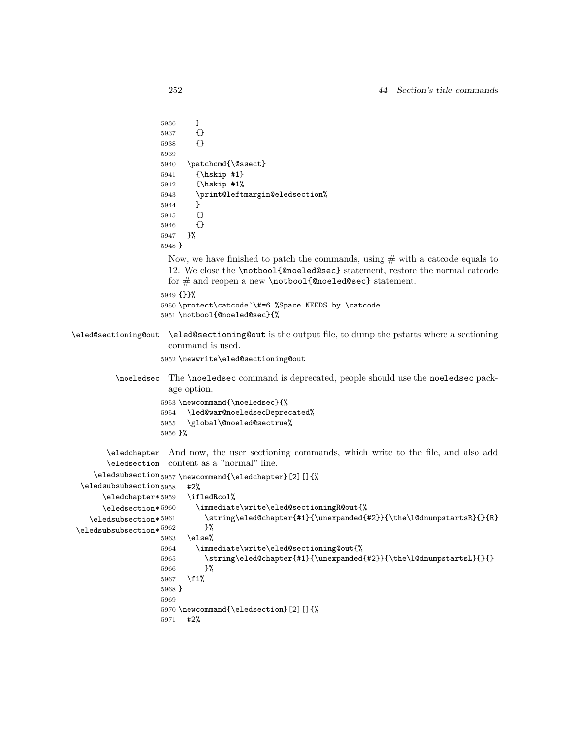```
5936 }
                    5937 {}
                    5938 {}
                    5939
                    5940 \patchcmd{\@ssect}
                    5941 {\hskip #1}
                    5942 {\hskip #1%
                    5943 \print@leftmargin@eledsection%
                    5944 }
                    5945 {}
                    5946 {}
                    5947 }%
                    5948 }
                      Now, we have finished to patch the commands, using # with a catcode equals to
                      12. We close the \notbool{@noeled@sec} statement, restore the normal catcode
                      for # and reopen a new \notbool{@noeled@sec} statement.
                    5949 {}}%
                    5950 \protect\catcode`\#=6 %Space NEEDS by \catcode
                    5951 \notbool{@noeled@sec}{%
\eled@sectioning@out \eled@sectioning@out is the output file, to dump the pstarts where a sectioning
                      command is used.
                    5952 \newwrite\eled@sectioning@out
          \noeledsec The \noeledsec command is deprecated, people should use the noeledsec pack-
                      age option.
                    5953 \newcommand{\noeledsec}{%
                    5954 \led@war@noeledsecDeprecated%
                    5955 \global\@noeled@sectrue%
                    5956 }%
        \eledchapter
And now, the user sectioning commands, which write to the file, and also add
        \eledsection
content as a "normal" line.
     \eledsubsection
5957 \newcommand{\eledchapter}[2][]{%
  \eledsubsubsection 5958 #2%
       \eledchapter*5959
       \eledsection* 5960
    \text{elesubsection*}<sup>5961</sup>
 \texttt{\textbackslash}eledsubsubsection* ^{5962} }%
                          \ifledRcol%
                            5960 \immediate\write\eled@sectioningR@out{%
                               \string\eled@chapter{#1}{\unexpanded{#2}}{\the\l@dnumpstartsR}{}{R}
                    5963 \else%
                    5964 \immediate\write\eled@sectioning@out{%
                    5965 \string\eled@chapter{#1}{\unexpanded{#2}}{\the\l@dnumpstartsL}{}{}
                    5966 }%
                    5967 \fi%
                    5968 }
                    5969
                    5970 \newcommand{\eledsection}[2][]{%
                    5971 #2%
```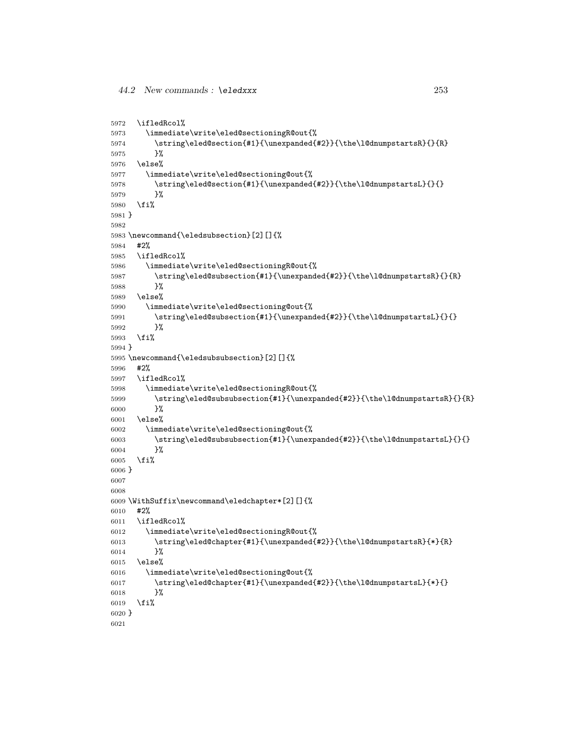```
5972 \ifledRcol%
5973 \immediate\write\eled@sectioningR@out{%
5974 \string\eled@section{#1}{\unexpanded{#2}}{\the\l@dnumpstartsR}{}{R}
5975 }%
5976 \else%
5977 \immediate\write\eled@sectioning@out{%
5978 \string\eled@section{#1}{\unexpanded{#2}}{\the\l@dnumpstartsL}{}{}
5979 }%
5980 \fi%
5981 }
5982
5983 \newcommand{\eledsubsection}[2][]{%
5984 #2%
5985 \ifledRcol%
5986 \immediate\write\eled@sectioningR@out{%
5987 \string\eled@subsection{#1}{\unexpanded{#2}}{\the\l@dnumpstartsR}{}{R}
5988 }%
5989 \else%
5990 \immediate\write\eled@sectioning@out{%
5991 \string\eled@subsection{#1}{\unexpanded{#2}}{\the\l@dnumpstartsL}{}{}
5992 }%
5993 \fi%
5994 }
5995 \newcommand{\eledsubsubsection}[2][]{%
5996 #2%
5997 \ifledRcol%
5998 \immediate\write\eled@sectioningR@out{%
5999 \string\eled@subsubsection{#1}{\unexpanded{#2}}{\the\l@dnumpstartsR}{}{R}
6000 }%
6001 \else%
6002 \immediate\write\eled@sectioning@out{%
6003 \string\eled@subsubsection{#1}{\unexpanded{#2}}{\the\l@dnumpstartsL}{}{}
6004 }%
6005 \fi%
6006 }
6007
6008
6009 \WithSuffix\newcommand\eledchapter*[2][]{%
6010 #2%
6011 \ifledRcol%
6012 \immediate\write\eled@sectioningR@out{%
6013 \string\eled@chapter{#1}{\unexpanded{#2}}{\the\l@dnumpstartsR}{*}{R}
6014 }%
6015 \else%
6016 \immediate\write\eled@sectioning@out{%
6017 \string\eled@chapter{#1}{\unexpanded{#2}}{\the\l@dnumpstartsL}{*}{}
6018 }%
6019 \fi%
6020 }
6021
```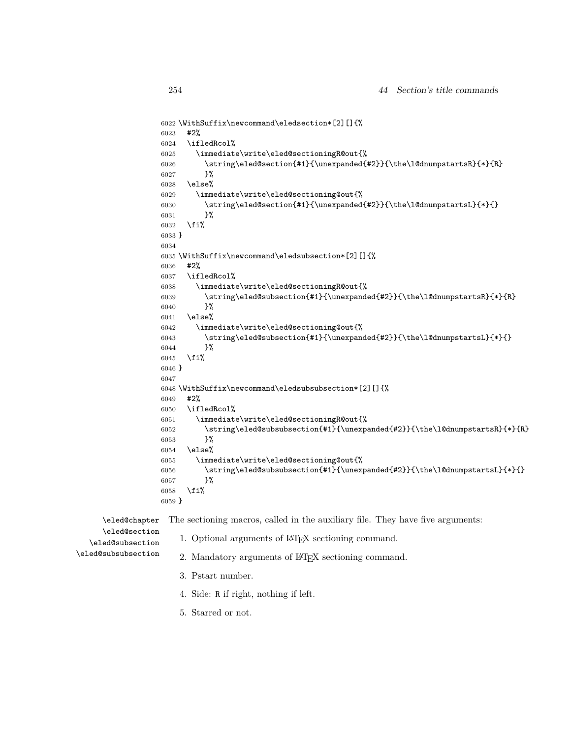```
6022 \WithSuffix\newcommand\eledsection*[2][]{%
6023 #2%
6024 \ifledRcol%
6025 \immediate\write\eled@sectioningR@out{%
6026 \label{c:1} $$6027 }%
6028 \else%
6029 \immediate\write\eled@sectioning@out{%
6030 \label{t:main} $$6031 }%
6032 \fi%
6033 }
6034
6035 \WithSuffix\newcommand\eledsubsection*[2][]{%
6036 #2%
6037 \ifledRcol%
6038 \immediate\write\eled@sectioningR@out{%
6039 \string\eled@subsection{#1}{\unexpanded{#2}}{\the\l@dnumpstartsR}{*}{R}
6040 }%
6041 \else%
6042 \immediate\write\eled@sectioning@out{%
6043 \label{eq:3.1} $$6044 }%
6045 \fi%
6046 }
6047
6048 \WithSuffix\newcommand\eledsubsubsection*[2][]{%
6049 #2%
6050 \ifledRcol%
6051 \immediate\write\eled@sectioningR@out{%
6052 \string\eled@subsubsection{#1}{\unexpanded{#2}}{\the\l@dnumpstartsR}{*}{R}
6053 }%
6054 \else%
6055 \immediate\write\eled@sectioning@out{%
6056 \string\eled@subsubsection{#1}{\unexpanded{#2}}{\the\l@dnumpstartsL}{*}{}
6057 }%
6058 \fi%
6059 }
```

| \eled@chapter                     | The sectioning macros, called in the auxiliary file. They have five arguments: |
|-----------------------------------|--------------------------------------------------------------------------------|
| \eled@section<br>eled@subsection\ | 1. Optional arguments of LAT <sub>F</sub> X sectioning command.                |
| \eled@subsubsection               | 2. Mandatory arguments of LAT <sub>F</sub> X sectioning command.               |
|                                   | 3. Pstart number.                                                              |
|                                   | 4. Side: R if right, nothing if left.                                          |

5. Starred or not.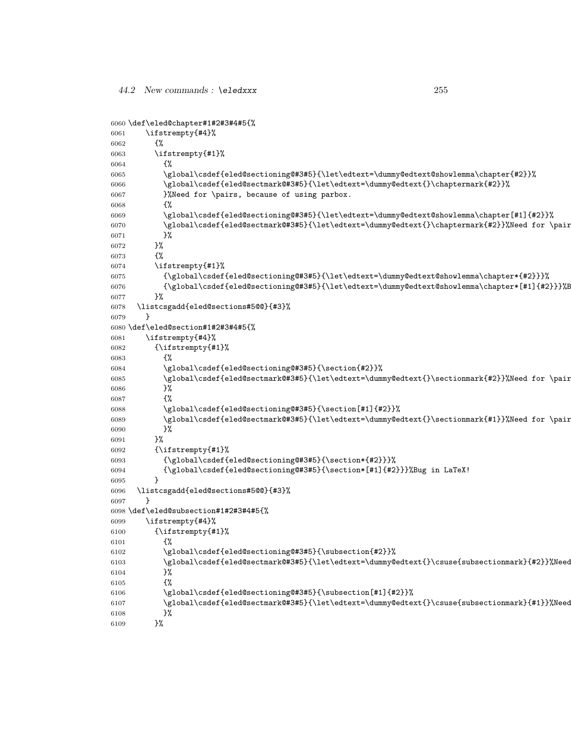```
6060 \def\eled@chapter#1#2#3#4#5{%
6061 \ifstrempty{#4}%
6062 {%
6063 \ifstrempty{#1}%
6064 {%
6065 \global\csdef{eled@sectioning@#3#5}{\let\edtext=\dummy@edtext@showlemma\chapter{#2}}%
6066 \global\csdef{eled@sectmark@#3#5}{\let\edtext=\dummy@edtext{}\chaptermark{#2}}%
6067   \%Need for \pairs, because of using parbox.
6068 {%
6069 \global\csdef{eled@sectioning@#3#5}{\let\edtext=\dummy@edtext@showlemma\chapter[#1]{#2}}%
6070 \global\csdef{eled@sectmark@#3#5}{\let\edtext=\dummy@edtext{}\chaptermark{#2}}%Need for \pair
6071 }%
6072 }%
6073 {%
6074 \ifstrempty{#1}%
6075 {\global\csdef{eled@sectioning@#3#5}{\let\edtext=\dummy@edtext@showlemma\chapter*{#2}}}%
6076 {\global\csdef{eled@sectioning@#3#5}{\let\edtext=\dummy@edtext@showlemma\chapter*[#1]{#2}}}%B
6077 }%
6078 \listcsgadd{eled@sections#5@@}{#3}%
6079 }
6080 \def\eled@section#1#2#3#4#5{%
6081 \ifstrempty{#4}%
6082 {\ifstrempty{#1}%
6083 {%
6084 \global\csdef{eled@sectioning@#3#5}{\section{#2}}%
6085 \global\csdef{eled@sectmark@#3#5}{\let\edtext=\dummy@edtext{}\sectionmark{#2}}%Need for \pair
6086 }%
6087 {%
6088 \global\csdef{eled@sectioning@#3#5}{\section[#1]{#2}}%
6089 \global\csdef{eled@sectmark@#3#5}{\let\edtext=\dummy@edtext{}\sectionmark{#1}}%Need for \pair
6090 }%
6091 }%
6092 {\ifstrempty{#1}%
6093 {\global\csdef{eled@sectioning@#3#5}{\section*{#2}}}%
6094 {\global\csdef{eled@sectioning@#3#5}{\section*[#1]{#2}}}%Bug in LaTeX!
6095 }
6096 \listcsgadd{eled@sections#5@@}{#3}%
6097 }
6098 \def\eled@subsection#1#2#3#4#5{%
6099 \ifstrempty{#4}%
6100 {\ifstrempty{#1}%
6101 \{%
6102 \global\csdef{eled@sectioning@#3#5}{\subsection{#2}}%
6103 \global\csdef{eled@sectmark@#3#5}{\let\edtext=\dummy@edtext{}\csuse{subsectionmark}{#2}}%Need for \pairs, because of using parbox. \csuse in case of \subsectionmark is not defined (book)
6104 }%
6105 {%
6106 \global\csdef{eled@sectioning@#3#5}{\subsection[#1]{#2}}%
% \begin{equation} \label{thm:co} \begin{array}{ll} \verb|d| = \verb|d| = \verb|d| = \verb|d| = \verb|d| = \verb|d| = \verb|d| = \verb|d| = \verb|d| = \verb|d| = \verb|d| = \verb|d| = \verb|d| = \verb|d| = \verb|d| = \verb|d| = \verb|d| = \verb|d| = \verb|d| = \verb|d| = \verb|d| = \verb|d| = \verb|d| = \verb|d| = \verb|d| = \verb|d| = \verb|d| = \verb|d| = \verb|d| = \verb|d| = \verb|d| = \verb|d| = \verb|d| =6108 }%
6109 }%
```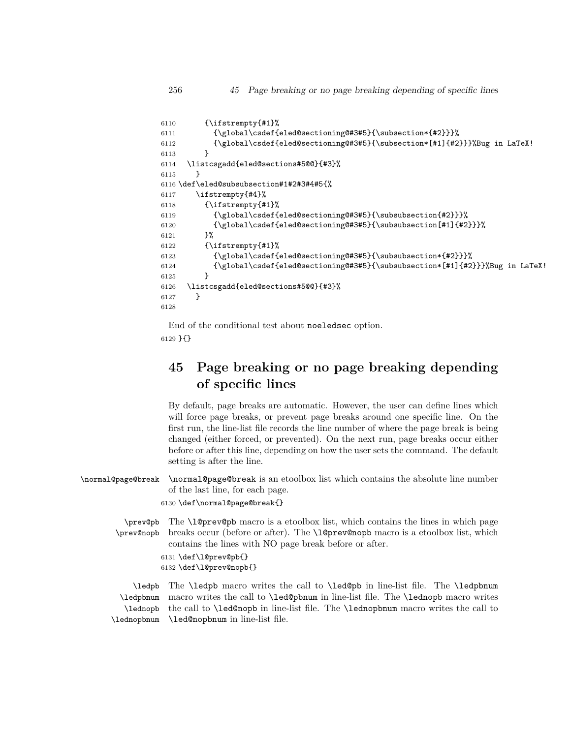256 *45 Page breaking or no page breaking depending of specific lines*

```
6110 {\ifstrempty{#1}%
6111 {\global\csdef{eled@sectioning@#3#5}{\subsection*{#2}}}%
6112 {\global\csdef{eled@sectioning@#3#5}{\subsection*[#1]{#2}}}%Bug in LaTeX!
6113 }
6114 \listcsgadd{eled@sections#5@@}{#3}%
6115 }
6116 \def\eled@subsubsection#1#2#3#4#5{%
6117 \ifstrempty{#4}%
6118 {\ifstrempty{#1}%
6119 {\global\csdef{eled@sectioning@#3#5}{\subsubsection{#2}}}%
6120 {\global\csdef{eled@sectioning@#3#5}{\subsubsection[#1]{#2}}}%
6121 }%
6122 {\ifstrempty{#1}%
6123 {\global\csdef{eled@sectioning@#3#5}{\subsubsection*{#2}}}%
6124 {\global\csdef{eled@sectioning@#3#5}{\subsubsection*[#1]{#2}}}%Bug in LaTeX!
6125 }
6126 \listcsgadd{eled@sections#5@@}{#3}%
6127 }
6128
```
End of the conditional test about noeledsec option. 6129 }{}

# **45 Page breaking or no page breaking depending of specific lines**

By default, page breaks are automatic. However, the user can define lines which will force page breaks, or prevent page breaks around one specific line. On the first run, the line-list file records the line number of where the page break is being changed (either forced, or prevented). On the next run, page breaks occur either before or after this line, depending on how the user sets the command. The default setting is after the line.

\normal@page@break \normal@page@break is an etoolbox list which contains the absolute line number of the last line, for each page.

6130 \def\normal@page@break{}

\prev@pb \prev@nopb The \l@prev@pb macro is a etoolbox list, which contains the lines in which page breaks occur (before or after). The \l@prev@nopb macro is a etoolbox list, which contains the lines with NO page break before or after.

```
6131 \def\l@prev@pb{}
6132 \def\l@prev@nopb{}
```
\ledpb \ledpbnum \lednopb \lednopbnum The \ledpb macro writes the call to \led@pb in line-list file. The \ledpbnum macro writes the call to \led@pbnum in line-list file. The \lednopb macro writes the call to \led@nopb in line-list file. The \lednopbnum macro writes the call to \led@nopbnum in line-list file.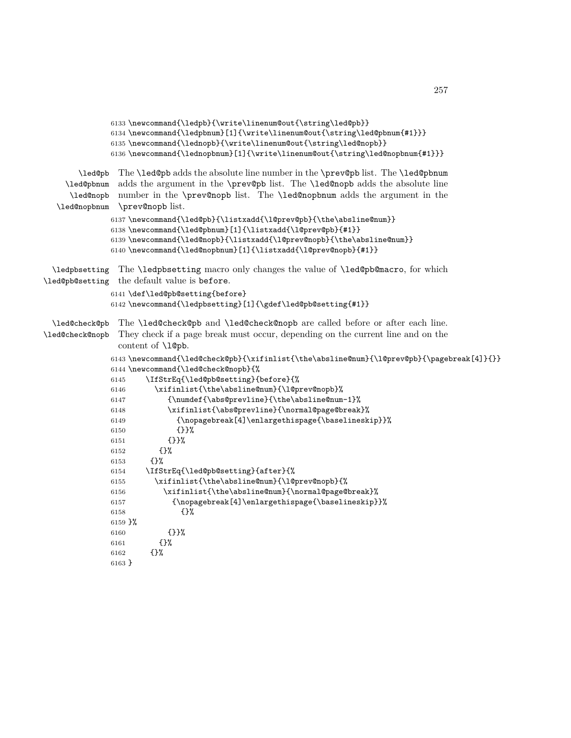```
6133 \newcommand{\ledpb}{\write\linenum@out{\string\led@pb}}
              6134 \newcommand{\ledpbnum}[1]{\write\linenum@out{\string\led@pbnum{#1}}}
              6135 \newcommand{\lednopb}{\write\linenum@out{\string\led@nopb}}
              6136 \newcommand{\lednopbnum}[1]{\write\linenum@out{\string\led@nopbnum{#1}}}
       \led@pb
The \led@pb adds the absolute line number in the \prev@pb list. The \led@pbnum
    \led@pbnum
     \led@nopb
  \led@nopbnum
               adds the argument in the \prev@pb list. The \led@nopb adds the absolute line
               number in the \prev@nopb list. The \led@nopbnum adds the argument in the
                \prev@nopb list.
              6137 \newcommand{\led@pb}{\listxadd{\l@prev@pb}{\the\absline@num}}
              6138 \newcommand{\led@pbnum}[1]{\listxadd{\l@prev@pb}{#1}}
              6139 \newcommand{\led@nopb}{\listxadd{\l@prev@nopb}{\the\absline@num}}
              6140 \newcommand{\led@nopbnum}[1]{\listxadd{\l@prev@nopb}{#1}}
  \ledpbsetting
The \ledpbsetting macro only changes the value of \led@pb@macro, for which
\led@pb@setting
the default value is before.
              6141 \def\led@pb@setting{before}
              6142 \newcommand{\ledpbsetting}[1]{\gdef\led@pb@setting{#1}}
  \led@check@pb
The \led@check@pb and \led@check@nopb are called before or after each line.
\led@check@nopb
               They check if a page break must occur, depending on the current line and on the
                content of \l@pb.
              6143 \newcommand{\led@check@pb}{\xifinlist{\the\absline@num}{\l@prev@pb}{\pagebreak[4]}{}}
              6144 \newcommand{\led@check@nopb}{%
              6145 \IfStrEq{\led@pb@setting}{before}{%
              6146 \xifinlist{\the\absline@num}{\l@prev@nopb}%
              6147 {\numdef{\abs@prevline}{\the\absline@num-1}%
              6148 \xifinlist{\abs@prevline}{\normal@page@break}%
              6149 {\nopagebreak[4]\enlargethispage{\baselineskip}}%
              6150 {}}%
              6151 {}}%
              6152 {}%
              6153 {}%
              6154 \IfStrEq{\led@pb@setting}{after}{%
              6155 \xifinlist{\the\absline@num}{\l@prev@nopb}{%
              6156 \xifinlist{\the\absline@num}{\normal@page@break}%
              6157 {\nopagebreak[4]\enlargethispage{\baselineskip}}%
              6158 {}%
              6159 }%
              6160 {}}%
              6161 {}%
              6162 {}%
              6163 }
```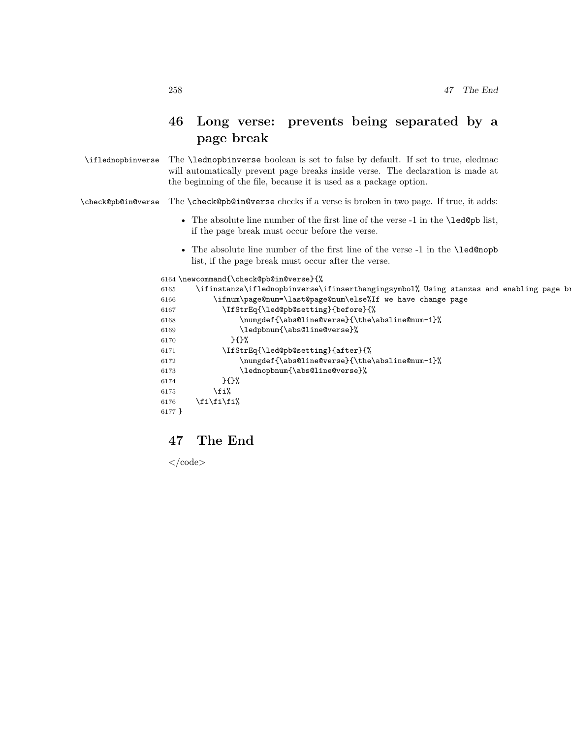# **46 Long verse: prevents being separated by a page break**

\iflednopbinverse The \lednopbinverse boolean is set to false by default. If set to true, eledmac will automatically prevent page breaks inside verse. The declaration is made at the beginning of the file, because it is used as a package option.

\check@pb@in@verse The \check@pb@in@verse checks if a verse is broken in two page. If true, it adds:

- The absolute line number of the first line of the verse -1 in the \led@pb list, if the page break must occur before the verse.
- The absolute line number of the first line of the verse -1 in the \led@nopb list, if the page break must occur after the verse.

```
6164 \newcommand{\check@pb@in@verse}{%
6165 \ifinstanza\iflednopbinverse\ifinserthangingsymbol% Using stanzas and enabling page b:
6166 \ifnum\page@num=\last@page@num\else%If we have change page
6167 \IfStrEq{\led@pb@setting}{before}{%
6168 \numgdef{\abs@line@verse}{\the\absline@num-1}%
6169 \ledpbnum{\abs@line@verse}%
6170 }{}%
6171 \IfStrEq{\led@pb@setting}{after}{%
6172 \numgdef{\abs@line@verse}{\the\absline@num-1}%
6173 \lednopbnum{\abs@line@verse}%
6174 }{}%
6175 \fi%
6176 \if{\tilde{i}\6177 }
```
# **47 The End**

 $\langle \text{code}\rangle$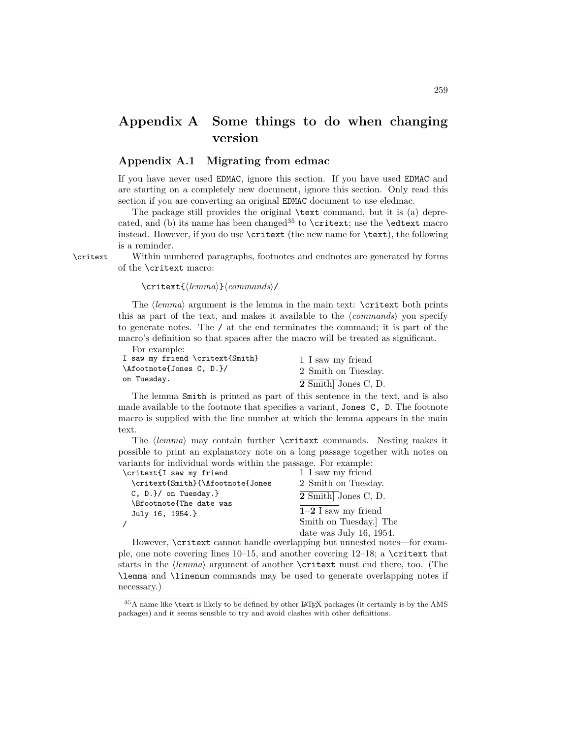# **Appendix A Some things to do when changing version**

## **Appendix A.1 Migrating from edmac**

If you have never used EDMAC, ignore this section. If you have used EDMAC and are starting on a completely new document, ignore this section. Only read this section if you are converting an original EDMAC document to use eledmac.

The package still provides the original \text command, but it is (a) deprecated, and (b) its name has been changed<sup>35</sup> to \critext; use the \edtext macro instead. However, if you do use \critext (the new name for \text), the following is a reminder.

\critext Within numbered paragraphs, footnotes and endnotes are generated by forms of the \critext macro:

#### \critext{*⟨lemma⟩*}*⟨commands⟩*/

The *⟨lemma⟩* argument is the lemma in the main text: \critext both prints this as part of the text, and makes it available to the *⟨commands⟩* you specify to generate notes. The / at the end terminates the command; it is part of the macro's definition so that spaces after the macro will be treated as significant.

For example:

| I saw my friend \critext{Smith} | 1 I saw my friend   |
|---------------------------------|---------------------|
| \Afootnote{Jones C, D.}/        | 2 Smith on Tuesday. |
| on Tuesday.                     | 2 Smith Jones C, D. |

The lemma Smith is printed as part of this sentence in the text, and is also made available to the footnote that specifies a variant, Jones C, D. The footnote macro is supplied with the line number at which the lemma appears in the main text.

The *⟨lemma⟩* may contain further \critext commands. Nesting makes it possible to print an explanatory note on a long passage together with notes on variants for individual words within the passage. For example:

| \critext{I saw my friend                   | 1 I saw my friend          |
|--------------------------------------------|----------------------------|
| \critext{Smith}{\Afootnote{Jones           | 2 Smith on Tuesday.        |
| $C, D.$ on Tuesday. $}$                    | 2 Smith Jones C, D.        |
| \Bfootnote{The date was<br>July 16, 1954.} | $1-2$ I saw my friend      |
|                                            | Smith on Tuesday. The      |
|                                            | date was July 16, $1954$ . |

However, \critext cannot handle overlapping but unnested notes—for example, one note covering lines  $10-15$ , and another covering  $12-18$ ; a \critext that starts in the *⟨lemma⟩* argument of another \critext must end there, too. (The \lemma and \linenum commands may be used to generate overlapping notes if necessary.)

<sup>&</sup>lt;sup>35</sup>A name like **\text** is likely to be defined by other LAT<sub>E</sub>X packages (it certainly is by the AMS packages) and it seems sensible to try and avoid clashes with other definitions.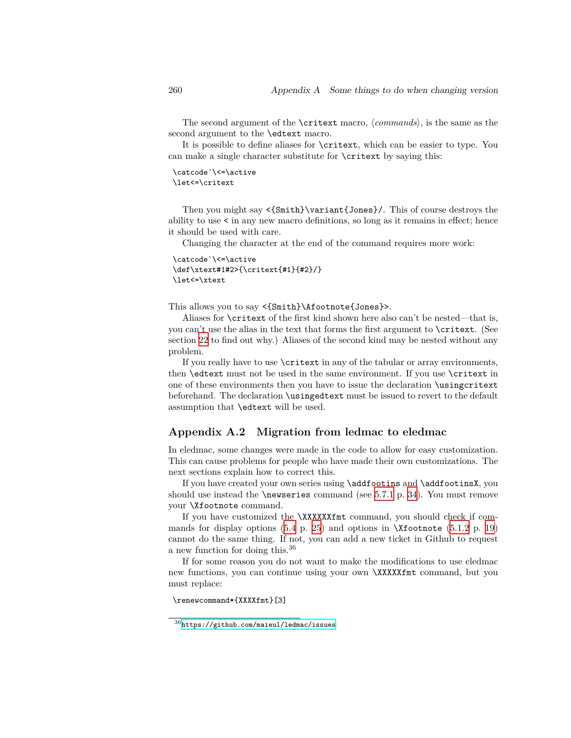The second argument of the \critext macro, *⟨commands⟩*, is the same as the second argument to the \edtext macro.

It is possible to define aliases for \critext, which can be easier to type. You can make a single character substitute for \critext by saying this:

\catcode`\<=\active \let<=\critext

Then you might say <{Smith}\variant{Jones}/. This of course destroys the ability to use < in any new macro definitions, so long as it remains in effect; hence it should be used with care.

Changing the character at the end of the command requires more work:

```
\catcode`\<=\active
\def\xtext#1#2>{\critext{#1}{#2}/}
\let<=\xtext
```
This allows you to say <{Smith}\Afootnote{Jones}>.

Aliases for \critext of the first kind shown here also can't be nested—that is, you can't use the alias in the text that forms the first argument to \critext. (See section [22](#page-90-0) to find out why.) Aliases of the second kind may be nested without any problem.

If you really have to use \critext in any of the tabular or array environments, then **\edtext** must not be used in the same environment. If you use **\critext** in one of these environments then you have to issue the declaration \usingcritext beforehand. The declaration \usingedtext must be issued to revert to the default assumption that \edtext will be used.

## **Appendix A.2 Migration from ledmac to eledmac**

In eledmac, some changes were made in the code to allow for easy customization. This can cause problems for people who have made their own customizations. The next sections explain how to correct this.

If you have created your own series using \addfootins and \addfootinsX, you should use instead the **\newseries** command (see [5.7.1](#page-33-0) p. [34](#page-33-0)). You must remove your \Xfootnote command.

If you have customized the **\XXXXXXfmt** command, you should check if commands for display options  $(5.4 \text{ p. } 25)$  $(5.4 \text{ p. } 25)$  $(5.4 \text{ p. } 25)$  $(5.4 \text{ p. } 25)$  $(5.4 \text{ p. } 25)$  and options in  $\X$ footnote  $(5.1.2 \text{ p. } 19)$  $(5.1.2 \text{ p. } 19)$  $(5.1.2 \text{ p. } 19)$  $(5.1.2 \text{ p. } 19)$  $(5.1.2 \text{ p. } 19)$ cannot do the same thing. If not, you can add a new ticket in Github to request a new function for doing this.<sup>36</sup>

If for some reason you do not want to make the modifications to use eledmac new functions, you can continue using your own \XXXXXfmt command, but you must replace:

\renewcommand\*{XXXXfmt}[3]

 $^{36}\mathrm{https://github.com/maieul/ledmac/issues}$  $^{36}\mathrm{https://github.com/maieul/ledmac/issues}$  $^{36}\mathrm{https://github.com/maieul/ledmac/issues}$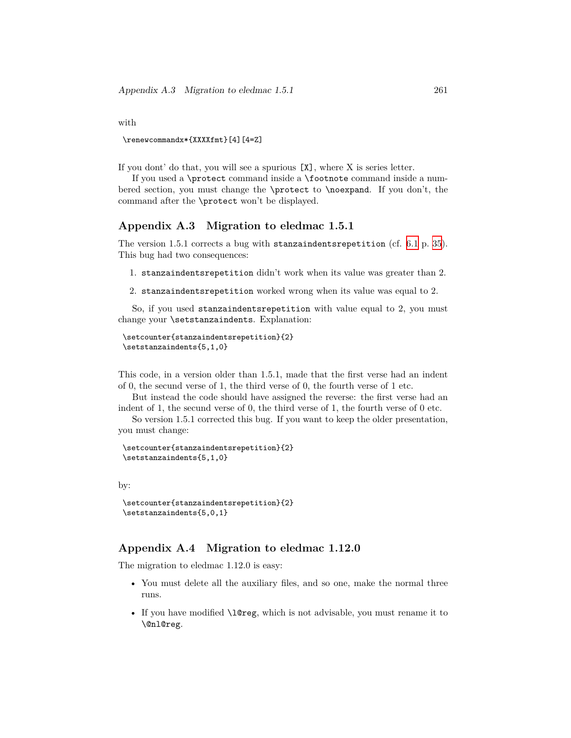with

\renewcommandx\*{XXXXfmt}[4][4=Z]

If you dont' do that, you will see a spurious [X], where X is series letter.

If you used a \protect command inside a \footnote command inside a numbered section, you must change the \protect to \noexpand. If you don't, the command after the \protect won't be displayed.

## **Appendix A.3 Migration to eledmac 1.5.1**

The version 1.5.1 corrects a bug with stanzaindentsrepetition (cf. [6.1](#page-34-0) p. [35\)](#page-34-0). This bug had two consequences:

1. stanzaindentsrepetition didn't work when its value was greater than 2.

2. stanzaindentsrepetition worked wrong when its value was equal to 2.

So, if you used stanzaindentsrepetition with value equal to 2, you must change your \setstanzaindents. Explanation:

```
\setcounter{stanzaindentsrepetition}{2}
\setstanzaindents{5,1,0}
```
This code, in a version older than 1.5.1, made that the first verse had an indent of 0, the secund verse of 1, the third verse of 0, the fourth verse of 1 etc.

But instead the code should have assigned the reverse: the first verse had an indent of 1, the secund verse of 0, the third verse of 1, the fourth verse of 0 etc.

So version 1.5.1 corrected this bug. If you want to keep the older presentation, you must change:

```
\setcounter{stanzaindentsrepetition}{2}
\setstanzaindents{5,1,0}
```
by:

```
\setcounter{stanzaindentsrepetition}{2}
\setstanzaindents{5,0,1}
```
## **Appendix A.4 Migration to eledmac 1.12.0**

The migration to eledmac 1.12.0 is easy:

- You must delete all the auxiliary files, and so one, make the normal three runs.
- If you have modified **\l@reg**, which is not advisable, you must rename it to \@nl@reg.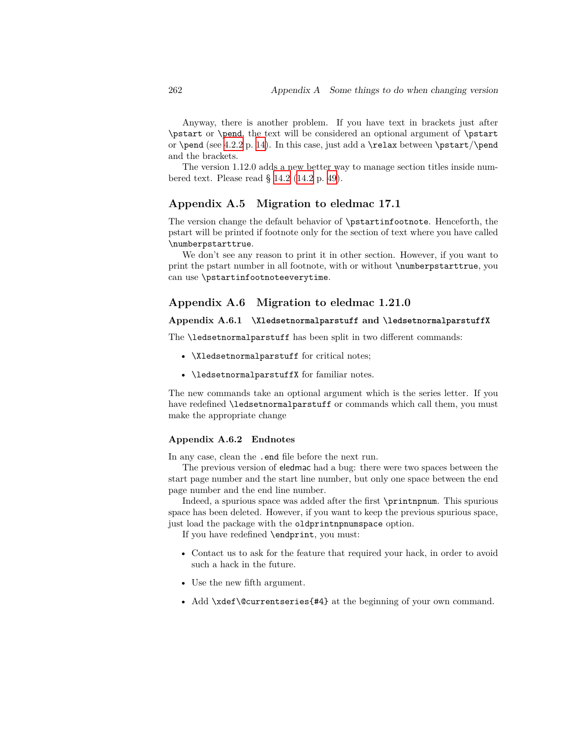Anyway, there is another problem. If you have text in brackets just after \pstart or \pend, the text will be considered an optional argument of \pstart or  $\pend$  (see [4.2.2](#page-13-0) p. [14](#page-13-0)). In this case, just add a  $\relax$  between  $\pstart/\pend$ and the brackets.

The version 1.12.0 adds a new better way to manage section titles inside numbered text. Please read § [14.2](#page-48-0) [\(14.2](#page-48-0) p. [49](#page-48-0)).

## **Appendix A.5 Migration to eledmac 17.1**

The version change the default behavior of \pstartinfootnote. Henceforth, the pstart will be printed if footnote only for the section of text where you have called \numberpstarttrue.

We don't see any reason to print it in other section. However, if you want to print the pstart number in all footnote, with or without \numberpstarttrue, you can use \pstartinfootnoteeverytime.

## **Appendix A.6 Migration to eledmac 1.21.0**

### **Appendix A.6.1 \Xledsetnormalparstuff and \ledsetnormalparstuffX**

The \ledsetnormalparstuff has been split in two different commands:

- **\Xledsetnormalparstuff** for critical notes;
- \ledsetnormalparstuffX for familiar notes.

The new commands take an optional argument which is the series letter. If you have redefined \ledsetnormalparstuff or commands which call them, you must make the appropriate change

### **Appendix A.6.2 Endnotes**

In any case, clean the .end file before the next run.

The previous version of eledmac had a bug: there were two spaces between the start page number and the start line number, but only one space between the end page number and the end line number.

Indeed, a spurious space was added after the first \printnpnum. This spurious space has been deleted. However, if you want to keep the previous spurious space, just load the package with the oldprintnpnumspace option.

If you have redefined \endprint, you must:

- Contact us to ask for the feature that required your hack, in order to avoid such a hack in the future.
- Use the new fifth argument.
- Add \xdef\@currentseries{#4} at the beginning of your own command.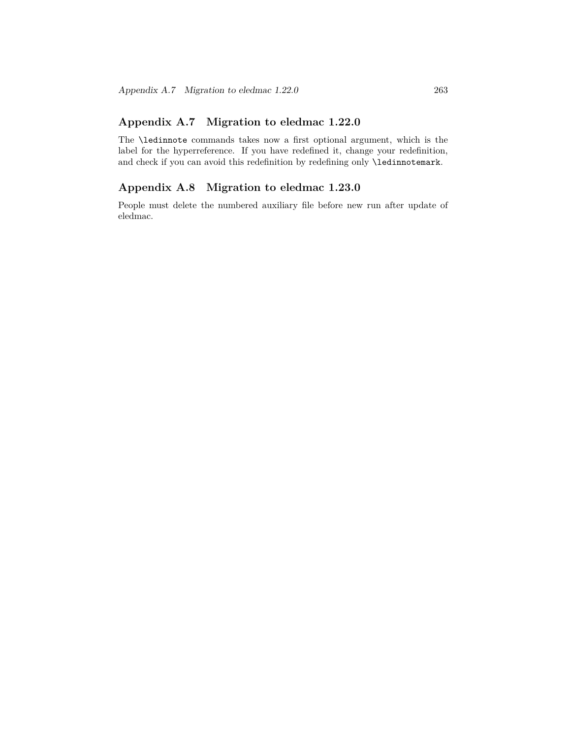# **Appendix A.7 Migration to eledmac 1.22.0**

The \ledinnote commands takes now a first optional argument, which is the label for the hyperreference. If you have redefined it, change your redefinition, and check if you can avoid this redefinition by redefining only **\ledinnotemark**.

# **Appendix A.8 Migration to eledmac 1.23.0**

People must delete the numbered auxiliary file before new run after update of eledmac.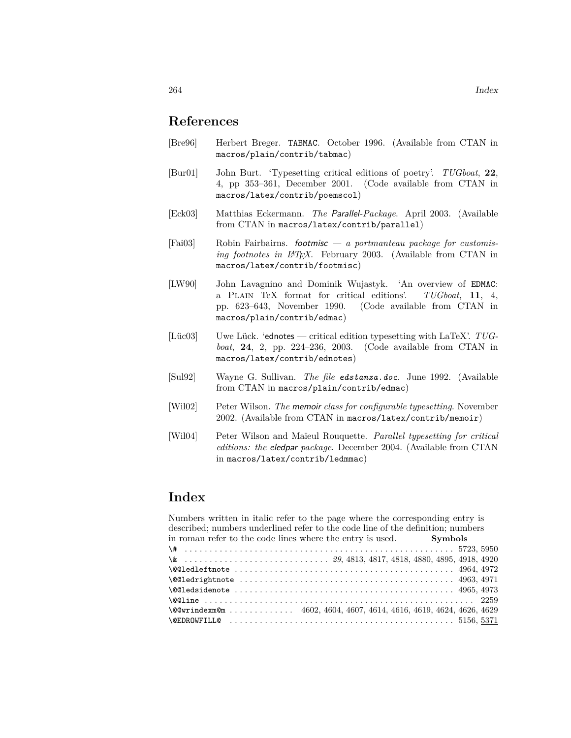# **References**

- [Bre96] Herbert Breger. TABMAC. October 1996. (Available from CTAN in macros/plain/contrib/tabmac)
- [Bur01] John Burt. 'Typesetting critical editions of poetry'. *TUGboat*, **22**, 4, pp 353–361, December 2001. (Code available from CTAN in macros/latex/contrib/poemscol)
- [Eck03] Matthias Eckermann. *The Parallel-Package*. April 2003. (Available from CTAN in macros/latex/contrib/parallel)
- [Fai03] Robin Fairbairns. *footmisc a portmanteau package for customising footnotes in LATEX*. February 2003. (Available from CTAN in macros/latex/contrib/footmisc)
- [LW90] John Lavagnino and Dominik Wujastyk. 'An overview of EDMAC: a Plain TeX format for critical editions'. *TUGboat*, **11**, 4, pp. 623–643, November 1990. (Code available from CTAN in macros/plain/contrib/edmac)
- [Lüc03] Uwe Lück. 'ednotes critical edition typesetting with LaTeX'. *TUGboat*, **24**, 2, pp. 224–236, 2003. (Code available from CTAN in macros/latex/contrib/ednotes)
- [Sul92] Wayne G. Sullivan. *The file edstanza.doc*. June 1992. (Available from CTAN in macros/plain/contrib/edmac)
- [Wil02] Peter Wilson. *The memoir class for configurable typesetting*. November 2002. (Available from CTAN in macros/latex/contrib/memoir)
- [Wil04] Peter Wilson and Maïeul Rouquette. *Parallel typesetting for critical editions: the eledpar package*. December 2004. (Available from CTAN in macros/latex/contrib/ledmmac)

| Numbers written in italic refer to the page where the corresponding entry is                                                                  |  |
|-----------------------------------------------------------------------------------------------------------------------------------------------|--|
| described; numbers underlined refer to the code line of the definition; numbers                                                               |  |
| in roman refer to the code lines where the entry is used. Symbols                                                                             |  |
|                                                                                                                                               |  |
|                                                                                                                                               |  |
| $\texttt{\textbackslash}\texttt{\textbackslash}\texttt{QQ1ed}$                                                                                |  |
| $\text{Q@ledright}$ $t$ and $t$ . $\ldots$ . $\ldots$ . $\ldots$ . $\ldots$ . $\ldots$ . $\ldots$ . $\ldots$ . $\ldots$ . $\ldots$ 4963, 4971 |  |
|                                                                                                                                               |  |
|                                                                                                                                               |  |
| $\text{QQwrindexm@m} \dots \dots \dots \dots \ 4602, 4604, 4607, 4614, 4616, 4619, 4624, 4626, 4629$                                          |  |
|                                                                                                                                               |  |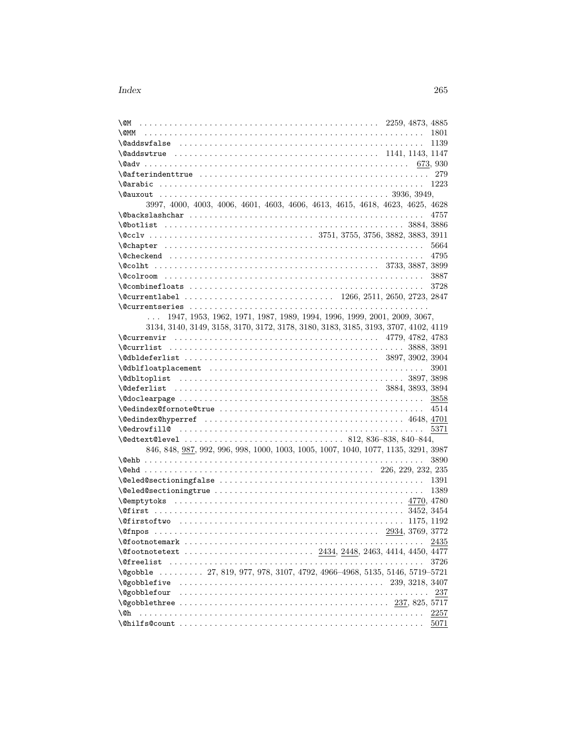| \@M                                                                                 |              |
|-------------------------------------------------------------------------------------|--------------|
| \@MM                                                                                | 1801         |
|                                                                                     | 1139         |
|                                                                                     |              |
|                                                                                     | 673, 930     |
|                                                                                     | 279          |
|                                                                                     | 1223         |
|                                                                                     |              |
| 3997, 4000, 4003, 4006, 4601, 4603, 4606, 4613, 4615, 4618, 4623, 4625, 4628        |              |
|                                                                                     | 4757         |
|                                                                                     |              |
|                                                                                     |              |
|                                                                                     | 5664         |
|                                                                                     | 4795         |
| $\sqrt{3733, 3887, 3899}$                                                           |              |
|                                                                                     | 3887         |
|                                                                                     | 3728         |
|                                                                                     |              |
|                                                                                     |              |
| 1947, 1953, 1962, 1971, 1987, 1989, 1994, 1996, 1999, 2001, 2009, 3067,<br>$\cdots$ |              |
| 3134, 3140, 3149, 3158, 3170, 3172, 3178, 3180, 3183, 3185, 3193, 3707, 4102, 4119  |              |
|                                                                                     |              |
|                                                                                     |              |
|                                                                                     |              |
|                                                                                     | 3901         |
|                                                                                     |              |
|                                                                                     |              |
|                                                                                     | 3858         |
|                                                                                     | 4514         |
|                                                                                     |              |
|                                                                                     | 5371         |
|                                                                                     |              |
| 846, 848, 987, 992, 996, 998, 1000, 1003, 1005, 1007, 1040, 1077, 1135, 3291, 3987  |              |
|                                                                                     | 3890         |
|                                                                                     |              |
|                                                                                     |              |
|                                                                                     | 1391<br>1389 |
|                                                                                     |              |
|                                                                                     |              |
|                                                                                     |              |
| 1175, 1192                                                                          |              |
| 2934, 3769, 3772                                                                    |              |
|                                                                                     | 2435         |
|                                                                                     |              |
| <b>\@freelist</b>                                                                   | 3726         |
| \@gobble  27, 819, 977, 978, 3107, 4792, 4966-4968, 5135, 5146, 5719-5721           |              |
|                                                                                     |              |
|                                                                                     | 237          |
|                                                                                     |              |
| \@h                                                                                 | 2257         |
|                                                                                     | 5071         |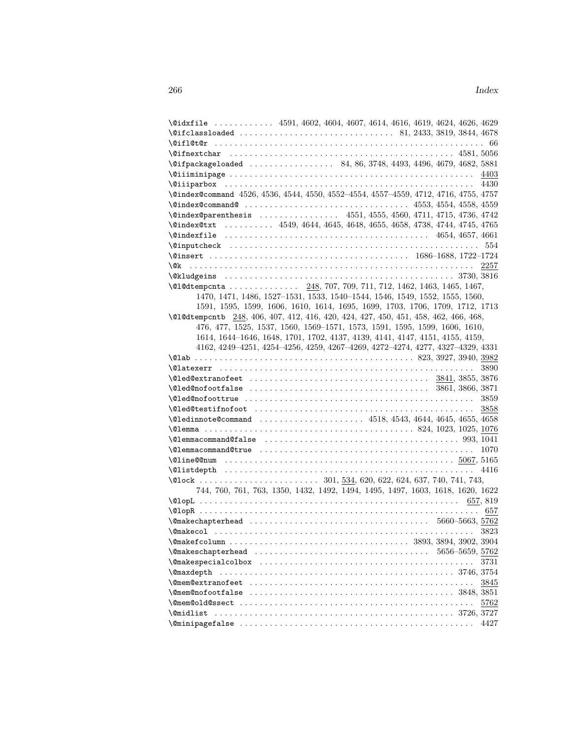|                   | \@idxfile  4591, 4602, 4604, 4607, 4614, 4616, 4619, 4624, 4626, 4629                |      |
|-------------------|--------------------------------------------------------------------------------------|------|
|                   |                                                                                      |      |
|                   |                                                                                      |      |
|                   |                                                                                      |      |
|                   | \@ifpackageloaded  84, 86, 3748, 4493, 4496, 4679, 4682, 5881                        |      |
|                   | $\text{1403}$                                                                        |      |
|                   |                                                                                      |      |
|                   | \@index@command 4526, 4536, 4544, 4550, 4552-4554, 4557-4559, 4712, 4716, 4755, 4757 |      |
|                   |                                                                                      |      |
|                   | \@index@parenthesis  4551, 4555, 4560, 4711, 4715, 4736, 4742                        |      |
|                   | \@index@txt  4549, 4644, 4645, 4648, 4655, 4658, 4738, 4744, 4745, 4765              |      |
|                   |                                                                                      |      |
|                   |                                                                                      |      |
|                   |                                                                                      |      |
|                   |                                                                                      |      |
|                   |                                                                                      |      |
|                   | \@l@dtempcnta  248, 707, 709, 711, 712, 1462, 1463, 1465, 1467,                      |      |
|                   | 1470, 1471, 1486, 1527-1531, 1533, 1540-1544, 1546, 1549, 1552, 1555, 1560,          |      |
|                   | 1591, 1595, 1599, 1606, 1610, 1614, 1695, 1699, 1703, 1706, 1709, 1712, 1713         |      |
|                   | \@1@dtempcntb 248, 406, 407, 412, 416, 420, 424, 427, 450, 451, 458, 462, 466, 468,  |      |
|                   | 476, 477, 1525, 1537, 1560, 1569-1571, 1573, 1591, 1595, 1599, 1606, 1610,           |      |
|                   | 1614, 1644-1646, 1648, 1701, 1702, 4137, 4139, 4141, 4147, 4151, 4155, 4159,         |      |
|                   | 4162, 4249-4251, 4254-4256, 4259, 4267-4269, 4272-4274, 4277, 4327-4329, 4331        |      |
|                   |                                                                                      |      |
|                   |                                                                                      | 3890 |
|                   |                                                                                      |      |
|                   |                                                                                      |      |
|                   |                                                                                      |      |
|                   |                                                                                      |      |
|                   |                                                                                      | 3858 |
|                   | \@ledinnote@command  4518, 4543, 4644, 4645, 4655, 4658                              |      |
|                   |                                                                                      |      |
|                   |                                                                                      |      |
|                   |                                                                                      | 1070 |
|                   |                                                                                      |      |
|                   |                                                                                      |      |
|                   |                                                                                      |      |
|                   | 744, 760, 761, 763, 1350, 1432, 1492, 1494, 1495, 1497, 1603, 1618, 1620, 1622       |      |
|                   |                                                                                      |      |
|                   |                                                                                      | 657  |
|                   |                                                                                      |      |
|                   |                                                                                      |      |
|                   |                                                                                      |      |
|                   | 5656-5659, 5762                                                                      |      |
|                   |                                                                                      | 3731 |
| <b>\@maxdepth</b> |                                                                                      |      |
|                   |                                                                                      | 3845 |
|                   |                                                                                      |      |
|                   |                                                                                      | 5762 |
| <b>\@midlist</b>  |                                                                                      |      |
|                   |                                                                                      |      |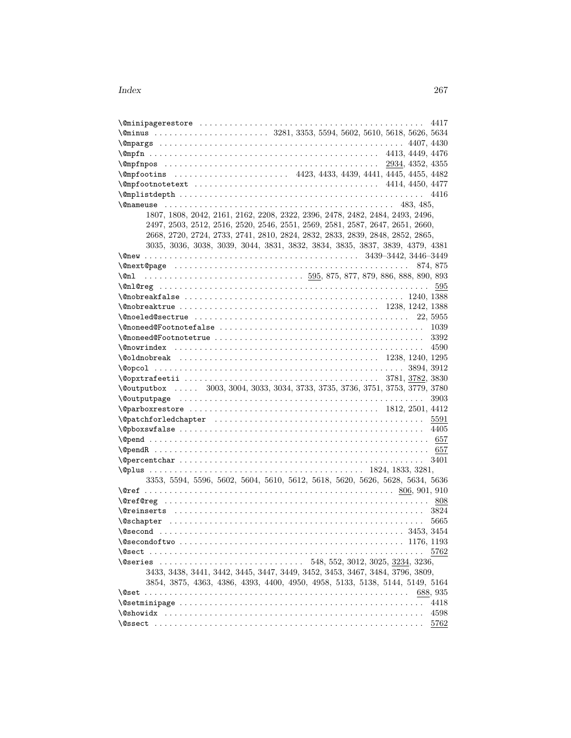| 4417                                                                                                                                     |
|------------------------------------------------------------------------------------------------------------------------------------------|
|                                                                                                                                          |
|                                                                                                                                          |
|                                                                                                                                          |
|                                                                                                                                          |
|                                                                                                                                          |
|                                                                                                                                          |
|                                                                                                                                          |
| $\texttt{\textcircled{an}+133, 485}$                                                                                                     |
| 1807, 1808, 2042, 2161, 2162, 2208, 2322, 2396, 2478, 2482, 2484, 2493, 2496,                                                            |
| 2497, 2503, 2512, 2516, 2520, 2546, 2551, 2569, 2581, 2587, 2647, 2651, 2660,                                                            |
| 2668, 2720, 2724, 2733, 2741, 2810, 2824, 2832, 2833, 2839, 2848, 2852, 2865,                                                            |
| 3035, 3036, 3038, 3039, 3044, 3831, 3832, 3834, 3835, 3837, 3839, 4379, 4381                                                             |
|                                                                                                                                          |
| 874, 875                                                                                                                                 |
|                                                                                                                                          |
|                                                                                                                                          |
|                                                                                                                                          |
|                                                                                                                                          |
|                                                                                                                                          |
|                                                                                                                                          |
|                                                                                                                                          |
|                                                                                                                                          |
|                                                                                                                                          |
| $\qquad \qquad \text{Qopcol} \ldots \ldots \ldots \ldots \ldots \ldots \ldots \ldots \ldots \ldots \qquad \qquad \text{3894, 3912}$      |
|                                                                                                                                          |
|                                                                                                                                          |
| \@outputbox  3003, 3004, 3033, 3034, 3733, 3735, 3736, 3751, 3753, 3779, 3780                                                            |
| 3903                                                                                                                                     |
|                                                                                                                                          |
|                                                                                                                                          |
| $\qquad$                                                                                                                                 |
|                                                                                                                                          |
|                                                                                                                                          |
| $\verb \@percentchar \dots .\dots .\dots .\dots .\dots .\dots .\dots .\dots .\dots .\dots .\dots .$<br>3401                              |
| $\qquad \qquad \text{Qplus} \quad \ldots \ldots \ldots \ldots \ldots \ldots \ldots \ldots \ldots \ldots \qquad \qquad 1824, 1833, 3281,$ |
| 3353, 5594, 5596, 5602, 5604, 5610, 5612, 5618, 5620, 5626, 5628, 5634, 5636                                                             |
|                                                                                                                                          |
|                                                                                                                                          |
|                                                                                                                                          |
| 5665                                                                                                                                     |
|                                                                                                                                          |
|                                                                                                                                          |
| 5762                                                                                                                                     |
| \@series<br>548, 552, 3012, 3025, 3234, 3236,                                                                                            |
| 3433, 3438, 3441, 3442, 3445, 3447, 3449, 3452, 3453, 3467, 3484, 3796, 3809,                                                            |
| 3854, 3875, 4363, 4386, 4393, 4400, 4950, 4958, 5133, 5138, 5144, 5149, 5164                                                             |
| 688, 935                                                                                                                                 |
| 4418                                                                                                                                     |
| 4598                                                                                                                                     |
| 5762                                                                                                                                     |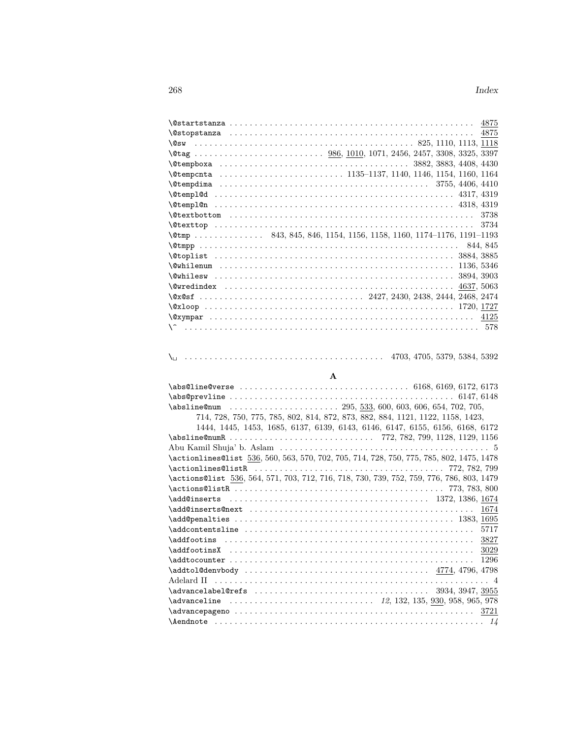| $\text{\&temp}.$ 843, 845, 846, 1154, 1156, 1158, 1160, 1174-1176, 1191-1193 |  |
|------------------------------------------------------------------------------|--|
|                                                                              |  |
|                                                                              |  |
|                                                                              |  |
|                                                                              |  |
|                                                                              |  |
|                                                                              |  |
|                                                                              |  |
|                                                                              |  |
|                                                                              |  |
|                                                                              |  |

# \␣ . . . . . . . . . . . . . . . . . . . . . . . . . . . . . . . . . . . . . . . . 4703, 4705, 5379, 5384, 5392

## **A**

|                                                                                          | 714, 728, 750, 775, 785, 802, 814, 872, 873, 882, 884, 1121, 1122, 1158, 1423, |
|------------------------------------------------------------------------------------------|--------------------------------------------------------------------------------|
|                                                                                          | 1444, 1445, 1453, 1685, 6137, 6139, 6143, 6146, 6147, 6155, 6156, 6168, 6172   |
|                                                                                          |                                                                                |
|                                                                                          |                                                                                |
| \actionlines@list 536, 560, 563, 570, 702, 705, 714, 728, 750, 775, 785, 802, 1475, 1478 |                                                                                |
|                                                                                          |                                                                                |
| \actions@list 536, 564, 571, 703, 712, 716, 718, 730, 739, 752, 759, 776, 786, 803, 1479 |                                                                                |
|                                                                                          |                                                                                |
|                                                                                          |                                                                                |
|                                                                                          | 1674                                                                           |
|                                                                                          |                                                                                |
| $\addcontentsline \ldots \ldots \ldots \ldots \ldots \ldots$                             | 5717                                                                           |
|                                                                                          | 3827                                                                           |
|                                                                                          |                                                                                |
|                                                                                          | 1296                                                                           |
|                                                                                          |                                                                                |
|                                                                                          |                                                                                |
|                                                                                          |                                                                                |
|                                                                                          |                                                                                |
|                                                                                          |                                                                                |
|                                                                                          |                                                                                |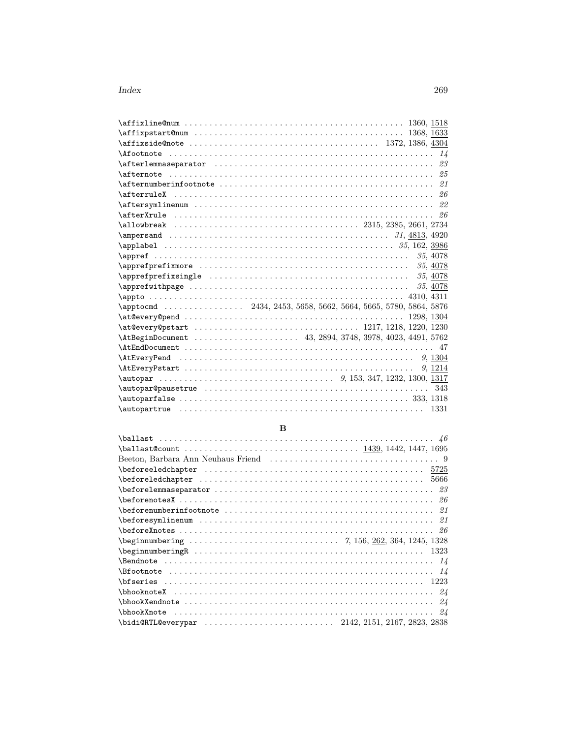| \afterlemmaseparator $\dots\dots\dots\dots\dots\dots\dots\dots\dots\dots\dots$                                                         |  |  |  |            |          |
|----------------------------------------------------------------------------------------------------------------------------------------|--|--|--|------------|----------|
|                                                                                                                                        |  |  |  |            |          |
|                                                                                                                                        |  |  |  |            |          |
|                                                                                                                                        |  |  |  |            |          |
| $\texttt{Aftersymlinenum} \dots \dots \dots \dots \dots \dots \dots \dots \dots \dots \dots \dots \dots \dots \dots \dots \dots \dots$ |  |  |  |            |          |
| \afterXrule $\dots\dots\dots\dots\dots\dots\dots\dots\dots\dots$                                                                       |  |  |  |            |          |
|                                                                                                                                        |  |  |  |            |          |
|                                                                                                                                        |  |  |  |            |          |
|                                                                                                                                        |  |  |  |            |          |
|                                                                                                                                        |  |  |  |            | 35, 4078 |
|                                                                                                                                        |  |  |  |            | 35, 4078 |
|                                                                                                                                        |  |  |  |            | 35, 4078 |
|                                                                                                                                        |  |  |  |            | 35, 4078 |
|                                                                                                                                        |  |  |  |            |          |
| \apptocmd  2434, 2453, 5658, 5662, 5664, 5665, 5780, 5864, 5876                                                                        |  |  |  |            |          |
|                                                                                                                                        |  |  |  | 1298, 1304 |          |
|                                                                                                                                        |  |  |  |            |          |
| \AtBeginDocument  43, 2894, 3748, 3978, 4023, 4491, 5762                                                                               |  |  |  |            |          |
|                                                                                                                                        |  |  |  |            |          |
|                                                                                                                                        |  |  |  |            | 9, 1304  |
|                                                                                                                                        |  |  |  |            | 9, 1214  |
|                                                                                                                                        |  |  |  |            |          |
|                                                                                                                                        |  |  |  |            | 343      |
|                                                                                                                                        |  |  |  |            |          |
|                                                                                                                                        |  |  |  |            | 1331     |
|                                                                                                                                        |  |  |  |            |          |

## $\, {\bf B}$

| $\bf \beta$ of oreled chapter $\cdots \cdots \cdots \cdots \cdots \cdots \cdots$                                                                                                                                                                                                                                                                                                                                                                                |
|-----------------------------------------------------------------------------------------------------------------------------------------------------------------------------------------------------------------------------------------------------------------------------------------------------------------------------------------------------------------------------------------------------------------------------------------------------------------|
|                                                                                                                                                                                                                                                                                                                                                                                                                                                                 |
| $\texttt{\texttt{before} \texttt{of} \texttt{of} \texttt{of} \texttt{of} \texttt{of} \texttt{of} \texttt{of} \texttt{of} \texttt{of} \texttt{of} \texttt{of} \texttt{of} \texttt{of} \texttt{of} \texttt{of} \texttt{of} \texttt{of} \texttt{of} \texttt{of} \texttt{of} \texttt{of} \texttt{of} \texttt{of} \texttt{of} \texttt{of} \texttt{of} \texttt{of} \texttt{of} \texttt{of} \texttt{of} \texttt{of} \texttt{of} \texttt{of} \texttt{of} \texttt{of} \$ |
|                                                                                                                                                                                                                                                                                                                                                                                                                                                                 |
|                                                                                                                                                                                                                                                                                                                                                                                                                                                                 |
|                                                                                                                                                                                                                                                                                                                                                                                                                                                                 |
|                                                                                                                                                                                                                                                                                                                                                                                                                                                                 |
| $\begin{array}{ccc} \texttt{\textbackslash} \texttt{begin} \texttt{num} \texttt{begin} \ldots \ldots \ldots \ldots \ldots \ldots \ldots \ldots \end{array} \end{array}$                                                                                                                                                                                                                                                                                         |
|                                                                                                                                                                                                                                                                                                                                                                                                                                                                 |
|                                                                                                                                                                                                                                                                                                                                                                                                                                                                 |
|                                                                                                                                                                                                                                                                                                                                                                                                                                                                 |
|                                                                                                                                                                                                                                                                                                                                                                                                                                                                 |
|                                                                                                                                                                                                                                                                                                                                                                                                                                                                 |
|                                                                                                                                                                                                                                                                                                                                                                                                                                                                 |
| \bidi@RTL@everypar  2142, 2151, 2167, 2823, 2838                                                                                                                                                                                                                                                                                                                                                                                                                |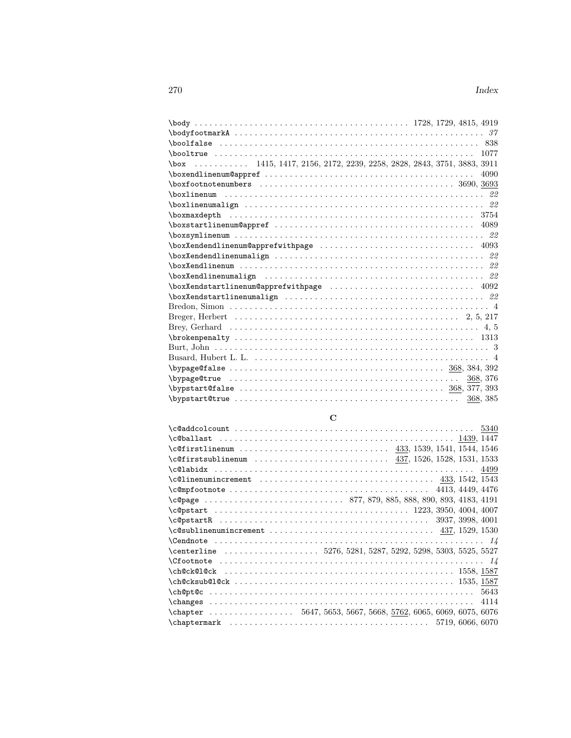| \box  1415, 1417, 2156, 2172, 2239, 2258, 2828, 2843, 3751, 3883, 3911                                                                                                                                                                                                                                                                                                                                                        |
|-------------------------------------------------------------------------------------------------------------------------------------------------------------------------------------------------------------------------------------------------------------------------------------------------------------------------------------------------------------------------------------------------------------------------------|
| 4090                                                                                                                                                                                                                                                                                                                                                                                                                          |
|                                                                                                                                                                                                                                                                                                                                                                                                                               |
|                                                                                                                                                                                                                                                                                                                                                                                                                               |
|                                                                                                                                                                                                                                                                                                                                                                                                                               |
|                                                                                                                                                                                                                                                                                                                                                                                                                               |
|                                                                                                                                                                                                                                                                                                                                                                                                                               |
|                                                                                                                                                                                                                                                                                                                                                                                                                               |
|                                                                                                                                                                                                                                                                                                                                                                                                                               |
|                                                                                                                                                                                                                                                                                                                                                                                                                               |
|                                                                                                                                                                                                                                                                                                                                                                                                                               |
| \boxXendlinenumalign $\ldots \ldots \ldots \ldots \ldots \ldots \ldots \ldots \ldots$                                                                                                                                                                                                                                                                                                                                         |
| $\{boxXendstartlinenum@apprefixithpage \dots \dots \dots \dots \dots \dots \dots$                                                                                                                                                                                                                                                                                                                                             |
|                                                                                                                                                                                                                                                                                                                                                                                                                               |
|                                                                                                                                                                                                                                                                                                                                                                                                                               |
|                                                                                                                                                                                                                                                                                                                                                                                                                               |
|                                                                                                                                                                                                                                                                                                                                                                                                                               |
|                                                                                                                                                                                                                                                                                                                                                                                                                               |
|                                                                                                                                                                                                                                                                                                                                                                                                                               |
|                                                                                                                                                                                                                                                                                                                                                                                                                               |
| $\b{bypage}$ of also $\dots \dots \dots \dots \dots \dots \dots \dots$                                                                                                                                                                                                                                                                                                                                                        |
| 368, 376                                                                                                                                                                                                                                                                                                                                                                                                                      |
| $\begin{array}{ccc} \textbf{b} \textbf{y} \textbf{p} \textbf{z} \textbf{z} \textbf{z} \textbf{z} \textbf{z} \textbf{z} \textbf{z} \textbf{z} \textbf{z} \textbf{z} \textbf{z} \textbf{z} \textbf{z} \textbf{z} \textbf{z} \textbf{z} \textbf{z} \textbf{z} \textbf{z} \textbf{z} \textbf{z} \textbf{z} \textbf{z} \textbf{z} \textbf{z} \textbf{z} \textbf{z} \textbf{z} \textbf{z} \textbf{z} \textbf{z} \textbf{z} \textbf$ |
| $\b{bypstart@true$<br>368, 385                                                                                                                                                                                                                                                                                                                                                                                                |

# **C**

| $\cosh 1$ as the set of the set of the set of the set of the set of the set of the set of the set of the set of the set of the set of the set of the set of the set of the set of the set of the set of the set of the set of t          |      |
|------------------------------------------------------------------------------------------------------------------------------------------------------------------------------------------------------------------------------------------|------|
|                                                                                                                                                                                                                                          |      |
| $\texttt{\textcirc}$ 437, 1526, 1528, 1531, 1533, 1533, 1531, 1533, 1586, 1598, 1598, 1598, 1598, 1598, 1598, 1598, 1598, 1598, 1598, 1598, 1598, 1598, 1598, 1598, 1598, 1598, 1598, 1598, 1599, 1599, 1599, 169, 169, 169, 169, 169, 1 |      |
|                                                                                                                                                                                                                                          |      |
|                                                                                                                                                                                                                                          |      |
| $\texttt{\textbackslashc@mpfootnote\; } \dots\dots\dots\dots\dots\dots\dots\dots\dots\dots \ 4413,\ 4449,\ 4476$                                                                                                                         |      |
| \c@page  877, 879, 885, 888, 890, 893, 4183, 4191                                                                                                                                                                                        |      |
|                                                                                                                                                                                                                                          |      |
|                                                                                                                                                                                                                                          |      |
|                                                                                                                                                                                                                                          |      |
|                                                                                                                                                                                                                                          |      |
| \centerline 5276, 5281, 5287, 5292, 5298, 5303, 5525, 5527                                                                                                                                                                               |      |
|                                                                                                                                                                                                                                          |      |
|                                                                                                                                                                                                                                          |      |
|                                                                                                                                                                                                                                          |      |
|                                                                                                                                                                                                                                          | 5643 |
|                                                                                                                                                                                                                                          |      |
| $\text{Chapter} \dots \dots \dots \dots \dots \ 5647, 5653, 5667, 5668, 5762, 6065, 6069, 6075, 6076$                                                                                                                                    |      |
|                                                                                                                                                                                                                                          |      |
|                                                                                                                                                                                                                                          |      |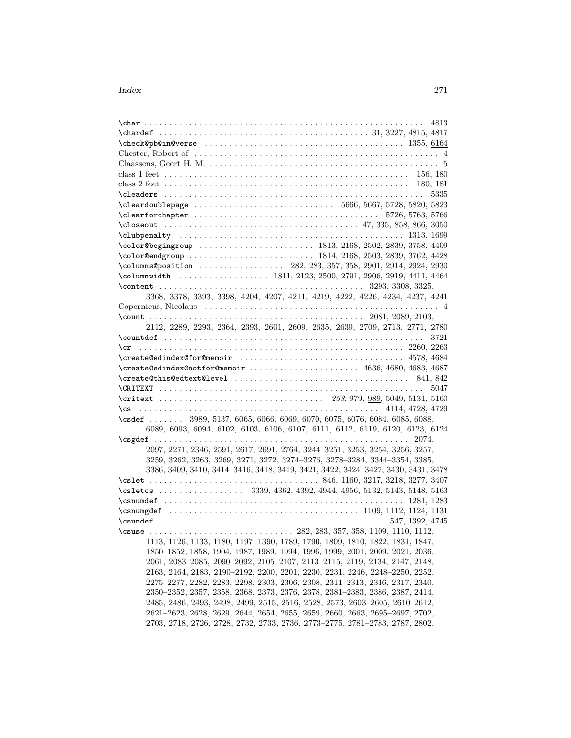| 4813                                                                                                                                                       |  |
|------------------------------------------------------------------------------------------------------------------------------------------------------------|--|
|                                                                                                                                                            |  |
|                                                                                                                                                            |  |
|                                                                                                                                                            |  |
|                                                                                                                                                            |  |
|                                                                                                                                                            |  |
|                                                                                                                                                            |  |
| 5335                                                                                                                                                       |  |
|                                                                                                                                                            |  |
|                                                                                                                                                            |  |
|                                                                                                                                                            |  |
|                                                                                                                                                            |  |
|                                                                                                                                                            |  |
|                                                                                                                                                            |  |
|                                                                                                                                                            |  |
|                                                                                                                                                            |  |
|                                                                                                                                                            |  |
| 3368, 3378, 3393, 3398, 4204, 4207, 4211, 4219, 4222, 4226, 4234, 4237, 4241                                                                               |  |
|                                                                                                                                                            |  |
|                                                                                                                                                            |  |
| 2112, 2289, 2293, 2364, 2393, 2601, 2609, 2635, 2639, 2709, 2713, 2771, 2780                                                                               |  |
|                                                                                                                                                            |  |
|                                                                                                                                                            |  |
|                                                                                                                                                            |  |
| $\text{Create@edindex@notfor@memoir  \dots   4636, 4680, 4683, 4687}$                                                                                      |  |
|                                                                                                                                                            |  |
| 5047                                                                                                                                                       |  |
|                                                                                                                                                            |  |
|                                                                                                                                                            |  |
| \csdef  3989, 5137, 6065, 6066, 6069, 6070, 6075, 6076, 6084, 6085, 6088,                                                                                  |  |
| 6089, 6093, 6094, 6102, 6103, 6106, 6107, 6111, 6112, 6119, 6120, 6123, 6124                                                                               |  |
|                                                                                                                                                            |  |
| 2097, 2271, 2346, 2591, 2617, 2691, 2764, 3244-3251, 3253, 3254, 3256, 3257,                                                                               |  |
| 3259, 3262, 3263, 3269, 3271, 3272, 3274-3276, 3278-3284, 3344-3354, 3385,                                                                                 |  |
| 3386, 3409, 3410, 3414-3416, 3418, 3419, 3421, 3422, 3424-3427, 3430, 3431, 3478                                                                           |  |
|                                                                                                                                                            |  |
|                                                                                                                                                            |  |
| \csletcs  3339, 4362, 4392, 4944, 4956, 5132, 5143, 5148, 5163                                                                                             |  |
| $\texttt{{{}} 1281, 1283$                                                                                                                                  |  |
| $\sum_{1109, 1112, 1124, 1131}$                                                                                                                            |  |
|                                                                                                                                                            |  |
|                                                                                                                                                            |  |
|                                                                                                                                                            |  |
| 1113, 1126, 1133, 1180, 1197, 1390, 1789, 1790, 1809, 1810, 1822, 1831, 1847,                                                                              |  |
| 1850–1852, 1858, 1904, 1987, 1989, 1994, 1996, 1999, 2001, 2009, 2021, 2036,                                                                               |  |
| 2061, 2083–2085, 2090–2092, 2105–2107, 2113–2115, 2119, 2134, 2147, 2148,                                                                                  |  |
| 2163, 2164, 2183, 2190-2192, 2200, 2201, 2230, 2231, 2246, 2248-2250, 2252,                                                                                |  |
| 2275-2277, 2282, 2283, 2298, 2303, 2306, 2308, 2311-2313, 2316, 2317, 2340,                                                                                |  |
| 2350–2352, 2357, 2358, 2368, 2373, 2376, 2378, 2381–2383, 2386, 2387, 2414,                                                                                |  |
| 2485, 2486, 2493, 2498, 2499, 2515, 2516, 2528, 2573, 2603–2605, 2610–2612,<br>2621-2623, 2628, 2629, 2644, 2654, 2655, 2659, 2660, 2663, 2695-2697, 2702, |  |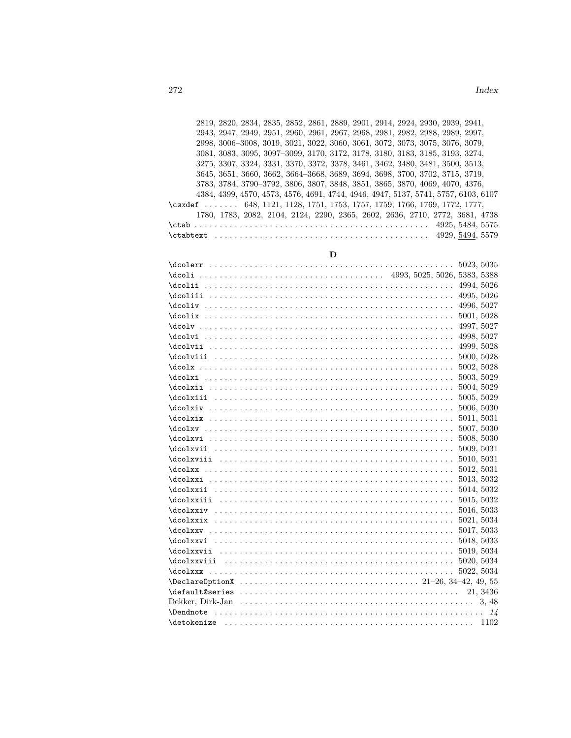2819, 2820, 2834, 2835, 2852, 2861, 2889, 2901, 2914, 2924, 2930, 2939, 2941, 2943, 2947, 2949, 2951, 2960, 2961, 2967, 2968, 2981, 2982, 2988, 2989, 2997, 2998, 3006–3008, 3019, 3021, 3022, 3060, 3061, 3072, 3073, 3075, 3076, 3079, 3081, 3083, 3095, 3097–3099, 3170, 3172, 3178, 3180, 3183, 3185, 3193, 3274, 3275, 3307, 3324, 3331, 3370, 3372, 3378, 3461, 3462, 3480, 3481, 3500, 3513, 3645, 3651, 3660, 3662, 3664–3668, 3689, 3694, 3698, 3700, 3702, 3715, 3719, 3783, 3784, 3790–3792, 3806, 3807, 3848, 3851, 3865, 3870, 4069, 4070, 4376, 4384, 4399, 4570, 4573, 4576, 4691, 4744, 4946, 4947, 5137, 5741, 5757, 6103, 6107 \csxdef ...... 648, 1121, 1128, 1751, 1753, 1757, 1759, 1766, 1769, 1772, 1777, 1780, 1783, 2082, 2104, 2124, 2290, 2365, 2602, 2636, 2710, 2772, 3681, 4738 \ctab . . . . . . . . . . . . . . . . . . . . . . . . . . . . . . . . . . . . . . . . . . . . . . . 4925, 5484, 5575 \ctabtext . . . . . . . . . . . . . . . . . . . . . . . . . . . . . . . . . . . . . . . . . . . 4929, 5494, 5579

|  | ٥            |  |
|--|--------------|--|
|  | I<br>I<br>۰. |  |

| $\frac{400}{\text{4998}}, \frac{5027}{\text{4998}}$ |  |
|-----------------------------------------------------|--|
|                                                     |  |
| $\frac{1}{1000}$                                    |  |
|                                                     |  |
| $\frac{5003, 5029}{\text{3.5029}}$                  |  |
|                                                     |  |
| $\frac{1}{3005,5029}$                               |  |
|                                                     |  |
| $\frac{1}{3011, 5011, 5031}$                        |  |
|                                                     |  |
|                                                     |  |
| $\frac{1}{3009,5031}$                               |  |
|                                                     |  |
|                                                     |  |
| $\frac{5013}{5032}$                                 |  |
| $\frac{1}{3014,5032}$                               |  |
| $\frac{5015}{5032}$                                 |  |
|                                                     |  |
|                                                     |  |
|                                                     |  |
| $\frac{5018}{5033}$                                 |  |
|                                                     |  |
|                                                     |  |
|                                                     |  |
| $\Delta 21-26, 34-42, 49, 55$                       |  |
|                                                     |  |
|                                                     |  |
|                                                     |  |
|                                                     |  |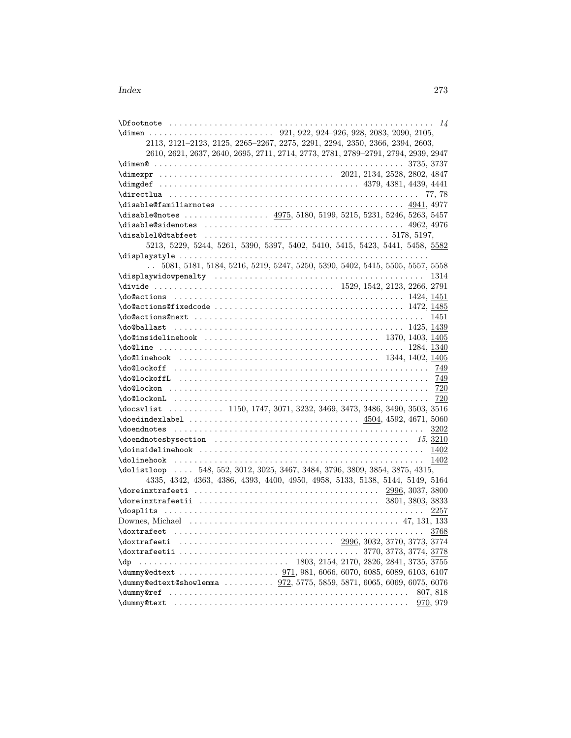|                                                                              | 2113, 2121-2123, 2125, 2265-2267, 2275, 2291, 2294, 2350, 2366, 2394, 2603,                                      |
|------------------------------------------------------------------------------|------------------------------------------------------------------------------------------------------------------|
|                                                                              | 2610, 2621, 2637, 2640, 2695, 2711, 2714, 2773, 2781, 2789-2791, 2794, 2939, 2947                                |
|                                                                              |                                                                                                                  |
|                                                                              |                                                                                                                  |
|                                                                              |                                                                                                                  |
|                                                                              |                                                                                                                  |
|                                                                              |                                                                                                                  |
| \disable@notes  4975, 5180, 5199, 5215, 5231, 5246, 5263, 5457               |                                                                                                                  |
|                                                                              |                                                                                                                  |
|                                                                              |                                                                                                                  |
|                                                                              | 5213, 5229, 5244, 5261, 5390, 5397, 5402, 5410, 5415, 5423, 5441, 5458, 5582                                     |
|                                                                              |                                                                                                                  |
| $\ddotsc$                                                                    | 5081, 5181, 5184, 5216, 5219, 5247, 5250, 5390, 5402, 5415, 5505, 5557, 5558                                     |
|                                                                              | 1314                                                                                                             |
|                                                                              |                                                                                                                  |
|                                                                              |                                                                                                                  |
|                                                                              |                                                                                                                  |
|                                                                              |                                                                                                                  |
|                                                                              |                                                                                                                  |
|                                                                              |                                                                                                                  |
|                                                                              |                                                                                                                  |
| $\delta$ . 1344, 1402, 1405                                                  |                                                                                                                  |
|                                                                              |                                                                                                                  |
|                                                                              |                                                                                                                  |
|                                                                              |                                                                                                                  |
|                                                                              |                                                                                                                  |
| \docsvlist  1150, 1747, 3071, 3232, 3469, 3473, 3486, 3490, 3503, 3516       |                                                                                                                  |
|                                                                              |                                                                                                                  |
|                                                                              | 3202                                                                                                             |
|                                                                              |                                                                                                                  |
|                                                                              |                                                                                                                  |
|                                                                              | - 1402                                                                                                           |
| \dolistloop  548, 552, 3012, 3025, 3467, 3484, 3796, 3809, 3854, 3875, 4315, |                                                                                                                  |
|                                                                              | 4335, 4342, 4363, 4386, 4393, 4400, 4950, 4958, 5133, 5138, 5144, 5149, 5164                                     |
|                                                                              |                                                                                                                  |
|                                                                              |                                                                                                                  |
|                                                                              | 2257                                                                                                             |
|                                                                              | 3768                                                                                                             |
|                                                                              |                                                                                                                  |
|                                                                              |                                                                                                                  |
|                                                                              | $\ldots \ldots \ldots \ldots \ldots \ldots \ldots \ldots \ldots \ldots$ 1803, 2154, 2170, 2826, 2841, 3735, 3755 |
| \dp                                                                          |                                                                                                                  |
| \dummy@edtext@showlemma  972, 5775, 5859, 5871, 6065, 6069, 6075, 6076       |                                                                                                                  |
|                                                                              | 807, 818                                                                                                         |
|                                                                              | 970, 979                                                                                                         |
|                                                                              |                                                                                                                  |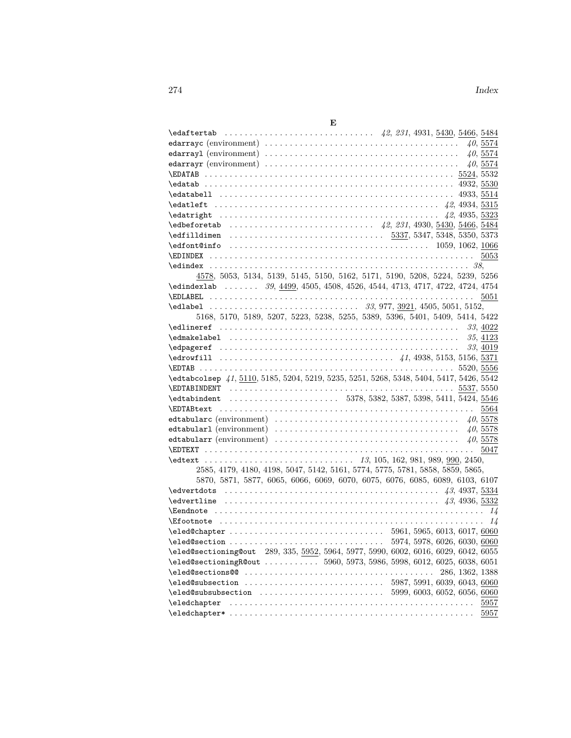|--|--|

| E                                                                                                                                |          |
|----------------------------------------------------------------------------------------------------------------------------------|----------|
|                                                                                                                                  |          |
|                                                                                                                                  | 40,5574  |
|                                                                                                                                  | 40,5574  |
|                                                                                                                                  | 40,5574  |
|                                                                                                                                  |          |
|                                                                                                                                  |          |
|                                                                                                                                  |          |
|                                                                                                                                  |          |
|                                                                                                                                  |          |
|                                                                                                                                  |          |
|                                                                                                                                  |          |
|                                                                                                                                  |          |
|                                                                                                                                  |          |
|                                                                                                                                  |          |
| 4578, 5053, 5134, 5139, 5145, 5150, 5162, 5171, 5190, 5208, 5224, 5239, 5256                                                     |          |
| \edindexlab  39, 4499, 4505, 4508, 4526, 4544, 4713, 4717, 4722, 4724, 4754                                                      |          |
|                                                                                                                                  | 5051     |
|                                                                                                                                  |          |
| 5168, 5170, 5189, 5207, 5223, 5238, 5255, 5389, 5396, 5401, 5409, 5414, 5422                                                     |          |
|                                                                                                                                  |          |
|                                                                                                                                  |          |
|                                                                                                                                  | 33, 4019 |
|                                                                                                                                  |          |
|                                                                                                                                  |          |
| \edtabcolsep 41, 5110, 5185, 5204, 5219, 5235, 5251, 5268, 5348, 5404, 5417, 5426, 5542                                          |          |
|                                                                                                                                  |          |
| \edtabindent  5378, 5382, 5387, 5398, 5411, 5424, 5546                                                                           |          |
|                                                                                                                                  | 5564     |
|                                                                                                                                  |          |
|                                                                                                                                  |          |
|                                                                                                                                  |          |
|                                                                                                                                  |          |
|                                                                                                                                  |          |
| 2585, 4179, 4180, 4198, 5047, 5142, 5161, 5774, 5775, 5781, 5858, 5859, 5865,                                                    |          |
| 5870, 5871, 5877, 6065, 6066, 6069, 6070, 6075, 6076, 6085, 6089, 6103, 6107                                                     |          |
|                                                                                                                                  |          |
|                                                                                                                                  |          |
|                                                                                                                                  |          |
| $\texttt{Efootnote} \dots \dots \dots \dots \dots \dots \dots \dots \dots \dots \dots \dots \dots \dots \dots \dots \dots \dots$ |          |
|                                                                                                                                  |          |
|                                                                                                                                  |          |
| \eled@sectioning@out 289, 335, 5952, 5964, 5977, 5990, 6002, 6016, 6029, 6042, 6055                                              |          |
| \eled@sectioningR@out  5960, 5973, 5986, 5998, 6012, 6025, 6038, 6051                                                            |          |
| $\text{Q}_5$ , $1362, 1388$                                                                                                      |          |
|                                                                                                                                  |          |
| $\text{Qe} = 599, 6003, 6052, 6056, 6060$                                                                                        |          |
|                                                                                                                                  | 5957     |
|                                                                                                                                  | 5957     |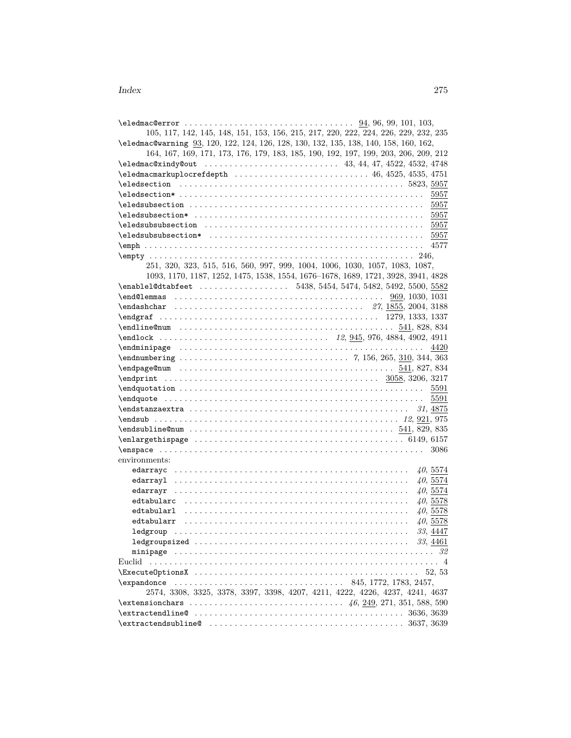| 105, 117, 142, 145, 148, 151, 153, 156, 215, 217, 220, 222, 224, 226, 229, 232, 235                                                   |          |
|---------------------------------------------------------------------------------------------------------------------------------------|----------|
| \eledmac@warning 93, 120, 122, 124, 126, 128, 130, 132, 135, 138, 140, 158, 160, 162,                                                 |          |
| 164, 167, 169, 171, 173, 176, 179, 183, 185, 190, 192, 197, 199, 203, 206, 209, 212                                                   |          |
|                                                                                                                                       |          |
|                                                                                                                                       |          |
|                                                                                                                                       |          |
|                                                                                                                                       |          |
|                                                                                                                                       |          |
| $\texttt{dedsubsection*} \dots \dots \dots \dots \dots \dots \dots \dots \dots \dots \dots \dots \dots \dots \dots \dots \dots \dots$ |          |
| $\texttt{\leq}\$                                                                                                                      |          |
|                                                                                                                                       |          |
|                                                                                                                                       |          |
|                                                                                                                                       |          |
| 251, 320, 323, 515, 516, 560, 997, 999, 1004, 1006, 1030, 1057, 1083, 1087,                                                           |          |
| 1093, 1170, 1187, 1252, 1475, 1538, 1554, 1676-1678, 1689, 1721, 3928, 3941, 4828                                                     |          |
| \enable1@dtabfeet  5438, 5454, 5474, 5482, 5492, 5500, 5582                                                                           |          |
|                                                                                                                                       |          |
| $\end{subscript{27,1855,2004,3188}$                                                                                                   |          |
|                                                                                                                                       |          |
|                                                                                                                                       |          |
|                                                                                                                                       |          |
|                                                                                                                                       | 4420     |
|                                                                                                                                       |          |
|                                                                                                                                       |          |
|                                                                                                                                       |          |
|                                                                                                                                       |          |
|                                                                                                                                       |          |
|                                                                                                                                       | 5591     |
| $\end{t}$ $31, 4875$                                                                                                                  |          |
|                                                                                                                                       |          |
| $\end{subline}$ $0$ and $1, 829, 835$                                                                                                 |          |
|                                                                                                                                       |          |
|                                                                                                                                       | 3086     |
| environments:                                                                                                                         |          |
|                                                                                                                                       | 40,5574  |
|                                                                                                                                       | 40,5574  |
|                                                                                                                                       | 40,5574  |
|                                                                                                                                       | 40,5578  |
|                                                                                                                                       | 40,5578  |
| edtabularr                                                                                                                            | 40,5578  |
|                                                                                                                                       | 33, 4447 |
|                                                                                                                                       | 33, 4461 |
|                                                                                                                                       |          |
| Euclid                                                                                                                                |          |
|                                                                                                                                       |          |
|                                                                                                                                       |          |
| 2574, 3308, 3325, 3378, 3397, 3398, 4207, 4211, 4222, 4226, 4237, 4241, 4637                                                          |          |
|                                                                                                                                       |          |
|                                                                                                                                       |          |
| $\texttt{Textractendsubline@  \dots  \dots  \dots  \dots 3637, 3639}$                                                                 |          |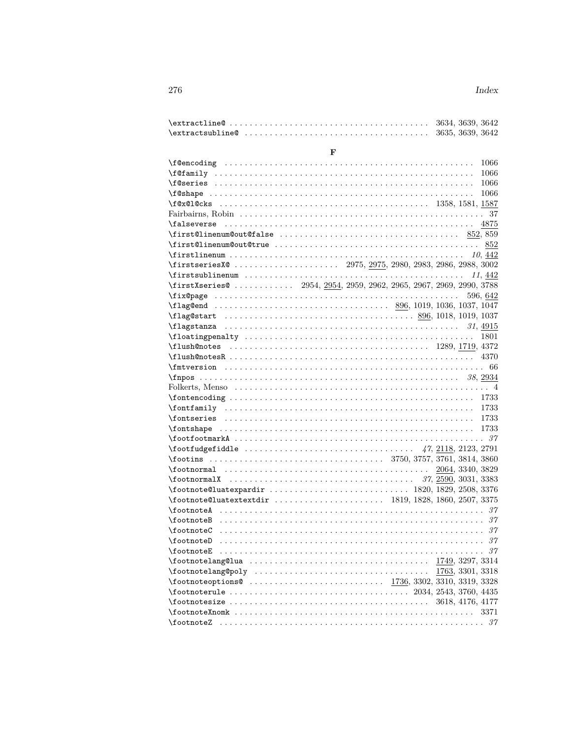| $\texttt{textline@ } \dots \dots \dots \dots \dots \dots \dots \dots \dots \dots \dots \ 3634, 3639, 3642$                                                                                                                                                                                                          |   |  |          |
|---------------------------------------------------------------------------------------------------------------------------------------------------------------------------------------------------------------------------------------------------------------------------------------------------------------------|---|--|----------|
|                                                                                                                                                                                                                                                                                                                     |   |  |          |
|                                                                                                                                                                                                                                                                                                                     |   |  |          |
|                                                                                                                                                                                                                                                                                                                     | F |  |          |
|                                                                                                                                                                                                                                                                                                                     |   |  | 1066     |
|                                                                                                                                                                                                                                                                                                                     |   |  | 1066     |
|                                                                                                                                                                                                                                                                                                                     |   |  | 1066     |
|                                                                                                                                                                                                                                                                                                                     |   |  | 1066     |
|                                                                                                                                                                                                                                                                                                                     |   |  |          |
|                                                                                                                                                                                                                                                                                                                     |   |  |          |
|                                                                                                                                                                                                                                                                                                                     |   |  |          |
| $\frac{852}{359}$                                                                                                                                                                                                                                                                                                   |   |  |          |
|                                                                                                                                                                                                                                                                                                                     |   |  |          |
|                                                                                                                                                                                                                                                                                                                     |   |  |          |
|                                                                                                                                                                                                                                                                                                                     |   |  |          |
| $\frac{11,442}{11,442}$                                                                                                                                                                                                                                                                                             |   |  |          |
| $\frac{1}{1}$ $\frac{1}{2}$ $\frac{1}{2}$ $\frac{1}{2}$ $\frac{1}{2}$ $\frac{1}{2}$ $\frac{1}{2}$ $\frac{1}{2}$ $\frac{1}{2}$ $\frac{1}{2}$ $\frac{1}{2}$ $\frac{1}{2}$ $\frac{1}{2}$ $\frac{1}{2}$ $\frac{1}{2}$ $\frac{1}{2}$ $\frac{1}{2}$ $\frac{1}{2}$ $\frac{1}{2}$ $\frac{1}{2}$ $\frac{1}{2}$ $\frac{1}{2}$ |   |  |          |
|                                                                                                                                                                                                                                                                                                                     |   |  | 596, 642 |
|                                                                                                                                                                                                                                                                                                                     |   |  |          |
|                                                                                                                                                                                                                                                                                                                     |   |  |          |
|                                                                                                                                                                                                                                                                                                                     |   |  |          |
| $\theta$ at ingreduces the set of the set of the set of the set of the set of the set of the set of the set of the set of the set of the set of the set of the set of the set of the set of the set of the set of the set of the                                                                                    |   |  |          |
|                                                                                                                                                                                                                                                                                                                     |   |  |          |
|                                                                                                                                                                                                                                                                                                                     |   |  |          |
|                                                                                                                                                                                                                                                                                                                     |   |  |          |
|                                                                                                                                                                                                                                                                                                                     |   |  |          |
|                                                                                                                                                                                                                                                                                                                     |   |  |          |
|                                                                                                                                                                                                                                                                                                                     |   |  |          |
|                                                                                                                                                                                                                                                                                                                     |   |  |          |
|                                                                                                                                                                                                                                                                                                                     |   |  |          |
|                                                                                                                                                                                                                                                                                                                     |   |  |          |
|                                                                                                                                                                                                                                                                                                                     |   |  |          |
|                                                                                                                                                                                                                                                                                                                     |   |  |          |
|                                                                                                                                                                                                                                                                                                                     |   |  |          |
|                                                                                                                                                                                                                                                                                                                     |   |  |          |
|                                                                                                                                                                                                                                                                                                                     |   |  |          |
|                                                                                                                                                                                                                                                                                                                     |   |  |          |
|                                                                                                                                                                                                                                                                                                                     |   |  |          |
|                                                                                                                                                                                                                                                                                                                     |   |  |          |
|                                                                                                                                                                                                                                                                                                                     |   |  |          |
|                                                                                                                                                                                                                                                                                                                     |   |  |          |
|                                                                                                                                                                                                                                                                                                                     |   |  |          |
| \footnoteD                                                                                                                                                                                                                                                                                                          |   |  | 37       |
| \footnoteE                                                                                                                                                                                                                                                                                                          |   |  | -37      |
|                                                                                                                                                                                                                                                                                                                     |   |  |          |
|                                                                                                                                                                                                                                                                                                                     |   |  |          |
| $\{footnotesize\!footnotesize\hspace{0.5mm}of onto teoptions@ \ldots  \ldots  \ldots  \ldots  \ldots  \ldots  \ldots  \ldots  \quad 1736, 3302, 3310, 3319, 3328\}$                                                                                                                                                 |   |  |          |
|                                                                                                                                                                                                                                                                                                                     |   |  |          |
| $\text{13618}, 4176, 4177$                                                                                                                                                                                                                                                                                          |   |  |          |
|                                                                                                                                                                                                                                                                                                                     |   |  | 3371     |
|                                                                                                                                                                                                                                                                                                                     |   |  |          |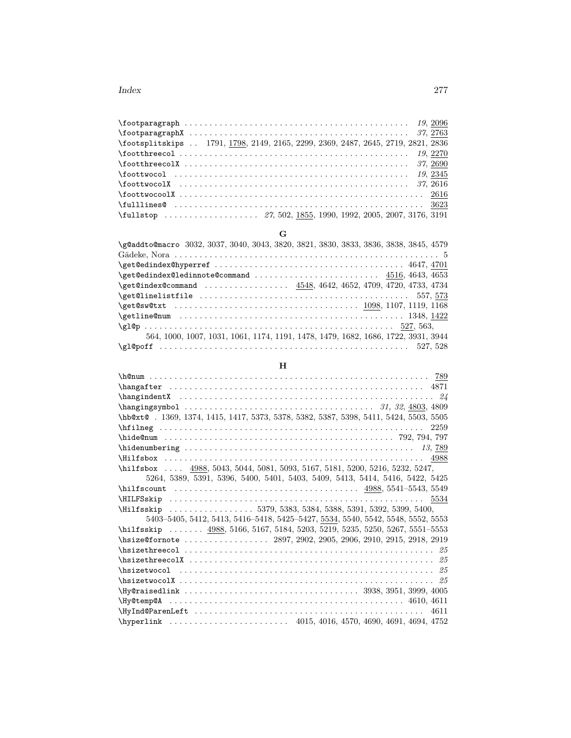| \footsplitskips  1791, 1798, 2149, 2165, 2299, 2369, 2487, 2645, 2719, 2821, 2836 |  |
|-----------------------------------------------------------------------------------|--|
|                                                                                   |  |
|                                                                                   |  |
|                                                                                   |  |
|                                                                                   |  |
|                                                                                   |  |
|                                                                                   |  |
|                                                                                   |  |

# **G**

| \g@addto@macro 3032, 3037, 3040, 3043, 3820, 3821, 3830, 3833, 3836, 3838, 3845, 4579                                              |
|------------------------------------------------------------------------------------------------------------------------------------|
|                                                                                                                                    |
|                                                                                                                                    |
|                                                                                                                                    |
| \get@index@command  4548, 4642, 4652, 4709, 4720, 4733, 4734                                                                       |
|                                                                                                                                    |
|                                                                                                                                    |
|                                                                                                                                    |
|                                                                                                                                    |
| 564, 1000, 1007, 1031, 1061, 1174, 1191, 1478, 1479, 1682, 1686, 1722, 3931, 3944                                                  |
| $\qquad \qquad \texttt{q1@poff} \quad \ldots \ldots \ldots \ldots \ldots \ldots \ldots \ldots \ldots \ldots \qquad \qquad 527,528$ |

# **H**

| \hb@xt@.1369, 1374, 1415, 1417, 5373, 5378, 5382, 5387, 5398, 5411, 5424, 5503, 5505 |
|--------------------------------------------------------------------------------------|
| 2259                                                                                 |
|                                                                                      |
|                                                                                      |
|                                                                                      |
| \hilfsbox  4988, 5043, 5044, 5081, 5093, 5167, 5181, 5200, 5216, 5232, 5247,         |
| 5264, 5389, 5391, 5396, 5400, 5401, 5403, 5409, 5413, 5414, 5416, 5422, 5425         |
|                                                                                      |
|                                                                                      |
| \Hilfsskip  5379, 5383, 5384, 5388, 5391, 5392, 5399, 5400,                          |
| 5403-5405, 5412, 5413, 5416-5418, 5425-5427, 5534, 5540, 5542, 5548, 5552, 5553      |
| \hilfsskip  4988, 5166, 5167, 5184, 5203, 5219, 5235, 5250, 5267, 5551-5553          |
|                                                                                      |
|                                                                                      |
|                                                                                      |
|                                                                                      |
|                                                                                      |
|                                                                                      |
|                                                                                      |
| 4611                                                                                 |
|                                                                                      |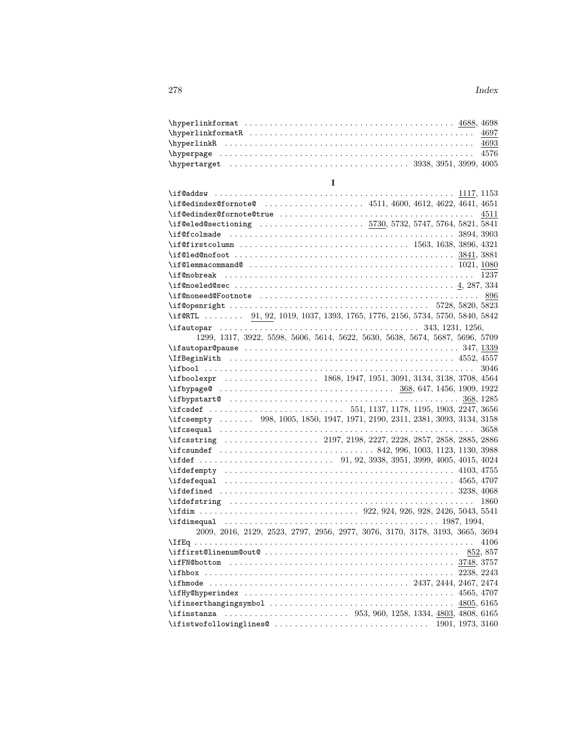|                                                                                                                                                                                                                                                                                                                                        | 4576                                                                         |
|----------------------------------------------------------------------------------------------------------------------------------------------------------------------------------------------------------------------------------------------------------------------------------------------------------------------------------------|------------------------------------------------------------------------------|
|                                                                                                                                                                                                                                                                                                                                        |                                                                              |
|                                                                                                                                                                                                                                                                                                                                        |                                                                              |
| $\mathbf I$                                                                                                                                                                                                                                                                                                                            |                                                                              |
|                                                                                                                                                                                                                                                                                                                                        |                                                                              |
| \if@edindex@fornote@4511,4600,4612,4622,4641,4651                                                                                                                                                                                                                                                                                      |                                                                              |
|                                                                                                                                                                                                                                                                                                                                        |                                                                              |
|                                                                                                                                                                                                                                                                                                                                        |                                                                              |
|                                                                                                                                                                                                                                                                                                                                        |                                                                              |
|                                                                                                                                                                                                                                                                                                                                        |                                                                              |
|                                                                                                                                                                                                                                                                                                                                        |                                                                              |
|                                                                                                                                                                                                                                                                                                                                        |                                                                              |
|                                                                                                                                                                                                                                                                                                                                        |                                                                              |
|                                                                                                                                                                                                                                                                                                                                        |                                                                              |
|                                                                                                                                                                                                                                                                                                                                        |                                                                              |
|                                                                                                                                                                                                                                                                                                                                        |                                                                              |
| \if@RTL  91, 92, 1019, 1037, 1393, 1765, 1776, 2156, 5734, 5750, 5840, 5842                                                                                                                                                                                                                                                            |                                                                              |
|                                                                                                                                                                                                                                                                                                                                        |                                                                              |
|                                                                                                                                                                                                                                                                                                                                        | 1299, 1317, 3922, 5598, 5606, 5614, 5622, 5630, 5638, 5674, 5687, 5696, 5709 |
|                                                                                                                                                                                                                                                                                                                                        |                                                                              |
|                                                                                                                                                                                                                                                                                                                                        |                                                                              |
|                                                                                                                                                                                                                                                                                                                                        | 3046                                                                         |
|                                                                                                                                                                                                                                                                                                                                        |                                                                              |
|                                                                                                                                                                                                                                                                                                                                        |                                                                              |
|                                                                                                                                                                                                                                                                                                                                        |                                                                              |
|                                                                                                                                                                                                                                                                                                                                        |                                                                              |
| \ifcsempty  998, 1005, 1850, 1947, 1971, 2190, 2311, 2381, 3093, 3134, 3158                                                                                                                                                                                                                                                            |                                                                              |
|                                                                                                                                                                                                                                                                                                                                        | 3658                                                                         |
|                                                                                                                                                                                                                                                                                                                                        |                                                                              |
|                                                                                                                                                                                                                                                                                                                                        |                                                                              |
| $\{\text{ifdef} \dots \dots \dots \dots \dots \dots \dots \quad 91, 92, 3938, 3951, 3999, 4005, 4015, 4024\}$                                                                                                                                                                                                                          |                                                                              |
|                                                                                                                                                                                                                                                                                                                                        |                                                                              |
|                                                                                                                                                                                                                                                                                                                                        |                                                                              |
|                                                                                                                                                                                                                                                                                                                                        |                                                                              |
|                                                                                                                                                                                                                                                                                                                                        |                                                                              |
|                                                                                                                                                                                                                                                                                                                                        |                                                                              |
|                                                                                                                                                                                                                                                                                                                                        |                                                                              |
|                                                                                                                                                                                                                                                                                                                                        | 2009, 2016, 2129, 2523, 2797, 2956, 2977, 3076, 3170, 3178, 3193, 3665, 3694 |
|                                                                                                                                                                                                                                                                                                                                        | 4106                                                                         |
|                                                                                                                                                                                                                                                                                                                                        | 852, 857                                                                     |
| \ifFN@bottom                                                                                                                                                                                                                                                                                                                           |                                                                              |
|                                                                                                                                                                                                                                                                                                                                        |                                                                              |
|                                                                                                                                                                                                                                                                                                                                        |                                                                              |
|                                                                                                                                                                                                                                                                                                                                        | 4565, 4707                                                                   |
|                                                                                                                                                                                                                                                                                                                                        | 4805, 6165                                                                   |
|                                                                                                                                                                                                                                                                                                                                        |                                                                              |
| $\left\{ \frac{1901}{1973}, \frac{3160}{1973}, \frac{3160}{1973}, \frac{3160}{1973}, \frac{3160}{1973}, \frac{3160}{1973}, \frac{3160}{1973}, \frac{3160}{1973}, \frac{3160}{1973}, \frac{3160}{1973}, \frac{3160}{1973}, \frac{3160}{1973}, \frac{3160}{1973}, \frac{3160}{1973}, \frac{3160}{1973}, \frac{3160}{1973}, \frac{3160}{$ |                                                                              |
|                                                                                                                                                                                                                                                                                                                                        |                                                                              |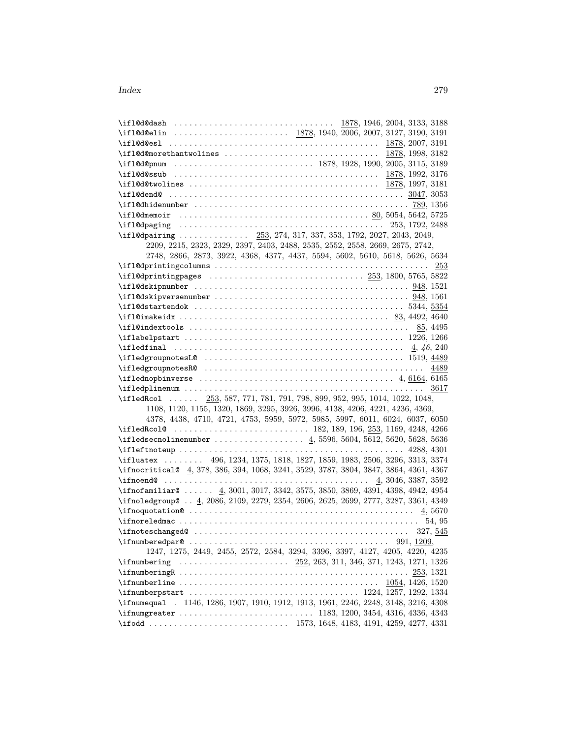| \if1@d@elin  1878, 1940, 2006, 2007, 3127, 3190, 3191                                          |                                                                              |
|------------------------------------------------------------------------------------------------|------------------------------------------------------------------------------|
|                                                                                                |                                                                              |
|                                                                                                |                                                                              |
|                                                                                                |                                                                              |
|                                                                                                |                                                                              |
|                                                                                                |                                                                              |
|                                                                                                |                                                                              |
|                                                                                                |                                                                              |
|                                                                                                |                                                                              |
|                                                                                                |                                                                              |
| \ifl@dpairing  253, 274, 317, 337, 353, 1792, 2027, 2043, 2049,                                |                                                                              |
| 2209, 2215, 2323, 2329, 2397, 2403, 2488, 2535, 2552, 2558, 2669, 2675, 2742,                  |                                                                              |
|                                                                                                | 2748, 2866, 2873, 3922, 4368, 4377, 4437, 5594, 5602, 5610, 5618, 5626, 5634 |
|                                                                                                |                                                                              |
|                                                                                                |                                                                              |
|                                                                                                |                                                                              |
|                                                                                                |                                                                              |
|                                                                                                |                                                                              |
|                                                                                                |                                                                              |
|                                                                                                |                                                                              |
|                                                                                                |                                                                              |
| $\theta$ . 4, 46, 240                                                                          |                                                                              |
|                                                                                                |                                                                              |
|                                                                                                |                                                                              |
|                                                                                                |                                                                              |
|                                                                                                |                                                                              |
|                                                                                                |                                                                              |
| \ifledRcol  253, 587, 771, 781, 791, 798, 899, 952, 995, 1014, 1022, 1048,                     |                                                                              |
| 1108, 1120, 1155, 1320, 1869, 3295, 3926, 3996, 4138, 4206, 4221, 4236, 4369,                  |                                                                              |
|                                                                                                | 4378, 4438, 4710, 4721, 4753, 5959, 5972, 5985, 5997, 6011, 6024, 6037, 6050 |
|                                                                                                |                                                                              |
| \ifledsecnolinenumber  4, 5596, 5604, 5612, 5620, 5628, 5636                                   |                                                                              |
|                                                                                                |                                                                              |
| \ifluatex  496, 1234, 1375, 1818, 1827, 1859, 1983, 2506, 3296, 3313, 3374                     |                                                                              |
| \ifnocritical@ 4, 378, 386, 394, 1068, 3241, 3529, 3787, 3804, 3847, 3864, 4361, 4367          |                                                                              |
|                                                                                                |                                                                              |
| $\if{infnofamiliar@4,3001,3017,3342,3575,3850,3869,4391,4398,4942,4954$                        |                                                                              |
| \ifnoledgroup@  4, 2086, 2109, 2279, 2354, 2606, 2625, 2699, 2777, 3287, 3361, 4349            |                                                                              |
| $\binom{1}{1}$ if noquotation $\frac{4}{5}$ , $\frac{5670}{1}$                                 |                                                                              |
|                                                                                                |                                                                              |
|                                                                                                |                                                                              |
| $\ifmmode\big\{\text{ifnumberedpar@ } \ldots \ldots \ldots \ldots \ldots \ldots \ldots \big\}$ | 991, 1209,                                                                   |
|                                                                                                | 1247, 1275, 2449, 2455, 2572, 2584, 3294, 3396, 3397, 4127, 4205, 4220, 4235 |
|                                                                                                |                                                                              |
| $\ifnum \neq 253, 1321$                                                                        |                                                                              |
| $\mathcal{S}$ . 1054, 1426, 1520                                                               |                                                                              |
|                                                                                                |                                                                              |
| \ifnumequal . 1146, 1286, 1907, 1910, 1912, 1913, 1961, 2246, 2248, 3148, 3216, 4308           |                                                                              |
|                                                                                                |                                                                              |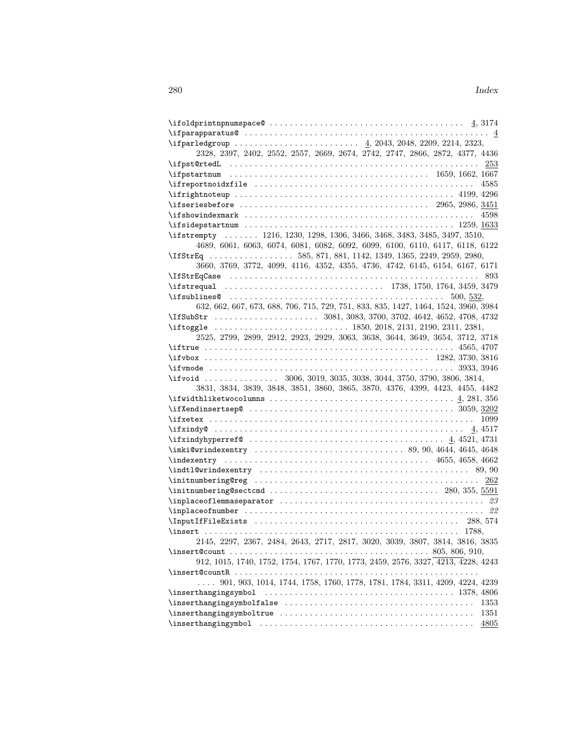| $\left\{ \text{ifparapparatus@ } \ldots \ldots \ldots \ldots \ldots \ldots \ldots \ldots \ldots \ldots \ldots \ldots \right. \right.$ |
|---------------------------------------------------------------------------------------------------------------------------------------|
|                                                                                                                                       |
| 2328, 2397, 2402, 2552, 2557, 2669, 2674, 2742, 2747, 2866, 2872, 4377, 4436                                                          |
|                                                                                                                                       |
|                                                                                                                                       |
| $\{ \text{ifreportnoid} \$<br>4585                                                                                                    |
| $\iff$ 4199, 4296                                                                                                                     |
| $\{ \text{if} \$                                                                                                                      |
|                                                                                                                                       |
| $\text{iside}$ at $1259, 1633$                                                                                                        |
| \ifstrempty  1216, 1230, 1298, 1306, 3466, 3468, 3483, 3485, 3497, 3510,                                                              |
| 4689, 6061, 6063, 6074, 6081, 6082, 6092, 6099, 6100, 6110, 6117, 6118, 6122                                                          |
| \IfStrEq 585, 871, 881, 1142, 1349, 1365, 2249, 2959, 2980,                                                                           |
| 3660, 3769, 3772, 4099, 4116, 4352, 4355, 4736, 4742, 6145, 6154, 6167, 6171                                                          |
|                                                                                                                                       |
|                                                                                                                                       |
|                                                                                                                                       |
| 632, 662, 667, 673, 688, 706, 715, 729, 751, 833, 835, 1427, 1464, 1524, 3960, 3984                                                   |
|                                                                                                                                       |
|                                                                                                                                       |
| 2525, 2799, 2899, 2912, 2923, 2929, 3063, 3638, 3644, 3649, 3654, 3712, 3718                                                          |
|                                                                                                                                       |
| $\{ifvbox \dots \dots \dots \dots \dots \dots \dots \dots \dots \dots \dots \ 1282, 3730, 3816$                                       |
|                                                                                                                                       |
|                                                                                                                                       |
|                                                                                                                                       |
| \ifvoid  3006, 3019, 3035, 3038, 3044, 3750, 3790, 3806, 3814,                                                                        |
| 3831, 3834, 3839, 3848, 3851, 3860, 3865, 3870, 4376, 4399, 4423, 4455, 4482                                                          |
|                                                                                                                                       |
|                                                                                                                                       |
|                                                                                                                                       |
|                                                                                                                                       |
|                                                                                                                                       |
| $\{imki@wrindexentry \ldots \ldots \ldots \ldots \ldots \ldots \}$ 89, 90, 4644, 4645, 4648                                           |
|                                                                                                                                       |
|                                                                                                                                       |
| 262                                                                                                                                   |
| $\infty$ . 280, 355, 5591                                                                                                             |
| $\verb+\implaceoflemmaseparator + \dots + \dots + \dots + \dots + \dots + \dots + 23$                                                 |
|                                                                                                                                       |
|                                                                                                                                       |
|                                                                                                                                       |
| 2145, 2297, 2367, 2484, 2643, 2717, 2817, 3020, 3039, 3807, 3814, 3816, 3835                                                          |
| $\infty$ SO5, 806, 910,                                                                                                               |
| 912, 1015, 1740, 1752, 1754, 1767, 1770, 1773, 2459, 2576, 3327, 4213, 4228, 4243                                                     |
|                                                                                                                                       |
| 901, 903, 1014, 1744, 1758, 1760, 1778, 1781, 1784, 3311, 4209, 4224, 4239                                                            |
| $\{inserthangingsymbol \dots \dots \dots \dots \dots \dots \dots \dots \ 1378, 4806$                                                  |
| 1353                                                                                                                                  |
| 1351<br>4805                                                                                                                          |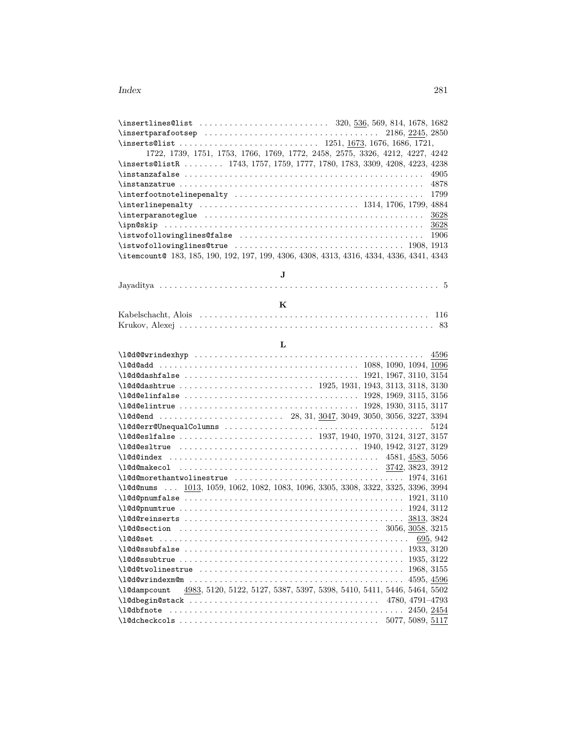| $\infty$ 2245, 2850                                                                                                       |
|---------------------------------------------------------------------------------------------------------------------------|
| $\{in \texttt{S0list} \dots \dots \dots \dots \dots \dots \ 1251, 1673, 1676, 1686, 1721, \dots \$                        |
| 1722, 1739, 1751, 1753, 1766, 1769, 1772, 2458, 2575, 3326, 4212, 4227, 4242                                              |
| \inserts@listR  1743, 1757, 1759, 1777, 1780, 1783, 3309, 4208, 4223, 4238                                                |
| 4905<br>$\in$ $\in$ $\in$ $\in$ $\ldots$ $\ldots$ $\ldots$ $\ldots$ $\ldots$ $\ldots$ $\ldots$ $\ldots$ $\ldots$ $\ldots$ |
|                                                                                                                           |
| 1799                                                                                                                      |
|                                                                                                                           |
| 3628                                                                                                                      |
|                                                                                                                           |
| $\text{distwofollowinglines}\$ $\ldots \ldots \ldots \ldots \ldots \ldots$<br>-1906                                       |
|                                                                                                                           |
| \itemcount@ 183, 185, 190, 192, 197, 199, 4306, 4308, 4313, 4316, 4334, 4336, 4341, 4343                                  |
|                                                                                                                           |
| J.                                                                                                                        |
|                                                                                                                           |

## **L**

| $\lceil 28, 31, 3047, 3049, 3050, 3056, 3227, 3394 \rceil$                          |
|-------------------------------------------------------------------------------------|
| 5124                                                                                |
|                                                                                     |
|                                                                                     |
|                                                                                     |
|                                                                                     |
|                                                                                     |
| \1@d@nums  1013, 1059, 1062, 1082, 1083, 1096, 3305, 3308, 3322, 3325, 3396, 3994   |
|                                                                                     |
|                                                                                     |
|                                                                                     |
|                                                                                     |
|                                                                                     |
|                                                                                     |
|                                                                                     |
|                                                                                     |
|                                                                                     |
| \1@dampcount 4983, 5120, 5122, 5127, 5387, 5397, 5398, 5410, 5411, 5446, 5464, 5502 |
| $\lceil \cdot \cdot \cdot \rceil$ 4780, 4791-4793                                   |
|                                                                                     |
|                                                                                     |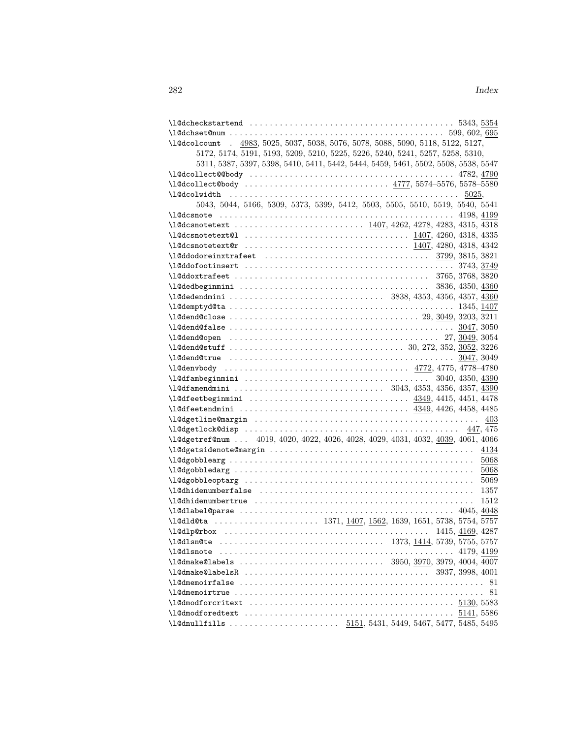| $\texttt{\textbackslash 1@dcheckstartend \dots \dots \dots \dots \dots \dots \dots \dots \dots \dots \dots \dots \dots \dots \dots 5343, 5354}$ |      |
|-------------------------------------------------------------------------------------------------------------------------------------------------|------|
|                                                                                                                                                 |      |
| \1@dcolcount . 4983, 5025, 5037, 5038, 5076, 5078, 5088, 5090, 5118, 5122, 5127,                                                                |      |
| 5172, 5174, 5191, 5193, 5209, 5210, 5225, 5226, 5240, 5241, 5257, 5258, 5310,                                                                   |      |
| 5311, 5387, 5397, 5398, 5410, 5411, 5442, 5444, 5459, 5461, 5502, 5508, 5538, 5547                                                              |      |
|                                                                                                                                                 |      |
| \l@dcollect@body  4777, 5574-5576, 5578-5580                                                                                                    |      |
|                                                                                                                                                 |      |
| 5043, 5044, 5166, 5309, 5373, 5399, 5412, 5503, 5505, 5510, 5519, 5540, 5541                                                                    |      |
|                                                                                                                                                 |      |
|                                                                                                                                                 |      |
|                                                                                                                                                 |      |
|                                                                                                                                                 |      |
|                                                                                                                                                 |      |
|                                                                                                                                                 |      |
|                                                                                                                                                 |      |
|                                                                                                                                                 |      |
|                                                                                                                                                 |      |
|                                                                                                                                                 |      |
|                                                                                                                                                 |      |
|                                                                                                                                                 |      |
|                                                                                                                                                 |      |
|                                                                                                                                                 |      |
|                                                                                                                                                 |      |
|                                                                                                                                                 |      |
|                                                                                                                                                 |      |
|                                                                                                                                                 |      |
|                                                                                                                                                 |      |
|                                                                                                                                                 |      |
|                                                                                                                                                 |      |
|                                                                                                                                                 |      |
|                                                                                                                                                 |      |
| \l@dgetref@num  4019, 4020, 4022, 4026, 4028, 4029, 4031, 4032, 4039, 4061, 4066                                                                |      |
|                                                                                                                                                 | 4134 |
|                                                                                                                                                 | 5068 |
|                                                                                                                                                 | 5068 |
|                                                                                                                                                 | 5069 |
|                                                                                                                                                 | 1357 |
| $\label{thm:main} \texttt{\textbf{10}}\texttt{\textbf{d}th}$                                                                                    | 1512 |
|                                                                                                                                                 |      |
| \l@dld@ta  1371, 1407, 1562, 1639, 1651, 5738, 5754, 5757                                                                                       |      |
|                                                                                                                                                 |      |
|                                                                                                                                                 |      |
|                                                                                                                                                 |      |
|                                                                                                                                                 |      |
|                                                                                                                                                 |      |
|                                                                                                                                                 |      |
|                                                                                                                                                 | 81   |
| $\lceil \cdot \cdot \rceil$ 530, 5583                                                                                                           |      |
|                                                                                                                                                 |      |
|                                                                                                                                                 |      |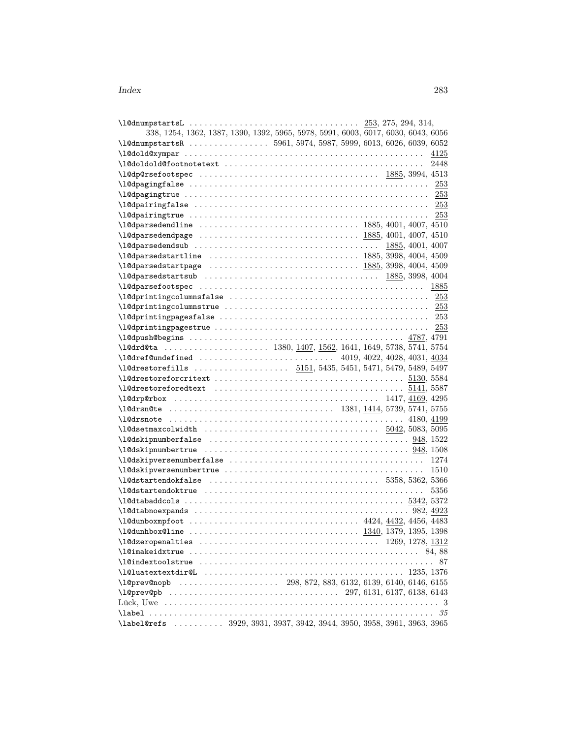| 338, 1254, 1362, 1387, 1390, 1392, 5965, 5978, 5991, 6003, 6017, 6030, 6043, 6056                                                                                                                                                                                                                                                                               |  |  |  |                  |      |
|-----------------------------------------------------------------------------------------------------------------------------------------------------------------------------------------------------------------------------------------------------------------------------------------------------------------------------------------------------------------|--|--|--|------------------|------|
| \1@dnumpstartsR  5961, 5974, 5987, 5999, 6013, 6026, 6039, 6052                                                                                                                                                                                                                                                                                                 |  |  |  |                  |      |
|                                                                                                                                                                                                                                                                                                                                                                 |  |  |  |                  | 4125 |
|                                                                                                                                                                                                                                                                                                                                                                 |  |  |  |                  | 2448 |
|                                                                                                                                                                                                                                                                                                                                                                 |  |  |  |                  |      |
| $\lceil \frac{\text{log} \cdot 253 \rceil}{\text{log} \cdot 253 \rceil} \rceil$                                                                                                                                                                                                                                                                                 |  |  |  |                  |      |
| $\lceil \frac{\text{log} \cdot 253}{\text{log} \cdot 253 \rceil} \rceil$                                                                                                                                                                                                                                                                                        |  |  |  |                  |      |
|                                                                                                                                                                                                                                                                                                                                                                 |  |  |  |                  |      |
|                                                                                                                                                                                                                                                                                                                                                                 |  |  |  |                  |      |
|                                                                                                                                                                                                                                                                                                                                                                 |  |  |  |                  |      |
|                                                                                                                                                                                                                                                                                                                                                                 |  |  |  |                  |      |
|                                                                                                                                                                                                                                                                                                                                                                 |  |  |  | 1885, 4001, 4007 |      |
|                                                                                                                                                                                                                                                                                                                                                                 |  |  |  |                  |      |
|                                                                                                                                                                                                                                                                                                                                                                 |  |  |  |                  |      |
|                                                                                                                                                                                                                                                                                                                                                                 |  |  |  |                  |      |
|                                                                                                                                                                                                                                                                                                                                                                 |  |  |  |                  |      |
|                                                                                                                                                                                                                                                                                                                                                                 |  |  |  |                  |      |
|                                                                                                                                                                                                                                                                                                                                                                 |  |  |  |                  |      |
|                                                                                                                                                                                                                                                                                                                                                                 |  |  |  |                  |      |
|                                                                                                                                                                                                                                                                                                                                                                 |  |  |  |                  |      |
|                                                                                                                                                                                                                                                                                                                                                                 |  |  |  |                  |      |
|                                                                                                                                                                                                                                                                                                                                                                 |  |  |  |                  |      |
|                                                                                                                                                                                                                                                                                                                                                                 |  |  |  |                  |      |
|                                                                                                                                                                                                                                                                                                                                                                 |  |  |  |                  |      |
|                                                                                                                                                                                                                                                                                                                                                                 |  |  |  |                  |      |
|                                                                                                                                                                                                                                                                                                                                                                 |  |  |  |                  |      |
|                                                                                                                                                                                                                                                                                                                                                                 |  |  |  |                  |      |
|                                                                                                                                                                                                                                                                                                                                                                 |  |  |  |                  |      |
|                                                                                                                                                                                                                                                                                                                                                                 |  |  |  |                  |      |
|                                                                                                                                                                                                                                                                                                                                                                 |  |  |  |                  |      |
|                                                                                                                                                                                                                                                                                                                                                                 |  |  |  |                  |      |
| $\lceil \cdot \rceil$ and $\lceil \cdot \rceil$ . The set of $\lceil \cdot \rceil$ . The set of $\lceil \cdot \rceil$ . The set of $\lceil \cdot \rceil$ set of $\lceil \cdot \rceil$ set of $\lceil \cdot \rceil$ set of $\lceil \cdot \rceil$ set of $\lceil \cdot \rceil$ set of $\lceil \cdot \rceil$ set of $\lceil \cdot \rceil$ set of $\lceil \cdot \r$ |  |  |  |                  |      |
|                                                                                                                                                                                                                                                                                                                                                                 |  |  |  |                  |      |
|                                                                                                                                                                                                                                                                                                                                                                 |  |  |  |                  |      |
|                                                                                                                                                                                                                                                                                                                                                                 |  |  |  |                  |      |
|                                                                                                                                                                                                                                                                                                                                                                 |  |  |  |                  | 5356 |
|                                                                                                                                                                                                                                                                                                                                                                 |  |  |  |                  |      |
|                                                                                                                                                                                                                                                                                                                                                                 |  |  |  |                  |      |
|                                                                                                                                                                                                                                                                                                                                                                 |  |  |  |                  |      |
|                                                                                                                                                                                                                                                                                                                                                                 |  |  |  |                  |      |
|                                                                                                                                                                                                                                                                                                                                                                 |  |  |  |                  |      |
|                                                                                                                                                                                                                                                                                                                                                                 |  |  |  |                  |      |
|                                                                                                                                                                                                                                                                                                                                                                 |  |  |  |                  | 87   |
|                                                                                                                                                                                                                                                                                                                                                                 |  |  |  |                  |      |
|                                                                                                                                                                                                                                                                                                                                                                 |  |  |  |                  |      |
| $\lceil \frac{297}{6131}, \frac{6137}{6138}, \frac{6133}{6133}, \frac{6133}{6133}, \frac{6133}{6133}, \frac{6133}{6133}, \frac{6133}{6133}, \frac{6133}{6133}, \frac{6133}{6133}, \frac{6133}{6133}, \frac{6133}{6133}, \frac{6133}{6133}, \frac{6133}{6133}, \frac{6133}{6133}, \frac{6133}{6133}, \frac{6133}{6133}, \frac{6133}{61$                          |  |  |  |                  |      |
|                                                                                                                                                                                                                                                                                                                                                                 |  |  |  |                  |      |
|                                                                                                                                                                                                                                                                                                                                                                 |  |  |  |                  |      |
| \label@refs  3929, 3931, 3937, 3942, 3944, 3950, 3958, 3961, 3963, 3965                                                                                                                                                                                                                                                                                         |  |  |  |                  |      |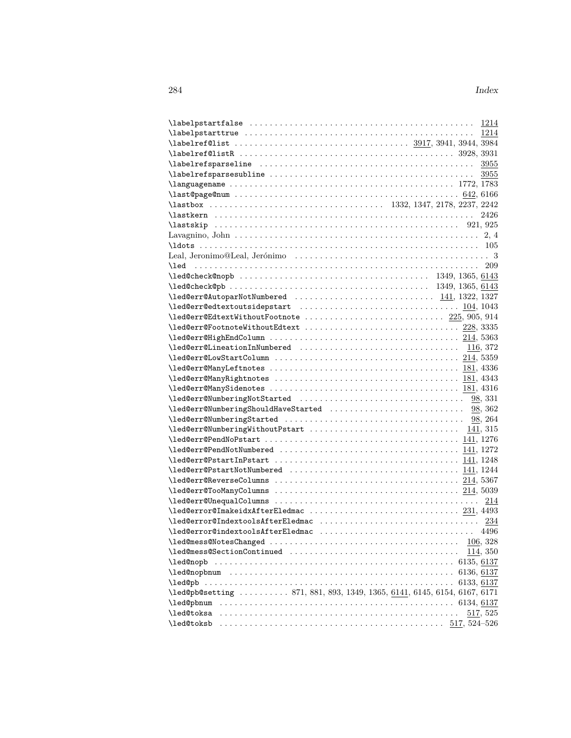|                                                                                                                                                                                                                                                                    |  | 3955         |
|--------------------------------------------------------------------------------------------------------------------------------------------------------------------------------------------------------------------------------------------------------------------|--|--------------|
|                                                                                                                                                                                                                                                                    |  | 3955         |
|                                                                                                                                                                                                                                                                    |  |              |
|                                                                                                                                                                                                                                                                    |  |              |
|                                                                                                                                                                                                                                                                    |  |              |
|                                                                                                                                                                                                                                                                    |  | 2426         |
|                                                                                                                                                                                                                                                                    |  |              |
|                                                                                                                                                                                                                                                                    |  |              |
|                                                                                                                                                                                                                                                                    |  |              |
|                                                                                                                                                                                                                                                                    |  |              |
|                                                                                                                                                                                                                                                                    |  |              |
|                                                                                                                                                                                                                                                                    |  |              |
|                                                                                                                                                                                                                                                                    |  |              |
| \led@err@AutoparNotNumbered  141, 1322, 1327                                                                                                                                                                                                                       |  |              |
|                                                                                                                                                                                                                                                                    |  |              |
| \led@err@EdtextWithoutFootnote  225, 905, 914                                                                                                                                                                                                                      |  |              |
|                                                                                                                                                                                                                                                                    |  |              |
|                                                                                                                                                                                                                                                                    |  |              |
|                                                                                                                                                                                                                                                                    |  |              |
|                                                                                                                                                                                                                                                                    |  |              |
|                                                                                                                                                                                                                                                                    |  |              |
|                                                                                                                                                                                                                                                                    |  |              |
|                                                                                                                                                                                                                                                                    |  |              |
|                                                                                                                                                                                                                                                                    |  |              |
|                                                                                                                                                                                                                                                                    |  |              |
|                                                                                                                                                                                                                                                                    |  |              |
|                                                                                                                                                                                                                                                                    |  |              |
| $\leq$ $\leq$ $\leq$ $\leq$ $\leq$ $\leq$ $\leq$ $\leq$ $\leq$ $\leq$ $\leq$ $\leq$ $\leq$ $\leq$ $\leq$ $\leq$ $\leq$ $\leq$ $\leq$ $\leq$ $\leq$ $\leq$ $\leq$ $\leq$ $\leq$ $\leq$ $\leq$ $\leq$ $\leq$ $\leq$ $\leq$ $\leq$ $\leq$ $\leq$ $\leq$ $\leq$ $\leq$ |  |              |
|                                                                                                                                                                                                                                                                    |  |              |
| $\lceil \text{led@err@PstartInPstart         141, 1248 \rceil$                                                                                                                                                                                                     |  |              |
|                                                                                                                                                                                                                                                                    |  |              |
|                                                                                                                                                                                                                                                                    |  |              |
|                                                                                                                                                                                                                                                                    |  |              |
|                                                                                                                                                                                                                                                                    |  | 214          |
|                                                                                                                                                                                                                                                                    |  |              |
|                                                                                                                                                                                                                                                                    |  |              |
| \led@error@indextoolsAfterEledmac  4496                                                                                                                                                                                                                            |  |              |
|                                                                                                                                                                                                                                                                    |  | 106, 328     |
|                                                                                                                                                                                                                                                                    |  | 114, 350     |
| \led@nopb                                                                                                                                                                                                                                                          |  |              |
|                                                                                                                                                                                                                                                                    |  | 6136, 6137   |
|                                                                                                                                                                                                                                                                    |  | 6133, 6137   |
| \led@pb@setting  871, 881, 893, 1349, 1365, 6141, 6145, 6154, 6167, 6171                                                                                                                                                                                           |  |              |
| \led@pbnum                                                                                                                                                                                                                                                         |  |              |
| \led@toksa                                                                                                                                                                                                                                                         |  | $517,\,525$  |
| \led@toksb                                                                                                                                                                                                                                                         |  | 517, 524–526 |
|                                                                                                                                                                                                                                                                    |  |              |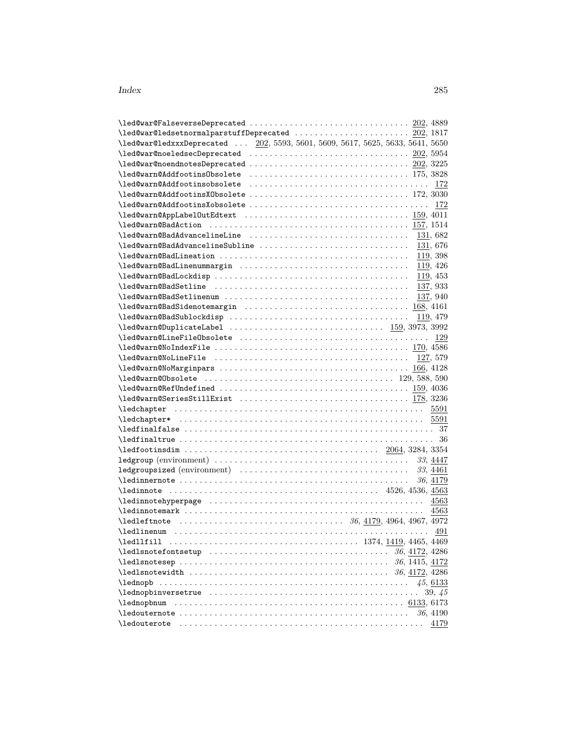| $\verb+\leq@war@ledsetnormalparstuffDeprecated \dots \dots \dots \ 202, 1817$                                                                                                                                                                                      |  |  |  |  |           |
|--------------------------------------------------------------------------------------------------------------------------------------------------------------------------------------------------------------------------------------------------------------------|--|--|--|--|-----------|
| \led@war@ledxxxDeprecated  202, 5593, 5601, 5609, 5617, 5625, 5633, 5641, 5650                                                                                                                                                                                     |  |  |  |  |           |
|                                                                                                                                                                                                                                                                    |  |  |  |  |           |
|                                                                                                                                                                                                                                                                    |  |  |  |  |           |
|                                                                                                                                                                                                                                                                    |  |  |  |  |           |
|                                                                                                                                                                                                                                                                    |  |  |  |  | 172       |
|                                                                                                                                                                                                                                                                    |  |  |  |  |           |
|                                                                                                                                                                                                                                                                    |  |  |  |  |           |
|                                                                                                                                                                                                                                                                    |  |  |  |  |           |
|                                                                                                                                                                                                                                                                    |  |  |  |  |           |
|                                                                                                                                                                                                                                                                    |  |  |  |  |           |
| \led@warn@BadAdvancelineSubline                                                                                                                                                                                                                                    |  |  |  |  | 131, 676  |
|                                                                                                                                                                                                                                                                    |  |  |  |  | 119, 398  |
|                                                                                                                                                                                                                                                                    |  |  |  |  | 119, 426  |
|                                                                                                                                                                                                                                                                    |  |  |  |  | 119, 453  |
|                                                                                                                                                                                                                                                                    |  |  |  |  | 137, 933  |
|                                                                                                                                                                                                                                                                    |  |  |  |  | 137, 940  |
|                                                                                                                                                                                                                                                                    |  |  |  |  | 168, 4161 |
|                                                                                                                                                                                                                                                                    |  |  |  |  | 119, 479  |
| \led@warn@DuplicateLabel  159, 3973, 3992                                                                                                                                                                                                                          |  |  |  |  |           |
|                                                                                                                                                                                                                                                                    |  |  |  |  |           |
| $\leq$ $\leq$ $\leq$ $\leq$ $\leq$ $\leq$ $\leq$ $\leq$ $\leq$ $\leq$ $\leq$ $\leq$ $\leq$ $\leq$ $\leq$ $\leq$ $\leq$ $\leq$ $\leq$ $\leq$ $\leq$ $\leq$ $\leq$ $\leq$ $\leq$ $\leq$ $\leq$ $\leq$ $\leq$ $\leq$ $\leq$ $\leq$ $\leq$ $\leq$ $\leq$ $\leq$ $\leq$ |  |  |  |  |           |
|                                                                                                                                                                                                                                                                    |  |  |  |  |           |
|                                                                                                                                                                                                                                                                    |  |  |  |  |           |
|                                                                                                                                                                                                                                                                    |  |  |  |  |           |
|                                                                                                                                                                                                                                                                    |  |  |  |  |           |
|                                                                                                                                                                                                                                                                    |  |  |  |  |           |
|                                                                                                                                                                                                                                                                    |  |  |  |  |           |
|                                                                                                                                                                                                                                                                    |  |  |  |  |           |
|                                                                                                                                                                                                                                                                    |  |  |  |  |           |
|                                                                                                                                                                                                                                                                    |  |  |  |  |           |
|                                                                                                                                                                                                                                                                    |  |  |  |  |           |
|                                                                                                                                                                                                                                                                    |  |  |  |  |           |
|                                                                                                                                                                                                                                                                    |  |  |  |  | 33, 4461  |
|                                                                                                                                                                                                                                                                    |  |  |  |  | 36, 4179  |
|                                                                                                                                                                                                                                                                    |  |  |  |  |           |
|                                                                                                                                                                                                                                                                    |  |  |  |  |           |
|                                                                                                                                                                                                                                                                    |  |  |  |  | 4563      |
| $\lambda = 36, 4179, 4964, 4967, 4972$                                                                                                                                                                                                                             |  |  |  |  |           |
|                                                                                                                                                                                                                                                                    |  |  |  |  | 491       |
|                                                                                                                                                                                                                                                                    |  |  |  |  |           |
|                                                                                                                                                                                                                                                                    |  |  |  |  |           |
|                                                                                                                                                                                                                                                                    |  |  |  |  |           |
|                                                                                                                                                                                                                                                                    |  |  |  |  |           |
| \lednopb                                                                                                                                                                                                                                                           |  |  |  |  | 45,6133   |
|                                                                                                                                                                                                                                                                    |  |  |  |  | 39, 45    |
|                                                                                                                                                                                                                                                                    |  |  |  |  |           |
|                                                                                                                                                                                                                                                                    |  |  |  |  | 36, 4190  |
|                                                                                                                                                                                                                                                                    |  |  |  |  | 4179      |
|                                                                                                                                                                                                                                                                    |  |  |  |  |           |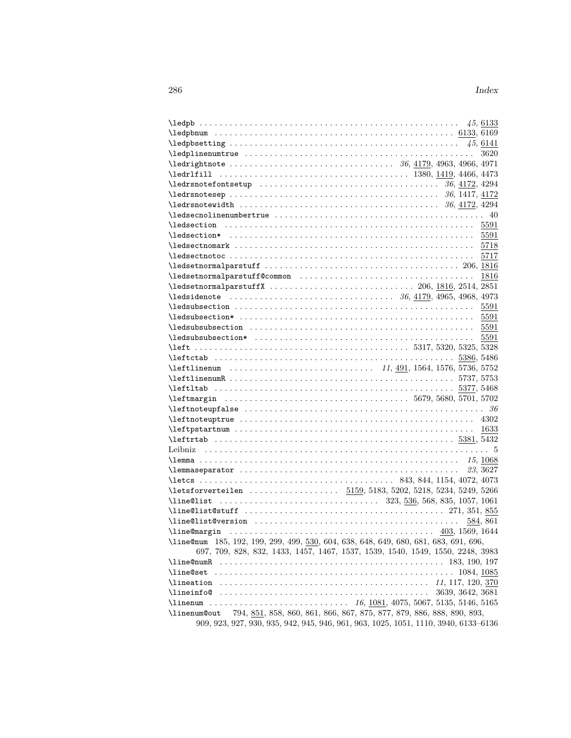| $\leq$ $(45, 6133)$                                                                                                                                                                                                                                                                                                                                                                                                                                                                                                                                                   |      |
|-----------------------------------------------------------------------------------------------------------------------------------------------------------------------------------------------------------------------------------------------------------------------------------------------------------------------------------------------------------------------------------------------------------------------------------------------------------------------------------------------------------------------------------------------------------------------|------|
|                                                                                                                                                                                                                                                                                                                                                                                                                                                                                                                                                                       |      |
| $\leq$ $\leq$ $\leq$ $\leq$ $\leq$ $\leq$ $\leq$ $\leq$ $\leq$ $\leq$ $\leq$ $\leq$ $\leq$ $\leq$ $\leq$ $\leq$ $\leq$ $\leq$ $\leq$ $\leq$ $\leq$ $\leq$ $\leq$ $\leq$ $\leq$ $\leq$ $\leq$ $\leq$ $\leq$ $\leq$ $\leq$ $\leq$ $\leq$ $\leq$ $\leq$ $\leq$ $\leq$                                                                                                                                                                                                                                                                                                    |      |
|                                                                                                                                                                                                                                                                                                                                                                                                                                                                                                                                                                       | 3620 |
|                                                                                                                                                                                                                                                                                                                                                                                                                                                                                                                                                                       |      |
|                                                                                                                                                                                                                                                                                                                                                                                                                                                                                                                                                                       |      |
|                                                                                                                                                                                                                                                                                                                                                                                                                                                                                                                                                                       |      |
|                                                                                                                                                                                                                                                                                                                                                                                                                                                                                                                                                                       |      |
|                                                                                                                                                                                                                                                                                                                                                                                                                                                                                                                                                                       |      |
|                                                                                                                                                                                                                                                                                                                                                                                                                                                                                                                                                                       |      |
|                                                                                                                                                                                                                                                                                                                                                                                                                                                                                                                                                                       |      |
|                                                                                                                                                                                                                                                                                                                                                                                                                                                                                                                                                                       |      |
|                                                                                                                                                                                                                                                                                                                                                                                                                                                                                                                                                                       |      |
|                                                                                                                                                                                                                                                                                                                                                                                                                                                                                                                                                                       |      |
|                                                                                                                                                                                                                                                                                                                                                                                                                                                                                                                                                                       |      |
|                                                                                                                                                                                                                                                                                                                                                                                                                                                                                                                                                                       | 1816 |
|                                                                                                                                                                                                                                                                                                                                                                                                                                                                                                                                                                       |      |
|                                                                                                                                                                                                                                                                                                                                                                                                                                                                                                                                                                       |      |
|                                                                                                                                                                                                                                                                                                                                                                                                                                                                                                                                                                       | 5591 |
|                                                                                                                                                                                                                                                                                                                                                                                                                                                                                                                                                                       |      |
|                                                                                                                                                                                                                                                                                                                                                                                                                                                                                                                                                                       |      |
|                                                                                                                                                                                                                                                                                                                                                                                                                                                                                                                                                                       | 5591 |
|                                                                                                                                                                                                                                                                                                                                                                                                                                                                                                                                                                       |      |
|                                                                                                                                                                                                                                                                                                                                                                                                                                                                                                                                                                       |      |
|                                                                                                                                                                                                                                                                                                                                                                                                                                                                                                                                                                       |      |
|                                                                                                                                                                                                                                                                                                                                                                                                                                                                                                                                                                       |      |
|                                                                                                                                                                                                                                                                                                                                                                                                                                                                                                                                                                       |      |
|                                                                                                                                                                                                                                                                                                                                                                                                                                                                                                                                                                       |      |
|                                                                                                                                                                                                                                                                                                                                                                                                                                                                                                                                                                       |      |
| $\left\{ \text{left} \right. \right. \left. \left. \right. \right. \left. \left. \right. \right. \left. \left. \right. \left. \right. \right. \left. \left. \right. \right. \left. \left. \right. \right. \left. \right. \left. \right. \left. \right. \left. \right. \right. \left. \left. \right. \right. \left. \left. \right. \right. \left. \left. \right. \right. \left. \left. \right. \right. \left. \left. \right. \right. \left. \left. \right. \right. \left. \left. \right. \right. \left. \left. \right. \right. \left. \right. \right. \left. \left. \$ |      |
|                                                                                                                                                                                                                                                                                                                                                                                                                                                                                                                                                                       |      |
|                                                                                                                                                                                                                                                                                                                                                                                                                                                                                                                                                                       |      |
|                                                                                                                                                                                                                                                                                                                                                                                                                                                                                                                                                                       |      |
|                                                                                                                                                                                                                                                                                                                                                                                                                                                                                                                                                                       |      |
|                                                                                                                                                                                                                                                                                                                                                                                                                                                                                                                                                                       |      |
| 23, 3627                                                                                                                                                                                                                                                                                                                                                                                                                                                                                                                                                              |      |
|                                                                                                                                                                                                                                                                                                                                                                                                                                                                                                                                                                       |      |
| \letsforverteilen  5159, 5183, 5202, 5218, 5234, 5249, 5266                                                                                                                                                                                                                                                                                                                                                                                                                                                                                                           |      |
|                                                                                                                                                                                                                                                                                                                                                                                                                                                                                                                                                                       |      |
|                                                                                                                                                                                                                                                                                                                                                                                                                                                                                                                                                                       |      |
| 584, 861                                                                                                                                                                                                                                                                                                                                                                                                                                                                                                                                                              |      |
|                                                                                                                                                                                                                                                                                                                                                                                                                                                                                                                                                                       |      |
| \line@num 185, 192, 199, 299, 499, 530, 604, 638, 648, 649, 680, 681, 683, 691, 696,                                                                                                                                                                                                                                                                                                                                                                                                                                                                                  |      |
| 697, 709, 828, 832, 1433, 1457, 1467, 1537, 1539, 1540, 1549, 1550, 2248, 3983                                                                                                                                                                                                                                                                                                                                                                                                                                                                                        |      |
| <b>\line@numR</b>                                                                                                                                                                                                                                                                                                                                                                                                                                                                                                                                                     |      |
|                                                                                                                                                                                                                                                                                                                                                                                                                                                                                                                                                                       |      |
|                                                                                                                                                                                                                                                                                                                                                                                                                                                                                                                                                                       |      |
| 3639, 3642, 3681                                                                                                                                                                                                                                                                                                                                                                                                                                                                                                                                                      |      |
| $\ldots \ldots \ldots \ldots \ldots \ldots \ldots \ldots \ldots \ldots \ldots \ldots 16, 1081, 4075, 5067, 5135, 5146, 5165$<br>\linenum                                                                                                                                                                                                                                                                                                                                                                                                                              |      |
| 794, 851, 858, 860, 861, 866, 867, 875, 877, 879, 886, 888, 890, 893,<br>\linenum@out                                                                                                                                                                                                                                                                                                                                                                                                                                                                                 |      |
| 909, 923, 927, 930, 935, 942, 945, 946, 961, 963, 1025, 1051, 1110, 3940, 6133–6136                                                                                                                                                                                                                                                                                                                                                                                                                                                                                   |      |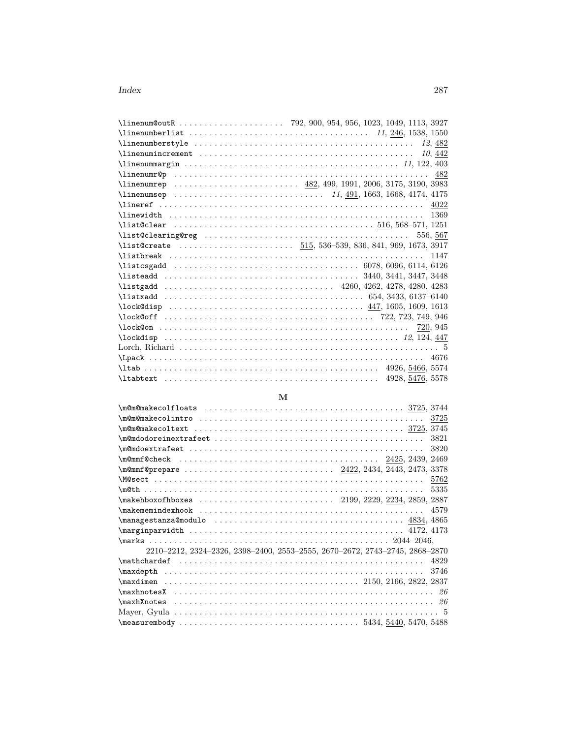| $\{1, 246, 1538, 1550$ |          |
|------------------------|----------|
|                        |          |
|                        |          |
|                        |          |
|                        |          |
|                        |          |
|                        |          |
|                        |          |
|                        | 1369     |
|                        |          |
|                        | 556, 567 |
|                        |          |
|                        | 1147     |
|                        |          |
|                        |          |
|                        |          |
|                        |          |
|                        |          |
|                        |          |
|                        | 720, 945 |
|                        |          |
|                        |          |
|                        | 4676     |
|                        |          |
|                        |          |

## **M**

| $\{\texttt{m@m@make} \hspace{0.1cm} \texttt{com@make} \hspace{0.1cm} \texttt{colfloats} \hspace{0.1cm} \dots \ldots \ldots \ldots \ldots \ldots \texttt{1} \}$ |
|----------------------------------------------------------------------------------------------------------------------------------------------------------------|
|                                                                                                                                                                |
|                                                                                                                                                                |
| 3821                                                                                                                                                           |
| 3820                                                                                                                                                           |
|                                                                                                                                                                |
|                                                                                                                                                                |
| 5762                                                                                                                                                           |
| 5335                                                                                                                                                           |
|                                                                                                                                                                |
| $\mathcal{L}$ $\mathcal{L}$<br>4579                                                                                                                            |
|                                                                                                                                                                |
|                                                                                                                                                                |
|                                                                                                                                                                |
| $2210-2212, 2324-2326, 2398-2400, 2553-2555, 2670-2672, 2743-2745, 2868-2870$                                                                                  |
| 4829                                                                                                                                                           |
| 3746                                                                                                                                                           |
|                                                                                                                                                                |
|                                                                                                                                                                |
|                                                                                                                                                                |
|                                                                                                                                                                |
|                                                                                                                                                                |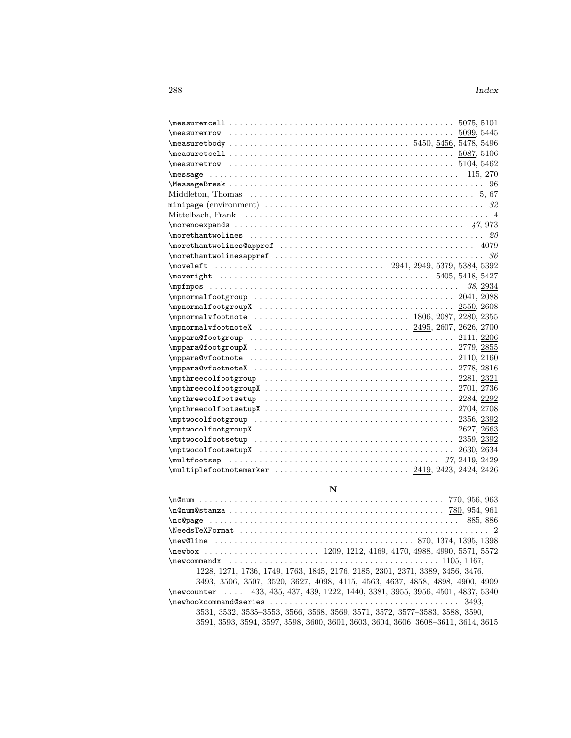| $\texttt{1}$ 5104, 5462                                                                  |
|------------------------------------------------------------------------------------------|
|                                                                                          |
|                                                                                          |
|                                                                                          |
|                                                                                          |
|                                                                                          |
|                                                                                          |
|                                                                                          |
|                                                                                          |
|                                                                                          |
|                                                                                          |
|                                                                                          |
|                                                                                          |
|                                                                                          |
|                                                                                          |
|                                                                                          |
|                                                                                          |
|                                                                                          |
|                                                                                          |
|                                                                                          |
|                                                                                          |
|                                                                                          |
|                                                                                          |
|                                                                                          |
|                                                                                          |
| $\mathcal{L}$ = 2356, 2392                                                               |
|                                                                                          |
|                                                                                          |
|                                                                                          |
|                                                                                          |
| $\{\text{multiplefootnotemarker} \dots \dots \dots \dots \dots 2419, 2423, 2424, 2426\}$ |

# **N**

| $\{nc@page \ldots \ldots \ldots \ldots \ldots \}$                                 |
|-----------------------------------------------------------------------------------|
|                                                                                   |
|                                                                                   |
|                                                                                   |
| $\neq$ $1105, 1167,$                                                              |
| 1228, 1271, 1736, 1749, 1763, 1845, 2176, 2185, 2301, 2371, 3389, 3456, 3476,     |
| 3493, 3506, 3507, 3520, 3627, 4098, 4115, 4563, 4637, 4858, 4898, 4900, 4909      |
| \newcounter  433, 435, 437, 439, 1222, 1440, 3381, 3955, 3956, 4501, 4837, 5340   |
| $\{\n\{newhook} \$                                                                |
| 3531, 3532, 3535–3553, 3566, 3568, 3569, 3571, 3572, 3577–3583, 3588, 3590,       |
| 3591, 3593, 3594, 3597, 3598, 3600, 3601, 3603, 3604, 3606, 3608–3611, 3614, 3615 |
|                                                                                   |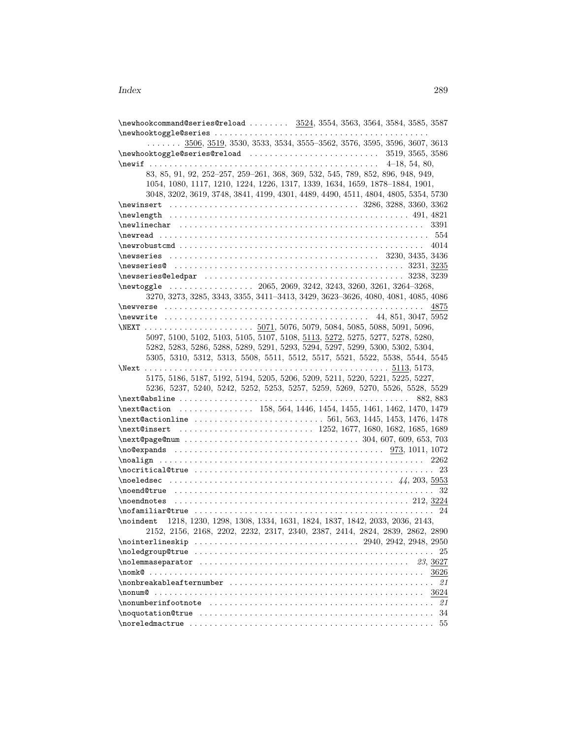$\neq$  \newhookcommand@series@reload .......  $3524, 3554, 3563, 3564, 3584, 3585, 3587$  $\texttt{newhook} \label{eq:ex1}$ . . . . . . . 3506, 3519, 3530, 3533, 3534, 3555–3562, 3576, 3595, 3596, 3607, 3613 \newhooktoggle@series@reload . . . . . . . . . . . . . . . . . . . . . . . . . . 3519, 3565, 3586 \newif . . . . . . . . . . . . . . . . . . . . . . . . . . . . . . . . . . . . . . . . . . . . . . 4–18, 54, 80, 83, 85, 91, 92, 252–257, 259–261, 368, 369, 532, 545, 789, 852, 896, 948, 949, 1054, 1080, 1117, 1210, 1224, 1226, 1317, 1339, 1634, 1659, 1878–1884, 1901, 3048, 3202, 3619, 3748, 3841, 4199, 4301, 4489, 4490, 4511, 4804, 4805, 5354, 5730 \newinsert . . . . . . . . . . . . . . . . . . . . . . . . . . . . . . . . . . . . . . 3286, 3288, 3360, 3362 \newlength . . . . . . . . . . . . . . . . . . . . . . . . . . . . . . . . . . . . . . . . . . . . . . . . 491, 4821 \newlinechar . . . . . . . . . . . . . . . . . . . . . . . . . . . . . . . . . . . . . . . . . . . . . . . . . 3391 \newread . . . . . . . . . . . . . . . . . . . . . . . . . . . . . . . . . . . . . . . . . . . . . . . . . . . . . . 554 \newrobustcmd . . . . . . . . . . . . . . . . . . . . . . . . . . . . . . . . . . . . . . . . . . . . . . . . . 4014 \newseries . . . . . . . . . . . . . . . . . . . . . . . . . . . . . . . . . . . . . . . . . . 3230, 3435, 3436 \newseries@ . . . . . . . . . . . . . . . . . . . . . . . . . . . . . . . . . . . . . . . . . . . . . . 3231, 3235 \newseries@eledpar . . . . . . . . . . . . . . . . . . . . . . . . . . . . . . . . . . . . . . . . 3238, 3239 \newtoggle . . . . . . . . . . . . . . . . . 2065, 2069, 3242, 3243, 3260, 3261, 3264–3268, 3270, 3273, 3285, 3343, 3355, 3411–3413, 3429, 3623–3626, 4080, 4081, 4085, 4086 \newverse . . . . . . . . . . . . . . . . . . . . . . . . . . . . . . . . . . . . . . . . . . . . . . . . . . . . 4875 \newwrite . . . . . . . . . . . . . . . . . . . . . . . . . . . . . . . . . . . . . . . . . 44, 851, 3047, 5952 \NEXT . . . . . . . . . . . . . . . . . . . . . . 5071, 5076, 5079, 5084, 5085, 5088, 5091, 5096, 5097, 5100, 5102, 5103, 5105, 5107, 5108, 5113, 5272, 5275, 5277, 5278, 5280, 5282, 5283, 5286, 5288, 5289, 5291, 5293, 5294, 5297, 5299, 5300, 5302, 5304, 5305, 5310, 5312, 5313, 5508, 5511, 5512, 5517, 5521, 5522, 5538, 5544, 5545 \Next . . . . . . . . . . . . . . . . . . . . . . . . . . . . . . . . . . . . . . . . . . . . . . . . . 5113, 5173, 5175, 5186, 5187, 5192, 5194, 5205, 5206, 5209, 5211, 5220, 5221, 5225, 5227, 5236, 5237, 5240, 5242, 5252, 5253, 5257, 5259, 5269, 5270, 5526, 5528, 5529 \next@absline . . . . . . . . . . . . . . . . . . . . . . . . . . . . . . . . . . . . . . . . . . . . . . 882, 883 \next@action . . . . . . . . . . . . . . 158, 564, 1446, 1454, 1455, 1461, 1462, 1470, 1479 \next@actionline . . . . . . . . . . . . . . . . . . . . . . . . . . 561, 563, 1445, 1453, 1476, 1478 \next@insert .................................. 1252, 1677, 1680, 1682, 1685, 1689 \next@page@num . . . . . . . . . . . . . . . . . . . . . . . . . . . . . . . . . . . 304, 607, 609, 653, 703 \no@expands . . . . . . . . . . . . . . . . . . . . . . . . . . . . . . . . . . . . . . . . . . 973, 1011, 1072 \noalign . . . . . . . . . . . . . . . . . . . . . . . . . . . . . . . . . . . . . . . . . . . . . . . . . . . . . 2262 \nocritical@true . . . . . . . . . . . . . . . . . . . . . . . . . . . . . . . . . . . . . . . . . . . . . . . . 23 \noeledsec . . . . . . . . . . . . . . . . . . . . . . . . . . . . . . . . . . . . . . . . . . . . . *44*, 203, 5953 \noend@true . . . . . . . . . . . . . . . . . . . . . . . . . . . . . . . . . . . . . . . . . . . . . . . . . . . . 32 \noendnotes . . . . . . . . . . . . . . . . . . . . . . . . . . . . . . . . . . . . . . . . . . . . . . . 212, 3224  $\texttt{normaliar@true} \dots \dots \dots \dots \dots \dots \dots \dots \dots \dots \dots \dots \ 24$ \noindent 1218, 1230, 1298, 1308, 1334, 1631, 1824, 1837, 1842, 2033, 2036, 2143, 2152, 2156, 2168, 2202, 2232, 2317, 2340, 2387, 2414, 2824, 2839, 2862, 2890 \nointerlineskip . . . . . . . . . . . . . . . . . . . . . . . . . . . . . . . . . 2940, 2942, 2948, 2950 \noledgroup@true . . . . . . . . . . . . . . . . . . . . . . . . . . . . . . . . . . . . . . . . . . . . . . . . 25 \nolemmaseparator . . . . . . . . . . . . . . . . . . . . . . . . . . . . . . . . . . . . . . . . . . *23*, 3627 \nomk@ . . . . . . . . . . . . . . . . . . . . . . . . . . . . . . . . . . . . . . . . . . . . . . . . . . . . . . . 3626 \nonbreakableafternumber . . . . . . . . . . . . . . . . . . . . . . . . . . . . . . . . . . . . . . . . . *21* \nonum@ . . . . . . . . . . . . . . . . . . . . . . . . . . . . . . . . . . . . . . . . . . . . . . . . . . . . . . 3624 \nonumberinfootnote . . . . . . . . . . . . . . . . . . . . . . . . . . . . . . . . . . . . . . . . . . . . . *21*  $\noindent \textbf{134}$ \noreledmactrue . . . . . . . . . . . . . . . . . . . . . . . . . . . . . . . . . . . . . . . . . . . . . . . . . 55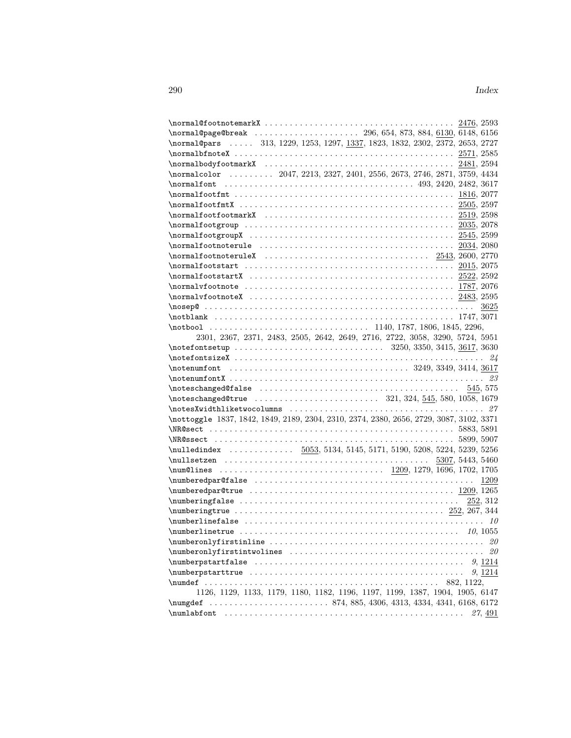| \normal@page@break  296, 654, 873, 884, 6130, 6148, 6156                                                                                                                                                                                                                             |                                                                                                        |  |         |
|--------------------------------------------------------------------------------------------------------------------------------------------------------------------------------------------------------------------------------------------------------------------------------------|--------------------------------------------------------------------------------------------------------|--|---------|
| \normal@pars  313, 1229, 1253, 1297, 1337, 1823, 1832, 2302, 2372, 2653, 2727                                                                                                                                                                                                        |                                                                                                        |  |         |
|                                                                                                                                                                                                                                                                                      |                                                                                                        |  |         |
|                                                                                                                                                                                                                                                                                      |                                                                                                        |  |         |
| \normalcolor  2047, 2213, 2327, 2401, 2556, 2673, 2746, 2871, 3759, 4434                                                                                                                                                                                                             |                                                                                                        |  |         |
|                                                                                                                                                                                                                                                                                      |                                                                                                        |  |         |
|                                                                                                                                                                                                                                                                                      |                                                                                                        |  |         |
|                                                                                                                                                                                                                                                                                      |                                                                                                        |  |         |
|                                                                                                                                                                                                                                                                                      |                                                                                                        |  |         |
| $\{normalfootgroup \dots \dots \dots \dots \dots \dots \dots \dots \dots \dots \dots \dots \ 2035, 2078$                                                                                                                                                                             |                                                                                                        |  |         |
|                                                                                                                                                                                                                                                                                      |                                                                                                        |  |         |
| $\{normalfootnot \newline  \ldots \ldots \ldots \ldots \ldots \ldots \ldots \}$ 2034, 2080                                                                                                                                                                                           |                                                                                                        |  |         |
|                                                                                                                                                                                                                                                                                      |                                                                                                        |  |         |
| $\{normalfootstart \dots \dots \dots \dots \dots \dots \dots \dots \dots \ 2015, 2075$                                                                                                                                                                                               |                                                                                                        |  |         |
|                                                                                                                                                                                                                                                                                      |                                                                                                        |  |         |
|                                                                                                                                                                                                                                                                                      |                                                                                                        |  |         |
|                                                                                                                                                                                                                                                                                      |                                                                                                        |  |         |
|                                                                                                                                                                                                                                                                                      |                                                                                                        |  |         |
|                                                                                                                                                                                                                                                                                      |                                                                                                        |  |         |
|                                                                                                                                                                                                                                                                                      |                                                                                                        |  |         |
| 2301, 2367, 2371, 2483, 2505, 2642, 2649, 2716, 2722, 3058, 3290, 5724, 5951                                                                                                                                                                                                         |                                                                                                        |  |         |
|                                                                                                                                                                                                                                                                                      |                                                                                                        |  |         |
|                                                                                                                                                                                                                                                                                      |                                                                                                        |  |         |
|                                                                                                                                                                                                                                                                                      |                                                                                                        |  |         |
|                                                                                                                                                                                                                                                                                      |                                                                                                        |  |         |
| $\mathcal{A}$ subsetting the set of $\mathcal{A}$ and $\mathcal{A}$ are $\mathcal{A}$ . The set of $\mathcal{A}$ is a set of $\mathcal{A}$ is a set of $\mathcal{A}$ is a set of $\mathcal{A}$ is a set of $\mathcal{A}$ is a set of $\mathcal{A}$ is a set of $\mathcal{A}$ is a se |                                                                                                        |  |         |
| \noteschanged@true  321, 324, 545, 580, 1058, 1679                                                                                                                                                                                                                                   |                                                                                                        |  |         |
|                                                                                                                                                                                                                                                                                      |                                                                                                        |  |         |
| \nottoggle 1837, 1842, 1849, 2189, 2304, 2310, 2374, 2380, 2656, 2729, 3087, 3102, 3371                                                                                                                                                                                              |                                                                                                        |  |         |
|                                                                                                                                                                                                                                                                                      |                                                                                                        |  |         |
|                                                                                                                                                                                                                                                                                      |                                                                                                        |  |         |
| $\lceil \nu \cdot 5234, 5239, 5256 \rceil$                                                                                                                                                                                                                                           |                                                                                                        |  |         |
| $\mathcal{S}307, 5443, 5460$                                                                                                                                                                                                                                                         |                                                                                                        |  |         |
|                                                                                                                                                                                                                                                                                      |                                                                                                        |  |         |
|                                                                                                                                                                                                                                                                                      |                                                                                                        |  |         |
|                                                                                                                                                                                                                                                                                      |                                                                                                        |  |         |
|                                                                                                                                                                                                                                                                                      |                                                                                                        |  |         |
|                                                                                                                                                                                                                                                                                      |                                                                                                        |  |         |
|                                                                                                                                                                                                                                                                                      | $\{\text{numberingtrue} \dots \dots \dots \dots \dots \dots \dots \dots \dots \dots \ 252, 267, 344\}$ |  |         |
| $\verb \numberlinefalse   , , , , , , , , , , , , , , , , , , , , , , , , , , , , , , , , ,$                                                                                                                                                                                         |                                                                                                        |  |         |
|                                                                                                                                                                                                                                                                                      |                                                                                                        |  |         |
| $\verb \numberonlyfirstinline         20$                                                                                                                                                                                                                                            |                                                                                                        |  |         |
|                                                                                                                                                                                                                                                                                      |                                                                                                        |  | 20      |
|                                                                                                                                                                                                                                                                                      |                                                                                                        |  | 9, 1214 |
|                                                                                                                                                                                                                                                                                      |                                                                                                        |  | 9, 1214 |
|                                                                                                                                                                                                                                                                                      |                                                                                                        |  |         |
| 1126, 1129, 1133, 1179, 1180, 1182, 1196, 1197, 1199, 1387, 1904, 1905, 6147                                                                                                                                                                                                         |                                                                                                        |  |         |
|                                                                                                                                                                                                                                                                                      |                                                                                                        |  | 27, 491 |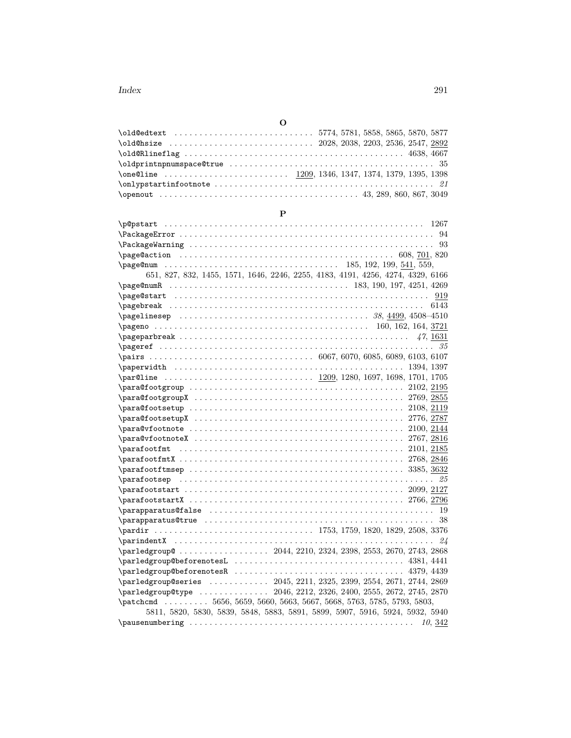| \old@edtext 5774,5781,5858,5865,5870,5877 |  |
|-------------------------------------------|--|
|                                           |  |
|                                           |  |
|                                           |  |
|                                           |  |
|                                           |  |
|                                           |  |

# **P**

| \p@pstart                                                                       |
|---------------------------------------------------------------------------------|
|                                                                                 |
|                                                                                 |
|                                                                                 |
|                                                                                 |
| 651, 827, 832, 1455, 1571, 1646, 2246, 2255, 4183, 4191, 4256, 4274, 4329, 6166 |
|                                                                                 |
|                                                                                 |
| 6143                                                                            |
|                                                                                 |
|                                                                                 |
|                                                                                 |
|                                                                                 |
|                                                                                 |
| $\epsilon$ .<br>1394, 1397                                                      |
|                                                                                 |
|                                                                                 |
|                                                                                 |
|                                                                                 |
|                                                                                 |
|                                                                                 |
| $\parbox{ 1.1\textwidth}{0.1.1\textwidth}$                                      |
|                                                                                 |
|                                                                                 |
|                                                                                 |
|                                                                                 |
|                                                                                 |
|                                                                                 |
|                                                                                 |
|                                                                                 |
|                                                                                 |
| 24                                                                              |
|                                                                                 |
|                                                                                 |
|                                                                                 |
| \parledgroup@series  2045, 2211, 2325, 2399, 2554, 2671, 2744, 2869             |
| \parledgroup@type  2046, 2212, 2326, 2400, 2555, 2672, 2745, 2870               |
| \patchcmd  5656, 5659, 5660, 5663, 5667, 5668, 5763, 5785, 5793, 5803,          |
| 5811, 5820, 5830, 5839, 5848, 5883, 5891, 5899, 5907, 5916, 5924, 5932, 5940    |
| 10, 342                                                                         |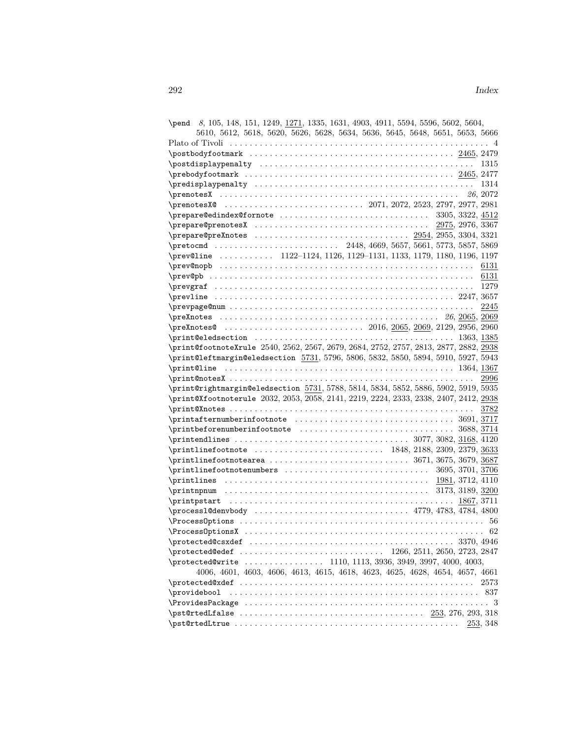| \pend 8, 105, 148, 151, 1249, 1271, 1335, 1631, 4903, 4911, 5594, 5596, 5602, 5604,   |
|---------------------------------------------------------------------------------------|
| 5610, 5612, 5618, 5620, 5626, 5628, 5634, 5636, 5645, 5648, 5651, 5653, 5666          |
|                                                                                       |
|                                                                                       |
|                                                                                       |
|                                                                                       |
|                                                                                       |
|                                                                                       |
|                                                                                       |
|                                                                                       |
|                                                                                       |
|                                                                                       |
|                                                                                       |
| \prev@line  1122-1124, 1126, 1129-1131, 1133, 1179, 1180, 1196, 1197                  |
|                                                                                       |
|                                                                                       |
|                                                                                       |
|                                                                                       |
| 2245                                                                                  |
|                                                                                       |
|                                                                                       |
|                                                                                       |
| \print@footnoteXrule 2540, 2562, 2567, 2679, 2684, 2752, 2757, 2813, 2877, 2882, 2938 |
| \print@leftmargin@eledsection 5731, 5796, 5806, 5832, 5850, 5894, 5910, 5927, 5943    |
|                                                                                       |
| 2996                                                                                  |
| \print@rightmargin@eledsection 5731, 5788, 5814, 5834, 5852, 5886, 5902, 5919, 5935   |
| \print@Xfootnoterule 2032, 2053, 2058, 2141, 2219, 2224, 2333, 2338, 2407, 2412, 2938 |
|                                                                                       |
| 3782                                                                                  |
|                                                                                       |
|                                                                                       |
|                                                                                       |
|                                                                                       |
|                                                                                       |
|                                                                                       |
|                                                                                       |
|                                                                                       |
|                                                                                       |
|                                                                                       |
|                                                                                       |
|                                                                                       |
| 3370, 4946                                                                            |
|                                                                                       |
| \protected@write  1110, 1113, 3936, 3949, 3997, 4000, 4003,                           |
| 4006, 4601, 4603, 4606, 4613, 4615, 4618, 4623, 4625, 4628, 4654, 4657, 4661          |
| 2573                                                                                  |
| \providebool                                                                          |
|                                                                                       |
|                                                                                       |
| 253, 348                                                                              |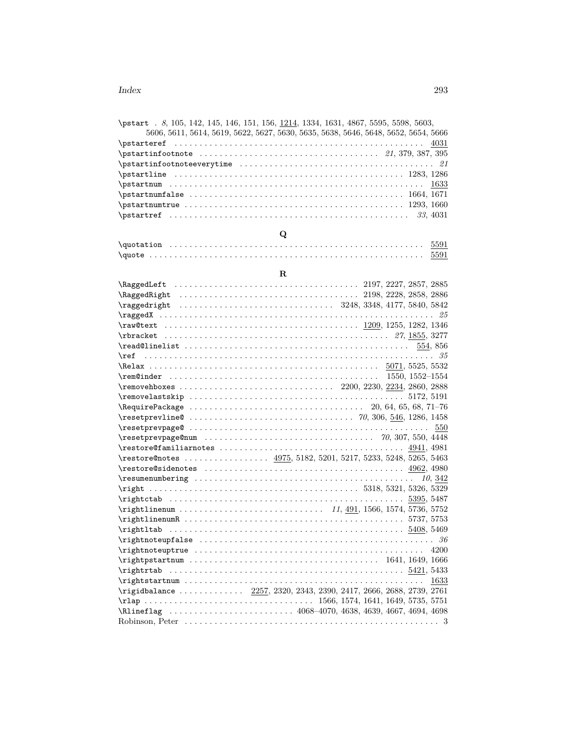| \pstart . 8, 105, 142, 145, 146, 151, 156, 1214, 1334, 1631, 4867, 5595, 5598, 5603, |
|--------------------------------------------------------------------------------------|
| 5606, 5611, 5614, 5619, 5622, 5627, 5630, 5635, 5638, 5646, 5648, 5652, 5654, 5666   |
|                                                                                      |
|                                                                                      |
| $\texttt{\${}$                                                                       |
|                                                                                      |
|                                                                                      |
|                                                                                      |
|                                                                                      |
|                                                                                      |

# **Q**

| $\qquad$ |  |
|----------|--|
| $\qquad$ |  |

# **R**

| $\texttt{Testprevalue@ 70, 306, 546, 1286, 1458}$                                                                                                                                                                                                                                                                                                                                                                                                                                        |
|------------------------------------------------------------------------------------------------------------------------------------------------------------------------------------------------------------------------------------------------------------------------------------------------------------------------------------------------------------------------------------------------------------------------------------------------------------------------------------------|
|                                                                                                                                                                                                                                                                                                                                                                                                                                                                                          |
|                                                                                                                                                                                                                                                                                                                                                                                                                                                                                          |
|                                                                                                                                                                                                                                                                                                                                                                                                                                                                                          |
| \restore@notes  4975, 5182, 5201, 5217, 5233, 5248, 5265, 5463                                                                                                                                                                                                                                                                                                                                                                                                                           |
|                                                                                                                                                                                                                                                                                                                                                                                                                                                                                          |
|                                                                                                                                                                                                                                                                                                                                                                                                                                                                                          |
|                                                                                                                                                                                                                                                                                                                                                                                                                                                                                          |
| $\right. \quad \ldots \quad \text{5318, 5321, 5326, 5329}$                                                                                                                                                                                                                                                                                                                                                                                                                               |
| $\rightarrow$ 5395, 5487                                                                                                                                                                                                                                                                                                                                                                                                                                                                 |
|                                                                                                                                                                                                                                                                                                                                                                                                                                                                                          |
| $\rightarrow$ 5737, 5753                                                                                                                                                                                                                                                                                                                                                                                                                                                                 |
|                                                                                                                                                                                                                                                                                                                                                                                                                                                                                          |
| $\rightarrow$ 86 $\rightarrow$ 86 $\rightarrow$ 86 $\rightarrow$ 86 $\rightarrow$ 86 $\rightarrow$ 86 $\rightarrow$ 86 $\rightarrow$ 86 $\rightarrow$ 86 $\rightarrow$ 86 $\rightarrow$ 86 $\rightarrow$ 86 $\rightarrow$ 86 $\rightarrow$ 86 $\rightarrow$ 86 $\rightarrow$ 86 $\rightarrow$ 86 $\rightarrow$ 86 $\rightarrow$ 86 $\rightarrow$ 86 $\rightarrow$ 86 $\rightarrow$ 86 $\rightarrow$ 86 $\rightarrow$ 86 $\rightarrow$ 86 $\rightarrow$ 86 $\rightarrow$ 86 $\rightarrow$ |
|                                                                                                                                                                                                                                                                                                                                                                                                                                                                                          |
| $\rightarrow$ 1641, 1649, 1666                                                                                                                                                                                                                                                                                                                                                                                                                                                           |
|                                                                                                                                                                                                                                                                                                                                                                                                                                                                                          |
| 1633                                                                                                                                                                                                                                                                                                                                                                                                                                                                                     |
| \rigidbalance  2257, 2320, 2343, 2390, 2417, 2666, 2688, 2739, 2761                                                                                                                                                                                                                                                                                                                                                                                                                      |
|                                                                                                                                                                                                                                                                                                                                                                                                                                                                                          |
|                                                                                                                                                                                                                                                                                                                                                                                                                                                                                          |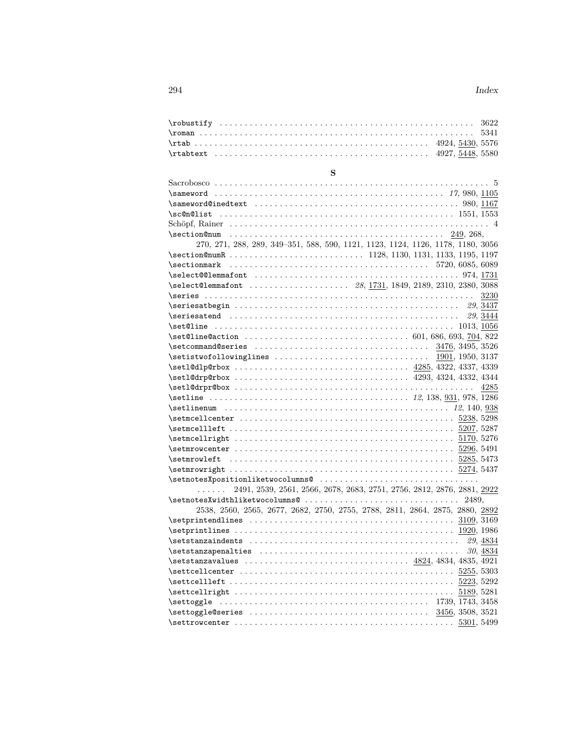## **S** Sacrobosco . . . . . . . . . . . . . . . . . . . . . . . . . . . . . . . . . . . . . . . . . . . . . . . . . . . . . . . 5 \sameword . . . . . . . . . . . . . . . . . . . . . . . . . . . . . . . . . . . . . . . . . . . . . . *17*, 980, 1105 \sameword@inedtext \\cdots\\sameword@inedtext \\cdots\\sameword@inedtext \times\\same\\sameword@inedtext \times\\same\\same\\same\\same\\same\\same\\same\\same\\same\\same\\same\\same\\same\\same\\same\\same\\same\\same\\s \sc@n@list . . . . . . . . . . . . . . . . . . . . . . . . . . . . . . . . . . . . . . . . . . . . . . . 1551, 1553 Schöpf, Rainer . . . . . . . . . . . . . . . . . . . . . . . . . . . . . . . . . . . . . . . . . . . . . . . . . . . . 4 \section@num . . . . . . . . . . . . . . . . . . . . . . . . . . . . . . . . . . . . . . . . . . . 249, 268, 270, 271, 288, 289, 349–351, 588, 590, 1121, 1123, 1124, 1126, 1178, 1180, 3056 \section@numR . . . . . . . . . . . . . . . . . . . . . . . . . . . 1128, 1130, 1131, 1133, 1195, 1197 \sectionmark . . . . . . . . . . . . . . . . . . . . . . . . . . . . . . . . . . . . . . . . 5720, 6085, 6089 \select@@lemmafont . . . . . . . . . . . . . . . . . . . . . . . . . . . . . . . . . . . . . . . . . 974, 1731 \select@lemmafont . . . . . . . . . . . . . . . . . . . . *28*, 1731, 1849, 2189, 2310, 2380, 3088 \series . . . . . . . . . . . . . . . . . . . . . . . . . . . . . . . . . . . . . . . . . . . . . . . . . . . . . . 3230 \seriesatbegin . . . . . . . . . . . . . . . . . . . . . . . . . . . . . . . . . . . . . . . . . . . . . *29*, 3437 \seriesatend . . . . . . . . . . . . . . . . . . . . . . . . . . . . . . . . . . . . . . . . . . . . . . *29*, 3444 \set@line . . . . . . . . . . . . . . . . . . . . . . . . . . . . . . . . . . . . . . . . . . . . . . . . 1013, 1056 \set@line@action . . . . . . . . . . . . . . . . . . . . . . . . . . . . . . . . . 601, 686, 693, 704, 822 \setcommand@series . . . . . . . . . . . . . . . . . . . . . . . . . . . . . . . . . . . 3476, 3495, 3526 \setistwofollowinglines . . . . . . . . . . . . . . . . . . . . . . . . . . . . . . . 1901, 1950, 3137 \setl@dlp@rbox . . . . . . . . . . . . . . . . . . . . . . . . . . . . . . . . . . . 4285, 4322, 4337, 4339 \setl@drp@rbox . . . . . . . . . . . . . . . . . . . . . . . . . . . . . . . . . . . 4293, 4324, 4332, 4344 \setl@drpr@box . . . . . . . . . . . . . . . . . . . . . . . . . . . . . . . . . . . . . . . . . . . . . . . . 4285 \setline . . . . . . . . . . . . . . . . . . . . . . . . . . . . . . . . . . . . . . . . *12*, 138, 931, 978, 1286 \setlinenum . . . . . . . . . . . . . . . . . . . . . . . . . . . . . . . . . . . . . . . . . . . . . *12*, 140, 938 \setmcellcenter . . . . . . . . . . . . . . . . . . . . . . . . . . . . . . . . . . . . . . . . . . . 5238, 5298 \setmcellleft . . . . . . . . . . . . . . . . . . . . . . . . . . . . . . . . . . . . . . . . . . . . . 5207, 5287 \setmcellright . . . . . . . . . . . . . . . . . . . . . . . . . . . . . . . . . . . . . . . . . . . . 5170, 5276 \setmrowcenter . . . . . . . . . . . . . . . . . . . . . . . . . . . . . . . . . . . . . . . . . . . . 5296, 5491 \setmrowleft . . . . . . . . . . . . . . . . . . . . . . . . . . . . . . . . . . . . . . . . . . . . . 5285, 5473 \setmrowright . . . . . . . . . . . . . . . . . . . . . . . . . . . . . . . . . . . . . . . . . . . . . 5274, 5437 \setnotesXpositionliketwocolumns@ . . . . . . . . . . . . . . . . . . . . . . . . . . . . . . . . . . . . . . 2491, 2539, 2561, 2566, 2678, 2683, 2751, 2756, 2812, 2876, 2881, 2922 \setnotesXwidthliketwocolumns@ .................................. 2489, 2538, 2560, 2565, 2677, 2682, 2750, 2755, 2788, 2811, 2864, 2875, 2880, 2892  $\setminus$ setprintendlines  $\ldots \ldots \ldots \ldots \ldots \ldots \ldots \ldots \ldots \ldots \frac{3109}{3169}$ \setprintlines . . . . . . . . . . . . . . . . . . . . . . . . . . . . . . . . . . . . . . . . . . . . 1920, 1986 \setstanzaindents . . . . . . . . . . . . . . . . . . . . . . . . . . . . . . . . . . . . . . . . . . *29*, 4834 \setstanzapenalties . . . . . . . . . . . . . . . . . . . . . . . . . . . . . . . . . . . . . . . . *30*, 4834 \setstanzavalues . . . . . . . . . . . . . . . . . . . . . . . . . . . . . . . . . 4824, 4834, 4835, 4921 \settcellcenter . . . . . . . . . . . . . . . . . . . . . . . . . . . . . . . . . . . . . . . . . . . 5255, 5303 \settcellleft . . . . . . . . . . . . . . . . . . . . . . . . . . . . . . . . . . . . . . . . . . . . . 5223, 5292 \settcellright . . . . . . . . . . . . . . . . . . . . . . . . . . . . . . . . . . . . . . . . . . . . 5189, 5281 \settoggle . . . . . . . . . . . . . . . . . . . . . . . . . . . . . . . . . . . . . . . . . . 1739, 1743, 3458 \settoggle@series . . . . . . . . . . . . . . . . . . . . . . . . . . . . . . . . . . . . 3456, 3508, 3521 \settrowcenter . . . . . . . . . . . . . . . . . . . . . . . . . . . . . . . . . . . . . . . . . . . . 5301, 5499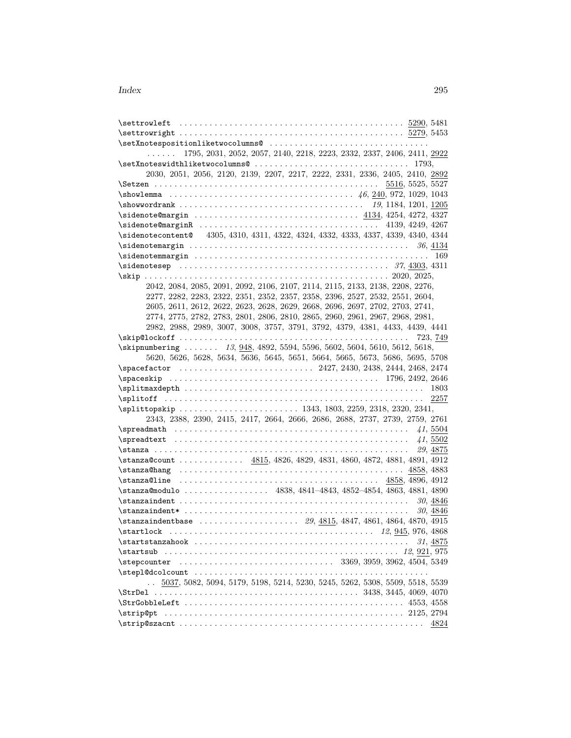| \setXnotespositionliketwocolumns@                                                  |                                                                              |
|------------------------------------------------------------------------------------|------------------------------------------------------------------------------|
| .                                                                                  | 1795, 2031, 2052, 2057, 2140, 2218, 2223, 2332, 2337, 2406, 2411, 2922       |
| \setXnoteswidthliketwocolumns@ 1793,                                               |                                                                              |
| 2030, 2051, 2056, 2120, 2139, 2207, 2217, 2222, 2331, 2336, 2405, 2410, 2892       |                                                                              |
|                                                                                    |                                                                              |
|                                                                                    |                                                                              |
|                                                                                    |                                                                              |
|                                                                                    |                                                                              |
| $\simeq 4139, 4249, 4267$                                                          |                                                                              |
| \sidenotecontent@ 4305, 4310, 4311, 4322, 4324, 4332, 4333, 4337, 4339, 4340, 4344 |                                                                              |
|                                                                                    |                                                                              |
|                                                                                    | 169                                                                          |
|                                                                                    |                                                                              |
|                                                                                    |                                                                              |
| 2042, 2084, 2085, 2091, 2092, 2106, 2107, 2114, 2115, 2133, 2138, 2208, 2276,      |                                                                              |
| 2277, 2282, 2283, 2322, 2351, 2352, 2357, 2358, 2396, 2527, 2532, 2551, 2604,      |                                                                              |
| 2605, 2611, 2612, 2622, 2623, 2628, 2629, 2668, 2696, 2697, 2702, 2703, 2741,      |                                                                              |
| 2774, 2775, 2782, 2783, 2801, 2806, 2810, 2865, 2960, 2961, 2967, 2968, 2981,      |                                                                              |
| 2982, 2988, 2989, 3007, 3008, 3757, 3791, 3792, 4379, 4381, 4433, 4439, 4441       |                                                                              |
|                                                                                    |                                                                              |
| \skipnumbering  13, 948, 4892, 5594, 5596, 5602, 5604, 5610, 5612, 5618,           |                                                                              |
| 5620, 5626, 5628, 5634, 5636, 5645, 5651, 5664, 5665, 5673, 5686, 5695, 5708       |                                                                              |
|                                                                                    |                                                                              |
| $\simeq 1796, 2492, 2646$                                                          |                                                                              |
| $\square$                                                                          |                                                                              |
|                                                                                    |                                                                              |
|                                                                                    |                                                                              |
| 2343, 2388, 2390, 2415, 2417, 2664, 2666, 2686, 2688, 2737, 2739, 2759, 2761       |                                                                              |
| $\simeq$                                                                           | 41,5504                                                                      |
| $\sp{spreadtext  \dots  \dots  \dots  \dots  \dots  \dots  \dots  }$               | 41, 5502                                                                     |
|                                                                                    | 29, 4875                                                                     |
| \stanza@count  4815, 4826, 4829, 4831, 4860, 4872, 4881, 4891, 4912                |                                                                              |
|                                                                                    |                                                                              |
| $\frac{1}{858,4896,4912}$                                                          |                                                                              |
| \stanza@modulo  4838, 4841-4843, 4852-4854, 4863, 4881, 4890                       |                                                                              |
|                                                                                    | 30, 4846                                                                     |
| $\frac{1}{\sigma}$                                                                 | 30, 4846                                                                     |
|                                                                                    |                                                                              |
|                                                                                    |                                                                              |
|                                                                                    | 31, 4875                                                                     |
| \startsub                                                                          |                                                                              |
|                                                                                    |                                                                              |
|                                                                                    |                                                                              |
| $\ddotsc$                                                                          | 5037, 5082, 5094, 5179, 5198, 5214, 5230, 5245, 5262, 5308, 5509, 5518, 5539 |
|                                                                                    |                                                                              |
|                                                                                    |                                                                              |
| \strip@pt                                                                          |                                                                              |
|                                                                                    | 4824                                                                         |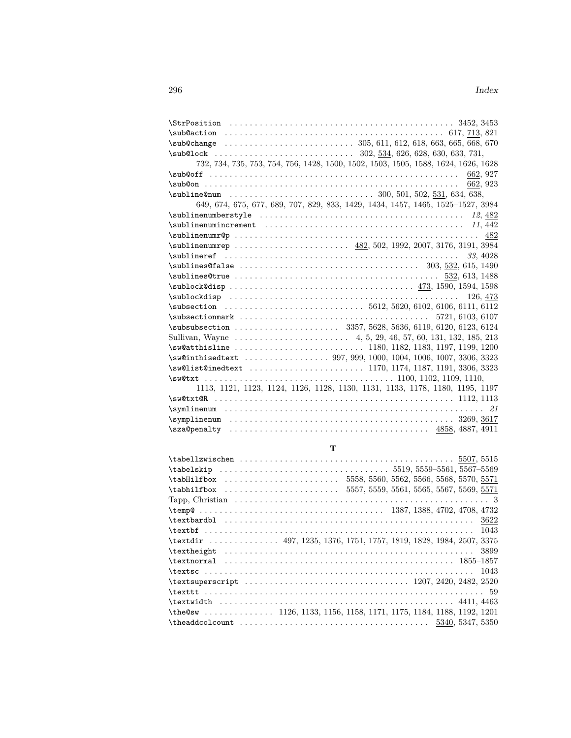# **T**

| \tabHilfbox  5558, 5560, 5562, 5566, 5568, 5570, 5571                                                |      |
|------------------------------------------------------------------------------------------------------|------|
| $\{\text{tabhilfbox} \dots \dots \dots \dots \dots \dots 5557, 5559, 5561, 5565, 5567, 5569, 5571\}$ |      |
|                                                                                                      |      |
|                                                                                                      |      |
|                                                                                                      |      |
|                                                                                                      | 1043 |
| \textdir  497, 1235, 1376, 1751, 1757, 1819, 1828, 1984, 2507, 3375                                  |      |
| $\text{the}$                                                                                         | 3899 |
|                                                                                                      |      |
|                                                                                                      |      |
|                                                                                                      |      |
|                                                                                                      |      |
|                                                                                                      |      |
| $\theta s$ 1126, 1133, 1156, 1158, 1171, 1175, 1184, 1188, 1192, 1201                                |      |
|                                                                                                      |      |
|                                                                                                      |      |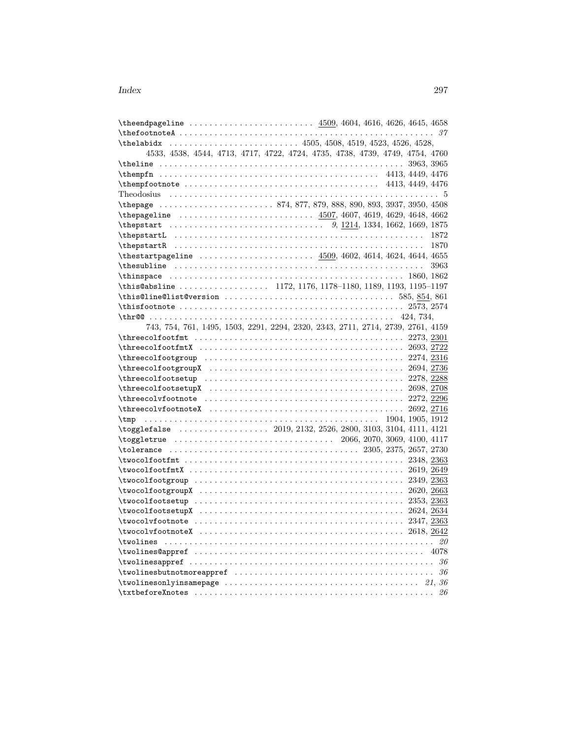| \the endpageline $\ldots \ldots \ldots \ldots \ldots \ldots$ 4509, 4604, 4616, 4626, 4645, 4658                |      |
|----------------------------------------------------------------------------------------------------------------|------|
|                                                                                                                |      |
|                                                                                                                |      |
| 4533, 4538, 4544, 4713, 4717, 4722, 4724, 4735, 4738, 4739, 4749, 4754, 4760                                   |      |
|                                                                                                                |      |
| $\theta$ , 1449, 4476                                                                                          |      |
| $\theta$ . 4413, 4449, 4476                                                                                    |      |
|                                                                                                                |      |
|                                                                                                                |      |
|                                                                                                                |      |
|                                                                                                                |      |
| $\theta$                                                                                                       |      |
|                                                                                                                | 1870 |
| \thestartpageline  4509, 4602, 4614, 4624, 4644, 4655                                                          |      |
|                                                                                                                | 3963 |
|                                                                                                                |      |
|                                                                                                                |      |
|                                                                                                                |      |
| $\{\text{thisfootnote} \dots \dots \dots \dots \dots \dots \dots \dots \dots \dots \dots \dots \ 2573, 2574\}$ |      |
|                                                                                                                |      |
| 743, 754, 761, 1495, 1503, 2291, 2294, 2320, 2343, 2711, 2714, 2739, 2761, 4159                                |      |
|                                                                                                                |      |
|                                                                                                                |      |
|                                                                                                                |      |
|                                                                                                                |      |
|                                                                                                                |      |
|                                                                                                                |      |
| $\hbox{\tt \therefore 2272, 2296}$                                                                             |      |
| $\theta$ . 2692, 2716                                                                                          |      |
| \tmp                                                                                                           |      |
|                                                                                                                |      |
|                                                                                                                |      |
|                                                                                                                |      |
|                                                                                                                |      |
|                                                                                                                |      |
|                                                                                                                |      |
|                                                                                                                |      |
|                                                                                                                |      |
|                                                                                                                |      |
|                                                                                                                |      |
|                                                                                                                |      |
|                                                                                                                |      |
|                                                                                                                |      |
| \twolinesappref $\ldots \ldots \ldots \ldots \ldots \ldots \ldots \ldots$                                      |      |
|                                                                                                                |      |
|                                                                                                                |      |
|                                                                                                                |      |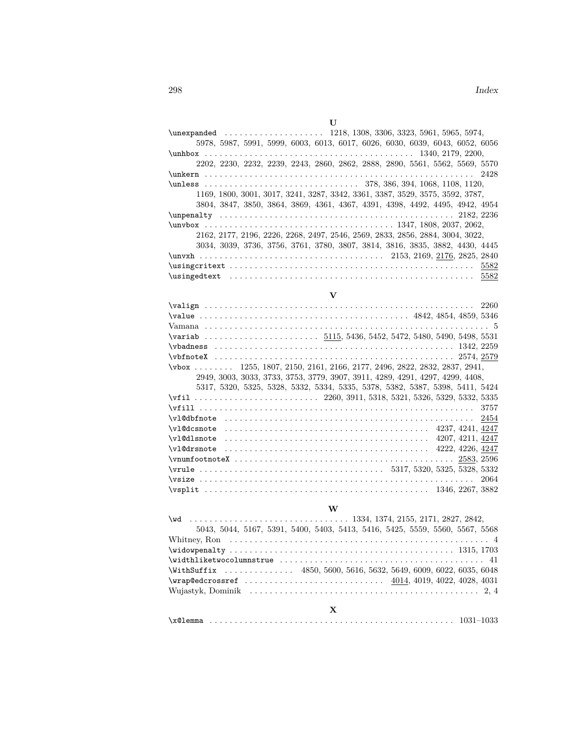| U                                                                             |  |
|-------------------------------------------------------------------------------|--|
| $\mu$ expanded  1218, 1308, 3306, 3323, 5961, 5965, 5974,                     |  |
| 5978, 5987, 5991, 5999, 6003, 6013, 6017, 6026, 6030, 6039, 6043, 6052, 6056  |  |
|                                                                               |  |
| 2202, 2230, 2232, 2239, 2243, 2860, 2862, 2888, 2890, 5561, 5562, 5569, 5570  |  |
|                                                                               |  |
|                                                                               |  |
| 1169, 1800, 3001, 3017, 3241, 3287, 3342, 3361, 3387, 3529, 3575, 3592, 3787, |  |
| 3804, 3847, 3850, 3864, 3869, 4361, 4367, 4391, 4398, 4492, 4495, 4942, 4954  |  |
|                                                                               |  |
|                                                                               |  |
| 2162, 2177, 2196, 2226, 2268, 2497, 2546, 2569, 2833, 2856, 2884, 3004, 3022, |  |
| 3034, 3039, 3736, 3756, 3761, 3780, 3807, 3814, 3816, 3835, 3882, 4430, 4445  |  |
|                                                                               |  |
|                                                                               |  |
|                                                                               |  |

| $\bf V$                                                                       |  |
|-------------------------------------------------------------------------------|--|
|                                                                               |  |
|                                                                               |  |
|                                                                               |  |
|                                                                               |  |
| $\verb \vbadness   \dots 1342, 2259$                                          |  |
|                                                                               |  |
| \vbox  1255, 1807, 2150, 2161, 2166, 2177, 2496, 2822, 2832, 2837, 2941,      |  |
| 2949, 3003, 3033, 3733, 3753, 3779, 3907, 3911, 4289, 4291, 4297, 4299, 4408, |  |
| 5317, 5320, 5325, 5328, 5332, 5334, 5335, 5378, 5382, 5387, 5398, 5411, 5424  |  |
| \vfil  2260, 3911, 5318, 5321, 5326, 5329, 5332, 5335                         |  |
|                                                                               |  |
|                                                                               |  |
|                                                                               |  |
|                                                                               |  |
|                                                                               |  |
|                                                                               |  |
|                                                                               |  |

# \vsplit . . . . . . . . . . . . . . . . . . . . . . . . . . . . . . . . . . . . . . . . . . . . . 1346, 2267, 3882 **W**

\vsize . . . . . . . . . . . . . . . . . . . . . . . . . . . . . . . . . . . . . . . . . . . . . . . . . . . . . . . 2064

| 5043, 5044, 5167, 5391, 5400, 5403, 5413, 5416, 5425, 5559, 5560, 5567, 5568 |
|------------------------------------------------------------------------------|
|                                                                              |
| $\widetilde{1315}$ , 1703                                                    |
|                                                                              |
| \WithSuffix  4850, 5600, 5616, 5632, 5649, 6009, 6022, 6035, 6048            |
| $\varphi = 4014, 4019, 4022, 4028, 4031$                                     |
|                                                                              |
|                                                                              |

# **X**

|--|--|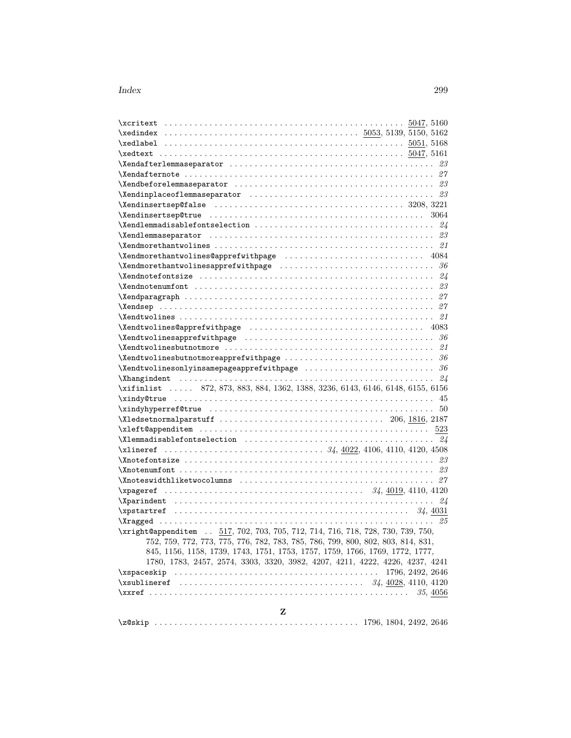| $\verb \Xendafterlemma* \verb equator   \verb .\dots \verb .\dots \verb .\dots \verb .\dots \verb . 23 $                                                                                                                                                                                        |                  |  |
|-------------------------------------------------------------------------------------------------------------------------------------------------------------------------------------------------------------------------------------------------------------------------------------------------|------------------|--|
|                                                                                                                                                                                                                                                                                                 |                  |  |
|                                                                                                                                                                                                                                                                                                 |                  |  |
|                                                                                                                                                                                                                                                                                                 |                  |  |
| $\verb+\Xendinsertsep@false + \verb+\+\+ \verb+\+\+ \verb+\+\+ \verb+\+\+ \verb+\+3208, 3221$                                                                                                                                                                                                   |                  |  |
|                                                                                                                                                                                                                                                                                                 |                  |  |
|                                                                                                                                                                                                                                                                                                 |                  |  |
| \Xendlemmaseparator $\ldots \ldots \ldots \ldots \ldots \ldots \ldots \ldots \ldots \ldots$                                                                                                                                                                                                     |                  |  |
| $\verb+\Xendmorethantwolines \dots .\dots .\dots .\dots .\dots .\dots .\dots .\dots .\dots .\ 21$                                                                                                                                                                                               |                  |  |
|                                                                                                                                                                                                                                                                                                 |                  |  |
|                                                                                                                                                                                                                                                                                                 |                  |  |
| $\lambda$ and $\lambda$ to the set of $\lambda$ is the set of $\lambda$ is the set of $\lambda$ is the set of $\lambda$ is the set of $\lambda$ is the set of $\lambda$ is the set of $\lambda$ is the set of $\lambda$ is the set of $\lambda$ is the set of $\lambda$ is the set of $\lambda$ |                  |  |
|                                                                                                                                                                                                                                                                                                 |                  |  |
|                                                                                                                                                                                                                                                                                                 |                  |  |
|                                                                                                                                                                                                                                                                                                 |                  |  |
|                                                                                                                                                                                                                                                                                                 |                  |  |
|                                                                                                                                                                                                                                                                                                 |                  |  |
| \Xendtwolinesapprefwithpage $\ldots \ldots \ldots \ldots \ldots \ldots \ldots \ldots \ldots \ldots$                                                                                                                                                                                             |                  |  |
| \Xendtwolinesbutnotmore $\ldots \ldots \ldots \ldots \ldots \ldots \ldots \ldots \ldots \ldots \ldots$                                                                                                                                                                                          |                  |  |
|                                                                                                                                                                                                                                                                                                 |                  |  |
|                                                                                                                                                                                                                                                                                                 |                  |  |
|                                                                                                                                                                                                                                                                                                 |                  |  |
| \xifinlist  872, 873, 883, 884, 1362, 1388, 3236, 6143, 6146, 6148, 6155, 6156                                                                                                                                                                                                                  |                  |  |
|                                                                                                                                                                                                                                                                                                 |                  |  |
|                                                                                                                                                                                                                                                                                                 |                  |  |
|                                                                                                                                                                                                                                                                                                 |                  |  |
|                                                                                                                                                                                                                                                                                                 |                  |  |
|                                                                                                                                                                                                                                                                                                 |                  |  |
|                                                                                                                                                                                                                                                                                                 |                  |  |
|                                                                                                                                                                                                                                                                                                 |                  |  |
|                                                                                                                                                                                                                                                                                                 |                  |  |
|                                                                                                                                                                                                                                                                                                 |                  |  |
|                                                                                                                                                                                                                                                                                                 |                  |  |
|                                                                                                                                                                                                                                                                                                 |                  |  |
|                                                                                                                                                                                                                                                                                                 |                  |  |
|                                                                                                                                                                                                                                                                                                 |                  |  |
| \xright@appenditem  517, 702, 703, 705, 712, 714, 716, 718, 728, 730, 739, 750,                                                                                                                                                                                                                 |                  |  |
| 752, 759, 772, 773, 775, 776, 782, 783, 785, 786, 799, 800, 802, 803, 814, 831,                                                                                                                                                                                                                 |                  |  |
| 845, 1156, 1158, 1739, 1743, 1751, 1753, 1757, 1759, 1766, 1769, 1772, 1777,                                                                                                                                                                                                                    |                  |  |
| 1780, 1783, 2457, 2574, 3303, 3320, 3982, 4207, 4211, 4222, 4226, 4237, 4241                                                                                                                                                                                                                    |                  |  |
|                                                                                                                                                                                                                                                                                                 | 1796, 2492, 2646 |  |
|                                                                                                                                                                                                                                                                                                 |                  |  |
|                                                                                                                                                                                                                                                                                                 |                  |  |
|                                                                                                                                                                                                                                                                                                 |                  |  |
| z                                                                                                                                                                                                                                                                                               |                  |  |

\z@skip . . . . . . . . . . . . . . . . . . . . . . . . . . . . . . . . . . . . . . . . . 1796, 1804, 2492, 2646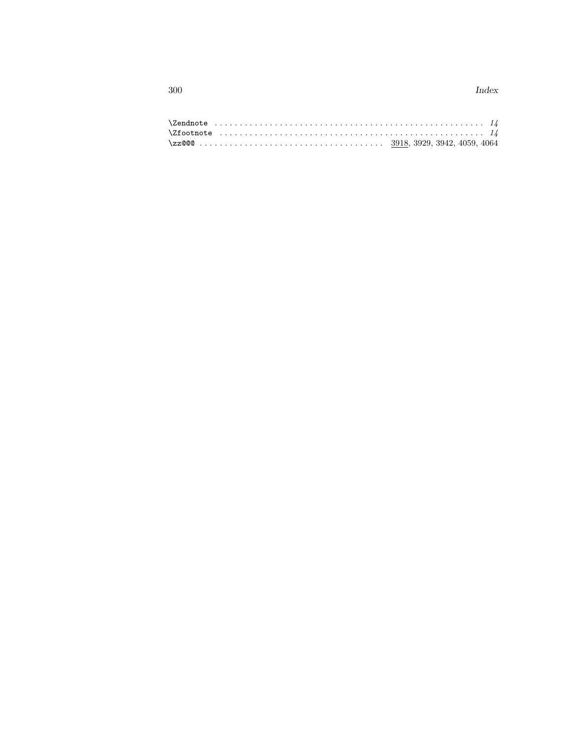$300\,$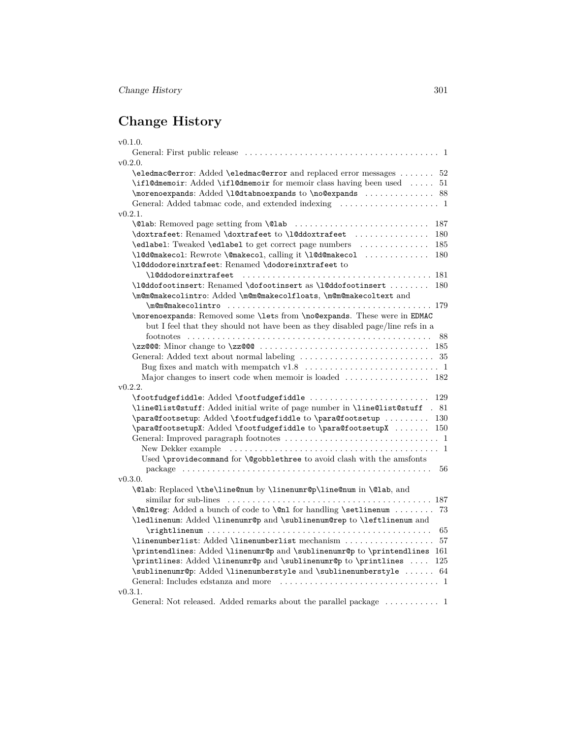| v0.1.0.                                                                                                                           |
|-----------------------------------------------------------------------------------------------------------------------------------|
|                                                                                                                                   |
| v(0.2.0.                                                                                                                          |
| \eledmac@error: Added \eledmac@error and replaced error messages<br>52                                                            |
| \ifl@dmemoir: Added \ifl@dmemoir for memoir class having been used<br>51                                                          |
| \morenoexpands: Added \1@dtabnoexpands to \no@expands  88                                                                         |
|                                                                                                                                   |
| v(0.2.1.                                                                                                                          |
| 187                                                                                                                               |
| \doxtrafeet: Renamed \doxtrafeet to \l@ddoxtrafeet \\doxtrafeet \\doxtrafeet \\doxtrafeet \\doxtrafeet \\doxtrafeet \times<br>180 |
| \edlabel: Tweaked \edlabel to get correct page numbers<br>185                                                                     |
| \10d@makeco1: Rewrote \@makeco1, calling it \10d@makeco1<br>180                                                                   |
| \l@ddodoreinxtrafeet: Renamed \dodoreinxtrafeet to                                                                                |
| \l@ddodoreinxtrafeet                                                                                                              |
| \1@ddofootinsert: Renamed \dofootinsert as \1@ddofootinsert<br>180                                                                |
| \m@m@makecolintro: Added \m@m@makecolfloats, \m@m@makecoltext and                                                                 |
|                                                                                                                                   |
| \morenoexpands: Removed some \lets from \no@expands. These were in EDMAC                                                          |
| but I feel that they should not have been as they disabled page/line refs in a                                                    |
| 88                                                                                                                                |
| $\zeta$ zz@@c: Minor change to $\zeta$ zz@@qtistation is in its in its interesting in its interesting in the $\zeta$<br>185       |
|                                                                                                                                   |
|                                                                                                                                   |
|                                                                                                                                   |
| v(0.2.2.                                                                                                                          |
| \footfudgefiddle: Added \footfudgefiddle<br>129                                                                                   |
| \line@list@stuff: Added initial write of page number in \line@list@stuff . 81                                                     |
| \para@footsetup: Added \footfudgefiddle to \para@footsetup<br>130                                                                 |
| \para@footsetupX: Added \footfudgefiddle to \para@footsetupX<br>150                                                               |
|                                                                                                                                   |
|                                                                                                                                   |
| Used \providecommand for \@gobblethree to avoid clash with the amsfonts                                                           |
| 56                                                                                                                                |
| v(0.3.0.                                                                                                                          |
| \@lab: Replaced \the\line@num by \linenumr@p\line@num in \@lab, and                                                               |
|                                                                                                                                   |
| \@nl@reg: Added a bunch of code to \@nl for handling \setlinenum<br>73                                                            |
| \ledlinenum: Added \linenumr@p and \sublinenum@rep to \leftlinenum and                                                            |
| 65                                                                                                                                |
| \linenumberlist: Added \linenumberlist mechanism<br>57                                                                            |
| \printendlines: Added \linenumr@p and \sublinenumr@p to \printendlines 161                                                        |
| \printlines: Added \linenumr@p and \sublinenumr@p to \printlines<br>125                                                           |
| \sublinenumr@p: Added \linenumberstyle and \sublinenumberstyle  64                                                                |
|                                                                                                                                   |
| v(0.3.1.                                                                                                                          |
|                                                                                                                                   |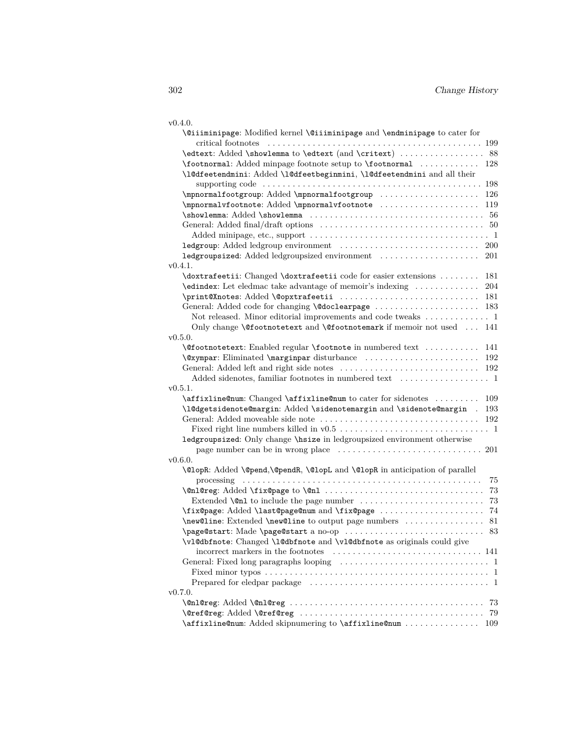| I |  |
|---|--|

|          | \@iiiminipage: Modified kernel \@iiiminipage and \endminipage to cater for                                                                 |
|----------|--------------------------------------------------------------------------------------------------------------------------------------------|
|          |                                                                                                                                            |
|          | \edtext: Added \showlemma to \edtext (and \critext)  88                                                                                    |
|          | \footnormal: Added minpage footnote setup to \footnormal  128                                                                              |
|          | \1@dfeetendmini: Added \1@dfeetbeginmini, \1@dfeetendmini and all their                                                                    |
|          |                                                                                                                                            |
|          | \mpnormalfootgroup: Added \mpnormalfootgroup<br>126                                                                                        |
|          | \mpnormalvfootnote: Added \mpnormalvfootnote<br>119                                                                                        |
|          |                                                                                                                                            |
|          |                                                                                                                                            |
|          |                                                                                                                                            |
|          |                                                                                                                                            |
|          |                                                                                                                                            |
| v0.4.1.  |                                                                                                                                            |
|          | \doxtrafeetii: Changed \doxtrafeetii code for easier extensions<br>181<br>\edindex: Let eledmac take advantage of memoir's indexing<br>204 |
|          | \print@Xnotes: Added \@opxtrafeetii<br>181                                                                                                 |
|          |                                                                                                                                            |
|          | Not released. Minor editorial improvements and code tweaks  1                                                                              |
|          | Only change <b>\@footnotetext</b> and <b>\@footnotemark</b> if memoir not used<br>141                                                      |
| v0.5.0.  |                                                                                                                                            |
|          | <b>\@footnotetext:</b> Enabled regular <b>\footnote</b> in numbered text<br>141                                                            |
|          | 192                                                                                                                                        |
|          |                                                                                                                                            |
|          |                                                                                                                                            |
| v(0.5.1. |                                                                                                                                            |
|          | \affixline@num: Changed \affixline@num to cater for sidenotes<br>109                                                                       |
|          | \l@dgetsidenote@margin: Added \sidenotemargin and \sidenote@margin .<br>193                                                                |
|          |                                                                                                                                            |
|          |                                                                                                                                            |
|          | ledgroupsized: Only change \hsize in ledgroupsized environment otherwise                                                                   |
|          |                                                                                                                                            |
| v0.6.0.  |                                                                                                                                            |
|          | \@lopR: Added \@pend,\@pendR, \@lopL and \@lopR in anticipation of parallel                                                                |
|          | 75                                                                                                                                         |
|          | 73                                                                                                                                         |
|          | 73                                                                                                                                         |
|          | \fix@page: Added \last@page@num and \fix@page<br>74                                                                                        |
|          | \new@line: Extended \new@line to output page numbers<br>81                                                                                 |
|          | \page@start: Made \page@start a no-op<br>83                                                                                                |
|          | \v1@dbfnote: Changed \1@dbfnote and \v1@dbfnote as originals could give                                                                    |
|          |                                                                                                                                            |
|          |                                                                                                                                            |
|          |                                                                                                                                            |
|          |                                                                                                                                            |
| v(0.7.0. |                                                                                                                                            |
|          | 73                                                                                                                                         |
|          | 79                                                                                                                                         |
|          | \affixline@num: Added skipnumering to \affixline@num  109                                                                                  |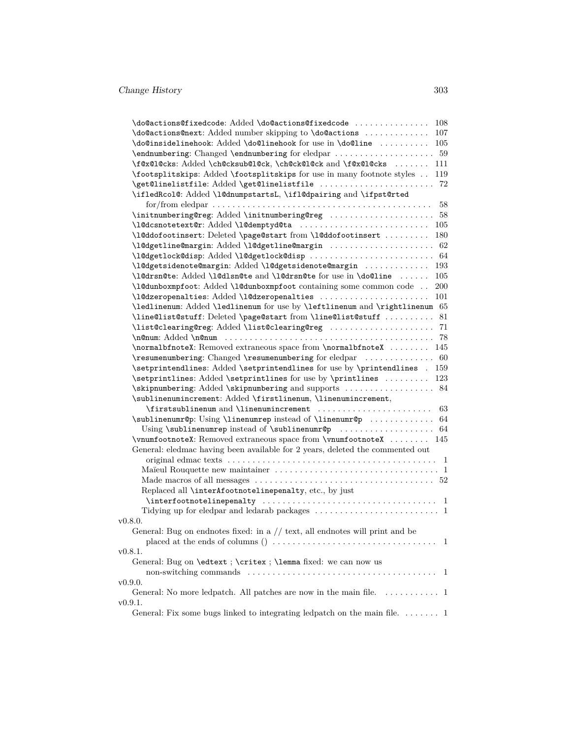| \do@actions@next: Added number skipping to \do@actions                                 | 107 |
|----------------------------------------------------------------------------------------|-----|
| \do@insidelinehook: Added \do@linehook for use in \do@line                             | 105 |
|                                                                                        |     |
| \f@x@l@cks: Added \ch@cksub@l@ck, \ch@ck@l@ck and \f@x@l@cks                           | 111 |
| \footsplitskips: Added \footsplitskips for use in many footnote styles                 | 119 |
| \get@linelistfile: Added \get@linelistfile                                             | 72  |
| \ifledRcol@: Added \l@dnumpstartsL, \ifl@dpairing and \ifpst@rted                      |     |
|                                                                                        | 58  |
| \initnumbering@reg: Added \initnumbering@reg  58                                       |     |
| \1@dcsnotetext@r: Added \1@demptyd@ta  105                                             |     |
| \1@ddofootinsert: Deleted \page@start from \1@ddofootinsert  180                       |     |
| \1@dgetline@margin: Added \1@dgetline@margin  62                                       |     |
|                                                                                        |     |
| \1@dgetsidenote@margin: Added \1@dgetsidenote@margin  193                              |     |
| \l@drsn@te: Added \l@dlsn@te and \l@drsn@te for use in \do@line                        | 105 |
| \l@dunboxmpfoot: Added \l@dunboxmpfoot containing some common code                     | 200 |
| \10dzeropenalties: Added \10dzeropenalties                                             | 101 |
| \ledlinenum: Added \ledlinenum for use by \leftlinenum and \rightlinenum 65            |     |
| \line@list@stuff: Deleted \page@start from \line@list@stuff  81                        |     |
|                                                                                        |     |
| \normalbfnoteX: Removed extraneous space from \normalbfnoteX  145                      |     |
| \resumenumbering: Changed \resumenumbering for eledpar  60                             |     |
| \setprintendlines: Added \setprintendlines for use by \printendlines . 159             |     |
| \setprintlines: Added \setprintlines for use by \printlines                            | 123 |
| \skipnumbering: Added \skipnumbering and supports  84                                  |     |
| \sublinenumincrement: Added \firstlinenum, \linenumincrement,                          |     |
| \firstsublinenum and \linenumincrement  63                                             |     |
| \sublinenumr@p: Using \linenumrep instead of \linenumr@p  64                           |     |
|                                                                                        |     |
| \vnumfootnoteX: Removed extraneous space from \vnumfootnoteX  145                      |     |
| General: eledmac having been available for 2 years, deleted the commented out          |     |
|                                                                                        |     |
|                                                                                        |     |
|                                                                                        |     |
| Replaced all \interAfootnotelinepenalty, etc., by just                                 |     |
| $\left\{ \frac{1}{1} \right\}$                                                         |     |
| Tidying up for eledpar and ledarab packages $\dots\dots\dots\dots\dots\dots\dots\dots$ |     |
| v0.8.0.                                                                                |     |
| General: Bug on endnotes fixed: in a $//$ text, all endnotes will print and be         |     |
|                                                                                        |     |
| v0.8.1.                                                                                |     |
| General: Bug on \edtext; \critex; \lemma fixed: we can now us                          |     |
|                                                                                        |     |
| v0.9.0.                                                                                |     |
| General: No more ledpatch. All patches are now in the main file. $\dots \dots \dots$ 1 |     |
| v0.9.1.                                                                                |     |
| General: Fix some bugs linked to integrating ledpatch on the main file. 1              |     |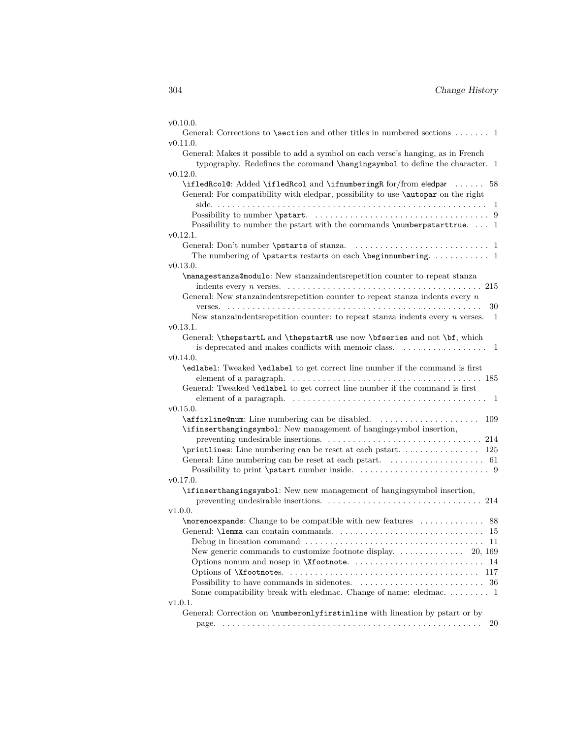| v0.10.0.                                                                                                                                                         |
|------------------------------------------------------------------------------------------------------------------------------------------------------------------|
| General: Corrections to <b>\section</b> and other titles in numbered sections $\dots$ 1                                                                          |
| v0.11.0.                                                                                                                                                         |
| General: Makes it possible to add a symbol on each verse's hanging, as in French<br>typography. Redefines the command \hangingsymbol to define the character. 1  |
| v0.12.0.                                                                                                                                                         |
| \ifledRcol@: Added \ifledRcol and \ifnumberingR for/from eledpar  58<br>General: For compatibility with eledpar, possibility to use <b>\autopar</b> on the right |
| Possibility to number the pstart with the commands \numberpstarttrue 1                                                                                           |
| v0.12.1.                                                                                                                                                         |
| The numbering of $\beta$ \that poster is restarts on each $\begin{bmatrix} 1 & 2 \\ 3 & 4 \end{bmatrix}$                                                         |
| v0.13.0.                                                                                                                                                         |
| \managestanza@modulo: New stanzaindentsrepetition counter to repeat stanza                                                                                       |
| General: New stanzaindents<br>repetition counter to repeat stanza indents every $n$                                                                              |
| 30                                                                                                                                                               |
| New stanzaindents repetition counter: to repeat stanzaindents every $n$ verses.<br>-1                                                                            |
| v0.13.1.                                                                                                                                                         |
| General: \thepstartL and \thepstartR use now \bfseries and not \bf, which                                                                                        |
| is deprecated and makes conflicts with memoir class.<br>1                                                                                                        |
| v0.14.0.                                                                                                                                                         |
| \edlabel: Tweaked \edlabel to get correct line number if the command is first                                                                                    |
| General: Tweaked \edlabel to get correct line number if the command is first                                                                                     |
| element of a paragraph. $\dots \dots \dots \dots \dots \dots \dots \dots \dots \dots \dots \dots \dots \dots \dots \dots$                                        |
| v0.15.0.                                                                                                                                                         |
| \affixline@num: Line numbering can be disabled.<br>109                                                                                                           |
| \ifinserthangingsymbol: New management of hangingsymbol insertion,                                                                                               |
|                                                                                                                                                                  |
|                                                                                                                                                                  |
|                                                                                                                                                                  |
| v0.17.0.                                                                                                                                                         |
| \ifinserthangingsymbol: New new management of hangingsymbol insertion,                                                                                           |
|                                                                                                                                                                  |
| v1.0.0.                                                                                                                                                          |
|                                                                                                                                                                  |
|                                                                                                                                                                  |
| -11                                                                                                                                                              |
|                                                                                                                                                                  |
| 14                                                                                                                                                               |
| 117                                                                                                                                                              |
| 36                                                                                                                                                               |
| Some compatibility break with eledmac. Change of name: eledmac. 1                                                                                                |
| v1.0.1.                                                                                                                                                          |
| General: Correction on \numberonlyfirstinline with lineation by pstart or by                                                                                     |
| 20                                                                                                                                                               |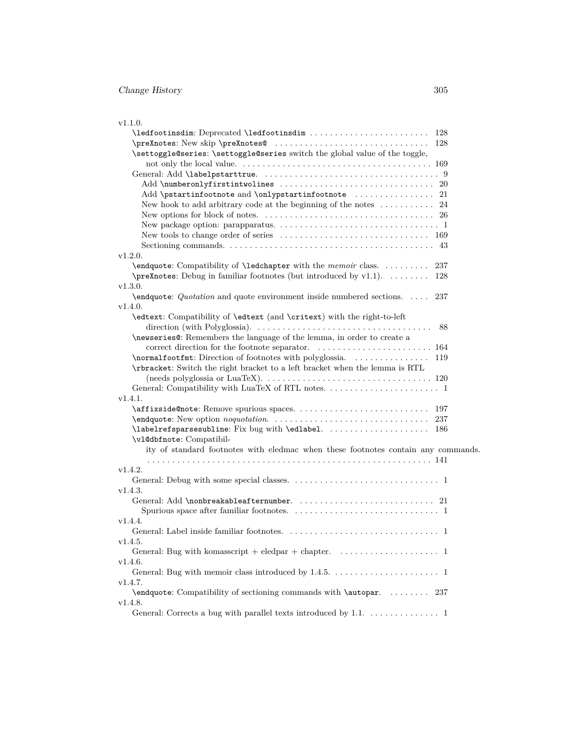| v1.1.0.                                                                                                       |
|---------------------------------------------------------------------------------------------------------------|
| \ledfootinsdim: Deprecated \ledfootinsdim<br>128                                                              |
| 128                                                                                                           |
| \settoggle@series: \settoggle@series switch the global value of the toggle,                                   |
|                                                                                                               |
|                                                                                                               |
|                                                                                                               |
| Add \pstartinfootnote and \onlypstartinfootnote  21                                                           |
| New hook to add arbitrary code at the beginning of the notes $\dots \dots \dots 24$                           |
|                                                                                                               |
|                                                                                                               |
|                                                                                                               |
|                                                                                                               |
| v1.2.0.                                                                                                       |
| \endquote: Compatibility of \ledchapter with the memoir class.<br>237                                         |
| <b>\preXnotes:</b> Debug in familiar footnotes (but introduced by v1.1).<br>128                               |
| v1.3.0.                                                                                                       |
| $\end{$ endquote: <i>Quotation</i> and quote environment inside numbered sections.<br>237                     |
| v1.4.0.                                                                                                       |
| \edtext: Compatibility of \edtext (and \critext) with the right-to-left                                       |
| direction (with Polyglossia). $\dots \dots \dots \dots \dots \dots \dots \dots \dots \dots \dots \dots$<br>88 |
| \newseries@: Remembers the language of the lemma, in order to create a                                        |
|                                                                                                               |
| \normalfootfmt: Direction of footnotes with polyglossia.<br>119                                               |
| <b>\rbracket</b> : Switch the right bracket to a left bracket when the lemma is RTL                           |
|                                                                                                               |
|                                                                                                               |
| v1.4.1.                                                                                                       |
|                                                                                                               |
| 237                                                                                                           |
| \labelrefsparsesubline: Fix bug with \edlabel.  186                                                           |
| \v1@dbfnote: Compatibil-                                                                                      |
| ity of standard footnotes with eledmac when these footnotes contain any commands.                             |
|                                                                                                               |
| v1.4.2.                                                                                                       |
|                                                                                                               |
| v1.4.3.                                                                                                       |
|                                                                                                               |
|                                                                                                               |
| v1.4.4.                                                                                                       |
|                                                                                                               |
| v1.4.5.                                                                                                       |
| General: Bug with komasscript + eledpar + chapter. $\dots \dots \dots \dots \dots \dots$                      |
| v1.4.6.                                                                                                       |
|                                                                                                               |
| v1.4.7.                                                                                                       |
| \endquote: Compatibility of sectioning commands with \autopar.  237                                           |
| v1.4.8.<br>General: Corrects a bug with parallel texts introduced by 1.1. 1                                   |
|                                                                                                               |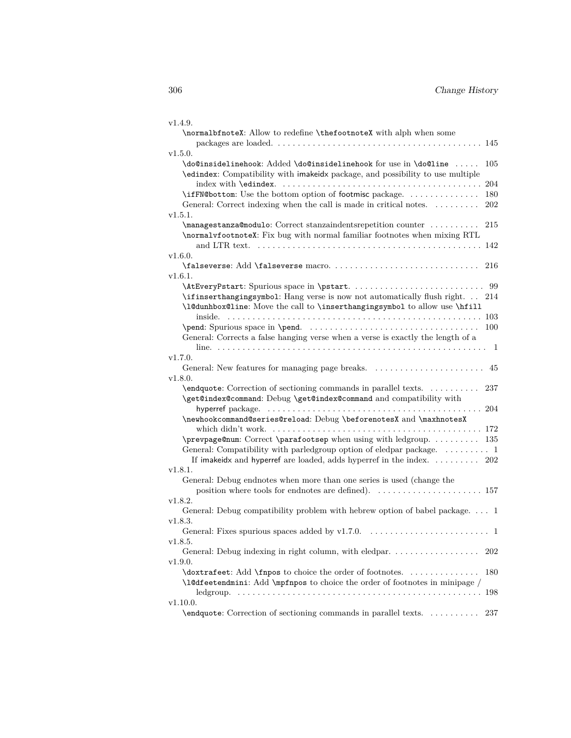| v1.4.9.                                                                                                                                                |           |
|--------------------------------------------------------------------------------------------------------------------------------------------------------|-----------|
| \normalbfnoteX: Allow to redefine \thefootnoteX with alph when some                                                                                    |           |
|                                                                                                                                                        |           |
| v1.5.0.                                                                                                                                                |           |
| \do@insidelinehook: Added \do@insidelinehook for use in \do@line<br>\edindex: Compatibility with imakeidx package, and possibility to use multiple     | 105       |
|                                                                                                                                                        | 204       |
| \ifFN@bottom: Use the bottom option of footmisc package.                                                                                               | 180       |
| General: Correct indexing when the call is made in critical notes.                                                                                     | 202       |
| v1.5.1.                                                                                                                                                |           |
| \managestanza@modulo: Correct stanzaindentsrepetition counter                                                                                          | 215       |
| \normalvfootnoteX: Fix bug with normal familiar footnotes when mixing RTL                                                                              | 142       |
| v1.6.0.                                                                                                                                                |           |
|                                                                                                                                                        | 216       |
| v1.6.1.                                                                                                                                                |           |
| \ifinserthangingsymbol: Hang verse is now not automatically flush right.<br>\l@dunhbox@line: Move the call to \inserthangingsymbol to allow use \hfill | 99<br>214 |
|                                                                                                                                                        | 103       |
|                                                                                                                                                        | 100       |
| General: Corrects a false hanging verse when a verse is exactly the length of a                                                                        |           |
|                                                                                                                                                        | - 1       |
| v1.7.0.                                                                                                                                                |           |
| General: New features for managing page breaks.                                                                                                        | 45        |
| v1.8.0.                                                                                                                                                |           |
| \endquote: Correction of sectioning commands in parallel texts.<br>\get@index@command: Debug \get@index@command and compatibility with                 | 237       |
|                                                                                                                                                        |           |
| \newhookcommand@series@reload: Debug \beforenotesX and \maxhnotesX                                                                                     |           |
|                                                                                                                                                        |           |
| \prevpage@num: Correct \parafootsep when using with ledgroup.  135                                                                                     |           |
| General: Compatibility with parledgroup option of eledpar package. $\dots \dots \dots$ 1                                                               |           |
| If imakeidx and hyperref are loaded, adds hyperref in the index.  202                                                                                  |           |
| v1.8.1.                                                                                                                                                |           |
| General: Debug endnotes when more than one series is used (change the                                                                                  |           |
| v1.8.2.                                                                                                                                                |           |
| General: Debug compatibility problem with hebrew option of babel package. 1                                                                            |           |
| v1.8.3.                                                                                                                                                |           |
|                                                                                                                                                        |           |
| v1.8.5.                                                                                                                                                |           |
| General: Debug indexing in right column, with eledpar.                                                                                                 | 202       |
| v1.9.0.                                                                                                                                                |           |
| \doxtrafeet: Add \fnpos to choice the order of footnotes.                                                                                              | 180       |
| \l@dfeetendmini: Add \mpfnpos to choice the order of footnotes in minipage $\slash$                                                                    |           |
|                                                                                                                                                        | 198       |
| v1.10.0.                                                                                                                                               |           |
| \endquote: Correction of sectioning commands in parallel texts.                                                                                        | 237       |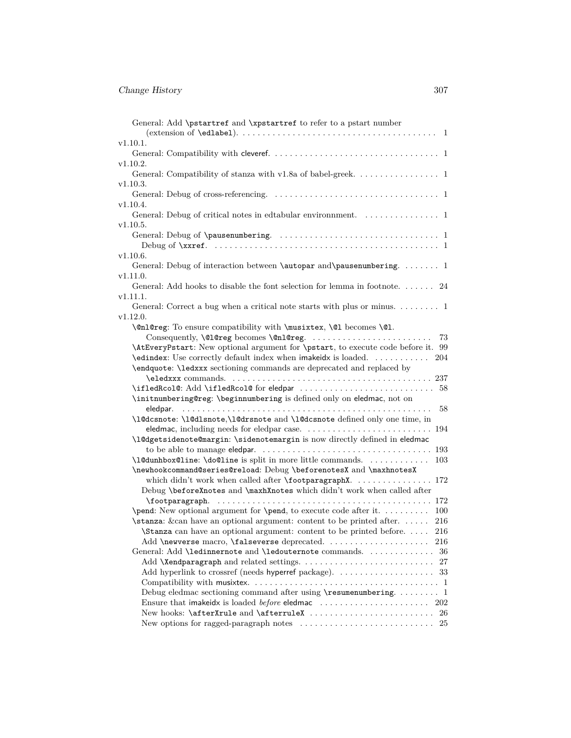| General: Add \pstartref and \xpstartref to refer to a pstart number<br>$(extension of \text{`edlabel)}.$                                                   | - 1        |
|------------------------------------------------------------------------------------------------------------------------------------------------------------|------------|
| v1.10.1.                                                                                                                                                   |            |
| General: Compatibility with clever<br>ef. $\ldots \ldots \ldots \ldots \ldots \ldots \ldots \ldots \ldots \ldots \ldots \ldots \ldots$                     |            |
| v1.10.2.                                                                                                                                                   |            |
| General: Compatibility of stanza with v1.8a of babel-greek. 1                                                                                              |            |
| v1.10.3.                                                                                                                                                   |            |
|                                                                                                                                                            |            |
| v1.10.4.                                                                                                                                                   |            |
| General: Debug of critical notes in edtabular environment.<br>$\hfill\ldots\ldots\ldots\ldots\ldots\ldots\ldots\quad 1$                                    |            |
| v1.10.5.                                                                                                                                                   |            |
|                                                                                                                                                            |            |
|                                                                                                                                                            |            |
| v1.10.6.                                                                                                                                                   |            |
| General: Debug of interaction between \autopar and\pausenumbering.  1                                                                                      |            |
| v1.11.0.                                                                                                                                                   |            |
| General: Add hooks to disable the font selection for lemma in footnote. 24                                                                                 |            |
| v1.11.1.                                                                                                                                                   |            |
| General: Correct a bug when a critical note starts with plus or minus. 1                                                                                   |            |
| v1.12.0.                                                                                                                                                   |            |
| \@nl@reg: To ensure compatibility with \musixtex, \@l becomes \@l.                                                                                         |            |
| Consequently, \@1@reg becomes \@n1@reg.                                                                                                                    | 73         |
| \AtEveryPstart: New optional argument for \pstart, to execute code before it. 99                                                                           |            |
| \edindex: Use correctly default index when imakeidx is loaded.                                                                                             | 204        |
| \endquote: \ledxxx sectioning commands are deprecated and replaced by                                                                                      |            |
|                                                                                                                                                            |            |
|                                                                                                                                                            |            |
| \initnumbering@reg: \beginnumbering is defined only on eledmac, not on                                                                                     |            |
| eledpar.                                                                                                                                                   | 58         |
| \l@dcsnote: \l@dlsnote,\l@drsnote and \l@dcsnote defined only one time, in                                                                                 |            |
|                                                                                                                                                            |            |
| \l@dgetsidenote@margin: \sidenotemargin is now directly defined in eledmac                                                                                 |            |
|                                                                                                                                                            |            |
| \1@dunhbox@line: \do@line is split in more little commands.                                                                                                | 103        |
| \newhookcommand@series@reload: Debug \beforenotesX and \maxhnotesX                                                                                         |            |
| which didn't work when called after \footparagraphX 172                                                                                                    |            |
| Debug \beforeXnotes and \maxhXnotes which didn't work when called after                                                                                    |            |
| \footparagraph.                                                                                                                                            |            |
| $\pend: New optional argument for \pend, to execute code after it.$<br>$\sigma$ . Extensor $\sigma$ are an optional argument: content to be printed after. | 100<br>216 |
| \Stanza can have an optional argument: content to be printed before.                                                                                       | 216        |
| Add \newverse macro, \falseverse deprecated.                                                                                                               |            |
| General: Add \ledinnernote and \ledouternote commands.                                                                                                     | 216<br>36  |
|                                                                                                                                                            | 27         |
|                                                                                                                                                            |            |
|                                                                                                                                                            |            |
| Debug eledmac sectioning command after using $\$ resumenumbering 1                                                                                         |            |
|                                                                                                                                                            |            |
|                                                                                                                                                            |            |
| New options for ragged-paragraph notes $\ldots \ldots \ldots \ldots \ldots \ldots \ldots \ldots$ 25                                                        |            |
|                                                                                                                                                            |            |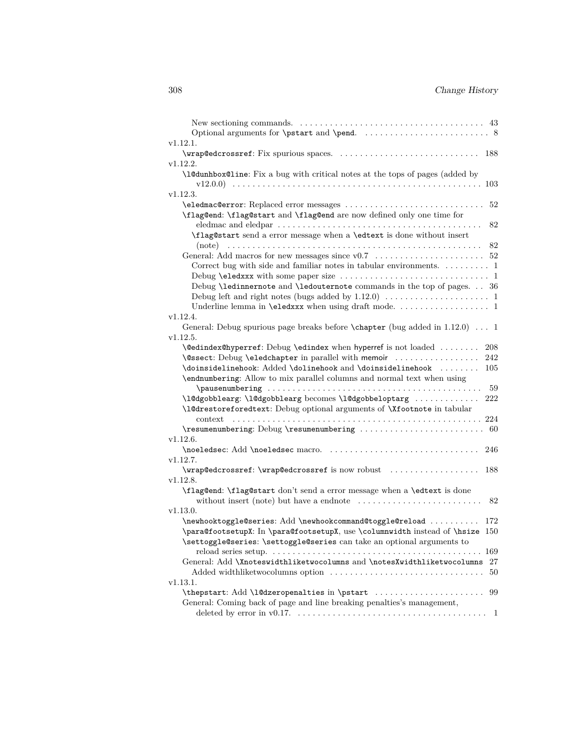| New sectioning commands. $\dots \dots \dots \dots \dots \dots \dots \dots \dots \dots \dots \dots \dots \dots$                                                                                                                                                                                                                                                                                                                                                                                                             |
|----------------------------------------------------------------------------------------------------------------------------------------------------------------------------------------------------------------------------------------------------------------------------------------------------------------------------------------------------------------------------------------------------------------------------------------------------------------------------------------------------------------------------|
|                                                                                                                                                                                                                                                                                                                                                                                                                                                                                                                            |
| v1.12.1.                                                                                                                                                                                                                                                                                                                                                                                                                                                                                                                   |
| 188                                                                                                                                                                                                                                                                                                                                                                                                                                                                                                                        |
| v1.12.2.                                                                                                                                                                                                                                                                                                                                                                                                                                                                                                                   |
| \l@dunhbox@line: Fix a bug with critical notes at the tops of pages (added by                                                                                                                                                                                                                                                                                                                                                                                                                                              |
| 103                                                                                                                                                                                                                                                                                                                                                                                                                                                                                                                        |
| v1.12.3.                                                                                                                                                                                                                                                                                                                                                                                                                                                                                                                   |
| \eledmac@error: Replaced error messages<br>52                                                                                                                                                                                                                                                                                                                                                                                                                                                                              |
| \flag@end: \flag@start and \flag@end are now defined only one time for                                                                                                                                                                                                                                                                                                                                                                                                                                                     |
| 82                                                                                                                                                                                                                                                                                                                                                                                                                                                                                                                         |
| \flag@start send a error message when a \edtext is done without insert                                                                                                                                                                                                                                                                                                                                                                                                                                                     |
| 82                                                                                                                                                                                                                                                                                                                                                                                                                                                                                                                         |
|                                                                                                                                                                                                                                                                                                                                                                                                                                                                                                                            |
| Correct bug with side and familiar notes in tabular environments. $\dots \dots \dots 1$                                                                                                                                                                                                                                                                                                                                                                                                                                    |
|                                                                                                                                                                                                                                                                                                                                                                                                                                                                                                                            |
| Debug \ledinnernote and \ledouternote commands in the top of pages. 36                                                                                                                                                                                                                                                                                                                                                                                                                                                     |
| Underline lemma in <b>\eledxxx</b> when using draft mode. 1                                                                                                                                                                                                                                                                                                                                                                                                                                                                |
| v1.12.4.                                                                                                                                                                                                                                                                                                                                                                                                                                                                                                                   |
| General: Debug spurious page breaks before \chapter (bug added in 1.12.0) 1                                                                                                                                                                                                                                                                                                                                                                                                                                                |
| v1.12.5.                                                                                                                                                                                                                                                                                                                                                                                                                                                                                                                   |
| \@edindex@hyperref: Debug \edindex when hyperref is not loaded<br>208                                                                                                                                                                                                                                                                                                                                                                                                                                                      |
| \@ssect: Debug \eledchapter in parallel with memoir<br>242                                                                                                                                                                                                                                                                                                                                                                                                                                                                 |
| \doinsidelinehook: Added \dolinehook and \doinsidelinehook<br>105                                                                                                                                                                                                                                                                                                                                                                                                                                                          |
| \endnumbering: Allow to mix parallel columns and normal text when using                                                                                                                                                                                                                                                                                                                                                                                                                                                    |
| 59                                                                                                                                                                                                                                                                                                                                                                                                                                                                                                                         |
| \l@dgobblearg:\l@dgobblearg becomes\l@dgobbeloptarg<br>222                                                                                                                                                                                                                                                                                                                                                                                                                                                                 |
| \l@drestoreforedtext: Debug optional arguments of \Xfootnote in tabular                                                                                                                                                                                                                                                                                                                                                                                                                                                    |
| 224<br>context                                                                                                                                                                                                                                                                                                                                                                                                                                                                                                             |
|                                                                                                                                                                                                                                                                                                                                                                                                                                                                                                                            |
| v1.12.6.                                                                                                                                                                                                                                                                                                                                                                                                                                                                                                                   |
| 246                                                                                                                                                                                                                                                                                                                                                                                                                                                                                                                        |
| v1.12.7.                                                                                                                                                                                                                                                                                                                                                                                                                                                                                                                   |
| \wrap@edcrossref:\wrap@edcrossref is now robust<br>188                                                                                                                                                                                                                                                                                                                                                                                                                                                                     |
| v1.12.8.                                                                                                                                                                                                                                                                                                                                                                                                                                                                                                                   |
| \flag@end: \flag@start don't send a error message when a \edtext is done                                                                                                                                                                                                                                                                                                                                                                                                                                                   |
| without insert (note) but have a endnote $\dots \dots \dots \dots \dots \dots \dots \dots$<br>82                                                                                                                                                                                                                                                                                                                                                                                                                           |
| v1.13.0.                                                                                                                                                                                                                                                                                                                                                                                                                                                                                                                   |
| \newhooktoggle@series: Add \newhookcommand@toggle@reload<br>172                                                                                                                                                                                                                                                                                                                                                                                                                                                            |
| \para@footsetupX: In \para@footsetupX, use \columnwidth instead of \hsize<br>- 150                                                                                                                                                                                                                                                                                                                                                                                                                                         |
| \settoggle@series: \settoggle@series can take an optional arguments to                                                                                                                                                                                                                                                                                                                                                                                                                                                     |
| General: Add \Xnoteswidthliketwocolumns and \notesXwidthliketwocolumns<br>27                                                                                                                                                                                                                                                                                                                                                                                                                                               |
| Added widthliketwocolumns option<br>50                                                                                                                                                                                                                                                                                                                                                                                                                                                                                     |
| v1.13.1.                                                                                                                                                                                                                                                                                                                                                                                                                                                                                                                   |
| $\label{th:rel} $$\the \mathbf{r}: \operatorname{Ad} \lhd \mathbf{r}: \operatorname{R} \lhd \mathbf{r}: \operatorname{R} \lhd \mathbf{r}: \operatorname{R} \lhd \mathbf{r}: \operatorname{R} \lhd \mathbf{r}: \operatorname{R} \lhd \mathbf{r}: \operatorname{R} \lhd \mathbf{r}: \operatorname{R} \lhd \mathbf{r}: \operatorname{R} \lhd \mathbf{r}: \operatorname{R} \lhd \mathbf{r}: \operatorname{R} \lhd \mathbf{r}: \operatorname{R} \lhd \mathbf{r}: \operatorname{R} \lhd \mathbf{r}: \operatorname{R} \lhd$<br>99 |
| General: Coming back of page and line breaking penalties's management,                                                                                                                                                                                                                                                                                                                                                                                                                                                     |
|                                                                                                                                                                                                                                                                                                                                                                                                                                                                                                                            |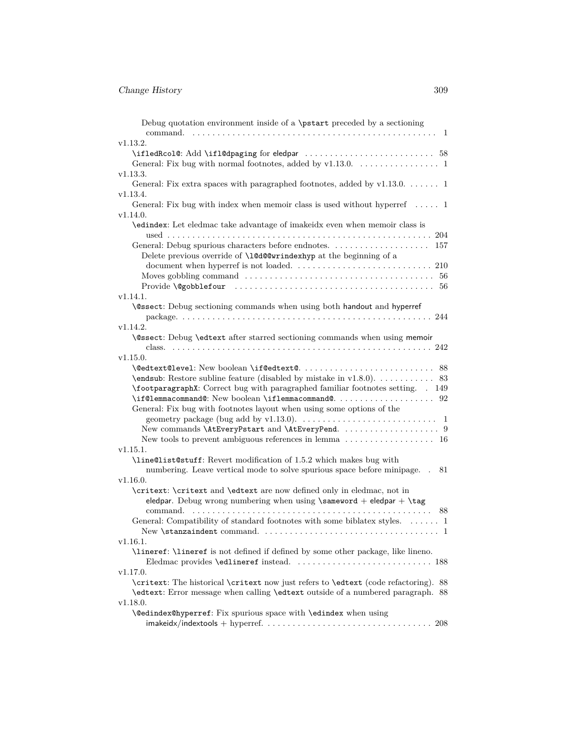| Debug quotation environment inside of a \pstart preceded by a sectioning<br>command.        |
|---------------------------------------------------------------------------------------------|
| v1.13.2.                                                                                    |
|                                                                                             |
|                                                                                             |
| v1.13.3.                                                                                    |
| General: Fix extra spaces with paragraphed footnotes, added by $v1.13.0.$ 1                 |
| v1.13.4.                                                                                    |
|                                                                                             |
| General: Fix bug with index when memoir class is used without hyperref  1                   |
| v1.14.0.                                                                                    |
| \edindex: Let eledmac take advantage of imakeidx even when memoir class is                  |
|                                                                                             |
| General: Debug spurious characters before endnotes.<br>157                                  |
| Delete previous override of \10d00wrindexhyp at the beginning of a                          |
|                                                                                             |
|                                                                                             |
|                                                                                             |
| v1.14.1.                                                                                    |
| \@ssect: Debug sectioning commands when using both handout and hyperref                     |
|                                                                                             |
| v1.14.2.                                                                                    |
| \@ssect: Debug \edtext after starred sectioning commands when using memoir                  |
|                                                                                             |
| v1.15.0.                                                                                    |
|                                                                                             |
| 83                                                                                          |
| \footparagraphX: Correct bug with paragraphed familiar footnotes setting. . 149             |
|                                                                                             |
| General: Fix bug with footnotes layout when using some options of the                       |
|                                                                                             |
|                                                                                             |
| New tools to prevent ambiguous references in lemma $\dots \dots \dots \dots \dots \dots$ 16 |
| v1.15.1.                                                                                    |
| \line@list@stuff: Revert modification of 1.5.2 which makes bug with                         |
| numbering. Leave vertical mode to solve spurious space before minipage. .<br>81             |
| v1.16.0.                                                                                    |
| \critext: \critext and \edtext are now defined only in eledmac, not in                      |
| eledpar. Debug wrong numbering when using $\simeq + \eled$ par + $\tag{1}$                  |
| command.                                                                                    |
|                                                                                             |
| General: Compatibility of standard footnotes with some biblatex styles.  1                  |
|                                                                                             |
| v1.16.1.                                                                                    |
| \lineref: \lineref is not defined if defined by some other package, like lineno.            |
|                                                                                             |
| v1.17.0.                                                                                    |
| \critext: The historical \critext now just refers to \edtext (code refactoring). 88         |
| \edtext: Error message when calling \edtext outside of a numbered paragraph. 88             |
| v1.18.0.                                                                                    |
| \@edindex@hyperref: Fix spurious space with \edindex when using                             |
|                                                                                             |
|                                                                                             |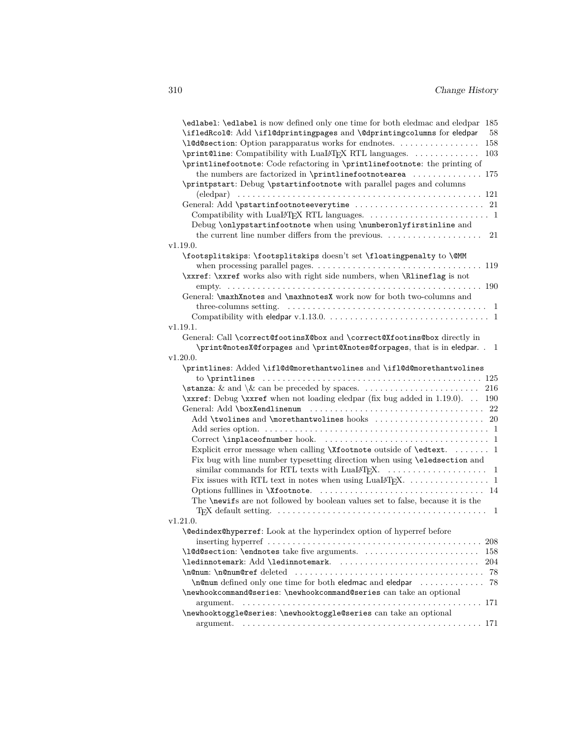| \edlabel: \edlabel is now defined only one time for both eledmac and eledpar 185                                         |
|--------------------------------------------------------------------------------------------------------------------------|
| \ifledRcol@: Add \ifl@dprintingpages and \@dprintingcolumns for eledpar<br>58                                            |
| \10d0section: Option parapparatus works for endnotes.<br>158                                                             |
| \print@line: Compatibility with Lual4TFX RTL languages.<br>103                                                           |
| \printlinefootnote: Code refactoring in \printlinefootnote: the printing of                                              |
| the numbers are factorized in \printlinefootnotearea $\ldots \ldots \ldots$ 175                                          |
| \printpstart: Debug \pstartinfootnote with parallel pages and columns                                                    |
|                                                                                                                          |
|                                                                                                                          |
|                                                                                                                          |
| Debug \onlypstartinfootnote when using \numberonlyfirstinline and                                                        |
| 21                                                                                                                       |
| v1.19.0.                                                                                                                 |
| \footsplitskips: \footsplitskips doesn't set \floatingpenalty to \@MM                                                    |
| when processing parallel pages. $\ldots \ldots \ldots \ldots \ldots \ldots \ldots \ldots \ldots \ldots 119$              |
| \xxref: \xxref works also with right side numbers, when \Rlineflag is not                                                |
| General: \maxhXnotes and \maxhnotesX work now for both two-columns and                                                   |
| three-columns setting. $\dots \dots \dots \dots \dots \dots \dots \dots \dots \dots \dots \dots \dots \dots \dots \dots$ |
|                                                                                                                          |
| v1.19.1.                                                                                                                 |
| General: Call \correct@footinsX@box and \correct@Xfootins@box directly in                                                |
| \print@notesX@forpages and \print@Xnotes@forpages, that is in eledpar. . 1                                               |
| v1.20.0.                                                                                                                 |
| \printlines: Added \if1@d@morethantwolines and \if1@d@morethantwolines                                                   |
|                                                                                                                          |
|                                                                                                                          |
| \xxref: Debug \xxref when not loading eledpar (fix bug added in 1.19.0). 190                                             |
|                                                                                                                          |
|                                                                                                                          |
|                                                                                                                          |
|                                                                                                                          |
| Explicit error message when calling \Xfootnote outside of \edtext.  1                                                    |
| Fix bug with line number typesetting direction when using <b>\eledsection</b> and                                        |
|                                                                                                                          |
|                                                                                                                          |
|                                                                                                                          |
| The <b>\newiffe</b> are not followed by boolean values set to false, because it is the                                   |
|                                                                                                                          |
| v1.21.0.                                                                                                                 |
| \@edindex@hyperref: Look at the hyperindex option of hyperref before                                                     |
| 208<br>\10d0section: \endnotes take five arguments.<br>158                                                               |
| \ledinnotemark: Add \ledinnotemark.<br>204                                                                               |
| 78                                                                                                                       |
| \n©num defined only one time for both eledmac and eledpar<br>78                                                          |
| \newhookcommand@series: \newhookcommand@series can take an optional                                                      |
| argument.                                                                                                                |
| \newhooktoggle@series: \newhooktoggle@series can take an optional                                                        |
|                                                                                                                          |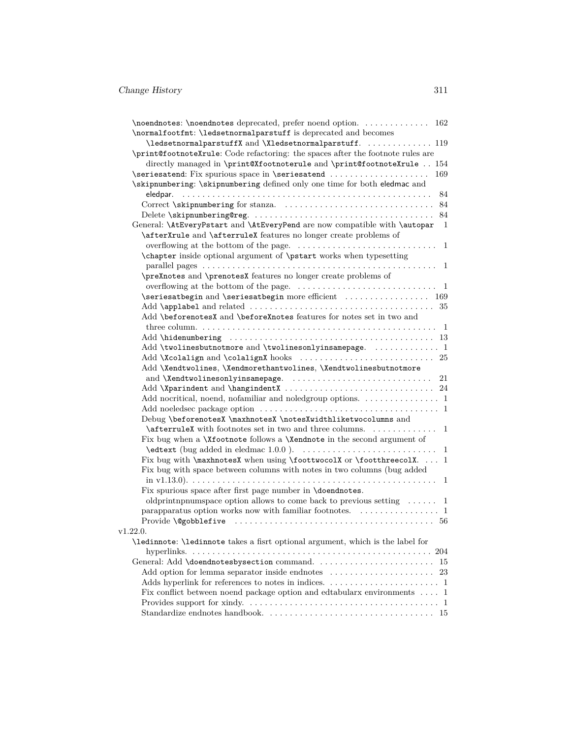| \normalfootfmt: \ledsetnormalparstuff is deprecated and becomes                                           |                |
|-----------------------------------------------------------------------------------------------------------|----------------|
| \ledsetnormalparstuffX and \Xledsetnormalparstuff.  119                                                   |                |
| \print@footnoteXrule: Code refactoring: the spaces after the footnote rules are                           |                |
| directly managed in \print@Xfootnoterule and \print@footnoteXrule  154                                    |                |
| \seriesatend: Fix spurious space in \seriesatend                                                          | 169            |
| \skipnumbering: \skipnumbering defined only one time for both eledmac and                                 |                |
|                                                                                                           |                |
|                                                                                                           |                |
|                                                                                                           |                |
| General: \AtEveryPstart and \AtEveryPend are now compatible with \autopar                                 | $\overline{1}$ |
| \afterXrule and \afterruleX features no longer create problems of                                         |                |
|                                                                                                           |                |
| \chapter inside optional argument of \pstart works when typesetting                                       |                |
|                                                                                                           |                |
| \preXnotes and \prenotesX features no longer create problems of                                           |                |
| overflowing at the bottom of the page. $\dots \dots \dots \dots \dots \dots \dots \dots \dots \dots$      |                |
| \seriesatbegin and \seriesatbegin more efficient  169                                                     |                |
|                                                                                                           |                |
| Add \beforenotesX and \beforeXnotes features for notes set in two and                                     |                |
|                                                                                                           |                |
|                                                                                                           |                |
| Add \twolinesbutnotmore and \twolinesonlyinsamepage.  1                                                   |                |
|                                                                                                           |                |
| Add \Xendtwolines, \Xendmorethantwolines, \Xendtwolinesbutnotmore<br>and \Xendtwolinesonlyinsamepage.  21 |                |
|                                                                                                           |                |
| Add nocritical, noend, nofamiliar and noledgroup options. 1                                               |                |
|                                                                                                           |                |
| Debug \beforenotesX \maxhnotesX \notesXwidthliketwocolumns and                                            |                |
| $\{\text{afterruleX with footnotes set in two and three columns. \dots \dots \dots \dots \quad 1\}$       |                |
| Fix bug when a <b>\Xfootnote</b> follows a <b>\Xendnote</b> in the second argument of                     |                |
|                                                                                                           |                |
| Fix bug with \maxhnotesX when using \foottwocolX or \footthreecolX.  1                                    |                |
| Fix bug with space between columns with notes in two columns (bug added                                   |                |
|                                                                                                           |                |
| Fix spurious space after first page number in <b>\doendnotes</b> .                                        |                |
| oldprintnpnumspace option allows to come back to previous setting $\dots \dots 1$                         |                |
| parapparatus option works now with familiar footnotes. $\dots \dots \dots \dots \dots$                    |                |
|                                                                                                           |                |
| v1.22.0.                                                                                                  |                |
| \ledinnote: \ledinnote takes a fisrt optional argument, which is the label for                            |                |
|                                                                                                           |                |
| General: Add \doendnotesbysection command.  15                                                            |                |
|                                                                                                           |                |
|                                                                                                           |                |
| Fix conflict between noend package option and edtabularx environments $\ldots$ 1                          |                |
|                                                                                                           |                |
|                                                                                                           |                |
|                                                                                                           |                |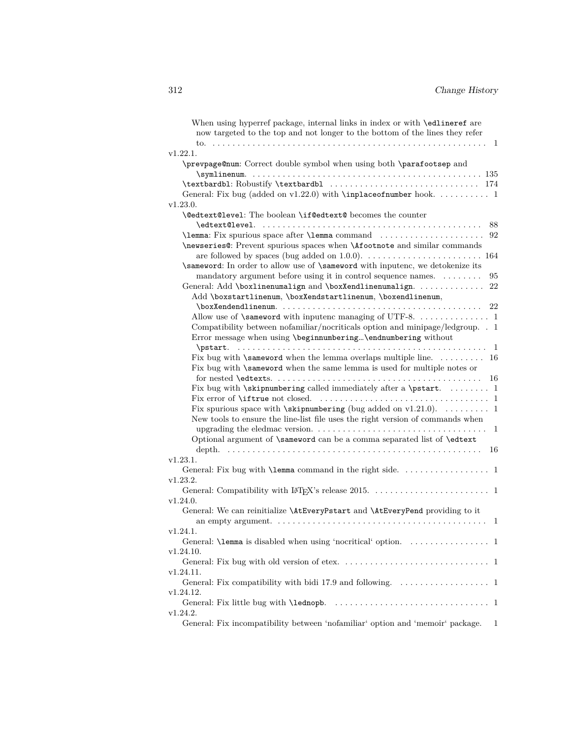| When using hyperref package, internal links in index or with \edlineref are                                                      |
|----------------------------------------------------------------------------------------------------------------------------------|
| now targeted to the top and not longer to the bottom of the lines they refer                                                     |
|                                                                                                                                  |
| v1.22.1.                                                                                                                         |
| \prevpage@num: Correct double symbol when using both \parafootsep and                                                            |
|                                                                                                                                  |
| \textbardbl: Robustify \textbardbl  174                                                                                          |
| General: Fix bug (added on $v1.22.0$ ) with <b>\inplaceofnumber</b> hook.  1                                                     |
| v1.23.0.                                                                                                                         |
| <b>\@edtext@level:</b> The boolean <b>\if@edtext@</b> becomes the counter                                                        |
| 88                                                                                                                               |
| 92                                                                                                                               |
| \newseries@: Prevent spurious spaces when \Afootnote and similar commands                                                        |
|                                                                                                                                  |
| \sameword: In order to allow use of \sameword with inputenc, we detokenize its                                                   |
| mandatory argument before using it in control sequence names.<br>95                                                              |
| General: Add \boxlinenumalign and \boxXendlinenumalign.<br>22                                                                    |
| Add \boxstartlinenum, \boxXendstartlinenum, \boxendlinenum,                                                                      |
| 22                                                                                                                               |
| Allow use of <b>\sameword</b> with inputenc managing of UTF-8. 1                                                                 |
| Compatibility between nofamiliar/nocriticals option and minipage/ledgroup. . 1                                                   |
| Error message when using \beginnumbering\endnumbering without                                                                    |
|                                                                                                                                  |
| Fix bug with <b>\sameword</b> when the lemma overlaps multiple line. $\dots \dots \dots$ 16                                      |
| Fix bug with <b>\sameword</b> when the same lemma is used for multiple notes or                                                  |
| 16                                                                                                                               |
| Fix bug with \skipnumbering called immediately after a \pstart.  1                                                               |
|                                                                                                                                  |
| Fix spurious space with $\skipnumbering$ (bug added on v1.21.0).  1                                                              |
| New tools to ensure the line-list file uses the right version of commands when                                                   |
| upgrading the eledmac version. $\dots \dots \dots \dots \dots \dots \dots \dots \dots \dots \dots \dots \dots \dots \dots \dots$ |
| Optional argument of \sameword can be a comma separated list of \edtext                                                          |
| 16                                                                                                                               |
| v1.23.1.                                                                                                                         |
|                                                                                                                                  |
| v1.23.2.                                                                                                                         |
|                                                                                                                                  |
| v1.24.0.                                                                                                                         |
| General: We can reinitialize \AtEveryPstart and \AtEveryPend providing to it                                                     |
| an empty argument. $\dots \dots \dots \dots \dots \dots \dots \dots \dots \dots \dots \dots \dots \dots$<br>1                    |
| v1.24.1.                                                                                                                         |
|                                                                                                                                  |
| v1.24.10.                                                                                                                        |
|                                                                                                                                  |
| v1.24.11.                                                                                                                        |
|                                                                                                                                  |
| v1.24.12.                                                                                                                        |
|                                                                                                                                  |
| v1.24.2.                                                                                                                         |
| General: Fix incompatibility between 'nofamiliar' option and 'memoir' package.<br>1                                              |
|                                                                                                                                  |